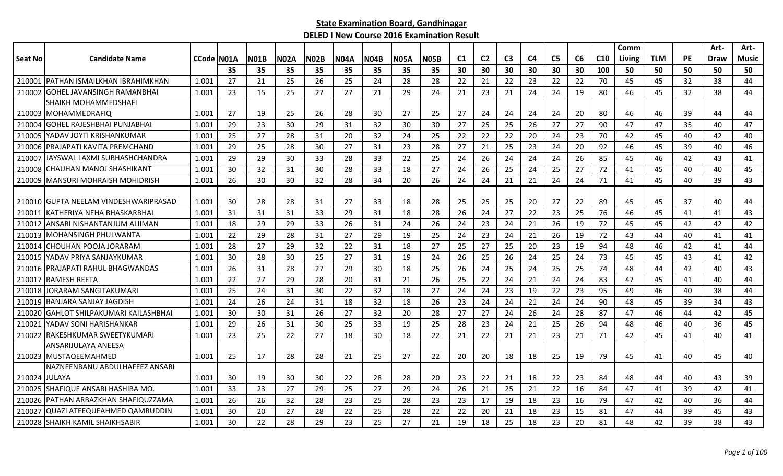|                |                                        |            |    |             |             |             |             |             |             |      |    |                |                |                |                |    |                 | Comm   |            |           | Art-        | Art-  |
|----------------|----------------------------------------|------------|----|-------------|-------------|-------------|-------------|-------------|-------------|------|----|----------------|----------------|----------------|----------------|----|-----------------|--------|------------|-----------|-------------|-------|
| <b>Seat No</b> | <b>Candidate Name</b>                  | CCode N01A |    | <b>N01B</b> | <b>N02A</b> | <b>N02B</b> | <b>N04A</b> | <b>N04B</b> | <b>N05A</b> | N05B | C1 | C <sub>2</sub> | C <sub>3</sub> | C <sub>4</sub> | C <sub>5</sub> | C6 | C <sub>10</sub> | Living | <b>TLM</b> | <b>PE</b> | <b>Draw</b> | Music |
|                |                                        |            | 35 | 35          | 35          | 35          | 35          | 35          | 35          | 35   | 30 | 30             | 30             | 30             | 30             | 30 | 100             | 50     | 50         | 50        | 50          | 50    |
| 210001         | <b>IPATHAN ISMAILKHAN IBRAHIMKHAN</b>  | 1.001      | 27 | 21          | 25          | 26          | 25          | 24          | 28          | 28   | 22 | 21             | 22             | 23             | 22             | 22 | 70              | 45     | 45         | 32        | 38          | 44    |
| 210002         | IGOHEL JAVANSINGH RAMANBHAI            | 1.001      | 23 | 15          | 25          | 27          | 27          | 21          | 29          | 24   | 21 | 23             | 21             | 24             | 24             | 19 | 80              | 46     | 45         | 32        | 38          | 44    |
|                | SHAIKH MOHAMMEDSHAFI                   |            |    |             |             |             |             |             |             |      |    |                |                |                |                |    |                 |        |            |           |             |       |
|                | 210003 MOHAMMEDRAFIQ                   | 1.001      | 27 | 19          | 25          | 26          | 28          | 30          | 27          | 25   | 27 | 24             | 24             | 24             | 24             | 20 | 80              | 46     | 46         | 39        | 44          | 44    |
| 210004         | IGOHEL RAJESHBHAI PUNJABHAI            | 1.001      | 29 | 23          | 30          | 29          | 31          | 32          | 30          | 30   | 27 | 25             | 25             | 26             | 27             | 27 | 90              | 47     | 47         | 35        | 40          | 47    |
|                | 210005 YADAV JOYTI KRISHANKUMAR        | 1.001      | 25 | 27          | 28          | 31          | 20          | 32          | 24          | 25   | 22 | 22             | 22             | 20             | 24             | 23 | 70              | 42     | 45         | 40        | 42          | 40    |
| 210006         | PRAJAPATI KAVITA PREMCHAND             | 1.001      | 29 | 25          | 28          | 30          | 27          | 31          | 23          | 28   | 27 | 21             | 25             | 23             | 24             | 20 | 92              | 46     | 45         | 39        | 40          | 46    |
| 210007         | IJAYSWAL LAXMI SUBHASHCHANDRA          | 1.001      | 29 | 29          | 30          | 33          | 28          | 33          | 22          | 25   | 24 | 26             | 24             | 24             | 24             | 26 | 85              | 45     | 46         | 42        | 43          | 41    |
| 210008         | CHAUHAN MANOJ SHASHIKANT               | 1.001      | 30 | 32          | 31          | 30          | 28          | 33          | 18          | 27   | 24 | 26             | 25             | 24             | 25             | 27 | 72              | 41     | 45         | 40        | 40          | 45    |
| 210009         | MANSURI MOHRAISH MOHIDRISH             | 1.001      | 26 | 30          | 30          | 32          | 28          | 34          | 20          | 26   | 24 | 24             | 21             | 21             | 24             | 24 | 71              | 41     | 45         | 40        | 39          | 43    |
|                |                                        |            |    |             |             |             |             |             |             |      |    |                |                |                |                |    |                 |        |            |           |             |       |
|                | 210010 GUPTA NEELAM VINDESHWARIPRASAD  | 1.001      | 30 | 28          | 28          | 31          | 27          | 33          | 18          | 28   | 25 | 25             | 25             | 20             | 27             | 22 | 89              | 45     | 45         | 37        | 40          | 44    |
| 210011         | IKATHERIYA NEHA BHASKARBHAI            | 1.001      | 31 | 31          | 31          | 33          | 29          | 31          | 18          | 28   | 26 | 24             | 27             | 22             | 23             | 25 | 76              | 46     | 45         | 41        | 41          | 43    |
| 210012         | ANSARI NISHANTANJUM ALIIMAN            | 1.001      | 18 | 29          | 29          | 33          | 26          | 31          | 24          | 26   | 24 | 23             | 24             | 21             | 26             | 19 | 72              | 45     | 45         | 42        | 42          | 42    |
| 210013         | <b>MOHANSINGH PHULWANTA</b>            | 1.001      | 22 | 29          | 28          | 31          | 27          | 29          | 19          | 25   | 24 | 23             | 24             | 21             | 26             | 19 | 72              | 43     | 44         | 40        | 41          | 41    |
| 210014         | CHOUHAN POOJA JORARAM                  | 1.001      | 28 | 27          | 29          | 32          | 22          | 31          | 18          | 27   | 25 | 27             | 25             | 20             | 23             | 19 | 94              | 48     | 46         | 42        | 41          | 44    |
| 210015         | IYADAV PRIYA SANJAYKUMAR               | 1.001      | 30 | 28          | 30          | 25          | 27          | 31          | 19          | 24   | 26 | 25             | 26             | 24             | 25             | 24 | 73              | 45     | 45         | 43        | 41          | 42    |
| 210016         | <b>PRAJAPATI RAHUL BHAGWANDAS</b>      | 1.001      | 26 | 31          | 28          | 27          | 29          | 30          | 18          | 25   | 26 | 24             | 25             | 24             | 25             | 25 | 74              | 48     | 44         | 42        | 40          | 43    |
| 210017         | <b>IRAMESH REETA</b>                   | 1.001      | 22 | 27          | 29          | 28          | 20          | 31          | 21          | 26   | 25 | 22             | 24             | 21             | 24             | 24 | 83              | 47     | 45         | 41        | 40          | 44    |
| 210018         | JORARAM SANGITAKUMARI                  | 1.001      | 25 | 24          | 31          | 30          | 22          | 32          | 18          | 27   | 24 | 24             | 23             | 19             | 22             | 23 | 95              | 49     | 46         | 40        | 38          | 44    |
| 210019         | <b>BANJARA SANJAY JAGDISH</b>          | 1.001      | 24 | 26          | 24          | 31          | 18          | 32          | 18          | 26   | 23 | 24             | 24             | 21             | 24             | 24 | 90              | 48     | 45         | 39        | 34          | 43    |
| 210020         | <b>GAHLOT SHILPAKUMARI KAILASHBHAI</b> | 1.001      | 30 | 30          | 31          | 26          | 27          | 32          | 20          | 28   | 27 | 27             | 24             | 26             | 24             | 28 | 87              | 47     | 46         | 44        | 42          | 45    |
| 21002          | YADAV SONI HARISHANKAR                 | 1.001      | 29 | 26          | 31          | 30          | 25          | 33          | 19          | 25   | 28 | 23             | 24             | 21             | 25             | 26 | 94              | 48     | 46         | 40        | 36          | 45    |
| 210022         | RAKESHKUMAR SWEETYKUMARI               | 1.001      | 23 | 25          | 22          | 27          | 18          | 30          | 18          | 22   | 21 | 22             | 21             | 21             | 23             | 21 | 71              | 42     | 45         | 41        | 40          | 41    |
|                | ANSARIJULAYA ANEESA                    |            |    |             |             |             |             |             |             |      |    |                |                |                |                |    |                 |        |            |           |             |       |
|                | 210023 MUSTAQEEMAHMED                  | 1.001      | 25 | 17          | 28          | 28          | 21          | 25          | 27          | 22   | 20 | 20             | 18             | 18             | 25             | 19 | 79              | 45     | 41         | 40        | 45          | 40    |
|                | NAZNEENBANU ABDULHAFEEZ ANSARI         |            |    |             |             |             |             |             |             |      |    |                |                |                |                |    |                 |        |            |           |             |       |
| 210024 JULAYA  |                                        | 1.001      | 30 | 19          | 30          | 30          | 22          | 28          | 28          | 20   | 23 | 22             | 21             | 18             | 22             | 23 | 84              | 48     | 44         | 40        | 43          | 39    |
|                | 210025 SHAFIQUE ANSARI HASHIBA MO.     | 1.001      | 33 | 23          | 27          | 29          | 25          | 27          | 29          | 24   | 26 | 21             | 25             | 21             | 22             | 16 | 84              | 47     | 41         | 39        | 42          | 41    |
|                | 210026 PATHAN ARBAZKHAN SHAFIQUZZAMA   | 1.001      | 26 | 26          | 32          | 28          | 23          | 25          | 28          | 23   | 23 | 17             | 19             | 18             | 23             | 16 | 79              | 47     | 42         | 40        | 36          | 44    |
| 210027         | lQUAZI ATEEQUEAHMED QAMRUDDIN          | 1.001      | 30 | 20          | 27          | 28          | 22          | 25          | 28          | 22   | 22 | 20             | 21             | 18             | 23             | 15 | 81              | 47     | 44         | 39        | 45          | 43    |
|                | 210028 SHAIKH KAMIL SHAIKHSABIR        | 1.001      | 30 | 22          | 28          | 29          | 23          | 25          | 27          | 21   | 19 | 18             | 25             | 18             | 23             | 20 | 81              | 48     | 42         | 39        | 38          | 43    |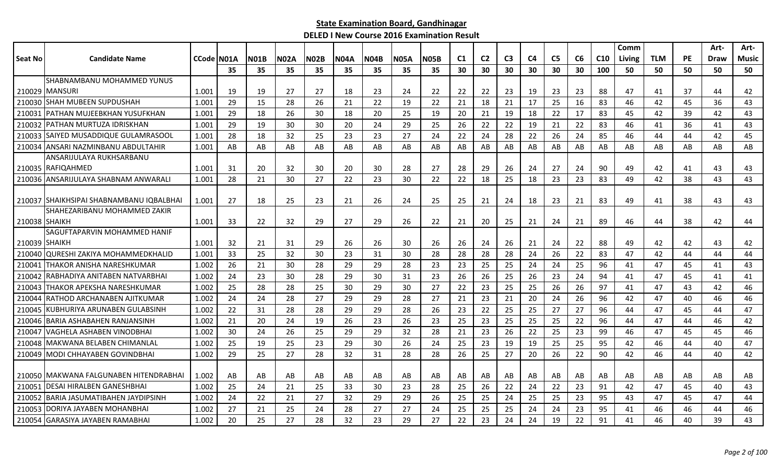|               |                                          |                    |     |             |             |             |             |             |             |             |     |                |                |                |                |    |                 | Comm          |            |           | Art- | Art-         |
|---------------|------------------------------------------|--------------------|-----|-------------|-------------|-------------|-------------|-------------|-------------|-------------|-----|----------------|----------------|----------------|----------------|----|-----------------|---------------|------------|-----------|------|--------------|
| Seat No       | <b>Candidate Name</b>                    | <b>CCode IN01A</b> |     | <b>N01B</b> | <b>N02A</b> | <b>N02B</b> | <b>N04A</b> | <b>N04B</b> | <b>N05A</b> | <b>N05B</b> | C1  | C <sub>2</sub> | C <sub>3</sub> | C <sub>4</sub> | C <sub>5</sub> | C6 | C <sub>10</sub> | <b>Living</b> | <b>TLM</b> | <b>PE</b> | Draw | <b>Music</b> |
|               |                                          |                    | 35  | 35          | 35          | 35          | 35          | 35          | 35          | 35          | 30  | 30             | 30             | 30             | 30             | 30 | 100             | 50            | 50         | 50        | 50   | 50           |
|               | SHABNAMBANU MOHAMMED YUNUS               |                    |     |             |             |             |             |             |             |             |     |                |                |                |                |    |                 |               |            |           |      |              |
|               | 210029 MANSURI                           | 1.001              | 19  | 19          | 27          | 27          | 18          | 23          | 24          | 22          | 22  | 22             | 23             | 19             | 23             | 23 | 88              | 47            | 41         | 37        | 44   | 42           |
|               | 210030 SHAH MUBEEN SUPDUSHAH             | 1.001              | 29  | 15          | 28          | 26          | 21          | 22          | 19          | 22          | 21  | 18             | 21             | 17             | 25             | 16 | 83              | 46            | 42         | 45        | 36   | 43           |
| 210031        | IPATHAN MUJEEBKHAN YUSUFKHAN             | 1.001              | 29  | 18          | 26          | 30          | 18          | 20          | 25          | 19          | 20  | 21             | 19             | 18             | 22             | 17 | 83              | 45            | 42         | 39        | 42   | 43           |
| 210032        | <b>IPATHAN MURTUZA IDRISKHAN</b>         | 1.001              | 29  | 19          | 30          | 30          | 20          | 24          | 29          | 25          | 26  | 22             | 22             | 19             | 21             | 22 | 83              | 46            | 41         | 36        | 41   | 43           |
| 210033        | SAIYED MUSADDIQUE GULAMRASOOL            | 1.001              | 28  | 18          | 32          | 25          | 23          | 23          | 27          | 24          | 22  | 24             | 28             | 22             | 26             | 24 | 85              | 46            | 44         | 44        | 42   | 45           |
| 210034        | IANSARI NAZMINBANU ABDULTAHIR            | 1.001              | AB  | AB          | AB          | AB          | AB          | AB          | AB          | AB          | AB  | AB             | AB             | AB             | AB             | AB | AB              | AB            | AB         | AB        | AB   | AB           |
|               | ANSARIJULAYA RUKHSARBANU                 |                    |     |             |             |             |             |             |             |             |     |                |                |                |                |    |                 |               |            |           |      |              |
|               | 210035 RAFIQAHMED                        | 1.001              | -31 | 20          | 32          | 30          | 20          | 30          | 28          | 27          | -28 | 29             | 26             | 24             | 27             | 24 | 90              | 49            | 42         | 41        | 43   | 43           |
|               | 210036 ANSARIJULAYA SHABNAM ANWARALI     | 1.001              | 28  | 21          | 30          | 27          | 22          | 23          | 30          | 22          | 22  | 18             | 25             | 18             | 23             | 23 | 83              | 49            | 42         | 38        | 43   | 43           |
|               |                                          |                    |     |             |             |             |             |             |             |             |     |                |                |                |                |    |                 |               |            |           |      |              |
|               | 210037 SHAIKHSIPAI SHABNAMBANU IQBALBHAI | 1.001              | 27  | 18          | 25          | 23          | 21          | 26          | 24          | 25          | 25  | 21             | 24             | 18             | 23             | 21 | 83              | 49            | 41         | 38        | 43   | 43           |
|               | SHAHEZARIBANU MOHAMMED ZAKIR             |                    |     |             |             |             |             |             |             |             |     |                |                |                |                |    |                 |               |            |           |      |              |
|               | 210038 SHAIKH                            | 1.001              | 33  | 22          | 32          | 29          | 27          | 29          | 26          | 22          | 21  | 20             | 25             | 21             | 24             | 21 | 89              | 46            | 44         | 38        | 42   | 44           |
|               | SAGUFTAPARVIN MOHAMMED HANIF             |                    |     |             |             |             |             |             |             |             |     |                |                |                |                |    |                 |               |            |           |      |              |
| 210039 SHAIKH |                                          | 1.001              | 32  | 21          | 31          | 29          | 26          | 26          | 30          | 26          | 26  | -24            | 26             | 21             | 24             | 22 | 88              | 49            | 42         | 42        | 43   | 42           |
|               | 210040 QURESHI ZAKIYA MOHAMMEDKHALID     | 1.001              | 33  | 25          | 32          | 30          | 23          | 31          | 30          | 28          | 28  | 28             | 28             | 24             | 26             | 22 | 83              | 47            | 42         | 44        | 44   | 44           |
| 210041        | ITHAKOR ANISHA NARESHKUMAR               | 1.002              | 26  | 21          | 30          | 28          | 29          | 29          | 28          | 23          | 23  | 25             | 25             | 24             | 24             | 25 | 96              | 41            | 47         | 45        | 41   | 43           |
| 210042        | RABHADIYA ANITABEN NATVARBHAI            | 1.002              | 24  | 23          | 30          | 28          | 29          | 30          | 31          | 23          | 26  | 26             | 25             | 26             | 23             | 24 | 94              | 41            | 47         | 45        | 41   | 41           |
| 210043        | <b>ITHAKOR APEKSHA NARESHKUMAR</b>       | 1.002              | 25  | 28          | 28          | 25          | 30          | 29          | 30          | 27          | 22  | 23             | 25             | 25             | 26             | 26 | 97              | 41            | 47         | 43        | 42   | 46           |
| 210044        | IRATHOD ARCHANABEN AJITKUMAR             | 1.002              | 24  | 24          | 28          | 27          | 29          | 29          | 28          | 27          | 21  | 23             | 21             | 20             | 24             | 26 | 96              | 42            | 47         | 40        | 46   | 46           |
|               | 210045 KUBHURIYA ARUNABEN GULABSINH      | 1.002              | 22  | 31          | 28          | 28          | 29          | 29          | 28          | 26          | 23  | 22             | 25             | 25             | 27             | 27 | 96              | 44            | 47         | 45        | 44   | 47           |
|               | 210046 BARIA ASHABAHEN RANJANSINH        | 1.002              | 21  | 20          | 24          | 19          | 26          | 23          | 26          | 23          | 25  | 23             | 25             | 25             | 25             | 22 | 96              | 44            | 47         | 44        | 46   | 42           |
| 210047        | VAGHELA ASHABEN VINODBHAI                | 1.002              | 30  | 24          | 26          | 25          | 29          | 29          | 32          | 28          | 21  | 23             | 26             | 22             | 25             | 23 | 99              | 46            | 47         | 45        | 45   | 46           |
| 210048        | <b>IMAKWANA BELABEN CHIMANLAL</b>        | 1.002              | 25  | 19          | 25          | 23          | 29          | 30          | 26          | 24          | 25  | 23             | 19             | 19             | 25             | 25 | 95              | 42            | 46         | 44        | 40   | 47           |
| 210049        | MODI CHHAYABEN GOVINDBHAI                | 1.002              | 29  | 25          | 27          | 28          | 32          | 31          | 28          | 28          | 26  | 25             | 27             | 20             | 26             | 22 | 90              | 42            | 46         | 44        | 40   | 42           |
|               |                                          |                    |     |             |             |             |             |             |             |             |     |                |                |                |                |    |                 |               |            |           |      |              |
|               | 210050   MAKWANA FALGUNABEN HITENDRABHAI | 1.002              | AB  | AB          | AB          | AB          | AB          | AB          | AB          | AB          | AB  | AB             | AB             | AB             | AB.            | AB | AB              | AB            | AB         | AB        | AB   | AB           |
| 210051        | <b>IDESAI HIRALBEN GANESHBHAI</b>        | 1.002              | 25  | 24          | 21          | 25          | 33          | 30          | 23          | 28          | 25  | 26             | 22             | 24             | 22             | 23 | 91              | 42            | 47         | 45        | 40   | 43           |
| 210052        | IBARIA JASUMATIBAHEN JAYDIPSINH          | 1.002              | 24  | 22          | 21          | 27          | 32          | 29          | 29          | 26          | 25  | 25             | 24             | 25             | 25             | 23 | 95              | 43            | 47         | 45        | 47   | 44           |
| 210053        | <b>IDORIYA JAYABEN MOHANBHAI</b>         | 1.002              | 27  | 21          | 25          | 24          | 28          | 27          | 27          | 24          | 25  | 25             | 25             | 24             | 24             | 23 | 95              | 41            | 46         | 46        | 44   | 46           |
|               | 210054 GARASIYA JAYABEN RAMABHAI         | 1.002              | 20  | 25          | 27          | 28          | 32          | 23          | 29          | 27          | 22  | 23             | 24             | 24             | 19             | 22 | 91              | 41            | 46         | 40        | 39   | 43           |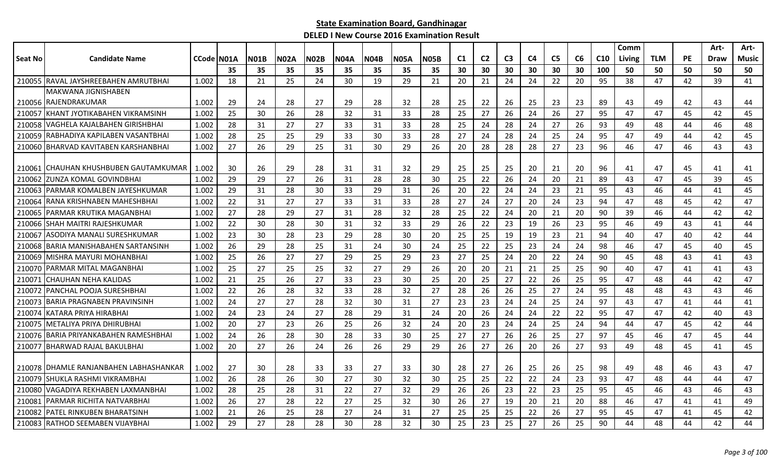|         |                                          |                    |     |             |             |             |             |             |             |             |                |                |                |                |                |    |     | Comm          |            |    | Art- | Art-         |
|---------|------------------------------------------|--------------------|-----|-------------|-------------|-------------|-------------|-------------|-------------|-------------|----------------|----------------|----------------|----------------|----------------|----|-----|---------------|------------|----|------|--------------|
| Seat No | <b>Candidate Name</b>                    | <b>CCode IN01A</b> |     | <b>N01B</b> | <b>N02A</b> | <b>N02B</b> | <b>N04A</b> | <b>N04B</b> | <b>N05A</b> | <b>N05B</b> | C <sub>1</sub> | C <sub>2</sub> | C <sub>3</sub> | C <sub>4</sub> | C <sub>5</sub> | C6 | C10 | <b>Living</b> | <b>TLM</b> | PE | Draw | <b>Music</b> |
|         |                                          |                    | 35  | 35          | 35          | 35          | 35          | 35          | 35          | 35          | 30             | 30             | 30             | 30             | 30             | 30 | 100 | 50            | 50         | 50 | 50   | 50           |
|         | 210055 RAVAL JAYSHREEBAHEN AMRUTBHAI     | 1.002              | 18  | 21          | 25          | 24          | 30          | 19          | 29          | 21          | 20             | 21             | 24             | 24             | 22             | 20 | 95  | 38            | 47         | 42 | 39   | 41           |
|         | <b>MAKWANA JIGNISHABEN</b>               |                    |     |             |             |             |             |             |             |             |                |                |                |                |                |    |     |               |            |    |      |              |
|         | 210056 RAJENDRAKUMAR                     | 1.002              | -29 | 24          | 28          | 27          | 29          | 28          | 32          | 28          | 25             | 22             | 26             | 25             | 23             | 23 | 89  | 43            | 49         | 42 | 43   | 44           |
|         | 210057 KHANT JYOTIKABAHEN VIKRAMSINH     | 1.002              | 25  | 30          | 26          | 28          | 32          | 31          | 33          | 28          | 25             | 27             | 26             | 24             | 26             | 27 | 95  | 47            | 47         | 45 | 42   | 45           |
|         | 210058 VAGHELA KAJALBAHEN GIRISHBHAI     | 1.002              | 28  | 31          | 27          | 27          | 33          | 31          | 33          | 28          | 25             | 24             | 28             | 24             | 27             | 26 | 93  | 49            | 48         | 44 | 46   | 48           |
|         | 210059 RABHADIYA KAPILABEN VASANTBHAI    | 1.002              | 28  | 25          | 25          | 29          | 33          | 30          | 33          | 28          | 27             | 24             | 28             | 24             | 25             | 24 | 95  | 47            | 49         | 44 | 42   | 45           |
|         | 210060 BHARVAD KAVITABEN KARSHANBHAI     | 1.002              | 27  | 26          | 29          | 25          | 31          | 30          | 29          | 26          | 20             | 28             | 28             | 28             | 27             | 23 | 96  | 46            | 47         | 46 | 43   | 43           |
|         | 210061 CHAUHAN KHUSHBUBEN GAUTAMKUMAR    | 1.002              | 30  | 26          | 29          | 28          | 31          | 31          | 32          | 29          | 25             | 25             | 25             | 20             | 21             | 20 | 96  | 41            | 47         | 45 | 41   | 41           |
| 210062  | IZUNZA KOMAL GOVINDBHAI                  | 1.002              | 29  | 29          | 27          | 26          | 31          | 28          | 28          | 30          | 25             | 22             | 26             | 24             | 20             | 21 | 89  | 43            | 47         | 45 | 39   | 45           |
|         | 210063 PARMAR KOMALBEN JAYESHKUMAR       | 1.002              | 29  | 31          | 28          | 30          | 33          | 29          | 31          | 26          | 20             | 22             | 24             | 24             | 23             | 21 | 95  | 43            | 46         | 44 | 41   | 45           |
| 210064  | RANA KRISHNABEN MAHESHBHAI               | 1.002              | 22  | 31          | 27          | 27          | 33          | 31          | 33          | 28          | 27             | 24             | 27             | 20             | 24             | 23 | 94  | 47            | 48         | 45 | 42   | 47           |
|         | 210065 PARMAR KRUTIKA MAGANBHAI          | 1.002              | 27  | 28          | 29          | 27          | 31          | 28          | 32          | 28          | 25             | 22             | 24             | 20             | 21             | 20 | 90  | 39            | 46         | 44 | 42   | 42           |
|         | 210066 SHAH MAITRI RAJESHKUMAR           | 1.002              | 22  | 30          | 28          | 30          | 31          | 32          | 33          | 29          | 26             | 22             | 23             | 19             | 26             | 23 | 95  | 46            | 49         | 43 | 41   | 44           |
| 210067  | <b>ASODIYA MANALI SURESHKUMAR</b>        | 1.002              | 23  | 30          | 28          | 23          | 29          | 28          | 30          | 20          | 25             | 25             | 19             | 19             | 23             | 21 | 94  | 40            | 47         | 40 | 42   | 44           |
| 210068  | IBARIA MANISHABAHEN SARTANSINH           | 1.002              | 26  | 29          | 28          | 25          | 31          | 24          | 30          | 24          | 25             | 22             | 25             | 23             | 24             | 24 | 98  | 46            | 47         | 45 | 40   | 45           |
| 210069  | MISHRA MAYURI MOHANBHAI                  | 1.002              | 25  | 26          | 27          | 27          | 29          | 25          | 29          | 23          | 27             | 25             | 24             | 20             | 22             | 24 | 90  | 45            | 48         | 43 | 41   | 43           |
|         | 210070 PARMAR MITAL MAGANBHAI            | 1.002              | 25  | 27          | 25          | 25          | 32          | 27          | 29          | 26          | 20             | 20             | 21             | 21             | 25             | 25 | 90  | 40            | 47         | 41 | 41   | 43           |
|         | 210071 CHAUHAN NEHA KALIDAS              | 1.002              | 21  | 25          | 26          | 27          | 33          | 23          | 30          | 25          | -20            | 25             | 27             | 22             | 26             | 25 | 95  | 47            | 48         | 44 | 42   | 47           |
|         | 210072 PANCHAL POOJA SURESHBHAI          | 1.002              | 22  | 26          | 28          | 32          | 33          | 28          | 32          | 27          | 28             | 26             | 26             | 25             | 27             | 24 | 95  | 48            | 48         | 43 | 43   | 46           |
|         | 210073 BARIA PRAGNABEN PRAVINSINH        | 1.002              | 24  | 27          | 27          | 28          | 32          | 30          | 31          | 27          | 23             | 23             | 24             | 24             | 25             | 24 | 97  | 43            | 47         | 41 | 44   | 41           |
| 210074  | KATARA PRIYA HIRABHAI                    | 1.002              | 24  | 23          | 24          | 27          | 28          | 29          | 31          | 24          | 20             | 26             | 24             | 24             | 22             | 22 | 95  | 47            | 47         | 42 | 40   | 43           |
| 210075  | IMETALIYA PRIYA DHIRUBHAI                | 1.002              | 20  | 27          | 23          | 26          | 25          | 26          | 32          | 24          | 20             | 23             | 24             | 24             | 25             | 24 | 94  | 44            | 47         | 45 | 42   | 44           |
|         | 210076 BARIA PRIYANKABAHEN RAMESHBHAI    | 1.002              | 24  | 26          | 28          | 30          | 28          | 33          | 30          | 25          | 27             | 27             | 26             | 26             | 25             | 27 | 97  | 45            | 46         | 47 | 45   | 44           |
|         | 210077 BHARWAD RAJAL BAKULBHAI           | 1.002              | 20  | 27          | 26          | 24          | 26          | 26          | 29          | 29          | 26             | 27             | 26             | 20             | 26             | 27 | 93  | 49            | 48         | 45 | 41   | 45           |
|         | 210078   DHAMLE RANJANBAHEN LABHASHANKAR | 1.002              | 27  | 30          | 28          | 33          | 33          | 27          | 33          | 30          | 28             | 27             | 26             | 25             | 26             | 25 | 98  | 49            | 48         | 46 | 43   | 47           |
|         | 210079 SHUKLA RASHMI VIKRAMBHAI          | 1.002              | 26  | 28          | 26          | 30          | 27          | 30          | 32          | 30          | 25             | 25             | 22             | 22             | 24             | 23 | 93  | 47            | 48         | 44 | 44   | 47           |
|         | 210080 VAGADIYA REKHABEN LAXMANBHAI      | 1.002              | 28  | 25          | 28          | 31          | 22          | 27          | 32          | 29          | 26             | 26             | 23             | 22             | 23             | 25 | 95  | 45            | 46         | 43 | 46   | 43           |
|         | 210081 PARMAR RICHITA NATVARBHAI         | 1.002              | 26  | 27          | 28          | 22          | 27          | 25          | 32          | 30          | 26             | 27             | 19             | 20             | 21             | 20 | 88  | 46            | 47         | 41 | 41   | 49           |
|         | 210082 PATEL RINKUBEN BHARATSINH         | 1.002              | 21  | 26          | 25          | 28          | 27          | 24          | 31          | 27          | 25             | 25             | 25             | 22             | 26             | 27 | 95  | 45            | 47         | 41 | 45   | 42           |
|         | 210083 RATHOD SEEMABEN VIJAYBHAI         | 1.002              | 29  | 27          | 28          | 28          | 30          | 28          | 32          | 30          | 25             | 23             | 25             | 27             | 26             | 25 | 90  | 44            | 48         | 44 | 42   | 44           |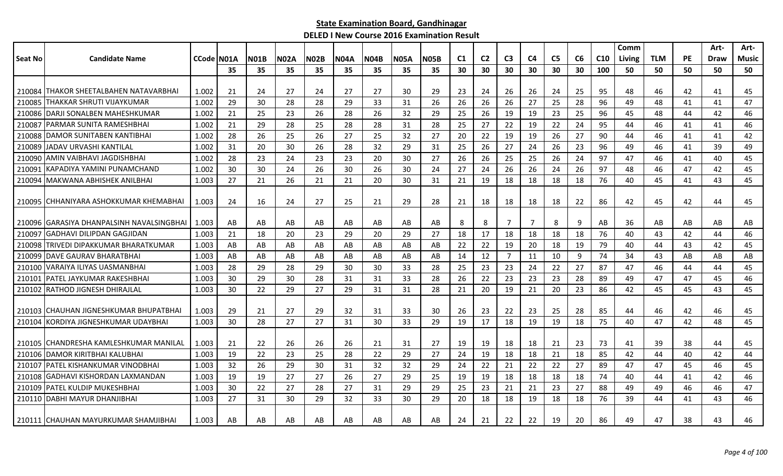|         |                                           |            |     |             |             |             |             |             |             |             |    |                |                |                |                |    |                 | Comm   |            |           | Art- | Art-  |
|---------|-------------------------------------------|------------|-----|-------------|-------------|-------------|-------------|-------------|-------------|-------------|----|----------------|----------------|----------------|----------------|----|-----------------|--------|------------|-----------|------|-------|
| Seat No | <b>Candidate Name</b>                     | CCode N01A |     | <b>N01B</b> | <b>N02A</b> | <b>N02B</b> | <b>N04A</b> | <b>N04B</b> | <b>N05A</b> | <b>N05B</b> | C1 | C <sub>2</sub> | C <sub>3</sub> | C <sub>4</sub> | C <sub>5</sub> | C6 | C <sub>10</sub> | Living | <b>TLM</b> | <b>PE</b> | Draw | Music |
|         |                                           |            | 35  | 35          | 35          | 35          | 35          | 35          | 35          | 35          | 30 | 30             | 30             | 30             | 30             | 30 | 100             | 50     | 50         | 50        | 50   | 50    |
|         |                                           |            |     |             |             |             |             |             |             |             |    |                |                |                |                |    |                 |        |            |           |      |       |
|         | 210084 ITHAKOR SHEETALBAHEN NATAVARBHAI   | 1.002      | -21 | 24          | 27          | 24          | 27          | 27          | 30          | 29          | 23 | 24             | 26             | 26             | 24             | 25 | 95              | 48     | 46         | 42        | 41   | 45    |
| 210085  | THAKKAR SHRUTI VIJAYKUMAR                 | 1.002      | 29  | 30          | 28          | 28          | 29          | 33          | 31          | 26          | 26 | 26             | 26             | 27             | 25             | 28 | 96              | 49     | 48         | 41        | 41   | 47    |
|         | 210086 DARJI SONALBEN MAHESHKUMAR         | 1.002      | 21  | 25          | 23          | 26          | 28          | 26          | 32          | 29          | 25 | 26             | 19             | 19             | 23             | 25 | 96              | 45     | 48         | 44        | 42   | 46    |
|         | 210087   PARMAR SUNITA RAMESHBHAI         | 1.002      | 21  | 29          | 28          | 25          | 28          | 28          | 31          | 28          | 25 | 27             | 22             | 19             | 22             | 24 | 95              | 44     | 46         | 41        | 41   | 46    |
|         | 210088 DAMOR SUNITABEN KANTIBHAI          | 1.002      | 28  | 26          | 25          | 26          | 27          | 25          | 32          | 27          | 20 | 22             | 19             | 19             | 26             | 27 | 90              | 44     | 46         | 41        | 41   | 42    |
| 210089  | IJADAV URVASHI KANTILAL                   | 1.002      | 31  | 20          | 30          | 26          | 28          | 32          | 29          | 31          | 25 | 26             | 27             | 24             | 26             | 23 | 96              | 49     | 46         | 41        | 39   | 49    |
| 210090  | <b>AMIN VAIBHAVI JAGDISHBHAI</b>          | 1.002      | 28  | 23          | 24          | 23          | 23          | 20          | 30          | 27          | 26 | 26             | 25             | 25             | 26             | 24 | 97              | 47     | 46         | 41        | 40   | 45    |
| 210091  | IKAPADIYA YAMINI PUNAMCHAND               | 1.002      | 30  | 30          | 24          | 26          | 30          | 26          | 30          | 24          | 27 | 24             | 26             | 26             | 24             | 26 | 97              | 48     | 46         | 47        | 42   | 45    |
| 210094  | MAKWANA ABHISHEK ANILBHAI                 | 1.003      | 27  | 21          | 26          | 21          | 21          | 20          | 30          | 31          | 21 | 19             | 18             | 18             | 18             | 18 | 76              | 40     | 45         | 41        | 43   | 45    |
|         |                                           |            |     |             |             |             |             |             |             |             |    |                |                |                |                |    |                 |        |            |           |      |       |
|         | 210095 CHHANIYARA ASHOKKUMAR KHEMABHAI    | 1.003      | 24  | 16          | 24          | 27          | 25          | 21          | 29          | 28          | 21 | 18             | 18             | 18             | 18             | 22 | 86              | 42     | 45         | 42        | 44   | 45    |
|         |                                           |            |     |             |             |             |             |             |             |             |    |                |                |                |                |    |                 |        |            |           |      |       |
|         | 210096 GARASIYA DHANPALSINH NAVALSINGBHAI | 1.003      | AB  | AB          | AB          | AB          | AB          | AB          | AB          | AB          | 8  | 8              | 7              | 7              | 8              | 9  | AB              | 36     | AB         | AB        | AB   | AB    |
| 210097  | IGADHAVI DILIPDAN GAGJIDAN                | 1.003      | 21  | 18          | 20          | 23          | 29          | 20          | 29          | 27          | 18 | 17             | 18             | 18             | 18             | 18 | 76              | 40     | 43         | 42        | 44   | 46    |
| 210098  | İTRIVEDI DIPAKKUMAR BHARATKUMAR           | 1.003      | AB  | AB          | AB          | AB          | AB          | AB          | AB          | AB          | 22 | 22             | 19             | 20             | 18             | 19 | 79              | 40     | 44         | 43        | 42   | 45    |
|         | 210099   DAVE GAURAV BHARATBHAI           | 1.003      | AB  | AB          | AB          | AB          | AB          | AB          | AB          | AB          | 14 | 12             | $\overline{7}$ | 11             | 10             | 9  | 74              | 34     | 43         | AB        | AB   | AB    |
|         | 210100 VARAIYA ILIYAS UASMANBHAI          | 1.003      | 28  | 29          | 28          | 29          | 30          | 30          | 33          | 28          | 25 | 23             | 23             | 24             | 22             | 27 | 87              | 47     | 46         | 44        | 44   | 45    |
|         | 210101   PATEL JAYKUMAR RAKESHBHAI        | 1.003      | 30  | 29          | 30          | 28          | 31          | 31          | 33          | 28          | 26 | 22             | 23             | 23             | 23             | 28 | 89              | 49     | 47         | 47        | 45   | 46    |
|         | 210102 RATHOD JIGNESH DHIRAJLAL           | 1.003      | 30  | 22          | 29          | 27          | 29          | 31          | 31          | 28          | 21 | 20             | 19             | 21             | 20             | 23 | 86              | 42     | 45         | 45        | 43   | 45    |
|         |                                           |            |     |             |             |             |             |             |             |             |    |                |                |                |                |    |                 |        |            |           |      |       |
|         | 210103 CHAUHAN JIGNESHKUMAR BHUPATBHAI    | 1.003      | -29 | 21          | 27          | 29          | 32          | 31          | 33          | 30          | 26 | 23             | 22             | 23             | 25             | 28 | 85              | 44     | 46         | 42        | 46   | 45    |
| 210104  | IKORDIYA JIGNESHKUMAR UDAYBHAI            | 1.003      | 30  | 28          | 27          | 27          | 31          | 30          | 33          | 29          | 19 | 17             | 18             | 19             | 19             | 18 | 75              | 40     | 47         | 42        | 48   | 45    |
|         |                                           |            |     |             |             |             |             |             |             |             |    |                |                |                |                |    |                 |        |            |           |      |       |
|         | 210105 CHANDRESHA KAMLESHKUMAR MANILAL    | 1.003      | -21 | 22          | 26          | 26          | 26          | 21          | 31          | 27          | 19 | 19             | 18             | 18             | 21             | 23 | 73              | 41     | 39         | 38        | 44   | 45    |
|         | 210106 DAMOR KIRITBHAI KALUBHAI           | 1.003      | 19  | 22          | 23          | 25          | 28          | 22          | 29          | 27          | 24 | 19             | 18             | 18             | 21             | 18 | 85              | 42     | 44         | 40        | 42   | 44    |
|         | 210107   PATEL KISHANKUMAR VINODBHAI      | 1.003      | 32  | 26          | 29          | 30          | 31          | 32          | 32          | 29          | 24 | 22             | 21             | 22             | 22             | 27 | 89              | 47     | 47         | 45        | 46   | 45    |
| 210108  | IGADHAVI KISHORDAN LAXMANDAN              | 1.003      | 19  | 19          | 27          | 27          | 26          | 27          | 29          | 25          | 19 | 19             | 18             | 18             | 18             | 18 | 74              | 40     | 44         | 41        | 42   | 46    |
|         | 210109   PATEL KULDIP MUKESHBHAI          | 1.003      | 30  | 22          | 27          | 28          | 27          | 31          | 29          | 29          | 25 | 23             | 21             | 21             | 23             | 27 | 88              | 49     | 49         | 46        | 46   | 47    |
|         | 210110 DABHI MAYUR DHANJIBHAI             | 1.003      | 27  | 31          | 30          | 29          | 32          | 33          | 30          | 29          | 20 | 18             | 18             | 19             | 18             | 18 | 76              | 39     | 44         | 41        | 43   | 46    |
|         | 210111 CHAUHAN MAYURKUMAR SHAMJIBHAI      | 1.003      | AB  | AB          | AB          | AB          | AB          | AB          | AB          | AB          | 24 | 21             | 22             | 22             | 19             | 20 | 86              | 49     | 47         | 38        | 43   | 46    |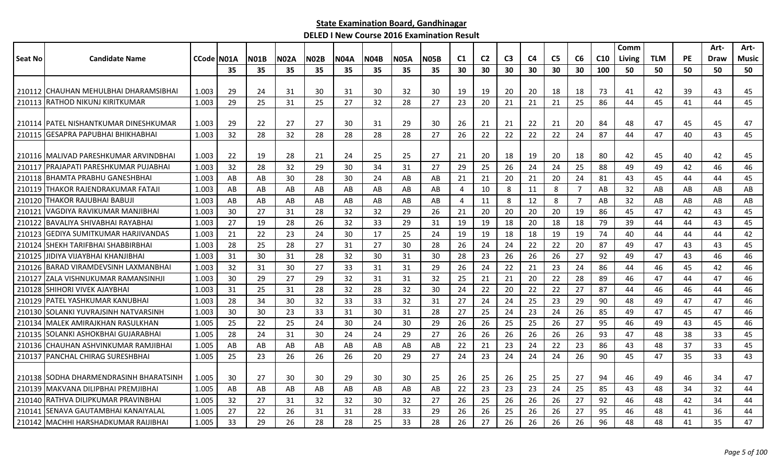|         |                                         |            |    |             |             |             |             |      |             |             |                |                |                |                |                |                |                 | Comm   |            |    | Art-        | Art-  |
|---------|-----------------------------------------|------------|----|-------------|-------------|-------------|-------------|------|-------------|-------------|----------------|----------------|----------------|----------------|----------------|----------------|-----------------|--------|------------|----|-------------|-------|
| Seat No | <b>Candidate Name</b>                   | CCode N01A |    | <b>N01B</b> | <b>N02A</b> | <b>N02B</b> | <b>N04A</b> | N04B | <b>N05A</b> | <b>N05B</b> | C1             | C <sub>2</sub> | C <sub>3</sub> | C <sub>4</sub> | C <sub>5</sub> | C6             | C <sub>10</sub> | Living | <b>TLM</b> | PE | <b>Draw</b> | Music |
|         |                                         |            | 35 | 35          | 35          | 35          | 35          | 35   | 35          | 35          | 30             | 30             | 30             | 30             | 30             | 30             | 100             | 50     | 50         | 50 | 50          | 50    |
|         |                                         |            |    |             |             |             |             |      |             |             |                |                |                |                |                |                |                 |        |            |    |             |       |
|         | 210112 CHAUHAN MEHULBHAI DHARAMSIBHAI   | 1.003      | 29 | 24          | 31          | 30          | 31          | 30   | 32          | 30          | -19            | 19             | 20             | 20             | 18             | 18             | 73              | 41     | 42         | 39 | 43          | 45    |
|         | 210113 RATHOD NIKUNJ KIRITKUMAR         | 1.003      | 29 | 25          | 31          | 25          | 27          | 32   | 28          | 27          | 23             | 20             | 21             | 21             | 21             | 25             | 86              | 44     | 45         | 41 | 44          | 45    |
|         | 210114 IPATEL NISHANTKUMAR DINESHKUMAR  | 1.003      | 29 | 22          | 27          | 27          | 30          | 31   | 29          | 30          | 26             | 21             | 21             | 22             | 21             | 20             | 84              | 48     | 47         | 45 | 45          | 47    |
| 210115  | IGESAPRA PAPUBHAI BHIKHABHAI            | 1.003      | 32 | 28          | 32          | 28          | 28          | 28   | 28          | 27          | 26             | 22             | 22             | 22             | 22             | 24             | 87              | 44     | 47         | 40 | 43          | 45    |
|         | 210116 IMALIVAD PARESHKUMAR ARVINDBHAI  | 1.003      | 22 | 19          | 28          | 21          | 24          | 25   | 25          | 27          | 21             | 20             | 18             | 19             | 20             | 18             | 80              | 42     | 45         | 40 | 42          | 45    |
| 210117  | <b>PRAJAPATI PARESHKUMAR PUJABHAI</b>   | 1.003      | 32 | 28          | 32          | 29          | 30          | 34   | 31          | 27          | 29             | 25             | 26             | 24             | 24             | 25             | 88              | 49     | 49         | 42 | 46          | 46    |
| 210118  | IBHAMTA PRABHU GANESHBHAI               | 1.003      | AB | AB          | 30          | -28         | 30          | 24   | AB          | AB          | 21             | 21             | 20             | 21             | -20            | 24             | 81              | 43     | 45         | 44 | 44          | 45    |
| 210119  | THAKOR RAJENDRAKUMAR FATAJI             | 1.003      | AB | AB          | AB          | AB          | AB          | AB   | AB          | AB          | 4              | 10             | 8              | 11             | 8              | $\overline{7}$ | AB              | 32     | AB         | AB | AB          | AB    |
| 210120  | <b>THAKOR RAJUBHAI BABUJI</b>           | 1.003      | AB | AB          | AB          | AB          | AB          | AB   | AB          | AB          | $\overline{4}$ | 11             | 8              | 12             | 8              | $\overline{7}$ | AB              | 32     | AB         | AB | AB          | AB    |
| 210121  | VAGDIYA RAVIKUMAR MANJIBHAI             | 1.003      | 30 | 27          | 31          | 28          | 32          | 32   | 29          | 26          | 21             | 20             | 20             | 20             | 20             | 19             | 86              | 45     | 47         | 42 | 43          | 45    |
| 210122  | BAVALIYA SHIVABHAI RAYABHAI             | 1.003      | 27 | 19          | 28          | 26          | 32          | 33   | 29          | 31          | 19             | 19             | 18             | 20             | 18             | 18             | 79              | 39     | 44         | 44 | 43          | 45    |
| 210123  | IGEDIYA SUMITKUMAR HARJIVANDAS          | 1.003      | 21 | 22          | 23          | 24          | 30          | 17   | 25          | 24          | 19             | 19             | 18             | 18             | 19             | 19             | 74              | 40     | 44         | 44 | 44          | 42    |
| 210124  | SHEKH TARIFBHAI SHABBIRBHAI             | 1.003      | 28 | 25          | 28          | 27          | 31          | 27   | 30          | 28          | 26             | 24             | 24             | 22             | 22             | 20             | 87              | 49     | 47         | 43 | 43          | 45    |
| 210125  | IDIYA VIJAYBHAI KHANJIBHAI              | 1.003      | 31 | 30          | 31          | 28          | 32          | 30   | 31          | 30          | 28             | 23             | 26             | 26             | 26             | 27             | 92              | 49     | 47         | 43 | 46          | 46    |
| 210126  | <b>BARAD VIRAMDEVSINH LAXMANBHAI</b>    | 1.003      | 32 | 31          | 30          | 27          | 33          | 31   | 31          | 29          | 26             | 24             | 22             | 21             | 23             | 24             | 86              | 44     | 46         | 45 | 42          | 46    |
| 210127  | IZALA VISHNUKUMAR RAMANSINHJI           | 1.003      | 30 | 29          | 27          | 29          | 32          | 31   | 31          | 32          | 25             | 21             | 21             | 20             | 22             | 28             | 89              | 46     | 47         | 44 | 47          | 46    |
|         | 210128 SHIHORI VIVEK AJAYBHAI           | 1.003      | 31 | 25          | 31          | 28          | 32          | 28   | 32          | 30          | 24             | 22             | 20             | 22             | 22             | 27             | 87              | 44     | 46         | 46 | 44          | 46    |
|         | 210129   PATEL YASHKUMAR KANUBHAI       | 1.003      | 28 | 34          | 30          | 32          | 33          | 33   | 32          | 31          | 27             | 24             | 24             | 25             | 23             | 29             | 90              | 48     | 49         | 47 | 47          | 46    |
| 210130  | ISOLANKI YUVRAJSINH NATVARSINH          | 1.003      | 30 | 30          | 23          | 33          | 31          | 30   | 31          | 28          | 27             | 25             | 24             | 23             | 24             | 26             | 85              | 49     | 47         | 45 | 47          | 46    |
| 210134  | <b>IMALEK AMIRAJKHAN RASULKHAN</b>      | 1.005      | 25 | 22          | 25          | 24          | 30          | 24   | 30          | 29          | 26             | 26             | 25             | 25             | 26             | 27             | 95              | 46     | 49         | 43 | 45          | 46    |
|         | 210135 SOLANKI ASHOKBHAI GUJARABHAI     | 1.005      | 28 | 24          | 31          | 30          | 24          | 24   | 29          | 27          | 26             | 26             | 26             | 26             | 26             | 26             | 93              | 47     | 48         | 38 | 33          | 45    |
|         | 210136 CHAUHAN ASHVINKUMAR RAMJIBHAI    | 1.005      | AB | AB          | AB          | AB          | AB          | AB   | AB          | AB          | 22             | 21             | 23             | 24             | 22             | 23             | 86              | 43     | 48         | 37 | 33          | 45    |
|         | 210137   PANCHAL CHIRAG SURESHBHAI      | 1.005      | 25 | 23          | 26          | 26          | 26          | 20   | 29          | 27          | 24             | 23             | 24             | 24             | 24             | 26             | 90              | 45     | 47         | 35 | 33          | 43    |
|         | 210138 ISODHA DHARMENDRASINH BHARATSINH | 1.005      | 30 | 27          | 30          | 30          | 29          | 30   | 30          | 25          | -26            | 25             | 26             | 25             | 25             | 27             | 94              | 46     | 49         | 46 | 34          | 47    |
|         | 210139 MAKVANA DILIPBHAI PREMJIBHAI     | 1.005      | AB | AB          | AB          | AB          | AB          | AB   | AB          | AB          | 22             | 23             | 23             | 23             | 24             | 25             | 85              | 43     | 48         | 34 | 32          | 44    |
| 210140  | RATHVA DILIPKUMAR PRAVINBHAI            | 1.005      | 32 | 27          | 31          | 32          | 32          | 30   | 32          | 27          | 26             | 25             | 26             | 26             | 26             | 27             | 92              | 46     | 48         | 42 | 34          | 44    |
| 210141  | SENAVA GAUTAMBHAI KANAIYALAL            | 1.005      | 27 | 22          | 26          | 31          | 31          | 28   | 33          | 29          | 26             | 26             | 25             | 26             | 26             | 27             | 95              | 46     | 48         | 41 | 36          | 44    |
|         | 210142 MACHHI HARSHADKUMAR RAIJIBHAI    | 1.005      | 33 | 29          | 26          | 28          | 28          | 25   | 33          | 28          | 26             | 27             | 26             | 26             | 26             | 26             | 96              | 48     | 48         | 41 | 35          | 47    |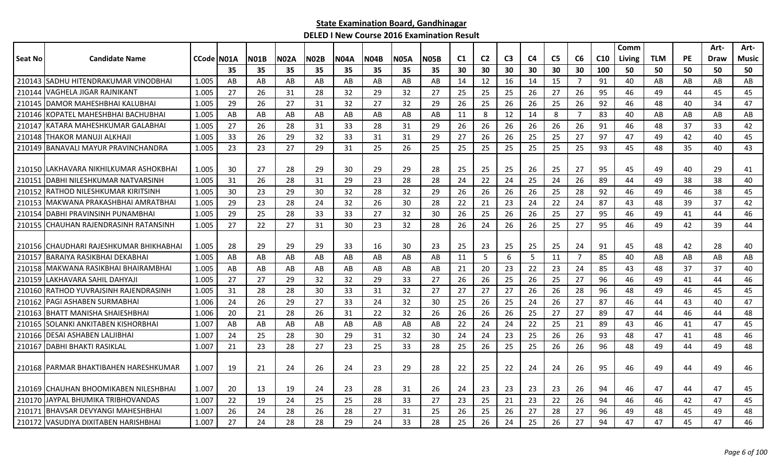|         |                                          |                    |     |      |      |      |             |             |             |             |                |                |                |    |                |                |                 | Comm   |            |           | Art- | Art-         |
|---------|------------------------------------------|--------------------|-----|------|------|------|-------------|-------------|-------------|-------------|----------------|----------------|----------------|----|----------------|----------------|-----------------|--------|------------|-----------|------|--------------|
| Seat No | <b>Candidate Name</b>                    | <b>CCode IN01A</b> |     | N01B | N02A | NO2B | <b>N04A</b> | <b>N04B</b> | <b>N05A</b> | <b>N05B</b> | C <sub>1</sub> | C <sub>2</sub> | C <sub>3</sub> | C4 | C <sub>5</sub> | C6             | C <sub>10</sub> | Living | <b>TLM</b> | <b>PE</b> | Draw | <b>Music</b> |
|         |                                          |                    | 35  | 35   | 35   | 35   | 35          | 35          | 35          | 35          | 30             | 30             | 30             | 30 | 30             | 30             | 100             | 50     | 50         | 50        | 50   | 50           |
|         | 210143 SADHU HITENDRAKUMAR VINODBHAI     | 1.005              | AB  | AB   | AB   | AB   | AB          | AB          | AB          | AB          | 14             | 12             | 16             | 14 | 15             | $\overline{7}$ | 91              | 40     | AB         | AB        | AB   | AB           |
| 210144  | VAGHELA JIGAR RAJNIKANT                  | 1.005              | 27  | 26   | 31   | 28   | 32          | 29          | 32          | 27          | 25             | 25             | 25             | 26 | 27             | 26             | 95              | 46     | 49         | 44        | 45   | 45           |
| 210145  | IDAMOR MAHESHBHAI KALUBHAI               | 1.005              | 29  | 26   | 27   | 31   | 32          | 27          | 32          | 29          | 26             | 25             | 26             | 26 | 25             | 26             | 92              | 46     | 48         | 40        | 34   | 47           |
| 210146  | KOPATEL MAHESHBHAI BACHUBHAI             | 1.005              | AB  | AB   | AB   | AB   | AB          | AB          | AB          | AB          | 11             | 8              | 12             | 14 | 8              | 7              | 83              | 40     | AB         | AB        | AB   | AB           |
| 210147  | KATARA MAHESHKUMAR GALABHAI              | 1.005              | 27  | 26   | 28   | -31  | 33          | 28          | 31          | 29          | 26             | 26             | 26             | 26 | 26             | 26             | 91              | 46     | 48         | 37        | 33   | 42           |
| 210148  | ITHAKOR MANUJI ALKHAJI                   | 1.005              | 33  | 26   | 29   | 32   | 33          | 31          | 31          | 29          | 27             | 26             | 26             | 25 | 25             | 27             | 97              | 47     | 49         | 42        | 40   | 45           |
| 210149  | BANAVALI MAYUR PRAVINCHANDRA             | 1.005              | 23  | 23   | 27   | 29   | 31          | 25          | 26          | 25          | 25             | 25             | 25             | 25 | 25             | 25             | 93              | 45     | 48         | 35        | 40   | 43           |
|         |                                          |                    |     |      |      |      |             |             |             |             |                |                |                |    |                |                |                 |        |            |           |      |              |
|         | 210150   LAKHAVARA NIKHILKUMAR ASHOKBHAI | 1.005              | 30  | 27   | 28   | 29   | 30          | 29          | 29          | 28          | 25             | 25             | 25             | 26 | 25             | 27             | 95              | 45     | 49         | 40        | 29   | 41           |
| 210151  | IDABHI NILESHKUMAR NATVARSINH            | 1.005              | 31  | 26   | 28   | 31   | 29          | 23          | 28          | 28          | 24             | 22             | 24             | 25 | 24             | 26             | 89              | 44     | 49         | 38        | 38   | 40           |
| 210152  | IRATHOD NILESHKUMAR KIRITSINH            | 1.005              | 30  | 23   | 29   | 30   | 32          | 28          | 32          | 29          | 26             | 26             | 26             | 26 | 25             | 28             | 92              | 46     | 49         | 46        | 38   | 45           |
|         | 210153 MAKWANA PRAKASHBHAI AMRATBHAI     | 1.005              | 29  | 23   | 28   | 24   | 32          | 26          | 30          | 28          | 22             | 21             | 23             | 24 | 22             | 24             | 87              | 43     | 48         | 39        | 37   | 42           |
| 210154  | IDABHI PRAVINSINH PUNAMBHAI              | 1.005              | 29  | 25   | 28   | 33   | 33          | 27          | 32          | 30          | 26             | 25             | 26             | 26 | 25             | 27             | 95              | 46     | 49         | 41        | 44   | 46           |
|         | 210155 CHAUHAN RAJENDRASINH RATANSINH    | 1.005              | 27  | 22   | 27   | 31   | 30          | 23          | 32          | 28          | 26             | 24             | 26             | 26 | 25             | 27             | 95              | 46     | 49         | 42        | 39   | 44           |
|         |                                          |                    |     |      |      |      |             |             |             |             |                |                |                |    |                |                |                 |        |            |           |      |              |
|         | 210156 CHAUDHARI RAJESHKUMAR BHIKHABHAI  | 1.005              | -28 | 29   | 29   | -29  | 33          | 16          | 30          | 23          | 25             | 23             | 25             | 25 | 25             | 24             | 91              | 45     | 48         | 42        | -28  | 40           |
| 210157  | BARAIYA RASIKBHAI DEKABHAI               | 1.005              | AB  | AB   | AB   | AB   | AB          | AB          | AB          | AB          | 11             | 5              | 6              | 5  | 11             | $\overline{7}$ | 85              | 40     | AB         | AB        | AB   | AB           |
|         | 210158 MAKWANA RASIKBHAI BHAIRAMBHAI     | 1.005              | AB  | AB   | AB   | AB   | AB          | AB          | AB          | AB          | 21             | 20             | 23             | 22 | 23             | 24             | 85              | 43     | 48         | 37        | 37   | 40           |
|         | 210159 LAKHAVARA SAHIL DAHYAJI           | 1.005              | 27  | 27   | 29   | 32   | 32          | 29          | 33          | 27          | 26             | 26             | 25             | 26 | 25             | 27             | 96              | 46     | 49         | 41        | 44   | 46           |
|         | 210160 RATHOD YUVRAJSINH RAJENDRASINH    | 1.005              | 31  | 28   | 28   | 30   | 33          | 31          | 32          | 27          | 27             | 27             | 27             | 26 | 26             | 28             | 96              | 48     | 49         | 46        | 45   | 45           |
| 210162  | PAGI ASHABEN SURMABHAI                   | 1.006              | 24  | 26   | 29   | 27   | 33          | 24          | 32          | 30          | 25             | 26             | 25             | 24 | 26             | 27             | 87              | 46     | 44         | 43        | 40   | 47           |
| 210163  | IBHATT MANISHA SHAIESHBHAI               | 1.006              | 20  | 21   | 28   | 26   | 31          | 22          | 32          | 26          | 26             | 26             | 26             | 25 | 27             | 27             | 89              | 47     | 44         | 46        | 44   | 48           |
| 210165  | <b>ISOLANKI ANKITABEN KISHORBHAI</b>     | 1.007              | AB  | AB   | AB   | AB   | AB          | AB          | AB          | AB          | 22             | 24             | 24             | 22 | 25             | 21             | 89              | 43     | 46         | 41        | 47   | 45           |
|         | 210166   DESAI ASHABEN LALJIBHAI         | 1.007              | 24  | 25   | 28   | 30   | 29          | 31          | 32          | 30          | 24             | 24             | 23             | 25 | 26             | 26             | 93              | 48     | 47         | 41        | 48   | 46           |
| 210167  | IDABHI BHAKTI RASIKLAL                   | 1.007              | 21  | 23   | 28   | 27   | 23          | 25          | 33          | 28          | 25             | 26             | 25             | 25 | 26             | 26             | 96              | 48     | 49         | 44        | 49   | 48           |
|         |                                          |                    |     |      |      |      |             |             |             |             |                |                |                |    |                |                |                 |        |            |           |      |              |
|         | 210168   PARMAR BHAKTIBAHEN HARESHKUMAR  | 1.007              | 19  | 21   | 24   | 26   | 24          | 23          | 29          | 28          | 22             | 25             | 22             | 24 | 24             | 26             | 95              | 46     | 49         | 44        | 49   | 46           |
|         |                                          |                    |     |      |      |      |             |             |             |             |                |                |                |    |                |                |                 |        |            |           |      |              |
|         | 210169 CHAUHAN BHOOMIKABEN NILESHBHAI    | 1.007              | 20  | 13   | 19   | 24   | 23          | 28          | 31          | 26          | 24             | 23             | 23             | 23 | 23             | 26             | 94              | 46     | 47         | 44        | 47   | 45           |
|         | 210170 IJAYPAL BHUMIKA TRIBHOVANDAS      | 1.007              | 22  | 19   | 24   | 25   | 25          | 28          | 33          | 27          | 23             | 25             | 21             | 23 | 22             | 26             | 94              | 46     | 46         | 42        | 47   | 45           |
| 210171  | <b>BHAVSAR DEVYANGI MAHESHBHAI</b>       | 1.007              | 26  | 24   | 28   | 26   | 28          | 27          | 31          | 25          | 26             | 25             | 26             | 27 | 28             | 27             | 96              | 49     | 48         | 45        | 49   | 48           |
|         | 210172 VASUDIYA DIXITABEN HARISHBHAI     | 1.007              | 27  | 24   | 28   | 28   | 29          | 24          | 33          | 28          | 25             | 26             | 24             | 25 | 26             | 27             | 94              | 47     | 47         | 45        | 47   | 46           |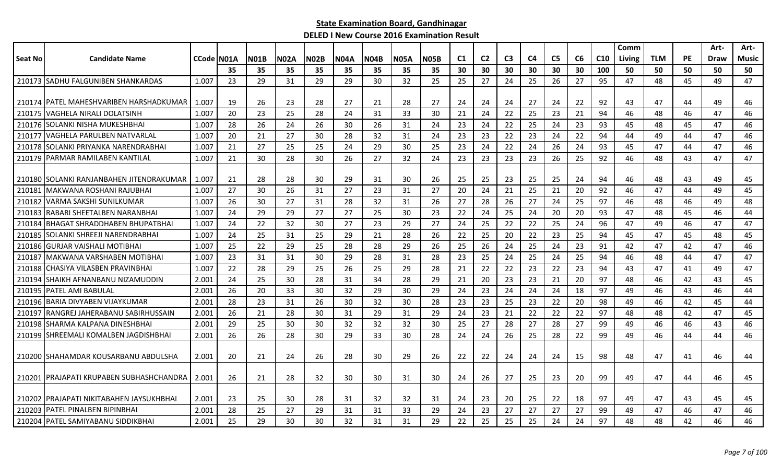|                |                                            |            |    |             |             |             |             |             |             |             |    |                |                |                |                |    |     | Comm   |            |           | Art- | Art-         |
|----------------|--------------------------------------------|------------|----|-------------|-------------|-------------|-------------|-------------|-------------|-------------|----|----------------|----------------|----------------|----------------|----|-----|--------|------------|-----------|------|--------------|
| <b>Seat No</b> | <b>Candidate Name</b>                      | CCode N01A |    | <b>N01B</b> | <b>N02A</b> | <b>N02B</b> | <b>NO4A</b> | <b>N04B</b> | <b>N05A</b> | <b>N05B</b> | C1 | C <sub>2</sub> | C <sub>3</sub> | C <sub>4</sub> | C <sub>5</sub> | C6 | C10 | Living | <b>TLM</b> | <b>PE</b> | Draw | <b>Music</b> |
|                |                                            |            | 35 | 35          | 35          | 35          | 35          | 35          | 35          | 35          | 30 | 30             | 30             | 30             | 30             | 30 | 100 | 50     | 50         | 50        | 50   | 50           |
|                | 210173 SADHU FALGUNIBEN SHANKARDAS         | 1.007      | 23 | 29          | 31          | 29          | 29          | 30          | 32          | 25          | 25 | 27             | 24             | 25             | 26             | 27 | 95  | 47     | 48         | 45        | 49   | 47           |
|                |                                            |            |    |             |             |             |             |             |             |             |    |                |                |                |                |    |     |        |            |           |      |              |
|                | 210174   PATEL MAHESHVARIBEN HARSHADKUMAR  | 1.007      | 19 | 26          | 23          | 28          | 27          | 21          | 28          | 27          | 24 | 24             | 24             | -27            | 24             | 22 | 92  | 43     | 47         | 44        | 49   | 46           |
| 210175         | <b>VAGHELA NIRALI DOLATSINH</b>            | 1.007      | 20 | 23          | 25          | 28          | 24          | 31          | 33          | 30          | 21 | 24             | 22             | 25             | 23             | 21 | 94  | 46     | 48         | 46        | 47   | 46           |
|                | 210176 SOLANKI NISHA MUKESHBHAI            | 1.007      | 28 | 26          | 24          | 26          | 30          | 26          | 31          | 24          | 23 | 24             | 22             | 25             | 24             | 23 | 93  | 45     | 48         | 45        | 47   | 46           |
|                | 210177 VAGHELA PARULBEN NATVARLAL          | 1.007      | 20 | 21          | 27          | 30          | 28          | 32          | 31          | 24          | 23 | 23             | 22             | 23             | 24             | 22 | 94  | 44     | 49         | 44        | 47   | 46           |
| 210178         | ISOLANKI PRIYANKA NARENDRABHAI             | 1.007      | 21 | 27          | 25          | 25          | 24          | 29          | 30          | 25          | 23 | 24             | 22             | 24             | 26             | 24 | 93  | 45     | 47         | 44        | 47   | 46           |
| 210179         | <b>PARMAR RAMILABEN KANTILAL</b>           | 1.007      | 21 | 30          | 28          | 30          | 26          | 27          | 32          | 24          | 23 | 23             | 23             | 23             | 26             | 25 | 92  | 46     | 48         | 43        | 47   | 47           |
|                |                                            |            |    |             |             |             |             |             |             |             |    |                |                |                |                |    |     |        |            |           |      |              |
|                | 210180 SOLANKI RANJANBAHEN JITENDRAKUMAR   | 1.007      | 21 | 28          | 28          | 30          | 29          | 31          | 30          | 26          | 25 | 25             | 23             | -25            | 25             | 24 | 94  | 46     | 48         | 43        | 49   | 45           |
| 210181         | lMAKWANA ROSHANI RAJUBHAI                  | 1.007      | 27 | 30          | 26          | 31          | 27          | 23          | 31          | 27          | 20 | 24             | 21             | 25             | 21             | 20 | 92  | 46     | 47         | 44        | 49   | 45           |
| 210182         | VARMA SAKSHI SUNILKUMAR                    | 1.007      | 26 | 30          | 27          | 31          | 28          | 32          | 31          | 26          | 27 | 28             | 26             | 27             | 24             | 25 | 97  | 46     | 48         | 46        | 49   | 48           |
| 210183         | RABARI SHEETALBEN NARANBHAI                | 1.007      | 24 | 29          | 29          | 27          | 27          | 25          | 30          | 23          | 22 | 24             | 25             | 24             | 20             | 20 | 93  | 47     | 48         | 45        | 46   | 44           |
| 210184         | BHAGAT SHRADDHABEN BHUPATBHAI              | 1.007      | 24 | 22          | 32          | 30          | 27          | 23          | 29          | 27          | 24 | 25             | 22             | 22             | 25             | 24 | 96  | 47     | 49         | 46        | 47   | 47           |
| 210185         | <b>SOLANKI SHREEJI NARENDRABHAI</b>        | 1.007      | 24 | 25          | 31          | 25          | 29          | 21          | 28          | 26          | 22 | 25             | 20             | 22             | 23             | 25 | 94  | 45     | 47         | 45        | 48   | 45           |
| 210186         | <b>GURJAR VAISHALI MOTIBHAI</b>            | 1.007      | 25 | 22          | 29          | 25          | 28          | 28          | 29          | 26          | 25 | 26             | 24             | 25             | 24             | 23 | 91  | 42     | 47         | 42        | 47   | 46           |
| 210187         | IMAKWANA VARSHABEN MOTIBHAI                | 1.007      | 23 | 31          | 31          | 30          | 29          | 28          | 31          | 28          | 23 | 25             | 24             | 25             | 24             | 25 | 94  | 46     | 48         | 44        | 47   | 47           |
|                | 210188 CHASIYA VILASBEN PRAVINBHAI         | 1.007      | 22 | 28          | 29          | 25          | 26          | 25          | 29          | 28          | 21 | 22             | 22             | 23             | 22             | 23 | 94  | 43     | 47         | 41        | 49   | 47           |
| 210194         | SHAIKH AFNANBANU NIZAMUDDIN                | 2.001      | 24 | 25          | 30          | 28          | 31          | 34          | 28          | 29          | 21 | 20             | 23             | 23             | 21             | 20 | 97  | 48     | 46         | 42        | 43   | 45           |
| 210195         | PATEL AMI BABULAL                          | 2.001      | 26 | 20          | 33          | 30          | 32          | 29          | 30          | 29          | 24 | 23             | 24             | 24             | 24             | 18 | 97  | 49     | 46         | 43        | 46   | 44           |
| 210196         | IBARIA DIVYABEN VIJAYKUMAR                 | 2.001      | 28 | 23          | 31          | 26          | 30          | 32          | 30          | 28          | 23 | 23             | 25             | 23             | 22             | 20 | 98  | 49     | 46         | 42        | 45   | 44           |
| 210197         | IRANGREJ JAHERABANU SABIRHUSSAIN           | 2.001      | 26 | 21          | 28          | 30          | 31          | 29          | 31          | 29          | 24 | 23             | 21             | 22             | 22             | 22 | 97  | 48     | 48         | 42        | 47   | 45           |
|                | 210198 ISHARMA KALPANA DINESHBHAI          | 2.001      | 29 | 25          | 30          | 30          | 32          | 32          | 32          | 30          | 25 | 27             | 28             | 27             | 28             | 27 | 99  | 49     | 46         | 46        | 43   | 46           |
|                | 210199 SHREEMALI KOMALBEN JAGDISHBHAI      | 2.001      | 26 | 26          | 28          | 30          | 29          | 33          | 30          | 28          | 24 | 24             | 26             | 25             | 28             | 22 | 99  | 49     | 46         | 44        | 44   | 46           |
|                |                                            |            |    |             |             |             |             |             |             |             |    |                |                |                |                |    |     |        |            |           |      |              |
|                | 210200 SHAHAMDAR KOUSARBANU ABDULSHA       | 2.001      | 20 | 21          | 24          | 26          | 28          | 30          | 29          | 26          | 22 | 22             | 24             | 24             | 24             | 15 | 98  | 48     | 47         | 41        | 46   | 44           |
|                |                                            |            |    |             |             |             |             |             |             |             |    |                |                |                |                |    |     |        |            |           |      |              |
|                | 210201   PRAJAPATI KRUPABEN SUBHASHCHANDRA | 2.001      | 26 | 21          | 28          | 32          | 30          | 30          | 31          | 30          | 24 | 26             | 27             | -25            | 23             | 20 | 99  | 49     | 47         | 44        | 46   | 45           |
|                |                                            |            |    |             |             |             |             |             |             |             |    |                |                |                |                |    |     |        |            |           |      |              |
|                | 210202 PRAJAPATI NIKITABAHEN JAYSUKHBHAI   | 2.001      | 23 | 25          | 30          | 28          | 31          | 32          | 32          | 31          | 24 | 23             | 20             | 25             | 22             | 18 | 97  | 49     | 47         | 43        | 45   | 45           |
| 210203         | IPATEL PINALBEN BIPINBHAI                  | 2.001      | 28 | 25          | 27          | 29          | 31          | 31          | 33          | 29          | 24 | 23             | 27             | 27             | 27             | 27 | 99  | 49     | 47         | 46        | 47   | 46           |
|                | 210204 PATEL SAMIYABANU SIDDIKBHAI         | 2.001      | 25 | 29          | 30          | 30          | 32          | 31          | 31          | 29          | 22 | 25             | 25             | 25             | 24             | 24 | 97  | 48     | 48         | 42        | 46   | 46           |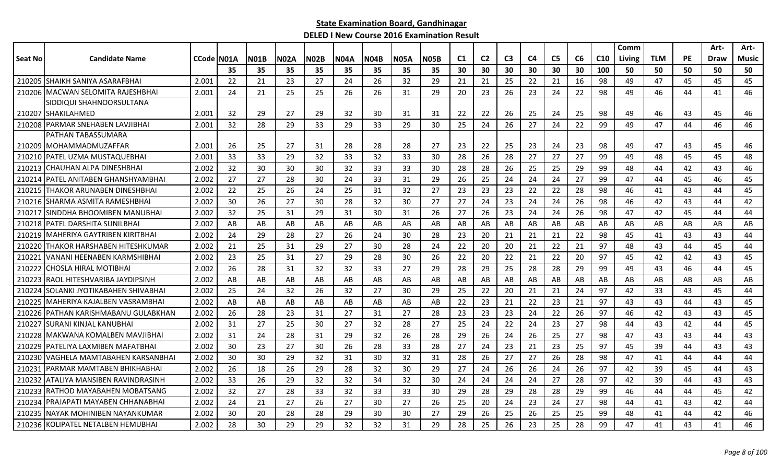|         |                                       |                    |    |             |             |      |             |             |      |             |                |                |    |                |                |    |                 | Comm   |            |           | Art- | Art-  |
|---------|---------------------------------------|--------------------|----|-------------|-------------|------|-------------|-------------|------|-------------|----------------|----------------|----|----------------|----------------|----|-----------------|--------|------------|-----------|------|-------|
| Seat No | <b>Candidate Name</b>                 | <b>CCode IN01A</b> |    | <b>N01B</b> | <b>N02A</b> | NO2B | <b>N04A</b> | <b>NO4B</b> | N05A | <b>N05B</b> | C <sub>1</sub> | C <sub>2</sub> | C3 | C <sub>4</sub> | C <sub>5</sub> | C6 | C <sub>10</sub> | Living | <b>TLM</b> | <b>PE</b> | Draw | Music |
|         |                                       |                    | 35 | 35          | 35          | 35   | 35          | 35          | 35   | 35          | 30             | 30             | 30 | 30             | 30             | 30 | 100             | 50     | 50         | 50        | 50   | 50    |
|         | 210205 SHAIKH SANIYA ASARAFBHAI       | 2.001              | 22 | 21          | 23          | 27   | 24          | 26          | 32   | 29          | 21             | 21             | 25 | 22             | 21             | 16 | 98              | 49     | 47         | 45        | 45   | 45    |
|         | 210206 MACWAN SELOMITA RAJESHBHAI     | 2.001              | 24 | 21          | 25          | 25   | 26          | 26          | 31   | 29          | 20             | 23             | 26 | 23             | 24             | 22 | 98              | 49     | 46         | 44        | 41   | 46    |
|         | SIDDIQUI SHAHNOORSULTANA              |                    |    |             |             |      |             |             |      |             |                |                |    |                |                |    |                 |        |            |           |      |       |
|         | 210207 SHAKILAHMED                    | 2.001              | 32 | 29          | 27          | 29   | 32          | 30          | 31   | 31          | 22             | 22             | 26 | 25             | 24             | 25 | 98              | 49     | 46         | 43        | 45   | 46    |
|         | 210208 PARMAR SNEHABEN LAVJIBHAI      | 2.001              | 32 | 28          | 29          | 33   | 29          | 33          | 29   | 30          | 25             | 24             | 26 | 27             | 24             | 22 | 99              | 49     | 47         | 44        | 46   | 46    |
|         | PATHAN TABASSUMARA                    |                    |    |             |             |      |             |             |      |             |                |                |    |                |                |    |                 |        |            |           |      |       |
|         | 210209 IMOHAMMADMUZAFFAR              | 2.001              | 26 | 25          | 27          | 31   | 28          | 28          | 28   | 27          | 23             | 22             | 25 | 23             | 24             | 23 | 98              | 49     | 47         | 43        | 45   | 46    |
|         | 210210 PATEL UZMA MUSTAQUEBHAI        | 2.001              | 33 | 33          | 29          | 32   | 33          | 32          | 33   | 30          | 28             | 26             | 28 | 27             | 27             | 27 | 99              | 49     | 48         | 45        | 45   | 48    |
|         | 210213 CHAUHAN ALPA DINESHBHAI        | 2.002              | 32 | 30          | 30          | 30   | 32          | 33          | 33   | 30          | 28             | 28             | 26 | 25             | 25             | 29 | 99              | 48     | 44         | 42        | 43   | 46    |
|         | 210214   PATEL ANITABEN GHANSHYAMBHAI | 2.002              | 27 | 27          | 28          | 30   | 24          | 33          | 31   | 29          | 26             | 25             | 24 | 24             | 24             | 27 | 99              | 47     | 44         | 45        | 46   | 45    |
| 210215  | THAKOR ARUNABEN DINESHBHAI            | 2.002              | 22 | 25          | 26          | 24   | 25          | 31          | 32   | 27          | 23             | 23             | 23 | 22             | 22             | 28 | 98              | 46     | 41         | 43        | 44   | 45    |
|         | 210216 SHARMA ASMITA RAMESHBHAI       | 2.002              | 30 | 26          | 27          | 30   | 28          | 32          | 30   | 27          | 27             | 24             | 23 | 24             | 24             | 26 | 98              | 46     | 42         | 43        | 44   | 42    |
|         | 210217 SINDDHA BHOOMIBEN MANUBHAI     | 2.002              | 32 | 25          | 31          | 29   | 31          | 30          | 31   | 26          | 27             | 26             | 23 | 24             | 24             | 26 | 98              | 47     | 42         | 45        | 44   | 44    |
|         | 210218 PATEL DARSHITA SUNILBHAI       | 2.002              | AB | AB          | AB          | AB   | AB          | AB          | AB   | AB          | AB             | AB             | AB | AB             | AB             | AB | AB              | AB     | AB         | AB        | AB   | AB    |
|         | 210219 MAHERIYA GAYTRIBEN KIRITBHAI   | 2.002              | 24 | 29          | 28          | 27   | 26          | 24          | 30   | 28          | 23             | 20             | 21 | 21             | 21             | 22 | 98              | 45     | 41         | 43        | 43   | 44    |
|         | 210220 THAKOR HARSHABEN HITESHKUMAR   | 2.002              | 21 | 25          | 31          | 29   | 27          | 30          | 28   | 24          | 22             | 20             | 20 | 21             | 22             | 21 | 97              | 48     | 43         | 44        | 45   | 44    |
| 210221  | VANANI HEENABEN KARMSHIBHAI           | 2.002              | 23 | 25          | 31          | 27   | 29          | 28          | 30   | 26          | 22             | 20             | 22 | 21             | 22             | 20 | 97              | 45     | 42         | 42        | 43   | 45    |
| 210222  | ICHOSLA HIRAL MOTIBHAI                | 2.002              | 26 | 28          | 31          | 32   | 32          | 33          | 27   | 29          | 28             | 29             | 25 | 28             | 28             | 29 | 99              | 49     | 43         | 46        | 44   | 45    |
| 210223  | RAOL HITESHVARIBA JAYDIPSINH          | 2.002              | AB | AB          | AB          | AB   | AB          | AB          | AB   | AB          | AB             | AB             | AB | AB             | AB             | AB | AB              | AB     | AB         | AB        | AB   | AB    |
| 210224  | ISOLANKI JYOTIKABAHEN SHIVABHAI       | 2.002              | 25 | 24          | 32          | 26   | 32          | 27          | 30   | 29          | 25             | 22             | 20 | 21             | 21             | 24 | 97              | 42     | 33         | 43        | 45   | 44    |
|         | 210225 MAHERIYA KAJALBEN VASRAMBHAI   | 2.002              | AB | AB          | AB          | AB   | AB          | AB          | AB   | AB          | 22             | 23             | 21 | 22             | 23             | 21 | 97              | 43     | 43         | 44        | 43   | 45    |
|         | 210226 PATHAN KARISHMABANU GULABKHAN  | 2.002              | 26 | 28          | 23          | 31   | 27          | 31          | 27   | 28          | 23             | 23             | 23 | 24             | 22             | 26 | 97              | 46     | 42         | 43        | 43   | 45    |
|         | 210227 SURANI KINJAL KANUBHAI         | 2.002              | 31 | 27          | 25          | 30   | 27          | 32          | 28   | 27          | 25             | 24             | 22 | 24             | 23             | 27 | 98              | 44     | 43         | 42        | 44   | 45    |
| 210228  | MAKWANA KOMALBEN MAVJIBHAI            | 2.002              | 31 | 24          | 28          | 31   | 29          | 32          | 26   | 28          | 29             | 26             | 24 | 26             | 25             | 27 | 98              | 47     | 43         | 43        | 44   | 43    |
|         | 210229   PATELIYA LAXMIBEN MAFATBHAI  | 2.002              | 30 | 23          | 27          | 30   | 26          | 28          | 33   | 28          | 27             | 24             | 23 | 21             | 23             | 25 | 97              | 45     | 39         | 44        | 43   | 43    |
| 210230  | lVAGHELA MAMTABAHEN KARSANBHAI        | 2.002              | 30 | 30          | 29          | 32   | 31          | 30          | 32   | 31          | 28             | 26             | 27 | 27             | 26             | 28 | 98              | 47     | 41         | 44        | 44   | 44    |
| 210231  | IPARMAR MAMTABEN BHIKHABHAI           | 2.002              | 26 | 18          | 26          | 29   | 28          | 32          | 30   | 29          | 27             | 24             | 26 | 26             | 24             | 26 | 97              | 42     | 39         | 45        | 44   | 43    |
|         | 210232 ATALIYA MANSIBEN RAVINDRASINH  | 2.002              | 33 | 26          | 29          | 32   | 32          | 34          | 32   | 30          | 24             | 24             | 24 | 24             | 27             | 28 | 97              | 42     | 39         | 44        | 43   | 43    |
|         | 210233 RATHOD MAYABAHEN MOBATSANG     | 2.002              | 32 | 27          | 28          | 33   | 32          | 33          | 33   | 30          | 29             | 28             | 29 | 28             | 28             | 29 | 99              | 46     | 44         | 44        | 45   | 42    |
|         | 210234 PRAJAPATI MAYABEN CHHANABHAI   | 2.002              | 24 | 21          | 27          | 26   | 27          | 30          | 27   | 26          | 25             | 20             | 24 | 23             | 24             | 27 | 98              | 44     | 41         | 43        | 42   | 44    |
| 210235  | NAYAK MOHINIBEN NAYANKUMAR            | 2.002              | 30 | 20          | 28          | 28   | 29          | 30          | 30   | 27          | 29             | 26             | 25 | 26             | 25             | 25 | 99              | 48     | 41         | 44        | 42   | 46    |
|         | 210236 KOLIPATEL NETALBEN HEMUBHAI    | 2.002              | 28 | 30          | 29          | 29   | 32          | 32          | 31   | 29          | 28             | 25             | 26 | 23             | 25             | 28 | 99              | 47     | 41         | 43        | 41   | 46    |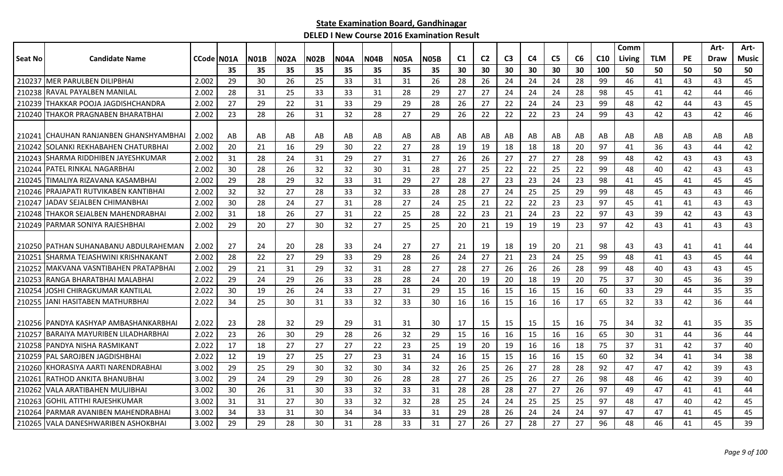|                |                                        |            |     |             |             |             |             |             |             |             |                |                |                |    |                |    |                 | Comm   |            |           | Art-        | Art-  |
|----------------|----------------------------------------|------------|-----|-------------|-------------|-------------|-------------|-------------|-------------|-------------|----------------|----------------|----------------|----|----------------|----|-----------------|--------|------------|-----------|-------------|-------|
| <b>Seat No</b> | <b>Candidate Name</b>                  | CCode N01A |     | <b>N01B</b> | <b>N02A</b> | <b>N02B</b> | <b>N04A</b> | <b>N04B</b> | <b>N05A</b> | <b>N05B</b> | C <sub>1</sub> | C <sub>2</sub> | C <sub>3</sub> | C4 | C <sub>5</sub> | C6 | C <sub>10</sub> | Living | <b>TLM</b> | <b>PE</b> | <b>Draw</b> | Music |
|                |                                        |            | 35  | 35          | 35          | 35          | 35          | 35          | 35          | 35          | 30             | 30             | 30             | 30 | 30             | 30 | 100             | 50     | 50         | 50        | 50          | 50    |
|                | 210237 MER PARULBEN DILIPBHAI          | 2.002      | 29  | 30          | 26          | 25          | 33          | 31          | 31          | 26          | 28             | 26             | 24             | 24 | 24             | 28 | 99              | 46     | 41         | 43        | 43          | 45    |
| 210238         | <b>IRAVAL PAYALBEN MANILAL</b>         | 2.002      | 28  | 31          | 25          | 33          | 33          | 31          | 28          | 29          | 27             | 27             | 24             | 24 | 24             | 28 | 98              | 45     | 41         | 42        | 44          | 46    |
| 210239         | ITHAKKAR POOJA JAGDISHCHANDRA          | 2.002      | 27  | 29          | 22          | 31          | 33          | 29          | 29          | 28          | 26             | 27             | 22             | 24 | 24             | 23 | 99              | 48     | 42         | 44        | 43          | 45    |
|                | 210240 THAKOR PRAGNABEN BHARATBHAI     | 2.002      | 23  | 28          | 26          | 31          | 32          | 28          | 27          | 29          | 26             | 22             | 22             | 22 | 23             | 24 | 99              | 43     | 42         | 43        | 42          | 46    |
|                | 210241 CHAUHAN RANJANBEN GHANSHYAMBHAI | 2.002      | AB  | AB          | AB          | AB          | AB          | AB          | AB          | AB          | AB             | AB             | AB             | AB | AB             | AB | AB              | AB     | AB         | AB        | AB          | AB    |
| 210242         | ISOLANKI REKHABAHEN CHATURBHAI         | 2.002      | 20  | 21          | 16          | 29          | 30          | 22          | 27          | 28          | 19             | 19             | 18             | 18 | 18             | 20 | 97              | 41     | 36         | 43        | 44          | 42    |
| 210243         | ISHARMA RIDDHIBEN JAYESHKUMAR          | 2.002      | 31  | 28          | 24          | 31          | 29          | 27          | 31          | 27          | 26             | 26             | 27             | 27 | 27             | 28 | 99              | 48     | 42         | 43        | 43          | 43    |
| 210244         | PATEL RINKAL NAGARBHAI                 | 2.002      | 30  | 28          | 26          | 32          | 32          | 30          | 31          | 28          | 27             | 25             | 22             | 22 | 25             | 22 | 99              | 48     | 40         | 42        | 43          | 43    |
| 210245         | TIMALIYA RIZAVANA KASAMBHAI            | 2.002      | 29  | 28          | 29          | 32          | 33          | 31          | 29          | 27          | 28             | 27             | 23             | 23 | 24             | 23 | 98              | 41     | 45         | 41        | 45          | 45    |
| 210246         | IPRAJAPATI RUTVIKABEN KANTIBHAI        | 2.002      | 32  | 32          | 27          | 28          | 33          | 32          | 33          | 28          | 28             | 27             | 24             | 25 | 25             | 29 | 99              | 48     | 45         | 43        | 43          | 46    |
|                | 210247 JADAV SEJALBEN CHIMANBHAI       | 2.002      | 30  | 28          | 24          | 27          | 31          | 28          | 27          | 24          | 25             | 21             | 22             | 22 | 23             | 23 | 97              | 45     | 41         | 41        | 43          | 43    |
|                | 210248 THAKOR SEJALBEN MAHENDRABHAI    | 2.002      | 31  | 18          | 26          | 27          | 31          | 22          | 25          | 28          | 22             | 23             | 21             | 24 | 23             | 22 | 97              | 43     | 39         | 42        | 43          | 43    |
| 210249         | <b>IPARMAR SONIYA RAJESHBHAI</b>       | 2.002      | 29  | 20          | 27          | 30          | 32          | 27          | 25          | 25          | 20             | 21             | 19             | 19 | 19             | 23 | 97              | 42     | 43         | 41        | 43          | 43    |
|                |                                        |            |     |             |             |             |             |             |             |             |                |                |                |    |                |    |                 |        |            |           |             |       |
|                | 210250 PATHAN SUHANABANU ABDULRAHEMAN  | 2.002      | -27 | -24         | 20          | 28          | 33          | 24          | 27          | 27          | 21             | 19             | 18             | 19 | 20             | 21 | 98              | 43     | 43         | 41        | 41          | 44    |
| 21025          | SHARMA TEJASHWINI KRISHNAKANT          | 2.002      | 28  | 22          | 27          | 29          | 33          | 29          | 28          | 26          | 24             | 27             | 21             | 23 | 24             | 25 | 99              | 48     | 41         | 43        | 45          | 44    |
| 210252         | IMAKVANA VASNTIBAHEN PRATAPBHAI        | 2.002      | 29  | 21          | 31          | 29          | 32          | 31          | 28          | 27          | 28             | 27             | 26             | 26 | 26             | 28 | 99              | 48     | 40         | 43        | 43          | 45    |
| 210253         | IRANGA BHARATBHAI MALABHAI             | 2.022      | 29  | 24          | 29          | 26          | 33          | 28          | 28          | 24          | 20             | 19             | 20             | 18 | 19             | 20 | 75              | 37     | 30         | 45        | 36          | 39    |
| 210254         | JOSHI CHIRAGKUMAR KANTILAL             | 2.022      | 30  | 19          | 26          | 24          | 33          | 27          | 31          | 29          | 15             | 16             | 15             | 16 | 15             | 16 | 60              | 33     | 29         | 44        | 35          | 35    |
|                | 210255 JANI HASITABEN MATHURBHAI       | 2.022      | 34  | 25          | 30          | 31          | 33          | 32          | 33          | 30          | 16             | 16             | 15             | 16 | 16             | 17 | 65              | 32     | 33         | 42        | 36          | 44    |
|                | 210256 PANDYA KASHYAP AMBASHANKARBHAI  | 2.022      | 23  | 28          | 32          | 29          | 29          | 31          | 31          | 30          | 17             | 15             | 15             | 15 | 15             | 16 | 75              | 34     | 32         | 41        | 35          | 35    |
| 210257         | IBARAIYA MAYURIBEN LILADHARBHAI        | 2.022      | 23  | 26          | 30          | 29          | 28          | 26          | 32          | 29          | 15             | 16             | 16             | 15 | 16             | 16 | 65              | 30     | 31         | 44        | 36          | 44    |
| 210258         | <b>PANDYA NISHA RASMIKANT</b>          | 2.022      | 17  | 18          | 27          | 27          | 27          | 22          | 23          | 25          | 19             | 20             | 19             | 16 | 16             | 18 | 75              | 37     | 31         | 42        | 37          | 40    |
| 210259         | PAL SAROJBEN JAGDISHBHAI               | 2.022      | 12  | 19          | 27          | 25          | 27          | 23          | 31          | 24          | 16             | 15             | 15             | 16 | 16             | 15 | 60              | 32     | 34         | 41        | 34          | 38    |
|                | 210260 KHORASIYA AARTI NARENDRABHAI    | 3.002      | 29  | 25          | 29          | 30          | 32          | 30          | 34          | 32          | 26             | 25             | 26             | 27 | 28             | 28 | 92              | 47     | 47         | 42        | 39          | 43    |
| 210261         | IRATHOD ANKITA BHANUBHAI               | 3.002      | 29  | 24          | 29          | 29          | 30          | 26          | 28          | 28          | 27             | 26             | 25             | 26 | 27             | 26 | 98              | 48     | 46         | 42        | 39          | 40    |
| 210262         | IVALA ARATIBAHEN MULJIBHAI             | 3.002      | 30  | 26          | 31          | 30          | 33          | 32          | 33          | 31          | 28             | 28             | 28             | 27 | 27             | 26 | 97              | 49     | 47         | 41        | 41          | 44    |
| 210263         | GOHIL ATITHI RAJESHKUMAR               | 3.002      | 31  | 31          | 27          | 30          | 33          | 32          | 32          | 28          | 25             | 24             | 24             | 25 | 25             | 25 | 97              | 48     | 47         | 40        | 42          | 45    |
| 210264         | PARMAR AVANIBEN MAHENDRABHAI           | 3.002      | 34  | 33          | 31          | 30          | 34          | 34          | 33          | 31          | 29             | 28             | 26             | 24 | 24             | 24 | 97              | 47     | 47         | 41        | 45          | 45    |
|                | 210265 VALA DANESHWARIBEN ASHOKBHAI    | 3.002      | 29  | 29          | 28          | 30          | 31          | 28          | 33          | 31          | 27             | 26             | 27             | 28 | 27             | 27 | 96              | 48     | 46         | 41        | 45          | 39    |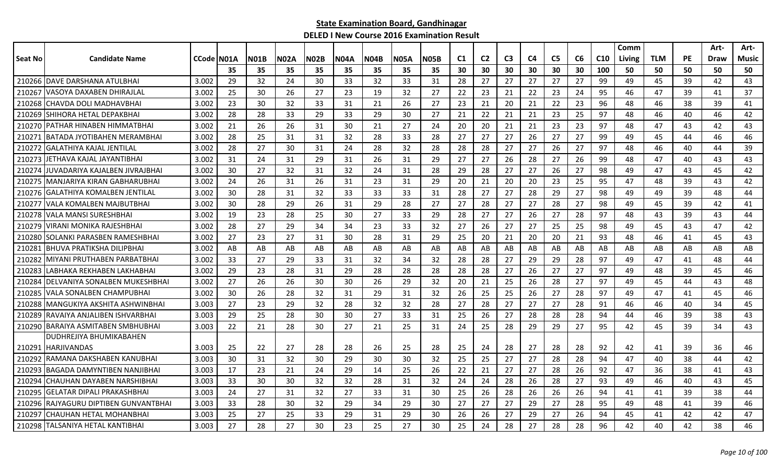|         |                                       |                    |    |             |      |             |             |      |             |             |    |                |                |                |                |    |                 | Comm   |            |           | Art- | Art-  |
|---------|---------------------------------------|--------------------|----|-------------|------|-------------|-------------|------|-------------|-------------|----|----------------|----------------|----------------|----------------|----|-----------------|--------|------------|-----------|------|-------|
| Seat No | <b>Candidate Name</b>                 | <b>CCode IN01A</b> |    | <b>N01B</b> | N02A | <b>N02B</b> | <b>N04A</b> | N04B | <b>N05A</b> | <b>N05B</b> | C1 | C <sub>2</sub> | C <sub>3</sub> | C <sub>4</sub> | C <sub>5</sub> | C6 | C <sub>10</sub> | Living | <b>TLM</b> | <b>PE</b> | Draw | Music |
|         |                                       |                    | 35 | 35          | 35   | 35          | 35          | 35   | 35          | 35          | 30 | 30             | 30             | 30             | 30             | 30 | 100             | 50     | 50         | 50        | 50   | 50    |
|         | 210266 DAVE DARSHANA ATULBHAI         | 3.002              | 29 | 32          | 24   | 30          | 33          | 32   | 33          | 31          | 28 | 27             | 27             | 27             | 27             | 27 | 99              | 49     | 45         | 39        | 42   | 43    |
| 210267  | VASOYA DAXABEN DHIRAJLAL              | 3.002              | 25 | 30          | 26   | 27          | 23          | 19   | 32          | 27          | 22 | 23             | 21             | 22             | 23             | 24 | 95              | 46     | 47         | 39        | 41   | 37    |
| 210268  | CHAVDA DOLI MADHAVBHAI                | 3.002              | 23 | 30          | 32   | 33          | 31          | 21   | 26          | 27          | 23 | 21             | 20             | 21             | 22             | 23 | 96              | 48     | 46         | 38        | 39   | 41    |
| 210269  | SHIHORA HETAL DEPAKBHAI               | 3.002              | 28 | 28          | 33   | 29          | 33          | 29   | 30          | 27          | 21 | 22             | 21             | 21             | 23             | 25 | 97              | 48     | 46         | 40        | 46   | 42    |
|         | 210270 PATHAR HINABEN HIMMATBHAI      | 3.002              | 21 | 26          | 26   | 31          | 30          | 21   | 27          | 24          | 20 | 20             | 21             | 21             | 23             | 23 | 97              | 48     | 47         | 43        | 42   | 43    |
| 210271  | IBATADA JYOTIBAHEN MERAMBHAI          | 3.002              | 28 | 25          | 31   | 31          | 32          | 28   | 33          | 28          | 27 | 27             | 27             | 26             | 27             | 27 | 99              | 49     | 45         | 44        | 46   | 46    |
| 210272  | GALATHIYA KAJAL JENTILAL              | 3.002              | 28 | 27          | 30   | 31          | 24          | 28   | 32          | 28          | 28 | 28             | 27             | 27             | 26             | 27 | 97              | 48     | 46         | 40        | 44   | 39    |
| 210273  | JETHAVA KAJAL JAYANTIBHAI             | 3.002              | 31 | 24          | 31   | 29          | 31          | 26   | 31          | 29          | 27 | 27             | 26             | 28             | 27             | 26 | 99              | 48     | 47         | 40        | 43   | 43    |
| 210274  | JUVADARIYA KAJALBEN JIVRAJBHAI        | 3.002              | 30 | 27          | 32   | 31          | 32          | 24   | 31          | 28          | 29 | 28             | 27             | 27             | 26             | 27 | 98              | 49     | 47         | 43        | 45   | 42    |
| 210275  | IMANJARIYA KIRAN GABHARUBHAI          | 3.002              | 24 | 26          | 31   | 26          | 31          | 23   | 31          | 29          | 20 | 21             | 20             | 20             | 23             | 25 | 95              | 47     | 48         | 39        | 43   | 42    |
| 210276  | <b>JGALATHIYA KOMALBEN JENTILAL</b>   | 3.002              | 30 | 28          | 31   | 32          | 33          | 33   | 33          | 31          | 28 | 27             | 27             | 28             | 29             | 27 | 98              | 49     | 49         | 39        | 48   | 44    |
| 210277  | IVALA KOMALBEN MAJBUTBHAI             | 3.002              | 30 | 28          | 29   | 26          | 31          | 29   | 28          | 27          | 27 | 28             | 27             | 27             | 28             | 27 | 98              | 49     | 45         | 39        | 42   | 41    |
|         | 210278 VALA MANSI SURESHBHAI          | 3.002              | 19 | 23          | 28   | 25          | 30          | 27   | 33          | 29          | 28 | 27             | 27             | 26             | 27             | 28 | 97              | 48     | 43         | 39        | 43   | 44    |
| 210279  | lVIRANI MONIKA RAJESHBHAI             | 3.002              | 28 | 27          | 29   | 34          | 34          | 23   | 33          | 32          | 27 | 26             | 27             | 27             | 25             | 25 | 98              | 49     | 45         | 43        | 47   | 42    |
| 210280  | SOLANKI PARASBEN RAMESHBHAI           | 3.002              | 27 | 23          | 27   | 31          | 30          | 28   | 31          | 29          | 25 | 20             | 21             | 20             | 20             | 21 | 93              | 48     | 46         | 41        | 45   | 43    |
| 210281  | <b>BHUVA PRATIKSHA DILIPBHAI</b>      | 3.002              | AB | AB          | AB   | AB          | AB          | AB   | AB          | AB          | AB | AB             | AB             | AB             | AB             | AB | AB              | AB     | AB         | AB        | AB   | AB    |
| 210282  | MIYANI PRUTHABEN PARBATBHAI           | 3.002              | 33 | 27          | 29   | 33          | 31          | 32   | 34          | 32          | 28 | 28             | 27             | 29             | 29             | 28 | 97              | 49     | 47         | 41        | 48   | 44    |
| 210283  | LABHAKA REKHABEN LAKHABHAI            | 3.002              | 29 | 23          | 28   | 31          | 29          | 28   | 28          | 28          | 28 | 28             | 27             | 26             | 27             | 27 | 97              | 49     | 48         | 39        | 45   | 46    |
| 210284  | <b>IDELVANIYA SONALBEN MUKESHBHAI</b> | 3.002              | 27 | 26          | 26   | 30          | 30          | 26   | 29          | 32          | 20 | 21             | 25             | 26             | 28             | 27 | 97              | 49     | 45         | 44        | 43   | 48    |
|         | 210285 VALA SONALBEN CHAMPUBHA        | 3.002              | 30 | 26          | 28   | 32          | 31          | 29   | 31          | 32          | 26 | 25             | 25             | 26             | 27             | 28 | 97              | 49     | 47         | 41        | 45   | 46    |
| 210288  | IMANGUKIYA AKSHITA ASHWINBHAI         | 3.003              | 27 | 23          | 29   | 32          | 28          | 32   | 32          | 28          | 27 | 28             | 27             | 27             | 27             | 28 | 91              | 46     | 46         | 40        | 34   | 45    |
| 210289  | RAVAIYA ANJALIBEN ISHVARBHAI          | 3.003              | 29 | 25          | 28   | 30          | 30          | 27   | 33          | 31          | 25 | 26             | 27             | 28             | 28             | 28 | 94              | 44     | 46         | 39        | 38   | 43    |
| 210290  | <b>IBARAIYA ASMITABEN SMBHUBHAI</b>   | 3.003              | 22 | 21          | 28   | 30          | 27          | 21   | 25          | 31          | 24 | 25             | 28             | 29             | 29             | 27 | 95              | 42     | 45         | 39        | 34   | 43    |
|         | DUDHREJIYA BHUMIKABAHEN               |                    |    |             |      |             |             |      |             |             |    |                |                |                |                |    |                 |        |            |           |      |       |
| 210291  | <b>IHARJIVANDAS</b>                   | 3.003              | 25 | 22          | 27   | 28          | 28          | 26   | 25          | 28          | 25 | 24             | 28             | 27             | 28             | 28 | 92              | 42     | 41         | 39        | 36   | 46    |
| 210292  | RAMANA DAKSHABEN KANUBHAI             | 3.003              | 30 | 31          | 32   | 30          | 29          | 30   | 30          | 32          | 25 | 25             | 27             | 27             | 28             | 28 | 94              | 47     | 40         | 38        | 44   | 42    |
| 210293  | BAGADA DAMYNTIBEN NANJIBHAI           | 3.003              | 17 | 23          | 21   | 24          | 29          | 14   | 25          | 26          | 22 | 21             | 27             | 27             | 28             | 26 | 92              | 47     | 36         | 38        | 41   | 43    |
| 210294  | ICHAUHAN DAYABEN NARSHIBHAI           | 3.003              | 33 | 30          | 30   | 32          | 32          | 28   | 31          | 32          | 24 | 24             | 28             | 26             | 28             | 27 | 93              | 49     | 46         | 40        | 43   | 45    |
|         | 210295 GELATAR DIPALI PRAKASHBHAI     | 3.003              | 24 | 27          | 31   | 32          | 27          | 33   | 31          | 30          | 25 | 26             | 28             | 26             | 26             | 26 | 94              | 41     | 41         | 39        | 38   | 44    |
|         | 210296 RAJYAGURU DIPTIBEN GUNVANTBHAI | 3.003              | 33 | 28          | 30   | 32          | 29          | 34   | 29          | 30          | 27 | 27             | 27             | 29             | 27             | 28 | 95              | 49     | 48         | 41        | 39   | 46    |
| 210297  | lCHAUHAN HETAL MOHANBHAI              | 3.003              | 25 | 27          | 25   | 33          | 29          | 31   | 29          | 30          | 26 | 26             | 27             | 29             | 27             | 26 | 94              | 45     | 41         | 42        | 42   | 47    |
|         | 210298 TALSANIYA HETAL KANTIBHAI      | 3.003              | 27 | 28          | 27   | 30          | 23          | 25   | 27          | 30          | 25 | 24             | 28             | 27             | 28             | 28 | 96              | 42     | 40         | 42        | 38   | 46    |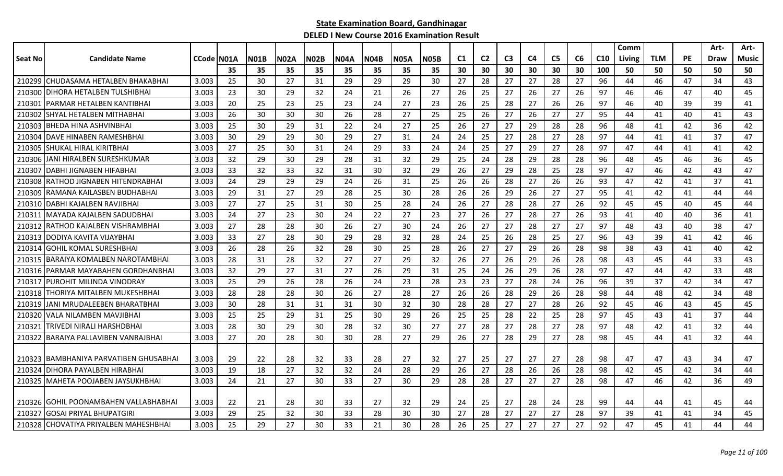|         |                                       |            |     |             |             |             |             |             |             |             |                |                |                |                |                |    |                 | Comm   |            |           | Art-        | Art-         |
|---------|---------------------------------------|------------|-----|-------------|-------------|-------------|-------------|-------------|-------------|-------------|----------------|----------------|----------------|----------------|----------------|----|-----------------|--------|------------|-----------|-------------|--------------|
| Seat No | <b>Candidate Name</b>                 | CCode N01A |     | <b>N01B</b> | <b>N02A</b> | <b>N02B</b> | <b>N04A</b> | <b>N04B</b> | <b>N05A</b> | <b>N05B</b> | C <sub>1</sub> | C <sub>2</sub> | C <sub>3</sub> | C <sub>4</sub> | C <sub>5</sub> | C6 | C <sub>10</sub> | Living | <b>TLM</b> | <b>PE</b> | <b>Draw</b> | <b>Music</b> |
|         |                                       |            | 35  | 35          | 35          | 35          | 35          | 35          | 35          | 35          | 30             | 30             | 30             | 30             | 30             | 30 | 100             | 50     | 50         | 50        | 50          | 50           |
|         | 210299 CHUDASAMA HETALBEN BHAKABHAI   | 3.003      | 25  | 30          | 27          | 31          | 29          | 29          | 29          | 30          | 27             | 28             | 27             | 27             | 28             | 27 | 96              | 44     | 46         | 47        | 34          | 43           |
| 210300  | DIHORA HETALBEN TULSHIBHAI            | 3.003      | 23  | 30          | 29          | 32          | 24          | 21          | 26          | 27          | 26             | 25             | 27             | 26             | 27             | 26 | 97              | 46     | 46         | 47        | 40          | 45           |
| 210301  | PARMAR HETALBEN KANTIBHAI             | 3.003      | 20  | 25          | 23          | 25          | 23          | 24          | 27          | 23          | 26             | 25             | 28             | 27             | 26             | 26 | 97              | 46     | 40         | 39        | 39          | 41           |
| 210302  | <b>SHYAL HETALBEN MITHABHAI</b>       | 3.003      | -26 | 30          | 30          | 30          | 26          | 28          | 27          | 25          | 25             | 26             | 27             | 26             | 27             | 27 | 95              | 44     | 41         | 40        | 41          | 43           |
| 210303  | IBHEDA HINA ASHVINBHAI                | 3.003      | 25  | 30          | 29          | 31          | 22          | 24          | 27          | 25          | 26             | 27             | 27             | 29             | 28             | 28 | 96              | 48     | 41         | 42        | 36          | 42           |
| 210304  | <b>IDAVE HINABEN RAMESHBHAI</b>       | 3.003      | 30  | 29          | 29          | 30          | 29          | 27          | 31          | 24          | 24             | 25             | 27             | 28             | 27             | 28 | 97              | 44     | 41         | 41        | 37          | 47           |
| 210305  | <b>I</b> SHUKAL HIRAL KIRITBHAI       | 3.003      | 27  | 25          | 30          | 31          | 24          | 29          | 33          | 24          | 24             | 25             | 27             | 29             | 27             | 28 | 97              | 47     | 44         | 41        | 41          | 42           |
| 210306  | JANI HIRALBEN SURESHKUMAR             | 3.003      | 32  | 29          | 30          | 29          | 28          | 31          | 32          | 29          | 25             | 24             | 28             | 29             | 28             | 28 | 96              | 48     | 45         | 46        | 36          | 45           |
| 210307  | <b>DABHI JIGNABEN HIFABHAI</b>        | 3.003      | 33  | 32          | 33          | 32          | 31          | 30          | 32          | 29          | 26             | 27             | 29             | 28             | 25             | 28 | 97              | 47     | 46         | 42        | 43          | 47           |
| 210308  | IRATHOD JIGNABEN HITENDRABHAI         | 3.003      | 24  | 29          | 29          | 29          | 24          | 26          | 31          | 25          | 26             | 26             | 28             | 27             | 26             | 26 | 93              | 47     | 42         | 41        | 37          | 41           |
| 210309  | IRAMANA KAILASBEN BUDHABHAI           | 3.003      | 29  | 31          | 27          | 29          | 28          | 25          | 30          | 28          | 26             | 26             | 29             | 26             | 27             | 27 | 95              | 41     | 42         | 41        | 44          | 44           |
|         | 210310 DABHI KAJALBEN RAVJIBHAI       | 3.003      | 27  | 27          | 25          | 31          | 30          | 25          | 28          | 24          | 26             | 27             | 28             | 28             | 27             | 26 | 92              | 45     | 45         | 40        | 45          | 44           |
| 210311  | IMAYADA KAJALBEN SADUDBHAI            | 3.003      | 24  | 27          | 23          | 30          | 24          | 22          | 27          | 23          | 27             | 26             | 27             | 28             | 27             | 26 | 93              | 41     | 40         | 40        | 36          | 41           |
| 210312  | IRATHOD KAJALBEN VISHRAMBHAI          | 3.003      | 27  | 28          | 28          | 30          | 26          | 27          | 30          | 24          | 26             | 27             | 27             | 28             | 27             | 27 | 97              | 48     | 43         | 40        | 38          | 47           |
| 210313  | DODIYA KAVITA VIJAYBHAI               | 3.003      | 33  | 27          | 28          | 30          | 29          | 28          | 32          | 28          | 24             | 25             | 26             | 28             | 25             | 27 | 96              | 43     | 39         | 41        | 42          | 46           |
| 210314  | <b>GOHIL KOMAL SURESHBHAI</b>         | 3.003      | 26  | 28          | 26          | 32          | 28          | 30          | 25          | 28          | 26             | 27             | 27             | 29             | 26             | 28 | 98              | 38     | 43         | 41        | 40          | 42           |
| 210315  | IBARAIYA KOMALBEN NAROTAMBHAI         | 3.003      | 28  | 31          | 28          | 32          | 27          | 27          | 29          | 32          | 26             | 27             | 26             | 29             | 26             | 28 | 98              | 43     | 45         | 44        | 33          | 43           |
| 210316  | <b>IPARMAR MAYABAHEN GORDHANBHAI</b>  | 3.003      | 32  | 29          | 27          | 31          | 27          | 26          | 29          | 31          | 25             | 24             | 26             | 29             | 26             | 28 | 97              | 47     | 44         | 42        | 33          | 48           |
| 210317  | IPUROHIT MILINDA VINODRAY             | 3.003      | 25  | 29          | 26          | 28          | 26          | 24          | 23          | 28          | 23             | 23             | 27             | 28             | 24             | 26 | 96              | 39     | 37         | 42        | 34          | 47           |
| 210318  | THORIYA MITALBEN MUKESHBHAI           | 3.003      | 28  | 28          | 28          | 30          | 26          | 27          | 28          | 27          | 26             | 26             | 28             | 29             | 26             | 28 | 98              | 44     | 48         | 42        | 34          | 48           |
| 210319  | JANI MRUDALEEBEN BHARATBHAI           | 3.003      | 30  | 28          | 31          | 31          | 31          | 30          | 32          | 30          | 28             | 28             | 27             | 27             | 28             | 26 | 92              | 45     | 46         | 43        | 45          | 45           |
| 210320  | IVALA NILAMBEN MAVJIBHAI              | 3.003      | 25  | 25          | 29          | 31          | 25          | 30          | 29          | 26          | 25             | 25             | 28             | 22             | 25             | 28 | 97              | 45     | 43         | 41        | 37          | 44           |
| 210321  | <b>TRIVEDI NIRALI HARSHDBHAI</b>      | 3.003      | 28  | 30          | 29          | 30          | 28          | 32          | 30          | 27          | 27             | 28             | 27             | 28             | 27             | 28 | 97              | 48     | 42         | 41        | 32          | 44           |
| 210322  | IBARAIYA PALLAVIBEN VANRAJBHAI        | 3.003      | 27  | 20          | 28          | 30          | 30          | 28          | 27          | 29          | 26             | 27             | 28             | 29             | 27             | 28 | 98              | 45     | 44         | 41        | 32          | 44           |
|         |                                       |            |     |             |             |             |             |             |             |             |                |                |                |                |                |    |                 |        |            |           |             |              |
| 210323  | IBAMBHANIYA PARVATIBEN GHUSABHAI      | 3.003      | 29  | 22          | 28          | 32          | 33          | 28          | 27          | 32          | 27             | 25             | 27             | 27             | 27             | 28 | 98              | 47     | 47         | 43        | 34          | 47           |
| 210324  | <b>IDIHORA PAYALBEN HIRABHAI</b>      | 3.003      | 19  | 18          | 27          | 32          | 32          | 24          | 28          | 29          | 26             | 27             | 28             | 26             | 26             | 28 | 98              | 42     | 45         | 42        | 34          | 44           |
|         | 210325   MAHETA POOJABEN JAYSUKHBHAI  | 3.003      | 24  | 21          | 27          | 30          | 33          | 27          | 30          | 29          | 28             | 28             | 27             | 27             | 27             | 28 | 98              | 47     | 46         | 42        | 36          | 49           |
|         |                                       |            |     |             |             |             |             |             |             |             |                |                |                |                |                |    |                 |        |            |           |             |              |
|         | 210326 GOHIL POONAMBAHEN VALLABHABHAI | 3.003      | 22  | 21          | 28          | 30          | 33          | 27          | 32          | 29          | 24             | 25             | 27             | 28             | 24             | 28 | 99              | 44     | 44         | 41        | 45          | 44           |
| 210327  | GOSAI PRIYAL BHUPATGIRI               | 3.003      | 29  | 25          | 32          | 30          | 33          | 28          | 30          | 30          | 27             | 28             | 27             | 27             | 27             | 28 | 97              | 39     | 41         | 41        | 34          | 45           |
|         | 210328 CHOVATIYA PRIYALBEN MAHESHBHAI | 3.003      | 25  | 29          | 27          | 30          | 33          | 21          | 30          | 28          | 26             | 25             | 27             | 27             | 27             | 27 | 92              | 47     | 45         | 41        | 44          | 44           |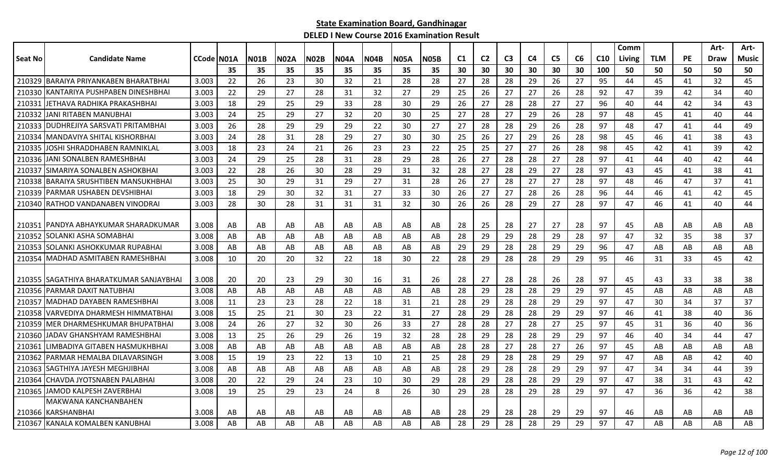|         |                                          |             |    |             |             |             |             |             |             |             |                |                |                |    |                |    |                 | Comm   |            |    | Art- | Art-  |
|---------|------------------------------------------|-------------|----|-------------|-------------|-------------|-------------|-------------|-------------|-------------|----------------|----------------|----------------|----|----------------|----|-----------------|--------|------------|----|------|-------|
| Seat No | <b>Candidate Name</b>                    | CCode IN01A |    | <b>N01B</b> | <b>N02A</b> | <b>N02B</b> | <b>N04A</b> | <b>N04B</b> | <b>N05A</b> | <b>N05B</b> | C <sub>1</sub> | C <sub>2</sub> | C <sub>3</sub> | C4 | C <sub>5</sub> | C6 | C <sub>10</sub> | Living | <b>TLM</b> | PE | Draw | Music |
|         |                                          |             | 35 | 35          | 35          | 35          | 35          | 35          | 35          | 35          | 30             | 30             | 30             | 30 | 30             | 30 | 100             | 50     | 50         | 50 | 50   | 50    |
|         | 210329 BARAIYA PRIYANKABEN BHARATBHAI    | 3.003       | 22 | 26          | 23          | 30          | 32          | 21          | 28          | 28          | 27             | 28             | 28             | 29 | 26             | 27 | 95              | 44     | 45         | 41 | 32   | 45    |
| 210330  | KANTARIYA PUSHPABEN DINESHBHAI           | 3.003       | 22 | 29          | 27          | 28          | 31          | 32          | 27          | 29          | 25             | 26             | 27             | 27 | 26             | 28 | 92              | 47     | 39         | 42 | 34   | 40    |
| 210331  | IJETHAVA RADHIKA PRAKASHBHAI             | 3.003       | 18 | 29          | 25          | 29          | 33          | 28          | 30          | 29          | 26             | 27             | 28             | 28 | 27             | 27 | 96              | 40     | 44         | 42 | 34   | 43    |
|         | 210332 JJANI RITABEN MANUBHAI            | 3.003       | 24 | 25          | 29          | 27          | 32          | 20          | 30          | 25          | 27             | 28             | 27             | 29 | 26             | 28 | 97              | 48     | 45         | 41 | 40   | 44    |
|         | 210333   DUDHREJIYA SARSVATI PRITAMBHAI  | 3.003       | 26 | 28          | 29          | 29          | 29          | 22          | 30          | 27          | 27             | 28             | 28             | 29 | 26             | 28 | 97              | 48     | 47         | 41 | 44   | 49    |
| 210334  | <b>MANDAVIYA SHITAL KISHORBHAI</b>       | 3.003       | 24 | 28          | 31          | 28          | 29          | 27          | 30          | 30          | 25             | 26             | 27             | 29 | 26             | 28 | 98              | 45     | 46         | 41 | 38   | 43    |
| 210335  | JOSHI SHRADDHABEN RAMNIKLAL              | 3.003       | 18 | 23          | 24          | 21          | 26          | 23          | 23          | 22          | 25             | 25             | 27             | 27 | 26             | 28 | 98              | 45     | 42         | 41 | 39   | 42    |
| 210336  | JANI SONALBEN RAMESHBHAI                 | 3.003       | 24 | 29          | 25          | 28          | 31          | 28          | 29          | 28          | 26             | 27             | 28             | 28 | 27             | 28 | 97              | 41     | 44         | 40 | 42   | 44    |
| 210337  | ISIMARIYA SONALBEN ASHOKBHAI             | 3.003       | 22 | 28          | 26          | 30          | 28          | 29          | 31          | 32          | 28             | 27             | 28             | 29 | 27             | 28 | 97              | 43     | 45         | 41 | 38   | 41    |
|         | 210338 BARAIYA SRUSHTIBEN MANSUKHBHAI    | 3.003       | 25 | 30          | 29          | 31          | 29          | 27          | 31          | 28          | 26             | 27             | 28             | 27 | 27             | 28 | 97              | 48     | 46         | 47 | 37   | 41    |
| 210339  | <b>JPARMAR USHABEN DEVSHIBHAI</b>        | 3.003       | 18 | 29          | 30          | 32          | 31          | 27          | 33          | 30          | 26             | 27             | 27             | 28 | 26             | 28 | 96              | 44     | 46         | 41 | 42   | 45    |
|         | 210340 RATHOD VANDANABEN VINODRAI        | 3.003       | 28 | 30          | 28          | 31          | 31          | 31          | 32          | 30          | 26             | 26             | 28             | 29 | 27             | 28 | 97              | 47     | 46         | 41 | 40   | 44    |
|         |                                          |             |    |             |             |             |             |             |             |             |                |                |                |    |                |    |                 |        |            |    |      |       |
|         | 210351 IPANDYA ABHAYKUMAR SHARADKUMAR    | 3.008       | AB | AB          | AB          | AB          | AB          | AB          | AB          | AB          | 28             | 25             | 28             | 27 | 27             | 28 | 97              | 45     | AB         | AB | AB   | AB    |
| 210352  | ISOLANKI ASHA SOMABHAI                   | 3.008       | AB | AB          | AB          | AB          | AB          | AB          | AB          | AB          | 28             | 29             | 29             | 28 | 29             | 28 | 97              | 47     | 32         | 35 | 38   | 37    |
| 210353  | SOLANKI ASHOKKUMAR RUPABHAI              | 3.008       | AB | AB          | AB          | AB          | AB          | AB          | AB          | AB          | 29             | 29             | 28             | 28 | 29             | 29 | 96              | 47     | AB         | AB | AB   | AB    |
| 210354  | MADHAD ASMITABEN RAMESHBHAI              | 3.008       | 10 | 20          | 20          | 32          | 22          | 18          | 30          | 22          | 28             | 29             | 28             | 28 | 29             | 29 | 95              | 46     | 31         | 33 | 45   | 42    |
|         |                                          |             |    |             |             |             |             |             |             |             |                |                |                |    |                |    |                 |        |            |    |      |       |
|         | 210355 ISAGATHIYA BHARATKUMAR SANJAYBHAI | 3.008       | 20 | 20          | 23          | 29          | 30          | 16          | 31          | 26          | 28             | 27             | 28             | 28 | 26             | 28 | 97              | 45     | 43         | 33 | 38   | 38    |
|         | 210356 PARMAR DAXIT NATUBHAI             | 3.008       | AB | AB          | AB          | AB          | AB          | AB          | AB          | AB          | 28             | 29             | 28             | 28 | 29             | 29 | 97              | 45     | AB         | AB | AB   | AB    |
| 210357  | IMADHAD DAYABEN RAMESHBHAI               | 3.008       | 11 | 23          | 23          | 28          | 22          | 18          | 31          | 21          | 28             | 29             | 28             | 28 | 29             | 29 | 97              | 47     | 30         | 34 | 37   | 37    |
|         | 210358 VARVEDIYA DHARMESH HIMMATBHAI     | 3.008       | 15 | 25          | 21          | 30          | 23          | 22          | 31          | 27          | 28             | 29             | 28             | 28 | 29             | 29 | 97              | 46     | 41         | 38 | 40   | 36    |
| 210359  | <b>IMER DHARMESHKUMAR BHUPATBHAI</b>     | 3.008       | 24 | 26          | 27          | 32          | 30          | 26          | 33          | 27          | 28             | 28             | 27             | 28 | 27             | 25 | 97              | 45     | 31         | 36 | 40   | 36    |
| 210360  | JADAV GHANSHYAM RAMESHBHAI               | 3.008       | 13 | 25          | 26          | 29          | 26          | 19          | 32          | 28          | 28             | 29             | 28             | 28 | 29             | 29 | 97              | 46     | 40         | 34 | 44   | 47    |
| 210361  | LIMBADIYA GITABEN HASMUKHBHAI            | 3.008       | AB | AB          | AB          | AB          | AB          | AB          | AB          | AB          | 28             | 28             | 27             | 28 | 27             | 26 | 97              | 45     | AB         | AB | AB   | AB    |
| 210362  | IPARMAR HEMALBA DILAVARSINGH             | 3.008       | 15 | 19          | 23          | 22          | 13          | 10          | 21          | 25          | 28             | 29             | 28             | 28 | 29             | 29 | 97              | 47     | AB         | AB | 42   | 40    |
| 210363  | ISAGTHIYA JAYESH MEGHJIBHAI              | 3.008       | AB | AB          | AB          | AB          | AB          | AB          | AB          | AB          | 28             | 29             | 28             | 28 | 29             | 29 | 97              | 47     | 34         | 34 | 44   | 39    |
| 210364  | <b>ICHAVDA JYOTSNABEN PALABHAI</b>       | 3.008       | 20 | 22          | 29          | 24          | 23          | 10          | 30          | 29          | 28             | 29             | 28             | 28 | 29             | 29 | 97              | 47     | 38         | 31 | 43   | 42    |
|         | 210365 JAMOD KALPESH ZAVERBHAI           | 3.008       | 19 | 25          | 29          | 23          | 24          | 8           | 26          | 30          | 29             | 28             | 28             | 29 | 28             | 29 | 97              | 47     | 36         | 36 | 42   | 38    |
|         | MAKWANA KANCHANBAHEN                     |             |    |             |             |             |             |             |             |             |                |                |                |    |                |    |                 |        |            |    |      |       |
|         | 210366 KARSHANBHAI                       | 3.008       | AB | AB          | AB          | AB          | AB          | AB          | AB          | AB          | 28             | 29             | 28             | 28 | 29             | 29 | 97              | 46     | AB         | AB | AB   | AB    |
|         | 210367 KANALA KOMALBEN KANUBHAI          | 3.008       | AB | AB          | AB          | AB          | AB          | AB          | AB          | AB          | 28             | 29             | 28             | 28 | 29             | 29 | 97              | 47     | AB         | AB | AB   | AB    |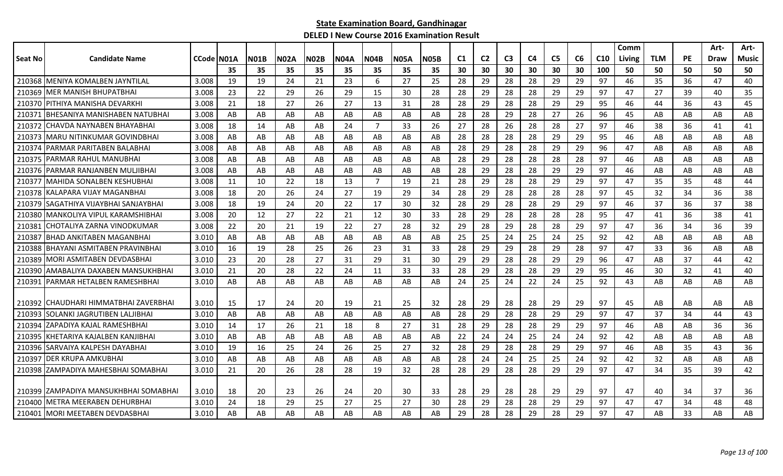|         |                                        |            |     |             |             |             |             |                |             |             |                |                |                |    |                |    |                 | Comm   |            |           | Art-        | Art-  |
|---------|----------------------------------------|------------|-----|-------------|-------------|-------------|-------------|----------------|-------------|-------------|----------------|----------------|----------------|----|----------------|----|-----------------|--------|------------|-----------|-------------|-------|
| Seat No | <b>Candidate Name</b>                  | CCode N01A |     | <b>N01B</b> | <b>N02A</b> | <b>N02B</b> | <b>N04A</b> | <b>N04B</b>    | <b>N05A</b> | <b>N05B</b> | C <sub>1</sub> | C <sub>2</sub> | C <sub>3</sub> | C4 | C <sub>5</sub> | C6 | C <sub>10</sub> | Living | <b>TLM</b> | <b>PE</b> | <b>Draw</b> | Music |
|         |                                        |            | 35  | 35          | 35          | 35          | 35          | 35             | 35          | 35          | 30             | 30             | 30             | 30 | 30             | 30 | 100             | 50     | 50         | 50        | 50          | 50    |
|         | 210368 MENIYA KOMALBEN JAYNTILAL       | 3.008      | 19  | 19          | 24          | 21          | 23          | 6              | 27          | 25          | 28             | 29             | 28             | 28 | 29             | 29 | 97              | 46     | 35         | 36        | 47          | 40    |
|         | 210369 IMER MANISH BHUPATBHAI          | 3.008      | 23  | 22          | 29          | 26          | 29          | 15             | 30          | 28          | 28             | 29             | 28             | 28 | 29             | 29 | 97              | 47     | 27         | 39        | 40          | 35    |
|         | 210370 PITHIYA MANISHA DEVARKHI        | 3.008      | 21  | 18          | 27          | 26          | 27          | 13             | 31          | 28          | 28             | 29             | 28             | 28 | 29             | 29 | 95              | 46     | 44         | 36        | 43          | 45    |
| 210371  | IBHESANIYA MANISHABEN NATUBHAI         | 3.008      | AB  | AB          | AB          | AB          | AB          | AB.            | AB          | AB          | 28             | 28             | 29             | 28 | 27             | 26 | 96              | 45     | AB         | AB        | AB          | AB    |
| 210372  | CHAVDA NAYNABEN BHAYABHAI              | 3.008      | 18  | 14          | AB          | AB          | 24          | $\overline{7}$ | 33          | 26          | 27             | 28             | 26             | 28 | 28             | 27 | 97              | 46     | 38         | 36        | 41          | 41    |
| 210373  | IMARU NITINKUMAR GOVINDBHAI            | 3.008      | AB  | AB          | AB          | AB          | AB          | AB             | AB          | AB          | 28             | 28             | 28             | 28 | 29             | 29 | 95              | 46     | AB         | AB        | AB          | AB    |
| 210374  | <b>IPARMAR PARITABEN BALABHAI</b>      | 3.008      | AB  | AB          | AB          | AB          | AB          | AB             | AB          | AB          | 28             | 29             | 28             | 28 | 29             | 29 | 96              | 47     | AB         | AB        | AB          | AB    |
|         | 210375 PARMAR RAHUL MANUBHAI           | 3.008      | AB  | AB          | AB          | AB          | AB          | AB             | AB          | AB          | 28             | 29             | 28             | 28 | 28             | 28 | 97              | 46     | AB         | AB        | AB          | AB    |
|         | 210376 PARMAR RANJANBEN MULJIBHAI      | 3.008      | AB  | AB          | AB          | AB          | AB          | AB             | AB          | AB          | 28             | 29             | 28             | 28 | 29             | 29 | 97              | 46     | AB         | AB        | AB          | AB    |
| 210377  | IMAHIDA SONALBEN KESHUBHAI             | 3.008      | 11  | 10          | 22          | 18          | 13          | $\overline{7}$ | 19          | 21          | 28             | 29             | 28             | 28 | 29             | 29 | 97              | 47     | 35         | 35        | 48          | 44    |
|         | 210378 KALAPARA VIJAY MAGANBHAI        | 3.008      | 18  | 20          | 26          | 24          | 27          | 19             | 29          | 34          | 28             | 29             | 28             | 28 | 28             | 28 | 97              | 45     | 32         | 34        | 36          | 38    |
| 210379  | ISAGATHIYA VIJAYBHAI SANJAYBHAI        | 3.008      | 18  | 19          | 24          | 20          | 22          | 17             | 30          | 32          | 28             | 29             | 28             | 28 | 29             | 29 | 97              | 46     | 37         | 36        | 37          | 38    |
|         | 210380 MANKOLIYA VIPUL KARAMSHIBHAI    | 3.008      | 20  | 12          | 27          | 22          | 21          | 12             | 30          | 33          | 28             | 29             | 28             | 28 | 28             | 28 | 95              | 47     | 41         | 36        | 38          | 41    |
| 21038   | ICHOTALIYA ZARNA VINODKUMAR            | 3.008      | 22  | 20          | 21          | 19          | 22          | 27             | 28          | 32          | 29             | 28             | 29             | 28 | 28             | 29 | 97              | 47     | 36         | 34        | 36          | 39    |
| 210387  | <b>BHAD ANKITABEN MAGANBHAI</b>        | 3.010      | AB  | AB          | AB          | AB          | AB          | AB             | AB          | AB          | 25             | 25             | 24             | 25 | 24             | 25 | 92              | 42     | AB         | AB        | AB          | AB    |
| 210388  | BHAYANI ASMITABEN PRAVINBHAI           | 3.010      | 16  | 19          | 28          | 25          | 26          | 23             | 31          | 33          | 28             | 29             | 29             | 28 | 29             | 28 | 97              | 47     | 33         | 36        | AB          | AB    |
| 210389  | IMORI ASMITABEN DEVDASBHAI             | 3.010      | 23  | 20          | 28          | 27          | 31          | 29             | 31          | 30          | 29             | 29             | 28             | 28 | 29             | 29 | 96              | 47     | AB         | 37        | 44          | 42    |
| 210390  | AMABALIYA DAXABEN MANSUKHBHAI          | 3.010      | 21  | 20          | 28          | 22          | 24          | 11             | 33          | 33          | 28             | 29             | 28             | 28 | 29             | 29 | 95              | 46     | 30         | 32        | 41          | 40    |
| 210391  | IPARMAR HETALBEN RAMESHBHAI            | 3.010      | AB  | AB          | AB          | AB          | AB          | AB             | AB          | AB          | 24             | 25             | 24             | 22 | 24             | 25 | 92              | 43     | AB         | AB        | AB          | AB    |
|         |                                        |            |     |             |             |             |             |                |             |             |                |                |                |    |                |    |                 |        |            |           |             |       |
|         | 210392 ICHAUDHARI HIMMATBHAI ZAVERBHAI | 3.010      | -15 | 17          | 24          | 20          | 19          | 21             | 25          | 32          | 28             | 29             | 28             | 28 | 29             | 29 | 97              | 45     | AB         | AB        | AB          | AB    |
| 210393  | ISOLANKI JAGRUTIBEN LALJIBHAI          | 3.010      | AB  | AB          | AB          | AB          | AB          | AB.            | AB          | AB          | 28             | 29             | 28             | 28 | 29             | 29 | 97              | 47     | 37         | 34        | 44          | 43    |
| 210394  | IZAPADIYA KAJAL RAMESHBHAI             | 3.010      | 14  | 17          | 26          | 21          | 18          | 8              | 27          | 31          | 28             | 29             | 28             | 28 | 29             | 29 | 97              | 46     | AB         | AB        | 36          | 36    |
| 210395  | KHETARIYA KAJALBEN KANJIBHAI           | 3.010      | AB  | AB          | AB          | AB          | AB          | AB             | AB          | AB          | 22             | 24             | 24             | 25 | 24             | 24 | 92              | 42     | AB         | AB        | AB          | AB    |
| 210396  | SARVAIYA KALPESH DAYABHAI              | 3.010      | 19  | 16          | 25          | 24          | 26          | 25             | 27          | 32          | -28            | 29             | 28             | 28 | 29             | 29 | 97              | 46     | AB         | 35        | 43          | 36    |
| 210397  | <b>DER KRUPA AMKUBHAI</b>              | 3.010      | AB  | AB          | AB          | AB          | AB          | AB             | AB          | AB          | 28             | 24             | 24             | 25 | 25             | 24 | 92              | 42     | 32         | AB        | AB          | AB    |
|         | 210398 ZAMPADIYA MAHESBHAI SOMABHAI    | 3.010      | -21 | 20          | 26          | 28          | 28          | 19             | 32          | 28          | 28             | 29             | 28             | 28 | 29             | 29 | 97              | 47     | 34         | 35        | 39          | 42    |
|         |                                        |            |     |             |             |             |             |                |             |             |                |                |                |    |                |    |                 |        |            |           |             |       |
|         | 210399 ZAMPADIYA MANSUKHBHAI SOMABHAI  | 3.010      | 18  | 20          | 23          | 26          | 24          | 20             | 30          | 33          | 28             | 29             | 28             | 28 | 29             | 29 | 97              | 47     | 40         | 34        | 37          | 36    |
|         | 210400 IMETRA MEERABEN DEHURBHAI       | 3.010      | 24  | 18          | 29          | 25          | 27          | 25             | 27          | 30          | 28             | 29             | 28             | 28 | 29             | 29 | 97              | 47     | 47         | 34        | 48          | 48    |
|         | 210401 MORI MEETABEN DEVDASBHAI        | 3.010      | AB  | AB          | AB          | AB          | AB          | AB             | AB          | AB          | 29             | 28             | 28             | 29 | 28             | 29 | 97              | 47     | AB         | 33        | AB          | AB    |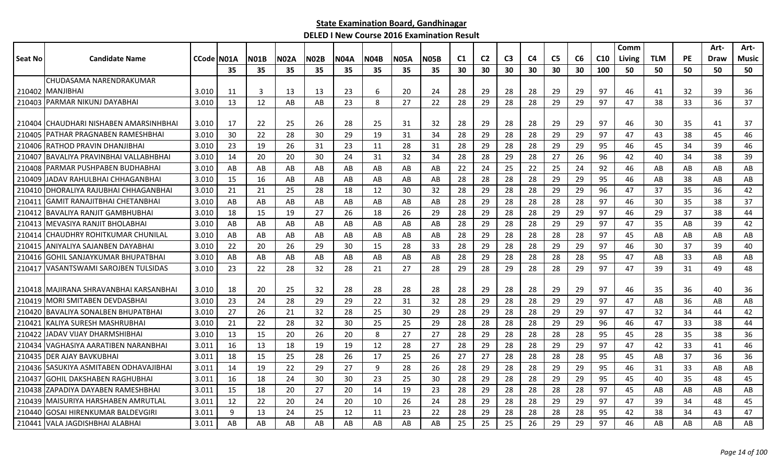|                |                                         |            |     |             |      |             |             |      |             |             |    |                |                |                |                |    |                 | Comm   |            |           | Art- | Art-  |
|----------------|-----------------------------------------|------------|-----|-------------|------|-------------|-------------|------|-------------|-------------|----|----------------|----------------|----------------|----------------|----|-----------------|--------|------------|-----------|------|-------|
| <b>Seat No</b> | <b>Candidate Name</b>                   | CCode N01A |     | <b>N01B</b> | N02A | <b>N02B</b> | <b>N04A</b> | N04B | <b>N05A</b> | <b>NO5B</b> | C1 | C <sub>2</sub> | C <sub>3</sub> | C <sub>4</sub> | C <sub>5</sub> | C6 | C <sub>10</sub> | Living | <b>TLM</b> | <b>PE</b> | Draw | Music |
|                |                                         |            | 35  | 35          | 35   | 35          | 35          | 35   | 35          | 35          | 30 | 30             | 30             | 30             | 30             | 30 | 100             | 50     | 50         | 50        | 50   | 50    |
|                | CHUDASAMA NARENDRAKUMAR                 |            |     |             |      |             |             |      |             |             |    |                |                |                |                |    |                 |        |            |           |      |       |
|                | 210402 MANJIBHAI                        | 3.010      | -11 | 3           | 13   | 13          | 23          | 6    | 20          | 24          | 28 | 29             | 28             | 28             | 29             | 29 | 97              | 46     | 41         | 32        | 39   | 36    |
| 210403         | <b>IPARMAR NIKUNJ DAYABHAI</b>          | 3.010      | 13  | 12          | AB   | AB          | 23          | 8    | 27          | 22          | 28 | 29             | 28             | 28             | 29             | 29 | 97              | 47     | 38         | 33        | 36   | 37    |
|                | 210404 CHAUDHARI NISHABEN AMARSINHBHAI  | 3.010      | 17  | 22          | 25   | 26          | 28          | 25   | 31          | 32          | 28 | 29             | 28             | 28             | 29             | 29 | 97              | 46     | 30         | 35        | 41   | 37    |
| 210405         | IPATHAR PRAGNABEN RAMESHBHAI            | 3.010      | 30  | 22          | 28   | 30          | 29          | 19   | 31          | 34          | 28 | 29             | 28             | 28             | 29             | 29 | 97              | 47     | 43         | 38        | 45   | 46    |
|                | 210406 RATHOD PRAVIN DHANJIBHAI         | 3.010      | 23  | 19          | 26   | 31          | 23          | 11   | 28          | 31          | 28 | 29             | 28             | 28             | 29             | 29 | 95              | 46     | 45         | 34        | 39   | 46    |
| 210407         | BAVALIYA PRAVINBHAI VALLABHBHAI         | 3.010      | 14  | 20          | 20   | 30          | 24          | 31   | 32          | 34          | 28 | 28             | 29             | 28             | 27             | 26 | 96              | 42     | 40         | 34        | 38   | 39    |
|                | 210408 PARMAR PUSHPABEN BUDHABHAI       | 3.010      | AB  | AB          | AB   | AB          | AB          | AB   | AB          | AB          | 22 | 24             | 25             | 22             | 25             | 24 | 92              | 46     | AB         | AB        | AB   | AB    |
|                | 210409 JADAV RAHULBHAI CHHAGANBHAI      | 3.010      | 15  | 16          | AB   | AB          | AB          | AB   | AB          | AB          | 28 | 28             | 28             | 28             | 29             | 29 | 95              | 46     | AB         | 38        | AB   | AB    |
| 210410         | DHORALIYA RAJUBHAI CHHAGANBHAI          | 3.010      | 21  | 21          | 25   | 28          | 18          | 12   | 30          | 32          | 28 | 29             | 28             | 28             | 29             | 29 | 96              | 47     | 37         | 35        | 36   | 42    |
| 210411         | <b>GAMIT RANAJITBHAI CHETANBHAI</b>     | 3.010      | AB  | AB          | AB   | AB          | AB          | AB   | AB          | AB          | 28 | 29             | 28             | 28             | 28             | 28 | 97              | 46     | 30         | 35        | 38   | 37    |
| 210412         | IBAVALIYA RANJIT GAMBHUBHAI             | 3.010      | 18  | 15          | 19   | 27          | 26          | 18   | 26          | 29          | 28 | 29             | 28             | 28             | 29             | 29 | 97              | 46     | 29         | 37        | 38   | 44    |
|                | 210413 MEVASIYA RANJIT BHOLABHAI        | 3.010      | AB  | AB          | AB   | AB          | AB          | AB   | AB          | AB          | 28 | 29             | 28             | 28             | 29             | 29 | 97              | 47     | 35         | AB        | 39   | 42    |
| 210414         | ICHAUDHRY ROHITKUMAR CHUNILAL           | 3.010      | AB  | AB          | AB   | AB          | AB          | AB   | AB          | AB          | 28 | 29             | 28             | 28             | 28             | 28 | 97              | 45     | AB         | AB        | AB   | AB    |
| 210415         | JANIYALIYA SAJANBEN DAYABHAI            | 3.010      | 22  | 20          | 26   | 29          | 30          | 15   | 28          | 33          | 28 | 29             | 28             | 28             | 29             | 29 | 97              | 46     | 30         | 37        | 39   | 40    |
| 210416         | IGOHIL SANJAYKUMAR BHUPATBHAI           | 3.010      | AB  | AB          | AB   | AB          | AB          | AB   | AB          | AB          | 28 | 29             | 28             | 28             | 28             | 28 | 95              | 47     | AB         | 33        | AB   | AB    |
| 210417         | VASANTSWAMI SAROJBEN TULSIDAS           | 3.010      | 23  | 22          | 28   | 32          | 28          | 21   | 27          | 28          | 29 | 28             | 29             | 28             | 28             | 29 | 97              | 47     | 39         | 31        | 49   | 48    |
|                | 210418 IMAJIRANA SHRAVANBHAI KARSANBHAI | 3.010      | 18  | 20          | 25   | 32          | 28          | 28   | 28          | 28          | 28 | 29             | 28             | 28             | 29             | 29 | 97              | 46     | 35         | 36        | 40   | 36    |
|                | 210419 IMORI SMITABEN DEVDASBHAI        | 3.010      | 23  | 24          | 28   | 29          | 29          | 22   | 31          | 32          | 28 | 29             | 28             | 28             | 29             | 29 | 97              | 47     | AB         | 36        | AB   | AB    |
|                | 210420 BAVALIYA SONALBEN BHUPATBHAI     | 3.010      | 27  | 26          | 21   | 32          | 28          | 25   | 30          | 29          | 28 | 29             | 28             | 28             | 29             | 29 | 97              | 47     | 32         | 34        | 44   | 42    |
|                | 210421 KALIYA SURESH MASHRUBHAI         | 3.010      | 21  | 22          | 28   | 32          | 30          | 25   | 25          | 29          | 28 | 28             | 28             | 28             | 29             | 29 | 96              | 46     | 47         | 33        | 38   | 44    |
|                | 210422 JADAV VIJAY DHARMSHIBHAI         | 3.010      | 13  | 15          | 20   | 26          | 20          | 8    | 27          | 27          | 28 | 29             | 28             | 28             | 28             | 28 | 95              | 45     | 28         | 35        | 38   | 36    |
| 210434         | VAGHASIYA AARATIBEN NARANBHAI           | 3.011      | 16  | 13          | 18   | 19          | 19          | 12   | 28          | 27          | 28 | 29             | 28             | 28             | 29             | 29 | 97              | 47     | 42         | 33        | 41   | 46    |
| 210435         | <b>IDER AJAY BAVKUBHAI</b>              | 3.011      | 18  | 15          | 25   | 28          | 26          | 17   | 25          | 26          | 27 | 27             | 28             | 28             | 28             | 28 | 95              | 45     | AB         | 37        | 36   | 36    |
| 210436         | <b>ISASUKIYA ASMITABEN ODHAVAJIBHAI</b> | 3.011      | 14  | 19          | 22   | 29          | 27          | 9    | 28          | 26          | 28 | 29             | 28             | 28             | 29             | 29 | 95              | 46     | 31         | 33        | AB   | AB    |
| 210437         | <b>GOHIL DAKSHABEN RAGHUBHAI</b>        | 3.011      | 16  | 18          | 24   | 30          | 30          | -23  | 25          | 30          | 28 | 29             | 28             | 28             | 29             | 29 | 95              | 45     | 40         | 35        | 48   | 45    |
|                | 210438 ZAPADIYA DAYABEN RAMESHBHAI      | 3.011      | 15  | 18          | 20   | 27          | 20          | -14  | 19          | 23          | 28 | 29             | 28             | 28             | 28             | 28 | 97              | 45     | AB         | AB        | AB   | AB    |
| 210439         | MAISURIYA HARSHABEN AMRUTLAL            | 3.011      | -12 | 22          | 20   | 24          | 20          | 10   | 26          | 24          | 28 | 29             | 28             | 28             | 29             | 29 | 97              | 47     | 39         | 34        | 48   | 45    |
| 210440         | GOSAI HIRENKUMAR BALDEVGIRI             | 3.011      | q   | 13          | 24   | 25          | 12          | 11   | 23          | 22          | 28 | 29             | 28             | 28             | 28             | 28 | 95              | 42     | 38         | 34        | 43   | 47    |
|                | 210441 VALA JAGDISHBHAI ALABHAI         | 3.011      | AB  | AB          | AB   | AB          | AB          | AB   | AB          | AB          | 25 | 25             | 25             | 26             | 29             | 29 | 97              | 46     | AB         | AB        | AB   | AB    |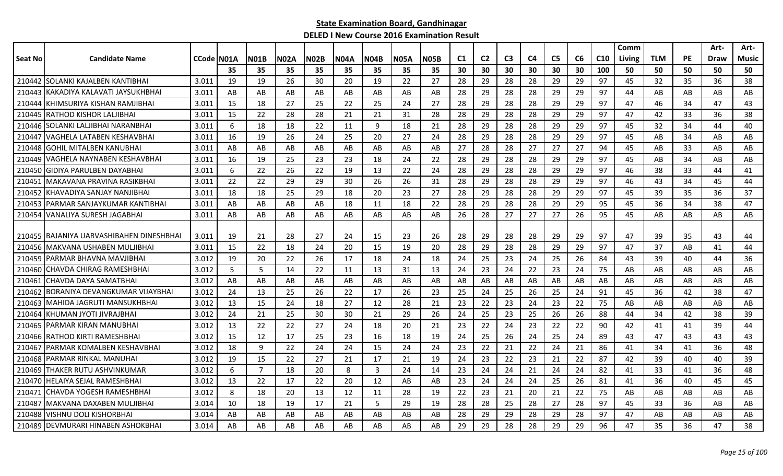|         |                                          |                    |     |                |             |             |      |             |             |      |                |                |                |    |                |    |                 | Comm   |            |    | Art- | Art-  |
|---------|------------------------------------------|--------------------|-----|----------------|-------------|-------------|------|-------------|-------------|------|----------------|----------------|----------------|----|----------------|----|-----------------|--------|------------|----|------|-------|
| Seat No | <b>Candidate Name</b>                    | <b>CCode IN01A</b> |     | <b>N01B</b>    | <b>N02A</b> | <b>N02B</b> | N04A | <b>N04B</b> | <b>N05A</b> | N05B | C <sub>1</sub> | C <sub>2</sub> | C <sub>3</sub> | C4 | C <sub>5</sub> | C6 | C <sub>10</sub> | Living | <b>TLM</b> | PE | Draw | Music |
|         |                                          |                    | 35  | 35             | 35          | 35          | 35   | 35          | 35          | 35   | 30             | 30             | 30             | 30 | 30             | 30 | 100             | 50     | 50         | 50 | 50   | 50    |
|         | 210442 SOLANKI KAJALBEN KANTIBHAI        | 3.011              | 19  | 19             | 26          | 30          | 20   | 19          | 22          | 27   | 28             | 29             | 28             | 28 | 29             | 29 | 97              | 45     | 32         | 35 | 36   | 38    |
|         | 210443 KAKADIYA KALAVATI JAYSUKHBHAI     | 3.011              | AB  | AB             | AB          | AB          | AB   | AB          | AB          | AB   | 28             | 29             | 28             | 28 | 29             | 29 | 97              | 44     | AB         | AB | AB   | AB    |
| 210444  | <b>IKHIMSURIYA KISHAN RAMJIBHAI</b>      | 3.011              | -15 | 18             | 27          | 25          | 22   | 25          | 24          | 27   | 28             | 29             | 28             | 28 | 29             | 29 | 97              | 47     | 46         | 34 | 47   | 43    |
|         | 210445 RATHOD KISHOR LALJIBHAI           | 3.011              | -15 | 22             | 28          | 28          | 21   | 21          | 31          | 28   | 28             | 29             | 28             | 28 | 29             | 29 | 97              | 47     | 42         | 33 | 36   | 38    |
|         | 210446 SOLANKI LALJIBHAI NARANBHAI       | 3.011              | 6   | 18             | 18          | 22          | 11   | -9          | 18          | 21   | 28             | 29             | 28             | 28 | 29             | 29 | 97              | 45     | 32         | 34 | 44   | 40    |
|         | 210447 VAGHELA LATABEN KESHAVBHAI        | 3.011              | 16  | 19             | 26          | 24          | 25   | 20          | 27          | 24   | 28             | 29             | 28             | 28 | 29             | 29 | 97              | 45     | AB         | 34 | AB   | AB    |
| 210448  | <b>GOHIL MITALBEN KANUBHAI</b>           | 3.011              | AB  | AB             | AB          | AB          | AB   | AB.         | AB          | AB   | 27             | 28             | 28             | 27 | 27             | 27 | 94              | 45     | AB         | 33 | AB   | AB    |
| 210449  | VAGHELA NAYNABEN KESHAVBHAI              | 3.011              | 16  | 19             | 25          | 23          | 23   | 18          | 24          | 22   | 28             | 29             | 28             | 28 | 29             | 29 | 97              | 45     | AB         | 34 | AB   | AB    |
|         | 210450 GIDIYA PARULBEN DAYABHAI          | 3.011              | 6   | 22             | 26          | 22          | 19   | 13          | 22          | 24   | 28             | 29             | 28             | 28 | 29             | 29 | 97              | 46     | 38         | 33 | 44   | 41    |
|         | 210451   MAKAVANA PRAVINA RASIKBHAI      | 3.011              | 22  | 22             | 29          | 29          | 30   | 26          | 26          | 31   | 28             | 29             | 28             | 28 | 29             | 29 | 97              | 46     | 43         | 34 | 45   | 44    |
|         | 210452 KHAVADIYA SANJAY NANJIBHAI        | 3.011              | 18  | 18             | 25          | 29          | 18   | 20          | 23          | 27   | 28             | 29             | 28             | 28 | 29             | 29 | 97              | 45     | 39         | 35 | 36   | 37    |
|         | 210453   PARMAR SANJAYKUMAR KANTIBHAI    | 3.011              | AB  | AB             | AB          | AB          | 18   | 11          | 18          | 22   | 28             | 29             | 28             | 28 | 29             | 29 | 95              | 45     | 36         | 34 | 38   | 47    |
|         | 210454 VANALIYA SURESH JAGABHAI          | 3.011              | AB  | AB             | AB          | AB          | AB   | AB          | AB          | AB   | 26             | 28             | 27             | 27 | 27             | 26 | 95              | 45     | AB         | AB | AB   | AB    |
|         |                                          |                    |     |                |             |             |      |             |             |      |                |                |                |    |                |    |                 |        |            |    |      |       |
|         | 210455 BAJANIYA UARVASHIBAHEN DINESHBHAI | 3.011              | -19 | 21             | 28          | 27          | 24   | 15          | 23          | 26   | 28             | 29             | 28             | 28 | 29             | 29 | 97              | 47     | 39         | 35 | 43   | 44    |
|         | 210456 MAKVANA USHABEN MULJIBHAI         | 3.011              | -15 | 22             | 18          | 24          | -20  | 15          | 19          | 20   | 28             | 29             | 28             | 28 | 29             | 29 | 97              | 47     | 37         | AB | 41   | 44    |
| 210459  | IPARMAR BHAVNA MAVJIBHAI                 | 3.012              | 19  | 20             | 22          | 26          | 17   | 18          | 24          | 18   | 24             | 25             | 23             | 24 | 25             | 26 | 84              | 43     | 39         | 40 | 44   | 36    |
| 210460  | <b>CHAVDA CHIRAG RAMESHBHAI</b>          | 3.012              | 5   | .5             | 14          | 22          | 11   | 13          | 31          | 13   | 24             | 23             | 24             | 22 | 23             | 24 | 75              | AB     | AB         | AB | AB   | AB    |
| 210461  | <b>CHAVDA DAYA SAMATBHAI</b>             | 3.012              | AB  | AB             | AB          | AB          | AB   | AB          | AB          | AB   | AB             | AB             | AB             | AB | AB             | AB | AB              | AB     | AB         | AB | AB   | AB    |
| 210462  | IBORANIYA DEVANGKUMAR VIJAYBHAI          | 3.012              | 24  | 13             | 25          | 26          | 22   | 17          | 26          | 23   | 25             | 24             | 25             | 26 | 25             | 24 | 91              | 45     | 36         | 42 | 38   | 47    |
| 210463  | <b>MAHIDA JAGRUTI MANSUKHBHAI</b>        | 3.012              | -13 | 15             | 24          | 18          | 27   | 12          | 28          | 21   | 23             | 22             | 23             | 24 | 23             | 22 | 75              | AB     | AB         | AB | AB   | AB    |
| 210464  | IKHUMAN JYOTI JIVRAJBHAI                 | 3.012              | 24  | 21             | 25          | 30          | 30   | 21          | 29          | 26   | 24             | 25             | 23             | 25 | 26             | 26 | 88              | 44     | 34         | 42 | 38   | 39    |
| 210465  | PARMAR KIRAN MANUBHAI                    | 3.012              | 13  | 22             | 22          | 27          | 24   | 18          | 20          | 21   | 23             | 22             | 24             | 23 | 22             | 22 | 90              | 42     | 41         | 41 | 39   | 44    |
| 210466  | <b>RATHOD KIRTI RAMESHBHAI</b>           | 3.012              | 15  | 12             | 17          | 25          | 23   | 16          | 18          | 19   | 24             | 25             | 26             | 24 | 25             | 24 | 89              | 43     | 47         | 43 | 43   | 43    |
| 210467  | PARMAR KOMALBEN KESHAVBHAI               | 3.012              | 18  | 9              | 22          | 24          | 24   | 15          | 24          | 24   | 23             | 22             | 21             | 22 | 24             | 21 | 86              | 41     | 34         | 41 | 36   | 48    |
| 210468  | <b>IPARMAR RINKAL MANUHAI</b>            | 3.012              | 19  | 15             | 22          | 27          | 21   | 17          | 21          | 19   | 24             | 23             | 22             | 23 | 21             | 22 | 87              | 42     | 39         | 40 | 40   | 39    |
| 210469  | THAKER RUTU ASHVINKUMAR                  | 3.012              | 6   | $\overline{7}$ | 18          | 20          | 8    | 3           | 24          | 14   | 23             | 24             | 24             | 21 | 24             | 24 | 82              | 41     | 33         | 41 | 36   | 48    |
|         | 210470 HELAIYA SEJAL RAMESHBHAI          | 3.012              | 13  | 22             | 17          | 22          | 20   | 12          | AB          | AB   | 23             | 24             | 24             | 24 | 25             | 26 | 81              | 41     | 36         | 40 | 45   | 45    |
|         | 210471 CHAVDA YOGESH RAMESHBHAI          | 3.012              | 8   | 18             | 20          | 13          | 12   | 11          | 28          | 19   | 22             | 23             | 21             | 20 | 21             | 22 | 75              | AB     | AB         | AB | AB   | AB    |
|         | 210487 MAKVANA DAXABEN MULJIBHAI         | 3.014              | 10  | 18             | 19          | 17          | 21   | 5           | 29          | 19   | 28             | 28             | 25             | 28 | 27             | 28 | 97              | 45     | 33         | 36 | AB   | AB    |
| 210488  | VISHNU DOLI KISHORBHAI                   | 3.014              | AB  | AB             | AB          | AB          | AB   | AB          | AB          | AB   | 28             | 29             | 29             | 28 | 29             | 28 | 97              | 47     | AB         | AB | AB   | AB    |
|         | 210489 DEVMURARI HINABEN ASHOKBHAI       | 3.014              | AB  | AB             | AB          | AB          | AB   | AB          | AB          | AB   | 29             | 29             | 28             | 28 | 29             | 29 | 96              | 47     | 35         | 36 | 47   | 38    |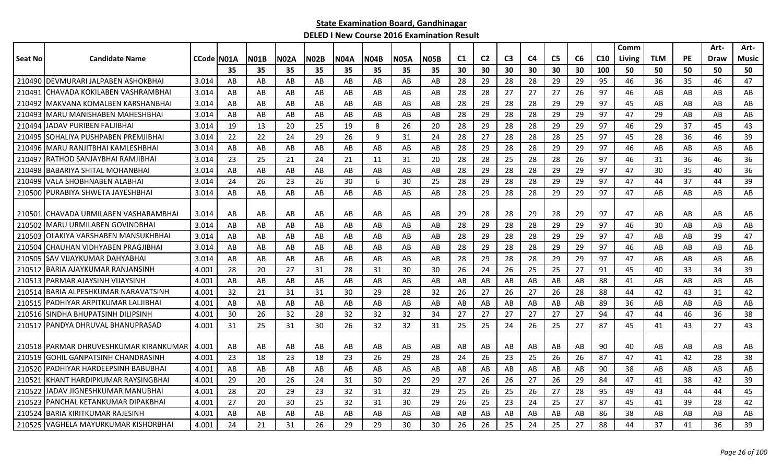|         |                                        |                    |    |             |      |             |             |      |             |             |    |                |                |    |                |    |     | Comm   |            |    | Art- | Art-  |
|---------|----------------------------------------|--------------------|----|-------------|------|-------------|-------------|------|-------------|-------------|----|----------------|----------------|----|----------------|----|-----|--------|------------|----|------|-------|
| Seat No | <b>Candidate Name</b>                  | <b>CCode IN01A</b> |    | <b>N01B</b> | N02A | <b>N02B</b> | <b>N04A</b> | NO4B | <b>N05A</b> | <b>N05B</b> | C1 | C <sub>2</sub> | C <sub>3</sub> | C4 | C <sub>5</sub> | C6 | C10 | Living | <b>TLM</b> | PE | Draw | Music |
|         |                                        |                    | 35 | 35          | 35   | 35          | 35          | 35   | 35          | 35          | 30 | 30             | 30             | 30 | 30             | 30 | 100 | 50     | 50         | 50 | 50   | 50    |
|         | 210490 DEVMURARI JALPABEN ASHOKBHAI    | 3.014              | AB | AB          | AB   | AB          | AB          | AB   | AB          | AB          | 28 | 29             | 28             | 28 | 29             | 29 | 95  | 46     | 36         | 35 | 46   | 47    |
| 210491  | ICHAVADA KOKILABEN VASHRAMBHAI         | 3.014              | AB | AB          | AB   | AB          | AB          | AB   | AB          | AB          | 28 | 28             | 27             | 27 | 27             | 26 | 97  | 46     | AB         | AB | AB   | AB    |
| 210492  | MAKVANA KOMALBEN KARSHANBHAI           | 3.014              | AB | AB          | AB   | AB          | AB          | AB   | AB          | AB          | 28 | 29             | 28             | 28 | 29             | 29 | 97  | 45     | AB         | AB | AB   | AB    |
| 210493  | IMARU MANISHABEN MAHESHBHAI            | 3.014              | AB | AB          | AB   | AB          | AB          | AB   | AB          | AB          | 28 | 29             | 28             | 28 | 29             | 29 | 97  | 47     | 29         | AB | AB   | AB    |
| 210494  | JADAV PURIBEN FALJIBHAI                | 3.014              | 19 | 13          | 20   | 25          | 19          | 8    | 26          | 20          | 28 | 29             | 28             | 28 | 29             | 29 | 97  | 46     | 29         | 37 | 45   | 43    |
| 210495  | ISOHALIYA PUSHPABEN PREMJIBHAI         | 3.014              | 22 | 22          | 24   | 29          | 26          | 9    | 31          | 24          | 28 | 27             | 28             | 28 | 28             | 25 | 97  | 45     | 28         | 36 | 46   | 39    |
| 210496  | IMARU RANJITBHAI KAMLESHBHAI           | 3.014              | AB | AB          | AB   | AB          | AB          | AB   | AB          | AB          | 28 | 29             | 28             | 28 | 29             | 29 | 97  | 46     | AB         | AB | AB   | AB    |
| 210497  | RATHOD SANJAYBHAI RAMJIBHAI            | 3.014              | 23 | 25          | 21   | 24          | 21          | 11   | 31          | 20          | 28 | 28             | 25             | 28 | 28             | 26 | 97  | 46     | 31         | 36 | 46   | 36    |
| 210498  | <b>BABARIYA SHITAL MOHANBHAI</b>       | 3.014              | AB | AB          | AB   | AB          | AB          | AB   | AB          | AB          | 28 | 29             | 28             | 28 | 29             | 29 | 97  | 47     | 30         | 35 | 40   | 36    |
| 210499  | VALA SHOBHNABEN ALABHAI                | 3.014              | 24 | 26          | 23   | 26          | 30          | 6    | 30          | 25          | 28 | 29             | 28             | 28 | 29             | 29 | 97  | 47     | 44         | 37 | 44   | 39    |
|         | 210500 PURABIYA SHWETA JAYESHBHAI      | 3.014              | AB | AB          | AB   | AB          | AB          | AB   | AB          | AB          | 28 | 29             | 28             | 28 | 29             | 29 | 97  | 47     | AB         | AB | AB   | AB    |
|         |                                        |                    |    |             |      |             |             |      |             |             |    |                |                |    |                |    |     |        |            |    |      |       |
| 210501  | ICHAVADA URMILABEN VASHARAMBHAI        | 3.014              | AB | AB          | AB   | AB          | AB          | AB   | AB          | AB          | 29 | 28             | 28             | 29 | 28             | 29 | 97  | 47     | AB         | AB | AB   | AB    |
|         | 210502 MARU URMILABEN GOVINDBHAI       | 3.014              | AB | AB          | AB   | AB          | AB          | AB   | AB          | AB          | 28 | 29             | 28             | 28 | 29             | 29 | 97  | 46     | 30         | AB | AB   | AB    |
| 210503  | OLAKIYA VARSHABEN MANSUKHBHAI          | 3.014              | AB | AB          | AB   | AB          | AB          | AB   | AB          | AB          | 28 | 29             | 28             | 28 | 29             | 29 | 97  | 47     | AB         | AB | 39   | 47    |
| 210504  | CHAUHAN VIDHYABEN PRAGJIBHAI           | 3.014              | AB | AB          | AB   | AB          | AB          | AB   | AB          | AB          | 28 | 29             | 28             | 28 | 29             | 29 | 97  | 46     | AB         | AB | AB   | AB    |
| 210505  | ISAV VIJAYKUMAR DAHYABHAI              | 3.014              | AB | AB          | AB   | AB          | AB          | AB   | AB          | AB          | 28 | 29             | 28             | 28 | 29             | 29 | 97  | 47     | AB         | AB | AB   | AB    |
| 210512  | BARIA AJAYKUMAR RANJANSINH             | 4.001              | 28 | 20          | 27   | 31          | 28          | 31   | 30          | 30          | 26 | 24             | 26             | 25 | 25             | 27 | 91  | 45     | 40         | 33 | 34   | 39    |
| 210513  | IPARMAR AJAYSINH VIJAYSINH             | 4.001              | AB | AB          | AB   | AB          | AB          | AB   | AB          | AB          | AB | AB             | AB             | AB | AB             | AB | 88  | 41     | AB         | AB | AB   | AB    |
| 210514  | IBARIA ALPESHKUMAR NARAVATSINH         | 4.001              | 32 | 21          | 31   | 31          | 30          | 29   | 28          | 32          | 26 | 27             | 26             | 27 | 26             | 28 | 88  | 44     | 42         | 43 | 31   | 42    |
|         | 210515   PADHIYAR ARPITKUMAR LALJIBHAI | 4.001              | AB | AB          | AB   | AB          | AB          | AB   | AB          | AB          | AB | AB             | AB             | AB | AB             | AB | 89  | 36     | AB         | AB | AB   | AB    |
| 210516  | SINDHA BHUPATSINH DILIPSINH            | 4.001              | 30 | 26          | 32   | 28          | 32          | 32   | 32          | 34          | 27 | 27             | 27             | 27 | 27             | 27 | 94  | 47     | 44         | 46 | 36   | 38    |
| 210517  | IPANDYA DHRUVAL BHANUPRASAD            | 4.001              | 31 | 25          | 31   | 30          | 26          | 32   | 32          | 31          | 25 | 25             | 24             | 26 | 25             | 27 | 87  | 45     | 41         | 43 | 27   | 43    |
|         |                                        |                    |    |             |      |             |             |      |             |             |    |                |                |    |                |    |     |        |            |    |      |       |
|         | 210518 PARMAR DHRUVESHKUMAR KIRANKUMAR | 4.001              | AB | AB          | AB   | AB          | AB          | AB   | AB          | AB          | AB | AB             | AB             | AB | AB             | AB | 90  | 40     | AB         | AB | AB   | AB    |
| 210519  | <b>GOHIL GANPATSINH CHANDRASINH</b>    | 4.001              | 23 | 18          | 23   | 18          | 23          | 26   | 29          | 28          | 24 | 26             | 23             | 25 | 26             | 26 | 87  | 47     | 41         | 42 | 28   | 38    |
| 210520  | PADHIYAR HARDEEPSINH BABUBHAI          | 4.001              | AB | AB          | AB   | AB          | AB          | AB   | AB          | AB          | AB | AB             | AB             | AB | AB             | AB | 90  | 38     | AB         | AB | AB   | AB    |
| 210521  | KHANT HARDIPKUMAR RAYSINGBHAI          | 4.001              | 29 | 20          | 26   | 24          | 31          | 30   | 29          | 29          | 27 | 26             | 26             | 27 | 26             | 29 | 84  | 47     | 41         | 38 | 42   | 39    |
| 210522  | JADAV JIGNESHKUMAR MANUBHAI            | 4.001              | 28 | 20          | 29   | 23          | 32          | 31   | 32          | 29          | 25 | 26             | 25             | 26 | 27             | 28 | 95  | 49     | 43         | 44 | 44   | 45    |
| 210523  | PANCHAL KETANKUMAR DIPAKBHAI           | 4.001              | 27 | 20          | 30   | 25          | 32          | 31   | 30          | 29          | 26 | 25             | 23             | 24 | 25             | 27 | 87  | 45     | 41         | 39 | 28   | 42    |
| 210524  | <b>BARIA KIRITKUMAR RAJESINH</b>       | 4.001              | AB | AB          | AB   | AB          | AB          | AB   | AB          | AB          | AB | AB             | AB             | AB | AB             | AB | 86  | 38     | AB         | AB | AB   | AB    |
|         | 210525 VAGHELA MAYURKUMAR KISHORBHAI   | 4.001              | 24 | 21          | 31   | 26          | 29          | 29   | 30          | 30          | 26 | 26             | 25             | 24 | 25             | 27 | 88  | 44     | 37         | 41 | 36   | 39    |
|         |                                        |                    |    |             |      |             |             |      |             |             |    |                |                |    |                |    |     |        |            |    |      |       |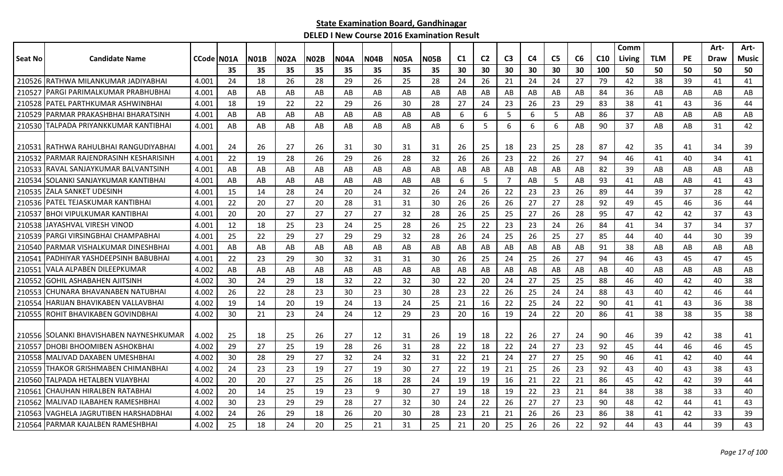|         |                                         |            |    |             |      |             |             |             |             |      |                |                |                |    |                |    |     | Comm   |            |    | Art- | Art-  |
|---------|-----------------------------------------|------------|----|-------------|------|-------------|-------------|-------------|-------------|------|----------------|----------------|----------------|----|----------------|----|-----|--------|------------|----|------|-------|
| Seat No | <b>Candidate Name</b>                   | CCode N01A |    | <b>N01B</b> | N02A | <b>N02B</b> | <b>N04A</b> | <b>N04B</b> | <b>N05A</b> | N05B | C <sub>1</sub> | C <sub>2</sub> | C <sub>3</sub> | C4 | C <sub>5</sub> | C6 | C10 | Living | <b>TLM</b> | PE | Draw | Music |
|         |                                         |            | 35 | 35          | 35   | 35          | 35          | 35          | 35          | 35   | 30             | 30             | 30             | 30 | 30             | 30 | 100 | 50     | 50         | 50 | 50   | 50    |
|         | 210526 RATHWA MILANKUMAR JADIYABHAI     | 4.001      | 24 | 18          | 26   | 28          | 29          | 26          | 25          | 28   | 24             | 26             | 21             | 24 | 24             | 27 | 79  | 42     | 38         | 39 | 41   | 41    |
| 210527  | PARGI PARIMALKUMAR PRABHUBHAI           | 4.001      | AB | AB          | AB   | AB          | AB          | AB          | AB          | AB   | AB             | AB             | AB             | AB | AB             | AB | 84  | 36     | AB         | AB | AB   | AB    |
| 210528  | <b>JPATEL PARTHKUMAR ASHWINBHAI</b>     | 4.001      | 18 | 19          | 22   | 22          | 29          | 26          | 30          | 28   | 27             | 24             | 23             | 26 | 23             | 29 | 83  | 38     | 41         | 43 | 36   | 44    |
| 210529  | IPARMAR PRAKASHBHAI BHARATSINH          | 4.001      | AB | AB          | AB   | AB          | AB          | AB          | AB          | AB   | 6              | 6              | -5             | 6  | 5              | AB | 86  | 37     | AB         | AB | AB   | AB    |
|         | 210530 TALPADA PRIYANKKUMAR KANTIBHAI   | 4.001      | AB | AB          | AB   | AB          | AB          | AB          | AB          | AB   | 6              | 5              | 6              | 6  | 6              | AB | 90  | 37     | AB         | AB | 31   | 42    |
|         |                                         |            |    |             |      |             |             |             |             |      |                |                |                |    |                |    |     |        |            |    |      |       |
| 210531  | IRATHWA RAHULBHAI RANGUDIYABHAI         | 4.001      | 24 | 26          | 27   | 26          | 31          | 30          | 31          | 31   | 26             | 25             | 18             | 23 | 25             | 28 | 87  | 42     | 35         | 41 | 34   | 39    |
| 210532  | IPARMAR RAJENDRASINH KESHARISINH        | 4.001      | 22 | 19          | 28   | 26          | 29          | 26          | 28          | 32   | 26             | 26             | 23             | 22 | 26             | 27 | 94  | 46     | 41         | 40 | 34   | 41    |
| 210533  | <b>IRAVAL SANJAYKUMAR BALVANTSINH</b>   | 4.001      | AB | AB          | AB   | AB          | AB          | AB          | AB          | AB   | AB             | AB             | AB             | AB | AB             | AB | 82  | 39     | AB         | AB | AB   | AB    |
| 210534  | ISOLANKI SANJAYKUMAR KANTIBHAI          | 4.001      | AB | AB          | AB   | AB          | AB          | AB          | AB          | AB   | 6              | 5              | $\overline{7}$ | AB | 5              | AB | 93  | 41     | AB         | AB | 41   | 43    |
| 210535  | <b>IZALA SANKET UDESINH</b>             | 4.001      | 15 | 14          | 28   | 24          | 20          | 24          | 32          | 26   | 24             | 26             | 22             | 23 | 23             | 26 | 89  | 44     | 39         | 37 | 28   | 42    |
|         | 210536   PATEL TEJASKUMAR KANTIBHAI     | 4.001      | 22 | 20          | 27   | 20          | 28          | 31          | 31          | 30   | 26             | 26             | 26             | 27 | 27             | 28 | 92  | 49     | 45         | 46 | 36   | 44    |
| 210537  | <b>IBHOI VIPULKUMAR KANTIBHAI</b>       | 4.001      | 20 | 20          | 27   | 27          | 27          | 27          | 32          | 28   | 26             | 25             | 25             | 27 | 26             | 28 | 95  | 47     | 42         | 42 | 37   | 43    |
|         | 210538 JJAYASHVAL VIRESH VINOD          | 4.001      | 12 | 18          | 25   | 23          | 24          | 25          | 28          | 26   | 25             | 22             | 23             | 23 | 24             | 26 | 84  | 41     | 34         | 37 | 34   | 37    |
| 210539  | IPARGI VIRSINGBHAI CHAMPABHAI           | 4.001      | 25 | 22          | 29   | 27          | 29          | 29          | 32          | 28   | 26             | 24             | 25             | 26 | 25             | 27 | 85  | 44     | 40         | 44 | 30   | 39    |
| 210540  | PARMAR VISHALKUMAR DINESHBHAI           | 4.001      | AB | AB          | AB   | AB          | AB          | AB          | AB          | AB   | AB             | AB             | AB             | AB | AB             | AB | 91  | 38     | AB         | AB | AB   | AB    |
| 210541  | PADHIYAR YASHDEEPSINH BABUBHAI          | 4.001      | 22 | 23          | 29   | 30          | 32          | 31          | 31          | 30   | 26             | 25             | 24             | 25 | 26             | 27 | 94  | 46     | 43         | 45 | 47   | 45    |
| 21055   | VALA ALPABEN DILEEPKUMAR                | 4.002      | AB | AB          | AB   | AB          | AB          | AB          | AB          | AB   | AB             | AB             | AB             | AB | AB             | AB | AB  | 40     | AB         | AB | AB   | AB    |
| 210552  | lGOHIL ASHABAHEN AJITSINH               | 4.002      | 30 | 24          | 29   | 18          | 32          | 22          | 32          | 30   | 22             | 20             | 24             | 27 | 25             | 25 | 88  | 46     | 40         | 42 | 40   | 38    |
| 210553  | ICHUNARA BHAVANABEN NATUBHAI            | 4.002      | 26 | 22          | 28   | 23          | 30          | 23          | 30          | 28   | 23             | 22             | 26             | 25 | 24             | 24 | 88  | 43     | 40         | 42 | 46   | 44    |
| 210554  | <b>IHARIJAN BHAVIKABEN VALLAVBHAI</b>   | 4.002      | 19 | 14          | 20   | 19          | 24          | 13          | 24          | 25   | 21             | 16             | 22             | 25 | 24             | 22 | 90  | 41     | 41         | 43 | 36   | 38    |
| 210555  | ROHIT BHAVIKABEN GOVINDBHAI             | 4.002      | 30 | 21          | 23   | 24          | 24          | 12          | 29          | 23   | 20             | 16             | 19             | 24 | 22             | 20 | 86  | 41     | 38         | 38 | 35   | 38    |
|         |                                         |            |    |             |      |             |             |             |             |      |                |                |                |    |                |    |     |        |            |    |      |       |
|         | 210556 SOLANKI BHAVISHABEN NAYNESHKUMAR | 4.002      | 25 | 18          | 25   | 26          | 27          | 12          | 31          | 26   | -19            | 18             | 22             | 26 | 27             | 24 | 90  | 46     | 39         | 42 | 38   | 41    |
| 210557  | <b>IDHOBI BHOOMIBEN ASHOKBHAI</b>       | 4.002      | 29 | 27          | 25   | 19          | 28          | 26          | 31          | 28   | 22             | 18             | 22             | 24 | 27             | 23 | 92  | 45     | 44         | 46 | 46   | 45    |
|         | 210558 MALIVAD DAXABEN UMESHBHAI        | 4.002      | 30 | 28          | 29   | 27          | 32          | 24          | 32          | 31   | 22             | 21             | 24             | 27 | 27             | 25 | 90  | 46     | 41         | 42 | 40   | 44    |
| 210559  | THAKOR GRISHMABEN CHIMANBHAI            | 4.002      | 24 | 23          | 23   | 19          | 27          | 19          | 30          | 27   | 22             | 19             | 21             | 25 | 26             | 23 | 92  | 43     | 40         | 43 | 38   | 43    |
| 210560  | ITALPADA HETALBEN VIJAYBHAI             | 4.002      | 20 | 20          | 27   | 25          | 26          | 18          | 28          | 24   | 19             | 19             | 16             | 21 | 22             | 21 | 86  | 45     | 42         | 42 | 39   | 44    |
| 210561  | CHAUHAN HIRALBEN RATABHAI               | 4.002      | 20 | 14          | 25   | 19          | 23          | 9           | 30          | 27   | 19             | 18             | 19             | 22 | 23             | 21 | 84  | 38     | 38         | 38 | 33   | 40    |
| 210562  | <b>IMALIVAD ILABAHEN RAMESHBHAI</b>     | 4.002      | 30 | 23          | 29   | 29          | 28          | 27          | 32          | 30   | 24             | 22             | 26             | 27 | 27             | 23 | 90  | 48     | 42         | 44 | 41   | 43    |
| 210563  | VAGHELA JAGRUTIBEN HARSHADBHAI          | 4.002      | 24 | 26          | 29   | 18          | 26          | 20          | 30          | 28   | 23             | 21             | 21             | 26 | 26             | 23 | 86  | 38     | 41         | 42 | 33   | 39    |
|         | 210564 PARMAR KAJALBEN RAMESHBHAI       | 4.002      | 25 | 18          | 24   | 20          | 25          | 21          | 31          | 25   | 21             | 20             | 25             | 26 | 26             | 22 | 92  | 44     | 43         | 44 | 39   | 43    |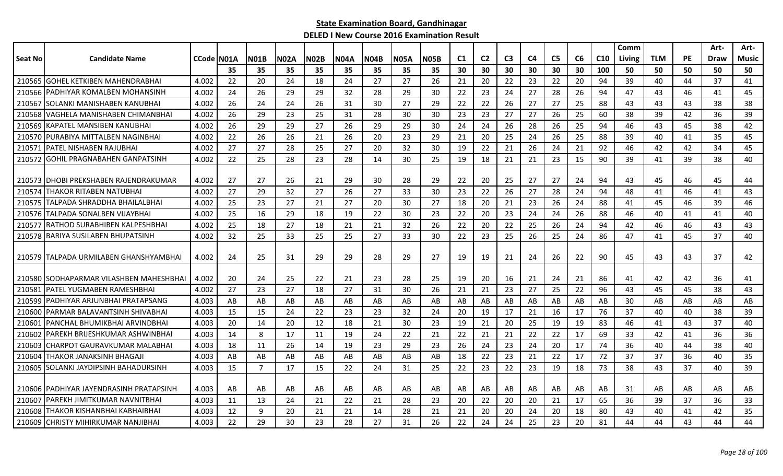|                |                                         |            |     |             |             |             |             |             |             |             |                |                |                |                |                |    |     | Comm   |            |           | Art-        | Art-         |
|----------------|-----------------------------------------|------------|-----|-------------|-------------|-------------|-------------|-------------|-------------|-------------|----------------|----------------|----------------|----------------|----------------|----|-----|--------|------------|-----------|-------------|--------------|
| <b>Seat No</b> | <b>Candidate Name</b>                   | CCode N01A |     | <b>N01B</b> | <b>N02A</b> | <b>N02B</b> | <b>N04A</b> | <b>N04B</b> | <b>N05A</b> | <b>N05B</b> | C <sub>1</sub> | C <sub>2</sub> | C <sub>3</sub> | C <sub>4</sub> | C <sub>5</sub> | C6 | C10 | Living | <b>TLM</b> | <b>PE</b> | <b>Draw</b> | <b>Music</b> |
|                |                                         |            | 35  | 35          | 35          | 35          | 35          | 35          | 35          | 35          | 30             | 30             | 30             | 30             | 30             | 30 | 100 | 50     | 50         | 50        | 50          | 50           |
| 210565         | <b>IGOHEL KETKIBEN MAHENDRABHAI</b>     | 4.002      | 22  | 20          | 24          | 18          | 24          | 27          | 27          | 26          | 21             | 20             | 22             | 23             | 22             | 20 | 94  | 39     | 40         | 44        | 37          | 41           |
| 210566         | IPADHIYAR KOMALBEN MOHANSINH            | 4.002      | 24  | 26          | 29          | 29          | 32          | 28          | 29          | 30          | 22             | 23             | 24             | 27             | 28             | 26 | 94  | 47     | 43         | 46        | 41          | 45           |
| 210567         | ISOLANKI MANISHABEN KANUBHAI            | 4.002      | 26  | 24          | 24          | 26          | 31          | 30          | 27          | 29          | 22             | 22             | 26             | 27             | 27             | 25 | 88  | 43     | 43         | 43        | 38          | 38           |
| 210568         | <b>IVAGHELA MANISHABEN CHIMANBHAI</b>   | 4.002      | 26  | 29          | 23          | 25          | 31          | 28          | 30          | 30          | 23             | 23             | 27             | 27             | 26             | 25 | 60  | 38     | 39         | 42        | 36          | 39           |
| 210569         | IKAPATEL MANSIBEN KANUBHAI              | 4.002      | 26  | 29          | 29          | 27          | 26          | 29          | 29          | 30          | 24             | 24             | 26             | 28             | 26             | 25 | 94  | 46     | 43         | 45        | 38          | 42           |
|                | 210570 PURABIYA MITTALBEN NAGINBHAI     | 4.002      | 22  | 26          | 26          | 21          | 26          | 20          | 23          | 29          | 21             | 20             | 25             | 24             | 26             | 25 | 88  | 39     | 40         | 41        | 35          | 45           |
| 21057          | PATEL NISHABEN RAJUBHAI                 | 4.002      | 27  | 27          | 28          | 25          | 27          | 20          | 32          | 30          | 19             | 22             | 21             | 26             | 24             | 21 | 92  | 46     | 42         | 42        | 34          | 45           |
| 210572         | <b>GOHIL PRAGNABAHEN GANPATSINH</b>     | 4.002      | 22  | 25          | 28          | 23          | 28          | 14          | 30          | 25          | 19             | 18             | 21             | 21             | 23             | 15 | 90  | 39     | 41         | 39        | 38          | 40           |
|                |                                         |            |     |             |             |             |             |             |             |             |                |                |                |                |                |    |     |        |            |           |             |              |
| 210573         | <b>JDHOBI PREKSHABEN RAJENDRAKUMAR</b>  | 4.002      | -27 | 27          | 26          | 21          | 29          | 30          | 28          | 29          | 22             | 20             | 25             | 27             | 27             | 24 | 94  | 43     | 45         | 46        | 45          | 44           |
| 210574         | <b>ITHAKOR RITABEN NATUBHAI</b>         | 4.002      | 27  | 29          | 32          | 27          | 26          | 27          | 33          | 30          | 23             | 22             | 26             | 27             | 28             | 24 | 94  | 48     | 41         | 46        | 41          | 43           |
|                | 210575 TALPADA SHRADDHA BHAILALBHAI     | 4.002      | 25  | 23          | 27          | 21          | 27          | 20          | 30          | 27          | 18             | 20             | 21             | 23             | 26             | 24 | 88  | 41     | 45         | 46        | 39          | 46           |
|                | 210576 TALPADA SONALBEN VIJAYBHAI       | 4.002      | 25  | 16          | 29          | 18          | 19          | 22          | 30          | 23          | 22             | 20             | 23             | 24             | 24             | 26 | 88  | 46     | 40         | 41        | 41          | 40           |
| 210577         | IRATHOD SURABHIBEN KALPESHBHAI          | 4.002      | 25  | 18          | 27          | 18          | 21          | 21          | 32          | 26          | 22             | 20             | 22             | 25             | 26             | 24 | 94  | 42     | 46         | 46        | 43          | 43           |
|                | 210578 BARIYA SUSILABEN BHUPATSINH      | 4.002      | 32  | 25          | 33          | 25          | 25          | 27          | 33          | 30          | 22             | 23             | 25             | 26             | 25             | 24 | 86  | 47     | 41         | 45        | 37          | 40           |
|                |                                         |            |     |             |             |             |             |             |             |             |                |                |                |                |                |    |     |        |            |           |             |              |
|                | 210579 ITALPADA URMILABEN GHANSHYAMBHAI | 4.002      | 24  | 25          | 31          | 29          | 29          | 28          | 29          | 27          | 19             | 19             | 21             | 24             | 26             | 22 | 90  | 45     | 43         | 43        | 37          | 42           |
|                |                                         |            |     |             |             |             |             |             |             |             |                |                |                |                |                |    |     |        |            |           |             |              |
|                | 210580 SODHAPARMAR VILASHBEN MAHESHBHAI | 4.002      | 20  | 24          | 25          | 22          | 21          | 23          | 28          | 25          | 19             | 20             | 16             | 21             | 24             | 21 | 86  | 41     | 42         | 42        | 36          | 41           |
| 210581         | IPATEL YUGMABEN RAMESHBHAI              | 4.002      | 27  | 23          | 27          | 18          | 27          | 31          | 30          | 26          | 21             | 21             | 23             | 27             | 25             | 22 | 96  | 43     | 45         | 45        | 38          | 43           |
| 210599         | PADHIYAR ARJUNBHAI PRATAPSANG           | 4.003      | AB  | AB          | AB          | AB          | AB          | AB          | AB          | AB          | AB             | AB             | AB             | AB             | AB             | AB | AB  | 30     | AB         | AB        | AB          | AB           |
| 210600         | PARMAR BALAVANTSINH SHIVABHAI           | 4.003      | -15 | 15          | 24          | 22          | 23          | 23          | 32          | 24          | 20             | 19             | 17             | 21             | 16             | 17 | 76  | 37     | 40         | 40        | 38          | 39           |
| 210601         | PANCHAL BHUMIKBHAI ARVINDBHAI           | 4.003      | 20  | 14          | 20          | 12          | 18          | 21          | 30          | 23          | 19             | 21             | 20             | 25             | 19             | 19 | 83  | 46     | 41         | 43        | 37          | 40           |
| 210602         | PAREKH BRIJESHKUMAR ASHWINBHAI          | 4.003      | 14  | 8           | 17          | 11          | 19          | 24          | 22          | 21          | 22             | 21             | 21             | 22             | 22             | 17 | 69  | 33     | 42         | 41        | 36          | 36           |
| 210603         | <b>CHARPOT GAURAVKUMAR MALABHAI</b>     | 4.003      | 18  | 11          | 26          | 14          | 19          | 23          | 29          | 23          | 26             | 24             | 23             | 24             | 20             | 17 | 74  | 36     | 40         | 44        | 38          | 40           |
| 210604         | THAKOR JANAKSINH BHAGAJI                | 4.003      | AB  | AB          | AB          | AB          | AB          | AB          | AB          | AB          | 18             | 22             | 23             | 21             | 22             | 17 | 72  | 37     | 37         | 36        | 40          | 35           |
| 210605         | ISOLANKI JAYDIPSINH BAHADURSINH         | 4.003      | 15  | 7           | 17          | 15          | 22          | 24          | 31          | 25          | 22             | 23             | 22             | 23             | 19             | 18 | 73  | 38     | 43         | 37        | 40          | 39           |
|                |                                         |            |     |             |             |             |             |             |             |             |                |                |                |                |                |    |     |        |            |           |             |              |
|                | 210606 PADHIYAR JAYENDRASINH PRATAPSINH | 4.003      | AB  | AB          | AB          | AB          | AB          | AB          | AB          | AB          | AB             | AB             | AB             | AB             | AB             | AB | AB  | 31     | AB         | AB        | AB          | AB           |
| 210607         | IPAREKH JIMITKUMAR NAVNITBHAI           | 4.003      | 11  | 13          | 24          | 21          | 22          | 21          | 28          | 23          | 20             | 22             | 20             | 20             | 21             | 17 | 65  | 36     | 39         | 37        | 36          | 33           |
| 210608         | THAKOR KISHANBHAI KABHAIBHAI            | 4.003      | 12  | 9           | 20          | 21          | 21          | 14          | 28          | 21          | 21             | 20             | 20             | 24             | 20             | 18 | 80  | 43     | 40         | 41        | 42          | 35           |
|                | 210609 CHRISTY MIHIRKUMAR NANJIBHAI     | 4.003      | 22  | 29          | 30          | 23          | 28          | 27          | 31          | 26          | 22             | 24             | 24             | 25             | 23             | 20 | 81  | 44     | 44         | 43        | 44          | 44           |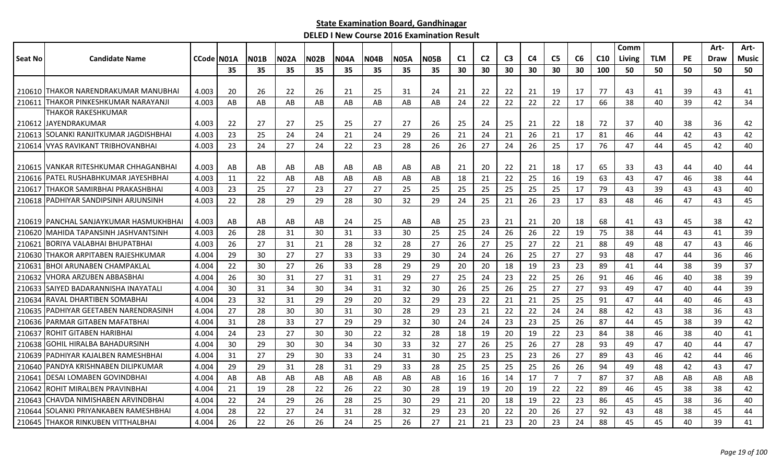|         |                                          |            |    |             |             |             |             |             |             |             |    |                |                |                |                |                |     | Comm   |            |           | Art- | Art-         |
|---------|------------------------------------------|------------|----|-------------|-------------|-------------|-------------|-------------|-------------|-------------|----|----------------|----------------|----------------|----------------|----------------|-----|--------|------------|-----------|------|--------------|
| Seat No | <b>Candidate Name</b>                    | CCode N01A |    | <b>N01B</b> | <b>N02A</b> | <b>N02B</b> | <b>NO4A</b> | <b>N04B</b> | <b>N05A</b> | <b>N05B</b> | C1 | C <sub>2</sub> | C <sub>3</sub> | C <sub>4</sub> | C <sub>5</sub> | C6             | C10 | Living | <b>TLM</b> | <b>PE</b> | Draw | <b>Music</b> |
|         |                                          |            | 35 | 35          | 35          | 35          | 35          | 35          | 35          | 35          | 30 | 30             | 30             | 30             | 30             | 30             | 100 | 50     | 50         | 50        | 50   | 50           |
|         |                                          |            |    |             |             |             |             |             |             |             |    |                |                |                |                |                |     |        |            |           |      |              |
|         | 210610   THAKOR NARENDRAKUMAR MANUBHAI   | 4.003      | 20 | 26          | 22          | 26          | 21          | 25          | 31          | 24          | 21 | 22             | 22             | 21             | 19             | 17             | 77  | 43     | 41         | 39        | 43   | 41           |
| 210611  | <b>THAKOR PINKESHKUMAR NARAYANJI</b>     | 4.003      | AB | AB          | AB          | AB          | AB          | AB          | AB          | AB          | 24 | 22             | 22             | 22             | 22             | 17             | 66  | 38     | 40         | 39        | 42   | 34           |
|         | THAKOR RAKESHKUMAR                       |            |    |             |             |             |             |             |             |             |    |                |                |                |                |                |     |        |            |           |      |              |
|         | 210612 IJAYENDRAKUMAR                    | 4.003      | 22 | 27          | 27          | 25          | 25          | 27          | 27          | 26          | 25 | 24             | 25             | -21            | 22             | 18             | 72  | 37     | 40         | 38        | 36   | 42           |
|         | 210613 SOLANKI RANJITKUMAR JAGDISHBHAI   | 4.003      | 23 | 25          | 24          | 24          | 21          | 24          | 29          | 26          | 21 | 24             | 21             | 26             | 21             | 17             | 81  | 46     | 44         | 42        | 43   | 42           |
|         | 210614 VYAS RAVIKANT TRIBHOVANBHAI       | 4.003      | 23 | 24          | 27          | 24          | 22          | 23          | 28          | 26          | 26 | 27             | 24             | 26             | 25             | 17             | 76  | 47     | 44         | 45        | 42   | 40           |
|         | 210615 VANKAR RITESHKUMAR CHHAGANBHAI    | 4.003      | AB | AB          | AB          | AB          | AB          | AB          | AB          | AB          | 21 | 20             | 22             | 21             | 18             | 17             | 65  | 33     | 43         | 44        | 40   | 44           |
| 210616  | IPATEL RUSHABHKUMAR JAYESHBHAI           | 4.003      | 11 | 22          | AB          | AB          | AB.         | AB          | AB          | AB          | 18 | 21             | 22             | 25             | 16             | 19             | 63  | 43     | 47         | 46        | 38   | 44           |
| 210617  | THAKOR SAMIRBHAI PRAKASHBHAI             | 4.003      | 23 | 25          | 27          | 23          | 27          | 27          | 25          | 25          | 25 | 25             | 25             | 25             | 25             | 17             | 79  | 43     | 39         | 43        | 43   | 40           |
|         | 210618 PADHIYAR SANDIPSINH ARJUNSINH     | 4.003      | 22 | 28          | 29          | 29          | 28          | 30          | 32          | 29          | 24 | 25             | 21             | 26             | 23             | 17             | 83  | 48     | 46         | 47        | 43   | 45           |
|         |                                          |            |    |             |             |             |             |             |             |             |    |                |                |                |                |                |     |        |            |           |      |              |
|         | 210619   PANCHAL SANJAYKUMAR HASMUKHBHAI | 4.003      | AB | AB          | AB          | AB          | 24          | 25          | AB          | AB          | 25 | 23             | 21             | -21            | 20             | 18             | 68  | 41     | 43         | 45        | 38   | 42           |
|         | 210620 MAHIDA TAPANSINH JASHVANTSINH     | 4.003      | 26 | 28          | 31          | 30          | 31          | 33          | 30          | 25          | 25 | 24             | 26             | 26             | 22             | 19             | 75  | 38     | 44         | 43        | 41   | 39           |
| 210621  | <b>BORIYA VALABHAI BHUPATBHAI</b>        | 4.003      | 26 | 27          | 31          | 21          | 28          | 32          | 28          | 27          | 26 | 27             | 25             | 27             | 22             | 21             | 88  | 49     | 48         | 47        | 43   | 46           |
| 210630  | <b>ITHAKOR ARPITABEN RAJESHKUMAR</b>     | 4.004      | 29 | 30          | 27          | 27          | 33          | 33          | 29          | 30          | 24 | 24             | 26             | 25             | 27             | 27             | 93  | 48     | 47         | 44        | 36   | 46           |
| 210631  | <b>BHOI ARUNABEN CHAMPAKLAL</b>          | 4.004      | 22 | 30          | 27          | 26          | 33          | 28          | 29          | 29          | 20 | 20             | 18             | 19             | 23             | 23             | 89  | 41     | 44         | 38        | 39   | 37           |
|         | 210632 VHORA ARZUBEN ABBASBHAI           | 4.004      | 26 | 30          | 31          | 27          | 31          | 31          | 29          | 27          | 25 | 24             | 23             | 22             | 25             | 26             | 91  | 46     | 46         | 40        | 38   | 39           |
|         | 210633 SAIYED BADARANNISHA INAYATALI     | 4.004      | 30 | 31          | 34          | 30          | 34          | 31          | 32          | 30          | 26 | 25             | 26             | 25             | 27             | 27             | 93  | 49     | 47         | 40        | 44   | 39           |
| 210634  | IRAVAL DHARTIBEN SOMABHAI                | 4.004      | 23 | 32          | 31          | 29          | 29          | 20          | 32          | 29          | 23 | 22             | 21             | 21             | 25             | 25             | 91  | 47     | 44         | 40        | 46   | 43           |
|         | 210635 PADHIYAR GEETABEN NARENDRASINH    | 4.004      | 27 | 28          | 30          | 30          | 31          | 30          | 28          | 29          | 23 | 21             | 22             | 22             | 24             | 24             | 88  | 42     | 43         | 38        | 36   | 43           |
|         | 210636 PARMAR GITABEN MAFATBHAI          | 4.004      | 31 | 28          | 33          | 27          | 29          | 29          | 32          | 30          | 24 | 24             | 23             | 23             | 25             | 26             | 87  | 44     | 45         | 38        | 39   | 42           |
| 210637  | ROHIT GITABEN HARIBHAI                   | 4.004      | 24 | 23          | 27          | 30          | 30          | 22          | 32          | 28          | 18 | 19             | 20             | 19             | 22             | 23             | 84  | 38     | 46         | 38        | 40   | 41           |
| 210638  | <b>GOHIL HIRALBA BAHADURSINH</b>         | 4.004      | 30 | 29          | 30          | 30          | 34          | 30          | 33          | 32          | 27 | 26             | 25             | 26             | 27             | 28             | 93  | 49     | 47         | 40        | 44   | 47           |
| 210639  | <b>PADHIYAR KAJALBEN RAMESHBHAI</b>      | 4.004      | 31 | 27          | 29          | 30          | 33          | 24          | 31          | 30          | 25 | 23             | 25             | 23             | 26             | 27             | 89  | 43     | 46         | 42        | 44   | 46           |
| 210640  | PANDYA KRISHNABEN DILIPKUMAR             | 4.004      | 29 | 29          | 31          | 28          | 31          | 29          | 33          | 28          | 25 | 25             | 25             | 25             | 26             | 26             | 94  | 49     | 48         | 42        | 43   | 47           |
| 210641  | <b>DESAI LOMABEN GOVINDBHAI</b>          | 4.004      | AB | AB          | AB          | AB          | AB          | AB          | AB          | AB          | 16 | 16             | 14             | 17             | $\overline{7}$ | $\overline{7}$ | 87  | 37     | AB         | AB        | AB   | AB           |
| 210642  | ROHIT MIRALBEN PRAVINBHAI                | 4.004      | 21 | 19          | 28          | 22          | 26          | 22          | 30          | 28          | 19 | 19             | 20             | 19             | 22             | 22             | 89  | 46     | 45         | 38        | 38   | 42           |
| 210643  | CHAVDA NIMISHABEN ARVINDBHAI             | 4.004      | 22 | 24          | 29          | 26          | 28          | 25          | 30          | 29          | 21 | 20             | 18             | 19             | 22             | 23             | 86  | 45     | 45         | 38        | 36   | 40           |
| 210644  | SOLANKI PRIYANKABEN RAMESHBHAI           | 4.004      | 28 | 22          | 27          | 24          | 31          | 28          | 32          | 29          | 23 | 20             | 22             | 20             | 26             | 27             | 92  | 43     | 48         | 38        | 45   | 44           |
|         | 210645 THAKOR RINKUBEN VITTHALBHAI       | 4.004      | 26 | 22          | 26          | 26          | 24          | 25          | 26          | 27          | 21 | 21             | 23             | 20             | 23             | 24             | 88  | 45     | 45         | 40        | 39   | 41           |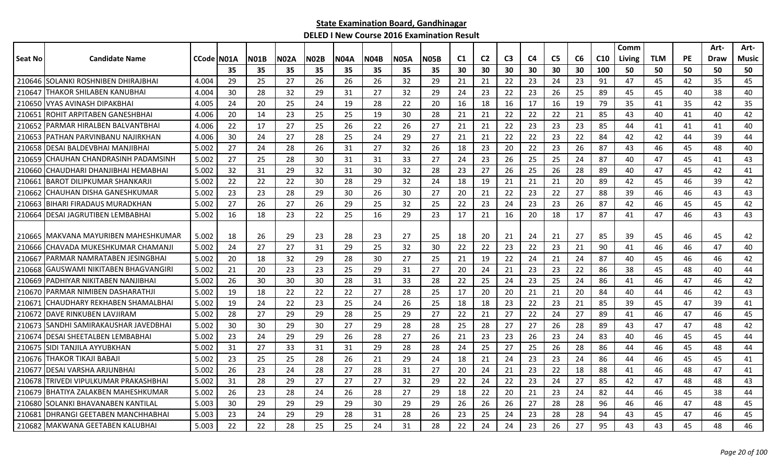|         |                                       |            |    |      |      |             |             |      |             |             |     |                |                |                |                |    |     | Comm   |            |    | Art- | Art-  |
|---------|---------------------------------------|------------|----|------|------|-------------|-------------|------|-------------|-------------|-----|----------------|----------------|----------------|----------------|----|-----|--------|------------|----|------|-------|
| Seat No | <b>Candidate Name</b>                 | CCode N01A |    | N01B | N02A | <b>N02B</b> | <b>N04A</b> | NO4B | <b>N05A</b> | <b>N05B</b> | C1  | C <sub>2</sub> | C <sub>3</sub> | C <sub>4</sub> | C <sub>5</sub> | C6 | C10 | Living | <b>TLM</b> | PE | Draw | Music |
|         |                                       |            | 35 | 35   | 35   | 35          | 35          | 35   | 35          | 35          | 30  | 30             | 30             | 30             | 30             | 30 | 100 | 50     | 50         | 50 | 50   | 50    |
|         | 210646 SOLANKI ROSHNIBEN DHIRAJBHAI   | 4.004      | 29 | 25   | 27   | 26          | 26          | 26   | 32          | 29          | 21  | 21             | 22             | 23             | 24             | 23 | 91  | 47     | 45         | 42 | 35   | 45    |
| 210647  | THAKOR SHILABEN KANUBHAI              | 4.004      | 30 | 28   | 32   | 29          | 31          | 27   | 32          | 29          | 24  | 23             | 22             | 23             | 26             | 25 | 89  | 45     | 45         | 40 | 38   | 40    |
| 210650  | VYAS AVINASH DIPAKBHAI                | 4.005      | 24 | 20   | 25   | 24          | 19          | 28   | 22          | 20          | -16 | 18             | 16             | 17             | 16             | 19 | 79  | 35     | 41         | 35 | 42   | 35    |
| 210651  | IROHIT ARPITABEN GANESHBHAI           | 4.006      | 20 | 14   | 23   | 25          | 25          | 19   | 30          | 28          | 21  | 21             | 22             | 22             | 22             | 21 | 85  | 43     | 40         | 41 | 40   | 42    |
| 210652  | IPARMAR HIRALBEN BALVANTBHAI          | 4.006      | 22 | 17   | 27   | 25          | 26          | 22   | 26          | 27          | 21  | 21             | 22             | 23             | 23             | 23 | 85  | 44     | 41         | 41 | 41   | 40    |
| 210653  | <b>IPATHAN PARVINBANU NAJIRKHAN</b>   | 4.006      | 30 | 24   | 27   | 28          | 25          | 24   | 29          | 27          | 21  | 21             | 22             | 22             | 23             | 22 | 84  | 42     | 42         | 44 | 39   | 44    |
| 210658  | IDESAI BALDEVBHAI MANJIBHAI           | 5.002      | 27 | 24   | 28   | 26          | 31          | 27   | 32          | 26          | 18  | 23             | 20             | 22             | 23             | 26 | 87  | 43     | 46         | 45 | 48   | 40    |
| 210659  | CHAUHAN CHANDRASINH PADAMSINH         | 5.002      | 27 | 25   | 28   | 30          | 31          | 31   | 33          | 27          | 24  | 23             | 26             | 25             | 25             | 24 | 87  | 40     | 47         | 45 | 41   | 43    |
| 210660  | CHAUDHARI DHANJIBHAI HEMABHAI         | 5.002      | 32 | 31   | 29   | 32          | 31          | 30   | 32          | 28          | 23  | 27             | 26             | 25             | 26             | 28 | 89  | 40     | 47         | 45 | 42   | 41    |
| 210661  | <b>BAROT DILIPKUMAR SHANKARJI</b>     | 5.002      | 22 | 22   | 22   | 30          | 28          | 29   | 32          | 24          | 18  | 19             | 21             | 21             | 21             | 20 | 89  | 42     | 45         | 46 | 39   | 42    |
| 210662  | ICHAUHAN DISHA GANESHKUMAR            | 5.002      | 23 | 23   | 28   | 29          | 30          | 26   | 30          | 27          | 20  | 21             | 22             | 23             | 22             | 27 | 88  | 39     | 46         | 46 | 43   | 43    |
| 210663  | BIHARI FIRADAUS MURADKHAN             | 5.002      | 27 | 26   | 27   | 26          | 29          | 25   | 32          | 25          | 22  | 23             | 24             | 23             | 23             | 26 | 87  | 42     | 46         | 45 | 45   | 42    |
|         | 210664 DESAI JAGRUTIBEN LEMBABHAI     | 5.002      | 16 | 18   | 23   | 22          | 25          | 16   | 29          | 23          | 17  | 21             | 16             | 20             | 18             | 17 | 87  | 41     | 47         | 46 | 43   | 43    |
|         |                                       |            |    |      |      |             |             |      |             |             |     |                |                |                |                |    |     |        |            |    |      |       |
|         | 210665 IMAKVANA MAYURIBEN MAHESHKUMAR | 5.002      | 18 | 26   | 29   | 23          | 28          | 23   | 27          | 25          | 18  | 20             | 21             | 24             | 21             | 27 | 85  | 39     | 45         | 46 | 45   | 42    |
|         | 210666 ICHAVADA MUKESHKUMAR CHAMANJI  | 5.002      | 24 | 27   | 27   | 31          | 29          | 25   | 32          | 30          | 22  | 22             | 23             | 22             | 23             | 21 | 90  | 41     | 46         | 46 | 47   | 40    |
| 210667  | PARMAR NAMRATABEN JESINGBHAI          | 5.002      | 20 | 18   | 32   | 29          | 28          | 30   | 27          | 25          | 21  | 19             | 22             | 24             | 21             | 24 | 87  | 40     | 45         | 46 | 46   | 42    |
| 210668  | GAUSWAMI NIKITABEN BHAGVANGIRI        | 5.002      | 21 | 20   | 23   | 23          | 25          | 29   | 31          | 27          | 20  | 24             | 21             | 23             | 23             | 22 | 86  | 38     | 45         | 48 | 40   | 44    |
| 210669  | PADHIYAR NIKITABEN NANJIBHAI          | 5.002      | 26 | 30   | 30   | 30          | 28          | 31   | 33          | 28          | 22  | 25             | 24             | 23             | 25             | 24 | 86  | 41     | 46         | 47 | 46   | 42    |
| 210670  | IPARMAR NIMIBEN DASHARATHJI           | 5.002      | 19 | 18   | 22   | 22          | 22          | 27   | 28          | 25          | 17  | 20             | 20             | 21             | 21             | 20 | 84  | 40     | 44         | 46 | 42   | 43    |
| 210671  | ICHAUDHARY REKHABEN SHAMALBHAI        | 5.002      | 19 | 24   | 22   | 23          | 25          | 24   | 26          | 25          | 18  | 18             | 23             | 22             | 23             | 21 | 85  | 39     | 45         | 47 | 39   | 41    |
| 210672  | <b>IDAVE RINKUBEN LAVJIRAM</b>        | 5.002      | 28 | 27   | 29   | 29          | 28          | 25   | 29          | 27          | 22  | 21             | 27             | 22             | 24             | 27 | 89  | 41     | 46         | 47 | 46   | 45    |
| 210673  | ISANDHI SAMIRAKAUSHAR JAVEDBHAI       | 5.002      | 30 | 30   | 29   | 30          | 27          | 29   | 28          | 28          | 25  | 28             | 27             | 27             | 26             | 28 | 89  | 43     | 47         | 47 | 48   | 42    |
| 210674  | <b>IDESAI SHEETALBEN LEMBABHAI</b>    | 5.002      | 23 | 24   | 29   | 29          | 26          | 28   | 27          | 26          | 21  | 23             | 23             | 26             | 23             | 24 | 83  | 40     | 46         | 45 | 45   | 44    |
| 210675  | ISIDI TANJILA AYYUBKHAN               | 5.002      | 31 | 27   | 33   | 31          | 31          | 29   | 28          | 28          | 24  | 25             | 27             | 25             | 26             | 28 | 86  | 44     | 46         | 45 | 48   | 44    |
| 210676  | THAKOR TIKAJI BABAJ                   | 5.002      | 23 | 25   | 25   | 28          | 26          | 21   | 29          | 24          | 18  | 21             | 24             | 23             | 23             | 24 | 86  | 44     | 46         | 45 | 45   | 41    |
| 210677  | <b>I</b> DESAI VARSHA ARJUNBHAI       | 5.002      | 26 | 23   | 24   | 28          | 27          | 28   | 31          | 27          | 20  | 24             | 21             | 23             | 22             | 18 | 88  | 41     | 46         | 48 | 47   | 41    |
| 210678  | <b>TRIVEDI VIPULKUMAR PRAKASHBHAI</b> | 5.002      | 31 | 28   | 29   | 27          | 27          | 27   | 32          | 29          | 22  | 24             | 22             | 23             | 24             | 27 | 85  | 42     | 47         | 48 | 48   | 43    |
| 210679  | <b>IBHATIYA ZALAKBEN MAHESHKUMAR</b>  | 5.002      | 26 | 23   | 28   | 24          | 26          | 28   | 27          | 29          | 18  | 22             | 20             | 21             | 23             | 24 | 82  | 44     | 46         | 45 | 38   | 44    |
| 210680  | SOLANKI BHAVANABEN KANTILAL           | 5.003      | 30 | 29   | 29   | 29          | 29          | 30   | 29          | 29          | 26  | 26             | 26             | 27             | 28             | 28 | 96  | 46     | 46         | 47 | 48   | 45    |
| 210681  | IDHRANGI GEETABEN MANCHHABHAI         | 5.003      | 23 | 24   | 29   | 29          | 28          | 31   | 28          | 26          | 23  | 25             | 24             | 23             | 28             | 28 | 94  | 43     | 45         | 47 | 46   | 45    |
|         | 210682 MAKWANA GEETABEN KALUBHAI      | 5.003      | 22 | 22   | 28   | 25          | 25          | 24   | 31          | 28          | 22  | 24             | 24             | 23             | 26             | 27 | 95  | 43     | 43         | 45 | 48   | 46    |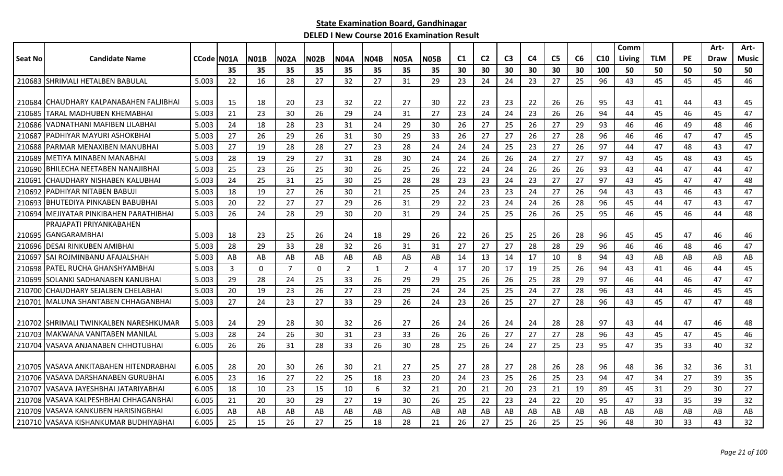|                |                                          |                   |    |              |                |              |                |      |                |             |     |                |                |    |                |    |     | Comm   |            |           | Art- | Art-         |
|----------------|------------------------------------------|-------------------|----|--------------|----------------|--------------|----------------|------|----------------|-------------|-----|----------------|----------------|----|----------------|----|-----|--------|------------|-----------|------|--------------|
| <b>Seat No</b> | <b>Candidate Name</b>                    | <b>CCode N01A</b> |    | <b>N01B</b>  | <b>N02A</b>    | <b>N02B</b>  | <b>N04A</b>    | N04B | N05A           | <b>N05B</b> | C1  | C <sub>2</sub> | C <sub>3</sub> | C4 | C <sub>5</sub> | C6 | C10 | Living | <b>TLM</b> | <b>PE</b> | Draw | <b>Music</b> |
|                |                                          |                   | 35 | 35           | 35             | 35           | 35             | 35   | 35             | 35          | 30  | 30             | 30             | 30 | 30             | 30 | 100 | 50     | 50         | 50        | 50   | 50           |
| 210683         | SHRIMALI HETALBEN BABULAL                | 5.003             | 22 | 16           | 28             | 27           | 32             | 27   | 31             | 29          | 23  | 24             | 24             | 23 | 27             | 25 | 96  | 43     | 45         | 45        | 45   | 46           |
|                |                                          |                   |    |              |                |              |                |      |                |             |     |                |                |    |                |    |     |        |            |           |      |              |
| 210684         | ICHAUDHARY KALPANABAHEN FALJIBHAI        | 5.003             | 15 | 18           | 20             | 23           | 32             | 22   | 27             | 30          | 22  | 23             | 23             | 22 | 26             | 26 | 95  | 43     | 41         | 44        | 43   | 45           |
| 210685         | TARAL MADHUBEN KHEMABHAI                 | 5.003             | 21 | 23           | 30             | 26           | 29             | 24   | 31             | 27          | 23  | 24             | 24             | 23 | 26             | 26 | 94  | 44     | 45         | 46        | 45   | 47           |
| 210686         | lVADNATHANI MAFIBEN LILABHAI             | 5.003             | 24 | 18           | 28             | 23           | 31             | 24   | 29             | 30          | 26  | 27             | 25             | 26 | 27             | 29 | 93  | 46     | 46         | 49        | 48   | 46           |
| 210687         | <b>PADHIYAR MAYURI ASHOKBHAI</b>         | 5.003             | 27 | 26           | 29             | 26           | 31             | 30   | 29             | 33          | 26  | 27             | 27             | 26 | 27             | 28 | 96  | 46     | 46         | 47        | 47   | 45           |
| 210688         | PARMAR MENAXIBEN MANUBHAI                | 5.003             | 27 | 19           | 28             | 28           | 27             | 23   | 28             | 24          | 24  | 24             | 25             | 23 | 27             | 26 | 97  | 44     | 47         | 48        | 43   | 47           |
| 210689         | METIYA MINABEN MANABHAI                  | 5.003             | 28 | 19           | 29             | 27           | 31             | 28   | 30             | 24          | 24  | 26             | 26             | 24 | 27             | 27 | 97  | 43     | 45         | 48        | 43   | 45           |
| 210690         | <b>BHILECHA NEETABEN NANAJIBHAI</b>      | 5.003             | 25 | 23           | 26             | 25           | 30             | 26   | 25             | 26          | 22  | 24             | 24             | 26 | 26             | 26 | 93  | 43     | 44         | 47        | 44   | 47           |
| 21069          | CHAUDHARY NISHABEN KALUBHAI              | 5.003             | 24 | 25           | 31             | 25           | 30             | 25   | 28             | 28          | 23  | 23             | 24             | 23 | 27             | 27 | 97  | 43     | 45         | 47        | 47   | 48           |
| 210692         | PADHIYAR NITABEN BABUJI                  | 5.003             | 18 | 19           | 27             | 26           | 30             | 21   | 25             | 25          | 24  | 23             | 23             | 24 | 27             | 26 | 94  | 43     | 43         | 46        | 43   | 47           |
|                | 210693 BHUTEDIYA PINKABEN BABUBHAI       | 5.003             | 20 | 22           | 27             | 27           | 29             | 26   | 31             | 29          | 22  | 23             | 24             | 24 | 26             | 28 | 96  | 45     | 44         | 47        | 43   | 47           |
|                | 210694 MEJIYATAR PINKIBAHEN PARATHIBHAI  | 5.003             | 26 | 24           | 28             | 29           | 30             | 20   | 31             | 29          | 24  | 25             | 25             | 26 | 26             | 25 | 95  | 46     | 45         | 46        | 44   | 48           |
|                | PRAJAPATI PRIYANKABAHEN                  |                   |    |              |                |              |                |      |                |             |     |                |                |    |                |    |     |        |            |           |      |              |
|                | 210695 GANGARAMBHAI                      | 5.003             | 18 | 23           | 25             | 26           | 24             | 18   | 29             | 26          | 22  | 26             | 25             | 25 | 26             | 28 | 96  | 45     | 45         | 47        | 46   | 46           |
| 210696         | <b>DESAI RINKUBEN AMIBHAI</b>            | 5.003             | 28 | 29           | 33             | 28           | 32             | 26   | 31             | 31          | 27  | 27             | 27             | 28 | 28             | 29 | 96  | 46     | 46         | 48        | 46   | 47           |
| 210697         | SAI ROJMINBANU AFAJALSHAH                | 5.003             | AB | AB           | AB             | AB           | AB             | AB   | AB             | AB          | 14  | 13             | 14             | 17 | 10             | 8  | 94  | 43     | AB         | AB        | AB   | AB           |
| 210698         | lPATEL RUCHA GHANSHYAMBHAI               | 5.003             | 3  | $\mathbf{0}$ | $\overline{7}$ | $\mathbf{0}$ | $\overline{2}$ | 1    | $\overline{2}$ | 4           | 17  | 20             | 17             | 19 | 25             | 26 | 94  | 43     | 41         | 46        | 44   | 45           |
| 210699         | SOLANKI SADHANABEN KANUBHAI              | 5.003             | 29 | 28           | 24             | 25           | 33             | 26   | 29             | 29          | 25  | 26             | 26             | 25 | 28             | 29 | 97  | 46     | 44         | 46        | 47   | 47           |
|                | 210700 CHAUDHARY SEJALBEN CHELABHAI      | 5.003             | 20 | 19           | 23             | 26           | 27             | 23   | 29             | 24          | 24  | 25             | 25             | 24 | 27             | 28 | 96  | 43     | 44         | 46        | 45   | 45           |
| 210701         | MALUNA SHANTABEN CHHAGANBHAI             | 5.003             | 27 | 24           | 23             | 27           | 33             | 29   | 26             | 24          | 23  | 26             | 25             | 27 | 27             | 28 | 96  | 43     | 45         | 47        | 47   | 48           |
|                |                                          |                   |    |              |                |              |                |      |                |             |     |                |                |    |                |    |     |        |            |           |      |              |
| 210702         | SHRIMALI TWINKALBEN NARESHKUMAR          | 5.003             | 24 | 29           | 28             | 30           | 32             | 26   | 27             | 26          | -24 | 26             | 24             | 24 | 28             | 28 | 97  | 43     | 44         | 47        | 46   | 48           |
| 210703         | lMAKWANA VANITABEN MANILAL               | 5.003             | 28 | 24           | 26             | 30           | 31             | 23   | 33             | 26          | 26  | 26             | 27             | 27 | 27             | 28 | 96  | 43     | 45         | 47        | 45   | 46           |
| 210704         | <b>IVASAVA ANJANABEN CHHOTUBHAI</b>      | 6.005             | 26 | 26           | 31             | 28           | 33             | 26   | 30             | 28          | 25  | 26             | 24             | 27 | 25             | 23 | 95  | 47     | 35         | 33        | 40   | 32           |
|                |                                          |                   |    |              |                |              |                |      |                |             |     |                |                |    |                |    |     |        |            |           |      |              |
|                | 210705   VASAVA ANKITABAHEN HITENDRABHAI | 6.005             | 28 | 20           | 30             | 26           | 30             | 21   | 27             | 25          | 27  | 28             | 27             | 28 | 26             | 28 | 96  | 48     | 36         | 32        | 36   | 31           |
| 210706         | IVASAVA DARSHANABEN GURUBHAI             | 6.005             | 23 | 16           | 27             | 22           | 25             | 18   | 23             | 20          | 24  | 23             | 25             | 26 | 25             | 23 | 94  | 47     | 34         | 27        | 39   | 35           |
| 210707         | VASAVA JAYESHBHAI JATARIYABHAI           | 6.005             | 18 | 10           | 23             | 15           | 10             | 6    | 32             | 21          | 20  | 21             | 20             | 23 | 21             | 19 | 89  | 45     | 31         | 29        | 30   | 27           |
| 210708         | VASAVA KALPESHBHAI CHHAGANBHAI           | 6.005             | 21 | 20           | 30             | 29           | 27             | 19   | 30             | 26          | 25  | 22             | 23             | 24 | 22             | 20 | 95  | 47     | 33         | 35        | 39   | 32           |
| 210709         | VASAVA KANKUBEN HARISINGBHAI             | 6.005             | AB | AB           | AB             | AB           | AB             | AB   | AB             | AB          | AB  | AB             | AB             | AB | AB             | AB | AB  | AB     | AB         | AB        | AB   | AB           |
|                | 210710 VASAVA KISHANKUMAR BUDHIYABHAI    | 6.005             | 25 | 15           | 26             | 27           | 25             | 18   | 28             | 21          | 26  | 27             | 25             | 26 | 25             | 25 | 96  | 48     | 30         | 33        | 43   | 32           |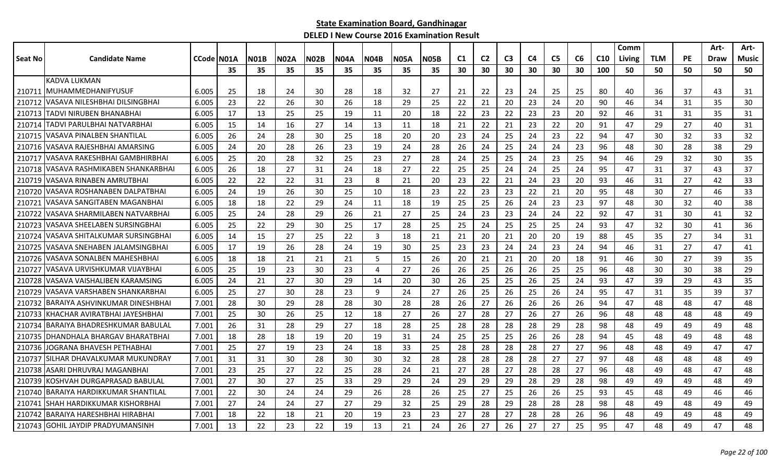|         |                                       |                    |    |             |      |             |      |      |             |             |                |                |                |                |                |                |                 | Comm   |            |           | Art- | Art-  |
|---------|---------------------------------------|--------------------|----|-------------|------|-------------|------|------|-------------|-------------|----------------|----------------|----------------|----------------|----------------|----------------|-----------------|--------|------------|-----------|------|-------|
| Seat No | <b>Candidate Name</b>                 | <b>CCode IN01A</b> |    | <b>N01B</b> | N02A | <b>N02B</b> | N04A | N04B | <b>N05A</b> | <b>N05B</b> | C <sub>1</sub> | C <sub>2</sub> | C <sub>3</sub> | C <sub>4</sub> | C <sub>5</sub> | C <sub>6</sub> | C <sub>10</sub> | Living | <b>TLM</b> | <b>PE</b> | Draw | Music |
|         |                                       |                    | 35 | 35          | 35   | 35          | 35   | 35   | 35          | 35          | 30             | 30             | 30             | 30             | 30             | 30             | 100             | 50     | 50         | 50        | 50   | 50    |
|         | <b>KADVA LUKMAN</b>                   |                    |    |             |      |             |      |      |             |             |                |                |                |                |                |                |                 |        |            |           |      |       |
|         | 210711 IMUHAMMEDHANIFYUSUF            | 6.005              | 25 | 18          | 24   | 30          | 28   | 18   | 32          | 27          | 21             | 22             | 23             | 24             | 25             | 25             | 80              | 40     | 36         | 37        | 43   | 31    |
|         | 210712 VASAVA NILESHBHAI DILSINGBHAI  | 6.005              | 23 | 22          | 26   | 30          | 26   | 18   | 29          | 25          | 22             | 21             | 20             | 23             | 24             | 20             | 90              | 46     | 34         | 31        | 35   | 30    |
|         | 210713 TADVI NIRUBEN BHANABHAI        | 6.005              | 17 | 13          | 25   | 25          | 19   | 11   | 20          | 18          | 22             | 23             | 22             | 23             | 23             | 20             | 92              | 46     | 31         | 31        | 35   | 31    |
| 210714  | TADVI PARULBHAI NATVARBHAI            | 6.005              | 15 | 14          | 16   | 27          | 14   | 13   | 11          | 18          | 21             | 22             | 21             | 23             | 22             | 20             | 91              | 47     | 29         | 27        | 40   | 31    |
|         | 210715 VASAVA PINALBEN SHANTILAL      | 6.005              | 26 | 24          | 28   | 30          | 25   | 18   | 20          | 20          | 23             | 24             | 25             | 24             | 23             | 22             | 94              | 47     | 30         | 32        | 33   | 32    |
|         | 210716 VASAVA RAJESHBHAI AMARSING     | 6.005              | 24 | 20          | 28   | 26          | 23   | 19   | 24          | 28          | 26             | 24             | 25             | 24             | 24             | 23             | 96              | 48     | 30         | 28        | 38   | 29    |
|         | 210717 VASAVA RAKESHBHAI GAMBHIRBHAI  | 6.005              | 25 | 20          | 28   | 32          | 25   | 23   | 27          | 28          | 24             | 25             | 25             | 24             | 23             | 25             | 94              | 46     | 29         | 32        | 30   | 35    |
| 210718  | VASAVA RASHMIKABEN SHANKARBHAI        | 6.005              | 26 | 18          | 27   | 31          | 24   | 18   | 27          | 22          | 25             | 25             | 24             | 24             | 25             | 24             | 95              | 47     | 31         | 37        | 43   | 37    |
| 210719  | VASAVA RINABEN AMRUTBHAI              | 6.005              | 22 | 22          | 22   | 31          | 23   | 8    | 21          | 20          | 23             | 22             | 21             | 24             | 23             | 20             | 93              | 46     | 31         | 27        | 42   | 33    |
| 210720  | VASAVA ROSHANABEN DALPATBHAI          | 6.005              | 24 | 19          | 26   | 30          | 25   | 10   | 18          | 23          | 22             | 23             | 23             | 22             | 21             | 20             | 95              | 48     | 30         | 27        | 46   | 33    |
| 210721  | IVASAVA SANGITABEN MAGANBHAI          | 6.005              | 18 | 18          | 22   | 29          | 24   | 11   | 18          | 19          | 25             | 25             | 26             | 24             | 23             | 23             | 97              | 48     | 30         | 32        | 40   | 38    |
| 210722  | VASAVA SHARMILABEN NATVARBHAI         | 6.005              | 25 | 24          | 28   | 29          | 26   | 21   | 27          | 25          | 24             | 23             | 23             | 24             | 24             | 22             | 92              | 47     | 31         | 30        | 41   | 32    |
| 210723  | VASAVA SHEELABEN SURSINGBHAI          | 6.005              | 25 | 22          | 29   | 30          | 25   | 17   | 28          | 25          | 25             | 24             | 25             | 25             | 25             | 24             | 93              | 47     | 32         | 30        | 41   | 36    |
| 210724  | lVASAVA SHITALKUMAR SURSINGBHAI       | 6.005              | 14 | 15          | 27   | 25          | 22   | 3    | 18          | 21          | 21             | 20             | 21             | 20             | 20             | 19             | 88              | 45     | 35         | 27        | 34   | 31    |
| 210725  | VASAVA SNEHABEN JALAMSINGBHAI         | 6.005              | 17 | 19          | 26   | 28          | 24   | 19   | 30          | 25          | 23             | 23             | 24             | 24             | 23             | 24             | 94              | 46     | 31         | 27        | 47   | 41    |
| 210726  | VASAVA SONALBEN MAHESHBHAI            | 6.005              | 18 | 18          | 21   | 21          | 21   | 5    | 15          | 26          | 20             | 21             | 21             | 20             | 20             | 18             | 91              | 46     | 30         | 27        | 39   | 35    |
| 210727  | VASAVA URVISHKUMAR VIJAYBHAI          | 6.005              | 25 | 19          | 23   | 30          | 23   | 4    | 27          | 26          | 26             | 25             | 26             | 26             | 25             | 25             | 96              | 48     | 30         | 30        | 38   | 29    |
| 210728  | VASAVA VAISHALIBEN KARAMSING          | 6.005              | 24 | 21          | 27   | 30          | 29   | 14   | 20          | 30          | 26             | 25             | 25             | 26             | 25             | 24             | 93              | 47     | 39         | 29        | 43   | 35    |
|         | 210729 VASAVA VARSHABEN SHANKARBHAI   | 6.005              | 25 | 27          | 30   | 28          | 23   | 9    | 24          | 27          | 26             | 25             | 26             | 25             | 26             | 24             | 95              | 47     | 31         | 35        | 39   | 37    |
|         | 210732 BARAIYA ASHVINKUMAR DINESHBHAI | 7.001              | 28 | 30          | 29   | 28          | 28   | 30   | 28          | 28          | 26             | 27             | 26             | 26             | 26             | 26             | 94              | 47     | 48         | 48        | 47   | 48    |
| 210733  | KHACHAR AVIRATBHAI JAYESHBHAI         | 7.001              | 25 | 30          | 26   | 25          | 12   | 18   | 27          | 26          | 27             | 28             | 27             | 26             | 27             | 26             | 96              | 48     | 48         | 48        | 48   | 49    |
| 210734  | BARAIYA BHADRESHKUMAR BABULAL         | 7.001              | 26 | 31          | 28   | 29          | 27   | 18   | 28          | 25          | 28             | 28             | 28             | 28             | 29             | 28             | 98              | 48     | 49         | 49        | 49   | 48    |
|         | 210735   DHANDHALA BHARGAV BHARATBHAI | 7.001              | 18 | 28          | 18   | 19          | 20   | 19   | 31          | 24          | 25             | 25             | 25             | 26             | 26             | 28             | 94              | 45     | 48         | 49        | 48   | 48    |
| 210736  | JOGRANA BHAVESH PETHABHAI             | 7.001              | 25 | 27          | 19   | 23          | 24   | 18   | 33          | 25          | 28             | 28             | 28             | 28             | 27             | 27             | 96              | 48     | 48         | 49        | 47   | 47    |
| 210737  | SILHAR DHAVALKUMAR MUKUNDRAY          | 7.001              | 31 | 31          | 30   | 28          | 30   | 30   | 32          | 28          | 28             | 28             | 28             | 28             | 27             | 27             | 97              | 48     | 48         | 48        | 48   | 49    |
| 210738  | ASARI DHRUVRAJ MAGANBHAI              | 7.001              | 23 | 25          | 27   | 22          | 25   | 28   | 24          | 21          | 27             | 28             | 27             | 28             | 28             | 27             | 96              | 48     | 49         | 48        | 47   | 48    |
|         | 210739 KOSHVAH DURGAPRASAD BABULAL    | 7.001              | 27 | 30          | 27   | 25          | 33   | 29   | 29          | 24          | 29             | 29             | 29             | 28             | 29             | 28             | 98              | 49     | 49         | 49        | 48   | 49    |
|         | 210740 BARAIYA HARDIKKUMAR SHANTILAL  | 7.001              | 22 | 30          | 24   | 24          | 29   | 26   | 28          | 26          | 25             | 27             | 25             | 26             | 26             | 25             | 93              | 45     | 48         | 49        | 46   | 46    |
| 210741  | SHAH HARDIKKUMAR KISHORBHAI           | 7.001              | 27 | 24          | 24   | 27          | 27   | 29   | 32          | 25          | 29             | 28             | 29             | 28             | 28             | 28             | 98              | 48     | 49         | 48        | 49   | 49    |
|         | 210742   BARAIYA HARESHBHAI HIRABHAI  | 7.001              | 18 | 22          | 18   | 21          | 20   | 19   | 23          | 23          | 27             | 28             | 27             | 28             | 28             | 26             | 96              | 48     | 49         | 49        | 48   | 49    |
|         | 210743 GOHIL JAYDIP PRADYUMANSINH     | 7.001              | 13 | 22          | 23   | 22          | 19   | 13   | 21          | 24          | 26             | 27             | 26             | 27             | 27             | 25             | 95              | 47     | 48         | 49        | 47   | 48    |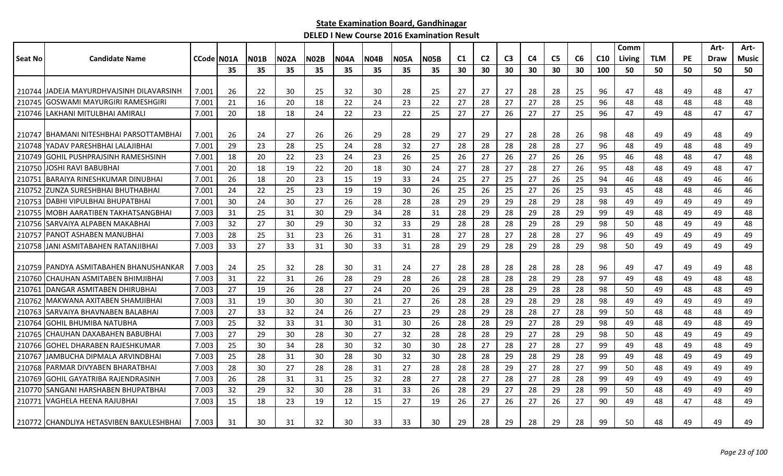|         |                                           |            |     |      |             |             |             |             |             |             |                |                |                |                |                |    |                 | Comm   |            |           | Art-        | Art-  |
|---------|-------------------------------------------|------------|-----|------|-------------|-------------|-------------|-------------|-------------|-------------|----------------|----------------|----------------|----------------|----------------|----|-----------------|--------|------------|-----------|-------------|-------|
| Seat No | <b>Candidate Name</b>                     | CCode N01A |     | NO1B | <b>N02A</b> | <b>N02B</b> | <b>N04A</b> | <b>N04B</b> | <b>N05A</b> | <b>N05B</b> | C <sub>1</sub> | C <sub>2</sub> | C <sub>3</sub> | C <sub>4</sub> | C <sub>5</sub> | C6 | C <sub>10</sub> | Living | <b>TLM</b> | <b>PE</b> | <b>Draw</b> | Music |
|         |                                           |            | 35  | 35   | 35          | 35          | 35          | 35          | 35          | 35          | 30             | 30             | 30             | 30             | 30             | 30 | 100             | 50     | 50         | 50        | 50          | 50    |
|         |                                           |            |     |      |             |             |             |             |             |             |                |                |                |                |                |    |                 |        |            |           |             |       |
|         | 210744 JJADEJA MAYURDHVAJSINH DILAVARSINH | 7.001      | 26  | 22   | 30          | 25          | 32          | 30          | 28          | 25          | 27             | 27             | 27             | 28             | 28             | 25 | 96              | 47     | 48         | 49        | 48          | 47    |
|         | 210745 GOSWAMI MAYURGIRI RAMESHGIRI       | 7.001      | 21  | 16   | 20          | 18          | 22          | 24          | 23          | 22          | 27             | 28             | 27             | 27             | 28             | 25 | 96              | 48     | 48         | 48        | 48          | 48    |
|         | 210746 LAKHANI MITULBHAI AMIRALI          | 7.001      | 20  | 18   | 18          | 24          | 22          | 23          | 22          | 25          | 27             | 27             | 26             | 27             | 27             | 25 | 96              | 47     | 49         | 48        | 47          | 47    |
|         | 210747 BHAMANI NITESHBHAI PARSOTTAMBHAI   | 7.001      | 26  | 24   | 27          | 26          | 26          | 29          | 28          | 29          | 27             | 29             | 27             | 28             | 28             | 26 | 98              | 48     | 49         | 49        | 48          | 49    |
| 210748  | YADAV PARESHBHAI LALAJIBHAI               | 7.001      | 29  | 23   | 28          | 25          | 24          | 28          | 32          | 27          | 28             | 28             | 28             | 28             | 28             | 27 | 96              | 48     | 49         | 48        | 48          | 49    |
|         | 210749 GOHIL PUSHPRAJSINH RAMESHSINH      | 7.001      | 18  | 20   | 22          | 23          | 24          | 23          | 26          | 25          | 26             | 27             | 26             | 27             | 26             | 26 | 95              | 46     | 48         | 48        | 47          | 48    |
| 210750  | JOSHI RAVI BABUBHAI                       | 7.001      | 20  | 18   | 19          | 22          | 20          | 18          | 30          | 24          | 27             | 28             | 27             | 28             | 27             | 26 | 95              | 48     | 48         | 49        | 48          | 47    |
| 210751  | IBARAIYA RINESHKUMAR DINUBHAI             | 7.001      | 26  | 18   | 20          | 23          | 15          | 19          | 33          | 24          | 25             | 27             | 25             | 27             | 26             | 25 | 94              | 46     | 48         | 49        | 46          | 46    |
| 210752  | <b>ZUNZA SURESHBHAI BHUTHABHAI</b>        | 7.001      | 24  | 22   | 25          | 23          | 19          | 19          | 30          | 26          | 25             | 26             | 25             | 27             | 26             | 25 | 93              | 45     | 48         | 48        | 46          | 46    |
| 210753  | IDABHI VIPULBHAI BHUPATBHAI               | 7.001      | 30  | 24   | 30          | 27          | 26          | 28          | 28          | 28          | 29             | 29             | 29             | 28             | 29             | 28 | 98              | 49     | 49         | 49        | 49          | 49    |
|         | 210755   MOBH AARATIBEN TAKHATSANGBHAI    | 7.003      | 31  | 25   | 31          | 30          | 29          | 34          | 28          | 31          | 28             | 29             | 28             | 29             | 28             | 29 | 99              | 49     | 48         | 49        | 49          | 48    |
|         | 210756 SARVAIYA ALPABEN MAKABHAI          | 7.003      | 32  | 27   | 30          | 29          | 30          | 32          | 33          | 29          | 28             | 28             | 28             | 29             | 28             | 29 | 98              | 50     | 48         | 49        | 49          | 48    |
| 210757  | <b>IPANOT ASHABEN MANUBHAI</b>            | 7.003      | 28  | 25   | 31          | 23          | 26          | 31          | 31          | 28          | 27             | 28             | 27             | 28             | 28             | 27 | 96              | 49     | 49         | 49        | 49          | 49    |
|         | 210758 JJANI ASMITABAHEN RATANJIBHAI      | 7.003      | 33  | 27   | 33          | 31          | 30          | 33          | 31          | 28          | 29             | 29             | 28             | 29             | 28             | 29 | 98              | 50     | 49         | 49        | 49          | 49    |
|         | 210759 IPANDYA ASMITABAHEN BHANUSHANKAR   | 7.003      | -24 | 25   | 32          | 28          | 30          | 31          | 24          | 27          | 28             | 28             | 28             | 28             | 28             | 28 | 96              | 49     | 47         | 49        | 49          | 48    |
| 210760  | CHAUHAN ASMITABEN BHIMJIBHAI              | 7.003      | 31  | 22   | 31          | 26          | 28          | 29          | 28          | 26          | 28             | 28             | 28             | 28             | 29             | 28 | 97              | 49     | 48         | 49        | 48          | 48    |
| 210761  | IDANGAR ASMITABEN DHIRUBHAI               | 7.003      | 27  | 19   | 26          | 28          | 27          | 24          | 20          | 26          | 29             | 28             | 28             | 29             | 28             | 28 | 98              | 50     | 49         | 48        | 48          | 49    |
|         | 210762 MAKWANA AXITABEN SHAMJIBHAI        | 7.003      | 31  | 19   | 30          | 30          | 30          | 21          | 27          | 26          | 28             | 28             | 29             | 28             | 29             | 28 | 98              | 49     | 49         | 49        | 49          | 49    |
|         | 210763 SARVAIYA BHAVNABEN BALABHAI        | 7.003      | 27  | 33   | 32          | 24          | -26         | 27          | 23          | 29          | 28             | 29             | 28             | 28             | 27             | 28 | 99              | 50     | 48         | 48        | 48          | 49    |
| 210764  | <b>I</b> GOHIL BHUMIBA NATUBHA            | 7.003      | 25  | 32   | 33          | 31          | 30          | 31          | 30          | 26          | 28             | 28             | 29             | 27             | 28             | 29 | 98              | 49     | 48         | 49        | 48          | 49    |
| 210765  | ICHAUHAN DAXABAHEN BABUBHAI               | 7.003      | 27  | 29   | 30          | 28          | 30          | 27          | 32          | 28          | 28             | 28             | 29             | 27             | 28             | 29 | 98              | 50     | 48         | 49        | 49          | 49    |
|         | 210766 GOHEL DHARABEN RAJESHKUMAR         | 7.003      | 25  | 30   | 34          | 28          | 30          | 32          | 30          | 30          | 28             | 27             | 28             | 27             | 28             | 27 | 99              | 49     | 48         | 49        | 48          | 49    |
| 210767  | JAMBUCHA DIPMALA ARVINDBHAI               | 7.003      | 25  | 28   | 31          | 30          | 28          | 30          | 32          | 30          | 28             | 28             | 29             | 28             | 29             | 28 | 99              | 49     | 48         | 49        | 49          | 49    |
|         | 210768 PARMAR DIVYABEN BHARATBHAI         | 7.003      | 28  | 30   | 27          | 28          | 28          | 31          | 27          | 28          | 28             | 28             | 29             | 27             | 28             | 27 | 99              | 50     | 48         | 49        | 49          | 49    |
| 210769  | IGOHIL GAYATRIBA RAJENDRASINH             | 7.003      | 26  | 28   | 31          | 31          | 25          | 32          | 28          | 27          | 28             | 27             | 28             | 27             | 28             | 28 | 99              | 49     | 49         | 49        | 49          | 49    |
|         | 210770 SANGANI HARSHABEN BHUPATBHAI       | 7.003      | 32  | 29   | 32          | 30          | 28          | 31          | 33          | 26          | 28             | 29             | 27             | 28             | 29             | 28 | 99              | 50     | 48         | 49        | 49          | 49    |
| 210771  | VAGHELA HEENA RAJUBHAI                    | 7.003      | 15  | 18   | 23          | 19          | 12          | 15          | 27          | 19          | 26             | 27             | 26             | 27             | 26             | 27 | 90              | 49     | 48         | 47        | 48          | 49    |
|         | 210772 CHANDLIYA HETASVIBEN BAKULESHBHAI  | 7.003      | 31  | 30   | 31          | 32          | 30          | 33          | 33          | 30          | 29             | 28             | 29             | 28             | 29             | 28 | 99              | 50     | 48         | 49        | 49          | 49    |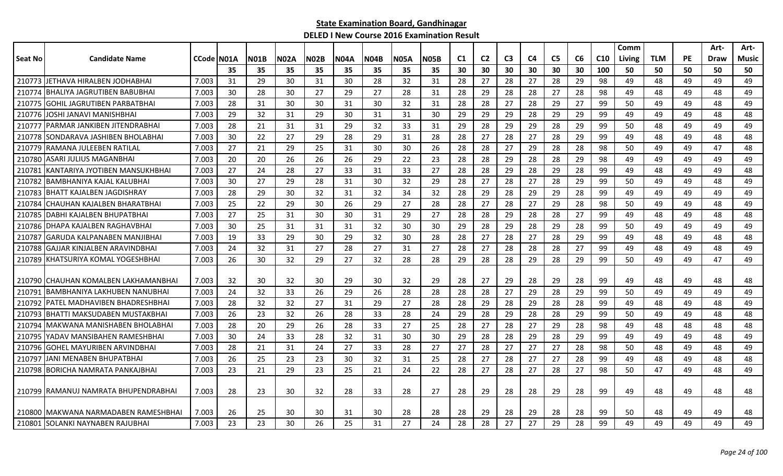|                |                                        |             |    |             |             |             |             |             |             |             |                |                |                |    |                |    |                 | Comm   |            |           | Art-        | Art-         |
|----------------|----------------------------------------|-------------|----|-------------|-------------|-------------|-------------|-------------|-------------|-------------|----------------|----------------|----------------|----|----------------|----|-----------------|--------|------------|-----------|-------------|--------------|
| <b>Seat No</b> | <b>Candidate Name</b>                  | CCode IN01A |    | <b>N01B</b> | <b>N02A</b> | <b>N02B</b> | <b>N04A</b> | <b>N04B</b> | <b>N05A</b> | <b>N05B</b> | C <sub>1</sub> | C <sub>2</sub> | C <sub>3</sub> | C4 | C <sub>5</sub> | C6 | C <sub>10</sub> | Living | <b>TLM</b> | <b>PE</b> | <b>Draw</b> | <b>Music</b> |
|                |                                        |             | 35 | 35          | 35          | 35          | 35          | 35          | 35          | 35          | 30             | 30             | 30             | 30 | 30             | 30 | 100             | 50     | 50         | 50        | 50          | 50           |
|                | 210773 JJETHAVA HIRALBEN JODHABHAI     | 7.003       | 31 | 29          | 30          | 31          | 30          | 28          | 32          | 31          | 28             | 27             | 28             | 27 | 28             | 29 | 98              | 49     | 48         | 49        | 49          | 49           |
| 210774         | BHALIYA JAGRUTIBEN BABUBHAI            | 7.003       | 30 | 28          | 30          | 27          | 29          | 27          | 28          | 31          | 28             | 29             | 28             | 28 | 27             | 28 | 98              | 49     | 48         | 49        | 48          | 49           |
| 210775         | <b>GOHIL JAGRUTIBEN PARBATBHAI</b>     | 7.003       | 28 | 31          | 30          | 30          | 31          | 30          | 32          | 31          | 28             | 28             | 27             | 28 | 29             | 27 | 99              | 50     | 49         | 49        | 48          | 49           |
| 210776         | JOSHI JANAVI MANISHBHAI                | 7.003       | 29 | 32          | 31          | 29          | 30          | 31          | 31          | 30          | 29             | 29             | 29             | 28 | 29             | 29 | 99              | 49     | 49         | 49        | 48          | 48           |
| 210777         | <b>PARMAR JANKIBEN JITENDRABHAI</b>    | 7.003       | 28 | 21          | 31          | 31          | -29         | 32          | 33          | 31          | 29             | 28             | 29             | 29 | 28             | 29 | 99              | 50     | 48         | 49        | 49          | 49           |
| 210778         | <b>SONDARAVA JASHIBEN BHOLABHAI</b>    | 7.003       | 30 | 22          | 27          | 29          | 28          | 29          | 31          | 28          | 28             | 27             | 28             | 27 | 28             | 29 | 99              | 49     | 48         | 49        | 48          | 48           |
| 210779         | IRAMANA JULEEBEN RATILAL               | 7.003       | 27 | 21          | 29          | 25          | 31          | 30          | 30          | 26          | 28             | 28             | 27             | 29 | 28             | 28 | 98              | 50     | 49         | 49        | 47          | 48           |
| 210780         | <b>ASARI JULIUS MAGANBHAI</b>          | 7.003       | 20 | 20          | 26          | 26          | 26          | 29          | 22          | 23          | 28             | 28             | 29             | 28 | 28             | 29 | 98              | 49     | 49         | 49        | 49          | 49           |
| 210781         | KANTARIYA JYOTIBEN MANSUKHBHAI         | 7.003       | 27 | 24          | 28          | 27          | 33          | 31          | 33          | 27          | 28             | 28             | 29             | 28 | 29             | 28 | 99              | 49     | 48         | 49        | 49          | 48           |
| 210782         | IBAMBHANIYA KAJAL KALUBHAI             | 7.003       | 30 | 27          | 29          | 28          | 31          | 30          | 32          | 29          | 28             | 27             | 28             | 27 | 28             | 29 | 99              | 50     | 49         | 49        | 48          | 49           |
| 210783         | <b>IBHATT KAJALBEN JAGDISHRAY</b>      | 7.003       | 28 | 29          | 30          | 32          | 31          | 32          | 34          | 32          | 28             | 29             | 28             | 29 | 29             | 28 | 99              | 49     | 49         | 49        | 49          | 49           |
| 210784         | ICHAUHAN KAJALBEN BHARATBHAI           | 7.003       | 25 | 22          | 29          | 30          | 26          | 29          | 27          | 28          | 28             | 27             | 28             | 27 | 29             | 28 | 98              | 50     | 49         | 49        | 48          | 49           |
| 210785         | DABHI KAJALBEN BHUPATBHAI              | 7.003       | 27 | 25          | 31          | 30          | 30          | 31          | 29          | 27          | 28             | 28             | 29             | 28 | 28             | 27 | 99              | 49     | 48         | 49        | 48          | 48           |
| 210786         | IDHAPA KAJALBEN RAGHAVBHAI             | 7.003       | 30 | 25          | 31          | 31          | 31          | 32          | 30          | 30          | 29             | 28             | 29             | 28 | 29             | 28 | 99              | 50     | 49         | 49        | 49          | 49           |
| 210787         | <b>GARUDA KALPANABEN MANJIBHAI</b>     | 7.003       | 19 | 33          | 29          | 30          | -29         | 32          | 30          | 28          | 28             | 27             | 28             | 27 | 28             | 29 | 99              | 49     | 48         | 49        | 48          | 48           |
| 210788         | GAJJAR KINJALBEN ARAVINDBHAI           | 7.003       | 24 | 32          | 31          | 27          | 28          | 27          | 31          | 27          | 28             | 27             | 28             | 28 | 28             | 27 | 99              | 49     | 48         | 49        | 48          | 49           |
| 210789         | <b>IKHATSURIYA KOMAL YOGESHBHAI</b>    | 7.003       | 26 | 30          | 32          | 29          | 27          | 32          | 28          | 28          | 29             | 28             | 28             | 29 | 28             | 29 | 99              | 50     | 49         | 49        | 47          | 49           |
|                |                                        |             |    |             |             |             |             |             |             |             |                |                |                |    |                |    |                 |        |            |           |             |              |
|                | 210790 CHAUHAN KOMALBEN LAKHAMANBHAI   | 7.003       | 32 | 30          | 32          | 30          | 29          | 30          | 32          | 29          | 28             | 27             | 29             | 28 | 29             | 28 | 99              | 49     | 48         | 49        | 48          | 48           |
| 210791         | <b>BAMBHANIYA LAKHUBEN NANUBHAI</b>    | 7.003       | 24 | 32          | 33          | 26          | -29         | 26          | 28          | 28          | 28             | 28             | 27             | 29 | 28             | 29 | 99              | 50     | 49         | 49        | 49          | 49           |
| 210792         | <b>IPATEL MADHAVIBEN BHADRESHBHAI</b>  | 7.003       | 28 | 32          | 32          | 27          | 31          | 29          | 27          | 28          | 28             | 29             | 28             | 29 | 28             | 28 | 99              | 49     | 48         | 49        | 48          | 49           |
| 210793         | IBHATTI MAKSUDABEN MUSTAKBHAI          | 7.003       | 26 | 23          | 32          | 26          | -28         | 33          | 28          | 24          | 29             | 28             | 29             | 28 | 28             | 29 | 99              | 50     | 49         | 49        | 48          | 48           |
| 210794         | MAKWANA MANISHABEN BHOLABHAI           | 7.003       | 28 | 20          | 29          | 26          | 28          | 33          | 27          | 25          | 28             | 27             | 28             | 27 | 29             | 28 | 98              | 49     | 48         | 48        | 48          | 48           |
| 210795         | YADAV MANSIBAHEN RAMESHBHAI            | 7.003       | 30 | 24          | 33          | 28          | 32          | 31          | 30          | 30          | 29             | 28             | 28             | 29 | 28             | 29 | 99              | 49     | 49         | 49        | 48          | 49           |
| 210796         | <b>GOHEL MAYURIBEN ARVINDBHAI</b>      | 7.003       | 28 | 21          | 31          | 24          | 27          | 33          | 28          | 27          | 27             | 28             | 27             | 27 | 27             | 28 | 98              | 50     | 48         | 49        | 48          | 49           |
| 210797         | IJANI MENABEN BHUPATBHAI               | 7.003       | 26 | 25          | 23          | 23          | 30          | 32          | 31          | 25          | 28             | 27             | 28             | 27 | 27             | 28 | 99              | 49     | 48         | 49        | 48          | 48           |
|                | 210798 BORICHA NAMRATA PANKAJBHAI      | 7.003       | 23 | 21          | 29          | 23          | 25          | 21          | 24          | 22          | 28             | 27             | 28             | 27 | 28             | 27 | 98              | 50     | 47         | 49        | 48          | 49           |
|                |                                        |             |    |             |             |             |             |             |             |             |                |                |                |    |                |    |                 |        |            |           |             |              |
|                | 210799   RAMANUJ NAMRATA BHUPENDRABHAI | 7.003       | 28 | 23          | 30          | 32          | 28          | 33          | 28          | 27          | 28             | 29             | 28             | 28 | 29             | 28 | 99              | 49     | 48         | 49        | 48          | 48           |
|                |                                        |             |    |             |             |             |             |             |             |             |                |                |                |    |                |    |                 |        |            |           |             |              |
|                | 210800 IMAKWANA NARMADABEN RAMESHBHAI  | 7.003       | 26 | 25          | 30          | 30          | 31          | 30          | 28          | 28          | 28             | 29             | 28             | 29 | 28             | 28 | 99              | 50     | 48         | 49        | 49          | 48           |
|                | 210801 SOLANKI NAYNABEN RAJUBHAI       | 7.003       | 23 | 23          | 30          | 26          | 25          | 31          | 27          | 24          | 28             | 28             | 27             | 27 | 29             | 28 | 99              | 49     | 49         | 49        | 49          | 49           |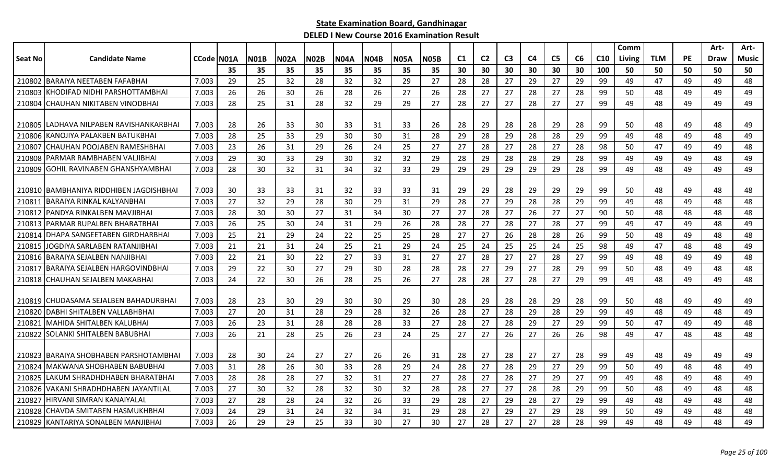|                |                                         |            |    |      |             |             |             |             |             |             |                |                |                |                |                |    |                 | Comm   |            |           | Art-        | Art-         |
|----------------|-----------------------------------------|------------|----|------|-------------|-------------|-------------|-------------|-------------|-------------|----------------|----------------|----------------|----------------|----------------|----|-----------------|--------|------------|-----------|-------------|--------------|
| <b>Seat No</b> | <b>Candidate Name</b>                   | CCode N01A |    | NO1B | <b>N02A</b> | <b>N02B</b> | <b>N04A</b> | <b>N04B</b> | <b>N05A</b> | <b>N05B</b> | C <sub>1</sub> | C <sub>2</sub> | C <sub>3</sub> | C <sub>4</sub> | C <sub>5</sub> | C6 | C <sub>10</sub> | Living | <b>TLM</b> | <b>PE</b> | <b>Draw</b> | <b>Music</b> |
|                |                                         |            | 35 | 35   | 35          | 35          | 35          | 35          | 35          | 35          | 30             | 30             | 30             | 30             | 30             | 30 | 100             | 50     | 50         | 50        | 50          | 50           |
| 210802         | <b>IBARAIYA NEETABEN FAFABHAI</b>       | 7.003      | 29 | 25   | 32          | 28          | 32          | 32          | 29          | 27          | 28             | 28             | 27             | 29             | 27             | 29 | 99              | 49     | 47         | 49        | 49          | 48           |
| 210803         | KHODIFAD NIDHI PARSHOTTAMBHAI           | 7.003      | 26 | 26   | 30          | 26          | 28          | 26          | 27          | 26          | 28             | 27             | 27             | 28             | 27             | 28 | 99              | 50     | 48         | 49        | 49          | 49           |
| 210804         | ICHAUHAN NIKITABEN VINODBHAI            | 7.003      | 28 | 25   | 31          | 28          | 32          | 29          | 29          | 27          | 28             | 27             | 27             | 28             | 27             | 27 | 99              | 49     | 48         | 49        | 49          | 49           |
|                |                                         |            |    |      |             |             |             |             |             |             |                |                |                |                |                |    |                 |        |            |           |             |              |
|                | 210805 LADHAVA NILPABEN RAVISHANKARBHAI | 7.003      | 28 | 26   | 33          | 30          | 33          | 31          | 33          | 26          | 28             | 29             | 28             | 28             | 29             | 28 | 99              | 50     | 48         | 49        | 48          | 49           |
| 210806         | KANOJIYA PALAKBEN BATUKBHAI             | 7.003      | 28 | 25   | 33          | 29          | 30          | 30          | 31          | 28          | 29             | 28             | 29             | 28             | 28             | 29 | 99              | 49     | 48         | 49        | 48          | 49           |
| 210807         | CHAUHAN POOJABEN RAMESHBHAI             | 7.003      | 23 | 26   | 31          | 29          | 26          | 24          | 25          | 27          | 27             | 28             | 27             | 28             | 27             | 28 | 98              | 50     | 47         | 49        | 49          | 48           |
| 210808         | PARMAR RAMBHABEN VALJIBHAI              | 7.003      | 29 | 30   | 33          | 29          | 30          | 32          | 32          | 29          | 28             | 29             | 28             | 28             | 29             | 28 | 99              | 49     | 49         | 49        | 48          | 49           |
| 210809         | <b>GOHIL RAVINABEN GHANSHYAMBHAI</b>    | 7.003      | 28 | 30   | 32          | 31          | 34          | 32          | 33          | 29          | 29             | 29             | 29             | 29             | 29             | 28 | 99              | 49     | 48         | 49        | 49          | 49           |
|                |                                         |            |    |      |             |             |             |             |             |             |                |                |                |                |                |    |                 |        |            |           |             |              |
| 210810         | BAMBHANIYA RIDDHIBEN JAGDISHBHAI        | 7.003      | 30 | 33   | 33          | 31          | 32          | 33          | 33          | 31          | 29             | 29             | 28             | 29             | 29             | 29 | 99              | 50     | 48         | 49        | 48          | 48           |
| 21081          | BARAIYA RINKAL KALYANBHAI               | 7.003      | 27 | 32   | 29          | 28          | 30          | 29          | 31          | 29          | 28             | 27             | 29             | 28             | 28             | 29 | 99              | 49     | 48         | 49        | 48          | 48           |
| 210812         | PANDYA RINKALBEN MAVJIBHAI              | 7.003      | 28 | 30   | 30          | 27          | 31          | 34          | 30          | 27          | 27             | 28             | 27             | 26             | 27             | 27 | 90              | 50     | 48         | 48        | 48          | 48           |
| 210813         | PARMAR RUPALBEN BHARATBHAI              | 7.003      | 26 | 25   | 30          | 24          | 31          | 29          | 26          | 28          | 28             | 27             | 28             | 27             | 28             | 27 | 99              | 49     | 47         | 49        | 48          | 49           |
| 210814         | DHAPA SANGEETABEN GIRDHARBHAI           | 7.003      | 25 | 21   | 29          | 24          | 22          | 25          | 25          | 28          | 27             | 27             | 26             | 28             | 28             | 26 | 99              | 50     | 48         | 49        | 48          | 48           |
| 210815         | JOGDIYA SARLABEN RATANJIBHAI            | 7.003      | 21 | 21   | 31          | 24          | 25          | 21          | 29          | 24          | 25             | 24             | 25             | 25             | 24             | 25 | 98              | 49     | 47         | 48        | 48          | 49           |
| 210816         | BARAIYA SEJALBEN NANJIBHAI              | 7.003      | 22 | 21   | 30          | 22          | 27          | 33          | 31          | 27          | 27             | 28             | 27             | 27             | 28             | 27 | 99              | 49     | 48         | 49        | 49          | 48           |
| 210817         | <b>BARAIYA SEJALBEN HARGOVINDBHAI</b>   | 7.003      | 29 | 22   | 30          | 27          | 29          | 30          | 28          | 28          | -28            | 27             | 29             | 27             | 28             | 29 | 99              | 50     | 48         | 49        | 48          | 48           |
| 210818         | CHAUHAN SEJALBEN MAKABHAI               | 7.003      | 24 | 22   | 30          | 26          | 28          | 25          | 26          | 27          | 28             | 28             | 27             | 28             | 27             | 29 | 99              | 49     | 48         | 49        | 49          | 48           |
|                |                                         |            |    |      |             |             |             |             |             |             |                |                |                |                |                |    |                 |        |            |           |             |              |
|                | 210819 CHUDASAMA SEJALBEN BAHADURBHAI   | 7.003      | 28 | 23   | 30          | 29          | 30          | 30          | 29          | 30          | 28             | 29             | 28             | 28             | 29             | 28 | 99              | 50     | 48         | 49        | 49          | 49           |
| 210820         | DABHI SHITALBEN VALLABHBHAI             | 7.003      | 27 | 20   | 31          | 28          | 29          | 28          | 32          | 26          | 28             | 27             | 28             | 29             | 28             | 29 | 99              | 49     | 48         | 49        | 48          | 49           |
| 210821         | MAHIDA SHITALBEN KALUBHAI               | 7.003      | 26 | 23   | 31          | 28          | 28          | 28          | 33          | 27          | 28             | 27             | 28             | 29             | 27             | 29 | 99              | 50     | 47         | 49        | 49          | 48           |
| 210822         | SOLANKI SHITALBEN BABUBHAI              | 7.003      | 26 | 21   | 28          | 25          | 26          | 23          | 24          | 25          | 27             | 27             | 26             | 27             | 26             | 26 | 98              | 49     | 47         | 48        | 48          | 48           |
|                |                                         |            |    |      |             |             |             |             |             |             |                |                |                |                |                |    |                 |        |            |           |             |              |
| 210823         | IBARAIYA SHOBHABEN PARSHOTAMBHAI        | 7.003      | 28 | 30   | 24          | 27          | 27          | 26          | 26          | 31          | 28             | 27             | 28             | 27             | 27             | 28 | 99              | 49     | 48         | 49        | 49          | 49           |
| 210824         | MAKWANA SHOBHABEN BABUBHAI              | 7.003      | 31 | 28   | 26          | 30          | 33          | 28          | 29          | 24          | 28             | 27             | 28             | 29             | 27             | 29 | 99              | 50     | 49         | 48        | 48          | 49           |
| 210825         | llakum shradhdhaben bharatbhai          | 7.003      | 28 | 28   | 28          | 27          | 32          | 31          | 27          | 27          | 28             | 27             | 28             | 27             | 29             | 27 | 99              | 49     | 48         | 49        | 48          | 49           |
| 210826         | <b>VAKANI SHRADHDHABEN JAYANTILAL</b>   | 7.003      | 27 | 30   | 32          | 28          | 32          | 30          | 32          | 28          | 28             | 27             | 27             | 28             | 28             | 29 | 99              | 50     | 48         | 49        | 48          | 48           |
| 210827         | HIRVANI SIMRAN KANAIYALAI               | 7.003      | 27 | 28   | 28          | 24          | 32          | 26          | 33          | 29          | 28             | 27             | 29             | 28             | 27             | 29 | 99              | 49     | 48         | 49        | 48          | 48           |
| 210828         | CHAVDA SMITABEN HASMUKHBHAI             | 7.003      | 24 | 29   | 31          | 24          | 32          | 34          | 31          | 29          | 28             | 27             | 29             | 27             | 29             | 28 | 99              | 50     | 49         | 49        | 48          | 48           |
|                | 210829 KANTARIYA SONALBEN MANJIBHAI     | 7.003      | 26 | 29   | 29          | 25          | 33          | 30          | 27          | 30          | 27             | 28             | 27             | 27             | 28             | 28 | 99              | 49     | 48         | 49        | 48          | 49           |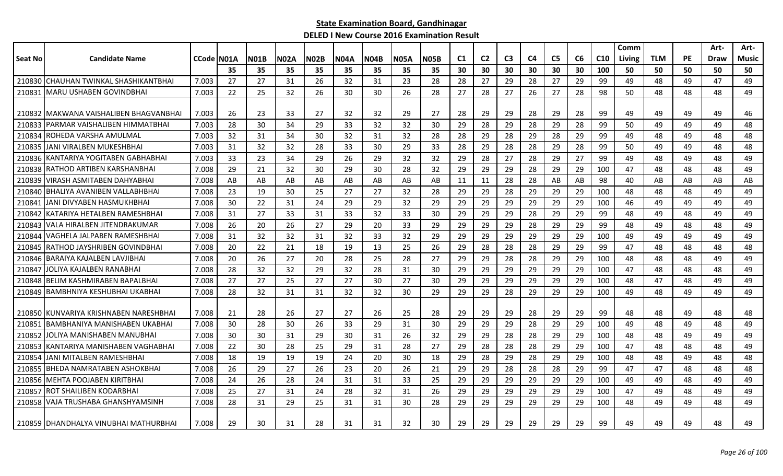|                |                                        |                    |     |             |             |             |      |             |             |             |                |                |                |                |                |    |                 | Comm   |            |           | Art-        | Art-  |
|----------------|----------------------------------------|--------------------|-----|-------------|-------------|-------------|------|-------------|-------------|-------------|----------------|----------------|----------------|----------------|----------------|----|-----------------|--------|------------|-----------|-------------|-------|
| <b>Seat No</b> | <b>Candidate Name</b>                  | <b>CCode IN01A</b> |     | <b>N01B</b> | <b>N02A</b> | <b>N02B</b> | N04A | <b>N04B</b> | <b>N05A</b> | <b>N05B</b> | C <sub>1</sub> | C <sub>2</sub> | C <sub>3</sub> | C <sub>4</sub> | C <sub>5</sub> | C6 | C <sub>10</sub> | Living | <b>TLM</b> | <b>PE</b> | <b>Draw</b> | Music |
|                |                                        |                    | 35  | 35          | 35          | 35          | 35   | 35          | 35          | 35          | 30             | 30             | 30             | 30             | 30             | 30 | 100             | 50     | 50         | 50        | 50          | 50    |
| 210830         | İCHAUHAN TWINKAL SHASHIKANTBHAI        | 7.003              | 27  | 27          | 31          | 26          | 32   | 31          | 23          | 28          | 28             | 27             | 29             | 28             | 27             | 29 | 99              | 49     | 48         | 49        | 47          | 49    |
| 210831         | <b>MARU USHABEN GOVINDBHAI</b>         | 7.003              | 22  | 25          | 32          | 26          | 30   | 30          | 26          | 28          | 27             | 28             | 27             | 26             | 27             | 28 | 98              | 50     | 48         | 48        | 48          | 49    |
|                |                                        |                    |     |             |             |             |      |             |             |             |                |                |                |                |                |    |                 |        |            |           |             |       |
|                | 210832 MAKWANA VAISHALIBEN BHAGVANBHAI | 7.003              | -26 | 23          | 33          | 27          | 32   | 32          | 29          | 27          | 28             | 29             | 29             | 28             | 29             | 28 | 99              | 49     | 49         | 49        | 49          | 46    |
| 210833         | IPARMAR VAISHALIBEN HIMMATBHAI         | 7.003              | 28  | 30          | 34          | 29          | 33   | 32          | 32          | 30          | 29             | 28             | 29             | 28             | 29             | 28 | 99              | 50     | 49         | 49        | 49          | 48    |
| 210834         | ROHEDA VARSHA AMULMAL                  | 7.003              | 32  | 31          | 34          | 30          | 32   | 31          | 32          | 28          | 28             | 29             | 28             | 29             | 28             | 29 | 99              | 49     | 48         | 49        | 48          | 48    |
|                | 210835 JANI VIRALBEN MUKESHBHAI        | 7.003              | 31  | 32          | 32          | 28          | 33   | 30          | 29          | 33          | 28             | 29             | 28             | 28             | 29             | 28 | 99              | 50     | 49         | 49        | 48          | 48    |
|                | 210836 KANTARIYA YOGITABEN GABHABHAI   | 7.003              | 33  | 23          | 34          | 29          | 26   | 29          | 32          | 32          | 29             | 28             | 27             | 28             | 29             | 27 | 99              | 49     | 48         | 49        | 48          | 49    |
| 210838         | IRATHOD ARTIBEN KARSHANBHAI            | 7.008              | 29  | 21          | 32          | 30          | 29   | 30          | 28          | 32          | 29             | 29             | 29             | 28             | 29             | 29 | 100             | 47     | 48         | 48        | 48          | 49    |
| 210839         | VIRASH ASMITABEN DAHYABHAI             | 7.008              | AB  | AB          | AB          | AB          | AB   | AB          | AB          | AB          | 11             | 11             | 28             | 28             | AB             | AB | 98              | 40     | AB         | AB        | AB          | AB    |
| 210840         | BHALIYA AVANIBEN VALLABHBHAI           | 7.008              | 23  | 19          | 30          | 25          | 27   | 27          | 32          | 28          | 29             | 29             | 28             | 29             | 29             | 29 | 100             | 48     | 48         | 48        | 49          | 49    |
| 210841         | IJANI DIVYABEN HASMUKHBHAI             | 7.008              | 30  | 22          | 31          | 24          | 29   | 29          | 32          | 29          | 29             | 29             | 29             | 29             | 29             | 29 | 100             | 46     | 49         | 49        | 49          | 49    |
| 210842         | KATARIYA HETALBEN RAMESHBHAI           | 7.008              | 31  | 27          | 33          | 31          | 33   | 32          | 33          | 30          | 29             | 29             | 29             | 28             | 29             | 29 | 99              | 48     | 49         | 48        | 49          | 49    |
|                | 210843 VALA HIRALBEN JITENDRAKUMAR     | 7.008              | 26  | 20          | 26          | 27          | 29   | 20          | 33          | 29          | 29             | 29             | 29             | 28             | 29             | 29 | 99              | 48     | 49         | 48        | 48          | 49    |
| 210844         | VAGHELA JALPABEN RAMESHBHAI            | 7.008              | 31  | 32          | 32          | 31          | 32   | 33          | 32          | 29          | 29             | 29             | 29             | 29             | 29             | 29 | 100             | 49     | 49         | 49        | 49          | 49    |
| 210845         | <b>RATHOD JAYSHRIBEN GOVINDBHAI</b>    | 7.008              | 20  | 22          | 21          | 18          | 19   | 13          | 25          | 26          | 29             | 28             | 28             | 28             | 29             | 29 | 99              | 47     | 48         | 48        | 48          | 48    |
| 210846         | <b>BARAIYA KAJALBEN LAVJIBHAI</b>      | 7.008              | 20  | 26          | 27          | 20          | 28   | 25          | 28          | 27          | 29             | 29             | 28             | 28             | 29             | 29 | 100             | 48     | 48         | 48        | 49          | 49    |
| 210847         | JOLIYA KAJALBEN RANABHAI               | 7.008              | 28  | 32          | 32          | 29          | 32   | 28          | 31          | 30          | 29             | 29             | 29             | 29             | 29             | 29 | 100             | 47     | 48         | 48        | 48          | 49    |
| 210848         | IBELIM KASHMIRABEN BAPALBHAI           | 7.008              | 27  | 27          | 25          | 27          | 27   | 30          | 27          | 30          | 29             | 29             | 29             | 29             | 29             | 29 | 100             | 48     | 47         | 48        | 49          | 49    |
| 210849         | <b>BAMBHNIYA KESHUBHAI UKABHAI</b>     | 7.008              | 28  | 32          | 31          | 31          | 32   | 32          | 30          | 29          | 29             | 29             | 28             | 29             | 29             | 29 | 100             | 49     | 48         | 49        | 49          | 49    |
|                |                                        |                    |     |             |             |             |      |             |             |             |                |                |                |                |                |    |                 |        |            |           |             |       |
|                | 210850 KUNVARIYA KRISHNABEN NARESHBHAI | 7.008              | 21  | 28          | 26          | 27          | 27   | 26          | 25          | 28          | 29             | 29             | 29             | 28             | 29             | 29 | 99              | 48     | 48         | 49        | 48          | 48    |
| 210851         | BAMBHANIYA MANISHABEN UKABHAI          | 7.008              | 30  | 28          | 30          | 26          | 33   | 29          | 31          | 30          | 29             | 29             | 29             | 28             | 29             | 29 | 100             | 49     | 48         | 49        | 48          | 49    |
| 210852         | JOLIYA MANISHABEN MANUBHAI             | 7.008              | 30  | 30          | 31          | 29          | 30   | 31          | 26          | 32          | 29             | 29             | 28             | 28             | 29             | 29 | 100             | 48     | 48         | 49        | 49          | 49    |
| 210853         | KANTARIYA MANISHABEN VAGHABHAI         | 7.008              | 22  | 30          | 28          | 25          | 29   | 31          | 28          | 27          | 29             | 28             | 28             | 28             | 29             | 29 | 100             | 47     | 48         | 48        | 48          | 49    |
| 210854         | JANI MITALBEN RAMESHBHAI               | 7.008              | 18  | 19          | 19          | 19          | 24   | 20          | 30          | 18          | 29             | 28             | 29             | 28             | 29             | 29 | 100             | 48     | 48         | 49        | 48          | 48    |
| 210855         | IBHEDA NAMRATABEN ASHOKBHAI            | 7.008              | 26  | 29          | 27          | 26          | 23   | 20          | 26          | 21          | 29             | 29             | 28             | 28             | 28             | 29 | 99              | 47     | 47         | 48        | 48          | 48    |
|                | 210856 IMEHTA POOJABEN KIRITBHAI       | 7.008              | 24  | 26          | 28          | 24          | 31   | 31          | 33          | 25          | 29             | 29             | 29             | 29             | 29             | 29 | 100             | 49     | 49         | 48        | 49          | 49    |
| 210857         | <b>ROT SHAILIBEN KODARBHAI</b>         | 7.008              | 25  | 27          | 31          | 24          | 28   | 32          | 31          | 26          | 29             | 29             | 29             | 29             | 29             | 29 | 100             | 47     | 49         | 48        | 49          | 49    |
|                | 210858 VAJA TRUSHABA GHANSHYAMSINH     | 7.008              | 28  | 31          | 29          | 25          | 31   | 31          | 30          | 28          | 29             | 29             | 29             | 29             | 29             | 29 | 100             | 48     | 49         | 49        | 48          | 49    |
|                | 210859 IDHANDHALYA VINUBHAI MATHURBHAI | 7.008              | 29  | 30          | 31          | 28          | 31   | 31          | 32          | 30          | 29             | 29             | 29             | 29             | 29             | 29 | 99              | 49     | 49         | 49        | 48          | 49    |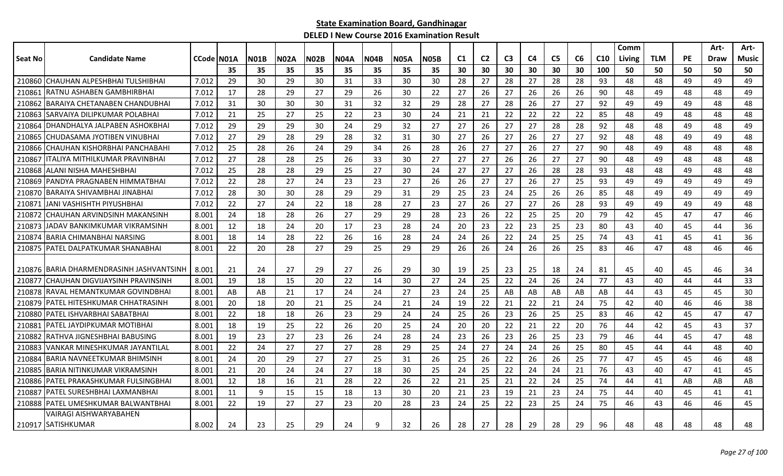| Seat No<br><b>Candidate Name</b><br>CCode N01A<br><b>N04A</b><br>C <sub>1</sub><br>C <sub>2</sub><br>C <sub>3</sub><br>C <sub>5</sub><br>C6<br><b>TLM</b><br>PE<br><b>N01B</b><br>N02A<br><b>N02B</b><br><b>N04B</b><br><b>N05A</b><br>N05B<br>C4<br>C <sub>10</sub><br>Music<br>Living<br>Draw<br>35<br>35<br>35<br>35<br>30<br>30<br>30<br>30<br>30<br>30<br>100<br>50<br>50<br>35<br>35<br>35<br>35<br>50<br>50<br>50<br>CHAUHAN ALPESHBHAI TULSHIBHAI<br>210860<br>7.012<br>29<br>30<br>29<br>30<br>33<br>30<br>30<br>28<br>27<br>28<br>27<br>28<br>28<br>93<br>48<br>48<br>49<br>49<br>49<br>31<br>27<br>26<br>49<br>210861<br>RATNU ASHABEN GAMBHIRBHAI<br>7.012<br>17<br>28<br>29<br>27<br>29<br>26<br>30<br>22<br>27<br>26<br>26<br>26<br>90<br>48<br>49<br>48<br>48<br>BARAIYA CHETANABEN CHANDUBHAI<br>31<br>32<br>29<br>27<br>28<br>27<br>27<br>92<br>210862<br>7.012<br>30<br>30<br>30<br>31<br>32<br>28<br>26<br>49<br>49<br>49<br>48<br>48<br>30<br>22<br>22<br>85<br>ISARVAIYA DILIPKUMAR POLABHAI<br>7.012<br>21<br>25<br>27<br>25<br>22<br>23<br>24<br>21<br>21<br>22<br>22<br>48<br>49<br>48<br>48<br>48<br>210863<br>29<br>27<br>DHANDHALYA JALPABEN ASHOKBHAI<br>7.012<br>29<br>24<br>32<br>27<br>27<br>26<br>28<br>28<br>92<br>48<br>49<br>48<br>49<br>210864<br>29<br>30<br>29<br>27<br>48<br>27<br>27<br>29<br>28<br>29<br>28<br>32<br>31<br>30<br>27<br>26<br>26<br>27<br>27<br>92<br>48<br>49<br>49<br>48<br>210865<br>ICHUDASAMA JYOTIBEN VINUBHAI<br>7.012<br>48<br>27<br>ICHAUHAN KISHORBHAI PANCHABAHI<br>7.012<br>25<br>28<br>26<br>24<br>29<br>26<br>28<br>26<br>27<br>26<br>27<br>27<br>90<br>48<br>48<br>48<br>48<br>210866<br>34<br>49<br>ITALIYA MITHILKUMAR PRAVINBHAI<br>27<br>26<br>27<br>27<br>7.012<br>27<br>28<br>28<br>30<br>27<br>27<br>26<br>90<br>48<br>49<br>48<br>48<br>48<br>210867<br>25<br>26<br>33<br>ALANI NISHA MAHESHBHAI<br>30<br>24<br>27<br>27<br>93<br>48<br>210868<br>7.012<br>25<br>28<br>28<br>29<br>25<br>27<br>27<br>26<br>28<br>28<br>48<br>48<br>49<br>48<br>28<br>27<br>26<br>27<br>27<br>27<br>93<br>49<br>7.012<br>22<br>27<br>23<br>23<br>26<br>26<br>25<br>49<br>49<br>49<br>49<br>210869<br>PANDYA PRAGNABEN HIMMATBHAI<br>24<br>28<br>30<br>30<br>31<br>29<br>23<br>24<br>25<br>26<br>26<br>85<br>48<br>210870<br>BARAIYA SHIVAMBHAI JINABHAI<br>7.012<br>28<br>29<br>29<br>25<br>49<br>49<br>49<br>49<br>22<br>27<br>27<br>23<br>27<br>27<br>93<br>48<br>210871<br>IJANI VASHISHTH PIYUSHBHAI<br>7.012<br>24<br>22<br>18<br>26<br>27<br>26<br>28<br>49<br>49<br>49<br>49<br>28<br>24<br>18<br>28<br>22<br>79<br>42<br>46<br>210872<br>ICHAUHAN ARVINDSINH MAKANSINH<br>8.001<br>28<br>26<br>27<br>29<br>29<br>23<br>26<br>25<br>25<br>20<br>45<br>47<br>47<br>12<br>18<br>20<br>22<br>23<br>25<br>23<br>80<br>43<br>36<br>210873<br>JADAV BANKIMKUMAR VIKRAMSINH<br>8.001<br>24<br>17<br>23<br>28<br>24<br>20<br>23<br>40<br>45<br>44<br><b>BARIA CHIMANBHAI NARSING</b><br>26<br>22<br>25<br>36<br>210874<br>8.001<br>18<br>14<br>28<br>22<br>26<br>28<br>24<br>24<br>24<br>25<br>74<br>43<br>45<br>41<br>16<br>41<br>PATEL DALPATKUMAR SHANABHAI<br>22<br>29<br>29<br>24<br>26<br>25<br>46<br>210875<br>8.001<br>20<br>28<br>27<br>29<br>25<br>26<br>26<br>26<br>83<br>46<br>47<br>48<br>46<br>23<br>210876 BARIA DHARMENDRASINH JASHVANTSINH<br>8.001<br>-21<br>24<br>27<br>29<br>27<br>26<br>29<br>30<br>19<br>25<br>25<br>18<br>24<br>81<br>45<br>40<br>45<br>46<br>34<br>26<br>CHAUHAN DIGVIJAYSINH PRAVINSINH<br>19<br>20<br>30<br>27<br>25<br>22<br>77<br>33<br>210877<br>8.001<br>18<br>15<br>22<br>24<br>24<br>24<br>43<br>40<br>44<br>44<br>14<br><b>RAVAL HEMANTKUMAR GOVINDBHAI</b><br>8.001<br>AB<br>AB<br>21<br>17<br>24<br>24<br>27<br>23<br>24<br>25<br>AB<br>AB<br>AB<br>AB<br>AB<br>44<br>43<br>45<br>45<br>30<br>210878<br>75<br>PATEL HITESHKUMAR CHHATRASINH<br>20<br>18<br>21<br>19<br>22<br>21<br>21<br>24<br>42<br>46<br>38<br>210879<br>8.001<br>20<br>21<br>25<br>24<br>24<br>22<br>40<br>46<br>22<br>18<br>26<br>23<br>25<br>25<br>83<br>46<br>47<br>47<br>210880<br>IPATEL ISHVARBHAI SABATBHAI<br>8.001<br>18<br>26<br>23<br>29<br>24<br>24<br>25<br>26<br>42<br>45<br>22<br>PATEL JAYDIPKUMAR MOTIBHAI<br>8.001<br>18<br>19<br>25<br>22<br>25<br>24<br>20<br>20<br>21<br>22<br>20<br>76<br>37<br>21088<br>26<br>20<br>44<br>42<br>45<br>43<br>RATHVA JIGNESHBHAI BABUSING<br>26<br>23<br>26<br>25<br>23<br>79<br>48<br>8.001<br>19<br>23<br>27<br>23<br>24<br>28<br>24<br>23<br>46<br>45<br>47<br>210882<br>26<br>44<br>VANKAR MINESHKUMAR JAYANTILAL<br>22<br>24<br>27<br>29<br>25<br>24<br>27<br>24<br>26<br>25<br>80<br>40<br>210883<br>8.001<br>27<br>27<br>28<br>24<br>45<br>44<br>44<br>48<br>26<br>22<br>26<br>77<br>24<br>20<br>29<br>27<br>27<br>25<br>31<br>26<br>25<br>26<br>25<br>47<br>45<br>45<br>46<br>48<br>210884<br>BARIA NAVNEETKUMAR BHIMSINH<br>8.001<br>21<br>20<br>27<br>30<br>25<br>24<br>25<br>22<br>24<br>21<br>76<br>43<br>210885<br>IBARIA NITINKUMAR VIKRAMSINH<br>8.001<br>24<br>24<br>18<br>24<br>40<br>47<br>41<br>45<br>74<br>PATEL PRAKASHKUMAR FULSINGBHAI<br>8.001<br>12<br>18<br>21<br>28<br>22<br>26<br>22<br>21<br>25<br>21<br>22<br>24<br>25<br>44<br>AB<br>AB<br>210886<br>16<br>41<br>AB<br>IPATEL SURESHBHAI LAXMANBHAI<br>11<br>9<br>15<br>15<br>18<br>13<br>30<br>20<br>21<br>23<br>19<br>21<br>23<br>24<br>75<br>44<br>40<br>45<br>41<br>41<br>210887<br>8.001<br>22<br>19<br>27<br>22<br>23<br>25<br>75<br>210888<br>PATEL UMESHKUMAR BALWANTBHAI<br>8.001<br>27<br>23<br>20<br>28<br>23<br>24<br>25<br>24<br>46<br>43<br>46<br>46<br>45<br>VAIRAGI AISHWARYABAHEN<br>210917 SATISHKUMAR<br>8.002<br>29<br>9<br>32<br>28<br>28<br>48<br>24<br>23<br>25<br>24<br>26<br>28<br>27<br>29<br>29<br>96<br>48<br>48<br>48<br>48 |  |  |  |  |  |  |  |  |  | Comm |  | Art- | Art- |
|---------------------------------------------------------------------------------------------------------------------------------------------------------------------------------------------------------------------------------------------------------------------------------------------------------------------------------------------------------------------------------------------------------------------------------------------------------------------------------------------------------------------------------------------------------------------------------------------------------------------------------------------------------------------------------------------------------------------------------------------------------------------------------------------------------------------------------------------------------------------------------------------------------------------------------------------------------------------------------------------------------------------------------------------------------------------------------------------------------------------------------------------------------------------------------------------------------------------------------------------------------------------------------------------------------------------------------------------------------------------------------------------------------------------------------------------------------------------------------------------------------------------------------------------------------------------------------------------------------------------------------------------------------------------------------------------------------------------------------------------------------------------------------------------------------------------------------------------------------------------------------------------------------------------------------------------------------------------------------------------------------------------------------------------------------------------------------------------------------------------------------------------------------------------------------------------------------------------------------------------------------------------------------------------------------------------------------------------------------------------------------------------------------------------------------------------------------------------------------------------------------------------------------------------------------------------------------------------------------------------------------------------------------------------------------------------------------------------------------------------------------------------------------------------------------------------------------------------------------------------------------------------------------------------------------------------------------------------------------------------------------------------------------------------------------------------------------------------------------------------------------------------------------------------------------------------------------------------------------------------------------------------------------------------------------------------------------------------------------------------------------------------------------------------------------------------------------------------------------------------------------------------------------------------------------------------------------------------------------------------------------------------------------------------------------------------------------------------------------------------------------------------------------------------------------------------------------------------------------------------------------------------------------------------------------------------------------------------------------------------------------------------------------------------------------------------------------------------------------------------------------------------------------------------------------------------------------------------------------------------------------------------------------------------------------------------------------------------------------------------------------------------------------------------------------------------------------------------------------------------------------------------------------------------------------------------------------------------------------------------------------------------------------------------------------------------------------------------------------------------------------------------------------------------------------------------------------------------------------------------------------------------------------------------------------------------------------------------------------------------------------------------------------------------------------------------------------------------------------------------------------------------------------------------------------------------------------------------------------------------------------------------------------------------------------------------------------------------------------------------------------------------------------------------------------------------------------------------------------------------------------------------------------------------------------------------------------------------------------------------------------------------------------------------------------------------------------------------------------------------------------------------------------|--|--|--|--|--|--|--|--|--|------|--|------|------|
|                                                                                                                                                                                                                                                                                                                                                                                                                                                                                                                                                                                                                                                                                                                                                                                                                                                                                                                                                                                                                                                                                                                                                                                                                                                                                                                                                                                                                                                                                                                                                                                                                                                                                                                                                                                                                                                                                                                                                                                                                                                                                                                                                                                                                                                                                                                                                                                                                                                                                                                                                                                                                                                                                                                                                                                                                                                                                                                                                                                                                                                                                                                                                                                                                                                                                                                                                                                                                                                                                                                                                                                                                                                                                                                                                                                                                                                                                                                                                                                                                                                                                                                                                                                                                                                                                                                                                                                                                                                                                                                                                                                                                                                                                                                                                                                                                                                                                                                                                                                                                                                                                                                                                                                                                                                                                                                                                                                                                                                                                                                                                                                                                                                                                                                                                                                 |  |  |  |  |  |  |  |  |  |      |  |      |      |
|                                                                                                                                                                                                                                                                                                                                                                                                                                                                                                                                                                                                                                                                                                                                                                                                                                                                                                                                                                                                                                                                                                                                                                                                                                                                                                                                                                                                                                                                                                                                                                                                                                                                                                                                                                                                                                                                                                                                                                                                                                                                                                                                                                                                                                                                                                                                                                                                                                                                                                                                                                                                                                                                                                                                                                                                                                                                                                                                                                                                                                                                                                                                                                                                                                                                                                                                                                                                                                                                                                                                                                                                                                                                                                                                                                                                                                                                                                                                                                                                                                                                                                                                                                                                                                                                                                                                                                                                                                                                                                                                                                                                                                                                                                                                                                                                                                                                                                                                                                                                                                                                                                                                                                                                                                                                                                                                                                                                                                                                                                                                                                                                                                                                                                                                                                                 |  |  |  |  |  |  |  |  |  |      |  |      |      |
|                                                                                                                                                                                                                                                                                                                                                                                                                                                                                                                                                                                                                                                                                                                                                                                                                                                                                                                                                                                                                                                                                                                                                                                                                                                                                                                                                                                                                                                                                                                                                                                                                                                                                                                                                                                                                                                                                                                                                                                                                                                                                                                                                                                                                                                                                                                                                                                                                                                                                                                                                                                                                                                                                                                                                                                                                                                                                                                                                                                                                                                                                                                                                                                                                                                                                                                                                                                                                                                                                                                                                                                                                                                                                                                                                                                                                                                                                                                                                                                                                                                                                                                                                                                                                                                                                                                                                                                                                                                                                                                                                                                                                                                                                                                                                                                                                                                                                                                                                                                                                                                                                                                                                                                                                                                                                                                                                                                                                                                                                                                                                                                                                                                                                                                                                                                 |  |  |  |  |  |  |  |  |  |      |  |      |      |
|                                                                                                                                                                                                                                                                                                                                                                                                                                                                                                                                                                                                                                                                                                                                                                                                                                                                                                                                                                                                                                                                                                                                                                                                                                                                                                                                                                                                                                                                                                                                                                                                                                                                                                                                                                                                                                                                                                                                                                                                                                                                                                                                                                                                                                                                                                                                                                                                                                                                                                                                                                                                                                                                                                                                                                                                                                                                                                                                                                                                                                                                                                                                                                                                                                                                                                                                                                                                                                                                                                                                                                                                                                                                                                                                                                                                                                                                                                                                                                                                                                                                                                                                                                                                                                                                                                                                                                                                                                                                                                                                                                                                                                                                                                                                                                                                                                                                                                                                                                                                                                                                                                                                                                                                                                                                                                                                                                                                                                                                                                                                                                                                                                                                                                                                                                                 |  |  |  |  |  |  |  |  |  |      |  |      |      |
|                                                                                                                                                                                                                                                                                                                                                                                                                                                                                                                                                                                                                                                                                                                                                                                                                                                                                                                                                                                                                                                                                                                                                                                                                                                                                                                                                                                                                                                                                                                                                                                                                                                                                                                                                                                                                                                                                                                                                                                                                                                                                                                                                                                                                                                                                                                                                                                                                                                                                                                                                                                                                                                                                                                                                                                                                                                                                                                                                                                                                                                                                                                                                                                                                                                                                                                                                                                                                                                                                                                                                                                                                                                                                                                                                                                                                                                                                                                                                                                                                                                                                                                                                                                                                                                                                                                                                                                                                                                                                                                                                                                                                                                                                                                                                                                                                                                                                                                                                                                                                                                                                                                                                                                                                                                                                                                                                                                                                                                                                                                                                                                                                                                                                                                                                                                 |  |  |  |  |  |  |  |  |  |      |  |      |      |
|                                                                                                                                                                                                                                                                                                                                                                                                                                                                                                                                                                                                                                                                                                                                                                                                                                                                                                                                                                                                                                                                                                                                                                                                                                                                                                                                                                                                                                                                                                                                                                                                                                                                                                                                                                                                                                                                                                                                                                                                                                                                                                                                                                                                                                                                                                                                                                                                                                                                                                                                                                                                                                                                                                                                                                                                                                                                                                                                                                                                                                                                                                                                                                                                                                                                                                                                                                                                                                                                                                                                                                                                                                                                                                                                                                                                                                                                                                                                                                                                                                                                                                                                                                                                                                                                                                                                                                                                                                                                                                                                                                                                                                                                                                                                                                                                                                                                                                                                                                                                                                                                                                                                                                                                                                                                                                                                                                                                                                                                                                                                                                                                                                                                                                                                                                                 |  |  |  |  |  |  |  |  |  |      |  |      |      |
|                                                                                                                                                                                                                                                                                                                                                                                                                                                                                                                                                                                                                                                                                                                                                                                                                                                                                                                                                                                                                                                                                                                                                                                                                                                                                                                                                                                                                                                                                                                                                                                                                                                                                                                                                                                                                                                                                                                                                                                                                                                                                                                                                                                                                                                                                                                                                                                                                                                                                                                                                                                                                                                                                                                                                                                                                                                                                                                                                                                                                                                                                                                                                                                                                                                                                                                                                                                                                                                                                                                                                                                                                                                                                                                                                                                                                                                                                                                                                                                                                                                                                                                                                                                                                                                                                                                                                                                                                                                                                                                                                                                                                                                                                                                                                                                                                                                                                                                                                                                                                                                                                                                                                                                                                                                                                                                                                                                                                                                                                                                                                                                                                                                                                                                                                                                 |  |  |  |  |  |  |  |  |  |      |  |      |      |
|                                                                                                                                                                                                                                                                                                                                                                                                                                                                                                                                                                                                                                                                                                                                                                                                                                                                                                                                                                                                                                                                                                                                                                                                                                                                                                                                                                                                                                                                                                                                                                                                                                                                                                                                                                                                                                                                                                                                                                                                                                                                                                                                                                                                                                                                                                                                                                                                                                                                                                                                                                                                                                                                                                                                                                                                                                                                                                                                                                                                                                                                                                                                                                                                                                                                                                                                                                                                                                                                                                                                                                                                                                                                                                                                                                                                                                                                                                                                                                                                                                                                                                                                                                                                                                                                                                                                                                                                                                                                                                                                                                                                                                                                                                                                                                                                                                                                                                                                                                                                                                                                                                                                                                                                                                                                                                                                                                                                                                                                                                                                                                                                                                                                                                                                                                                 |  |  |  |  |  |  |  |  |  |      |  |      |      |
|                                                                                                                                                                                                                                                                                                                                                                                                                                                                                                                                                                                                                                                                                                                                                                                                                                                                                                                                                                                                                                                                                                                                                                                                                                                                                                                                                                                                                                                                                                                                                                                                                                                                                                                                                                                                                                                                                                                                                                                                                                                                                                                                                                                                                                                                                                                                                                                                                                                                                                                                                                                                                                                                                                                                                                                                                                                                                                                                                                                                                                                                                                                                                                                                                                                                                                                                                                                                                                                                                                                                                                                                                                                                                                                                                                                                                                                                                                                                                                                                                                                                                                                                                                                                                                                                                                                                                                                                                                                                                                                                                                                                                                                                                                                                                                                                                                                                                                                                                                                                                                                                                                                                                                                                                                                                                                                                                                                                                                                                                                                                                                                                                                                                                                                                                                                 |  |  |  |  |  |  |  |  |  |      |  |      |      |
|                                                                                                                                                                                                                                                                                                                                                                                                                                                                                                                                                                                                                                                                                                                                                                                                                                                                                                                                                                                                                                                                                                                                                                                                                                                                                                                                                                                                                                                                                                                                                                                                                                                                                                                                                                                                                                                                                                                                                                                                                                                                                                                                                                                                                                                                                                                                                                                                                                                                                                                                                                                                                                                                                                                                                                                                                                                                                                                                                                                                                                                                                                                                                                                                                                                                                                                                                                                                                                                                                                                                                                                                                                                                                                                                                                                                                                                                                                                                                                                                                                                                                                                                                                                                                                                                                                                                                                                                                                                                                                                                                                                                                                                                                                                                                                                                                                                                                                                                                                                                                                                                                                                                                                                                                                                                                                                                                                                                                                                                                                                                                                                                                                                                                                                                                                                 |  |  |  |  |  |  |  |  |  |      |  |      |      |
|                                                                                                                                                                                                                                                                                                                                                                                                                                                                                                                                                                                                                                                                                                                                                                                                                                                                                                                                                                                                                                                                                                                                                                                                                                                                                                                                                                                                                                                                                                                                                                                                                                                                                                                                                                                                                                                                                                                                                                                                                                                                                                                                                                                                                                                                                                                                                                                                                                                                                                                                                                                                                                                                                                                                                                                                                                                                                                                                                                                                                                                                                                                                                                                                                                                                                                                                                                                                                                                                                                                                                                                                                                                                                                                                                                                                                                                                                                                                                                                                                                                                                                                                                                                                                                                                                                                                                                                                                                                                                                                                                                                                                                                                                                                                                                                                                                                                                                                                                                                                                                                                                                                                                                                                                                                                                                                                                                                                                                                                                                                                                                                                                                                                                                                                                                                 |  |  |  |  |  |  |  |  |  |      |  |      |      |
|                                                                                                                                                                                                                                                                                                                                                                                                                                                                                                                                                                                                                                                                                                                                                                                                                                                                                                                                                                                                                                                                                                                                                                                                                                                                                                                                                                                                                                                                                                                                                                                                                                                                                                                                                                                                                                                                                                                                                                                                                                                                                                                                                                                                                                                                                                                                                                                                                                                                                                                                                                                                                                                                                                                                                                                                                                                                                                                                                                                                                                                                                                                                                                                                                                                                                                                                                                                                                                                                                                                                                                                                                                                                                                                                                                                                                                                                                                                                                                                                                                                                                                                                                                                                                                                                                                                                                                                                                                                                                                                                                                                                                                                                                                                                                                                                                                                                                                                                                                                                                                                                                                                                                                                                                                                                                                                                                                                                                                                                                                                                                                                                                                                                                                                                                                                 |  |  |  |  |  |  |  |  |  |      |  |      |      |
|                                                                                                                                                                                                                                                                                                                                                                                                                                                                                                                                                                                                                                                                                                                                                                                                                                                                                                                                                                                                                                                                                                                                                                                                                                                                                                                                                                                                                                                                                                                                                                                                                                                                                                                                                                                                                                                                                                                                                                                                                                                                                                                                                                                                                                                                                                                                                                                                                                                                                                                                                                                                                                                                                                                                                                                                                                                                                                                                                                                                                                                                                                                                                                                                                                                                                                                                                                                                                                                                                                                                                                                                                                                                                                                                                                                                                                                                                                                                                                                                                                                                                                                                                                                                                                                                                                                                                                                                                                                                                                                                                                                                                                                                                                                                                                                                                                                                                                                                                                                                                                                                                                                                                                                                                                                                                                                                                                                                                                                                                                                                                                                                                                                                                                                                                                                 |  |  |  |  |  |  |  |  |  |      |  |      |      |
|                                                                                                                                                                                                                                                                                                                                                                                                                                                                                                                                                                                                                                                                                                                                                                                                                                                                                                                                                                                                                                                                                                                                                                                                                                                                                                                                                                                                                                                                                                                                                                                                                                                                                                                                                                                                                                                                                                                                                                                                                                                                                                                                                                                                                                                                                                                                                                                                                                                                                                                                                                                                                                                                                                                                                                                                                                                                                                                                                                                                                                                                                                                                                                                                                                                                                                                                                                                                                                                                                                                                                                                                                                                                                                                                                                                                                                                                                                                                                                                                                                                                                                                                                                                                                                                                                                                                                                                                                                                                                                                                                                                                                                                                                                                                                                                                                                                                                                                                                                                                                                                                                                                                                                                                                                                                                                                                                                                                                                                                                                                                                                                                                                                                                                                                                                                 |  |  |  |  |  |  |  |  |  |      |  |      |      |
|                                                                                                                                                                                                                                                                                                                                                                                                                                                                                                                                                                                                                                                                                                                                                                                                                                                                                                                                                                                                                                                                                                                                                                                                                                                                                                                                                                                                                                                                                                                                                                                                                                                                                                                                                                                                                                                                                                                                                                                                                                                                                                                                                                                                                                                                                                                                                                                                                                                                                                                                                                                                                                                                                                                                                                                                                                                                                                                                                                                                                                                                                                                                                                                                                                                                                                                                                                                                                                                                                                                                                                                                                                                                                                                                                                                                                                                                                                                                                                                                                                                                                                                                                                                                                                                                                                                                                                                                                                                                                                                                                                                                                                                                                                                                                                                                                                                                                                                                                                                                                                                                                                                                                                                                                                                                                                                                                                                                                                                                                                                                                                                                                                                                                                                                                                                 |  |  |  |  |  |  |  |  |  |      |  |      |      |
|                                                                                                                                                                                                                                                                                                                                                                                                                                                                                                                                                                                                                                                                                                                                                                                                                                                                                                                                                                                                                                                                                                                                                                                                                                                                                                                                                                                                                                                                                                                                                                                                                                                                                                                                                                                                                                                                                                                                                                                                                                                                                                                                                                                                                                                                                                                                                                                                                                                                                                                                                                                                                                                                                                                                                                                                                                                                                                                                                                                                                                                                                                                                                                                                                                                                                                                                                                                                                                                                                                                                                                                                                                                                                                                                                                                                                                                                                                                                                                                                                                                                                                                                                                                                                                                                                                                                                                                                                                                                                                                                                                                                                                                                                                                                                                                                                                                                                                                                                                                                                                                                                                                                                                                                                                                                                                                                                                                                                                                                                                                                                                                                                                                                                                                                                                                 |  |  |  |  |  |  |  |  |  |      |  |      |      |
|                                                                                                                                                                                                                                                                                                                                                                                                                                                                                                                                                                                                                                                                                                                                                                                                                                                                                                                                                                                                                                                                                                                                                                                                                                                                                                                                                                                                                                                                                                                                                                                                                                                                                                                                                                                                                                                                                                                                                                                                                                                                                                                                                                                                                                                                                                                                                                                                                                                                                                                                                                                                                                                                                                                                                                                                                                                                                                                                                                                                                                                                                                                                                                                                                                                                                                                                                                                                                                                                                                                                                                                                                                                                                                                                                                                                                                                                                                                                                                                                                                                                                                                                                                                                                                                                                                                                                                                                                                                                                                                                                                                                                                                                                                                                                                                                                                                                                                                                                                                                                                                                                                                                                                                                                                                                                                                                                                                                                                                                                                                                                                                                                                                                                                                                                                                 |  |  |  |  |  |  |  |  |  |      |  |      |      |
|                                                                                                                                                                                                                                                                                                                                                                                                                                                                                                                                                                                                                                                                                                                                                                                                                                                                                                                                                                                                                                                                                                                                                                                                                                                                                                                                                                                                                                                                                                                                                                                                                                                                                                                                                                                                                                                                                                                                                                                                                                                                                                                                                                                                                                                                                                                                                                                                                                                                                                                                                                                                                                                                                                                                                                                                                                                                                                                                                                                                                                                                                                                                                                                                                                                                                                                                                                                                                                                                                                                                                                                                                                                                                                                                                                                                                                                                                                                                                                                                                                                                                                                                                                                                                                                                                                                                                                                                                                                                                                                                                                                                                                                                                                                                                                                                                                                                                                                                                                                                                                                                                                                                                                                                                                                                                                                                                                                                                                                                                                                                                                                                                                                                                                                                                                                 |  |  |  |  |  |  |  |  |  |      |  |      |      |
|                                                                                                                                                                                                                                                                                                                                                                                                                                                                                                                                                                                                                                                                                                                                                                                                                                                                                                                                                                                                                                                                                                                                                                                                                                                                                                                                                                                                                                                                                                                                                                                                                                                                                                                                                                                                                                                                                                                                                                                                                                                                                                                                                                                                                                                                                                                                                                                                                                                                                                                                                                                                                                                                                                                                                                                                                                                                                                                                                                                                                                                                                                                                                                                                                                                                                                                                                                                                                                                                                                                                                                                                                                                                                                                                                                                                                                                                                                                                                                                                                                                                                                                                                                                                                                                                                                                                                                                                                                                                                                                                                                                                                                                                                                                                                                                                                                                                                                                                                                                                                                                                                                                                                                                                                                                                                                                                                                                                                                                                                                                                                                                                                                                                                                                                                                                 |  |  |  |  |  |  |  |  |  |      |  |      |      |
|                                                                                                                                                                                                                                                                                                                                                                                                                                                                                                                                                                                                                                                                                                                                                                                                                                                                                                                                                                                                                                                                                                                                                                                                                                                                                                                                                                                                                                                                                                                                                                                                                                                                                                                                                                                                                                                                                                                                                                                                                                                                                                                                                                                                                                                                                                                                                                                                                                                                                                                                                                                                                                                                                                                                                                                                                                                                                                                                                                                                                                                                                                                                                                                                                                                                                                                                                                                                                                                                                                                                                                                                                                                                                                                                                                                                                                                                                                                                                                                                                                                                                                                                                                                                                                                                                                                                                                                                                                                                                                                                                                                                                                                                                                                                                                                                                                                                                                                                                                                                                                                                                                                                                                                                                                                                                                                                                                                                                                                                                                                                                                                                                                                                                                                                                                                 |  |  |  |  |  |  |  |  |  |      |  |      |      |
|                                                                                                                                                                                                                                                                                                                                                                                                                                                                                                                                                                                                                                                                                                                                                                                                                                                                                                                                                                                                                                                                                                                                                                                                                                                                                                                                                                                                                                                                                                                                                                                                                                                                                                                                                                                                                                                                                                                                                                                                                                                                                                                                                                                                                                                                                                                                                                                                                                                                                                                                                                                                                                                                                                                                                                                                                                                                                                                                                                                                                                                                                                                                                                                                                                                                                                                                                                                                                                                                                                                                                                                                                                                                                                                                                                                                                                                                                                                                                                                                                                                                                                                                                                                                                                                                                                                                                                                                                                                                                                                                                                                                                                                                                                                                                                                                                                                                                                                                                                                                                                                                                                                                                                                                                                                                                                                                                                                                                                                                                                                                                                                                                                                                                                                                                                                 |  |  |  |  |  |  |  |  |  |      |  |      |      |
|                                                                                                                                                                                                                                                                                                                                                                                                                                                                                                                                                                                                                                                                                                                                                                                                                                                                                                                                                                                                                                                                                                                                                                                                                                                                                                                                                                                                                                                                                                                                                                                                                                                                                                                                                                                                                                                                                                                                                                                                                                                                                                                                                                                                                                                                                                                                                                                                                                                                                                                                                                                                                                                                                                                                                                                                                                                                                                                                                                                                                                                                                                                                                                                                                                                                                                                                                                                                                                                                                                                                                                                                                                                                                                                                                                                                                                                                                                                                                                                                                                                                                                                                                                                                                                                                                                                                                                                                                                                                                                                                                                                                                                                                                                                                                                                                                                                                                                                                                                                                                                                                                                                                                                                                                                                                                                                                                                                                                                                                                                                                                                                                                                                                                                                                                                                 |  |  |  |  |  |  |  |  |  |      |  |      |      |
|                                                                                                                                                                                                                                                                                                                                                                                                                                                                                                                                                                                                                                                                                                                                                                                                                                                                                                                                                                                                                                                                                                                                                                                                                                                                                                                                                                                                                                                                                                                                                                                                                                                                                                                                                                                                                                                                                                                                                                                                                                                                                                                                                                                                                                                                                                                                                                                                                                                                                                                                                                                                                                                                                                                                                                                                                                                                                                                                                                                                                                                                                                                                                                                                                                                                                                                                                                                                                                                                                                                                                                                                                                                                                                                                                                                                                                                                                                                                                                                                                                                                                                                                                                                                                                                                                                                                                                                                                                                                                                                                                                                                                                                                                                                                                                                                                                                                                                                                                                                                                                                                                                                                                                                                                                                                                                                                                                                                                                                                                                                                                                                                                                                                                                                                                                                 |  |  |  |  |  |  |  |  |  |      |  |      |      |
|                                                                                                                                                                                                                                                                                                                                                                                                                                                                                                                                                                                                                                                                                                                                                                                                                                                                                                                                                                                                                                                                                                                                                                                                                                                                                                                                                                                                                                                                                                                                                                                                                                                                                                                                                                                                                                                                                                                                                                                                                                                                                                                                                                                                                                                                                                                                                                                                                                                                                                                                                                                                                                                                                                                                                                                                                                                                                                                                                                                                                                                                                                                                                                                                                                                                                                                                                                                                                                                                                                                                                                                                                                                                                                                                                                                                                                                                                                                                                                                                                                                                                                                                                                                                                                                                                                                                                                                                                                                                                                                                                                                                                                                                                                                                                                                                                                                                                                                                                                                                                                                                                                                                                                                                                                                                                                                                                                                                                                                                                                                                                                                                                                                                                                                                                                                 |  |  |  |  |  |  |  |  |  |      |  |      |      |
|                                                                                                                                                                                                                                                                                                                                                                                                                                                                                                                                                                                                                                                                                                                                                                                                                                                                                                                                                                                                                                                                                                                                                                                                                                                                                                                                                                                                                                                                                                                                                                                                                                                                                                                                                                                                                                                                                                                                                                                                                                                                                                                                                                                                                                                                                                                                                                                                                                                                                                                                                                                                                                                                                                                                                                                                                                                                                                                                                                                                                                                                                                                                                                                                                                                                                                                                                                                                                                                                                                                                                                                                                                                                                                                                                                                                                                                                                                                                                                                                                                                                                                                                                                                                                                                                                                                                                                                                                                                                                                                                                                                                                                                                                                                                                                                                                                                                                                                                                                                                                                                                                                                                                                                                                                                                                                                                                                                                                                                                                                                                                                                                                                                                                                                                                                                 |  |  |  |  |  |  |  |  |  |      |  |      |      |
|                                                                                                                                                                                                                                                                                                                                                                                                                                                                                                                                                                                                                                                                                                                                                                                                                                                                                                                                                                                                                                                                                                                                                                                                                                                                                                                                                                                                                                                                                                                                                                                                                                                                                                                                                                                                                                                                                                                                                                                                                                                                                                                                                                                                                                                                                                                                                                                                                                                                                                                                                                                                                                                                                                                                                                                                                                                                                                                                                                                                                                                                                                                                                                                                                                                                                                                                                                                                                                                                                                                                                                                                                                                                                                                                                                                                                                                                                                                                                                                                                                                                                                                                                                                                                                                                                                                                                                                                                                                                                                                                                                                                                                                                                                                                                                                                                                                                                                                                                                                                                                                                                                                                                                                                                                                                                                                                                                                                                                                                                                                                                                                                                                                                                                                                                                                 |  |  |  |  |  |  |  |  |  |      |  |      |      |
|                                                                                                                                                                                                                                                                                                                                                                                                                                                                                                                                                                                                                                                                                                                                                                                                                                                                                                                                                                                                                                                                                                                                                                                                                                                                                                                                                                                                                                                                                                                                                                                                                                                                                                                                                                                                                                                                                                                                                                                                                                                                                                                                                                                                                                                                                                                                                                                                                                                                                                                                                                                                                                                                                                                                                                                                                                                                                                                                                                                                                                                                                                                                                                                                                                                                                                                                                                                                                                                                                                                                                                                                                                                                                                                                                                                                                                                                                                                                                                                                                                                                                                                                                                                                                                                                                                                                                                                                                                                                                                                                                                                                                                                                                                                                                                                                                                                                                                                                                                                                                                                                                                                                                                                                                                                                                                                                                                                                                                                                                                                                                                                                                                                                                                                                                                                 |  |  |  |  |  |  |  |  |  |      |  |      |      |
|                                                                                                                                                                                                                                                                                                                                                                                                                                                                                                                                                                                                                                                                                                                                                                                                                                                                                                                                                                                                                                                                                                                                                                                                                                                                                                                                                                                                                                                                                                                                                                                                                                                                                                                                                                                                                                                                                                                                                                                                                                                                                                                                                                                                                                                                                                                                                                                                                                                                                                                                                                                                                                                                                                                                                                                                                                                                                                                                                                                                                                                                                                                                                                                                                                                                                                                                                                                                                                                                                                                                                                                                                                                                                                                                                                                                                                                                                                                                                                                                                                                                                                                                                                                                                                                                                                                                                                                                                                                                                                                                                                                                                                                                                                                                                                                                                                                                                                                                                                                                                                                                                                                                                                                                                                                                                                                                                                                                                                                                                                                                                                                                                                                                                                                                                                                 |  |  |  |  |  |  |  |  |  |      |  |      |      |
|                                                                                                                                                                                                                                                                                                                                                                                                                                                                                                                                                                                                                                                                                                                                                                                                                                                                                                                                                                                                                                                                                                                                                                                                                                                                                                                                                                                                                                                                                                                                                                                                                                                                                                                                                                                                                                                                                                                                                                                                                                                                                                                                                                                                                                                                                                                                                                                                                                                                                                                                                                                                                                                                                                                                                                                                                                                                                                                                                                                                                                                                                                                                                                                                                                                                                                                                                                                                                                                                                                                                                                                                                                                                                                                                                                                                                                                                                                                                                                                                                                                                                                                                                                                                                                                                                                                                                                                                                                                                                                                                                                                                                                                                                                                                                                                                                                                                                                                                                                                                                                                                                                                                                                                                                                                                                                                                                                                                                                                                                                                                                                                                                                                                                                                                                                                 |  |  |  |  |  |  |  |  |  |      |  |      |      |
|                                                                                                                                                                                                                                                                                                                                                                                                                                                                                                                                                                                                                                                                                                                                                                                                                                                                                                                                                                                                                                                                                                                                                                                                                                                                                                                                                                                                                                                                                                                                                                                                                                                                                                                                                                                                                                                                                                                                                                                                                                                                                                                                                                                                                                                                                                                                                                                                                                                                                                                                                                                                                                                                                                                                                                                                                                                                                                                                                                                                                                                                                                                                                                                                                                                                                                                                                                                                                                                                                                                                                                                                                                                                                                                                                                                                                                                                                                                                                                                                                                                                                                                                                                                                                                                                                                                                                                                                                                                                                                                                                                                                                                                                                                                                                                                                                                                                                                                                                                                                                                                                                                                                                                                                                                                                                                                                                                                                                                                                                                                                                                                                                                                                                                                                                                                 |  |  |  |  |  |  |  |  |  |      |  |      |      |
|                                                                                                                                                                                                                                                                                                                                                                                                                                                                                                                                                                                                                                                                                                                                                                                                                                                                                                                                                                                                                                                                                                                                                                                                                                                                                                                                                                                                                                                                                                                                                                                                                                                                                                                                                                                                                                                                                                                                                                                                                                                                                                                                                                                                                                                                                                                                                                                                                                                                                                                                                                                                                                                                                                                                                                                                                                                                                                                                                                                                                                                                                                                                                                                                                                                                                                                                                                                                                                                                                                                                                                                                                                                                                                                                                                                                                                                                                                                                                                                                                                                                                                                                                                                                                                                                                                                                                                                                                                                                                                                                                                                                                                                                                                                                                                                                                                                                                                                                                                                                                                                                                                                                                                                                                                                                                                                                                                                                                                                                                                                                                                                                                                                                                                                                                                                 |  |  |  |  |  |  |  |  |  |      |  |      |      |
|                                                                                                                                                                                                                                                                                                                                                                                                                                                                                                                                                                                                                                                                                                                                                                                                                                                                                                                                                                                                                                                                                                                                                                                                                                                                                                                                                                                                                                                                                                                                                                                                                                                                                                                                                                                                                                                                                                                                                                                                                                                                                                                                                                                                                                                                                                                                                                                                                                                                                                                                                                                                                                                                                                                                                                                                                                                                                                                                                                                                                                                                                                                                                                                                                                                                                                                                                                                                                                                                                                                                                                                                                                                                                                                                                                                                                                                                                                                                                                                                                                                                                                                                                                                                                                                                                                                                                                                                                                                                                                                                                                                                                                                                                                                                                                                                                                                                                                                                                                                                                                                                                                                                                                                                                                                                                                                                                                                                                                                                                                                                                                                                                                                                                                                                                                                 |  |  |  |  |  |  |  |  |  |      |  |      |      |
|                                                                                                                                                                                                                                                                                                                                                                                                                                                                                                                                                                                                                                                                                                                                                                                                                                                                                                                                                                                                                                                                                                                                                                                                                                                                                                                                                                                                                                                                                                                                                                                                                                                                                                                                                                                                                                                                                                                                                                                                                                                                                                                                                                                                                                                                                                                                                                                                                                                                                                                                                                                                                                                                                                                                                                                                                                                                                                                                                                                                                                                                                                                                                                                                                                                                                                                                                                                                                                                                                                                                                                                                                                                                                                                                                                                                                                                                                                                                                                                                                                                                                                                                                                                                                                                                                                                                                                                                                                                                                                                                                                                                                                                                                                                                                                                                                                                                                                                                                                                                                                                                                                                                                                                                                                                                                                                                                                                                                                                                                                                                                                                                                                                                                                                                                                                 |  |  |  |  |  |  |  |  |  |      |  |      |      |
|                                                                                                                                                                                                                                                                                                                                                                                                                                                                                                                                                                                                                                                                                                                                                                                                                                                                                                                                                                                                                                                                                                                                                                                                                                                                                                                                                                                                                                                                                                                                                                                                                                                                                                                                                                                                                                                                                                                                                                                                                                                                                                                                                                                                                                                                                                                                                                                                                                                                                                                                                                                                                                                                                                                                                                                                                                                                                                                                                                                                                                                                                                                                                                                                                                                                                                                                                                                                                                                                                                                                                                                                                                                                                                                                                                                                                                                                                                                                                                                                                                                                                                                                                                                                                                                                                                                                                                                                                                                                                                                                                                                                                                                                                                                                                                                                                                                                                                                                                                                                                                                                                                                                                                                                                                                                                                                                                                                                                                                                                                                                                                                                                                                                                                                                                                                 |  |  |  |  |  |  |  |  |  |      |  |      |      |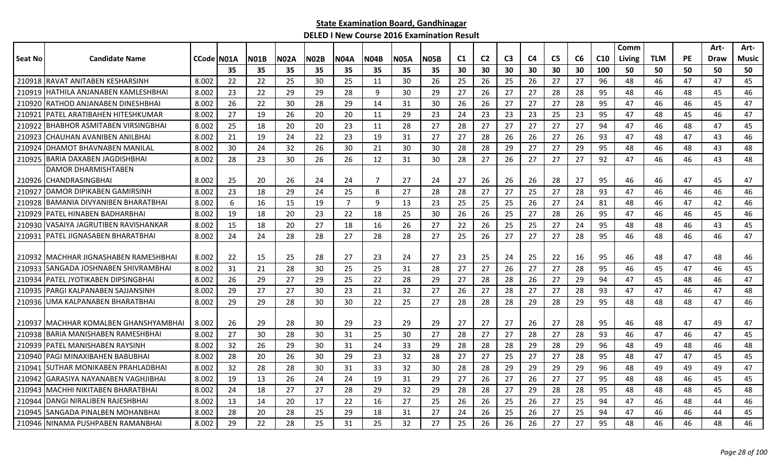|                |                                        |            |    |             |             |             |                |             |             |             |     |                |                |    |                |    |                 | Comm   |            |           | Art- | Art-  |
|----------------|----------------------------------------|------------|----|-------------|-------------|-------------|----------------|-------------|-------------|-------------|-----|----------------|----------------|----|----------------|----|-----------------|--------|------------|-----------|------|-------|
| <b>Seat No</b> | <b>Candidate Name</b>                  | CCode N01A |    | <b>N01B</b> | <b>N02A</b> | <b>N02B</b> | <b>N04A</b>    | <b>N04B</b> | <b>N05A</b> | <b>N05B</b> | C1  | C <sub>2</sub> | C <sub>3</sub> | C4 | C <sub>5</sub> | C6 | C <sub>10</sub> | Living | <b>TLM</b> | <b>PE</b> | Draw | Music |
|                |                                        |            | 35 | 35          | 35          | 35          | 35             | 35          | 35          | 35          | 30  | 30             | 30             | 30 | 30             | 30 | 100             | 50     | 50         | 50        | 50   | 50    |
|                | 210918 RAVAT ANITABEN KESHARSINH       | 8.002      | 22 | 22          | 25          | 30          | 25             | 11          | 30          | 26          | 25  | 26             | 25             | 26 | 27             | 27 | 96              | 48     | 46         | 47        | 47   | 45    |
| 210919         | IHATHILA ANJANABEN KAMLESHBHAI         | 8.002      | 23 | 22          | 29          | 29          | 28             | 9           | 30          | 29          | 27  | 26             | 27             | 27 | 28             | 28 | 95              | 48     | 46         | 48        | 45   | 46    |
|                | 210920 RATHOD ANJANABEN DINESHBHAI     | 8.002      | 26 | 22          | 30          | 28          | 29             | 14          | 31          | 30          | 26  | 26             | 27             | 27 | 27             | 28 | 95              | 47     | 46         | 46        | 45   | 47    |
| 210921         | IPATEL ARATIBAHEN HITESHKUMAR          | 8.002      | 27 | 19          | 26          | 20          | 20             | 11          | 29          | 23          | 24  | 23             | 23             | 23 | 25             | 23 | 95              | 47     | 48         | 45        | 46   | 47    |
| 210922         | IBHABHOR ASMITABEN VIRSINGBHAI         | 8.002      | 25 | 18          | 20          | 20          | 23             | 11          | 28          | 27          | 28  | 27             | 27             | 27 | 27             | 27 | 94              | 47     | 46         | 48        | 47   | 45    |
| 210923         | CHAUHAN AVANIBEN ANILBHAI              | 8.002      | 21 | 19          | 24          | 22          | 23             | 19          | 31          | 27          | 27  | 28             | 26             | 26 | 27             | 26 | 93              | 47     | 48         | 47        | 43   | 46    |
| 210924         | IDHAMOT BHAVNABEN MANILAL              | 8.002      | 30 | 24          | 32          | 26          | 30             | 21          | 30          | 30          | 28  | 28             | 29             | 27 | 27             | 29 | 95              | 48     | 46         | 48        | 43   | 48    |
| 210925         | <b>IBARIA DAXABEN JAGDISHBHAI</b>      | 8.002      | 28 | 23          | 30          | 26          | 26             | 12          | 31          | 30          | 28  | 27             | 26             | 27 | 27             | 27 | 92              | 47     | 46         | 46        | 43   | 48    |
|                | DAMOR DHARMISHTABEN                    |            |    |             |             |             |                |             |             |             |     |                |                |    |                |    |                 |        |            |           |      |       |
| 210926         | <b>ICHANDRASINGBHAI</b>                | 8.002      | 25 | 20          | 26          | 24          | 24             | 7           | 27          | 24          | 27  | 26             | 26             | 26 | 28             | 27 | 95              | 46     | 46         | 47        | 45   | 47    |
| 210927         | <b>IDAMOR DIPIKABEN GAMIRSINH</b>      | 8.002      | 23 | 18          | 29          | 24          | 25             | 8           | 27          | 28          | -28 | 27             | 27             | 25 | 27             | 28 | 93              | 47     | 46         | 46        | 46   | 46    |
| 210928         | IBAMANIA DIVYANIBEN BHARATBHAI         | 8.002      | 6  | 16          | 15          | 19          | $\overline{7}$ | 9           | 13          | 23          | 25  | 25             | 25             | 26 | 27             | 24 | 81              | 48     | 46         | 47        | 42   | 46    |
| 210929         | <b>IPATEL HINABEN BADHARBHAI</b>       | 8.002      | 19 | 18          | 20          | 23          | 22             | 18          | 25          | 30          | 26  | 26             | 25             | 27 | 28             | 26 | 95              | 47     | 46         | 46        | 45   | 46    |
| 210930         | IVASAIYA JAGRUTIBEN RAVISHANKAR        | 8.002      | 15 | 18          | 20          | 27          | 18             | 16          | 26          | 27          | 22  | 26             | 25             | 25 | 27             | 24 | 95              | 48     | 48         | 46        | 43   | 45    |
| 210931         | IPATEL JIGNASABEN BHARATBHAI           | 8.002      | 24 | 24          | 28          | 28          | 27             | 28          | 28          | 27          | 25  | 26             | 27             | 27 | 27             | 28 | 95              | 46     | 48         | 46        | 46   | 47    |
|                |                                        |            |    |             |             |             |                |             |             |             |     |                |                |    |                |    |                 |        |            |           |      |       |
|                | 210932 IMACHHAR JIGNASHABEN RAMESHBHAI | 8.002      | 22 | 15          | 25          | 28          | 27             | 23          | 24          | 27          | -23 | 25             | 24             | 25 | 22             | 16 | 95              | 46     | 48         | 47        | 48   | 46    |
| 210933         | <b>ISANGADA JOSHNABEN SHIVRAMBHAI</b>  | 8.002      | 31 | 21          | 28          | 30          | 25             | 25          | 31          | 28          | 27  | 27             | 26             | 27 | 27             | 28 | 95              | 46     | 45         | 47        | 46   | 45    |
| 210934         | <b>IPATEL JYOTIKABEN DIPSINGBHAI</b>   | 8.002      | 26 | 29          | 27          | 29          | 25             | 22          | 28          | 29          | 27  | 28             | 28             | 26 | 27             | 29 | 94              | 47     | 45         | 48        | 46   | 47    |
| 210935         | IPARGI KALPANABEN SAJJANSINH           | 8.002      | 29 | 27          | 27          | 30          | 23             | 21          | 32          | 27          | 26  | 27             | 28             | 27 | 27             | 28 | 93              | 47     | 47         | 46        | 47   | 48    |
|                | 210936 JUMA KALPANABEN BHARATBHAI      | 8.002      | 29 | 29          | 28          | 30          | 30             | 22          | 25          | 27          | 28  | 28             | 28             | 29 | 28             | 29 | 95              | 48     | 48         | 48        | 47   | 46    |
|                |                                        |            |    |             |             |             |                |             |             |             |     |                |                |    |                |    |                 |        |            |           |      |       |
| 210937         | IMACHHAR KOMALBEN GHANSHYAMBHAI        | 8.002      | 26 | 29          | 28          | 30          | 29             | 23          | 29          | 29          | 27  | 27             | 27             | 26 | 27             | 28 | 95              | 46     | 48         | 47        | 49   | 47    |
| 210938         | <b>BARIA MANISHABEN RAMESHBHAI</b>     | 8.002      | 27 | 30          | 28          | 30          | 31             | 25          | 30          | 27          | 28  | 27             | 27             | 28 | 27             | 28 | 93              | 46     | 47         | 46        | 47   | 45    |
| 210939         | PATEL MANISHABEN RAYSINH               | 8.002      | 32 | 26          | 29          | 30          | 31             | 24          | 33          | 29          | 28  | 28             | 28             | 29 | 28             | 29 | 96              | 48     | 49         | 48        | 46   | 48    |
| 210940         | PAGI MINAXIBAHEN BABUBHAI              | 8.002      | 28 | 20          | 26          | 30          | 29             | 23          | 32          | 28          | 27  | 27             | 25             | 27 | 27             | 28 | 95              | 48     | 47         | 47        | 45   | 45    |
| 210941         | ISUTHAR MONIKABEN PRAHLADBHAI          | 8.002      | 32 | 28          | 28          | 30          | 31             | 33          | 32          | 30          | 28  | 28             | 29             | 29 | 29             | 29 | 96              | 48     | 49         | 49        | 49   | 47    |
| 210942         | IGARASIYA NAYANABEN VAGHJIBHAI         | 8.002      | 19 | 13          | 26          | 24          | 24             | 19          | 31          | 29          | 27  | 26             | 27             | 26 | 27             | 27 | 95              | 48     | 48         | 46        | 45   | 45    |
|                | 210943 MACHHI NIKITABEN BHARATBHAI     | 8.002      | 24 | 18          | 27          | 27          | 28             | 29          | 32          | 29          | 28  | 28             | 27             | 29 | 28             | 28 | 95              | 48     | 48         | 48        | 45   | 48    |
| 210944         | <b>IDANGI NIRALIBEN RAJESHBHAI</b>     | 8.002      | 13 | 14          | 20          | 17          | 22             | 16          | 27          | 25          | 26  | 26             | 25             | 26 | 27             | 25 | 94              | 47     | 46         | 48        | 44   | 46    |
| 210945         | ISANGADA PINALBEN MOHANBHAI            | 8.002      | 28 | 20          | 28          | 25          | 29             | 18          | 31          | 27          | 24  | 26             | 25             | 26 | 27             | 25 | 94              | 47     | 46         | 46        | 44   | 45    |
|                | 210946 NINAMA PUSHPABEN RAMANBHAI      | 8.002      | 29 | 22          | 28          | 25          | 31             | 25          | 32          | 27          | 25  | 26             | 26             | 26 | 27             | 27 | 95              | 48     | 46         | 46        | 48   | 46    |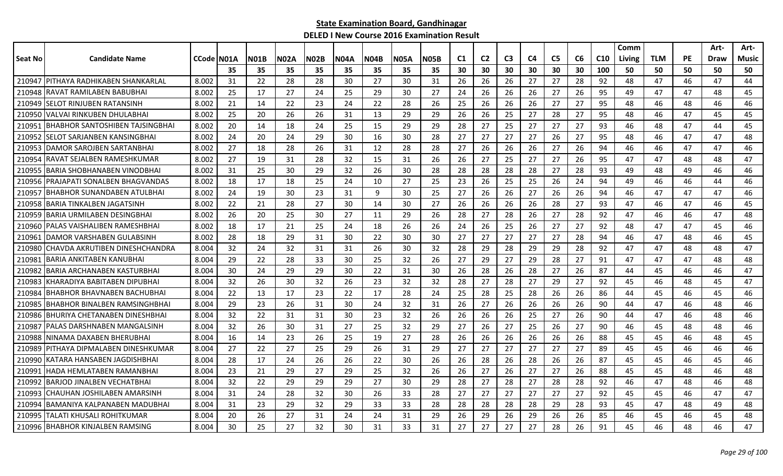|         |                                       |                    |    |             |      |             |      |      |             |      |                |                |                |    |                |    |                 | Comm   |            |           | Art- | Art-  |
|---------|---------------------------------------|--------------------|----|-------------|------|-------------|------|------|-------------|------|----------------|----------------|----------------|----|----------------|----|-----------------|--------|------------|-----------|------|-------|
| Seat No | <b>Candidate Name</b>                 | <b>CCode IN01A</b> |    | <b>N01B</b> | N02A | <b>N02B</b> | N04A | N04B | <b>N05A</b> | N05B | C <sub>1</sub> | C <sub>2</sub> | C <sub>3</sub> | C4 | C <sub>5</sub> | C6 | C <sub>10</sub> | Living | <b>TLM</b> | <b>PE</b> | Draw | Music |
|         |                                       |                    | 35 | 35          | 35   | 35          | 35   | 35   | 35          | 35   | 30             | 30             | 30             | 30 | 30             | 30 | 100             | 50     | 50         | 50        | 50   | 50    |
|         | 210947 PITHAYA RADHIKABEN SHANKARLAL  | 8.002              | 31 | 22          | 28   | 28          | 30   | 27   | 30          | 31   | 26             | 26             | 26             | 27 | 27             | 28 | 92              | 48     | 47         | 46        | 47   | 44    |
| 210948  | RAVAT RAMILABEN BABUBHA               | 8.002              | 25 | 17          | 27   | 24          | 25   | 29   | 30          | 27   | 24             | 26             | 26             | 26 | 27             | 26 | 95              | 49     | 47         | 47        | 48   | 45    |
| 210949  | <b>SELOT RINJUBEN RATANSINH</b>       | 8.002              | 21 | 14          | 22   | 23          | 24   | 22   | 28          | 26   | 25             | 26             | 26             | 26 | 27             | 27 | 95              | 48     | 46         | 48        | 46   | 46    |
| 210950  | VALVAI RINKUBEN DHULABHAI             | 8.002              | 25 | 20          | 26   | 26          | 31   | 13   | 29          | 29   | 26             | 26             | 25             | 27 | 28             | 27 | 95              | 48     | 46         | 47        | 45   | 45    |
| 210951  | IBHABHOR SANTOSHIBEN TAJSINGBHAI      | 8.002              | 20 | 14          | 18   | 24          | 25   | 15   | 29          | 29   | 28             | 27             | 25             | 27 | 27             | 27 | 93              | 46     | 48         | 47        | 44   | 45    |
| 210952  | ISELOT SARJANBEN KANSINGBHAI          | 8.002              | 24 | 20          | 24   | 29          | 30   | 16   | 30          | 28   | -27            | 27             | 27             | 27 | 26             | 27 | 95              | 48     | 46         | 47        | 47   | 48    |
|         | 210953 DAMOR SAROJBEN SARTANBHAI      | 8.002              | 27 | 18          | 28   | 26          | 31   | 12   | 28          | 28   | 27             | 26             | 26             | 26 | 27             | 26 | 94              | 46     | 46         | 47        | 47   | 46    |
| 210954  | RAVAT SEJALBEN RAMESHKUMAR            | 8.002              | 27 | 19          | 31   | 28          | 32   | 15   | 31          | 26   | 26             | 27             | 25             | 27 | 27             | 26 | 95              | 47     | 47         | 48        | 48   | 47    |
| 210955  | IBARIA SHOBHANABEN VINODBHAI          | 8.002              | 31 | 25          | 30   | 29          | 32   | 26   | 30          | 28   | 28             | 28             | 28             | 28 | 27             | 28 | 93              | 49     | 48         | 49        | 46   | 46    |
| 210956  | PRAJAPATI SONALBEN BHAGVANDAS         | 8.002              | 18 | 17          | 18   | 25          | 24   | 10   | 27          | 25   | 23             | 26             | 25             | 25 | 26             | 24 | 94              | 49     | 46         | 46        | 44   | 46    |
| 210957  | <b>BHABHOR SUNANDABEN ATULBHAI</b>    | 8.002              | 24 | 19          | 30   | 23          | 31   | 9    | 30          | 25   | 27             | 26             | 26             | 27 | 26             | 26 | 94              | 46     | 47         | 47        | 47   | 46    |
| 210958  | BARIA TINKALBEN JAGATSINH             | 8.002              | 22 | 21          | 28   | 27          | 30   | 14   | 30          | 27   | 26             | 26             | 26             | 26 | 28             | 27 | 93              | 47     | 46         | 47        | 46   | 45    |
| 210959  | IBARIA URMILABEN DESINGBHAI           | 8.002              | 26 | 20          | 25   | 30          | 27   | 11   | 29          | 26   | 28             | 27             | 28             | 26 | 27             | 28 | 92              | 47     | 46         | 46        | 47   | 48    |
|         | 210960   PALAS VAISHALIBEN RAMESHBHAI | 8.002              | 18 | 17          | 21   | 25          | 24   | 18   | 26          | 26   | 24             | 26             | 25             | 26 | 27             | 27 | 92              | 48     | 47         | 47        | 45   | 46    |
| 210961  | IDAMOR VARSHABEN GULABSINH            | 8.002              | 28 | 18          | 29   | 31          | 30   | 22   | 30          | 30   | 27             | 27             | 27             | 27 | 27             | 28 | 94              | 46     | 47         | 48        | 46   | 45    |
| 210980  | CHAVDA AKRUTIBEN DINESHCHANDRA        | 8.004              | 32 | 24          | 32   | 31          | 31   | 26   | 30          | 32   | 28             | 29             | 28             | 29 | 29             | 28 | 92              | 47     | 47         | 48        | 48   | 47    |
| 21098   | BARIA ANKITABEN KANUBHAI              | 8.004              | 29 | 22          | 28   | 33          | 30   | 25   | 32          | 26   | 27             | 29             | 27             | 29 | 28             | 27 | 91              | 47     | 47         | 47        | 48   | 48    |
| 210982  | <b>BARIA ARCHANABEN KASTURBHAI</b>    | 8.004              | 30 | 24          | 29   | 29          | 30   | 22   | 31          | 30   | 26             | 28             | 26             | 28 | 27             | 26 | 87              | 44     | 45         | 46        | 46   | 47    |
| 210983  | KHARADIYA BABITABEN DIPUBHAI          | 8.004              | 32 | 26          | 30   | 32          | 26   | 23   | 32          | 32   | 28             | 27             | 28             | 27 | 29             | 27 | 92              | 45     | 46         | 48        | 45   | 47    |
| 210984  | IBHABHOR BHAVNABEN BACHUBHAI          | 8.004              | 22 | 13          | 17   | 23          | 22   | 17   | 28          | 24   | 25             | 28             | 25             | 28 | 26             | 26 | 86              | 44     | 45         | 46        | 45   | 46    |
| 210985  | IBHABHOR BINALBEN RAMSINGHBHAI        | 8.004              | 29 | 23          | 26   | 31          | 30   | 24   | 32          | 31   | 26             | 27             | 26             | 26 | 26             | 26 | 90              | 44     | 47         | 46        | 48   | 46    |
| 210986  | <b>IBHURIYA CHETANABEN DINESHBHAI</b> | 8.004              | 32 | 22          | 31   | 31          | 30   | 23   | 32          | 26   | 26             | 26             | 26             | 25 | 27             | 26 | 90              | 44     | 47         | 46        | 48   | 46    |
| 210987  | PALAS DARSHNABEN MANGALSINH           | 8.004              | 32 | 26          | 30   | 31          | 27   | 25   | 32          | 29   | 27             | 26             | 27             | 25 | 26             | 27 | 90              | 46     | 45         | 48        | 48   | 46    |
| 210988  | NINAMA DAXABEN BHERUBHAI              | 8.004              | 16 | 14          | 23   | 26          | 25   | 19   | 27          | 28   | 26             | 26             | 26             | 26 | 26             | 26 | 88              | 45     | 45         | 46        | 48   | 45    |
| 210989  | PITHAYA DIPMALABEN DINESHKUMAR        | 8.004              | 27 | 22          | 27   | 25          | 29   | 26   | 31          | 29   | 27             | 27             | 27             | 27 | 27             | 27 | 89              | 45     | 45         | 46        | 46   | 46    |
| 210990  | KATARA HANSABEN JAGDISHBHAI           | 8.004              | 28 | 17          | 24   | 26          | 26   | 22   | 30          | 26   | 26             | 28             | 26             | 28 | 26             | 26 | 87              | 45     | 45         | 46        | 45   | 46    |
| 210991  | HADA HEMLATABEN RAMANBHAI             | 8.004              | 23 | 21          | 29   | 27          | 29   | 25   | 32          | 26   | 26             | 27             | 26             | 27 | 27             | 26 | 88              | 45     | 45         | 48        | 46   | 48    |
| 210992  | IBARJOD JINALBEN VECHATBHAI           | 8.004              | 32 | 22          | 29   | 29          | 29   | 27   | 30          | 29   | 28             | 27             | 28             | 27 | 28             | 28 | 92              | 46     | 47         | 48        | 46   | 48    |
| 210993  | ICHAUHAN JOSHILABEN AMARSINH          | 8.004              | 31 | 24          | 28   | 32          | 30   | 26   | 33          | 28   | 27             | 27             | 27             | 27 | 27             | 27 | 92              | 45     | 45         | 46        | 47   | 47    |
| 210994  | IBAMANIYA KALPANABEN MADUBHAI         | 8.004              | 31 | 23          | 29   | 32          | 29   | 33   | 33          | 28   | 28             | 28             | 28             | 28 | 29             | 28 | 93              | 45     | 47         | 48        | 49   | 48    |
| 210995  | TALATI KHUSALI ROHITKUMAR             | 8.004              | 20 | 26          | 27   | 31          | 24   | 24   | 31          | 29   | 26             | 29             | 26             | 29 | 26             | 26 | 85              | 46     | 45         | 46        | 45   | 48    |
|         | 210996 BHABHOR KINJALBEN RAMSING      | 8.004              | 30 | 25          | 27   | 32          | 30   | 31   | 33          | 31   | 27             | 27             | 27             | 27 | 28             | 26 | 91              | 45     | 46         | 48        | 46   | 47    |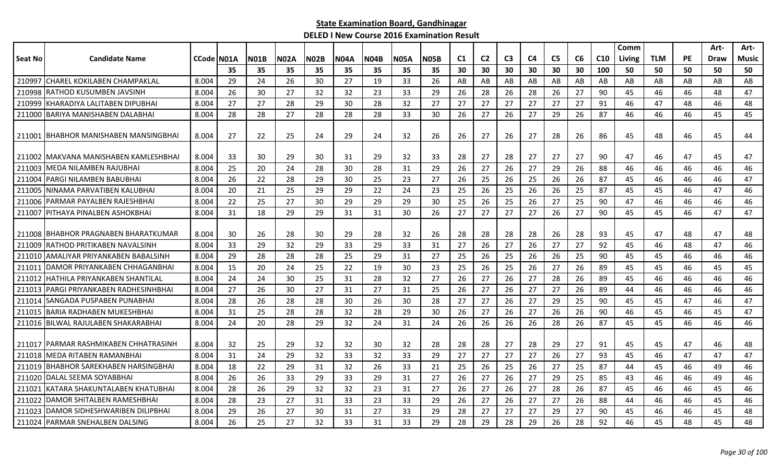|         |                                        |            |    |             |             |             |             |             |             |             |                |                |                |                |                |    |                 | Comm   |            |           | Art-        | Art-         |
|---------|----------------------------------------|------------|----|-------------|-------------|-------------|-------------|-------------|-------------|-------------|----------------|----------------|----------------|----------------|----------------|----|-----------------|--------|------------|-----------|-------------|--------------|
| Seat No | <b>Candidate Name</b>                  | CCode N01A |    | <b>N01B</b> | <b>N02A</b> | <b>N02B</b> | <b>N04A</b> | <b>N04B</b> | <b>N05A</b> | <b>N05B</b> | C <sub>1</sub> | C <sub>2</sub> | C <sub>3</sub> | C <sub>4</sub> | C <sub>5</sub> | C6 | C <sub>10</sub> | Living | <b>TLM</b> | <b>PE</b> | <b>Draw</b> | <b>Music</b> |
|         |                                        |            | 35 | 35          | 35          | 35          | 35          | 35          | 35          | 35          | 30             | 30             | 30             | 30             | 30             | 30 | 100             | 50     | 50         | 50        | 50          | 50           |
| 210997  | <b>ICHAREL KOKILABEN CHAMPAKLAL</b>    | 8.004      | 29 | 24          | 26          | 30          | 27          | 19          | 33          | 26          | AB             | AB             | AB             | AB             | AB             | AB | AB              | AB     | AB         | AB        | AB          | AB           |
| 210998  | IRATHOD KUSUMBEN JAVSINH               | 8.004      | 26 | 30          | 27          | 32          | 32          | 23          | 33          | 29          | 26             | 28             | 26             | 28             | 26             | 27 | 90              | 45     | 46         | 46        | 48          | 47           |
| 210999  | IKHARADIYA LALITABEN DIPUBHAI          | 8.004      | 27 | 27          | 28          | 29          | 30          | 28          | 32          | 27          | 27             | 27             | 27             | 27             | 27             | 27 | 91              | 46     | 47         | 48        | 46          | 48           |
|         | 211000 BARIYA MANISHABEN DALABHAI      | 8.004      | 28 | 28          | 27          | 28          | 28          | 28          | 33          | 30          | 26             | 27             | 26             | 27             | 29             | 26 | 87              | 46     | 46         | 46        | 45          | 45           |
| 211001  | <b>IBHABHOR MANISHABEN MANSINGBHAI</b> | 8.004      | 27 | 22          | 25          | 24          | 29          | 24          | 32          | 26          | 26             | 27             | 26             | 27             | 28             | 26 | 86              | 45     | 48         | 46        | 45          | 44           |
|         | 211002 IMAKVANA MANISHABEN KAMLESHBHAI | 8.004      | 33 | 30          | 29          | 30          | 31          | 29          | 32          | 33          | 28             | 27             | 28             | 27             | 27             | 27 | 90              | 47     | 46         | 47        | 45          | 47           |
| 211003  | lMEDA NILAMBEN RAJUBHAI                | 8.004      | 25 | 20          | 24          | 28          | 30          | 28          | 31          | 29          | 26             | 27             | 26             | 27             | 29             | 26 | 88              | 46     | 46         | 46        | 46          | 46           |
| 211004  | PARGI NILAMBEN BABUBHAI                | 8.004      | 26 | 22          | 28          | 29          | 30          | 25          | 23          | 27          | 26             | 25             | 26             | 25             | 26             | 26 | 87              | 45     | 46         | 46        | 46          | 47           |
| 211005  | NINAMA PARVATIBEN KALUBHAI             | 8.004      | 20 | 21          | 25          | 29          | 29          | 22          | 24          | 23          | 25             | 26             | 25             | 26             | 26             | 25 | 87              | 45     | 45         | 46        | 47          | 46           |
| 211006  | IPARMAR PAYALBEN RAJESHBHAI            | 8.004      | 22 | 25          | 27          | 30          | 29          | 29          | 29          | 30          | 25             | 26             | 25             | 26             | 27             | 25 | 90              | 47     | 46         | 46        | 46          | 46           |
| 211007  | <b>PITHAYA PINALBEN ASHOKBHAI</b>      | 8.004      | 31 | 18          | 29          | 29          | 31          | 31          | 30          | 26          | 27             | 27             | 27             | 27             | 26             | 27 | 90              | 45     | 45         | 46        | 47          | 47           |
|         | 211008 BHABHOR PRAGNABEN BHARATKUMAR   | 8.004      | 30 | 26          | 28          | 30          | 29          | 28          | 32          | 26          | 28             | 28             | 28             | 28             | 26             | 28 | 93              | 45     | 47         | 48        | 47          | 48           |
| 211009  | RATHOD PRITIKABEN NAVALSINH            | 8.004      | 33 | 29          | 32          | 29          | 33          | 29          | 33          | 31          | 27             | 26             | 27             | 26             | 27             | 27 | 92              | 45     | 46         | 48        | 47          | 46           |
| 211010  | AMALIYAR PRIYANKABEN BABALSINH         | 8.004      | 29 | 28          | 28          | 28          | 25          | 29          | 31          | 27          | 25             | 26             | 25             | 26             | 26             | 25 | 90              | 45     | 45         | 46        | 46          | 46           |
| 211011  | IDAMOR PRIYANKABEN CHHAGANBHAI         | 8.004      | 15 | 20          | 24          | 25          | 22          | 19          | 30          | 23          | 25             | 26             | 25             | 26             | 27             | 26 | 89              | 45     | 45         | 46        | 45          | 45           |
| 211012  | HATHILA PRIYANKABEN SHANTILAL          | 8.004      | 24 | 24          | 30          | 25          | 31          | 28          | 32          | 27          | 26             | 27             | 26             | 27             | 28             | 26 | 89              | 45     | 46         | 46        | 46          | 46           |
| 211013  | <b>PARGI PRIYANKABEN RADHESINHBHAI</b> | 8.004      | 27 | 26          | 30          | 27          | 31          | 27          | 31          | 25          | 26             | 27             | 26             | 27             | 27             | 26 | 89              | 44     | 46         | 46        | 46          | 46           |
| 211014  | ISANGADA PUSPABEN PUNABHAI             | 8.004      | 28 | 26          | 28          | 28          | 30          | 26          | 30          | 28          | 27             | 27             | 26             | 27             | 29             | 25 | 90              | 45     | 45         | 47        | 46          | 47           |
| 211015  | IBARIA RADHABEN MUKESHBHAI             | 8.004      | 31 | 25          | 28          | 28          | 32          | 28          | 29          | 30          | 26             | 27             | 26             | 27             | 26             | 26 | 90              | 46     | 45         | 46        | 45          | 47           |
|         | 211016 BILWAL RAJULABEN SHAKARABHAI    | 8.004      | 24 | 20          | 28          | 29          | 32          | 24          | 31          | 24          | 26             | 26             | 26             | 26             | 28             | 26 | 87              | 45     | 45         | 46        | 46          | 46           |
|         | 211017 IPARMAR RASHMIKABEN CHHATRASINH | 8.004      | 32 | 25          | 29          | 32          | 32          | 30          | 32          | 28          | 28             | 28             | 27             | 28             | 29             | 27 | 91              | 45     | 45         | 47        | 46          | 48           |
| 211018  | <b>IMEDA RITABEN RAMANBHAI</b>         | 8.004      | 31 | 24          | 29          | 32          | 33          | 32          | 33          | 29          | 27             | 27             | 27             | 27             | 26             | 27 | 93              | 45     | 46         | 47        | 47          | 47           |
| 211019  | <b>BHABHOR SAREKHABEN HARSINGBHAI</b>  | 8.004      | 18 | 22          | 29          | 31          | 32          | 26          | 33          | 21          | 25             | 26             | 25             | 26             | 27             | 25 | 87              | 44     | 45         | 46        | 49          | 46           |
|         | 211020 DALAL SEEMA SOYABBHAI           | 8.004      | 26 | 26          | 33          | 29          | 33          | 29          | 31          | 27          | 26             | 27             | 26             | 27             | 29             | 25 | 85              | 43     | 46         | 46        | 49          | 46           |
| 211021  | IKATARA SHAKUNTALABEN KHATUBHAI        | 8.004      | 28 | 26          | 29          | 32          | 32          | 23          | 31          | 27          | 26             | 27             | 26             | 27             | 28             | 26 | 87              | 45     | 46         | 46        | 45          | 46           |
| 211022  | DAMOR SHITALBEN RAMESHBHAI             | 8.004      | 28 | 23          | 27          | 31          | 33          | 23          | 33          | 29          | 26             | 27             | 26             | 27             | 27             | 26 | 88              | 44     | 46         | 46        | 45          | 46           |
| 211023  | DAMOR SIDHESHWARIBEN DILIPBHAI         | 8.004      | 29 | 26          | 27          | 30          | 31          | 27          | 33          | 29          | 28             | 27             | 27             | 27             | 29             | 27 | 90              | 45     | 46         | 46        | 45          | 48           |
|         | 211024 PARMAR SNEHALBEN DALSING        | 8.004      | 26 | 25          | 27          | 32          | 33          | 31          | 33          | 29          | 28             | 29             | 28             | 29             | 26             | 28 | 92              | 46     | 45         | 48        | 45          | 48           |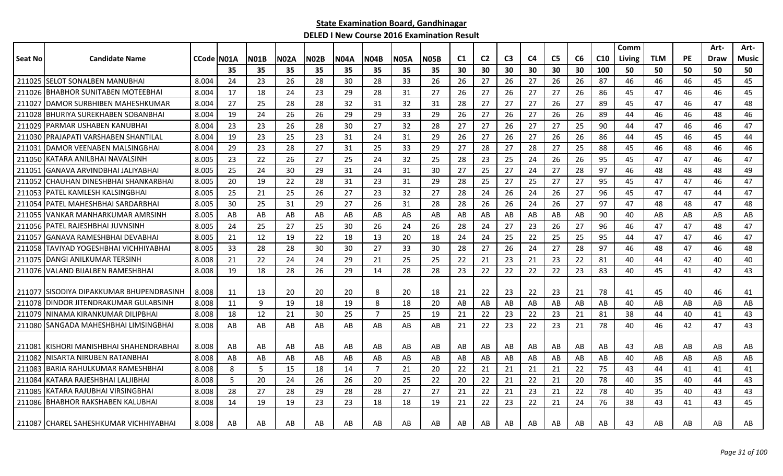|                |                                           |            |    |             |             |             |             |                |             |             |                |                |                |    |                |    |                 | Comm   |            |           | Art-        | Art-  |
|----------------|-------------------------------------------|------------|----|-------------|-------------|-------------|-------------|----------------|-------------|-------------|----------------|----------------|----------------|----|----------------|----|-----------------|--------|------------|-----------|-------------|-------|
| <b>Seat No</b> | <b>Candidate Name</b>                     | CCode N01A |    | <b>N01B</b> | <b>N02A</b> | <b>N02B</b> | <b>N04A</b> | <b>N04B</b>    | <b>N05A</b> | <b>N05B</b> | C <sub>1</sub> | C <sub>2</sub> | C <sub>3</sub> | C4 | C <sub>5</sub> | C6 | C <sub>10</sub> | Living | <b>TLM</b> | <b>PE</b> | <b>Draw</b> | Music |
|                |                                           |            | 35 | 35          | 35          | 35          | 35          | 35             | 35          | 35          | 30             | 30             | 30             | 30 | 30             | 30 | 100             | 50     | 50         | 50        | 50          | 50    |
| 211025         | <b>SELOT SONALBEN MANUBHAI</b>            | 8.004      | 24 | 23          | 26          | 28          | 30          | 28             | 33          | 26          | 26             | 27             | 26             | 27 | 26             | 26 | 87              | 46     | 46         | 46        | 45          | 45    |
| 211026         | <b>BHABHOR SUNITABEN MOTEEBHAI</b>        | 8.004      | 17 | 18          | 24          | 23          | 29          | 28             | 31          | 27          | 26             | 27             | 26             | 27 | 27             | 26 | 86              | 45     | 47         | 46        | 46          | 45    |
| 211027         | DAMOR SURBHIBEN MAHESHKUMAR               | 8.004      | 27 | 25          | 28          | 28          | 32          | 31             | 32          | 31          | 28             | 27             | 27             | 27 | 26             | 27 | 89              | 45     | 47         | 46        | 47          | 48    |
| 211028         | <b>BHURIYA SUREKHABEN SOBANBHAI</b>       | 8.004      | 19 | 24          | 26          | 26          | 29          | 29             | 33          | 29          | -26            | 27             | 26             | 27 | 26             | 26 | 89              | 44     | 46         | 46        | 48          | 46    |
| 211029         | PARMAR USHABEN KANUBHAI                   | 8.004      | 23 | 23          | 26          | 28          | 30          | 27             | 32          | 28          | 27             | 27             | 26             | 27 | 27             | 25 | 90              | 44     | 47         | 46        | 46          | 47    |
| 211030         | PRAJAPATI VARSHABEN SHANTILAL             | 8.004      | 19 | 23          | 25          | 23          | 31          | 24             | 31          | 29          | 26             | 27             | 26             | 27 | 26             | 26 | 86              | 44     | 45         | 46        | 45          | 44    |
| 21103          | DAMOR VEENABEN MALSINGBHAI                | 8.004      | 29 | 23          | 28          | 27          | 31          | 25             | 33          | 29          | 27             | 28             | 27             | 28 | 27             | 25 | 88              | 45     | 46         | 48        | 46          | 46    |
| 211050         | KATARA ANILBHAI NAVALSINH                 | 8.005      | 23 | 22          | 26          | 27          | 25          | 24             | 32          | 25          | 28             | 23             | 25             | 24 | 26             | 26 | 95              | 45     | 47         | 47        | 46          | 47    |
| 21105          | GANAVA ARVINDBHAI JALIYABHAI              | 8.005      | 25 | 24          | 30          | 29          | 31          | 24             | 31          | 30          | 27             | 25             | 27             | 24 | 27             | 28 | 97              | 46     | 48         | 48        | 48          | 49    |
| 211052         | CHAUHAN DINESHBHAI SHANKARBHAI            | 8.005      | 20 | 19          | 22          | 28          | 31          | 23             | 31          | 29          | 28             | 25             | 27             | 25 | 27             | 27 | 95              | 45     | 47         | 47        | 46          | 47    |
| 211053         | PATEL KAMLESH KALSINGBHAI                 | 8.005      | 25 | 21          | 25          | 26          | 27          | 23             | 32          | 27          | 28             | 24             | 26             | 24 | 26             | 27 | 96              | 45     | 47         | 47        | 44          | 47    |
| 211054         | PATEL MAHESHBHAI SARDARBHAI               | 8.005      | 30 | 25          | 31          | 29          | 27          | 26             | 31          | 28          | 28             | 26             | 26             | 24 | 26             | 27 | 97              | 47     | 48         | 48        | 47          | 48    |
| 211055         | VANKAR MANHARKUMAR AMRSINH                | 8.005      | AB | AB          | AB          | AB          | AB          | AB.            | AB          | AB          | AB             | AB             | AB             | AB | AB             | AB | 90              | 40     | AB         | AB        | AB.         | AB    |
| 211056         | PATEL RAJESHBHAI JUVNSINH                 | 8.005      | 24 | 25          | 27          | 25          | 30          | 26             | 24          | 26          | 28             | 24             | 27             | 23 | 26             | 27 | 96              | 46     | 47         | 47        | 48          | 47    |
| 21105          | GANAVA RAMESHBHAI DEVABHAI                | 8.005      | 21 | 12          | 19          | 22          | 18          | 13             | 20          | 18          | 24             | 24             | 25             | 22 | 25             | 25 | 95              | 44     | 47         | 47        | 46          | 47    |
| 211058         | TAVIYAD YOGESHBHAI VICHHIYABHAI           | 8.005      | 33 | 28          | 28          | 30          | 30          | 27             | 33          | 30          | 28             | 27             | 26             | 24 | 27             | 28 | 97              | 46     | 48         | 47        | 46          | 48    |
| 211075         | IDANGI ANILKUMAR TERSINH                  | 8.008      | 21 | 22          | 24          | 24          | 29          | 21             | 25          | 25          | 22             | 21             | 23             | 21 | 23             | 22 | 81              | 40     | 44         | 42        | 40          | 40    |
| 211076         | <b>VALAND BIJALBEN RAMESHBHAI</b>         | 8.008      | 19 | 18          | 28          | 26          | 29          | 14             | 28          | 28          | 23             | 22             | 22             | 22 | 22             | 23 | 83              | 40     | 45         | 41        | 42          | 43    |
|                |                                           |            |    |             |             |             |             |                |             |             |                |                |                |    |                |    |                 |        |            |           |             |       |
|                | 211077 ISISODIYA DIPAKKUMAR BHUPENDRASINH | 8.008      | 11 | 13          | 20          | 20          | 20          | 8              | 20          | 18          | 21             | 22             | 23             | 22 | 23             | 21 | 78              | 41     | 45         | 40        | 46          | 41    |
| 211078         | DINDOR JITENDRAKUMAR GULABSINH            | 8.008      | 11 | 9           | 19          | 18          | 19          | 8              | 18          | 20          | AB             | AB             | AB             | AB | AB             | AB | AB              | 40     | AB         | AB        | AB          | AB    |
| 211079         | NINAMA KIRANKUMAR DILIPBHAI               | 8.008      | 18 | 12          | 21          | 30          | 25          | $\overline{7}$ | 25          | 19          | 21             | 22             | 23             | 22 | 23             | 21 | 81              | 38     | 44         | 40        | 41          | 43    |
| 211080         | SANGADA MAHESHBHAI LIMSINGBHAI            | 8.008      | AB | AB          | AB          | AB          | AB          | AB             | AB          | AB          | 21             | 22             | 23             | 22 | 23             | 21 | 78              | 40     | 46         | 42        | 47          | 43    |
|                |                                           |            |    |             |             |             |             |                |             |             |                |                |                |    |                |    |                 |        |            |           |             |       |
| 21108          | KISHORI MANISHBHAI SHAHENDRABHAI          | 8.008      | AB | AB          | AB          | AB          | AB          | AB             | AB          | AB          | AB             | AB             | AB             | AB | AB             | AB | AB              | 43     | AB         | AB        | AB          | AB    |
| 211082         | NISARTA NIRUBEN RATANBHAI                 | 8.008      | AB | AB          | AB          | AB          | AB          | AB             | AB          | AB          | AB             | AB             | AB             | AB | AB             | AB | AB              | 40     | AB         | AB        | AB          | AB    |
| 211083         | IBARIA RAHULKUMAR RAMESHBHAI              | 8.008      | 8  | 5           | 15          | 18          | 14          | $\overline{7}$ | 21          | 20          | 22             | 21             | 21             | 21 | 21             | 22 | 75              | 43     | 44         | 41        | 41          | 41    |
| 211084         | KATARA RAJESHBHAI LALJIBHAI               | 8.008      | 5  | 20          | 24          | 26          | 26          | 20             | 25          | 22          | 20             | 22             | 21             | 22 | 21             | 20 | 78              | 40     | 35         | 40        | 44          | 43    |
| 211085         | IKATARA RAJUBHAI VIRSINGBHAI              | 8.008      | 28 | 27          | 28          | 29          | 28          | 28             | 27          | 27          | 21             | 22             | 21             | 23 | 21             | 22 | 78              | 40     | 35         | 40        | 43          | 43    |
|                | 211086 BHABHOR RAKSHABEN KALUBHAI         | 8.008      | 14 | 19          | 19          | 23          | 23          | 18             | 18          | 19          | 21             | 22             | 23             | 22 | 21             | 24 | 76              | 38     | 43         | 41        | 43          | 45    |
|                | 211087 CHAREL SAHESHKUMAR VICHHIYABHAI    | 8.008      | AB | AB          | AB          | AB          | AB          | AB             | AB          | AB          | AB             | AB             | AB             | AB | AB             | AB | AB              | 43     | AB         | AB        | AB          | AB    |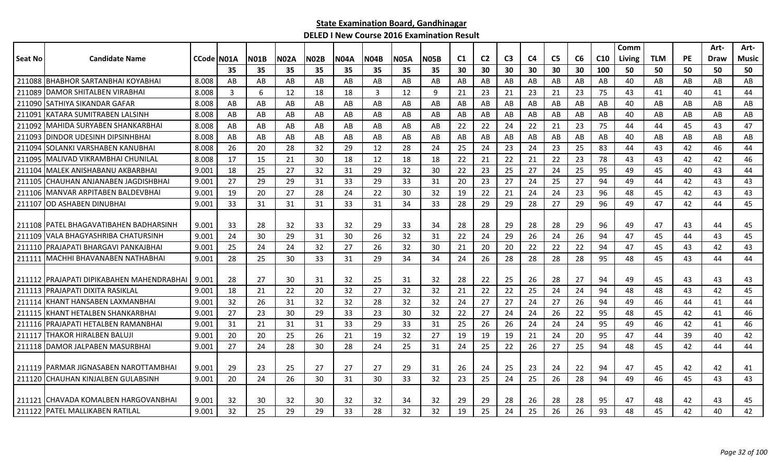|         |                                            |            |                |             |             |             |             |             |             |             |                |                |                |    |                |    |                 | Comm   |            |           | Art- | Art-  |
|---------|--------------------------------------------|------------|----------------|-------------|-------------|-------------|-------------|-------------|-------------|-------------|----------------|----------------|----------------|----|----------------|----|-----------------|--------|------------|-----------|------|-------|
| Seat No | <b>Candidate Name</b>                      | CCode N01A |                | <b>N01B</b> | <b>N02A</b> | <b>N02B</b> | <b>N04A</b> | <b>N04B</b> | <b>N05A</b> | <b>N05B</b> | C <sub>1</sub> | C <sub>2</sub> | C <sub>3</sub> | C4 | C <sub>5</sub> | C6 | C <sub>10</sub> | Living | <b>TLM</b> | <b>PE</b> | Draw | Music |
|         |                                            |            | 35             | 35          | 35          | 35          | 35          | 35          | 35          | 35          | 30             | 30             | 30             | 30 | 30             | 30 | 100             | 50     | 50         | 50        | 50   | 50    |
|         | 211088 BHABHOR SARTANBHAI KOYABHAI         | 8.008      | AB             | AB          | AB          | AB          | AB          | AB          | AB          | AB          | AB             | AB             | AB             | AB | AB             | AB | AB              | 40     | AB         | AB        | AB   | AB    |
| 211089  | <b>IDAMOR SHITALBEN VIRABHAI</b>           | 8.008      | $\overline{3}$ | 6           | 12          | 18          | 18          | 3           | 12          | 9           | 21             | 23             | 21             | 23 | 21             | 23 | 75              | 43     | 41         | 40        | 41   | 44    |
|         | 211090 SATHIYA SIKANDAR GAFAR              | 8.008      | AB             | AB          | AB          | AB          | AB          | AB          | AB          | AB          | AB             | AB             | AB             | AB | AB             | AB | AB              | 40     | AB         | AB        | AB   | AB    |
| 211091  | KATARA SUMITRABEN LALSINH                  | 8.008      | AB             | AB          | AB          | AB          | AB          | AB          | AB          | AB          | AB             | AB             | AB             | AB | AB             | AB | AB              | 40     | AB         | AB        | AB   | AB    |
| 211092  | <b>MAHIDA SURYABEN SHANKARBHAI</b>         | 8.008      | AB             | AB          | AB          | AB          | AB          | AB          | AB          | AB          | 22             | 22             | 24             | 22 | 21             | 23 | 75              | 44     | 44         | 45        | 43   | 47    |
|         | 211093 DINDOR UDESINH DIPSINHBHAI          | 8.008      | AB             | AB          | AB          | AB          | AB          | AB          | AB          | AB          | AB             | AB             | AB             | AB | AB             | AB | AB              | 40     | AB         | AB        | AB   | AB    |
| 211094  | <b>ISOLANKI VARSHABEN KANUBHAI</b>         | 8.008      | 26             | 20          | 28          | 32          | 29          | 12          | 28          | 24          | 25             | 24             | 23             | 24 | 23             | 25 | 83              | 44     | 43         | 42        | 46   | 44    |
| 211095  | IMALIVAD VIKRAMBHAI CHUNILAL               | 8.008      | 17             | 15          | 21          | 30          | 18          | 12          | 18          | 18          | 22             | 21             | 22             | 21 | 22             | 23 | 78              | 43     | 43         | 42        | 42   | 46    |
| 211104  | IMALEK ANISHABANU AKBARBHAI                | 9.001      | 18             | 25          | 27          | 32          | 31          | 29          | 32          | 30          | 22             | 23             | 25             | 27 | 24             | 25 | 95              | 49     | 45         | 40        | 43   | 44    |
| 211105  | ICHAUHAN ANJANABEN JAGDISHBHAI             | 9.001      | 27             | 29          | 29          | 31          | 33          | 29          | 33          | 31          | 20             | 23             | 27             | 24 | 25             | 27 | 94              | 49     | 44         | 42        | 43   | 43    |
|         | 211106 MANVAR ARPITABEN BALDEVBHAI         | 9.001      | 19             | 20          | 27          | 28          | 24          | 22          | 30          | 32          | 19             | 22             | 21             | 24 | 24             | 23 | 96              | 48     | 45         | 42        | 43   | 43    |
| 211107  | <b>OD ASHABEN DINUBHAI</b>                 | 9.001      | 33             | 31          | 31          | 31          | 33          | 31          | 34          | 33          | 28             | 29             | 29             | 28 | 27             | 29 | 96              | 49     | 47         | 42        | 44   | 45    |
|         |                                            |            |                |             |             |             |             |             |             |             |                |                |                |    |                |    |                 |        |            |           |      |       |
|         | 211108 PATEL BHAGAVATIBAHEN BADHARSINH     | 9.001      | 33             | 28          | 32          | 33          | 32          | 29          | 33          | 34          | 28             | 28             | 29             | 28 | 28             | 29 | 96              | 49     | 47         | 43        | 44   | 45    |
| 211109  | <b>VALA BHAGYASHRIBA CHATURSINH</b>        | 9.001      | 24             | 30          | 29          | 31          | 30          | 26          | 32          | 31          | 22             | 24             | 29             | 26 | 24             | 26 | 94              | 47     | 45         | 44        | 43   | 45    |
|         | 211110 PRAJAPATI BHARGAVI PANKAJBHAI       | 9.001      | 25             | 24          | 24          | 32          | 27          | 26          | 32          | 30          | 21             | 20             | 20             | 22 | 22             | 22 | 94              | 47     | 45         | 43        | 42   | 43    |
|         | 211111   MACHHI BHAVANABEN NATHABHAI       | 9.001      | 28             | 25          | 30          | 33          | 31          | 29          | 34          | 34          | 24             | 26             | 28             | 28 | 28             | 28 | 95              | 48     | 45         | 43        | 44   | 44    |
|         |                                            |            |                |             |             |             |             |             |             |             |                |                |                |    |                |    |                 |        |            |           |      |       |
|         | 211112 IPRAJAPATI DIPIKABAHEN MAHENDRABHAI | 9.001      | 28             | 27          | 30          | 31          | 32          | 25          | 31          | 32          | 28             | 22             | 25             | 26 | 28             | 27 | 94              | 49     | 45         | 43        | 43   | 43    |
|         | 211113 PRAJAPATI DIXITA RASIKLAL           | 9.001      | 18             | 21          | 22          | 20          | 32          | 27          | 32          | 32          | 21             | 22             | 22             | 25 | 24             | 24 | 94              | 48     | 48         | 43        | 42   | 45    |
|         | 211114 KHANT HANSABEN LAXMANBHAI           | 9.001      | 32             | 26          | 31          | 32          | 32          | 28          | 32          | 32          | 24             | 27             | 27             | 24 | 27             | 26 | 94              | 49     | 46         | 44        | 41   | 44    |
|         | 211115 KHANT HETALBEN SHANKARBHAI          | 9.001      | 27             | 23          | 30          | 29          | 33          | 23          | 30          | 32          | 22             | 27             | 24             | 24 | 26             | 22 | 95              | 48     | 45         | 42        | 41   | 46    |
|         | 211116 PRAJAPATI HETALBEN RAMANBHAI        | 9.001      | 31             | 21          | 31          | 31          | 33          | 29          | 33          | 31          | 25             | 26             | 26             | 24 | 24             | 24 | 95              | 49     | 46         | 42        | 41   | 46    |
| 211117  | <b>THAKOR HIRALBEN BALUJI</b>              | 9.001      | 20             | 20          | 25          | 26          | 21          | 19          | 32          | 27          | 19             | 19             | 19             | 21 | 24             | 20 | 95              | 47     | 44         | 39        | 40   | 42    |
|         | 211118 DAMOR JALPABEN MASURBHAI            | 9.001      | 27             | 24          | 28          | 30          | 28          | 24          | 25          | 31          | 24             | 25             | 22             | 26 | 27             | 25 | 94              | 48     | 45         | 42        | 44   | 44    |
|         |                                            |            |                |             |             |             |             |             |             |             |                |                |                |    |                |    |                 |        |            |           |      |       |
|         | 211119 PARMAR JIGNASABEN NAROTTAMBHAI      | 9.001      | 29             | 23          | 25          | 27          | 27          | 27          | 29          | 31          | 26             | 24             | 25             | 23 | 24             | 22 | 94              | 47     | 45         | 42        | 42   | 41    |
|         | 211120 CHAUHAN KINJALBEN GULABSINH         | 9.001      | 20             | 24          | 26          | 30          | 31          | 30          | 33          | 32          | 23             | 25             | 24             | 25 | 26             | 28 | 94              | 49     | 46         | 45        | 43   | 43    |
|         |                                            |            |                |             |             |             |             |             |             |             |                |                |                |    |                |    |                 |        |            |           |      |       |
|         | 211121 ICHAVADA KOMALBEN HARGOVANBHAI      | 9.001      | 32             | 30          | 32          | 30          | 32          | 32          | 34          | 32          | 29             | 29             | 28             | 26 | 28             | 28 | 95              | 47     | 48         | 42        | 43   | 45    |
|         | 211122 PATEL MALLIKABEN RATILAL            | 9.001      | 32             | 25          | 29          | 29          | 33          | 28          | 32          | 32          | 19             | 25             | 24             | 25 | 26             | 26 | 93              | 48     | 45         | 42        | 40   | 42    |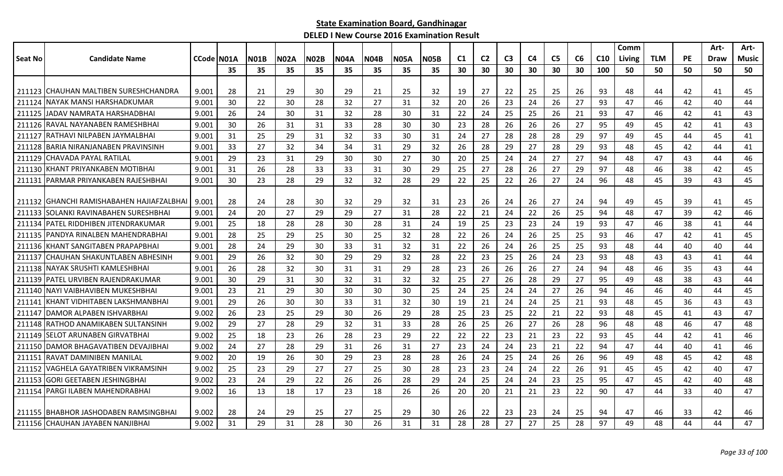|         |                                         |                    |     |             |             |             |             |             |             |             |                |                |                |                |                |    |                 | Comm   |            |           | Art-        | Art-  |
|---------|-----------------------------------------|--------------------|-----|-------------|-------------|-------------|-------------|-------------|-------------|-------------|----------------|----------------|----------------|----------------|----------------|----|-----------------|--------|------------|-----------|-------------|-------|
| Seat No | <b>Candidate Name</b>                   | <b>CCode IN01A</b> |     | <b>N01B</b> | <b>N02A</b> | <b>N02B</b> | <b>N04A</b> | <b>N04B</b> | <b>N05A</b> | <b>N05B</b> | C <sub>1</sub> | C <sub>2</sub> | C <sub>3</sub> | C <sub>4</sub> | C <sub>5</sub> | C6 | C <sub>10</sub> | Living | <b>TLM</b> | <b>PE</b> | <b>Draw</b> | Music |
|         |                                         |                    | 35  | 35          | 35          | 35          | 35          | 35          | 35          | 35          | 30             | 30             | 30             | 30             | 30             | 30 | 100             | 50     | 50         | 50        | 50          | 50    |
|         |                                         |                    |     |             |             |             |             |             |             |             |                |                |                |                |                |    |                 |        |            |           |             |       |
|         | 211123 CHAUHAN MALTIBEN SURESHCHANDRA   | 9.001              | -28 | 21          | 29          | 30          | 29          | 21          | 25          | 32          | 19             | 27             | 22             | 25             | 25             | 26 | 93              | 48     | 44         | 42        | 41          | 45    |
| 211124  | NAYAK MANSI HARSHADKUMAR                | 9.001              | 30  | 22          | 30          | 28          | 32          | 27          | 31          | 32          | 20             | 26             | 23             | 24             | 26             | 27 | 93              | 47     | 46         | 42        | 40          | 44    |
| 211125  | <b>JADAV NAMRATA HARSHADBHAI</b>        | 9.001              | 26  | 24          | 30          | 31          | 32          | 28          | 30          | 31          | 22             | 24             | 25             | 25             | 26             | 21 | 93              | 47     | 46         | 42        | 41          | 43    |
|         | 211126 RAVAL NAYANABEN RAMESHBHAI       | 9.001              | 30  | 26          | 31          | 31          | 33          | 28          | 30          | 30          | 23             | 28             | 26             | 26             | 26             | 27 | 95              | 49     | 45         | 42        | 41          | 43    |
| 211127  | IRATHAVI NILPABEN JAYMALBHAI            | 9.001              | 31  | 25          | 29          | 31          | 32          | 33          | 30          | 31          | 24             | 27             | 28             | 28             | 28             | 29 | 97              | 49     | 45         | 44        | 45          | 41    |
|         | 211128 BARIA NIRANJANABEN PRAVINSINH    | 9.001              | 33  | 27          | 32          | 34          | 34          | 31          | 29          | 32          | 26             | 28             | 29             | 27             | 28             | 29 | 93              | 48     | 45         | 42        | 44          | 41    |
| 211129  | CHAVADA PAYAL RATILAL                   | 9.001              | 29  | 23          | 31          | 29          | 30          | 30          | 27          | 30          | 20             | 25             | 24             | 24             | 27             | 27 | 94              | 48     | 47         | 43        | 44          | 46    |
| 211130  | KHANT PRIYANKABEN MOTIBHAI              | 9.001              | 31  | 26          | 28          | 33          | 33          | 31          | 30          | 29          | 25             | 27             | 28             | 26             | 27             | 29 | 97              | 48     | 46         | 38        | 42          | 45    |
| 211131  | PARMAR PRIYANKABEN RAJESHBHAI           | 9.001              | 30  | 23          | 28          | 29          | 32          | 32          | 28          | 29          | 22             | 25             | 22             | 26             | 27             | 24 | 96              | 48     | 45         | 39        | 43          | 45    |
|         |                                         |                    |     |             |             |             |             |             |             |             |                |                |                |                |                |    |                 |        |            |           |             |       |
| 211132  | IGHANCHI RAMISHABAHEN HAJIAFZALBHAI     | 9.001              | 28  | 24          | 28          | 30          | 32          | 29          | 32          | 31          | 23             | 26             | 24             | 26             | 27             | 24 | 94              | 49     | 45         | 39        | 41          | 45    |
| 211133  | ISOLANKI RAVINABAHEN SURESHBHAI         | 9.001              | 24  | 20          | 27          | 29          | 29          | 27          | 31          | 28          | 22             | 21             | 24             | 22             | 26             | 25 | 94              | 48     | 47         | 39        | 42          | 46    |
| 211134  | IPATEL RIDDHIBEN JITENDRAKUMAR          | 9.001              | 25  | 18          | 28          | 28          | 30          | 28          | 31          | 24          | 19             | 25             | 23             | 23             | 24             | 19 | 93              | 47     | 46         | 38        | 41          | 44    |
|         | 211135 PANDYA RINALBEN MAHENDRABHAI     | 9.001              | 28  | 25          | 29          | 25          | 30          | 25          | 32          | 28          | 22             | 26             | 24             | 26             | 25             | 25 | 93              | 46     | 47         | 42        | 41          | 45    |
|         | 211136 KHANT SANGITABEN PRAPAPBHAI      | 9.001              | 28  | 24          | 29          | 30          | 33          | 31          | 32          | 31          | 22             | 26             | 24             | 26             | 25             | 25 | 93              | 48     | 44         | 40        | 40          | 44    |
| 211137  | CHAUHAN SHAKUNTLABEN ABHESINH           | 9.001              | 29  | 26          | 32          | 30          | 29          | 29          | 32          | 28          | 22             | 23             | 25             | 26             | 24             | 23 | 93              | 48     | 43         | 43        | 41          | 44    |
| 211138  | NAYAK SRUSHTI KAMLESHBHAI               | 9.001              | 26  | 28          | 32          | 30          | 31          | 31          | 29          | 28          | 23             | 26             | 26             | 26             | 27             | 24 | 94              | 48     | 46         | 35        | 43          | 44    |
| 211139  | <b>IPATEL URVIBEN RAJENDRAKUMAR</b>     | 9.001              | 30  | 29          | 31          | 30          | 32          | 31          | 32          | 32          | 25             | 27             | 26             | 28             | 29             | 27 | 95              | 49     | 48         | 38        | 43          | 44    |
|         | 211140 NAYI VAIBHAVIBEN MUKESHBHAI      | 9.001              | 23  | 21          | 29          | 30          | 30          | 30          | 30          | 25          | 24             | 25             | 24             | 24             | 27             | 26 | 94              | 46     | 46         | 40        | 44          | 45    |
| 211141  | KHANT VIDHITABEN LAKSHMANBHAI           | 9.001              | 29  | 26          | 30          | 30          | 33          | 31          | 32          | 30          | 19             | 21             | 24             | 24             | 25             | 21 | 93              | 48     | 45         | 36        | 43          | 43    |
|         | 211147 DAMOR ALPABEN ISHVARBHAI         | 9.002              | 26  | 23          | 25          | 29          | 30          | 26          | 29          | 28          | 25             | 23             | 25             | 22             | 21             | 22 | 93              | 48     | 45         | 41        | 43          | 47    |
|         | 211148 RATHOD ANAMIKABEN SULTANSINH     | 9.002              | 29  | 27          | 28          | 29          | 32          | 31          | 33          | 28          | 26             | 25             | 26             | 27             | 26             | 28 | 96              | 48     | 48         | 46        | 47          | 48    |
| 211149  | ISELOT ARUNABEN GIRVATBHAI              | 9.002              | 25  | 18          | 23          | 26          | 28          | 23          | 29          | 22          | 22             | 22             | 23             | 21             | 23             | 22 | 93              | 45     | 44         | 42        | 41          | 46    |
|         | 211150 DAMOR BHAGAVATIBEN DEVAJIBHAI    | 9.002              | 24  | 27          | 28          | 29          | 31          | 26          | 31          | 27          | 23             | 24             | 24             | 23             | 21             | 22 | 94              | 47     | 44         | 40        | 41          | 46    |
| 211151  | <b>RAVAT DAMINIBEN MANILAL</b>          | 9.002              | 20  | 19          | 26          | 30          | 29          | 23          | 28          | 28          | 26             | 24             | 25             | 24             | 26             | 26 | 96              | 49     | 48         | 45        | 42          | 48    |
| 211152  | IVAGHELA GAYATRIBEN VIKRAMSINH          | 9.002              | 25  | 23          | 29          | 27          | 27          | 25          | 30          | 28          | 23             | 23             | 24             | 24             | 22             | 26 | 91              | 45     | 45         | 42        | 40          | 47    |
| 211153  | <b>GORI GEETABEN JESHINGBHAI</b>        | 9.002              | 23  | 24          | 29          | 22          | 26          | 26          | 28          | 29          | 24             | 25             | 24             | 24             | 23             | 25 | 95              | 47     | 45         | 42        | 40          | 48    |
|         | 211154 PARGI ILABEN MAHENDRABHAI        | 9.002              | 16  | 13          | 18          | 17          | 23          | 18          | 26          | 26          | 20             | 20             | 21             | 21             | 23             | 22 | 90              | 47     | 44         | 33        | 40          | 47    |
|         |                                         |                    |     |             |             |             |             |             |             |             |                |                |                |                |                |    |                 |        |            |           |             |       |
|         | 211155   BHABHOR JASHODABEN RAMSINGBHAI | 9.002              | 28  | 24          | 29          | 25          | 27          | 25          | 29          | 30          | 26             | 22             | 23             | 23             | 24             | 25 | 94              | 47     | 46         | 33        | 42          | 46    |
|         | 211156 CHAUHAN JAYABEN NANJIBHAI        | 9.002              | 31  | 29          | 31          | 28          | 30          | 26          | 31          | 31          | 28             | 28             | 27             | 27             | 25             | 28 | 97              | 49     | 48         | 44        | 44          | 47    |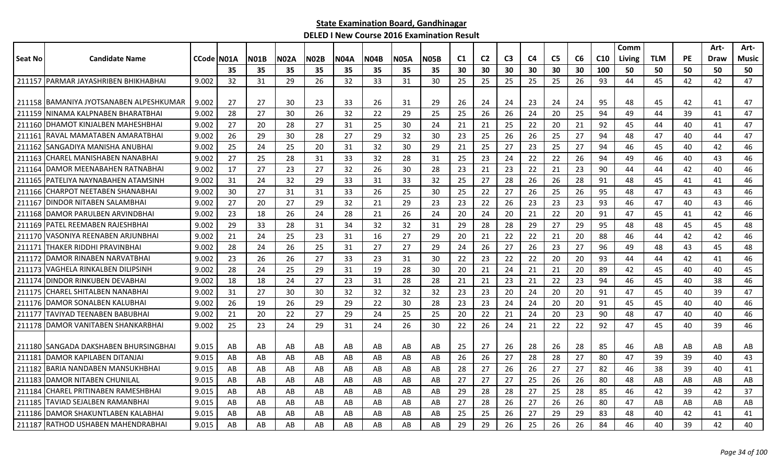|                |                                         |                     |    |             |             |             |      |             |             |             |    |                |                |                |                |                |                 | Comm   |            |           | Art- | Art-         |
|----------------|-----------------------------------------|---------------------|----|-------------|-------------|-------------|------|-------------|-------------|-------------|----|----------------|----------------|----------------|----------------|----------------|-----------------|--------|------------|-----------|------|--------------|
| <b>Seat No</b> | <b>Candidate Name</b>                   | <b>CCode   NO1A</b> |    | <b>N01B</b> | <b>N02A</b> | <b>N02B</b> | N04A | <b>N04B</b> | <b>N05A</b> | <b>N05B</b> | C1 | C <sub>2</sub> | C <sub>3</sub> | C <sub>4</sub> | C <sub>5</sub> | C <sub>6</sub> | C <sub>10</sub> | Living | <b>TLM</b> | <b>PE</b> | Draw | <b>Music</b> |
|                |                                         |                     | 35 | 35          | 35          | 35          | 35   | 35          | 35          | 35          | 30 | 30             | 30             | 30             | 30             | 30             | 100             | 50     | 50         | 50        | 50   | 50           |
| 211157         | IPARMAR JAYASHRIBEN BHIKHABHAI          | 9.002               | 32 | 31          | 29          | 26          | 32   | 33          | 31          | 30          | 25 | 25             | 25             | 25             | 25             | 26             | 93              | 44     | 45         | 42        | 42   | 47           |
|                |                                         |                     |    |             |             |             |      |             |             |             |    |                |                |                |                |                |                 |        |            |           |      |              |
|                | 211158 BAMANIYA JYOTSANABEN ALPESHKUMAR | 9.002               | 27 | 27          | 30          | 23          | 33   | 26          | 31          | 29          | 26 | 24             | 24             | 23             | 24             | 24             | 95              | 48     | 45         | 42        | 41   | 47           |
| 211159         | NINAMA KALPNABEN BHARATBHAI             | 9.002               | 28 | 27          | 30          | 26          | 32   | 22          | 29          | 25          | 25 | 26             | 26             | 24             | 20             | 25             | 94              | 49     | 44         | 39        | 41   | 47           |
| 211160         | DHAMOT KINJALBEN MAHESHBHAI             | 9.002               | 27 | 20          | 28          | 27          | 31   | 25          | 30          | 24          | 21 | 21             | 25             | 22             | 20             | 21             | 92              | 45     | 44         | 40        | 41   | 47           |
| 211161         | RAVAL MAMATABEN AMARATBHAI              | 9.002               | 26 | 29          | 30          | 28          | 27   | 29          | 32          | 30          | 23 | 25             | 26             | 26             | 25             | 27             | 94              | 48     | 47         | 40        | 44   | 47           |
|                | 211162 SANGADIYA MANISHA ANUBHAI        | 9.002               | 25 | 24          | 25          | 20          | 31   | 32          | 30          | 29          | 21 | 25             | 27             | 23             | 25             | 27             | 94              | 46     | 45         | 40        | 42   | 46           |
| 211163         | CHAREL MANISHABEN NANABHAI              | 9.002               | 27 | 25          | 28          | 31          | 33   | 32          | 28          | 31          | 25 | 23             | 24             | 22             | 22             | 26             | 94              | 49     | 46         | 40        | 43   | 46           |
| 211164         | IDAMOR MEENABAHEN RATNABHAI             | 9.002               | 17 | 27          | 23          | 27          | 32   | 26          | 30          | 28          | 23 | 21             | 23             | 22             | 21             | 23             | 90              | 44     | 44         | 42        | 40   | 46           |
| 211165         | PATELIYA NAYNABAHEN ATAMSINH            | 9.002               | 31 | 24          | 32          | 29          | 33   | 31          | 33          | 32          | 25 | 27             | 28             | 26             | 26             | 28             | 91              | 48     | 45         | 41        | 41   | 46           |
| 211166         | <b>CHARPOT NEETABEN SHANABHAI</b>       | 9.002               | 30 | 27          | 31          | 31          | 33   | 26          | 25          | 30          | 25 | 22             | 27             | 26             | 25             | 26             | 95              | 48     | 47         | 43        | 43   | 46           |
| 211167         | DINDOR NITABEN SALAMBHAI                | 9.002               | 27 | 20          | 27          | 29          | 32   | 21          | 29          | 23          | 23 | 22             | 26             | 23             | 23             | 23             | 93              | 46     | 47         | 40        | 43   | 46           |
| 211168         | IDAMOR PARULBEN ARVINDBHAI              | 9.002               | 23 | 18          | 26          | 24          | 28   | 21          | 26          | 24          | 20 | 24             | 20             | 21             | 22             | 20             | 91              | 47     | 45         | 41        | 42   | 46           |
| 211169         | PATEL REEMABEN RAJESHBHAI               | 9.002               | 29 | 33          | 28          | 31          | 34   | 32          | 32          | 31          | 29 | 28             | 28             | 29             | 27             | 29             | 95              | 48     | 48         | 45        | 45   | 48           |
| 211170         | VASONIYA REENABEN ARJUNBHAI             | 9.002               | 21 | 24          | 25          | 23          | 31   | -16         | 27          | 29          | 20 | 21             | 22             | 22             | 21             | 20             | 88              | 46     | 44         | 42        | 42   | 46           |
| 211171         | THAKER RIDDHI PRAVINBHAI                | 9.002               | 28 | 24          | 26          | 25          | 31   | 27          | 27          | 29          | 24 | 26             | 27             | 26             | 23             | 27             | 96              | 49     | 48         | 43        | 45   | 48           |
| 211172         | DAMOR RINABEN NARVATBHAI                | 9.002               | 23 | 26          | 26          | 27          | 33   | 23          | 31          | 30          | 22 | 23             | 22             | 22             | 20             | 20             | 93              | 44     | 44         | 42        | 41   | 46           |
| 211173         | VAGHELA RINKALBEN DILIPSINH             | 9.002               | 28 | 24          | 25          | 29          | 31   | 19          | 28          | 30          | 20 | 21             | 24             | 21             | 21             | 20             | 89              | 42     | 45         | 40        | 40   | 45           |
| 211174         | IDINDOR RINKUBEN DEVABHAI               | 9.002               | 18 | 18          | 24          | 27          | 23   | 31          | 28          | 28          | 21 | 21             | 23             | 21             | 22             | 23             | 94              | 46     | 45         | 40        | 38   | 46           |
| 211175         | İCHAREL SHITALBEN NANABHAI              | 9.002               | 31 | 27          | 30          | 30          | 32   | 32          | 32          | 32          | 23 | 23             | 20             | 24             | 20             | 20             | 91              | 47     | 45         | 40        | 39   | 47           |
|                | 211176 DAMOR SONALBEN KALUBHAI          | 9.002               | 26 | 19          | 26          | 29          | 29   | 22          | 30          | 28          | 23 | 23             | 24             | 24             | 20             | 20             | 91              | 45     | 45         | 40        | 40   | 46           |
| 211177         | ITAVIYAD TEENABEN BABUBHAI              | 9.002               | 21 | 20          | 22          | 27          | 29   | 24          | 25          | 25          | 20 | 22             | 21             | 24             | 20             | 23             | 90              | 48     | 47         | 40        | 40   | 46           |
|                | 211178 DAMOR VANITABEN SHANKARBHAI      | 9.002               | 25 | 23          | 24          | 29          | 31   | 24          | 26          | 30          | 22 | 26             | 24             | 21             | 22             | 22             | 92              | 47     | 45         | 40        | 39   | 46           |
|                |                                         |                     |    |             |             |             |      |             |             |             |    |                |                |                |                |                |                 |        |            |           |      |              |
|                | 211180 SANGADA DAKSHABEN BHURSINGBHAI   | 9.015               | AB | AB          | AB          | AB          | AB   | AB          | AB          | AB          | 25 | 27             | 26             | 28             | 26             | 28             | 85              | 46     | AB         | AB        | AB   | AB           |
| 21118          | DAMOR KAPILABEN DITANJAI                | 9.015               | AB | AB          | AB          | AB          | AB   | AB          | AB          | AB          | 26 | 26             | 27             | 28             | 28             | 27             | 80              | 47     | 39         | 39        | 40   | 43           |
| 211182         | BARIA NANDABEN MANSUKHBHAI              | 9.015               | AB | AB          | AB          | AB          | AB   | AB          | AB          | AB          | 28 | 27             | 26             | 26             | 27             | 27             | 82              | 46     | 38         | 39        | 40   | 41           |
| 211183         | IDAMOR NITABEN CHUNILAL                 | 9.015               | AB | AB          | AB          | AB          | AB   | AB          | AB          | AB          | 27 | 27             | 27             | 25             | 26             | 26             | 80              | 48     | AB         | AB        | AB   | AB           |
| 211184         | CHAREL PRITINABEN RAMESHBHAI            | 9.015               | AB | AB          | AB          | AB          | AB   | AB          | AB          | AB          | 29 | 28             | 28             | 27             | 25             | 28             | 85              | 46     | 42         | 39        | 42   | 37           |
|                | 211185 TAVIAD SEJALBEN RAMANBHAI        | 9.015               | AB | AB          | AB          | AB          | AB   | AB          | AB          | AB          | 27 | 28             | 26             | 27             | 26             | 26             | 80              | 47     | AB         | AB        | AB   | AB           |
|                | 211186 DAMOR SHAKUNTLABEN KALABHAI      | 9.015               | AB | AB          | AB          | AB          | AB   | AB          | AB          | AB          | 25 | 25             | 26             | 27             | 29             | 29             | 83              | 48     | 40         | 42        | 41   | 41           |
|                | 211187 RATHOD USHABEN MAHENDRABHAI      | 9.015               | AB | AB          | AB          | AB          | AB   | AB          | AB          | AB          | 29 | 29             | 26             | 25             | 26             | 26             | 84              | 46     | 40         | 39        | 42   | 40           |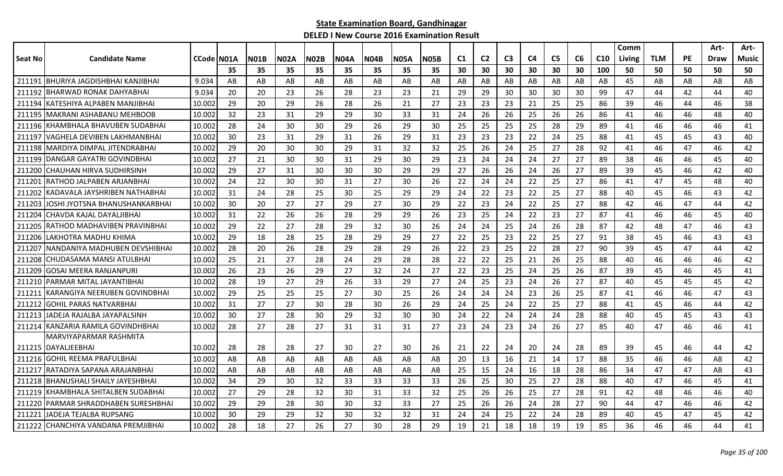|                |                                     |                    |     |             |      |             |             |             |             |             |    |                |                |                |                |    |     | Comm   |            |           | Art-        | Art-         |
|----------------|-------------------------------------|--------------------|-----|-------------|------|-------------|-------------|-------------|-------------|-------------|----|----------------|----------------|----------------|----------------|----|-----|--------|------------|-----------|-------------|--------------|
| <b>Seat No</b> | <b>Candidate Name</b>               | <b>CCode IN01A</b> |     | <b>N01B</b> | N02A | <b>N02B</b> | <b>N04A</b> | <b>N04B</b> | <b>N05A</b> | <b>N05B</b> | C1 | C <sub>2</sub> | C <sub>3</sub> | C <sub>4</sub> | C <sub>5</sub> | C6 | C10 | Living | <b>TLM</b> | <b>PE</b> | <b>Draw</b> | <b>Music</b> |
|                |                                     |                    | 35  | 35          | 35   | 35          | 35          | 35          | 35          | 35          | 30 | 30             | 30             | 30             | 30             | 30 | 100 | 50     | 50         | 50        | 50          | 50           |
| 211191         | IBHURIYA JAGDISHBHAI KANJIBHAI      | 9.034              | AB  | AB          | AB   | AB          | AB          | AB          | AB          | AB          | AB | AB             | AB             | AB             | AB             | AB | AB  | 45     | AB         | AB        | AB          | AB           |
| 211192         | BHARWAD RONAK DAHYABHAI             | 9.034              | 20  | 20          | 23   | 26          | 28          | 23          | 23          | 21          | 29 | 29             | 30             | 30             | 30             | 30 | 99  | 47     | 44         | 42        | 44          | 40           |
| 211194         | KATESHIYA ALPABEN MANJIBHAI         | 10.002             | 29  | 20          | 29   | 26          | 28          | 26          | 21          | 27          | 23 | 23             | 23             | 21             | 25             | 25 | 86  | 39     | 46         | 44        | 46          | 38           |
|                | 211195   MAKRANI ASHABANU MEHBOOB   | 10.002             | 32  | 23          | 31   | -29         | 29          | 30          | 33          | 31          | 24 | 26             | 26             | 25             | 26             | 26 | 86  | 41     | 46         | 46        | 48          | 40           |
| 211196         | KHAMBHALA BHAVUBEN SUDABHAI         | 10.002             | 28  | 24          | 30   | 30          | 29          | 26          | 29          | 30          | 25 | 25             | 25             | 25             | 28             | 29 | 89  | 41     | 46         | 46        | 46          | 41           |
| 211197         | VAGHELA DEVIBEN LAKHMANBHAI         | 10.002             | 30  | 23          | 31   | 29          | 31          | 26          | 29          | 31          | 23 | 23             | 23             | 22             | 24             | 25 | 88  | 41     | 45         | 45        | 43          | 40           |
| 211198         | MARDIYA DIMPAL JITENDRABHAI         | 10.002             | 29  | 20          | 30   | 30          | 29          | 31          | 32          | 32          | 25 | 26             | 24             | 25             | 27             | 28 | 92  | 41     | 46         | 47        | 46          | 42           |
| 211199         | DANGAR GAYATRI GOVINDBHAI           | 10.002             | 27  | 21          | 30   | 30          | 31          | 29          | 30          | 29          | 23 | 24             | 24             | 24             | 27             | 27 | 89  | 38     | 46         | 46        | 45          | 40           |
| 211200         | CHAUHAN HIRVA SUDHIRSINH            | 10.002             | 29  | 27          | 31   | 30          | 30          | 30          | 29          | 29          | 27 | 26             | 26             | 24             | 26             | 27 | 89  | 39     | 45         | 46        | 42          | 40           |
| 21120          | RATHOD JALPABEN ARJANBHAI           | 10.002             | 24  | 22          | 30   | 30          | 31          | 27          | 30          | 26          | 22 | 24             | 24             | 22             | 25             | 27 | 86  | 41     | 47         | 45        | 48          | 40           |
| 211202         | KADAVALA JAYSHRIBEN NATHABHAI       | 10.002             | -31 | 24          | 28   | 25          | 30          | 25          | 29          | 29          | 24 | 22             | 23             | 22             | 25             | 27 | 88  | 40     | 45         | 46        | 43          | 42           |
| 211203         | JOSHI JYOTSNA BHANUSHANKARBHAI      | 10.002             | 30  | 20          | 27   | 27          | 29          | 27          | 30          | 29          | 22 | 23             | 24             | 22             | 25             | 27 | 88  | 42     | 46         | 47        | 44          | 42           |
| 211204         | ICHAVDA KAJAL DAYALJIBHAI           | 10.002             | 31  | 22          | 26   | 26          | 28          | 29          | 29          | 26          | 23 | 25             | 24             | 22             | 23             | 27 | 87  | 41     | 46         | 46        | 45          | 40           |
| 211205         | IRATHOD MADHAVIBEN PRAVINBHAI       | 10.002             | 29  | 22          | 27   | 28          | 29          | 32          | 30          | 26          | 24 | 24             | 25             | 24             | 26             | 28 | 87  | 42     | 48         | 47        | 46          | 43           |
| 211206         | LAKHOTRA MADHU KHIMA                | 10.002             | 29  | 18          | 28   | 25          | 28          | 29          | 29          | 27          | 22 | 25             | 23             | 22             | 25             | 27 | 91  | 38     | 45         | 46        | 43          | 43           |
| 21120          | NANDANIYA MADHUBEN DEVSHIBHAI       | 10.002             | 28  | 20          | 26   | 28          | 29          | 28          | 29          | 26          | 22 | 23             | 25             | 22             | 28             | 27 | 90  | 39     | 45         | 47        | 44          | 42           |
| 21120          | CHUDASAMA MANSI ATULBHAI            | 10.002             | 25  | 21          | 27   | 28          | 24          | 29          | 28          | 28          | 22 | 22             | 25             | 21             | 26             | 25 | 88  | 40     | 46         | 46        | 46          | 42           |
| 211209         | GOSAI MEERA RANJANPURI              | 10.002             | 26  | 23          | 26   | 29          | 27          | 32          | 24          | 27          | 22 | 23             | 25             | 24             | 25             | 26 | 87  | 39     | 45         | 46        | 45          | 41           |
| 211210         | IPARMAR MITAL JAYANTIBHAI           | 10.002             | 28  | 19          | 27   | 29          | 26          | 33          | 29          | 27          | 24 | 25             | 23             | 24             | 26             | 27 | 87  | 40     | 45         | 45        | 45          | 42           |
| 211211         | KARANGIYA NEERUBEN GOVINDBHAI       | 10.002             | 29  | 25          | 25   | 25          | 27          | 30          | 25          | 26          | 24 | 24             | 24             | 23             | 26             | 25 | 87  | 41     | 46         | 46        | 47          | 43           |
| 211212         | <b>GOHIL PARAS NATVARBHAI</b>       | 10.002             | 31  | 27          | 27   | 30          | 28          | 30          | 26          | 29          | 24 | 25             | 24             | 22             | 25             | 27 | 88  | 41     | 45         | 46        | 44          | 42           |
| 211213         | JADEJA RAJALBA JAYAPALSINH          | 10.002             | 30  | 27          | 28   | 30          | 29          | 32          | 30          | 30          | 24 | 22             | 24             | 24             | 24             | 28 | 88  | 40     | 45         | 45        | 43          | 43           |
| 211214         | IKANZARIA RAMILA GOVINDHBHAI        | 10.002             | 28  | 27          | 28   | 27          | 31          | 31          | 31          | 27          | 23 | 24             | 23             | 24             | 26             | 27 | 85  | 40     | 47         | 46        | 46          | 41           |
|                | MARVIYAPARMAR RASHMITA              |                    |     |             |      |             |             |             |             |             |    |                |                |                |                |    |     |        |            |           |             |              |
|                | 211215 DAYALJEEBHAI                 | 10.002             | 28  | 28          | 28   | 27          | 30          | 27          | 30          | 26          | 21 | 22             | 24             | 20             | 24             | 28 | 89  | 39     | 45         | 46        | 44          | 42           |
| 211216         | <b>GOHIL REEMA PRAFULBHAI</b>       | 10.002             | AB  | AB          | AB   | AB          | AB          | AB          | AB          | AB          | 20 | 13             | 16             | 21             | 14             | 17 | 88  | 35     | 46         | 46        | AB          | 42           |
| 211217         | RATADIYA SAPANA ARAJANBHAI          | 10.002             | AB  | AB          | AB   | AB          | AB          | AB          | AB          | AB          | 25 | 15             | 24             | 16             | 18             | 28 | 86  | 34     | 47         | 47        | AB          | 43           |
| 211218         | IBHANUSHALI SHAILY JAYESHBHAI       | 10.002             | 34  | 29          | 30   | 32          | 33          | 33          | 33          | 33          | 26 | 25             | 30             | 25             | 27             | 28 | 88  | 40     | 47         | 46        | 45          | 41           |
| 211219         | KHAMBHALA SHITALBEN SUDABHAI        | 10.002             | 27  | 29          | 28   | 32          | 30          | 31          | 33          | 32          | 25 | 26             | 26             | 25             | 27             | 28 | 91  | 42     | 48         | 46        | 46          | 40           |
| 211220         | PARMAR SHRADDHABEN SURESHBHAI       | 10.002             | 29  | 29          | 28   | 30          | 30          | 32          | 33          | 27          | 25 | 26             | 26             | 24             | 28             | 27 | 90  | 44     | 47         | 46        | 46          | 42           |
| 211221         | JADEJA TEJALBA RUPSANG              | 10.002             | 30  | 29          | 29   | 32          | 30          | 32          | 32          | 31          | 24 | 24             | 25             | 22             | 24             | 28 | 89  | 40     | 45         | 47        | 45          | 42           |
|                | 211222 CHANCHIYA VANDANA PREMJIBHAI | 10.002             | 28  | 18          | 27   | 26          | 27          | 30          | 28          | 29          | 19 | 21             | 18             | 18             | 19             | 19 | 85  | 36     | 46         | 46        | 44          | 41           |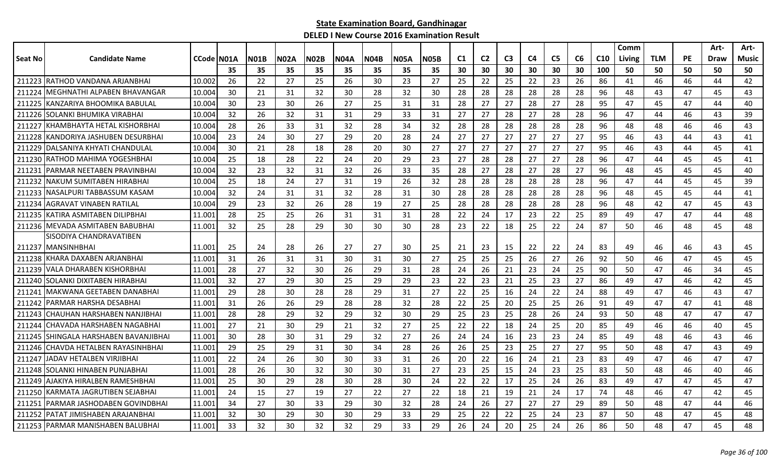| C <sub>3</sub><br>Seat No<br><b>Candidate Name</b><br>CCode N01A<br><b>N04A</b><br>C <sub>1</sub><br>C <sub>2</sub><br>C <sub>4</sub><br>C <sub>5</sub><br>C6<br>C <sub>10</sub><br><b>TLM</b><br><b>PE</b><br>NO1B<br>N02A<br><b>N02B</b><br><b>N04B</b><br><b>N05A</b><br>N05B<br>Music<br>Living<br>Draw<br>35<br>35<br>35<br>35<br>35<br>35<br>35<br>30<br>30<br>30<br>30<br>30<br>30<br>100<br>50<br>50<br>50<br>50<br>50<br>35<br>IRATHOD VANDANA ARJANBHAI<br>10.002<br>22<br>27<br>22<br>42<br>211223<br>26<br>27<br>25<br>26<br>30<br>23<br>25<br>25<br>22<br>23<br>26<br>86<br>41<br>46<br>46<br>44<br>30<br>28<br>28<br>28<br>43<br>211224<br>MEGHNATHI ALPABEN BHAVANGAR<br>10.004<br>21<br>31<br>32<br>30<br>28<br>32<br>30<br>28<br>28<br>28<br>96<br>48<br>43<br>47<br>45<br>IKANZARIYA BHOOMIKA BABULAL<br>27<br>10.004<br>30<br>23<br>30<br>25<br>31<br>31<br>28<br>27<br>28<br>27<br>28<br>95<br>47<br>47<br>40<br>211225<br>26<br>27<br>45<br>44<br>211226 SOLANKI BHUMIKA VIRABHAI<br>10.004<br>32<br>26<br>32<br>33<br>31<br>27<br>28<br>27<br>28<br>28<br>96<br>39<br>31<br>31<br>29<br>27<br>47<br>46<br>43<br>44<br>28<br>26<br>33<br>32<br>34<br>32<br>28<br>28<br>28<br>28<br>28<br>28<br>96<br>48<br>46<br>46<br>43<br>211227<br>KHAMBHAYTA HETAL KISHORBHAI<br>10.004<br>31<br>28<br>48<br>24<br>24<br>27<br>27<br>27<br>10.004<br>23<br>30<br>27<br>29<br>20<br>28<br>27<br>27<br>27<br>95<br>46<br>43<br>41<br>211228<br>KANDORIYA JASHUBEN DESURBHAI<br>43<br>44<br>27<br>30<br>21<br>28<br>18<br>30<br>27<br>27<br>27<br>27<br>27<br>27<br>95<br>46<br>45<br>211229<br> DALSANIYA KHYATI CHANDULAL<br>10.004<br>28<br>20<br>43<br>44<br>41<br>28<br>IRATHOD MAHIMA YOGESHBHAI<br>10.004<br>25<br>18<br>28<br>22<br>24<br>29<br>23<br>27<br>28<br>27<br>27<br>28<br>96<br>47<br>45<br>45<br>41<br>211230<br>20<br>44<br>PARMAR NEETABEN PRAVINBHAI<br>10.004<br>32<br>23<br>32<br>35<br>28<br>27<br>28<br>27<br>28<br>27<br>96<br>40<br>21123<br>31<br>32<br>26<br>33<br>48<br>45<br>45<br>45<br>28<br>39<br>NAKUM SUMITABEN HIRABHAI<br>10.004<br>25<br>18<br>24<br>27<br>19<br>26<br>32<br>28<br>28<br>28<br>28<br>28<br>96<br>47<br>211232<br>31<br>44<br>45<br>45<br>28<br>INASALPURI TABBASSUM KASAM<br>10.004<br>32<br>24<br>31<br>31<br>32<br>28<br>31<br>30<br>28<br>28<br>28<br>28<br>28<br>96<br>48<br>41<br>211233<br>45<br>45<br>44<br>10.004<br>29<br>23<br>32<br>26<br>28<br>27<br>25<br>28<br>28<br>28<br>28<br>28<br>28<br>96<br>48<br>42<br>47<br>45<br>43<br>211234<br>AGRAVAT VINABEN RATILAL<br>19<br>25<br>44<br>48<br>28<br>25<br>26<br>31<br>31<br>28<br>22<br>24<br>17<br>23<br>22<br>25<br>89<br>49<br>47<br>47<br>211235 KATIRA ASMITABEN DILIPBHAI<br>11.001<br>31<br>211236 MEVADA ASMITABEN BABUBHAI<br>22<br>48<br>32<br>25<br>28<br>29<br>30<br>30<br>30<br>28<br>23<br>22<br>18<br>25<br>24<br>87<br>50<br>48<br>45<br>11.001<br>46<br>SISODIYA CHANDRAVATIBEN<br>25<br>28<br>26<br>27<br>27<br>30<br>25<br>23<br>15<br>22<br>22<br>24<br>83<br>43<br>45<br>211237 MANSINHBHAI<br>11.001<br>24<br>21<br>49<br>46<br>46<br>25<br>211238<br>KHARA DAXABEN ARJANBHAI<br>11.001<br>31<br>26<br>31<br>31<br>30<br>31<br>30<br>27<br>25<br>25<br>26<br>27<br>26<br>92<br>50<br>47<br>45<br>45<br>46<br>45<br>VALA DHARABEN KISHORBHAI<br>28<br>27<br>32<br>30<br>28<br>24<br>26<br>21<br>23<br>24<br>25<br>90<br>50<br>34<br>211239<br>11.001<br>26<br>29<br>31<br>47<br>46<br>SOLANKI DIXITABEN HIRABHAI<br>32<br>27<br>30<br>29<br>23<br>23<br>21<br>25<br>23<br>27<br>86<br>42<br>45<br>211240<br>11.001<br>29<br>25<br>29<br>22<br>49<br>47<br>46<br>IMAKWANA GEETABEN DANABHAI<br>29<br>27<br>22<br>47<br>211241<br>11.001<br>28<br>30<br>28<br>28<br>29<br>31<br>22<br>25<br>16<br>24<br>24<br>88<br>49<br>47<br>46<br>43<br>32<br>PARMAR HARSHA DESABHAI<br>11.001<br>31<br>26<br>26<br>29<br>28<br>28<br>28<br>22<br>25<br>20<br>25<br>25<br>26<br>91<br>49<br>47<br>47<br>41<br>48<br>211242<br>25<br>47<br>28<br>28<br>32<br>29<br>32<br>30<br>29<br>25<br>23<br>26<br>24<br>93<br>50<br>47<br>47<br>ICHAUHAN HARSHABEN NANJIBHAI<br>11.001<br>29<br>28<br>48<br>211243<br>CHAVADA HARSHABEN NAGABHAI<br>27<br>21<br>30<br>29<br>32<br>27<br>25<br>22<br>22<br>18<br>25<br>20<br>85<br>49<br>46<br>40<br>45<br>11.001<br>21<br>24<br>46<br>211244<br>30<br>24<br>23<br>85<br>SHINGALA HARSHABEN BAVANJIBHAI<br>11.001<br>28<br>30<br>31<br>29<br>32<br>27<br>26<br>24<br>16<br>23<br>24<br>49<br>48<br>43<br>46<br>211245<br>46<br>CHAVDA HETALBEN RAYASINHBHAI<br>25<br>23<br>25<br>27<br>95<br>49<br>29<br>25<br>29<br>31<br>30<br>34<br>28<br>26<br>26<br>27<br>50<br>47<br>43<br>211246<br>11.001<br>48<br>22<br>24<br>22<br>16<br>21<br>23<br>83<br>47<br>47<br>21124<br>JADAV HETALBEN VIRJIBHAI<br>11.001<br>26<br>30<br>30<br>33<br>31<br>26<br>20<br>24<br>49<br>47<br>46<br>25<br>23<br>SOLANKI HINABEN PUNJABHAI<br>11.001<br>28<br>26<br>30<br>32<br>30<br>31<br>27<br>23<br>15<br>25<br>83<br>50<br>48<br>46<br>40<br>46<br>211248<br>30<br>24<br><b>JAJAKIYA HIRALBEN RAMESHBHAI</b><br>25<br>30<br>29<br>30<br>24<br>22<br>17<br>24<br>26<br>83<br>211249<br>11.001<br>28<br>30<br>28<br>22<br>25<br>49<br>47<br>47<br>45<br>47<br>24<br>15<br>27<br>27<br>27<br>22<br>18<br>19<br>24<br>74<br>48<br>47<br>42<br>45<br>KARMATA JAGRUTIBEN SEJABHAI<br>11.001<br>19<br>22<br>21<br>21<br>17<br>46<br>211250<br>27<br>46<br>34<br>30<br>33<br>29<br>30<br>32<br>28<br>24<br>26<br>27<br>27<br>27<br>29<br>89<br>50<br>47<br>44<br>211251<br>PARMAR JASHODABEN GOVINDBHAI<br>11.001<br>48<br>PATAT JIMISHABEN ARAJANBHAI<br>32<br>30<br>30<br>33<br>29<br>25<br>22<br>22<br>24<br>23<br>87<br>50<br>45<br>48<br>211252<br>11.001<br>29<br>30<br>29<br>25<br>48<br>47<br>33<br>32<br>30<br>32<br>32<br>29<br>33<br>29<br>24<br>20<br>25<br>24<br>26<br>86<br>50<br>47<br>211253 PARMAR MANISHABEN BALUBHAI<br>11.001<br>26<br>48<br>45<br>48 |  |  |  |  |  |  |  |  |  | Comm |  | Art- | Art- |
|----------------------------------------------------------------------------------------------------------------------------------------------------------------------------------------------------------------------------------------------------------------------------------------------------------------------------------------------------------------------------------------------------------------------------------------------------------------------------------------------------------------------------------------------------------------------------------------------------------------------------------------------------------------------------------------------------------------------------------------------------------------------------------------------------------------------------------------------------------------------------------------------------------------------------------------------------------------------------------------------------------------------------------------------------------------------------------------------------------------------------------------------------------------------------------------------------------------------------------------------------------------------------------------------------------------------------------------------------------------------------------------------------------------------------------------------------------------------------------------------------------------------------------------------------------------------------------------------------------------------------------------------------------------------------------------------------------------------------------------------------------------------------------------------------------------------------------------------------------------------------------------------------------------------------------------------------------------------------------------------------------------------------------------------------------------------------------------------------------------------------------------------------------------------------------------------------------------------------------------------------------------------------------------------------------------------------------------------------------------------------------------------------------------------------------------------------------------------------------------------------------------------------------------------------------------------------------------------------------------------------------------------------------------------------------------------------------------------------------------------------------------------------------------------------------------------------------------------------------------------------------------------------------------------------------------------------------------------------------------------------------------------------------------------------------------------------------------------------------------------------------------------------------------------------------------------------------------------------------------------------------------------------------------------------------------------------------------------------------------------------------------------------------------------------------------------------------------------------------------------------------------------------------------------------------------------------------------------------------------------------------------------------------------------------------------------------------------------------------------------------------------------------------------------------------------------------------------------------------------------------------------------------------------------------------------------------------------------------------------------------------------------------------------------------------------------------------------------------------------------------------------------------------------------------------------------------------------------------------------------------------------------------------------------------------------------------------------------------------------------------------------------------------------------------------------------------------------------------------------------------------------------------------------------------------------------------------------------------------------------------------------------------------------------------------------------------------------------------------------------------------------------------------------------------------------------------------------------------------------------------------------------------------------------------------------------------------------------------------------------------------------------------------------------------------------------------------------------------------------------------------------------------------------------------------------------------------------------------------------------------------------------------------------------------------------------------------------------------------------------------------------------------------------------------------------------------------------------------------------------------------------------------------------------------------------------------------------------------------------------------------------------------------------------------------------------------------------------------------------------------------------------------------------------------------------------------------------------------------------------------------------------------------------------------|--|--|--|--|--|--|--|--|--|------|--|------|------|
|                                                                                                                                                                                                                                                                                                                                                                                                                                                                                                                                                                                                                                                                                                                                                                                                                                                                                                                                                                                                                                                                                                                                                                                                                                                                                                                                                                                                                                                                                                                                                                                                                                                                                                                                                                                                                                                                                                                                                                                                                                                                                                                                                                                                                                                                                                                                                                                                                                                                                                                                                                                                                                                                                                                                                                                                                                                                                                                                                                                                                                                                                                                                                                                                                                                                                                                                                                                                                                                                                                                                                                                                                                                                                                                                                                                                                                                                                                                                                                                                                                                                                                                                                                                                                                                                                                                                                                                                                                                                                                                                                                                                                                                                                                                                                                                                                                                                                                                                                                                                                                                                                                                                                                                                                                                                                                                                                                                                                                                                                                                                                                                                                                                                                                                                                                                                                                                                                                                            |  |  |  |  |  |  |  |  |  |      |  |      |      |
|                                                                                                                                                                                                                                                                                                                                                                                                                                                                                                                                                                                                                                                                                                                                                                                                                                                                                                                                                                                                                                                                                                                                                                                                                                                                                                                                                                                                                                                                                                                                                                                                                                                                                                                                                                                                                                                                                                                                                                                                                                                                                                                                                                                                                                                                                                                                                                                                                                                                                                                                                                                                                                                                                                                                                                                                                                                                                                                                                                                                                                                                                                                                                                                                                                                                                                                                                                                                                                                                                                                                                                                                                                                                                                                                                                                                                                                                                                                                                                                                                                                                                                                                                                                                                                                                                                                                                                                                                                                                                                                                                                                                                                                                                                                                                                                                                                                                                                                                                                                                                                                                                                                                                                                                                                                                                                                                                                                                                                                                                                                                                                                                                                                                                                                                                                                                                                                                                                                            |  |  |  |  |  |  |  |  |  |      |  |      |      |
|                                                                                                                                                                                                                                                                                                                                                                                                                                                                                                                                                                                                                                                                                                                                                                                                                                                                                                                                                                                                                                                                                                                                                                                                                                                                                                                                                                                                                                                                                                                                                                                                                                                                                                                                                                                                                                                                                                                                                                                                                                                                                                                                                                                                                                                                                                                                                                                                                                                                                                                                                                                                                                                                                                                                                                                                                                                                                                                                                                                                                                                                                                                                                                                                                                                                                                                                                                                                                                                                                                                                                                                                                                                                                                                                                                                                                                                                                                                                                                                                                                                                                                                                                                                                                                                                                                                                                                                                                                                                                                                                                                                                                                                                                                                                                                                                                                                                                                                                                                                                                                                                                                                                                                                                                                                                                                                                                                                                                                                                                                                                                                                                                                                                                                                                                                                                                                                                                                                            |  |  |  |  |  |  |  |  |  |      |  |      |      |
|                                                                                                                                                                                                                                                                                                                                                                                                                                                                                                                                                                                                                                                                                                                                                                                                                                                                                                                                                                                                                                                                                                                                                                                                                                                                                                                                                                                                                                                                                                                                                                                                                                                                                                                                                                                                                                                                                                                                                                                                                                                                                                                                                                                                                                                                                                                                                                                                                                                                                                                                                                                                                                                                                                                                                                                                                                                                                                                                                                                                                                                                                                                                                                                                                                                                                                                                                                                                                                                                                                                                                                                                                                                                                                                                                                                                                                                                                                                                                                                                                                                                                                                                                                                                                                                                                                                                                                                                                                                                                                                                                                                                                                                                                                                                                                                                                                                                                                                                                                                                                                                                                                                                                                                                                                                                                                                                                                                                                                                                                                                                                                                                                                                                                                                                                                                                                                                                                                                            |  |  |  |  |  |  |  |  |  |      |  |      |      |
|                                                                                                                                                                                                                                                                                                                                                                                                                                                                                                                                                                                                                                                                                                                                                                                                                                                                                                                                                                                                                                                                                                                                                                                                                                                                                                                                                                                                                                                                                                                                                                                                                                                                                                                                                                                                                                                                                                                                                                                                                                                                                                                                                                                                                                                                                                                                                                                                                                                                                                                                                                                                                                                                                                                                                                                                                                                                                                                                                                                                                                                                                                                                                                                                                                                                                                                                                                                                                                                                                                                                                                                                                                                                                                                                                                                                                                                                                                                                                                                                                                                                                                                                                                                                                                                                                                                                                                                                                                                                                                                                                                                                                                                                                                                                                                                                                                                                                                                                                                                                                                                                                                                                                                                                                                                                                                                                                                                                                                                                                                                                                                                                                                                                                                                                                                                                                                                                                                                            |  |  |  |  |  |  |  |  |  |      |  |      |      |
|                                                                                                                                                                                                                                                                                                                                                                                                                                                                                                                                                                                                                                                                                                                                                                                                                                                                                                                                                                                                                                                                                                                                                                                                                                                                                                                                                                                                                                                                                                                                                                                                                                                                                                                                                                                                                                                                                                                                                                                                                                                                                                                                                                                                                                                                                                                                                                                                                                                                                                                                                                                                                                                                                                                                                                                                                                                                                                                                                                                                                                                                                                                                                                                                                                                                                                                                                                                                                                                                                                                                                                                                                                                                                                                                                                                                                                                                                                                                                                                                                                                                                                                                                                                                                                                                                                                                                                                                                                                                                                                                                                                                                                                                                                                                                                                                                                                                                                                                                                                                                                                                                                                                                                                                                                                                                                                                                                                                                                                                                                                                                                                                                                                                                                                                                                                                                                                                                                                            |  |  |  |  |  |  |  |  |  |      |  |      |      |
|                                                                                                                                                                                                                                                                                                                                                                                                                                                                                                                                                                                                                                                                                                                                                                                                                                                                                                                                                                                                                                                                                                                                                                                                                                                                                                                                                                                                                                                                                                                                                                                                                                                                                                                                                                                                                                                                                                                                                                                                                                                                                                                                                                                                                                                                                                                                                                                                                                                                                                                                                                                                                                                                                                                                                                                                                                                                                                                                                                                                                                                                                                                                                                                                                                                                                                                                                                                                                                                                                                                                                                                                                                                                                                                                                                                                                                                                                                                                                                                                                                                                                                                                                                                                                                                                                                                                                                                                                                                                                                                                                                                                                                                                                                                                                                                                                                                                                                                                                                                                                                                                                                                                                                                                                                                                                                                                                                                                                                                                                                                                                                                                                                                                                                                                                                                                                                                                                                                            |  |  |  |  |  |  |  |  |  |      |  |      |      |
|                                                                                                                                                                                                                                                                                                                                                                                                                                                                                                                                                                                                                                                                                                                                                                                                                                                                                                                                                                                                                                                                                                                                                                                                                                                                                                                                                                                                                                                                                                                                                                                                                                                                                                                                                                                                                                                                                                                                                                                                                                                                                                                                                                                                                                                                                                                                                                                                                                                                                                                                                                                                                                                                                                                                                                                                                                                                                                                                                                                                                                                                                                                                                                                                                                                                                                                                                                                                                                                                                                                                                                                                                                                                                                                                                                                                                                                                                                                                                                                                                                                                                                                                                                                                                                                                                                                                                                                                                                                                                                                                                                                                                                                                                                                                                                                                                                                                                                                                                                                                                                                                                                                                                                                                                                                                                                                                                                                                                                                                                                                                                                                                                                                                                                                                                                                                                                                                                                                            |  |  |  |  |  |  |  |  |  |      |  |      |      |
|                                                                                                                                                                                                                                                                                                                                                                                                                                                                                                                                                                                                                                                                                                                                                                                                                                                                                                                                                                                                                                                                                                                                                                                                                                                                                                                                                                                                                                                                                                                                                                                                                                                                                                                                                                                                                                                                                                                                                                                                                                                                                                                                                                                                                                                                                                                                                                                                                                                                                                                                                                                                                                                                                                                                                                                                                                                                                                                                                                                                                                                                                                                                                                                                                                                                                                                                                                                                                                                                                                                                                                                                                                                                                                                                                                                                                                                                                                                                                                                                                                                                                                                                                                                                                                                                                                                                                                                                                                                                                                                                                                                                                                                                                                                                                                                                                                                                                                                                                                                                                                                                                                                                                                                                                                                                                                                                                                                                                                                                                                                                                                                                                                                                                                                                                                                                                                                                                                                            |  |  |  |  |  |  |  |  |  |      |  |      |      |
|                                                                                                                                                                                                                                                                                                                                                                                                                                                                                                                                                                                                                                                                                                                                                                                                                                                                                                                                                                                                                                                                                                                                                                                                                                                                                                                                                                                                                                                                                                                                                                                                                                                                                                                                                                                                                                                                                                                                                                                                                                                                                                                                                                                                                                                                                                                                                                                                                                                                                                                                                                                                                                                                                                                                                                                                                                                                                                                                                                                                                                                                                                                                                                                                                                                                                                                                                                                                                                                                                                                                                                                                                                                                                                                                                                                                                                                                                                                                                                                                                                                                                                                                                                                                                                                                                                                                                                                                                                                                                                                                                                                                                                                                                                                                                                                                                                                                                                                                                                                                                                                                                                                                                                                                                                                                                                                                                                                                                                                                                                                                                                                                                                                                                                                                                                                                                                                                                                                            |  |  |  |  |  |  |  |  |  |      |  |      |      |
|                                                                                                                                                                                                                                                                                                                                                                                                                                                                                                                                                                                                                                                                                                                                                                                                                                                                                                                                                                                                                                                                                                                                                                                                                                                                                                                                                                                                                                                                                                                                                                                                                                                                                                                                                                                                                                                                                                                                                                                                                                                                                                                                                                                                                                                                                                                                                                                                                                                                                                                                                                                                                                                                                                                                                                                                                                                                                                                                                                                                                                                                                                                                                                                                                                                                                                                                                                                                                                                                                                                                                                                                                                                                                                                                                                                                                                                                                                                                                                                                                                                                                                                                                                                                                                                                                                                                                                                                                                                                                                                                                                                                                                                                                                                                                                                                                                                                                                                                                                                                                                                                                                                                                                                                                                                                                                                                                                                                                                                                                                                                                                                                                                                                                                                                                                                                                                                                                                                            |  |  |  |  |  |  |  |  |  |      |  |      |      |
|                                                                                                                                                                                                                                                                                                                                                                                                                                                                                                                                                                                                                                                                                                                                                                                                                                                                                                                                                                                                                                                                                                                                                                                                                                                                                                                                                                                                                                                                                                                                                                                                                                                                                                                                                                                                                                                                                                                                                                                                                                                                                                                                                                                                                                                                                                                                                                                                                                                                                                                                                                                                                                                                                                                                                                                                                                                                                                                                                                                                                                                                                                                                                                                                                                                                                                                                                                                                                                                                                                                                                                                                                                                                                                                                                                                                                                                                                                                                                                                                                                                                                                                                                                                                                                                                                                                                                                                                                                                                                                                                                                                                                                                                                                                                                                                                                                                                                                                                                                                                                                                                                                                                                                                                                                                                                                                                                                                                                                                                                                                                                                                                                                                                                                                                                                                                                                                                                                                            |  |  |  |  |  |  |  |  |  |      |  |      |      |
|                                                                                                                                                                                                                                                                                                                                                                                                                                                                                                                                                                                                                                                                                                                                                                                                                                                                                                                                                                                                                                                                                                                                                                                                                                                                                                                                                                                                                                                                                                                                                                                                                                                                                                                                                                                                                                                                                                                                                                                                                                                                                                                                                                                                                                                                                                                                                                                                                                                                                                                                                                                                                                                                                                                                                                                                                                                                                                                                                                                                                                                                                                                                                                                                                                                                                                                                                                                                                                                                                                                                                                                                                                                                                                                                                                                                                                                                                                                                                                                                                                                                                                                                                                                                                                                                                                                                                                                                                                                                                                                                                                                                                                                                                                                                                                                                                                                                                                                                                                                                                                                                                                                                                                                                                                                                                                                                                                                                                                                                                                                                                                                                                                                                                                                                                                                                                                                                                                                            |  |  |  |  |  |  |  |  |  |      |  |      |      |
|                                                                                                                                                                                                                                                                                                                                                                                                                                                                                                                                                                                                                                                                                                                                                                                                                                                                                                                                                                                                                                                                                                                                                                                                                                                                                                                                                                                                                                                                                                                                                                                                                                                                                                                                                                                                                                                                                                                                                                                                                                                                                                                                                                                                                                                                                                                                                                                                                                                                                                                                                                                                                                                                                                                                                                                                                                                                                                                                                                                                                                                                                                                                                                                                                                                                                                                                                                                                                                                                                                                                                                                                                                                                                                                                                                                                                                                                                                                                                                                                                                                                                                                                                                                                                                                                                                                                                                                                                                                                                                                                                                                                                                                                                                                                                                                                                                                                                                                                                                                                                                                                                                                                                                                                                                                                                                                                                                                                                                                                                                                                                                                                                                                                                                                                                                                                                                                                                                                            |  |  |  |  |  |  |  |  |  |      |  |      |      |
|                                                                                                                                                                                                                                                                                                                                                                                                                                                                                                                                                                                                                                                                                                                                                                                                                                                                                                                                                                                                                                                                                                                                                                                                                                                                                                                                                                                                                                                                                                                                                                                                                                                                                                                                                                                                                                                                                                                                                                                                                                                                                                                                                                                                                                                                                                                                                                                                                                                                                                                                                                                                                                                                                                                                                                                                                                                                                                                                                                                                                                                                                                                                                                                                                                                                                                                                                                                                                                                                                                                                                                                                                                                                                                                                                                                                                                                                                                                                                                                                                                                                                                                                                                                                                                                                                                                                                                                                                                                                                                                                                                                                                                                                                                                                                                                                                                                                                                                                                                                                                                                                                                                                                                                                                                                                                                                                                                                                                                                                                                                                                                                                                                                                                                                                                                                                                                                                                                                            |  |  |  |  |  |  |  |  |  |      |  |      |      |
|                                                                                                                                                                                                                                                                                                                                                                                                                                                                                                                                                                                                                                                                                                                                                                                                                                                                                                                                                                                                                                                                                                                                                                                                                                                                                                                                                                                                                                                                                                                                                                                                                                                                                                                                                                                                                                                                                                                                                                                                                                                                                                                                                                                                                                                                                                                                                                                                                                                                                                                                                                                                                                                                                                                                                                                                                                                                                                                                                                                                                                                                                                                                                                                                                                                                                                                                                                                                                                                                                                                                                                                                                                                                                                                                                                                                                                                                                                                                                                                                                                                                                                                                                                                                                                                                                                                                                                                                                                                                                                                                                                                                                                                                                                                                                                                                                                                                                                                                                                                                                                                                                                                                                                                                                                                                                                                                                                                                                                                                                                                                                                                                                                                                                                                                                                                                                                                                                                                            |  |  |  |  |  |  |  |  |  |      |  |      |      |
|                                                                                                                                                                                                                                                                                                                                                                                                                                                                                                                                                                                                                                                                                                                                                                                                                                                                                                                                                                                                                                                                                                                                                                                                                                                                                                                                                                                                                                                                                                                                                                                                                                                                                                                                                                                                                                                                                                                                                                                                                                                                                                                                                                                                                                                                                                                                                                                                                                                                                                                                                                                                                                                                                                                                                                                                                                                                                                                                                                                                                                                                                                                                                                                                                                                                                                                                                                                                                                                                                                                                                                                                                                                                                                                                                                                                                                                                                                                                                                                                                                                                                                                                                                                                                                                                                                                                                                                                                                                                                                                                                                                                                                                                                                                                                                                                                                                                                                                                                                                                                                                                                                                                                                                                                                                                                                                                                                                                                                                                                                                                                                                                                                                                                                                                                                                                                                                                                                                            |  |  |  |  |  |  |  |  |  |      |  |      |      |
|                                                                                                                                                                                                                                                                                                                                                                                                                                                                                                                                                                                                                                                                                                                                                                                                                                                                                                                                                                                                                                                                                                                                                                                                                                                                                                                                                                                                                                                                                                                                                                                                                                                                                                                                                                                                                                                                                                                                                                                                                                                                                                                                                                                                                                                                                                                                                                                                                                                                                                                                                                                                                                                                                                                                                                                                                                                                                                                                                                                                                                                                                                                                                                                                                                                                                                                                                                                                                                                                                                                                                                                                                                                                                                                                                                                                                                                                                                                                                                                                                                                                                                                                                                                                                                                                                                                                                                                                                                                                                                                                                                                                                                                                                                                                                                                                                                                                                                                                                                                                                                                                                                                                                                                                                                                                                                                                                                                                                                                                                                                                                                                                                                                                                                                                                                                                                                                                                                                            |  |  |  |  |  |  |  |  |  |      |  |      |      |
|                                                                                                                                                                                                                                                                                                                                                                                                                                                                                                                                                                                                                                                                                                                                                                                                                                                                                                                                                                                                                                                                                                                                                                                                                                                                                                                                                                                                                                                                                                                                                                                                                                                                                                                                                                                                                                                                                                                                                                                                                                                                                                                                                                                                                                                                                                                                                                                                                                                                                                                                                                                                                                                                                                                                                                                                                                                                                                                                                                                                                                                                                                                                                                                                                                                                                                                                                                                                                                                                                                                                                                                                                                                                                                                                                                                                                                                                                                                                                                                                                                                                                                                                                                                                                                                                                                                                                                                                                                                                                                                                                                                                                                                                                                                                                                                                                                                                                                                                                                                                                                                                                                                                                                                                                                                                                                                                                                                                                                                                                                                                                                                                                                                                                                                                                                                                                                                                                                                            |  |  |  |  |  |  |  |  |  |      |  |      |      |
|                                                                                                                                                                                                                                                                                                                                                                                                                                                                                                                                                                                                                                                                                                                                                                                                                                                                                                                                                                                                                                                                                                                                                                                                                                                                                                                                                                                                                                                                                                                                                                                                                                                                                                                                                                                                                                                                                                                                                                                                                                                                                                                                                                                                                                                                                                                                                                                                                                                                                                                                                                                                                                                                                                                                                                                                                                                                                                                                                                                                                                                                                                                                                                                                                                                                                                                                                                                                                                                                                                                                                                                                                                                                                                                                                                                                                                                                                                                                                                                                                                                                                                                                                                                                                                                                                                                                                                                                                                                                                                                                                                                                                                                                                                                                                                                                                                                                                                                                                                                                                                                                                                                                                                                                                                                                                                                                                                                                                                                                                                                                                                                                                                                                                                                                                                                                                                                                                                                            |  |  |  |  |  |  |  |  |  |      |  |      |      |
|                                                                                                                                                                                                                                                                                                                                                                                                                                                                                                                                                                                                                                                                                                                                                                                                                                                                                                                                                                                                                                                                                                                                                                                                                                                                                                                                                                                                                                                                                                                                                                                                                                                                                                                                                                                                                                                                                                                                                                                                                                                                                                                                                                                                                                                                                                                                                                                                                                                                                                                                                                                                                                                                                                                                                                                                                                                                                                                                                                                                                                                                                                                                                                                                                                                                                                                                                                                                                                                                                                                                                                                                                                                                                                                                                                                                                                                                                                                                                                                                                                                                                                                                                                                                                                                                                                                                                                                                                                                                                                                                                                                                                                                                                                                                                                                                                                                                                                                                                                                                                                                                                                                                                                                                                                                                                                                                                                                                                                                                                                                                                                                                                                                                                                                                                                                                                                                                                                                            |  |  |  |  |  |  |  |  |  |      |  |      |      |
|                                                                                                                                                                                                                                                                                                                                                                                                                                                                                                                                                                                                                                                                                                                                                                                                                                                                                                                                                                                                                                                                                                                                                                                                                                                                                                                                                                                                                                                                                                                                                                                                                                                                                                                                                                                                                                                                                                                                                                                                                                                                                                                                                                                                                                                                                                                                                                                                                                                                                                                                                                                                                                                                                                                                                                                                                                                                                                                                                                                                                                                                                                                                                                                                                                                                                                                                                                                                                                                                                                                                                                                                                                                                                                                                                                                                                                                                                                                                                                                                                                                                                                                                                                                                                                                                                                                                                                                                                                                                                                                                                                                                                                                                                                                                                                                                                                                                                                                                                                                                                                                                                                                                                                                                                                                                                                                                                                                                                                                                                                                                                                                                                                                                                                                                                                                                                                                                                                                            |  |  |  |  |  |  |  |  |  |      |  |      |      |
|                                                                                                                                                                                                                                                                                                                                                                                                                                                                                                                                                                                                                                                                                                                                                                                                                                                                                                                                                                                                                                                                                                                                                                                                                                                                                                                                                                                                                                                                                                                                                                                                                                                                                                                                                                                                                                                                                                                                                                                                                                                                                                                                                                                                                                                                                                                                                                                                                                                                                                                                                                                                                                                                                                                                                                                                                                                                                                                                                                                                                                                                                                                                                                                                                                                                                                                                                                                                                                                                                                                                                                                                                                                                                                                                                                                                                                                                                                                                                                                                                                                                                                                                                                                                                                                                                                                                                                                                                                                                                                                                                                                                                                                                                                                                                                                                                                                                                                                                                                                                                                                                                                                                                                                                                                                                                                                                                                                                                                                                                                                                                                                                                                                                                                                                                                                                                                                                                                                            |  |  |  |  |  |  |  |  |  |      |  |      |      |
|                                                                                                                                                                                                                                                                                                                                                                                                                                                                                                                                                                                                                                                                                                                                                                                                                                                                                                                                                                                                                                                                                                                                                                                                                                                                                                                                                                                                                                                                                                                                                                                                                                                                                                                                                                                                                                                                                                                                                                                                                                                                                                                                                                                                                                                                                                                                                                                                                                                                                                                                                                                                                                                                                                                                                                                                                                                                                                                                                                                                                                                                                                                                                                                                                                                                                                                                                                                                                                                                                                                                                                                                                                                                                                                                                                                                                                                                                                                                                                                                                                                                                                                                                                                                                                                                                                                                                                                                                                                                                                                                                                                                                                                                                                                                                                                                                                                                                                                                                                                                                                                                                                                                                                                                                                                                                                                                                                                                                                                                                                                                                                                                                                                                                                                                                                                                                                                                                                                            |  |  |  |  |  |  |  |  |  |      |  |      |      |
|                                                                                                                                                                                                                                                                                                                                                                                                                                                                                                                                                                                                                                                                                                                                                                                                                                                                                                                                                                                                                                                                                                                                                                                                                                                                                                                                                                                                                                                                                                                                                                                                                                                                                                                                                                                                                                                                                                                                                                                                                                                                                                                                                                                                                                                                                                                                                                                                                                                                                                                                                                                                                                                                                                                                                                                                                                                                                                                                                                                                                                                                                                                                                                                                                                                                                                                                                                                                                                                                                                                                                                                                                                                                                                                                                                                                                                                                                                                                                                                                                                                                                                                                                                                                                                                                                                                                                                                                                                                                                                                                                                                                                                                                                                                                                                                                                                                                                                                                                                                                                                                                                                                                                                                                                                                                                                                                                                                                                                                                                                                                                                                                                                                                                                                                                                                                                                                                                                                            |  |  |  |  |  |  |  |  |  |      |  |      |      |
|                                                                                                                                                                                                                                                                                                                                                                                                                                                                                                                                                                                                                                                                                                                                                                                                                                                                                                                                                                                                                                                                                                                                                                                                                                                                                                                                                                                                                                                                                                                                                                                                                                                                                                                                                                                                                                                                                                                                                                                                                                                                                                                                                                                                                                                                                                                                                                                                                                                                                                                                                                                                                                                                                                                                                                                                                                                                                                                                                                                                                                                                                                                                                                                                                                                                                                                                                                                                                                                                                                                                                                                                                                                                                                                                                                                                                                                                                                                                                                                                                                                                                                                                                                                                                                                                                                                                                                                                                                                                                                                                                                                                                                                                                                                                                                                                                                                                                                                                                                                                                                                                                                                                                                                                                                                                                                                                                                                                                                                                                                                                                                                                                                                                                                                                                                                                                                                                                                                            |  |  |  |  |  |  |  |  |  |      |  |      |      |
|                                                                                                                                                                                                                                                                                                                                                                                                                                                                                                                                                                                                                                                                                                                                                                                                                                                                                                                                                                                                                                                                                                                                                                                                                                                                                                                                                                                                                                                                                                                                                                                                                                                                                                                                                                                                                                                                                                                                                                                                                                                                                                                                                                                                                                                                                                                                                                                                                                                                                                                                                                                                                                                                                                                                                                                                                                                                                                                                                                                                                                                                                                                                                                                                                                                                                                                                                                                                                                                                                                                                                                                                                                                                                                                                                                                                                                                                                                                                                                                                                                                                                                                                                                                                                                                                                                                                                                                                                                                                                                                                                                                                                                                                                                                                                                                                                                                                                                                                                                                                                                                                                                                                                                                                                                                                                                                                                                                                                                                                                                                                                                                                                                                                                                                                                                                                                                                                                                                            |  |  |  |  |  |  |  |  |  |      |  |      |      |
|                                                                                                                                                                                                                                                                                                                                                                                                                                                                                                                                                                                                                                                                                                                                                                                                                                                                                                                                                                                                                                                                                                                                                                                                                                                                                                                                                                                                                                                                                                                                                                                                                                                                                                                                                                                                                                                                                                                                                                                                                                                                                                                                                                                                                                                                                                                                                                                                                                                                                                                                                                                                                                                                                                                                                                                                                                                                                                                                                                                                                                                                                                                                                                                                                                                                                                                                                                                                                                                                                                                                                                                                                                                                                                                                                                                                                                                                                                                                                                                                                                                                                                                                                                                                                                                                                                                                                                                                                                                                                                                                                                                                                                                                                                                                                                                                                                                                                                                                                                                                                                                                                                                                                                                                                                                                                                                                                                                                                                                                                                                                                                                                                                                                                                                                                                                                                                                                                                                            |  |  |  |  |  |  |  |  |  |      |  |      |      |
|                                                                                                                                                                                                                                                                                                                                                                                                                                                                                                                                                                                                                                                                                                                                                                                                                                                                                                                                                                                                                                                                                                                                                                                                                                                                                                                                                                                                                                                                                                                                                                                                                                                                                                                                                                                                                                                                                                                                                                                                                                                                                                                                                                                                                                                                                                                                                                                                                                                                                                                                                                                                                                                                                                                                                                                                                                                                                                                                                                                                                                                                                                                                                                                                                                                                                                                                                                                                                                                                                                                                                                                                                                                                                                                                                                                                                                                                                                                                                                                                                                                                                                                                                                                                                                                                                                                                                                                                                                                                                                                                                                                                                                                                                                                                                                                                                                                                                                                                                                                                                                                                                                                                                                                                                                                                                                                                                                                                                                                                                                                                                                                                                                                                                                                                                                                                                                                                                                                            |  |  |  |  |  |  |  |  |  |      |  |      |      |
|                                                                                                                                                                                                                                                                                                                                                                                                                                                                                                                                                                                                                                                                                                                                                                                                                                                                                                                                                                                                                                                                                                                                                                                                                                                                                                                                                                                                                                                                                                                                                                                                                                                                                                                                                                                                                                                                                                                                                                                                                                                                                                                                                                                                                                                                                                                                                                                                                                                                                                                                                                                                                                                                                                                                                                                                                                                                                                                                                                                                                                                                                                                                                                                                                                                                                                                                                                                                                                                                                                                                                                                                                                                                                                                                                                                                                                                                                                                                                                                                                                                                                                                                                                                                                                                                                                                                                                                                                                                                                                                                                                                                                                                                                                                                                                                                                                                                                                                                                                                                                                                                                                                                                                                                                                                                                                                                                                                                                                                                                                                                                                                                                                                                                                                                                                                                                                                                                                                            |  |  |  |  |  |  |  |  |  |      |  |      |      |
|                                                                                                                                                                                                                                                                                                                                                                                                                                                                                                                                                                                                                                                                                                                                                                                                                                                                                                                                                                                                                                                                                                                                                                                                                                                                                                                                                                                                                                                                                                                                                                                                                                                                                                                                                                                                                                                                                                                                                                                                                                                                                                                                                                                                                                                                                                                                                                                                                                                                                                                                                                                                                                                                                                                                                                                                                                                                                                                                                                                                                                                                                                                                                                                                                                                                                                                                                                                                                                                                                                                                                                                                                                                                                                                                                                                                                                                                                                                                                                                                                                                                                                                                                                                                                                                                                                                                                                                                                                                                                                                                                                                                                                                                                                                                                                                                                                                                                                                                                                                                                                                                                                                                                                                                                                                                                                                                                                                                                                                                                                                                                                                                                                                                                                                                                                                                                                                                                                                            |  |  |  |  |  |  |  |  |  |      |  |      |      |
|                                                                                                                                                                                                                                                                                                                                                                                                                                                                                                                                                                                                                                                                                                                                                                                                                                                                                                                                                                                                                                                                                                                                                                                                                                                                                                                                                                                                                                                                                                                                                                                                                                                                                                                                                                                                                                                                                                                                                                                                                                                                                                                                                                                                                                                                                                                                                                                                                                                                                                                                                                                                                                                                                                                                                                                                                                                                                                                                                                                                                                                                                                                                                                                                                                                                                                                                                                                                                                                                                                                                                                                                                                                                                                                                                                                                                                                                                                                                                                                                                                                                                                                                                                                                                                                                                                                                                                                                                                                                                                                                                                                                                                                                                                                                                                                                                                                                                                                                                                                                                                                                                                                                                                                                                                                                                                                                                                                                                                                                                                                                                                                                                                                                                                                                                                                                                                                                                                                            |  |  |  |  |  |  |  |  |  |      |  |      |      |
|                                                                                                                                                                                                                                                                                                                                                                                                                                                                                                                                                                                                                                                                                                                                                                                                                                                                                                                                                                                                                                                                                                                                                                                                                                                                                                                                                                                                                                                                                                                                                                                                                                                                                                                                                                                                                                                                                                                                                                                                                                                                                                                                                                                                                                                                                                                                                                                                                                                                                                                                                                                                                                                                                                                                                                                                                                                                                                                                                                                                                                                                                                                                                                                                                                                                                                                                                                                                                                                                                                                                                                                                                                                                                                                                                                                                                                                                                                                                                                                                                                                                                                                                                                                                                                                                                                                                                                                                                                                                                                                                                                                                                                                                                                                                                                                                                                                                                                                                                                                                                                                                                                                                                                                                                                                                                                                                                                                                                                                                                                                                                                                                                                                                                                                                                                                                                                                                                                                            |  |  |  |  |  |  |  |  |  |      |  |      |      |
|                                                                                                                                                                                                                                                                                                                                                                                                                                                                                                                                                                                                                                                                                                                                                                                                                                                                                                                                                                                                                                                                                                                                                                                                                                                                                                                                                                                                                                                                                                                                                                                                                                                                                                                                                                                                                                                                                                                                                                                                                                                                                                                                                                                                                                                                                                                                                                                                                                                                                                                                                                                                                                                                                                                                                                                                                                                                                                                                                                                                                                                                                                                                                                                                                                                                                                                                                                                                                                                                                                                                                                                                                                                                                                                                                                                                                                                                                                                                                                                                                                                                                                                                                                                                                                                                                                                                                                                                                                                                                                                                                                                                                                                                                                                                                                                                                                                                                                                                                                                                                                                                                                                                                                                                                                                                                                                                                                                                                                                                                                                                                                                                                                                                                                                                                                                                                                                                                                                            |  |  |  |  |  |  |  |  |  |      |  |      |      |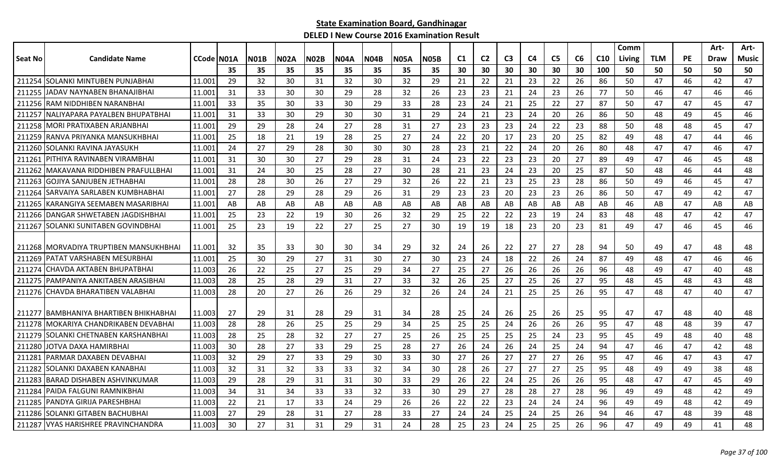|         |                                          |            |    |             |      |             |             |             |             |             |                |                |                |                |                |    |                 | Comm   |            |           | Art-        | Art-  |
|---------|------------------------------------------|------------|----|-------------|------|-------------|-------------|-------------|-------------|-------------|----------------|----------------|----------------|----------------|----------------|----|-----------------|--------|------------|-----------|-------------|-------|
| Seat No | <b>Candidate Name</b>                    | CCode N01A |    | <b>N01B</b> | N02A | <b>N02B</b> | <b>N04A</b> | <b>N04B</b> | <b>N05A</b> | <b>N05B</b> | C <sub>1</sub> | C <sub>2</sub> | C <sub>3</sub> | C <sub>4</sub> | C <sub>5</sub> | C6 | C <sub>10</sub> | Living | <b>TLM</b> | <b>PE</b> | <b>Draw</b> | Music |
|         |                                          |            | 35 | 35          | 35   | 35          | 35          | 35          | 35          | 35          | 30             | 30             | 30             | 30             | 30             | 30 | 100             | 50     | 50         | 50        | 50          | 50    |
|         | 211254 SOLANKI MINTUBEN PUNJABHAI        | 11.001     | 29 | 32          | 30   | 31          | 32          | 30          | 32          | 29          | 21             | 22             | 21             | 23             | 22             | 26 | 86              | 50     | 47         | 46        | 42          | 47    |
| 211255  | <b>JADAV NAYNABEN BHANAJIBHAI</b>        | 11.001     | 31 | 33          | 30   | 30          | 29          | 28          | 32          | 26          | 23             | 23             | 21             | 24             | 23             | 26 | 77              | 50     | 46         | 47        | 46          | 46    |
| 211256  | IRAM NIDDHIBEN NARANBHAI                 | 11.001     | 33 | 35          | 30   | 33          | 30          | 29          | 33          | 28          | 23             | 24             | 21             | 25             | 22             | 27 | 87              | 50     | 47         | 47        | 45          | 47    |
| 211257  | INALIYAPARA PAYALBEN BHUPATBHAI          | 11.001     | 31 | 33          | 30   | 29          | 30          | 30          | 31          | 29          | 24             | 21             | 23             | 24             | 20             | 26 | 86              | 50     | 48         | 49        | 45          | 46    |
|         | 211258   MORI PRATIXABEN ARJANBHAI       | 11.001     | 29 | 29          | 28   | 24          | 27          | 28          | 31          | 27          | 23             | 23             | 23             | 24             | 22             | 23 | 88              | 50     | 48         | 48        | 45          | 47    |
| 211259  | IRANVA PRIYANKA MANSUKHBHAI              | 11.001     | 25 | 18          | 21   | 19          | 28          | 25          | 27          | 24          | 22             | 20             | 17             | 23             | 20             | 25 | 82              | 49     | 48         | 47        | 44          | 46    |
| 211260  | SOLANKI RAVINA JAYASUKH                  | 11.001     | 24 | 27          | 29   | 28          | 30          | 30          | 30          | 28          | 23             | 21             | 22             | 24             | 20             | 26 | 80              | 48     | 47         | 47        | 46          | 47    |
| 211261  | IPITHIYA RAVINABEN VIRAMBHAI             | 11.001     | 31 | 30          | 30   | 27          | 29          | 28          | 31          | 24          | 23             | 22             | 23             | 23             | 20             | 27 | 89              | 49     | 47         | 46        | 45          | 48    |
| 211262  | IMAKAVANA RIDDHIBEN PRAFULLBHAI          | 11.001     | 31 | 24          | 30   | 25          | 28          | 27          | 30          | 28          | 21             | 23             | 24             | 23             | 20             | 25 | 87              | 50     | 48         | 46        | 44          | 48    |
| 211263  | <b>GOJIYA SANJUBEN JETHABHAI</b>         | 11.001     | 28 | 28          | 30   | 26          | 27          | 29          | 32          | 26          | 22             | 21             | 23             | 25             | 23             | 28 | 86              | 50     | 49         | 46        | 45          | 47    |
| 211264  | ISARVAIYA SARLABEN KUMBHABHAI            | 11.001     | 27 | 28          | 29   | 28          | 29          | 26          | 31          | 29          | 23             | 23             | 20             | 23             | 23             | 26 | 86              | 50     | 47         | 49        | 42          | 47    |
|         | 211265 KARANGIYA SEEMABEN MASARIBHAI     | 11.001     | AB | AB          | AB   | AB          | AB          | AB          | AB          | AB          | AB             | AB             | AB             | AB             | AB             | AB | AB              | 46     | AB         | 47        | AB          | AB    |
|         | 211266 DANGAR SHWETABEN JAGDISHBHAI      | 11.001     | 25 | 23          | 22   | 19          | 30          | 26          | 32          | 29          | 25             | 22             | 22             | 23             | 19             | 24 | 83              | 48     | 48         | 47        | 42          | 47    |
| 211267  | ISOLANKI SUNITABEN GOVINDBHAI            | 11.001     | 25 | 23          | 19   | 22          | 27          | 25          | 27          | 30          | 19             | 19             | 18             | 23             | 20             | 23 | 81              | 49     | 47         | 46        | 45          | 46    |
|         |                                          |            |    |             |      |             |             |             |             |             |                |                |                |                |                |    |                 |        |            |           |             |       |
|         | 211268   MORVADIYA TRUPTIBEN MANSUKHBHAI | 11.001     | 32 | 35          | 33   | 30          | 30          | 34          | 29          | 32          | 24             | 26             | 22             | 27             | 27             | 28 | 94              | 50     | 49         | 47        | 48          | 48    |
| 211269  | PATAT VARSHABEN MESURBHAI                | 11.001     | 25 | 30          | 29   | 27          | 31          | 30          | 27          | 30          | 23             | 24             | 18             | 22             | 26             | 24 | 87              | 49     | 48         | 47        | 46          | 46    |
| 211274  | CHAVDA AKTABEN BHUPATBHAI                | 11.003     | 26 | 22          | 25   | 27          | 25          | 29          | 34          | 27          | 25             | 27             | 26             | 26             | 26             | 26 | 96              | 48     | 49         | 47        | 40          | 48    |
| 211275  | IPAMPANIYA ANKITABEN ARASIBHAI           | 11.003     | 28 | 25          | 28   | 29          | 31          | 27          | 33          | 32          | 26             | 25             | 27             | 25             | 26             | 27 | 95              | 48     | 45         | 48        | 43          | 48    |
|         | 211276 CHAVDA BHARATIBEN VALABHAI        | 11.003     | 28 | 20          | 27   | 26          | 26          | 29          | 32          | 26          | 24             | 24             | 21             | 25             | 25             | 26 | 95              | 47     | 48         | 47        | 40          | 47    |
|         |                                          |            |    |             |      |             |             |             |             |             |                |                |                |                |                |    |                 |        |            |           |             |       |
|         | 211277 BAMBHANIYA BHARTIBEN BHIKHABHAI   | 11.003     | 27 | 29          | 31   | 28          | 29          | 31          | 34          | 28          | 25             | 24             | 26             | 25             | 26             | 25 | 95              | 47     | 47         | 48        | 40          | 48    |
|         | 211278 MOKARIYA CHANDRIKABEN DEVABHAI    | 11.003     | 28 | 28          | 26   | 25          | 25          | 29          | 34          | 25          | 25             | 25             | 24             | 26             | 26             | 26 | 95              | 47     | 48         | 48        | 39          | 47    |
| 211279  | SOLANKI CHETNABEN KARSHANBHAI            | 11.003     | 28 | 25          | 28   | 32          | 27          | 27          | 25          | 26          | 25             | 25             | 25             | 25             | 24             | 23 | 95              | 45     | 49         | 48        | 40          | 48    |
| 211280  | JOTVA DAXA HAMIRBHAI                     | 11.003     | 30 | 28          | 27   | 33          | 29          | 25          | 28          | 27          | 26             | 24             | 26             | 24             | 25             | 24 | 94              | 47     | 46         | 47        | 42          | 48    |
| 21128   | PARMAR DAXABEN DEVABHAI                  | 11.003     | 32 | 29          | 27   | 33          | 29          | 30          | 33          | 30          | 27             | 26             | 27             | 27             | 27             | 26 | 95              | 47     | 46         | 47        | 43          | 47    |
| 211282  | SOLANKI DAXABEN KANABHAI                 | 11.003     | 32 | 31          | 32   | 33          | 33          | 32          | 34          | 30          | 28             | 26             | 27             | 27             | 27             | 25 | 95              | 48     | 49         | 49        | 38          | 48    |
| 211283  | IBARAD DISHABEN ASHVINKUMAR              | 11.003     | 29 | 28          | 29   | 31          | 31          | 30          | 33          | 29          | 26             | 22             | 24             | 25             | 26             | 26 | 95              | 48     | 47         | 47        | 45          | 49    |
| 211284  | IPAIDA FALGUNI RAMNIKBHAI                | 11.003     | 34 | 31          | 34   | 33          | 33          | 32          | 33          | 30          | 29             | 27             | 28             | 28             | 27             | 28 | 96              | 49     | 49         | 48        | 42          | 49    |
| 211285  | IPANDYA GIRIJA PARESHBHAI                | 11.003     | 22 | 21          | 17   | 33          | 24          | 29          | 26          | 26          | 22             | 22             | 23             | 24             | 24             | 24 | 96              | 49     | 49         | 48        | 42          | 49    |
| 211286  | SOLANKI GITABEN BACHUBHAI                | 11.003     | 27 | 29          | 28   | 31          | 27          | 28          | 33          | 27          | 24             | 24             | 25             | 24             | 25             | 26 | 94              | 46     | 47         | 48        | 39          | 48    |
|         | 211287 VYAS HARISHREE PRAVINCHANDRA      | 11.003     | 30 | 27          | 31   | 31          | 29          | 31          | 24          | 28          | 25             | 23             | 24             | 25             | 25             | 26 | 96              | 47     | 49         | 49        | 41          | 48    |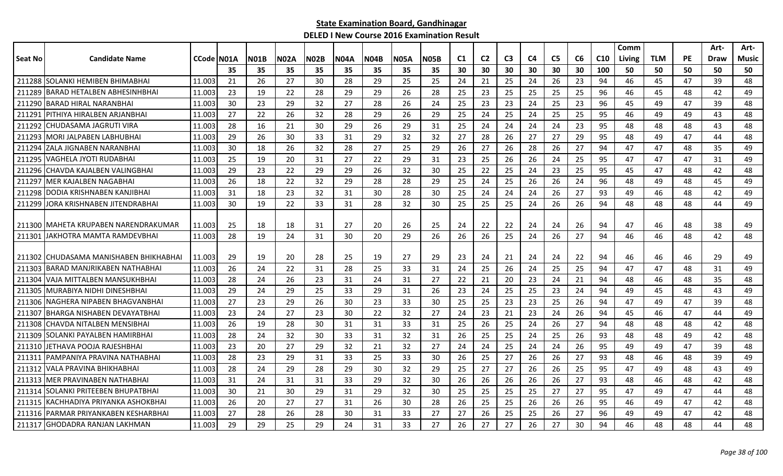|         |                                        |            |     |             |             |             |             |      |             |             |                |                |                |                |                |    |                 | Comm   |            |           | Art- | Art-         |
|---------|----------------------------------------|------------|-----|-------------|-------------|-------------|-------------|------|-------------|-------------|----------------|----------------|----------------|----------------|----------------|----|-----------------|--------|------------|-----------|------|--------------|
| Seat No | <b>Candidate Name</b>                  | CCode N01A |     | <b>N01B</b> | <b>NO2A</b> | <b>N02B</b> | <b>N04A</b> | N04B | <b>N05A</b> | <b>N05B</b> | C <sub>1</sub> | C <sub>2</sub> | C <sub>3</sub> | C <sub>4</sub> | C <sub>5</sub> | C6 | C <sub>10</sub> | Living | <b>TLM</b> | <b>PE</b> | Draw | <b>Music</b> |
|         |                                        |            | 35  | 35          | 35          | 35          | 35          | 35   | 35          | 35          | 30             | 30             | 30             | 30             | 30             | 30 | 100             | 50     | 50         | 50        | 50   | 50           |
|         | 211288 SOLANKI HEMIBEN BHIMABHAI       | 11.003     | 21  | 26          | 27          | 30          | 28          | 29   | 25          | 25          | 24             | 21             | 25             | 24             | 26             | 23 | 94              | 46     | 45         | 47        | 39   | 48           |
| 211289  | IBARAD HETALBEN ABHESINHBHAI           | 11.003     | 23  | 19          | 22          | 28          | 29          | 29   | 26          | 28          | 25             | 23             | 25             | 25             | 25             | 25 | 96              | 46     | 45         | 48        | 42   | 49           |
| 211290  | IBARAD HIRAL NARANBHAI                 | 11.003     | 30  | 23          | 29          | 32          | 27          | 28   | 26          | 24          | 25             | 23             | 23             | 24             | 25             | 23 | 96              | 45     | 49         | 47        | 39   | 48           |
|         | 211291   PITHIYA HIRALBEN ARJANBHAI    | 11.003     | 27  | 22          | 26          | 32          | 28          | 29   | 26          | 29          | 25             | 24             | 25             | 24             | 25             | 25 | 95              | 46     | 49         | 49        | 43   | 48           |
|         | 211292 CHUDASAMA JAGRUTI VIRA          | 11.003     | 28  | 16          | 21          | 30          | 29          | 26   | 29          | 31          | 25             | 24             | 24             | 24             | 24             | 23 | 95              | 48     | 48         | 48        | 43   | 48           |
|         | 211293 MORI JALPABEN LABHUBHAI         | 11.003     | 29  | 26          | 30          | 33          | 31          | 29   | 32          | 32          | 27             | 28             | 26             | 27             | 27             | 29 | 95              | 48     | 49         | 47        | 44   | 48           |
| 211294  | IZALA JIGNABEN NARANBHAI               | 11.003     | 30  | 18          | 26          | 32          | 28          | 27   | 25          | 29          | 26             | 27             | 26             | 28             | 26             | 27 | 94              | 47     | 47         | 48        | 35   | 49           |
|         | 211295 VAGHELA JYOTI RUDABHAI          | 11.003     | 25  | 19          | 20          | 31          | 27          | 22   | 29          | 31          | 23             | 25             | 26             | 26             | 24             | 25 | 95              | 47     | 47         | 47        | 31   | 49           |
| 211296  | CHAVDA KAJALBEN VALINGBHAI             | 11.003     | 29  | 23          | 22          | 29          | 29          | 26   | 32          | 30          | 25             | 22             | 25             | 24             | 23             | 25 | 95              | 45     | 47         | 48        | 42   | 48           |
| 211297  | <b>IMER KAJALBEN NAGABHAI</b>          | 11.003     | 26  | 18          | 22          | 32          | 29          | 28   | 28          | 29          | 25             | 24             | 25             | 26             | 26             | 24 | 96              | 48     | 49         | 48        | 45   | 49           |
| 211298  | IDODIA KRISHNABEN KANJIBHAI            | 11.003     | 31  | 18          | 23          | 32          | 31          | 30   | 28          | 30          | 25             | 24             | 24             | 24             | 26             | 27 | 93              | 49     | 46         | 48        | 42   | 49           |
| 211299  | IORA KRISHNABEN JITENDRABHAI           | 11.003     | 30  | 19          | 22          | 33          | 31          | 28   | 32          | 30          | 25             | 25             | 25             | 24             | 26             | 26 | 94              | 48     | 48         | 48        | 44   | 49           |
|         |                                        |            |     |             |             |             |             |      |             |             |                |                |                |                |                |    |                 |        |            |           |      |              |
|         | 211300   MAHETA KRUPABEN NARENDRAKUMAR | 11.003     | 25  | 18          | 18          | 31          | 27          | 20   | 26          | 25          | 24             | 22             | 22             | 24             | 24             | 26 | 94              | 47     | 46         | 48        | 38   | 49           |
|         | 211301 JAKHOTRA MAMTA RAMDEVBHAI       | 11.003     | 28  | 19          | 24          | 31          | 30          | 20   | 29          | 26          | 26             | 26             | 25             | 24             | 26             | 27 | 94              | 46     | 46         | 48        | 42   | 48           |
|         |                                        |            |     |             |             |             |             |      |             |             |                |                |                |                |                |    |                 |        |            |           |      |              |
|         | 211302 CHUDASAMA MANISHABEN BHIKHABHAI | 11.003     | -29 | 19          | 20          | 28          | 25          | 19   | 27          | 29          | 23             | 24             | 21             | 24             | 24             | 22 | 94              | 46     | 46         | 46        | 29   | 49           |
|         | 211303 BARAD MANJRIKABEN NATHABHAI     | 11.003     | 26  | 24          | 22          | 31          | 28          | 25   | 33          | 31          | 24             | 25             | 26             | 24             | 25             | 25 | 94              | 47     | 47         | 48        | 31   | 49           |
| 211304  | VAJA MITTALBEN MANSUKHBHAI             | 11.003     | 28  | 24          | 26          | 23          | 31          | 24   | 31          | 27          | 22             | 21             | 20             | 23             | 24             | 21 | 94              | 48     | 46         | 48        | 35   | 48           |
|         | 211305 MURABIYA NIDHI DINESHBHAI       | 11.003     | 29  | 24          | 29          | 25          | 33          | 29   | 31          | 26          | 23             | 24             | 25             | 25             | 23             | 24 | 94              | 49     | 45         | 48        | 43   | 49           |
|         | 211306 NAGHERA NIPABEN BHAGVANBHAI     | 11.003     | 27  | 23          | 29          | 26          | 30          | 23   | 33          | 30          | 25             | 25             | 23             | 23             | 25             | 26 | 94              | 47     | 49         | 47        | 39   | 48           |
|         | 211307 BHARGA NISHABEN DEVAYATBHAI     | 11.003     | 23  | 24          | 27          | 23          | 30          | 22   | 32          | 27          | 24             | 23             | 21             | 23             | 24             | 26 | 94              | 45     | 46         | 47        | 44   | 49           |
| 211308  | CHAVDA NITALBEN MENSIBHAI              | 11.003     | 26  | 19          | 28          | 30          | 31          | 31   | 33          | 31          | 25             | 26             | 25             | 24             | 26             | 27 | 94              | 48     | 48         | 48        | 42   | 48           |
| 211309  | SOLANKI PAYALBEN HAMIRBHAI             | 11.003     | 28  | 24          | 32          | 30          | 33          | 31   | 32          | 31          | 26             | 25             | 25             | 24             | 25             | 26 | 93              | 48     | 48         | 49        | 42   | 48           |
|         | 211310 JETHAVA POOJA RAJESHBHAI        | 11.003     | 23  | 20          | 27          | 29          | 32          | 21   | 32          | 27          | 24             | 24             | 25             | 24             | 24             | 26 | 95              | 49     | 49         | 47        | 39   | 48           |
|         | 211311 PAMPANIYA PRAVINA NATHABHAI     | 11.003     | 28  | 23          | 29          | 31          | 33          | 25   | 33          | 30          | 26             | 25             | 27             | 26             | 26             | 27 | 93              | 48     | 46         | 48        | 39   | 49           |
| 211312  | <b>VALA PRAVINA BHIKHABHAI</b>         | 11.003     | 28  | 24          | 29          | 28          | 29          | 30   | 32          | 29          | 25             | 27             | 27             | 26             | 26             | 25 | 95              | 47     | 49         | 48        | 43   | 49           |
|         | 211313   MER PRAVINABEN NATHABHAI      | 11.003     | -31 | 24          | 31          | 31          | 33          | 29   | 32          | 30          | 26             | 26             | 26             | 26             | 26             | 27 | 93              | 48     | 46         | 48        | 42   | 48           |
|         | 211314 SOLANKI PRITEEBEN BHUPATBHAI    | 11.003     | 30  | 21          | 30          | 29          | 31          | 29   | 32          | 30          | 25             | 25             | 25             | 25             | 27             | 27 | 95              | 47     | 49         | 47        | 44   | 48           |
|         | 211315 KACHHADIYA PRIYANKA ASHOKBHAI   | 11.003     | 26  | 20          | 27          | 27          | 31          | 26   | 30          | 28          | 26             | 25             | 25             | 26             | 26             | 26 | 95              | 46     | 49         | 47        | 42   | 48           |
|         | 211316 PARMAR PRIYANKABEN KESHARBHAI   | 11.003     | 27  | 28          | 26          | 28          | 30          | 31   | 33          | 27          | 27             | 26             | 25             | 25             | 26             | 27 | 96              | 49     | 49         | 47        | 42   | 48           |
|         | 211317 GHODADRA RANJAN LAKHMAN         | 11.003     | 29  | 29          | 25          | 29          | 24          | 31   | 33          | 27          | 26             | 27             | 27             | 26             | 27             | 30 | 94              | 46     | 48         | 48        | 44   | 48           |
|         |                                        |            |     |             |             |             |             |      |             |             |                |                |                |                |                |    |                 |        |            |           |      |              |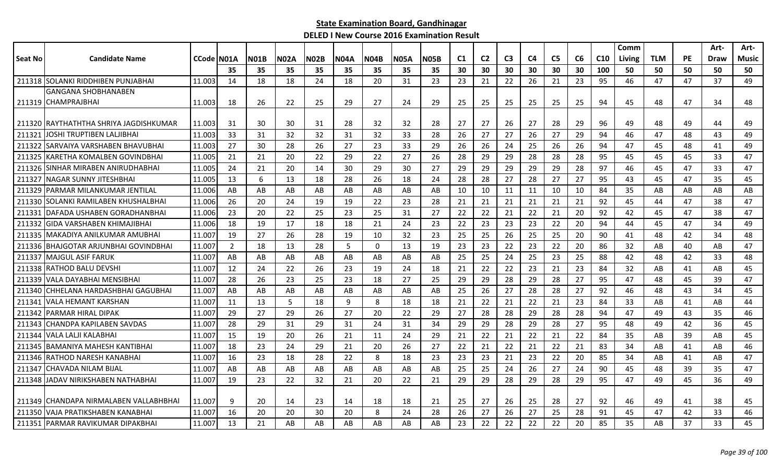|                |                                         |             |                |             |             |             |             |                |             |             |                |                |                |                |                |    |                 | Comm   |            |           | Art-        | Art-         |
|----------------|-----------------------------------------|-------------|----------------|-------------|-------------|-------------|-------------|----------------|-------------|-------------|----------------|----------------|----------------|----------------|----------------|----|-----------------|--------|------------|-----------|-------------|--------------|
| <b>Seat No</b> | <b>Candidate Name</b>                   | CCode IN01A |                | <b>N01B</b> | <b>N02A</b> | <b>N02B</b> | <b>N04A</b> | <b>N04B</b>    | <b>N05A</b> | <b>N05B</b> | C <sub>1</sub> | C <sub>2</sub> | C <sub>3</sub> | C <sub>4</sub> | C <sub>5</sub> | C6 | C <sub>10</sub> | Living | <b>TLM</b> | <b>PE</b> | <b>Draw</b> | <b>Music</b> |
|                |                                         |             | 35             | 35          | 35          | 35          | 35          | 35             | 35          | 35          | 30             | 30             | 30             | 30             | 30             | 30 | 100             | 50     | 50         | 50        | 50          | 50           |
|                | 211318 SOLANKI RIDDHIBEN PUNJABHAI      | 11.003      | 14             | 18          | 18          | 24          | 18          | 20             | 31          | 23          | 23             | 21             | 22             | 26             | 21             | 23 | 95              | 46     | 47         | 47        | 37          | 49           |
|                | <b>GANGANA SHOBHANABEN</b>              |             |                |             |             |             |             |                |             |             |                |                |                |                |                |    |                 |        |            |           |             |              |
|                | 211319 CHAMPRAJBHAI                     | 11.003      | -18            | 26          | 22          | 25          | 29          | 27             | 24          | 29          | 25             | 25             | 25             | 25             | 25             | 25 | 94              | 45     | 48         | 47        | 34          | 48           |
|                |                                         |             |                |             |             |             |             |                |             |             |                |                |                |                |                |    |                 |        |            |           |             |              |
|                | 211320 IRAYTHATHTHA SHRIYA JAGDISHKUMAR | 11.003      | 31             | 30          | 30          | 31          | 28          | 32             | 32          | 28          | 27             | 27             | 26             | 27             | 28             | 29 | 96              | 49     | 48         | 49        | 44          | 49           |
| 211321         | <b>JOSHI TRUPTIBEN LALJIBHAI</b>        | 11.003      | 33             | 31          | 32          | 32          | 31          | 32             | 33          | 28          | 26             | 27             | 27             | 26             | 27             | 29 | 94              | 46     | 47         | 48        | 43          | 49           |
| 211322         | ISARVAIYA VARSHABEN BHAVUBHAI           | 11.003      | 27             | 30          | 28          | 26          | 27          | 23             | 33          | 29          | 26             | 26             | 24             | 25             | 26             | 26 | 94              | 47     | 45         | 48        | 41          | 49           |
|                | 211325 KARETHA KOMALBEN GOVINDBHAI      | 11.005      | 21             | 21          | 20          | 22          | 29          | 22             | 27          | 26          | 28             | 29             | 29             | 28             | 28             | 28 | 95              | 45     | 45         | 45        | 33          | 47           |
| 211326         | ISINHAR MIRABEN ANIRUDHABHAI            | 11.005      | 24             | 21          | 20          | 14          | 30          | 29             | 30          | 27          | 29             | 29             | 29             | 29             | 29             | 28 | 97              | 46     | 45         | 47        | 33          | 47           |
| 211327         | INAGAR SUNNY JITESHBHAI                 | 11.005      | 13             | 6           | 13          | 18          | 28          | 26             | 18          | 24          | 28             | 28             | 27             | 28             | 27             | 27 | 95              | 43     | 45         | 47        | 35          | 45           |
| 211329         | IPARMAR MILANKUMAR JENTILAL             | 11.006      | AB             | AB          | AB          | AB          | AB          | AB             | AB          | AB          | 10             | 10             | 11             | 11             | 10             | 10 | 84              | 35     | AB         | AB        | AB          | AB           |
| 211330         | ISOLANKI RAMILABEN KHUSHALBHAI          | 11.006      | 26             | 20          | 24          | 19          | 19          | 22             | 23          | 28          | 21             | 21             | 21             | 21             | 21             | 21 | 92              | 45     | 44         | 47        | 38          | 47           |
| 211331         | IDAFADA USHABEN GORADHANBHAI            | 11.006      | 23             | 20          | 22          | 25          | 23          | 25             | 31          | 27          | 22             | 22             | 21             | 22             | 21             | 20 | 92              | 42     | 45         | 47        | 38          | 47           |
|                | 211332 GIDA VARSHABEN KHIMAJIBHAI       | 11.006      | 18             | 19          | 17          | 18          | 18          | 21             | 24          | 23          | 22             | 23             | 23             | 23             | 22             | 20 | 94              | 44     | 45         | 47        | 34          | 49           |
|                | 211335   MAKADIYA ANILKUMAR AMUBHAI     | 11.007      | 19             | 27          | 26          | 28          | 19          | 10             | 32          | 23          | 25             | 25             | 26             | 25             | 25             | 20 | 90              | 41     | 48         | 42        | 34          | 48           |
| 211336         | IBHAJGOTAR ARJUNBHAI GOVINDBHAI         | 11.007      | $\overline{2}$ | 18          | 13          | 28          | 5           | $\overline{0}$ | 13          | 19          | 23             | 23             | 22             | 23             | 22             | 20 | 86              | 32     | AB         | 40        | AB          | 47           |
| 211337         | <b>IMAJGUL ASIF FARUK</b>               | 11.007      | AB             | AB          | AB          | AB          | AB          | AB             | AB          | AB          | 25             | 25             | 24             | 25             | 23             | 25 | 88              | 42     | 48         | 42        | 33          | 48           |
| 211338         | <b>RATHOD BALU DEVSHI</b>               | 11.007      | 12             | 24          | 22          | 26          | 23          | 19             | 24          | 18          | 21             | 22             | 22             | 23             | 21             | 23 | 84              | 32     | AB         | 41        | AB          | 45           |
|                | 211339 VALA DAYABHAI MENSIBHAI          | 11.007      | 28             | 26          | 23          | 25          | 23          | 18             | 27          | 25          | 29             | 29             | 28             | 29             | 28             | 27 | 95              | 47     | 48         | 45        | 39          | 47           |
|                | 211340   CHHELANA HARDASHBHAI GAGUBHAI  | 11.007      | AB             | AB          | AB          | AB          | AB          | AB             | AB          | AB          | 25             | 26             | 27             | 28             | 28             | 27 | 92              | 46     | 48         | 43        | 34          | 45           |
|                | 211341 VALA HEMANT KARSHAN              | 11.007      | 11             | 13          | 5           | 18          | 9           | 8              | 18          | 18          | 21             | 22             | 21             | 22             | 21             | 23 | 84              | 33     | AB         | 41        | AB          | 44           |
| 211342         | <b>IPARMAR HIRAL DIPAK</b>              | 11.007      | 29             | 27          | 29          | 26          | 27          | 20             | 22          | 29          | 27             | 28             | 28             | 29             | 28             | 28 | 94              | 47     | 49         | 43        | 35          | 46           |
| 211343         | <b>CHANDPA KAPILABEN SAVDAS</b>         | 11.007      | 28             | 29          | 31          | 29          | 31          | 24             | 31          | 34          | 29             | 29             | 28             | 29             | 28             | 27 | 95              | 48     | 49         | 42        | 36          | 45           |
| 211344         | <b>VALA LALJI KALABHAI</b>              | 11.007      | 15             | 19          | 20          | 26          | 21          | 11             | 24          | 29          | 21             | 22             | 21             | 22             | 21             | 22 | 84              | 35     | AB         | 39        | AB          | 45           |
| 211345         | <b>IBAMANIYA MAHESH KANTIBHAI</b>       | 11.007      | 18             | 23          | 24          | 29          | 21          | 20             | 26          | 27          | 22             | 21             | 22             | 21             | 22             | 21 | 83              | 34     | AB         | 41        | AB          | 46           |
|                | 211346 RATHOD NARESH KANABHAI           | 11.007      | 16             | 23          | 18          | 28          | 22          | 8              | 18          | 23          | 23             | 23             | 21             | 23             | 22             | 20 | 85              | 34     | AB         | 41        | AB          | 47           |
|                | 211347 CHAVADA NILAM BIJAL              | 11.007      | AB             | AB          | AB          | AB          | AB          | AB             | AB          | AB          | 25             | 25             | 24             | 26             | 27             | 24 | 90              | 45     | 48         | 39        | 35          | 47           |
|                | 211348 JADAV NIRIKSHABEN NATHABHAI      | 11.007      | 19             | 23          | 22          | 32          | 21          | 20             | 22          | 21          | 29             | 29             | 28             | 29             | 28             | 29 | 95              | 47     | 49         | 45        | 36          | 49           |
|                |                                         |             |                |             |             |             |             |                |             |             |                |                |                |                |                |    |                 |        |            |           |             |              |
|                | 211349 ICHANDAPA NIRMALABEN VALLABHBHAI | 11.007      | q              | 20          | 14          | 23          | 14          | 18             | 18          | 21          | 25             | 27             | 26             | 25             | 28             | 27 | 92              | 46     | 49         | 41        | 38          | 45           |
| 211350         | VAJA PRATIKSHABEN KANABHAI              | 11.007      | 16             | 20          | 20          | 30          | 20          | 8              | 24          | 28          | 26             | 27             | 26             | 27             | 25             | 28 | 91              | 45     | 47         | 42        | 33          | 46           |
|                | 211351 PARMAR RAVIKUMAR DIPAKBHAI       | 11.007      | 13             | 21          | AB          | AB          | AB          | AB             | AB          | AB          | 23             | 22             | 22             | 22             | 22             | 20 | 85              | 35     | AB         | 37        | 33          | 45           |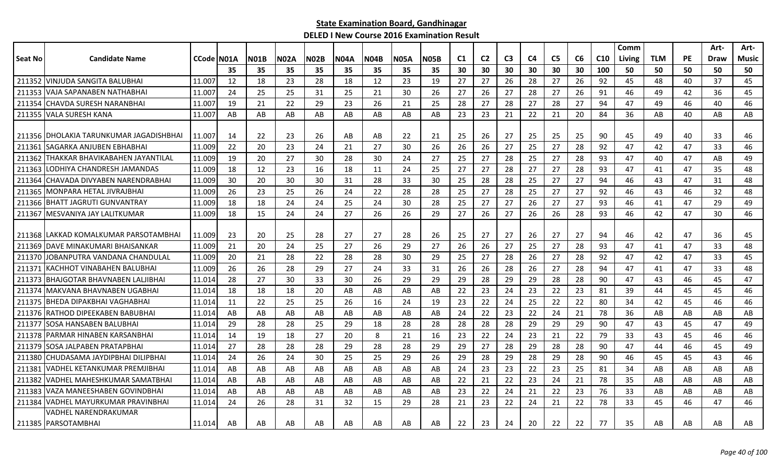|         |                                          |                    |     |             |             |             |             |             |             |      |    |                |                |    |                |    |                 | Comm   |            |           | Art-        | Art-         |
|---------|------------------------------------------|--------------------|-----|-------------|-------------|-------------|-------------|-------------|-------------|------|----|----------------|----------------|----|----------------|----|-----------------|--------|------------|-----------|-------------|--------------|
| Seat No | <b>Candidate Name</b>                    | <b>CCode IN01A</b> |     | <b>N01B</b> | <b>N02A</b> | <b>N02B</b> | <b>N04A</b> | <b>N04B</b> | <b>N05A</b> | N05B | C1 | C <sub>2</sub> | C <sub>3</sub> | C4 | C <sub>5</sub> | C6 | C <sub>10</sub> | Living | <b>TLM</b> | <b>PE</b> | <b>Draw</b> | <b>Music</b> |
|         |                                          |                    | 35  | 35          | 35          | 35          | 35          | 35          | 35          | 35   | 30 | 30             | 30             | 30 | 30             | 30 | 100             | 50     | 50         | 50        | 50          | 50           |
| 211352  | lVINJUDA SANGITA BALUBHAI                | 11.007             | 12  | 18          | 23          | 28          | 18          | 12          | 23          | 19   | 27 | 27             | 26             | 28 | 27             | 26 | 92              | 45     | 48         | 40        | 37          | 45           |
| 211353  | VAJA SAPANABEN NATHABHAI                 | 11.007             | 24  | 25          | 25          | 31          | 25          | 21          | 30          | 26   | 27 | 26             | 27             | 28 | 27             | 26 | 91              | 46     | 49         | 42        | 36          | 45           |
| 211354  | CHAVDA SURESH NARANBHAI                  | 11.007             | 19  | 21          | 22          | 29          | 23          | 26          | 21          | 25   | 28 | 27             | 28             | 27 | 28             | 27 | 94              | 47     | 49         | 46        | 40          | 46           |
|         | 211355 VALA SURESH KANA                  | 11.007             | AB  | AB          | AB          | AB          | AB          | AB          | AB          | AB   | 23 | 23             | 21             | 22 | 21             | 20 | 84              | 36     | AB         | 40        | AB          | AB           |
|         |                                          |                    |     |             |             |             |             |             |             |      |    |                |                |    |                |    |                 |        |            |           |             |              |
|         | 211356 IDHOLAKIA TARUNKUMAR JAGADISHBHAI | 11.007             | 14  | 22          | 23          | 26          | AB          | AB          | 22          | 21   | 25 | 26             | 27             | 25 | 25             | 25 | 90              | 45     | 49         | 40        | 33          | 46           |
| 211361  | <b>ISAGARKA ANJUBEN EBHABHAI</b>         | 11.009             | 22  | 20          | 23          | 24          | 21          | 27          | 30          | 26   | 26 | 26             | 27             | 25 | 27             | 28 | 92              | 47     | 42         | 47        | 33          | 46           |
| 211362  | THAKKAR BHAVIKABAHEN JAYANTILAL          | 11.009             | 19  | 20          | 27          | 30          | 28          | 30          | 24          | 27   | 25 | 27             | 28             | 25 | 27             | 28 | 93              | 47     | 40         | 47        | AB          | 49           |
| 211363  | LODHIYA CHANDRESH JAMANDAS               | 11.009             | 18  | 12          | 23          | 16          | 18          | 11          | 24          | 25   | 27 | 27             | 28             | 27 | 27             | 28 | 93              | 47     | 41         | 47        | 35          | 48           |
| 211364  | CHAVADA DIVYABEN NARENDRABHAI            | 11.009             | 30  | 20          | 30          | 30          | 31          | 28          | 33          | 30   | 25 | 28             | 28             | 25 | 27             | 27 | 94              | 46     | 43         | 47        | 31          | 48           |
| 211365  | MONPARA HETAL JIVRAJBHAI                 | 11.009             | 26  | 23          | 25          | 26          | 24          | 22          | 28          | 28   | 25 | 27             | 28             | 25 | 27             | 27 | 92              | 46     | 43         | 46        | 32          | 48           |
| 211366  | IBHATT JAGRUTI GUNVANTRAY                | 11.009             | 18  | 18          | 24          | 24          | 25          | 24          | 30          | 28   | 25 | 27             | 27             | 26 | 27             | 27 | 93              | 46     | 41         | 47        | 29          | 49           |
| 211367  | IMESVANIYA JAY LALITKUMAR                | 11.009             | 18  | 15          | 24          | 24          | 27          | 26          | 26          | 29   | 27 | 26             | 27             | 26 | 26             | 28 | 93              | 46     | 42         | 47        | 30          | 46           |
|         |                                          |                    |     |             |             |             |             |             |             |      |    |                |                |    |                |    |                 |        |            |           |             |              |
|         | 211368   LAKKAD KOMALKUMAR PARSOTAMBHAI  | 11.009             | -23 | 20          | 25          | 28          | 27          | 27          | 28          | 26   | 25 | 27             | 27             | 26 | 27             | 27 | 94              | 46     | 42         | 47        | 36          | 45           |
| 211369  | DAVE MINAKUMARI BHAISANKAR               | 11.009             | 21  | 20          | 24          | 25          | 27          | 26          | 29          | 27   | 26 | 26             | 27             | 25 | 27             | 28 | 93              | 47     | 41         | 47        | 33          | 48           |
| 211370  | JOBANPUTRA VANDANA CHANDULAL             | 11.009             | 20  | 21          | 28          | 22          | 28          | 28          | 30          | 29   | 25 | 27             | 28             | 26 | 27             | 28 | 92              | 47     | 42         | 47        | 33          | 45           |
| 211371  | <b>KACHHOT VINABAHEN BALUBHAI</b>        | 11.009             | 26  | 26          | 28          | 29          | 27          | 24          | 33          | 31   | 26 | 26             | 28             | 26 | 27             | 28 | 94              | 47     | 41         | 47        | 33          | 48           |
| 211373  | <b>BHAJGOTAR BHAVNABEN LALJIBHAI</b>     | 11.014             | 28  | 27          | 30          | 33          | 30          | 26          | 29          | 29   | 29 | 28             | 29             | 29 | 28             | 28 | 90              | 47     | 43         | 46        | 45          | 47           |
| 211374  | IMAKVANA BHAVNABEN UGABHAI               | 11.014             | 18  | 18          | 18          | 20          | AB          | AB          | AB          | AB   | 22 | 23             | 24             | 23 | 22             | 23 | 81              | 39     | 44         | 45        | 45          | 46           |
| 211375  | IBHEDA DIPAKBHAI VAGHABHAI               | 11.014             | 11  | 22          | 25          | 25          | 26          | 16          | 24          | 19   | 23 | 22             | 24             | 25 | 22             | 22 | 80              | 34     | 42         | 45        | 46          | 46           |
|         | 211376 RATHOD DIPEEKABEN BABUBHAI        | 11.014             | AB  | AB          | AB          | AB          | AB          | AB          | AB          | AB   | 24 | 22             | 23             | 22 | 24             | 21 | 78              | 36     | AB         | AB        | AB          | AB           |
| 211377  | <b>SOSA HANSABEN BALUBHAI</b>            | 11.014             | 29  | 28          | 28          | 25          | 29          | 18          | 28          | 28   | 28 | 28             | 28             | 29 | 29             | 29 | 90              | 47     | 43         | 45        | 47          | 49           |
| 211378  | PARMAR HINABEN KARSANBHAI                | 11.014             | 14  | 19          | 18          | 27          | 20          | 8           | 21          | 16   | 23 | 22             | 24             | 23 | 21             | 22 | 79              | 33     | 43         | 45        | 46          | 46           |
| 211379  | SOSA JALPABEN PRATAPBHAI                 | 11.014             | 27  | 28          | 28          | 28          | 29          | 28          | 28          | 29   | 29 | 27             | 28             | 29 | 28             | 28 | 90              | 47     | 44         | 46        | 45          | 49           |
| 211380  | CHUDASAMA JAYDIPBHAI DILIPBHAI           | 11.014             | 24  | 26          | 24          | 30          | 25          | 25          | 29          | 26   | 29 | 28             | 29             | 28 | 29             | 28 | 90              | 46     | 45         | 45        | 43          | 46           |
| 211381  | IVADHEL KETANKUMAR PREMJIBHAI            | 11.014             | AB  | AB          | AB          | AB          | AB          | AB          | AB          | AB   | 24 | 23             | 23             | 22 | 23             | 25 | 81              | 34     | AB         | AB        | AB          | AB           |
| 211382  | VADHEL MAHESHKUMAR SAMATBHAI             | 11.014             | AB  | AB          | AB          | AB          | AB          | AB          | AB          | AB   | 22 | 21             | 22             | 23 | 24             | 21 | 78              | 35     | AB         | AB        | AB          | AB           |
| 211383  | <b>VAZA MANEESHABEN GOVINDBHAI</b>       | 11.014             | AB  | AB          | AB          | AB          | AB          | AB          | AB          | AB   | 23 | 22             | 24             | 21 | 22             | 23 | 76              | 33     | AB         | AB        | AB          | AB           |
| 211384  | IVADHEL MAYURKUMAR PRAVINBHAI            | 11.014             | 24  | 26          | 28          | 31          | 32          | 15          | 29          | 28   | 21 | 23             | 22             | 24 | 21             | 22 | 78              | 33     | 45         | 46        | 47          | 46           |
|         | VADHEL NARENDRAKUMAR                     |                    |     |             |             |             |             |             |             |      |    |                |                |    |                |    |                 |        |            |           |             |              |
|         | 211385 PARSOTAMBHAI                      | 11.014             | AB  | AB          | AB          | AB          | AB          | AB          | AB          | AB   | 22 | 23             | 24             | 20 | 22             | 22 | 77              | 35     | AB         | AB        | AB          | AB           |
|         |                                          |                    |     |             |             |             |             |             |             |      |    |                |                |    |                |    |                 |        |            |           |             |              |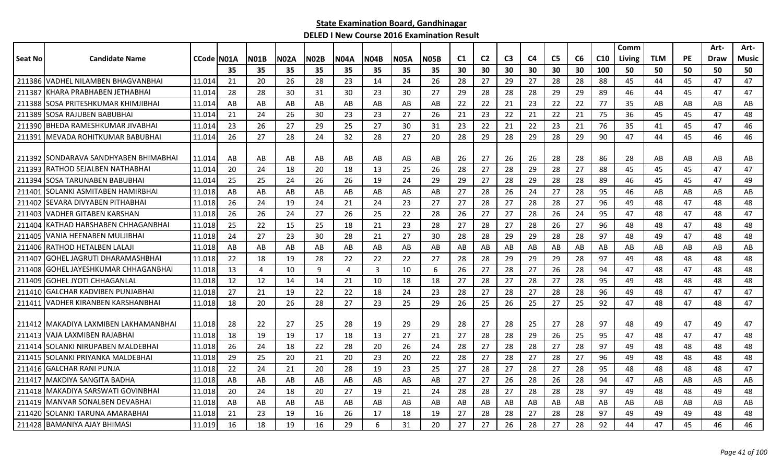|                |                                         |                   |     |             |             |             |             |                |             |             |    |                |                |                |                |    |     | Comm   |            |    | Art- | Art-  |
|----------------|-----------------------------------------|-------------------|-----|-------------|-------------|-------------|-------------|----------------|-------------|-------------|----|----------------|----------------|----------------|----------------|----|-----|--------|------------|----|------|-------|
| <b>Seat No</b> | <b>Candidate Name</b>                   | <b>CCode N01A</b> |     | <b>N01B</b> | <b>N02A</b> | <b>N02B</b> | <b>N04A</b> | <b>N04B</b>    | <b>N05A</b> | <b>N05B</b> | C1 | C <sub>2</sub> | C <sub>3</sub> | C <sub>4</sub> | C <sub>5</sub> | C6 | C10 | Living | <b>TLM</b> | PE | Draw | Music |
|                |                                         |                   | 35  | 35          | 35          | 35          | 35          | 35             | 35          | 35          | 30 | 30             | 30             | 30             | 30             | 30 | 100 | 50     | 50         | 50 | 50   | 50    |
| 211386         | <b>VADHEL NILAMBEN BHAGVANBHAI</b>      | 11.014            | 21  | 20          | 26          | 28          | 23          | 14             | 24          | 26          | 28 | 27             | 29             | 27             | 28             | 28 | 88  | 45     | 44         | 45 | 47   | 47    |
| 211387         | KHARA PRABHABEN JETHABHAI               | 11.014            | 28  | 28          | 30          | 31          | 30          | 23             | 30          | 27          | 29 | 28             | 28             | 28             | 29             | 29 | 89  | 46     | 44         | 45 | 47   | 47    |
| 211388         | SOSA PRITESHKUMAR KHIMJIBHAI            | 11.014            | AB  | AB          | AB          | AB          | AB          | AB             | AB          | AB          | 22 | 22             | 21             | 23             | 22             | 22 | 77  | 35     | AB         | AB | AB   | AB    |
| 211389         | SOSA RAJUBEN BABUBHAI                   | 11.014            | 21  | 24          | 26          | 30          | 23          | -23            | 27          | 26          | 21 | 23             | 22             | 21             | 22             | 21 | 75  | 36     | 45         | 45 | 47   | 48    |
| 211390         | BHEDA RAMESHKUMAR JIVABHAI              | 11.014            | 23  | 26          | 27          | 29          | 25          | 27             | 30          | 31          | 23 | 22             | 21             | 22             | 23             | 21 | 76  | 35     | 41         | 45 | 47   | 46    |
| 211391         | MEVADA ROHITKUMAR BABUBHAI              | 11.014            | 26  | 27          | 28          | 24          | 32          | 28             | 27          | 20          | 28 | 29             | 28             | 29             | 28             | 29 | 90  | 47     | 44         | 45 | 46   | 46    |
|                |                                         |                   |     |             |             |             |             |                |             |             |    |                |                |                |                |    |     |        |            |    |      |       |
| 211392         | ISONDARAVA SANDHYABEN BHIMABHAI         | 11.014            | AB  | AB          | AB          | AB          | AB          | AB             | AB          | AB          | 26 | 27             | 26             | 26             | 28             | 28 | 86  | 28     | AB         | AB | AB   | AB    |
| 211393         | RATHOD SEJALBEN NATHABHAI               | 11.014            | 20  | 24          | 18          | 20          | 18          | 13             | 25          | 26          | 28 | 27             | 28             | 29             | 28             | 27 | 88  | 45     | 45         | 45 | 47   | 47    |
| 211394         | <b>SOSA TARUNABEN BABUBHAI</b>          | 11.014            | 25  | 25          | 24          | 26          | 26          | 19             | 24          | 29          | 29 | 27             | 28             | 29             | 28             | 28 | 89  | 46     | 45         | 45 | 47   | 49    |
| 211401         | SOLANKI ASMITABEN HAMIRBHAI             | 11.018            | AB  | AB          | AB          | AB          | AB          | AB             | AB          | AB          | 27 | 28             | 26             | 24             | 27             | 28 | 95  | 46     | AB         | AB | AB   | AB    |
| 211402         | SEVARA DIVYABEN PITHABHAI               | 11.018            | 26  | 24          | 19          | 24          | 21          | 24             | 23          | 27          | 27 | 28             | 27             | 28             | 28             | 27 | 96  | 49     | 48         | 47 | 48   | 48    |
| 211403         | <b>VADHER GITABEN KARSHAN</b>           | 11.018            | 26  | 26          | 24          | 27          | 26          | 25             | 22          | 28          | 26 | 27             | 27             | 28             | 26             | 24 | 95  | 47     | 48         | 47 | 48   | 47    |
| 211404         | lKATHAD HARSHABEN CHHAGANBHAI           | 11.018            | 25  | 22          | 15          | 25          | 18          | 21             | 23          | 28          | 27 | 28             | 27             | 28             | 26             | 27 | 96  | 48     | 48         | 47 | 48   | 48    |
| 211405         | VANIA HEENABEN MULJIBHAI                | 11.018            | 24  | 27          | 23          | 30          | 28          | 21             | 27          | 30          | 28 | 28             | 29             | 29             | 28             | 28 | 97  | 48     | 49         | 47 | 48   | 48    |
| 211406         | RATHOD HETALBEN LALAJI                  | 11.018            | AB  | AB          | AB          | AB          | AB          | AB             | AB          | AB          | AB | AB             | AB             | AB             | AB             | AB | AB  | AB     | AB         | AB | AB   | AB    |
| 211407         | <b>GOHEL JAGRUTI DHARAMASHBHAI</b>      | 11.018            | 22  | 18          | 19          | 28          | 22          | 22             | 22          | 27          | 28 | 28             | 29             | 29             | 29             | 28 | 97  | 49     | 48         | 48 | 48   | 48    |
| 211408         | <b>GOHEL JAYESHKUMAR CHHAGANBHAI</b>    | 11.018            | 13  | 4           | 10          | 9           | 4           | $\overline{3}$ | 10          | 6           | 26 | 27             | 28             | 27             | 26             | 28 | 94  | 47     | 48         | 47 | 48   | 48    |
| 211409         | <b>GOHEL JYOTI CHHAGANLAL</b>           | 11.018            | 12  | 12          | 14          | 14          | 21          | 10             | 18          | 18          | 27 | 28             | 27             | 28             | 27             | 28 | 95  | 49     | 48         | 48 | 48   | 48    |
|                | 211410 GALCHAR KADVIBEN PUNJABHAI       | 11.018            | 27  | 21          | 19          | 22          | 22          | 18             | 24          | 23          | 28 | 27             | 28             | 27             | 28             | 28 | 96  | 49     | 48         | 47 | 47   | 47    |
| 211411         | VADHER KIRANBEN KARSHANBHAI             | 11.018            | 18  | 20          | 26          | 28          | 27          | 23             | 25          | 29          | 26 | 25             | 26             | 25             | 27             | 25 | 92  | 47     | 48         | 47 | 48   | 47    |
|                |                                         |                   |     |             |             |             |             |                |             |             |    |                |                |                |                |    |     |        |            |    |      |       |
|                | 211412   MAKADIYA LAXMIBEN LAKHAMANBHAI | 11.018            | -28 | 22          | 27          | 25          | 28          | 19             | 29          | 29          | 28 | 27             | 28             | 25             | 27             | 28 | 97  | 48     | 49         | 47 | 49   | 47    |
|                | 211413 VAJA LAXMIBEN RAJABHAI           | 11.018            | 18  | 19          | 19          | 17          | 18          | 13             | 27          | 21          | 27 | 28             | 28             | 29             | 26             | 25 | 95  | 47     | 48         | 47 | 47   | 48    |
| 211414         | SOLANKI NIRUPABEN MALDEBHAI             | 11.018            | 26  | 24          | 18          | 22          | 28          | 20             | 26          | 24          | 28 | 27             | 28             | 28             | 27             | 28 | 97  | 49     | 48         | 48 | 48   | 48    |
| 211415         | SOLANKI PRIYANKA MALDEBHAI              | 11.018            | 29  | 25          | 20          | 21          | 20          | 23             | 20          | 22          | 28 | 27             | 28             | 27             | 28             | 27 | 96  | 49     | 48         | 48 | 48   | 48    |
|                | 211416 GALCHAR RANI PUNJA               | 11.018            | 22  | 24          | 21          | 20          | 28          | 19             | 23          | 25          | 27 | 28             | 27             | 28             | 27             | 28 | 95  | 48     | 48         | 48 | 48   | 47    |
| 211417         | IMAKDIYA SANGITA BADHA                  | 11.018            | AB  | AB          | AB          | AB          | AB          | AB             | AB          | AB          | 27 | 27             | 26             | 28             | 26             | 28 | 94  | 47     | AB         | AB | AB   | AB    |
| 211418         | MAKADIYA SARSWATI GOVINBHAI             | 11.018            | 20  | 24          | 18          | 20          | 27          | 19             | 21          | 24          | 28 | 28             | 27             | 28             | 28             | 28 | 97  | 49     | 48         | 48 | 49   | 48    |
|                | 211419 MANVAR SONALBEN DEVABHAI         | 11.018            | AB  | AB          | AB          | AB          | AB          | AB             | AB          | AB          | AB | AB             | AB             | AB             | AB             | AB | AB  | AB     | AB         | AB | AB   | AB    |
| 211420         | SOLANKI TARUNA AMARABHAI                | 11.018            | 21  | 23          | 19          | 16          | 26          | 17             | 18          | 19          | 27 | 28             | 28             | 27             | 28             | 28 | 97  | 49     | 49         | 49 | 48   | 48    |
|                | 211428 BAMANIYA AJAY BHIMASI            | 11.019            | 16  | 18          | 19          | 16          | 29          | 6              | 31          | 20          | 27 | 27             | 26             | 28             | 27             | 28 | 92  | 44     | 47         | 45 | 46   | 46    |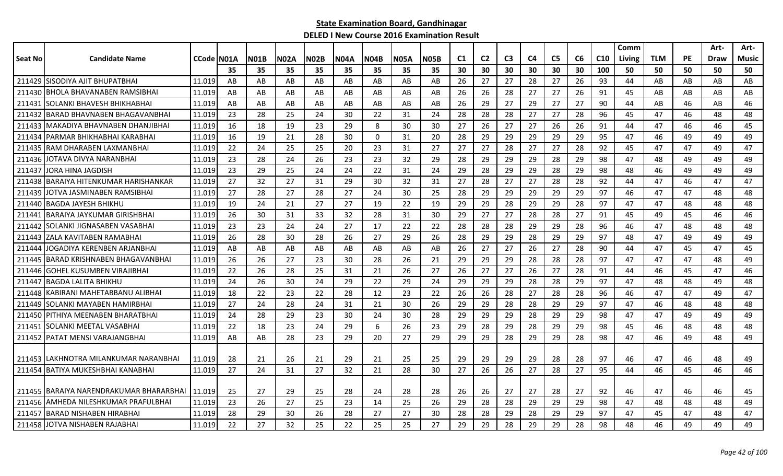|         |                                         |              |     |             |             |             |             |             |             |             |                |                |                |    |                |    |     | Comm   |            |    | Art- | Art-  |
|---------|-----------------------------------------|--------------|-----|-------------|-------------|-------------|-------------|-------------|-------------|-------------|----------------|----------------|----------------|----|----------------|----|-----|--------|------------|----|------|-------|
| Seat No | <b>Candidate Name</b>                   | CCode   NO1A |     | <b>N01B</b> | <b>N02A</b> | <b>N02B</b> | <b>N04A</b> | <b>N04B</b> | <b>N05A</b> | <b>N05B</b> | C <sub>1</sub> | C <sub>2</sub> | C <sub>3</sub> | C4 | C <sub>5</sub> | C6 | C10 | Living | <b>TLM</b> | PE | Draw | Music |
|         |                                         |              | 35  | 35          | 35          | 35          | 35          | 35          | 35          | 35          | 30             | 30             | 30             | 30 | 30             | 30 | 100 | 50     | 50         | 50 | 50   | 50    |
|         | 211429 SISODIYA AJIT BHUPATBHAI         | 11.019       | AB  | AB          | AB          | AB          | AB          | AB          | AB          | AB          | 26             | 27             | 27             | 28 | 27             | 26 | 93  | 44     | AB         | AB | AB   | AB    |
| 211430  | IBHOLA BHAVANABEN RAMSIBHAI             | 11.019       | AB  | AB          | AB          | AB          | AB          | AB          | AB          | AB          | 26             | 26             | 28             | 27 | 27             | 26 | 91  | 45     | AB         | AB | AB   | AB    |
| 211431  | <b>SOLANKI BHAVESH BHIKHABHAI</b>       | 11.019       | AB  | AB          | AB          | AB          | AB          | AB          | AB          | AB          | 26             | 29             | 27             | 29 | 27             | 27 | 90  | 44     | AB         | 46 | AB   | 46    |
| 211432  | IBARAD BHAVNABEN BHAGAVANBHAI           | 11.019       | -23 | 28          | 25          | 24          | 30          | 22          | 31          | 24          | 28             | 28             | 28             | 27 | 27             | 28 | 96  | 45     | 47         | 46 | 48   | 48    |
|         | 211433   MAKADIYA BHAVNABEN DHANJIBHAI  | 11.019       | 16  | 18          | 19          | 23          | 29          | 8           | 30          | 30          | 27             | 26             | 27             | 27 | 26             | 26 | 91  | 44     | 47         | 46 | 46   | 45    |
| 211434  | IPARMAR BHIKHABHAI KARABHAI             | 11.019       | 16  | 19          | 21          | 28          | 30          | $\mathbf 0$ | 31          | 20          | 28             | 29             | 29             | 29 | 29             | 29 | 95  | 47     | 46         | 49 | 49   | 49    |
| 211435  | IRAM DHARABEN LAXMANBHAI                | 11.019       | 22  | 24          | 25          | 25          | 20          | 23          | 31          | 27          | 27             | 27             | 28             | 27 | 27             | 28 | 92  | 45     | 47         | 47 | 49   | 47    |
| 211436  | JOTAVA DIVYA NARANBHAI                  | 11.019       | 23  | 28          | 24          | 26          | 23          | 23          | 32          | 29          | 28             | 29             | 29             | 29 | 28             | 29 | 98  | 47     | 48         | 49 | 49   | 49    |
| 211437  | JORA HINA JAGDISH                       | 11.019       | 23  | 29          | 25          | 24          | 24          | 22          | 31          | 24          | 29             | 28             | 29             | 29 | 28             | 29 | 98  | 48     | 46         | 49 | 49   | 49    |
| 211438  | BARAIYA HITENKUMAR HARISHANKAR          | 11.019       | 27  | 32          | 27          | 31          | 29          | 30          | 32          | 31          | 27             | 28             | 27             | 27 | 28             | 28 | 92  | 44     | 47         | 46 | 47   | 47    |
| 211439  | JOTVA JASMINABEN RAMSIBHAI              | 11.019       | 27  | 28          | 27          | 28          | 27          | 24          | 30          | 25          | 28             | 29             | 29             | 29 | 29             | 29 | 97  | 46     | 47         | 47 | 48   | 48    |
|         | 211440 BAGDA JAYESH BHIKHU              | 11.019       | 19  | 24          | 21          | 27          | 27          | 19          | 22          | 19          | 29             | 29             | 28             | 29 | 29             | 28 | 97  | 47     | 47         | 48 | 48   | 48    |
| 211441  | IBARAIYA JAYKUMAR GIRISHBHAI            | 11.019       | 26  | 30          | 31          | 33          | 32          | 28          | 31          | 30          | 29             | 27             | 27             | 28 | 28             | 27 | 91  | 45     | 49         | 45 | 46   | 46    |
| 211442  | SOLANKI JIGNASABEN VASABHAI             | 11.019       | 23  | 23          | 24          | 24          | 27          | 17          | 22          | 22          | 28             | 28             | 28             | 29 | 29             | 28 | 96  | 46     | 47         | 48 | 48   | 48    |
| 211443  | ZALA KAVITABEN RAMABHAI                 | 11.019       | 26  | 28          | 30          | 28          | 26          | 27          | 29          | 26          | 28             | 29             | 29             | 28 | 29             | 29 | 97  | 48     | 47         | 49 | 49   | 49    |
| 211444  | JOGADIYA KERENBEN ARJANBHAI             | 11.019       | AB  | AB          | AB          | AB          | AB          | AB          | AB          | AB          | 26             | 27             | 27             | 26 | 27             | 28 | 90  | 44     | 47         | 45 | 47   | 45    |
| 211445  | <b>BARAD KRISHNABEN BHAGAVANBHAI</b>    | 11.019       | -26 | 26          | 27          | 23          | 30          | 28          | 26          | 21          | 29             | 29             | 29             | 28 | 28             | 28 | 97  | 47     | 47         | 47 | 48   | 49    |
| 211446  | IGOHEL KUSUMBEN VIRAJIBHAI              | 11.019       | 22  | 26          | 28          | 25          | 31          | 21          | 26          | 27          | 26             | 27             | 27             | 26 | 27             | 28 | 91  | 44     | 46         | 45 | 47   | 46    |
| 211447  | IBAGDA LALITA BHIKHU                    | 11.019       | 24  | 26          | 30          | 24          | 29          | 22          | 29          | 24          | 29             | 29             | 29             | 28 | 28             | 29 | 97  | 47     | 48         | 48 | 49   | 48    |
|         | 211448 KABIRANI MAHETABBANU ALIBHAI     | 11.019       | 18  | 22          | 23          | 22          | 28          | 12          | 23          | 22          | 26             | 26             | 28             | 27 | 28             | 28 | 96  | 46     | 47         | 47 | 49   | 47    |
| 211449  | SOLANKI MAYABEN HAMIRBHAI               | 11.019       | 27  | 24          | 28          | 24          | 31          | 21          | 30          | 26          | 29             | 29             | 28             | 28 | 29             | 29 | 97  | 47     | 46         | 48 | 48   | 48    |
| 211450  | PITHIYA MEENABEN BHARATBHAI             | 11.019       | 24  | 28          | 29          | 23          | 30          | 24          | 30          | 28          | 29             | 29             | 29             | 28 | 29             | 29 | 98  | 47     | 47         | 49 | 49   | 49    |
| 211451  | SOLANKI MEETAL VASABHAI                 | 11.019       | 22  | 18          | 23          | 24          | 29          | 6           | 26          | 23          | 29             | 28             | 29             | 28 | 29             | 29 | 98  | 45     | 46         | 48 | 48   | 48    |
| 211452  | <b>PATAT MENSI VARAJANGBHAI</b>         | 11.019       | AB  | AB          | 28          | 23          | 29          | 20          | 27          | 29          | 29             | 29             | 28             | 29 | 29             | 28 | 98  | 47     | 46         | 49 | 48   | 49    |
|         |                                         |              |     |             |             |             |             |             |             |             |                |                |                |    |                |    |     |        |            |    |      |       |
|         | 211453 LAKHNOTRA MILANKUMAR NARANBHAI   | 11.019       | 28  | 21          | 26          | 21          | 29          | 21          | 25          | 25          | 29             | 29             | 29             | 29 | 28             | 28 | 97  | 46     | 47         | 46 | 48   | 49    |
|         | 211454 BATIYA MUKESHBHAI KANABHAI       | 11.019       | 27  | 24          | 31          | 27          | 32          | 21          | 28          | 30          | 27             | 26             | 26             | 27 | 28             | 27 | 95  | 44     | 46         | 45 | 46   | 46    |
|         |                                         |              |     |             |             |             |             |             |             |             |                |                |                |    |                |    |     |        |            |    |      |       |
|         | 211455 BARAIYA NARENDRAKUMAR BHARARBHAI | 11.019       | -25 | 27          | 29          | 25          | 28          | 24          | 28          | 28          | 26             | 26             | 27             | 27 | 28             | 27 | 92  | 46     | 47         | 46 | 46   | 45    |
|         | 211456 JAMHEDA NILESHKUMAR PRAFULBHAI   | 11.019       | 23  | 26          | 27          | 25          | 23          | 14          | 25          | 26          | 29             | 28             | 28             | 29 | 29             | 29 | 98  | 47     | 48         | 48 | 48   | 49    |
| 211457  | BARAD NISHABEN HIRABHAI                 | 11.019       | 28  | 29          | 30          | 26          | 28          | 27          | 27          | 30          | 28             | 28             | 29             | 28 | 29             | 29 | 97  | 47     | 45         | 47 | 48   | 47    |
|         | 211458 JJOTVA NISHABEN RAJABHAI         | 11.019       | 22  | 27          | 32          | 25          | 22          | 25          | 25          | 27          | 29             | 29             | 28             | 29 | 29             | 28 | 98  | 48     | 46         | 49 | 49   | 49    |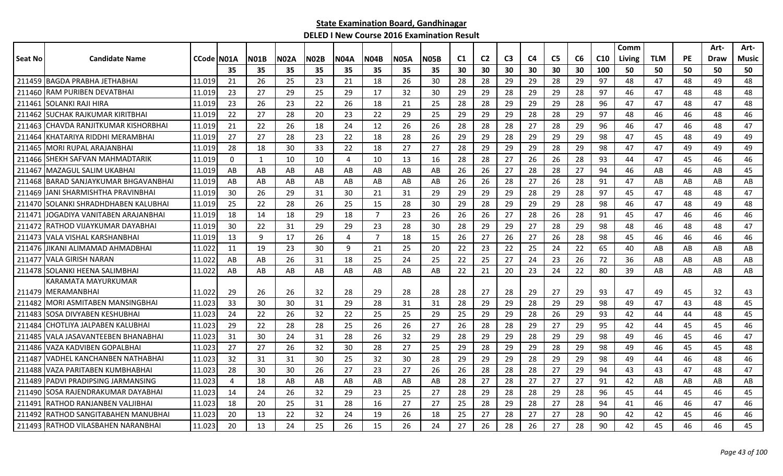|         |                                     |            |                |      |      |             |      |      |             |      |                |                |                |    |                |    |                 | Comm   |            |           | Art- | Art-  |
|---------|-------------------------------------|------------|----------------|------|------|-------------|------|------|-------------|------|----------------|----------------|----------------|----|----------------|----|-----------------|--------|------------|-----------|------|-------|
| Seat No | <b>Candidate Name</b>               | CCode N01A |                | NO1B | N02A | <b>N02B</b> | N04A | N04B | <b>N05A</b> | N05B | C <sub>1</sub> | C <sub>2</sub> | C <sub>3</sub> | C4 | C <sub>5</sub> | C6 | C <sub>10</sub> | Living | <b>TLM</b> | <b>PE</b> | Draw | Music |
|         |                                     |            | 35             | 35   | 35   | 35          | 35   | 35   | 35          | 35   | 30             | 30             | 30             | 30 | 30             | 30 | 100             | 50     | 50         | 50        | 50   | 50    |
|         | 211459 BAGDA PRABHA JETHABHAI       | 11.019     | 21             | 26   | 25   | 23          | 21   | 18   | 26          | 30   | 28             | 28             | 29             | 29 | 28             | 29 | 97              | 48     | 47         | 48        | 49   | 48    |
| 211460  | RAM PURIBEN DEVATBHAI               | 11.019     | 23             | 27   | 29   | 25          | 29   | 17   | 32          | 30   | 29             | 29             | 28             | 29 | 29             | 28 | 97              | 46     | 47         | 48        | 48   | 48    |
| 211461  | SOLANKI RAJI HIRA                   | 11.019     | 23             | 26   | 23   | 22          | 26   | 18   | 21          | 25   | 28             | 28             | 29             | 29 | 29             | 28 | 96              | 47     | 47         | 48        | 47   | 48    |
| 211462  | <b>SUCHAK RAJKUMAR KIRITBHAI</b>    | 11.019     | 22             | 27   | 28   | 20          | 23   | 22   | 29          | 25   | 29             | 29             | 29             | 28 | 28             | 29 | 97              | 48     | 46         | 46        | 48   | 46    |
| 211463  | ICHAVDA RANJITKUMAR KISHORBHAI      | 11.019     | 21             | 22   | 26   | 18          | 24   | 12   | 26          | 26   | 28             | 28             | 28             | 27 | 28             | 29 | 96              | 46     | 47         | 46        | 48   | 47    |
| 211464  | KHATARIYA RIDDHI MERAMBHAI          | 11.019     | 27             | 27   | 28   | 23          | 22   | 18   | 28          | 26   | 29             | 29             | 28             | 29 | 29             | 29 | 98              | 47     | 45         | 48        | 49   | 49    |
| 211465  | <b>IMORI RUPAL ARAJANBHAI</b>       | 11.019     | 28             | 18   | 30   | 33          | 22   | 18   | 27          | 27   | 28             | 29             | 29             | 29 | 28             | 29 | 98              | 47     | 47         | 49        | 49   | 49    |
| 211466  | SHEKH SAFVAN MAHMADTARIK            | 11.019     | $\Omega$       | 1    | 10   | 10          | 4    | 10   | 13          | 16   | 28             | 28             | 27             | 26 | 26             | 28 | 93              | 44     | 47         | 45        | 46   | 46    |
| 211467  | MAZAGUL SALIM UKABHAI               | 11.019     | AB             | AB   | AB   | AB          | AB   | AB   | AB          | AB   | 26             | 26             | 27             | 28 | 28             | 27 | 94              | 46     | AB         | 46        | AB   | 45    |
| 211468  | BARAD SANJAYKUMAR BHGAVANBHAI       | 11.019     | AB             | AB   | AB   | AB          | AB   | AB   | AB          | AB   | 26             | 26             | 28             | 27 | 26             | 28 | 91              | 47     | AB         | AB        | AB   | AB    |
| 211469  | JANI SHARMISHTHA PRAVINBHAI         | 11.019     | 30             | 26   | 29   | 31          | 30   | 21   | 31          | 29   | 29             | 29             | 29             | 28 | 29             | 28 | 97              | 45     | 47         | 48        | 48   | 47    |
| 211470  | ISOLANKI SHRADHDHABEN KALUBHAI      | 11.019     | 25             | 22   | 28   | 26          | 25   | 15   | 28          | 30   | 29             | 28             | 29             | 29 | 29             | 28 | 98              | 46     | 47         | 48        | 49   | 48    |
| 211471  | JOGADIYA VANITABEN ARAJANBHAI       | 11.019     | 18             | 14   | 18   | 29          | 18   | 7    | 23          | 26   | 26             | 26             | 27             | 28 | 26             | 28 | 91              | 45     | 47         | 46        | 46   | 46    |
| 211472  | IRATHOD VIJAYKUMAR DAYABHAI         | 11.019     | 30             | 22   | 31   | 29          | 29   | 23   | 28          | 30   | 28             | 29             | 29             | 27 | 28             | 29 | 98              | 48     | 46         | 48        | 48   | 47    |
| 211473  | VALA VISHAL KARSHANBHAI             | 11.019     | 13             | 9    | 17   | 26          | 4    | 7    | 18          | 15   | 26             | 27             | 26             | 27 | 26             | 28 | 98              | 45     | 46         | 46        | 46   | 46    |
| 211476  | JIKANI ALIMAMAD AHMADBHAI           | 11.022     | 11             | 19   | 23   | 30          | 9    | 21   | 25          | 20   | 22             | 23             | 22             | 25 | 24             | 22 | 65              | 40     | AB         | AB        | AB   | AB    |
| 211477  | VALA GIRISH NARAN                   | 11.022     | AB             | AB   | 26   | 31          | 18   | 25   | 24          | 25   | 22             | 25             | 27             | 24 | 23             | 26 | 72              | 36     | AB         | AB        | AB   | AB    |
|         | 211478 SOLANKI HEENA SALIMBHAI      | 11.022     | AB             | AB   | AB   | AB          | AB   | AB   | AB          | AB   | 22             | 21             | 20             | 23 | 24             | 22 | 80              | 39     | AB         | AB        | AB   | AB    |
|         | KARAMATA MAYURKUMAR                 |            |                |      |      |             |      |      |             |      |                |                |                |    |                |    |                 |        |            |           |      |       |
| 211479  | <b>IMERAMANBHAI</b>                 | 11.022     | 29             | 26   | 26   | 32          | 28   | 29   | 28          | 28   | 28             | 27             | 28             | 29 | 27             | 29 | 93              | 47     | 49         | 45        | 32   | 43    |
| 211482  | IMORI ASMITABEN MANSINGBHAI         | 11.023     | 33             | 30   | 30   | 31          | 29   | 28   | 31          | 31   | 28             | 29             | 29             | 28 | 29             | 29 | 98              | 49     | 47         | 43        | 48   | 45    |
| 211483  | ISOSA DIVYABEN KESHUBHAI            | 11.023     | 24             | 22   | 26   | 32          | 22   | 25   | 25          | 29   | 25             | 29             | 29             | 28 | 26             | 29 | 93              | 42     | 44         | 44        | 48   | 45    |
| 211484  | <b>ICHOTLIYA JALPABEN KALUBHA</b> I | 11.023     | 29             | 22   | 28   | 28          | 25   | 26   | 26          | 27   | 26             | 28             | 28             | 29 | 27             | 29 | 95              | 42     | 44         | 45        | 45   | 46    |
| 211485  | VALA JASAVANTEEBEN BHANABHAI        | 11.023     | 31             | 30   | 24   | 31          | 28   | 26   | 32          | 29   | 28             | 29             | 29             | 28 | 29             | 29 | 98              | 49     | 46         | 45        | 46   | 47    |
| 211486  | VAZA KADVIBEN GOPALBHAI             | 11.023     | 27             | 27   | 26   | 32          | 30   | 28   | 27          | 25   | 29             | 28             | 29             | 29 | 28             | 29 | 98              | 49     | 46         | 45        | 45   | 48    |
| 211487  | VADHEL KANCHANBEN NATHABHAI         | 11.023     | 32             | 31   | 31   | 30          | 25   | 32   | 30          | 28   | 29             | 29             | 29             | 28 | 29             | 29 | 98              | 49     | 44         | 46        | 48   | 46    |
| 211488  | VAZA PARITABEN KUMBHABHAI           | 11.023     | 28             | 30   | 30   | 26          | 27   | 23   | 27          | 26   | 26             | 28             | 28             | 28 | 27             | 29 | 94              | 43     | 43         | 47        | 48   | 47    |
| 211489  | PADVI PRADIPSING JARMANSING         | 11.023     | $\overline{4}$ | 18   | AB   | AB          | AB   | AB   | AB          | AB   | 28             | 27             | 28             | 27 | 27             | 27 | 91              | 42     | AB         | AB        | AB   | AB    |
| 211490  | SOSA RAJENDRAKUMAR DAYABHAI         | 11.023     | 14             | 24   | 26   | 32          | 29   | 23   | 25          | 27   | 28             | 29             | 28             | 28 | 29             | 28 | 96              | 45     | 44         | 45        | 46   | 45    |
| 211491  | <b>IRATHOD RANJANBEN VALJIBHAI</b>  | 11.023     | 18             | 20   | 25   | 31          | 28   | 16   | 27          | 27   | 25             | 28             | 29             | 28 | 27             | 28 | 94              | 41     | 46         | 46        | 47   | 46    |
| 211492  | IRATHOD SANGITABAHEN MANUBHAI       | 11.023     | 20             | 13   | 22   | 32          | 24   | 19   | 26          | 18   | 25             | 27             | 28             | 27 | 27             | 28 | 90              | 42     | 42         | 45        | 46   | 46    |
|         | 211493 RATHOD VILASBAHEN NARANBHAI  | 11.023     | 20             | 13   | 24   | 25          | 26   | 15   | 26          | 24   | 27             | 26             | 28             | 26 | 27             | 28 | 90              | 42     | 45         | 46        | 46   | 45    |
|         |                                     |            |                |      |      |             |      |      |             |      |                |                |                |    |                |    |                 |        |            |           |      |       |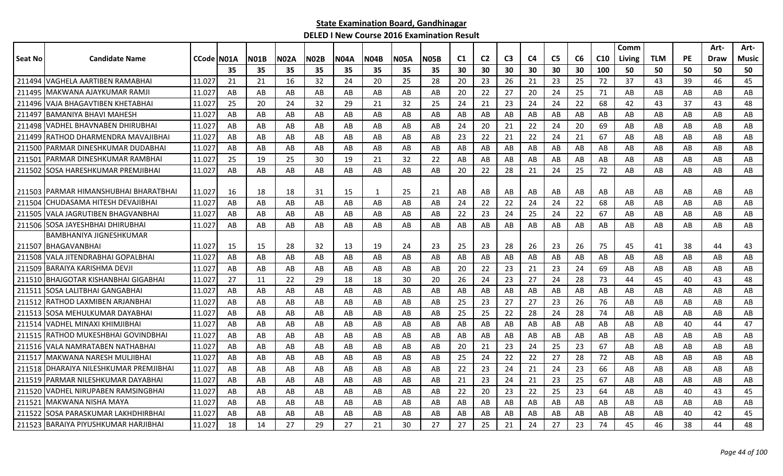| <b>Candidate Name</b><br>CCode N01A<br><b>N02B</b><br><b>N05B</b><br>C <sub>2</sub><br>C <sub>3</sub><br>C <sub>4</sub><br>C <sub>5</sub><br>C6<br>C10<br><b>TLM</b><br><b>PE</b><br>Seat No<br><b>N01B</b><br><b>N02A</b><br><b>N04A</b><br><b>N04B</b><br><b>N05A</b><br>C <sub>1</sub><br>Living<br>Draw<br>35<br>35<br>35<br>35<br>35<br>30<br>30<br>30<br>30<br>30<br>30<br>100<br>50<br>50<br>50<br>35<br>35<br>35<br>50<br>VAGHELA AARTIBEN RAMABHAI<br>211494<br>11.027<br>21<br>21<br>16<br>32<br>24<br>20<br>25<br>28<br>20<br>23<br>26<br>23<br>25<br>72<br>37<br>43<br>39<br>46<br>21<br>22<br>27<br>24<br>211495 MAKWANA AJAYKUMAR RAMJI<br>11.027<br>AB<br>AB<br>AB<br>20<br>20<br>25<br>71<br>AB<br>AB<br>AB<br>AB<br>AB<br>AB<br>AB<br>AB<br>AB<br>211496 VAJA BHAGAVTIBEN KHETABHAI<br>25<br>32<br>25<br>21<br>23<br>24<br>22<br>68<br>11.027<br>20<br>24<br>32<br>29<br>21<br>24<br>24<br>42<br>43<br>37<br>43<br>IBAMANIYA BHAVI MAHESH<br>11.027<br>AB<br>AB<br>AB<br>AB<br>AB<br>AB<br>AB<br>AB<br>AB<br>AB<br>AB<br>AB<br>211497<br>AB<br>AB<br>AB<br>AB<br>AB<br>AB<br>AB<br>21<br>211498 VADHEL BHAVNABEN DHIRUBHAI<br>AB<br>20<br>22<br>24<br>20<br>69<br>AB<br>11.027<br>AB<br>AB<br>AB<br>AB<br>AB<br>AB<br>AB<br>24<br>AB<br>AB<br>AB<br>AB<br>AB<br>AB<br>22<br>21<br>22<br>24<br>21<br>67<br>AB<br>AB<br>211499 RATHOD DHARMENDRA MAVAJIBHAI<br>11.027<br>AB<br>AB<br>AB<br>AB<br>AB<br>23<br>AB<br>AB<br>211500 PARMAR DINESHKUMAR DUDABHAI<br>11.027<br>AB<br>AB<br>AB<br>AB<br>AB<br>AB<br>AB<br>AB<br>AB<br>AB<br>AB<br>AB<br>AB<br>AB<br>AB<br>AB<br>AB<br>AB<br>AB<br>AB<br>PARMAR DINESHKUMAR RAMBHAI<br>11.027<br>25<br>19<br>25<br>30<br>21<br>32<br>22<br>AB<br>AB<br>AB<br>AB<br>AB<br>AB<br>AB<br>AB<br>AB<br>211501<br>19<br>AB<br><b>ISOSA HARESHKUMAR PREMJIBHAI</b><br>24<br>211502<br>11.027<br>AB<br>AB<br>AB<br>AB<br>AB<br>AB<br>AB<br>22<br>28<br>25<br>72<br>AB<br>AB<br>AB<br>AB<br>AB<br>20<br>21<br>211503 PARMAR HIMANSHUBHAI BHARATBHAI<br>11.027<br>18<br>31<br>25<br>21<br>AB<br>AB<br>AB<br>AB<br>-16<br>18<br>15<br>1<br>AB<br>AB<br>AB<br>AB<br>AB<br>AB<br>AB<br>ICHUDASAMA HITESH DEVAJIBHAI<br>22<br>22<br>24<br>22<br>68<br>211504<br>11.027<br>AB<br>AB<br>AB<br>AB<br>AB<br>AB<br>AB<br>AB<br>24<br>24<br>AB<br>AB<br>AB<br>AB<br>11.027<br>AB<br>AB<br>AB<br>AB<br>AB<br>AB<br>AB<br>22<br>23<br>24<br>25<br>24<br>22<br>67<br>AB<br>AB<br>AB<br>AB<br>211505 VALA JAGRUTIBEN BHAGVANBHAI<br>AB<br>AB<br>AB<br>AB<br>AB<br>AB<br>AB<br>AB<br>AB<br>211506 ISOSA JAYESHBHAI DHIRUBHAI<br>11.027<br>AB<br>AB<br>AB<br>AB<br>AB<br>AB<br>AB<br>AB<br>AB<br>AB<br>AB<br>BAMBHANIYA JIGNESHKUMAR<br>211507 BHAGAVANBHAI<br>28<br>32<br>19<br>24<br>23<br>25<br>23<br>28<br>23<br>26<br>75<br>45<br>41<br>38<br>11.027<br>-15<br>15<br>13<br>26<br>44<br>AB<br>AB<br>AB<br>AB<br>AB<br>211508 VALA JITENDRABHAI GOPALBHAI<br>11.027<br>AB<br>AB<br>AB<br>AB<br>AB<br>AB<br>AB<br>AB<br>AB<br>AB<br>AB<br>AB<br>AB<br>AB<br>22<br>23<br>BARAIYA KARISHMA DEVJI<br>11.027<br>AB<br>AB<br>AB<br>AB<br>AB<br>20<br>23<br>24<br>69<br>AB<br>AB<br>211509<br>AB<br>AB<br>AB<br>21<br>AB<br>AB<br>IBHAJGOTAR KISHANBHAI GIGABHAI<br>27<br>22<br>24<br>23<br>27<br>24<br>28<br>73<br>44<br>45<br>211510<br>11.027<br>11<br>29<br>18<br>18<br>30<br>20<br>26<br>40<br>43<br><b>SOSA LALITBHAI GANGABHAI</b><br>AB<br>AB<br>AB<br>AB<br>AB<br>211511<br>11.027<br>AB<br>AB<br>AB<br>AB<br>AB<br>AB<br>AB<br>AB<br>AB<br>AB<br>AB<br>AB<br>AB<br>AB<br>23<br>27<br>211512 RATHOD LAXMIBEN ARJANBHAI<br>11.027<br>AB<br>AB<br>AB<br>25<br>27<br>23<br>26<br>76<br>AB<br>AB<br>AB<br>AB<br>AB<br>AB<br>AB<br>AB<br>AB<br>22<br>211513 ISOSA MEHULKUMAR DAYABHAI<br>AB<br>25<br>28<br>24<br>28<br>74<br>AB<br>11.027<br>AB<br>AB<br>AB<br>AB<br>AB<br>AB<br>AB<br>25<br>AB<br>AB<br>AB<br>211514 VADHEL MINAXI KHIMJIBHAI<br>11.027<br>AB<br>AB<br>AB<br>AB<br>AB<br>AB<br>AB<br>AB<br>AB<br>AB<br>AB<br>AB<br>AB<br>AB<br>40<br>44<br>AB<br>AB<br>AB<br>211515   RATHOD MUKESHBHAI GOVINDBHAI<br>AB<br>AB<br>AB<br>11.027<br>AB<br>AB<br>AB<br>AB<br>AB<br>AB<br>AB<br>AB<br>AB<br>AB<br>AB<br>AB<br>AB<br>AB<br>AB<br>AB<br>23<br>IVALA NAMRATABEN NATHABHAI<br>11.027<br>AB<br>AB<br>AB<br>AB<br>AB<br>20<br>21<br>24<br>25<br>23<br>67<br>AB<br>AB<br>AB<br>211516<br>AB<br>AB<br>AB<br>AB<br>22<br>MAKWANA NARESH MULJIBHAI<br>24<br>27<br>28<br>72<br>211517<br>11.027<br>AB<br>AB<br>AB<br>AB<br>AB<br>AB<br>AB<br>AB<br>25<br>22<br>AB<br>AB<br>AB<br>AB<br>DHARAIYA NILESHKUMAR PREMJIBHAI<br>23<br>24<br>24<br>11.027<br>AB<br>AB<br>AB<br>AB<br>AB<br>23<br>66<br>AB<br>AB<br>AB<br>AB<br>211518<br>AB<br>AB<br>AB<br>22<br>21 |  |  |  |  |  |  |  |  |  | Comm |  | Art- | Art-  |
|--------------------------------------------------------------------------------------------------------------------------------------------------------------------------------------------------------------------------------------------------------------------------------------------------------------------------------------------------------------------------------------------------------------------------------------------------------------------------------------------------------------------------------------------------------------------------------------------------------------------------------------------------------------------------------------------------------------------------------------------------------------------------------------------------------------------------------------------------------------------------------------------------------------------------------------------------------------------------------------------------------------------------------------------------------------------------------------------------------------------------------------------------------------------------------------------------------------------------------------------------------------------------------------------------------------------------------------------------------------------------------------------------------------------------------------------------------------------------------------------------------------------------------------------------------------------------------------------------------------------------------------------------------------------------------------------------------------------------------------------------------------------------------------------------------------------------------------------------------------------------------------------------------------------------------------------------------------------------------------------------------------------------------------------------------------------------------------------------------------------------------------------------------------------------------------------------------------------------------------------------------------------------------------------------------------------------------------------------------------------------------------------------------------------------------------------------------------------------------------------------------------------------------------------------------------------------------------------------------------------------------------------------------------------------------------------------------------------------------------------------------------------------------------------------------------------------------------------------------------------------------------------------------------------------------------------------------------------------------------------------------------------------------------------------------------------------------------------------------------------------------------------------------------------------------------------------------------------------------------------------------------------------------------------------------------------------------------------------------------------------------------------------------------------------------------------------------------------------------------------------------------------------------------------------------------------------------------------------------------------------------------------------------------------------------------------------------------------------------------------------------------------------------------------------------------------------------------------------------------------------------------------------------------------------------------------------------------------------------------------------------------------------------------------------------------------------------------------------------------------------------------------------------------------------------------------------------------------------------------------------------------------------------------------------------------------------------------------------------------------------------------------------------------------------------------------------------------------------------------------------------------------------------------------------------------------------------------------------------------------------------------------------------------------------------------------|--|--|--|--|--|--|--|--|--|------|--|------|-------|
|                                                                                                                                                                                                                                                                                                                                                                                                                                                                                                                                                                                                                                                                                                                                                                                                                                                                                                                                                                                                                                                                                                                                                                                                                                                                                                                                                                                                                                                                                                                                                                                                                                                                                                                                                                                                                                                                                                                                                                                                                                                                                                                                                                                                                                                                                                                                                                                                                                                                                                                                                                                                                                                                                                                                                                                                                                                                                                                                                                                                                                                                                                                                                                                                                                                                                                                                                                                                                                                                                                                                                                                                                                                                                                                                                                                                                                                                                                                                                                                                                                                                                                                                                                                                                                                                                                                                                                                                                                                                                                                                                                                                                                                                                            |  |  |  |  |  |  |  |  |  |      |  |      | Music |
|                                                                                                                                                                                                                                                                                                                                                                                                                                                                                                                                                                                                                                                                                                                                                                                                                                                                                                                                                                                                                                                                                                                                                                                                                                                                                                                                                                                                                                                                                                                                                                                                                                                                                                                                                                                                                                                                                                                                                                                                                                                                                                                                                                                                                                                                                                                                                                                                                                                                                                                                                                                                                                                                                                                                                                                                                                                                                                                                                                                                                                                                                                                                                                                                                                                                                                                                                                                                                                                                                                                                                                                                                                                                                                                                                                                                                                                                                                                                                                                                                                                                                                                                                                                                                                                                                                                                                                                                                                                                                                                                                                                                                                                                                            |  |  |  |  |  |  |  |  |  |      |  |      | 50    |
|                                                                                                                                                                                                                                                                                                                                                                                                                                                                                                                                                                                                                                                                                                                                                                                                                                                                                                                                                                                                                                                                                                                                                                                                                                                                                                                                                                                                                                                                                                                                                                                                                                                                                                                                                                                                                                                                                                                                                                                                                                                                                                                                                                                                                                                                                                                                                                                                                                                                                                                                                                                                                                                                                                                                                                                                                                                                                                                                                                                                                                                                                                                                                                                                                                                                                                                                                                                                                                                                                                                                                                                                                                                                                                                                                                                                                                                                                                                                                                                                                                                                                                                                                                                                                                                                                                                                                                                                                                                                                                                                                                                                                                                                                            |  |  |  |  |  |  |  |  |  |      |  |      | 45    |
|                                                                                                                                                                                                                                                                                                                                                                                                                                                                                                                                                                                                                                                                                                                                                                                                                                                                                                                                                                                                                                                                                                                                                                                                                                                                                                                                                                                                                                                                                                                                                                                                                                                                                                                                                                                                                                                                                                                                                                                                                                                                                                                                                                                                                                                                                                                                                                                                                                                                                                                                                                                                                                                                                                                                                                                                                                                                                                                                                                                                                                                                                                                                                                                                                                                                                                                                                                                                                                                                                                                                                                                                                                                                                                                                                                                                                                                                                                                                                                                                                                                                                                                                                                                                                                                                                                                                                                                                                                                                                                                                                                                                                                                                                            |  |  |  |  |  |  |  |  |  |      |  |      | AB    |
|                                                                                                                                                                                                                                                                                                                                                                                                                                                                                                                                                                                                                                                                                                                                                                                                                                                                                                                                                                                                                                                                                                                                                                                                                                                                                                                                                                                                                                                                                                                                                                                                                                                                                                                                                                                                                                                                                                                                                                                                                                                                                                                                                                                                                                                                                                                                                                                                                                                                                                                                                                                                                                                                                                                                                                                                                                                                                                                                                                                                                                                                                                                                                                                                                                                                                                                                                                                                                                                                                                                                                                                                                                                                                                                                                                                                                                                                                                                                                                                                                                                                                                                                                                                                                                                                                                                                                                                                                                                                                                                                                                                                                                                                                            |  |  |  |  |  |  |  |  |  |      |  |      | 48    |
|                                                                                                                                                                                                                                                                                                                                                                                                                                                                                                                                                                                                                                                                                                                                                                                                                                                                                                                                                                                                                                                                                                                                                                                                                                                                                                                                                                                                                                                                                                                                                                                                                                                                                                                                                                                                                                                                                                                                                                                                                                                                                                                                                                                                                                                                                                                                                                                                                                                                                                                                                                                                                                                                                                                                                                                                                                                                                                                                                                                                                                                                                                                                                                                                                                                                                                                                                                                                                                                                                                                                                                                                                                                                                                                                                                                                                                                                                                                                                                                                                                                                                                                                                                                                                                                                                                                                                                                                                                                                                                                                                                                                                                                                                            |  |  |  |  |  |  |  |  |  |      |  |      | AB    |
|                                                                                                                                                                                                                                                                                                                                                                                                                                                                                                                                                                                                                                                                                                                                                                                                                                                                                                                                                                                                                                                                                                                                                                                                                                                                                                                                                                                                                                                                                                                                                                                                                                                                                                                                                                                                                                                                                                                                                                                                                                                                                                                                                                                                                                                                                                                                                                                                                                                                                                                                                                                                                                                                                                                                                                                                                                                                                                                                                                                                                                                                                                                                                                                                                                                                                                                                                                                                                                                                                                                                                                                                                                                                                                                                                                                                                                                                                                                                                                                                                                                                                                                                                                                                                                                                                                                                                                                                                                                                                                                                                                                                                                                                                            |  |  |  |  |  |  |  |  |  |      |  |      | AB    |
|                                                                                                                                                                                                                                                                                                                                                                                                                                                                                                                                                                                                                                                                                                                                                                                                                                                                                                                                                                                                                                                                                                                                                                                                                                                                                                                                                                                                                                                                                                                                                                                                                                                                                                                                                                                                                                                                                                                                                                                                                                                                                                                                                                                                                                                                                                                                                                                                                                                                                                                                                                                                                                                                                                                                                                                                                                                                                                                                                                                                                                                                                                                                                                                                                                                                                                                                                                                                                                                                                                                                                                                                                                                                                                                                                                                                                                                                                                                                                                                                                                                                                                                                                                                                                                                                                                                                                                                                                                                                                                                                                                                                                                                                                            |  |  |  |  |  |  |  |  |  |      |  |      | AB    |
|                                                                                                                                                                                                                                                                                                                                                                                                                                                                                                                                                                                                                                                                                                                                                                                                                                                                                                                                                                                                                                                                                                                                                                                                                                                                                                                                                                                                                                                                                                                                                                                                                                                                                                                                                                                                                                                                                                                                                                                                                                                                                                                                                                                                                                                                                                                                                                                                                                                                                                                                                                                                                                                                                                                                                                                                                                                                                                                                                                                                                                                                                                                                                                                                                                                                                                                                                                                                                                                                                                                                                                                                                                                                                                                                                                                                                                                                                                                                                                                                                                                                                                                                                                                                                                                                                                                                                                                                                                                                                                                                                                                                                                                                                            |  |  |  |  |  |  |  |  |  |      |  |      | AB    |
|                                                                                                                                                                                                                                                                                                                                                                                                                                                                                                                                                                                                                                                                                                                                                                                                                                                                                                                                                                                                                                                                                                                                                                                                                                                                                                                                                                                                                                                                                                                                                                                                                                                                                                                                                                                                                                                                                                                                                                                                                                                                                                                                                                                                                                                                                                                                                                                                                                                                                                                                                                                                                                                                                                                                                                                                                                                                                                                                                                                                                                                                                                                                                                                                                                                                                                                                                                                                                                                                                                                                                                                                                                                                                                                                                                                                                                                                                                                                                                                                                                                                                                                                                                                                                                                                                                                                                                                                                                                                                                                                                                                                                                                                                            |  |  |  |  |  |  |  |  |  |      |  |      | AB    |
|                                                                                                                                                                                                                                                                                                                                                                                                                                                                                                                                                                                                                                                                                                                                                                                                                                                                                                                                                                                                                                                                                                                                                                                                                                                                                                                                                                                                                                                                                                                                                                                                                                                                                                                                                                                                                                                                                                                                                                                                                                                                                                                                                                                                                                                                                                                                                                                                                                                                                                                                                                                                                                                                                                                                                                                                                                                                                                                                                                                                                                                                                                                                                                                                                                                                                                                                                                                                                                                                                                                                                                                                                                                                                                                                                                                                                                                                                                                                                                                                                                                                                                                                                                                                                                                                                                                                                                                                                                                                                                                                                                                                                                                                                            |  |  |  |  |  |  |  |  |  |      |  |      | AB    |
|                                                                                                                                                                                                                                                                                                                                                                                                                                                                                                                                                                                                                                                                                                                                                                                                                                                                                                                                                                                                                                                                                                                                                                                                                                                                                                                                                                                                                                                                                                                                                                                                                                                                                                                                                                                                                                                                                                                                                                                                                                                                                                                                                                                                                                                                                                                                                                                                                                                                                                                                                                                                                                                                                                                                                                                                                                                                                                                                                                                                                                                                                                                                                                                                                                                                                                                                                                                                                                                                                                                                                                                                                                                                                                                                                                                                                                                                                                                                                                                                                                                                                                                                                                                                                                                                                                                                                                                                                                                                                                                                                                                                                                                                                            |  |  |  |  |  |  |  |  |  |      |  |      |       |
|                                                                                                                                                                                                                                                                                                                                                                                                                                                                                                                                                                                                                                                                                                                                                                                                                                                                                                                                                                                                                                                                                                                                                                                                                                                                                                                                                                                                                                                                                                                                                                                                                                                                                                                                                                                                                                                                                                                                                                                                                                                                                                                                                                                                                                                                                                                                                                                                                                                                                                                                                                                                                                                                                                                                                                                                                                                                                                                                                                                                                                                                                                                                                                                                                                                                                                                                                                                                                                                                                                                                                                                                                                                                                                                                                                                                                                                                                                                                                                                                                                                                                                                                                                                                                                                                                                                                                                                                                                                                                                                                                                                                                                                                                            |  |  |  |  |  |  |  |  |  |      |  |      | AB    |
|                                                                                                                                                                                                                                                                                                                                                                                                                                                                                                                                                                                                                                                                                                                                                                                                                                                                                                                                                                                                                                                                                                                                                                                                                                                                                                                                                                                                                                                                                                                                                                                                                                                                                                                                                                                                                                                                                                                                                                                                                                                                                                                                                                                                                                                                                                                                                                                                                                                                                                                                                                                                                                                                                                                                                                                                                                                                                                                                                                                                                                                                                                                                                                                                                                                                                                                                                                                                                                                                                                                                                                                                                                                                                                                                                                                                                                                                                                                                                                                                                                                                                                                                                                                                                                                                                                                                                                                                                                                                                                                                                                                                                                                                                            |  |  |  |  |  |  |  |  |  |      |  |      | AB    |
|                                                                                                                                                                                                                                                                                                                                                                                                                                                                                                                                                                                                                                                                                                                                                                                                                                                                                                                                                                                                                                                                                                                                                                                                                                                                                                                                                                                                                                                                                                                                                                                                                                                                                                                                                                                                                                                                                                                                                                                                                                                                                                                                                                                                                                                                                                                                                                                                                                                                                                                                                                                                                                                                                                                                                                                                                                                                                                                                                                                                                                                                                                                                                                                                                                                                                                                                                                                                                                                                                                                                                                                                                                                                                                                                                                                                                                                                                                                                                                                                                                                                                                                                                                                                                                                                                                                                                                                                                                                                                                                                                                                                                                                                                            |  |  |  |  |  |  |  |  |  |      |  |      | AB    |
|                                                                                                                                                                                                                                                                                                                                                                                                                                                                                                                                                                                                                                                                                                                                                                                                                                                                                                                                                                                                                                                                                                                                                                                                                                                                                                                                                                                                                                                                                                                                                                                                                                                                                                                                                                                                                                                                                                                                                                                                                                                                                                                                                                                                                                                                                                                                                                                                                                                                                                                                                                                                                                                                                                                                                                                                                                                                                                                                                                                                                                                                                                                                                                                                                                                                                                                                                                                                                                                                                                                                                                                                                                                                                                                                                                                                                                                                                                                                                                                                                                                                                                                                                                                                                                                                                                                                                                                                                                                                                                                                                                                                                                                                                            |  |  |  |  |  |  |  |  |  |      |  |      | AB    |
|                                                                                                                                                                                                                                                                                                                                                                                                                                                                                                                                                                                                                                                                                                                                                                                                                                                                                                                                                                                                                                                                                                                                                                                                                                                                                                                                                                                                                                                                                                                                                                                                                                                                                                                                                                                                                                                                                                                                                                                                                                                                                                                                                                                                                                                                                                                                                                                                                                                                                                                                                                                                                                                                                                                                                                                                                                                                                                                                                                                                                                                                                                                                                                                                                                                                                                                                                                                                                                                                                                                                                                                                                                                                                                                                                                                                                                                                                                                                                                                                                                                                                                                                                                                                                                                                                                                                                                                                                                                                                                                                                                                                                                                                                            |  |  |  |  |  |  |  |  |  |      |  |      |       |
|                                                                                                                                                                                                                                                                                                                                                                                                                                                                                                                                                                                                                                                                                                                                                                                                                                                                                                                                                                                                                                                                                                                                                                                                                                                                                                                                                                                                                                                                                                                                                                                                                                                                                                                                                                                                                                                                                                                                                                                                                                                                                                                                                                                                                                                                                                                                                                                                                                                                                                                                                                                                                                                                                                                                                                                                                                                                                                                                                                                                                                                                                                                                                                                                                                                                                                                                                                                                                                                                                                                                                                                                                                                                                                                                                                                                                                                                                                                                                                                                                                                                                                                                                                                                                                                                                                                                                                                                                                                                                                                                                                                                                                                                                            |  |  |  |  |  |  |  |  |  |      |  |      | 43    |
|                                                                                                                                                                                                                                                                                                                                                                                                                                                                                                                                                                                                                                                                                                                                                                                                                                                                                                                                                                                                                                                                                                                                                                                                                                                                                                                                                                                                                                                                                                                                                                                                                                                                                                                                                                                                                                                                                                                                                                                                                                                                                                                                                                                                                                                                                                                                                                                                                                                                                                                                                                                                                                                                                                                                                                                                                                                                                                                                                                                                                                                                                                                                                                                                                                                                                                                                                                                                                                                                                                                                                                                                                                                                                                                                                                                                                                                                                                                                                                                                                                                                                                                                                                                                                                                                                                                                                                                                                                                                                                                                                                                                                                                                                            |  |  |  |  |  |  |  |  |  |      |  |      | AB    |
|                                                                                                                                                                                                                                                                                                                                                                                                                                                                                                                                                                                                                                                                                                                                                                                                                                                                                                                                                                                                                                                                                                                                                                                                                                                                                                                                                                                                                                                                                                                                                                                                                                                                                                                                                                                                                                                                                                                                                                                                                                                                                                                                                                                                                                                                                                                                                                                                                                                                                                                                                                                                                                                                                                                                                                                                                                                                                                                                                                                                                                                                                                                                                                                                                                                                                                                                                                                                                                                                                                                                                                                                                                                                                                                                                                                                                                                                                                                                                                                                                                                                                                                                                                                                                                                                                                                                                                                                                                                                                                                                                                                                                                                                                            |  |  |  |  |  |  |  |  |  |      |  |      | AB    |
|                                                                                                                                                                                                                                                                                                                                                                                                                                                                                                                                                                                                                                                                                                                                                                                                                                                                                                                                                                                                                                                                                                                                                                                                                                                                                                                                                                                                                                                                                                                                                                                                                                                                                                                                                                                                                                                                                                                                                                                                                                                                                                                                                                                                                                                                                                                                                                                                                                                                                                                                                                                                                                                                                                                                                                                                                                                                                                                                                                                                                                                                                                                                                                                                                                                                                                                                                                                                                                                                                                                                                                                                                                                                                                                                                                                                                                                                                                                                                                                                                                                                                                                                                                                                                                                                                                                                                                                                                                                                                                                                                                                                                                                                                            |  |  |  |  |  |  |  |  |  |      |  |      | 48    |
|                                                                                                                                                                                                                                                                                                                                                                                                                                                                                                                                                                                                                                                                                                                                                                                                                                                                                                                                                                                                                                                                                                                                                                                                                                                                                                                                                                                                                                                                                                                                                                                                                                                                                                                                                                                                                                                                                                                                                                                                                                                                                                                                                                                                                                                                                                                                                                                                                                                                                                                                                                                                                                                                                                                                                                                                                                                                                                                                                                                                                                                                                                                                                                                                                                                                                                                                                                                                                                                                                                                                                                                                                                                                                                                                                                                                                                                                                                                                                                                                                                                                                                                                                                                                                                                                                                                                                                                                                                                                                                                                                                                                                                                                                            |  |  |  |  |  |  |  |  |  |      |  |      | AB    |
|                                                                                                                                                                                                                                                                                                                                                                                                                                                                                                                                                                                                                                                                                                                                                                                                                                                                                                                                                                                                                                                                                                                                                                                                                                                                                                                                                                                                                                                                                                                                                                                                                                                                                                                                                                                                                                                                                                                                                                                                                                                                                                                                                                                                                                                                                                                                                                                                                                                                                                                                                                                                                                                                                                                                                                                                                                                                                                                                                                                                                                                                                                                                                                                                                                                                                                                                                                                                                                                                                                                                                                                                                                                                                                                                                                                                                                                                                                                                                                                                                                                                                                                                                                                                                                                                                                                                                                                                                                                                                                                                                                                                                                                                                            |  |  |  |  |  |  |  |  |  |      |  |      | AB    |
|                                                                                                                                                                                                                                                                                                                                                                                                                                                                                                                                                                                                                                                                                                                                                                                                                                                                                                                                                                                                                                                                                                                                                                                                                                                                                                                                                                                                                                                                                                                                                                                                                                                                                                                                                                                                                                                                                                                                                                                                                                                                                                                                                                                                                                                                                                                                                                                                                                                                                                                                                                                                                                                                                                                                                                                                                                                                                                                                                                                                                                                                                                                                                                                                                                                                                                                                                                                                                                                                                                                                                                                                                                                                                                                                                                                                                                                                                                                                                                                                                                                                                                                                                                                                                                                                                                                                                                                                                                                                                                                                                                                                                                                                                            |  |  |  |  |  |  |  |  |  |      |  |      | AB    |
|                                                                                                                                                                                                                                                                                                                                                                                                                                                                                                                                                                                                                                                                                                                                                                                                                                                                                                                                                                                                                                                                                                                                                                                                                                                                                                                                                                                                                                                                                                                                                                                                                                                                                                                                                                                                                                                                                                                                                                                                                                                                                                                                                                                                                                                                                                                                                                                                                                                                                                                                                                                                                                                                                                                                                                                                                                                                                                                                                                                                                                                                                                                                                                                                                                                                                                                                                                                                                                                                                                                                                                                                                                                                                                                                                                                                                                                                                                                                                                                                                                                                                                                                                                                                                                                                                                                                                                                                                                                                                                                                                                                                                                                                                            |  |  |  |  |  |  |  |  |  |      |  |      | 47    |
|                                                                                                                                                                                                                                                                                                                                                                                                                                                                                                                                                                                                                                                                                                                                                                                                                                                                                                                                                                                                                                                                                                                                                                                                                                                                                                                                                                                                                                                                                                                                                                                                                                                                                                                                                                                                                                                                                                                                                                                                                                                                                                                                                                                                                                                                                                                                                                                                                                                                                                                                                                                                                                                                                                                                                                                                                                                                                                                                                                                                                                                                                                                                                                                                                                                                                                                                                                                                                                                                                                                                                                                                                                                                                                                                                                                                                                                                                                                                                                                                                                                                                                                                                                                                                                                                                                                                                                                                                                                                                                                                                                                                                                                                                            |  |  |  |  |  |  |  |  |  |      |  |      | AB    |
|                                                                                                                                                                                                                                                                                                                                                                                                                                                                                                                                                                                                                                                                                                                                                                                                                                                                                                                                                                                                                                                                                                                                                                                                                                                                                                                                                                                                                                                                                                                                                                                                                                                                                                                                                                                                                                                                                                                                                                                                                                                                                                                                                                                                                                                                                                                                                                                                                                                                                                                                                                                                                                                                                                                                                                                                                                                                                                                                                                                                                                                                                                                                                                                                                                                                                                                                                                                                                                                                                                                                                                                                                                                                                                                                                                                                                                                                                                                                                                                                                                                                                                                                                                                                                                                                                                                                                                                                                                                                                                                                                                                                                                                                                            |  |  |  |  |  |  |  |  |  |      |  |      | AB    |
|                                                                                                                                                                                                                                                                                                                                                                                                                                                                                                                                                                                                                                                                                                                                                                                                                                                                                                                                                                                                                                                                                                                                                                                                                                                                                                                                                                                                                                                                                                                                                                                                                                                                                                                                                                                                                                                                                                                                                                                                                                                                                                                                                                                                                                                                                                                                                                                                                                                                                                                                                                                                                                                                                                                                                                                                                                                                                                                                                                                                                                                                                                                                                                                                                                                                                                                                                                                                                                                                                                                                                                                                                                                                                                                                                                                                                                                                                                                                                                                                                                                                                                                                                                                                                                                                                                                                                                                                                                                                                                                                                                                                                                                                                            |  |  |  |  |  |  |  |  |  |      |  |      | AB    |
|                                                                                                                                                                                                                                                                                                                                                                                                                                                                                                                                                                                                                                                                                                                                                                                                                                                                                                                                                                                                                                                                                                                                                                                                                                                                                                                                                                                                                                                                                                                                                                                                                                                                                                                                                                                                                                                                                                                                                                                                                                                                                                                                                                                                                                                                                                                                                                                                                                                                                                                                                                                                                                                                                                                                                                                                                                                                                                                                                                                                                                                                                                                                                                                                                                                                                                                                                                                                                                                                                                                                                                                                                                                                                                                                                                                                                                                                                                                                                                                                                                                                                                                                                                                                                                                                                                                                                                                                                                                                                                                                                                                                                                                                                            |  |  |  |  |  |  |  |  |  |      |  |      | AB    |
| 23<br>211519   PARMAR NILESHKUMAR DAYABHAI<br>11.027<br>AB<br>AB<br>AB<br>AB<br>21<br>24<br>21<br>23<br>25<br>67<br>AB<br>AB<br>AB<br>AB<br>AB<br>AB<br>AB<br>AB                                                                                                                                                                                                                                                                                                                                                                                                                                                                                                                                                                                                                                                                                                                                                                                                                                                                                                                                                                                                                                                                                                                                                                                                                                                                                                                                                                                                                                                                                                                                                                                                                                                                                                                                                                                                                                                                                                                                                                                                                                                                                                                                                                                                                                                                                                                                                                                                                                                                                                                                                                                                                                                                                                                                                                                                                                                                                                                                                                                                                                                                                                                                                                                                                                                                                                                                                                                                                                                                                                                                                                                                                                                                                                                                                                                                                                                                                                                                                                                                                                                                                                                                                                                                                                                                                                                                                                                                                                                                                                                           |  |  |  |  |  |  |  |  |  |      |  |      | AB    |
| 20<br>23<br>25<br>23<br>211520 VADHEL NIRUPABEN RAMSINGBHAI<br>AB<br>AB<br>AB<br>AB<br>AB<br>AB<br>AB<br>AB<br>22<br>22<br>64<br>AB<br>AB<br>40<br>43<br>11.027                                                                                                                                                                                                                                                                                                                                                                                                                                                                                                                                                                                                                                                                                                                                                                                                                                                                                                                                                                                                                                                                                                                                                                                                                                                                                                                                                                                                                                                                                                                                                                                                                                                                                                                                                                                                                                                                                                                                                                                                                                                                                                                                                                                                                                                                                                                                                                                                                                                                                                                                                                                                                                                                                                                                                                                                                                                                                                                                                                                                                                                                                                                                                                                                                                                                                                                                                                                                                                                                                                                                                                                                                                                                                                                                                                                                                                                                                                                                                                                                                                                                                                                                                                                                                                                                                                                                                                                                                                                                                                                            |  |  |  |  |  |  |  |  |  |      |  |      | 45    |
| AB<br>AB<br>211521<br>11.027<br>AB<br>AB<br>AB<br>AB<br>AB<br>AB<br>AB<br>AB<br>AB<br>AB<br>AB<br>AB<br>AB<br>AB<br>AB<br>AB<br>MAKWANA NISHA MAYA<br>AB                                                                                                                                                                                                                                                                                                                                                                                                                                                                                                                                                                                                                                                                                                                                                                                                                                                                                                                                                                                                                                                                                                                                                                                                                                                                                                                                                                                                                                                                                                                                                                                                                                                                                                                                                                                                                                                                                                                                                                                                                                                                                                                                                                                                                                                                                                                                                                                                                                                                                                                                                                                                                                                                                                                                                                                                                                                                                                                                                                                                                                                                                                                                                                                                                                                                                                                                                                                                                                                                                                                                                                                                                                                                                                                                                                                                                                                                                                                                                                                                                                                                                                                                                                                                                                                                                                                                                                                                                                                                                                                                   |  |  |  |  |  |  |  |  |  |      |  |      | AB    |
| SOSA PARASKUMAR LAKHDHIRBHAI<br>AB<br>42<br>211522<br>11.027<br>AB<br>AB<br>AB<br>AB<br>AB<br>AB<br>AB<br>AB<br>AB<br>AB<br>AB<br>AB<br>AB<br>AB<br>AB<br>AB<br>40                                                                                                                                                                                                                                                                                                                                                                                                                                                                                                                                                                                                                                                                                                                                                                                                                                                                                                                                                                                                                                                                                                                                                                                                                                                                                                                                                                                                                                                                                                                                                                                                                                                                                                                                                                                                                                                                                                                                                                                                                                                                                                                                                                                                                                                                                                                                                                                                                                                                                                                                                                                                                                                                                                                                                                                                                                                                                                                                                                                                                                                                                                                                                                                                                                                                                                                                                                                                                                                                                                                                                                                                                                                                                                                                                                                                                                                                                                                                                                                                                                                                                                                                                                                                                                                                                                                                                                                                                                                                                                                         |  |  |  |  |  |  |  |  |  |      |  |      | 45    |
| 27<br>27<br>21<br>30<br>27<br>25<br>21<br>27<br>23<br>45<br>38<br>211523 BARAIYA PIYUSHKUMAR HARJIBHAI<br>11.027<br>18<br>14<br>29<br>27<br>24<br>74<br>46<br>44                                                                                                                                                                                                                                                                                                                                                                                                                                                                                                                                                                                                                                                                                                                                                                                                                                                                                                                                                                                                                                                                                                                                                                                                                                                                                                                                                                                                                                                                                                                                                                                                                                                                                                                                                                                                                                                                                                                                                                                                                                                                                                                                                                                                                                                                                                                                                                                                                                                                                                                                                                                                                                                                                                                                                                                                                                                                                                                                                                                                                                                                                                                                                                                                                                                                                                                                                                                                                                                                                                                                                                                                                                                                                                                                                                                                                                                                                                                                                                                                                                                                                                                                                                                                                                                                                                                                                                                                                                                                                                                           |  |  |  |  |  |  |  |  |  |      |  |      | 48    |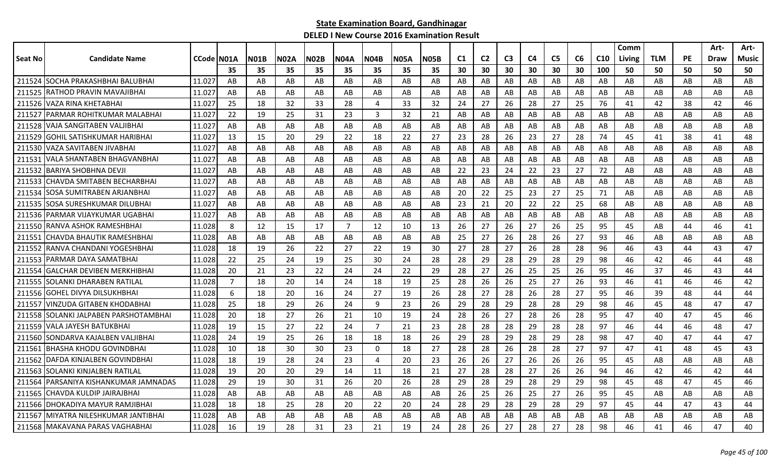|         |                                   |            |     |      |      |             |                |                |             |      |                |                |                |    |                |    |                 | Comm   |            |           | Art- | Art-  |
|---------|-----------------------------------|------------|-----|------|------|-------------|----------------|----------------|-------------|------|----------------|----------------|----------------|----|----------------|----|-----------------|--------|------------|-----------|------|-------|
| Seat No | <b>Candidate Name</b>             | CCode N01A |     | NO1B | N02A | <b>N02B</b> | N04A           | N04B           | <b>N05A</b> | N05B | C <sub>1</sub> | C <sub>2</sub> | C <sub>3</sub> | C4 | C <sub>5</sub> | C6 | C <sub>10</sub> | Living | <b>TLM</b> | <b>PE</b> | Draw | Music |
|         |                                   |            | 35  | 35   | 35   | 35          | 35             | 35             | 35          | 35   | 30             | 30             | 30             | 30 | 30             | 30 | 100             | 50     | 50         | 50        | 50   | 50    |
| 211524  | <b>SOCHA PRAKASHBHAI BALUBHAI</b> | 11.027     | AB  | AB   | AB   | AB          | AB             | AB             | AB          | AB   | AB             | AB             | AB             | AB | AB             | AB | AB              | AB     | AB         | AB        | AB   | AB    |
| 211525  | RATHOD PRAVIN MAVAJIBHAI          | 11.027     | AB  | AB   | AB   | AB          | AB             | AB             | AB          | AB   | AB             | AB             | AB             | AB | AB             | AB | AB              | AB     | AB         | AB        | AB   | AB    |
| 211526  | VAZA RINA KHETABHAI               | 11.027     | 25  | 18   | 32   | 33          | 28             | 4              | 33          | 32   | 24             | 27             | 26             | 28 | 27             | 25 | 76              | 41     | 42         | 38        | 42   | 46    |
| 211527  | IPARMAR ROHITKUMAR MALABHAI       | 11.027     | 22  | 19   | 25   | 31          | 23             | 3              | 32          | 21   | AB             | AB             | AB             | AB | AB             | AB | AB              | AB     | AB         | AB        | AB   | AB    |
| 211528  | VAJA SANGITABEN VALJIBHAI         | 11.027     | AB  | AB   | AB   | AB          | AB             | AB             | AB          | AB   | AB             | AB             | AB             | AB | AB             | AB | AB              | AB     | AB         | AB        | AB   | AB    |
| 211529  | GOHIL SATISHKUMAR HARIBHAI        | 11.027     | 13  | 15   | 20   | 29          | 22             | 18             | 22          | 27   | 23             | 28             | 26             | 23 | 27             | 28 | 74              | 45     | 41         | 38        | 41   | 48    |
|         | 211530 VAZA SAVITABEN JIVABHA     | 11.027     | AB  | AB   | AB   | AB          | AB             | AB             | AB          | AB   | AB             | AB             | AB             | AB | AB             | AB | AB              | AB     | AB         | AB        | AB   | AB    |
| 211531  | <b>VALA SHANTABEN BHAGVANBHAI</b> | 11.027     | AB  | AB   | AB   | AB          | AB             | AB.            | AB          | AB   | AB             | AB             | AB             | AB | AB             | AB | AB              | AB     | AB         | AB        | AB   | AB    |
| 211532  | BARIYA SHOBHNA DEVJI              | 11.027     | AB  | AB   | AB   | AB          | AB             | AB             | AB          | AB   | 22             | 23             | 24             | 22 | 23             | 27 | 72              | AB     | AB         | AB        | AB   | AB    |
| 211533  | <b>CHAVDA SMITABEN BECHARBHAI</b> | 11.027     | AB  | AB   | AB   | AB          | AB             | AB             | AB          | AB   | AB             | AB             | AB             | AB | AB             | AB | AB              | AB     | AB         | AB        | AB   | AB    |
| 211534  | <b>SOSA SUMITRABEN ARJANBHAI</b>  | 11.027     | AB  | AB   | AB   | AB          | AB             | AB             | AB          | AB   | 20             | 22             | 25             | 23 | 27             | 25 | 71              | AB     | AB         | AB        | AB   | AB    |
| 211535  | ISOSA SURESHKUMAR DILUBHAI        | 11.027     | AB  | AB   | AB   | AB          | AB             | AB             | AB          | AB   | 23             | 21             | 20             | 22 | 22             | 25 | 68              | AB     | AB         | AB        | AB   | AB    |
|         | 211536 PARMAR VIJAYKUMAR UGABHAI  | 11.027     | AB  | AB   | AB   | AB          | AB             | AB             | AB          | AB   | AB             | AB             | AB             | AB | AB             | AB | AB              | AB     | AB         | AB        | AB   | AB    |
|         | 211550 RANVA ASHOK RAMESHBHAI     | 11.028     | 8   | 12   | 15   | 17          | $\overline{7}$ | 12             | 10          | 13   | 26             | 27             | 26             | 27 | 26             | 25 | 95              | 45     | AB         | 44        | 46   | 41    |
| 211551  | CHAVDA BHAUTIK RAMESHBHAI         | 11.028     | AB  | AB   | AB   | AB          | AB             | AB             | AB          | AB   | 25             | 27             | 26             | 28 | 26             | 27 | 93              | 46     | AB         | AB        | AB   | AB    |
| 211552  | RANVA CHANDANI YOGESHBHAI         | 11.028     | 18  | 19   | 26   | 22          | 27             | 22             | 19          | 30   | 27             | 28             | 27             | 26 | 28             | 28 | 96              | 46     | 43         | 44        | 43   | 47    |
| 211553  | PARMAR DAYA SAMATBHAI             | 11.028     | 22  | 25   | 24   | 19          | 25             | 30             | 24          | 28   | 28             | 29             | 28             | 29 | 28             | 29 | 98              | 46     | 42         | 46        | 44   | 48    |
| 211554  | <b>GALCHAR DEVIBEN MERKHIBHAI</b> | 11.028     | 20  | 21   | 23   | 22          | 24             | 24             | 22          | 29   | 28             | 27             | 26             | 25 | 25             | 26 | 95              | 46     | 37         | 46        | 43   | 44    |
| 211555  | SOLANKI DHARABEN RATILAL          | 11.028     | 7   | 18   | 20   | 14          | 24             | 18             | 19          | 25   | 28             | 26             | 26             | 25 | 27             | 26 | 93              | 46     | 41         | 46        | 46   | 42    |
| 211556  | IGOHEL DIVYA DILSUKHBHAI          | 11.028     | 6   | 18   | 20   | 16          | 24             | 27             | 19          | 26   | 28             | 27             | 28             | 26 | 28             | 27 | 95              | 46     | 39         | 48        | 44   | 44    |
| 211557  | <b>VINZUDA GITABEN KHODABHAI</b>  | 11.028     | -25 | 18   | 29   | 26          | 24             | 9              | 23          | 26   | 29             | 28             | 29             | 28 | 28             | 29 | 98              | 46     | 45         | 48        | 47   | 47    |
| 211558  | SOLANKI JALPABEN PARSHOTAMBHAI    | 11.028     | 20  | 18   | 27   | 26          | 21             | 10             | 19          | 24   | 28             | 26             | 27             | 28 | 26             | 28 | 95              | 47     | 40         | 47        | 45   | 46    |
| 211559  | VALA JAYESH BATUKBHAI             | 11.028     | 19  | 15   | 27   | 22          | 24             | $\overline{7}$ | 21          | 23   | 28             | 28             | 28             | 29 | 28             | 28 | 97              | 46     | 44         | 46        | 48   | 47    |
| 211560  | SONDARVA KAJALBEN VALJIBHAI       | 11.028     | 24  | 19   | 25   | 26          | 18             | 18             | 18          | 26   | 29             | 28             | 29             | 28 | 29             | 28 | 98              | 47     | 40         | 47        | 44   | 47    |
| 211561  | BHASHA KHODU GOVINDBHAI           | 11.028     | 10  | 18   | 30   | 30          | 23             | 0              | 18          | 27   | 28             | 28             | 26             | 28 | 28             | 27 | 97              | 47     | 41         | 48        | 45   | 43    |
| 211562  | DAFDA KINJALBEN GOVINDBHAI        | 11.028     | 18  | 19   | 28   | 24          | 23             | 4              | 20          | 23   | 26             | 26             | 27             | 26 | 26             | 26 | 95              | 45     | AB         | AB        | AB   | AB    |
| 211563  | SOLANKI KINJALBEN RATILAL         | 11.028     | 19  | 20   | 20   | 29          | 14             | 11             | 18          | 21   | 27             | 28             | 28             | 27 | 26             | 26 | 94              | 46     | 42         | 46        | 42   | 44    |
| 211564  | IPARSANIYA KISHANKUMAR JAMNADAS   | 11.028     | 29  | 19   | 30   | 31          | 26             | 20             | 26          | 28   | 29             | 28             | 29             | 28 | 29             | 29 | 98              | 45     | 48         | 47        | 45   | 46    |
|         | 211565 CHAVDA KULDIP JAIRAJBHAI   | 11.028     | AB  | AB   | AB   | AB          | AB             | AB             | AB          | AB   | 26             | 25             | 26             | 25 | 27             | 26 | 95              | 45     | AB         | AB        | AB   | AB    |
|         | 211566 DHOKADIYA MAYUR RAMJIBHAI  | 11.028     | 18  | 18   | 25   | 28          | 20             | 22             | 20          | 24   | 28             | 29             | 28             | 29 | 28             | 29 | 97              | 45     | 44         | 47        | 43   | 44    |
| 211567  | IMIYATRA NILESHKUMAR JANTIBHAI    | 11.028     | AB  | AB   | AB   | AB          | AB             | AB             | AB          | AB   | AB             | AB             | AB             | AB | AB             | AB | AB              | AB     | AB         | AB        | AB   | AB    |
|         | 211568 MAKAVANA PARAS VAGHABHAI   | 11.028     | 16  | 19   | 28   | 31          | 23             | 21             | 19          | 24   | 28             | 26             | 27             | 28 | 27             | 28 | 98              | 46     | 41         | 46        | 47   | 40    |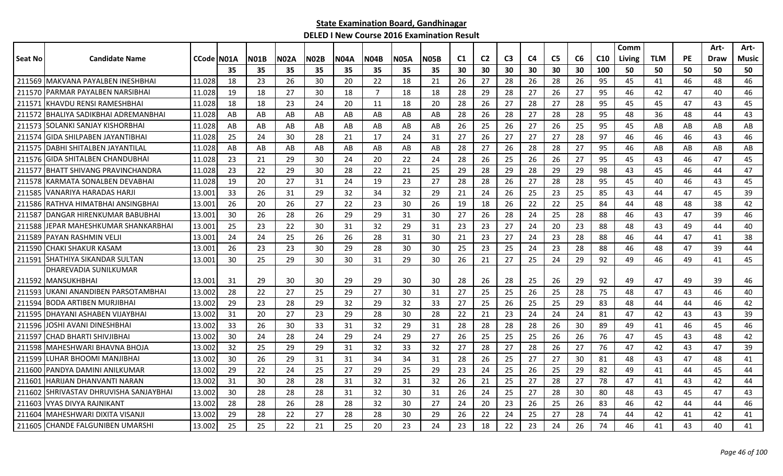|         |                                       |              |    |             |             |             |      |                |             |      |                |                |                |    |                |    |                 | Comm   |            |           | Art- | Art-  |
|---------|---------------------------------------|--------------|----|-------------|-------------|-------------|------|----------------|-------------|------|----------------|----------------|----------------|----|----------------|----|-----------------|--------|------------|-----------|------|-------|
| Seat No | <b>Candidate Name</b>                 | CCode   NO1A |    | <b>N01B</b> | <b>N02A</b> | <b>N02B</b> | N04A | <b>N04B</b>    | <b>N05A</b> | N05B | C <sub>1</sub> | C <sub>2</sub> | C <sub>3</sub> | C4 | C <sub>5</sub> | C6 | C <sub>10</sub> | Living | <b>TLM</b> | <b>PE</b> | Draw | Music |
|         |                                       |              | 35 | 35          | 35          | 35          | 35   | 35             | 35          | 35   | 30             | 30             | 30             | 30 | 30             | 30 | 100             | 50     | 50         | 50        | 50   | 50    |
| 211569  | IMAKVANA PAYALBEN INESHBHAI           | 11.028       | 18 | 23          | 26          | 30          | 20   | 22             | 18          | 21   | 26             | 27             | 28             | 26 | 28             | 26 | 95              | 45     | 41         | 46        | 48   | 46    |
| 211570  | IPARMAR PAYALBEN NARSIBHAI            | 11.028       | 19 | 18          | 27          | 30          | 18   | $\overline{7}$ | 18          | 18   | 28             | 29             | 28             | 27 | 26             | 27 | 95              | 46     | 42         | 47        | 40   | 46    |
| 211571  | <b>IKHAVDU RENSI RAMESHBHAI</b>       | 11.028       | 18 | 18          | 23          | 24          | 20   | 11             | 18          | 20   | 28             | 26             | 27             | 28 | 27             | 28 | 95              | 45     | 45         | 47        | 43   | 45    |
| 211572  | <b>IBHALIYA SADIKBHAI ADREMANBHAI</b> | 11.028       | AB | AB          | AB          | AB          | AB   | AB             | AB          | AB   | 28             | 26             | 28             | 27 | 28             | 28 | 95              | 48     | 36         | 48        | 44   | 43    |
|         | 211573 SOLANKI SANJAY KISHORBHAI      | 11.028       | AB | AB          | AB          | AB          | AB   | AB             | AB          | AB   | 26             | 25             | 26             | 27 | 26             | 25 | 95              | 45     | AB         | AB        | AB   | AB    |
| 211574  | <b>GIDA SHILPABEN JAYANTIBHAI</b>     | 11.028       | 25 | 24          | 30          | 28          | 21   | 17             | 24          | 31   | 27             | 26             | 27             | 27 | 27             | 28 | 97              | 46     | 46         | 46        | 43   | 46    |
|         | 211575   DABHI SHITALBEN JAYANTILAL   | 11.028       | AB | AB          | AB          | AB          | AB   | AB             | AB          | AB   | 28             | 27             | 26             | 28 | 28             | 27 | 95              | 46     | AB         | AB        | AB   | AB    |
|         | 211576 GIDA SHITALBEN CHANDUBHAI      | 11.028       | 23 | 21          | 29          | 30          | 24   | 20             | 22          | 24   | 28             | 26             | 25             | 26 | 26             | 27 | 95              | 45     | 43         | 46        | 47   | 45    |
| 211577  | BHATT SHIVANG PRAVINCHANDRA           | 11.028       | 23 | 22          | 29          | 30          | 28   | 22             | 21          | 25   | 29             | 28             | 29             | 28 | 29             | 29 | 98              | 43     | 45         | 46        | 44   | 47    |
| 211578  | KARMATA SONALBEN DEVABHAI             | 11.028       | 19 | 20          | 27          | 31          | 24   | 19             | 23          | 27   | 28             | 28             | 26             | 27 | 28             | 28 | 95              | 45     | 40         | 46        | 43   | 45    |
| 211585  | VANARIYA HARADAS HARJI                | 13.001       | 33 | 26          | 31          | 29          | 32   | 34             | 32          | 29   | 21             | 24             | 26             | 25 | 23             | 25 | 85              | 43     | 44         | 47        | 45   | 39    |
|         | 211586 RATHVA HIMATBHAI ANSINGBHAI    | 13.001       | 26 | 20          | 26          | 27          | 22   | 23             | 30          | 26   | 19             | 18             | 26             | 22 | 22             | 25 | 84              | 44     | 48         | 48        | 38   | 42    |
| 211587  | <b>IDANGAR HIRENKUMAR BABUBHAI</b>    | 13.001       | 30 | 26          | 28          | 26          | 29   | 29             | 31          | 30   | 27             | 26             | 28             | 24 | 25             | 28 | 88              | 46     | 43         | 47        | 39   | 46    |
| 211588  | JEPAR MAHESHKUMAR SHANKARBHAI         | 13.001       | 25 | 23          | 22          | 30          | 31   | 32             | 29          | 31   | 23             | 23             | 27             | 24 | 20             | 23 | 88              | 48     | 43         | 49        | 44   | 40    |
| 211589  | PAYAN RASHMIN VELJI                   | 13.001       | 24 | 24          | 25          | 26          | 26   | 28             | 31          | 30   | 21             | 23             | 27             | 24 | 23             | 28 | 88              | 46     | 44         | 47        | 41   | 38    |
| 211590  | <b>CHAKI SHAKUR KASAM</b>             | 13.001       | 26 | 23          | 23          | 30          | 29   | 28             | 30          | 30   | 25             | 23             | 25             | 24 | 23             | 28 | 88              | 46     | 48         | 47        | 39   | 44    |
| 211591  | SHATHIYA SIKANDAR SULTAN              | 13.001       | 30 | 25          | 29          | 30          | 30   | 31             | 29          | 30   | 26             | 21             | 27             | 25 | 24             | 29 | 92              | 49     | 46         | 49        | 41   | 45    |
|         | DHAREVADIA SUNILKUMAR                 |              |    |             |             |             |      |                |             |      |                |                |                |    |                |    |                 |        |            |           |      |       |
|         | 211592   MANSUKHBHAI                  | 13.001       | 31 | 29          | 30          | 30          | 29   | 29             | 30          | 30   | 28             | 26             | 28             | 25 | 26             | 29 | 92              | 49     | 47         | 49        | 39   | 46    |
|         | 211593 UKANI ANANDIBEN PARSOTAMBHAI   | 13.002       | 28 | 22          | 27          | 25          | 29   | 27             | 30          | 31   | 27             | 25             | 25             | 26 | 25             | 28 | 75              | 48     | 47         | 43        | 46   | 40    |
| 211594  | BODA ARTIBEN MURJIBHAI                | 13.002       | 29 | 23          | 28          | 29          | 32   | 29             | 32          | 33   | 27             | 25             | 26             | 25 | 25             | 29 | 83              | 48     | 44         | 44        | 46   | 42    |
| 211595  | IDHAYANI ASHABEN VIJAYBHAI            | 13.002       | 31 | 20          | 27          | 23          | -29  | 28             | 30          | 28   | 22             | 21             | 23             | 24 | 24             | 24 | 81              | 47     | 42         | 43        | 43   | 39    |
| 211596  | IOSHI AVANI DINESHBHAI                | 13.002       | 33 | 26          | 30          | 33          | 31   | 32             | 29          | 31   | 28             | 28             | 28             | 28 | 26             | 30 | 89              | 49     | 41         | 46        | 45   | 46    |
| 211597  | ICHAD BHARTI SHIVJIBHAI               | 13.002       | 30 | 24          | 28          | 24          | 29   | 24             | 29          | 27   | 26             | 25             | 25             | 25 | 26             | 26 | 76              | 47     | 45         | 43        | 48   | 42    |
| 211598  | lMAHESHWARI BHAVNA BHOJA              | 13.002       | 32 | 25          | 29          | 29          | 31   | 32             | 33          | 32   | 27             | 28             | 27             | 28 | 26             | 27 | 76              | 47     | 42         | 43        | 47   | 39    |
| 211599  | LUHAR BHOOMI MANJIBHAI                | 13.002       | 30 | 26          | 29          | 31          | 31   | 34             | 34          | 31   | 28             | 26             | 25             | 27 | 27             | 30 | 81              | 48     | 43         | 47        | 48   | 41    |
| 211600  | IPANDYA DAMINI ANILKUMAR              | 13.002       | 29 | 22          | 24          | 25          | 27   | 29             | 25          | 29   | 23             | 24             | 25             | 26 | 25             | 29 | 82              | 49     | 41         | 44        | 45   | 44    |
| 211601  | IHARIJAN DHANVANTI NARAN              | 13.002       | 31 | 30          | 28          | 28          | 31   | 32             | 31          | 32   | 26             | 21             | 25             | 27 | 28             | 27 | 78              | 47     | 41         | 43        | 42   | 44    |
| 211602  | ISHRIVASTAV DHRUVISHA SANJAYBHAI      | 13.002       | 30 | 28          | 28          | 28          | 31   | 32             | 30          | 31   | 26             | 24             | 25             | 27 | 28             | 30 | 80              | 48     | 43         | 45        | 47   | 43    |
| 211603  | <b>IVYAS DIVYA RAJNIKANT</b>          | 13.002       | 28 | 28          | 26          | 28          | 28   | 32             | 30          | 27   | 24             | 20             | 23             | 26 | 25             | 26 | 83              | 46     | 42         | 44        | 44   | 46    |
| 211604  | MAHESHWARI DIXITA VISANJI             | 13.002       | 29 | 28          | 22          | 27          | 28   | 28             | 30          | 29   | 26             | 22             | 24             | 25 | 27             | 28 | 74              | 44     | 42         | 41        | 42   | 41    |
|         | 211605 CHANDE FALGUNIBEN UMARSHI      | 13.002       | 25 | 25          | 22          | 21          | 25   | 20             | 23          | 24   | 23             | 18             | 22             | 23 | 24             | 26 | 74              | 46     | 41         | 43        | 40   | 41    |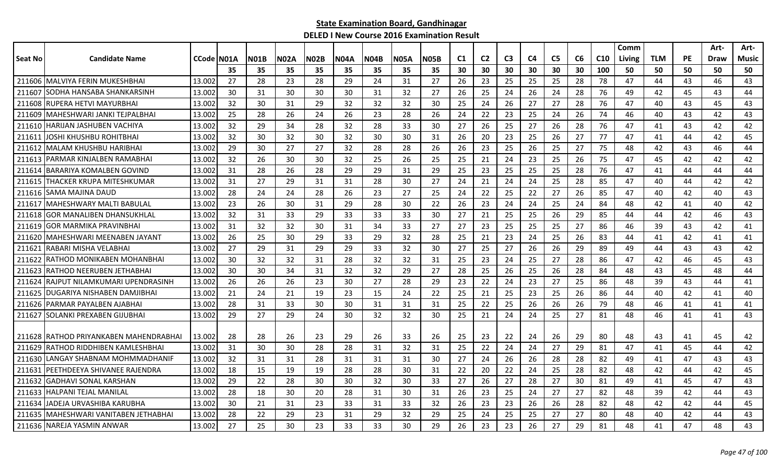|         |                                        |            |     |             |      |             |             |             |             |             |    |                |                |                |                |    |                 | Comm   |            |           | Art-        | Art-         |
|---------|----------------------------------------|------------|-----|-------------|------|-------------|-------------|-------------|-------------|-------------|----|----------------|----------------|----------------|----------------|----|-----------------|--------|------------|-----------|-------------|--------------|
| Seat No | <b>Candidate Name</b>                  | CCode N01A |     | <b>N01B</b> | N02A | <b>N02B</b> | <b>N04A</b> | <b>N04B</b> | <b>N05A</b> | <b>N05B</b> | C1 | C <sub>2</sub> | C <sub>3</sub> | C <sub>4</sub> | C <sub>5</sub> | C6 | C <sub>10</sub> | Living | <b>TLM</b> | <b>PE</b> | <b>Draw</b> | <b>Music</b> |
|         |                                        |            | 35  | 35          | 35   | 35          | 35          | 35          | 35          | 35          | 30 | 30             | 30             | 30             | 30             | 30 | 100             | 50     | 50         | 50        | 50          | 50           |
|         | 211606 MALVIYA FERIN MUKESHBHAI        | 13.002     | 27  | 28          | 23   | 28          | 29          | 24          | 31          | 27          | 26 | 23             | 25             | 25             | 25             | 28 | 78              | 47     | 44         | 43        | 46          | 43           |
| 211607  | SODHA HANSABA SHANKARSINH              | 13.002     | 30  | 31          | 30   | 30          | 30          | 31          | 32          | 27          | 26 | 25             | 24             | 26             | 24             | 28 | 76              | 49     | 42         | 45        | 43          | 44           |
| 211608  | IRUPERA HETVI MAYURBHAI                | 13.002     | 32  | 30          | 31   | 29          | 32          | 32          | 32          | 30          | 25 | 24             | 26             | 27             | 27             | 28 | 76              | 47     | 40         | 43        | 45          | 43           |
| 211609  | MAHESHWARI JANKI TEJPALBHAI            | 13.002     | 25  | 28          | 26   | 24          | -26         | 23          | 28          | 26          | 24 | 22             | 23             | 25             | 24             | 26 | 74              | 46     | 40         | 43        | 42          | 43           |
|         | 211610 HARIJAN JASHUBEN VACHIYA        | 13.002     | 32  | 29          | 34   | 28          | 32          | 28          | 33          | 30          | 27 | 26             | 25             | 27             | 26             | 28 | 76              | 47     | 41         | 43        | 42          | 42           |
| 211611  | JOSHI KHUSHBU ROHITBHAI                | 13.002     | 32  | 30          | 32   | 30          | 32          | 30          | 30          | 31          | 26 | 20             | 23             | 25             | 26             | 27 | 77              | 47     | 41         | 44        | 42          | 45           |
| 211612  | MALAM KHUSHBU HARIBHAI                 | 13.002     | 29  | 30          | 27   | 27          | 32          | 28          | 28          | 26          | 26 | 23             | 25             | 26             | 25             | 27 | 75              | 48     | 42         | 43        | 46          | 44           |
| 211613  | IPARMAR KINJALBEN RAMABHAI             | 13.002     | 32  | 26          | 30   | 30          | 32          | 25          | 26          | 25          | 25 | 21             | 24             | 23             | 25             | 26 | 75              | 47     | 45         | 42        | 42          | 42           |
| 211614  | BARARIYA KOMALBEN GOVIND               | 13.002     | 31  | 28          | 26   | 28          | 29          | 29          | 31          | 29          | 25 | 23             | 25             | 25             | 25             | 28 | 76              | 47     | 41         | 44        | 44          | 44           |
| 211615  | THACKER KRUPA MITESHKUMAR              | 13.002     | 31  | 27          | 29   | 31          | 31          | 28          | 30          | 27          | 24 | 21             | 24             | 24             | 25             | 28 | 85              | 47     | 40         | 44        | 42          | 42           |
| 211616  | ISAMA MAJINA DAUD                      | 13.002     | 28  | 24          | 24   | 28          | 26          | 23          | 27          | 25          | 24 | 22             | 25             | 22             | 27             | 26 | 85              | 47     | 40         | 42        | 40          | 43           |
| 211617  | IMAHESHWARY MALTI BABULAL              | 13.002     | 23  | 26          | 30   | 31          | 29          | 28          | 30          | 22          | 26 | 23             | 24             | 24             | 25             | 24 | 84              | 48     | 42         | 41        | 40          | 42           |
|         | 211618 GOR MANALIBEN DHANSUKHLAL       | 13.002     | 32  | 31          | 33   | 29          | 33          | 33          | 33          | 30          | 27 | 21             | 25             | 25             | 26             | 29 | 85              | 44     | 44         | 42        | 46          | 43           |
| 211619  | IGOR MARMIKA PRAVINBHA                 | 13.002     | 31  | 32          | 32   | 30          | 31          | 34          | 33          | 27          | 27 | 23             | 25             | 25             | 25             | 27 | 86              | 46     | 39         | 43        | 42          | 41           |
| 211620  | IMAHESHWARI MEENABEN JAYANT            | 13.002     | 26  | 25          | 30   | 29          | 33          | 29          | 32          | 28          | 25 | 21             | 23             | 24             | 25             | 26 | 83              | 44     | 41         | 42        | 41          | 41           |
| 211621  | IRABARI MISHA VELABHAI                 | 13.002     | 27  | 29          | 31   | 29          | 29          | 33          | 32          | 30          | 27 | 25             | 27             | 26             | 26             | 29 | 89              | 49     | 44         | 43        | 43          | 42           |
| 211622  | RATHOD MONIKABEN MOHANBHAI             | 13.002     | 30  | 32          | 32   | 31          | 28          | 32          | 32          | 31          | 25 | 23             | 24             | 25             | 27             | 28 | 86              | 47     | 42         | 46        | 45          | 43           |
| 211623  | IRATHOD NEERUBEN JETHABHAI             | 13.002     | 30  | 30          | 34   | 31          | 32          | 32          | 29          | 27          | 28 | 25             | 26             | 25             | 26             | 28 | 84              | 48     | 43         | 45        | 48          | 44           |
| 211624  | <b>IRAJPUT NILAMKUMARI UPENDRASINH</b> | 13.002     | -26 | 26          | 26   | 23          | 30          | 27          | 28          | 29          | 23 | 22             | 24             | 23             | 27             | 25 | 86              | 48     | 39         | 43        | 44          | 41           |
| 211625  | <b>IDUGARIYA NISHABEN DAMJIBHAI</b>    | 13.002     | 21  | 24          | 21   | 19          | 23          | 15          | 24          | 22          | 25 | 21             | 25             | 23             | 25             | 26 | 86              | 44     | 40         | 42        | 41          | 40           |
|         | 211626 PARMAR PAYALBEN AJABHAI         | 13.002     | 28  | 31          | 33   | 30          | 30          | 31          | 31          | 31          | 25 | 22             | 25             | 26             | 26             | 26 | 79              | 48     | 46         | 41        | 41          | 41           |
| 211627  | <b>SOLANKI PREXABEN GIJUBHAI</b>       | 13.002     | 29  | 27          | 29   | 24          | 30          | 32          | 32          | 30          | 25 | 21             | 24             | 24             | 25             | 27 | 81              | 48     | 46         | 41        | 41          | 43           |
|         |                                        |            |     |             |      |             |             |             |             |             |    |                |                |                |                |    |                 |        |            |           |             |              |
|         | 211628 RATHOD PRIYANKABEN MAHENDRABHAI | 13.002     | 28  | 28          | 26   | 23          | 29          | 26          | 33          | 26          | 25 | 23             | 22             | 24             | 26             | 29 | 80              | 48     | 43         | 41        | 45          | 42           |
| 211629  | IRATHOD RIDDHIBEN KAMLESHBHAI          | 13.002     | 31  | 30          | 30   | 28          | 28          | 31          | 32          | 31          | 25 | 22             | 24             | 24             | 27             | 29 | 81              | 47     | 41         | 45        | 44          | 42           |
| 211630  | <b>LANGAY SHABNAM MOHMMADHANIF</b>     | 13.002     | 32  | 31          | 31   | 28          | 31          | 31          | 31          | 30          | 27 | 24             | 26             | 26             | 28             | 28 | 82              | 49     | 41         | 47        | 43          | 43           |
| 211631  | IPEETHDEEYA SHIVANEE RAJENDRA          | 13.002     | 18  | 15          | 19   | 19          | 28          | 28          | 30          | 31          | 22 | 20             | 22             | 24             | 25             | 28 | 82              | 48     | 42         | 44        | 42          | 45           |
| 211632  | <b>GADHAVI SONAL KARSHAN</b>           | 13.002     | 29  | 22          | 28   | 30          | 30          | 32          | 30          | 33          | 27 | 26             | 27             | 28             | 27             | 30 | 81              | 49     | 41         | 45        | 47          | 43           |
|         | 211633 HALPANI TEJAL MANILAL           | 13.002     | 28  | 18          | 30   | 20          | 28          | 31          | 30          | 31          | 26 | 23             | 25             | 24             | 27             | 27 | 82              | 48     | 39         | 42        | 44          | 43           |
| 211634  | LJADEJA URVASHIBA KARUBHA              | 13.002     | 30  | 21          | 31   | 23          | 33          | 31          | 33          | 32          | 26 | 23             | 23             | 26             | 26             | 28 | 82              | 48     | 42         | 42        | 44          | 45           |
| 211635  | IMAHESHWARI VANITABEN JETHABHAI        | 13.002     | 28  | 22          | 29   | 23          | 31          | 29          | 32          | 29          | 25 | 24             | 25             | 25             | 27             | 27 | 80              | 48     | 40         | 42        | 44          | 43           |
|         | 211636 NAREJA YASMIN ANWAR             | 13.002     | 27  | 25          | 30   | 23          | 33          | 33          | 30          | 29          | 26 | 23             | 23             | 26             | 27             | 29 | 81              | 48     | 41         | 47        | 48          | 43           |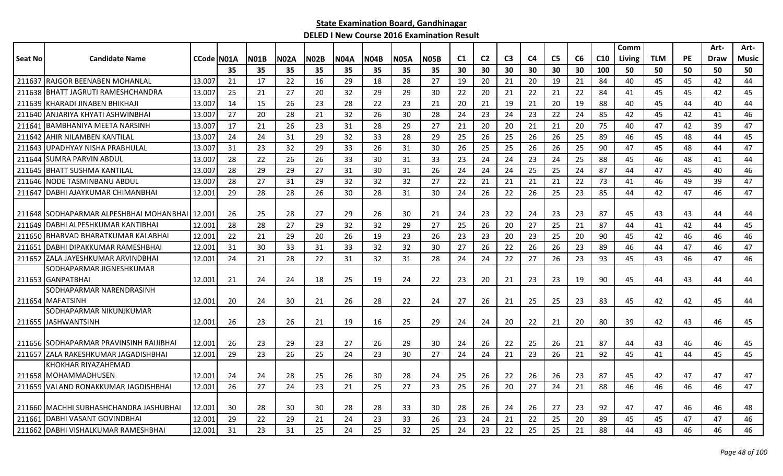|                |                                                                    |            |     |             |             |             |             |             |             |             |    |                |                |                |                |    |                 | Comm   |            |           | Art-        | Art-         |
|----------------|--------------------------------------------------------------------|------------|-----|-------------|-------------|-------------|-------------|-------------|-------------|-------------|----|----------------|----------------|----------------|----------------|----|-----------------|--------|------------|-----------|-------------|--------------|
| <b>Seat No</b> | <b>Candidate Name</b>                                              | CCode N01A |     | <b>N01B</b> | <b>N02A</b> | <b>N02B</b> | <b>N04A</b> | <b>N04B</b> | <b>N05A</b> | <b>N05B</b> | C1 | C <sub>2</sub> | C <sub>3</sub> | C <sub>4</sub> | C <sub>5</sub> | C6 | C <sub>10</sub> | Living | <b>TLM</b> | <b>PE</b> | <b>Draw</b> | <b>Music</b> |
|                |                                                                    |            | 35  | 35          | 35          | 35          | 35          | 35          | 35          | 35          | 30 | 30             | 30             | 30             | 30             | 30 | 100             | 50     | 50         | 50        | 50          | 50           |
| 211637         | lrajgor beenaben mohanlal                                          | 13.007     | 21  | 17          | 22          | 16          | 29          | 18          | 28          | 27          | 19 | 20             | 21             | 20             | 19             | 21 | 84              | 40     | 45         | 45        | 42          | 44           |
| 211638         | <b>BHATT JAGRUTI RAMESHCHANDRA</b>                                 | 13.007     | 25  | 21          | 27          | 20          | 32          | 29          | 29          | 30          | 22 | 20             | 21             | 22             | 21             | 22 | 84              | 41     | 45         | 45        | 42          | 45           |
| 211639         | KHARADI JINABEN BHIKHAJI                                           | 13.007     | 14  | 15          | 26          | 23          | 28          | 22          | 23          | 21          | 20 | 21             | 19             | 21             | 20             | 19 | 88              | 40     | 45         | 44        | 40          | 44           |
| 211640         | ANJARIYA KHYATI ASHWINBHAI                                         | 13.007     | 27  | 20          | 28          | 21          | 32          | 26          | 30          | 28          | 24 | 23             | 24             | 23             | 22             | 24 | 85              | 42     | 45         | 42        | 41          | 46           |
| 211641         | BAMBHANIYA MEETA NARSINH                                           | 13.007     | 17  | 21          | 26          | 23          | 31          | 28          | 29          | 27          | 21 | 20             | 20             | 21             | 21             | 20 | 75              | 40     | 47         | 42        | 39          | 47           |
| 211642         | AHIR NILAMBEN KANTILAL                                             | 13.007     | 24  | 24          | 31          | 29          | 32          | 33          | 28          | 29          | 25 | 26             | 25             | 26             | 26             | 25 | 89              | 46     | 45         | 48        | 44          | 45           |
| 211643         | UPADHYAY NISHA PRABHULAL                                           | 13.007     | 31  | 23          | 32          | 29          | 33          | 26          | 31          | 30          | 26 | 25             | 25             | 26             | 26             | 25 | 90              | 47     | 45         | 48        | 44          | 47           |
| 211644         | <b>SUMRA PARVIN ABDUL</b>                                          | 13.007     | 28  | 22          | 26          | 26          | 33          | 30          | 31          | 33          | 23 | 24             | 24             | 23             | 24             | 25 | 88              | 45     | 46         | 48        | 41          | 44           |
| 211645         | <b>BHATT SUSHMA KANTILAL</b>                                       | 13.007     | 28  | 29          | 29          | 27          | 31          | 30          | 31          | 26          | 24 | 24             | 24             | 25             | 25             | 24 | 87              | 44     | 47         | 45        | 40          | 46           |
| 211646         | NODE TASMINBANU ABDUL                                              | 13.007     | 28  | 27          | 31          | -29         | 32          | 32          | 32          | 27          | 22 | 21             | 21             | 21             | 21             | 22 | 73              | 41     | 46         | 49        | 39          | 47           |
| 211647         | DABHI AJAYKUMAR CHIMANBHAI                                         | 12.001     | 29  | 28          | 28          | 26          | 30          | 28          | 31          | 30          | 24 | 26             | 22             | 26             | 25             | 23 | 85              | 44     | 42         | 47        | 46          | 47           |
|                |                                                                    |            |     |             |             |             |             |             |             |             |    |                |                |                |                |    |                 |        |            |           |             |              |
| 211648         | <b>SODHAPARMAR ALPESHBHAI MOHANBHAI</b>                            | 12.001     | -26 | 25          | 28          | 27          | 29          | 26          | 30          | 21          | 24 | 23             | 22             | 24             | 23             | 23 | 87              | 45     | 43         | 43        | 44          | 44           |
| 211649         | DABHI ALPESHKUMAR KANTIBHAI                                        | 12.001     | 28  | 28          | 27          | 29          | 32          | 32          | 29          | 27          | 25 | 26             | 20             | 27             | 25             | 21 | 87              | 44     | 41         | 42        | 44          | 45           |
|                | 211650 BHARVAD BHARATKUMAR KALABHAI                                | 12.001     | 22  | 21          | 29          | 20          | 26          | 19          | 23          | 26          | 23 | 23             | 20             | 23             | 25             | 20 | 90              | 45     | 42         | 46        | 46          | 46           |
| 211651         | DABHI DIPAKKUMAR RAMESHBHAI                                        | 12.001     | 31  | 30          | 33          | 31          | 33          | 32          | 32          | 30          | 27 | 26             | 22             | 26             | 26             | 23 | 89              | 46     | 44         | 47        | 46          | 47           |
|                | 211652 ZALA JAYESHKUMAR ARVINDBHAI                                 | 12.001     | 24  | 21          | 28          | 22          | 31          | 32          | 31          | 28          | 24 | 24             | 22             | 27             | 26             | 23 | 93              | 45     | 43         | 46        | 47          | 46           |
|                | SODHAPARMAR JIGNESHKUMAR                                           |            |     |             |             |             |             |             |             |             |    |                |                |                |                |    |                 |        |            |           |             |              |
|                | 211653 GANPATBHAI                                                  | 12.001     | 21  | 24          | 24          | 18          | 25          | 19          | 24          | 22          | 23 | 20             | 21             | 23             | 23             | 19 | 90              | 45     | 44         | 43        | 44          | 44           |
|                | SODHAPARMAR NARENDRASINH                                           |            |     |             |             |             |             |             |             |             |    |                |                |                |                |    |                 |        |            |           |             |              |
|                | 211654 MAFATSINH                                                   | 12.001     | 20  | 24          | 30          | 21          | 26          | 28          | 22          | 24          | 27 | 26             | 21             | 25             | 25             | 23 | 83              | 45     | 42         | 42        | 45          | 44           |
|                | SODHAPARMAR NIKUNJKUMAR                                            |            |     |             |             |             |             |             |             |             |    |                |                |                |                |    |                 |        |            |           |             |              |
|                | 211655 JASHWANTSINH                                                | 12.001     | 26  | 23          | 26          | 21          | 19          | 16          | 25          | 29          | 24 | 24             | 20             | 22             | 21             | 20 | 80              | 39     | 42         | 43        | 46          | 45           |
|                |                                                                    |            |     |             |             |             |             |             |             |             |    |                |                |                |                |    |                 |        |            |           |             |              |
|                | 211656 SODHAPARMAR PRAVINSINH RAIJIBHAI                            | 12.001     | -26 | 23          | 29          | 23          | 27          | 26          | 29          | 30          | 24 | 26             | 22             | 25             | 26             | 21 | 87              | 44     | 43         | 46        | 46          | 45           |
| 211657         | IZALA RAKESHKUMAR JAGADISHBHAI                                     | 12.001     | 29  | 23          | 26          | 25          | 24          | 23          | 30          | 27          | 24 | 24             | 21             | 23             | 26             | 21 | 92              | 45     | 41         | 44        | 45          | 45           |
|                | KHOKHAR RIYAZAHEMAD                                                |            |     |             |             |             |             |             |             |             |    |                |                |                |                |    |                 |        |            |           |             |              |
|                | 211658   MOHAMMADHUSEN                                             | 12.001     | -24 | 24          | 28          | 25          | 26          | 30          | 28          | 24          | 25 | 26             | 22             | 26             | 26             | 23 | 87              | 45     | 42         | 47        | 47          | 47           |
| 211659         | VALAND RONAKKUMAR JAGDISHBHAI                                      | 12.001     | 26  | 27          | 24          | 23          | 21          | 25          | 27          | 23          | 25 | 26             | 20             | 27             | 24             | 21 | 88              | 46     | 46         | 46        | 46          | 47           |
|                |                                                                    | 12.001     | 30  | 28          |             | 30          | 28          | 28          | 33          | 30          | 28 |                | 24             | 26             | 27             | 23 | 92              | 47     | 47         |           | 46          |              |
|                | 211660 IMACHHI SUBHASHCHANDRA JASHUBHAI<br>DABHI VASANT GOVINDBHAI |            |     |             | 30          |             |             |             |             |             |    | 26<br>24       |                |                |                |    |                 |        |            | 46        |             | 48           |
| 211661         |                                                                    | 12.001     | 29  | 22          | 29          | 21          | 24          | 23          | 33          | 26          | 23 |                | 21             | 22             | 25             | 20 | 89              | 45     | 45         | 47        | 47          | 46           |
|                | 211662 DABHI VISHALKUMAR RAMESHBHAI                                | 12.001     | 31  | 23          | 31          | 25          | 24          | 25          | 32          | 25          | 24 | 23             | 22             | 25             | 25             | 21 | 88              | 44     | 43         | 46        | 46          | 46           |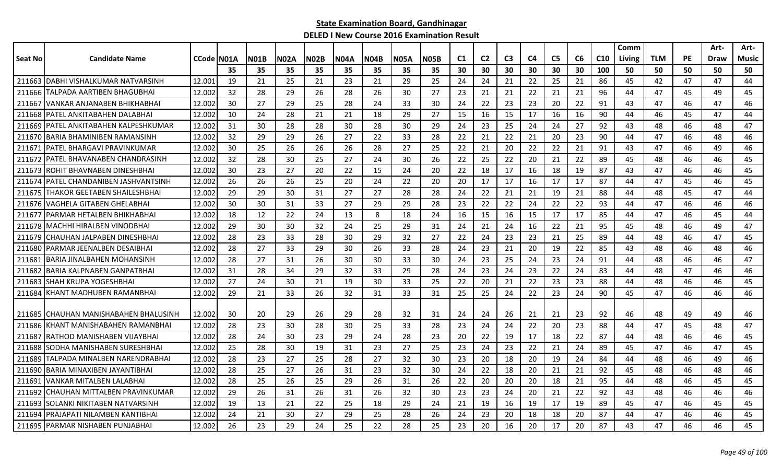|         |                                                              |                  |    |             |             |             |      |             |             |      |                |                |                |          |                |    |                 | Comm   |            |           | Art-     | Art-     |
|---------|--------------------------------------------------------------|------------------|----|-------------|-------------|-------------|------|-------------|-------------|------|----------------|----------------|----------------|----------|----------------|----|-----------------|--------|------------|-----------|----------|----------|
| Seat No | <b>Candidate Name</b>                                        | CCode   NO1A     |    | <b>N01B</b> | <b>N02A</b> | <b>N02B</b> | N04A | <b>N04B</b> | <b>N05A</b> | N05B | C <sub>1</sub> | C <sub>2</sub> | C <sub>3</sub> | C4       | C <sub>5</sub> | C6 | C <sub>10</sub> | Living | <b>TLM</b> | <b>PE</b> | Draw     | Music    |
|         |                                                              |                  | 35 | 35          | 35          | 35          | 35   | 35          | 35          | 35   | 30             | 30             | 30             | 30       | 30             | 30 | 100             | 50     | 50         | 50        | 50       | 50       |
| 211663  | <b>IDABHI VISHALKUMAR NATVARSINH</b>                         | 12.001           | 19 | 21          | 25          | 21          | 23   | 21          | 29          | 25   | 24             | 24             | 21             | 22       | 25             | 21 | 86              | 45     | 42         | 47        | 47       | 44       |
| 211666  | TALPADA AARTIBEN BHAGUBHAI                                   | 12.002           | 32 | 28          | 29          | 26          | 28   | 26          | 30          | 27   | 23             | 21             | 21             | 22       | 21             | 21 | 96              | 44     | 47         | 45        | 49       | 45       |
| 211667  | VANKAR ANJANABEN BHIKHABHAI                                  | 12.002           | 30 | 27          | 29          | 25          | 28   | 24          | 33          | 30   | 24             | 22             | 23             | 23       | 20             | 22 | 91              | 43     | 47         | 46        | 47       | 46       |
| 211668  | IPATEL ANKITABAHEN DALABHAI                                  | 12.002           | 10 | 24          | 28          | 21          | 21   | 18          | 29          | 27   | 15             | 16             | 15             | 17       | 16             | 16 | 90              | 44     | 46         | 45        | 47       | 44       |
| 211669  | IPATEL ANKITABAHEN KALPESHKUMAR                              | 12.002           | 31 | 30          | 28          | 28          | 30   | 28          | 30          | 29   | 24             | 23             | 25             | 24       | 24             | 27 | 92              | 43     | 48         | 46        | 48       | 47       |
| 211670  | IBARIA BHAMINIBEN RAMANSINH                                  | 12.002           | 32 | 29          | 29          | 26          | 27   | 22          | 33          | 28   | 22             | 21             | 22             | 21       | 20             | 23 | 90              | 44     | 47         | 46        | 48       | 46       |
| 211671  | IPATEL BHARGAVI PRAVINKUMAR                                  | 12.002           | 30 | 25          | 26          | 26          | 26   | 28          | 27          | 25   | 22             | 21             | 20             | 22       | 22             | 21 | 91              | 43     | 47         | 46        | 49       | 46       |
| 211672  | PATEL BHAVANABEN CHANDRASINH                                 | 12.002           | 32 | 28          | 30          | 25          | 27   | 24          | 30          | 26   | 22             | 25             | 22             | 20       | 21             | 22 | 89              | 45     | 48         | 46        | 46       | 45       |
| 211673  | ROHIT BHAVNABEN DINESHBHAI                                   | 12.002           | 30 | 23          | 27          | 20          | 22   | 15          | 24          | 20   | 22             | 18             | 17             | 16       | 18             | 19 | 87              | 43     | 47         | 46        | 46       | 45       |
| 211674  | PATEL CHANDANIBEN JASHVANTSINH                               | 12.002           | 26 | 26          | 26          | 25          | 20   | 24          | 22          | 20   | 20             | 17             | 17             | 16       | 17             | 17 | 87              | 44     | 47         | 45        | 46       | 45       |
| 211675  | THAKOR GEETABEN SHAILESHBHAI                                 | 12.002           | 29 | 29          | 30          | 31          | 27   | 27          | 28          | 28   | 24             | 22             | 21             | 21       | 19             | 21 | 88              | 44     | 48         | 45        | 47       | 44       |
| 211676  | IVAGHELA GITABEN GHELABHAI                                   | 12.002           | 30 | 30          | 31          | 33          | 27   | 29          | 29          | 28   | 23             | 22             | 22             | 24       | 22             | 22 | 93              | 44     | 47         | 46        | 46       | 46       |
| 211677  | IPARMAR HETALBEN BHIKHABHAI                                  | 12.002           | 18 | 12          | 22          | 24          | 13   | 8           | 18          | 24   | 16             | 15             | 16             | 15       | 17             | 17 | 85              | 44     | 47         | 46        | 45       | 44       |
| 211678  | MACHHI HIRALBEN VINODBHAI                                    | 12.002           | 29 | 30          | 30          | 32          | 24   | 25          | 29          | 31   | 24             | 21             | 24             | 16       | 22             | 21 | 95              | 45     | 48         | 46        | 49       | 47       |
| 211679  | CHAUHAN JALPABEN DINESHBHAI                                  | 12.002           | 28 | 23          | 33          | 28          | 30   | 29          | 32          | 27   | 22             | 24             | 23             | 23       | 21             | 25 | 89              | 44     | 48         | 46        | 47       | 45       |
| 211680  | PARMAR JEENALBEN DESAIBHAI                                   | 12.002           | 28 | 27          | 33          | 29          | 30   | 26          | 33          | 28   | 24             | 23             | 21             | 20       | 19             | 22 | 85              | 43     | 48         | 46        | 48       | 46       |
| 211681  | BARIA JINALBAHEN MOHANSINH                                   | 12.002           | 28 | 27          | 31          | 26          | 30   | 30          | 33          | 30   | 24             | 23             | 25             | 24       | 23             | 24 | 91              | 44     | 48         | 46        | 46       | 47       |
| 211682  | BARIA KALPNABEN GANPATBHAI                                   | 12.002           | 31 | 28          | 34          | 29          | 32   | 33          | 29          | 28   | 24             | 23             | 24             | 23       | 22             | 24 | 83              | 44     | 48         | 47        | 46       | 46       |
| 211683  | ISHAH KRUPA YOGESHBHAI                                       | 12.002           | 27 | 24          | 30          | 21          | 19   | 30          | 33          | 25   | 22             | 20             | 21             | 22       | 23             | 23 | 88              | 44     | 48         | 46        | 46       | 45       |
| 211684  | IKHANT MADHUBEN RAMANBHAI                                    | 12.002           | 29 | 21          | 33          | 26          | 32   | 31          | 33          | 31   | 25             | 25             | 24             | 22       | 23             | 24 | 90              | 45     | 47         | 46        | 46       | 46       |
|         | 211685 CHAUHAN MANISHABAHEN BHALUSINH                        |                  |    |             |             | 26          | -29  | 28          |             |      |                |                |                |          |                |    |                 |        |            | 49        | 49       |          |
|         |                                                              | 12.002           | 30 | 20          | 29          |             |      |             | 32          | 31   | 24             | 24             | 26             | 21       | 21             | 23 | 92              | 46     | 48<br>47   |           |          | 46<br>47 |
| 211686  | KHANT MANISHABAHEN RAMANBHAI<br>IRATHOD MANISHABEN VIJAYBHAI | 12.002<br>12.002 | 28 | 23          | 30          | 28          | 30   | 25          | 33          | 28   | 23             | 24             | 24             | 22       | 20             | 23 | 88              | 44     |            | 45        | 48       |          |
| 211687  | SODHA MANISHABEN SURESHBHAI                                  |                  | 28 | 24          | 30          | 23          | 29   | 24          | 28          | 23   | 20             | 22             | 19             | 17       | 18             | 22 | 87              | 44     | 48         | 46        | 46<br>47 | 45       |
| 211688  |                                                              | 12.002<br>12.002 | 25 | 28<br>23    | 30          | 19          | 31   | 23          | 27          | 25   | 23             | 24<br>20       | 23             | 22<br>20 | 21<br>19       | 24 | 89              | 45     | 47         | 46        |          | 45       |
| 211689  | TALPADA MINALBEN NARENDRABHAI                                |                  | 28 |             | 27          | 25          | 28   | 27          | 32          | 30   | 23             |                | 18             |          |                | 24 | 84              | 44     | 48         | 46        | 49       | 46       |
| 211690  | BARIA MINAXIBEN JAYANTIBHAI                                  | 12.002           | 28 | 25          | 27          | 26          | 31   | 23          | 32          | 30   | 24             | 22             | 18             | 20       | 21             | 21 | 92              | 45     | 48         | 46        | 48       | 46       |
| 211691  | VANKAR MITALBEN LALABHAI                                     | 12.002           | 28 | 25          | 26          | 25          | 29   | 26          | 31          | 26   | 22             | 20             | 20             | 20       | 18             | 21 | 95              | 44     | 48         | 46        | 45       | 45       |
| 211692  | CHAUHAN MITTALBEN PRAVINKUMAR                                | 12.002           | 29 | 26          | 31          | 26          | 31   | 26          | 32          | 30   | 23             | 23             | 24             | 20       | 21             | 22 | 92              | 43     | 48         | 46        | 46       | 46       |
| 211693  | SOLANKI NIKITABEN NATVARSINH                                 | 12.002           | 19 | 13          | 21          | 22          | 25   | 18          | 29          | 24   | 21             | 19             | 16             | 19       | 17             | 19 | 89              | 45     | 47         | 46        | 45       | 45       |
| 211694  | PRAJAPATI NILAMBEN KANTIBHAI                                 | 12.002           | 24 | 21          | 30          | 27          | 29   | 25          | 28          | 26   | 24             | 23             | 20             | 18       | 18             | 20 | 87              | 44     | 47         | 46        | 46       | 45       |
|         | 211695 PARMAR NISHABEN PUNJABHAI                             | 12.002           | 26 | 23          | 29          | 24          | 25   | 22          | 28          | 25   | 23             | 20             | 16             | 20       | 17             | 20 | 87              | 43     | 47         | 46        | 46       | 45       |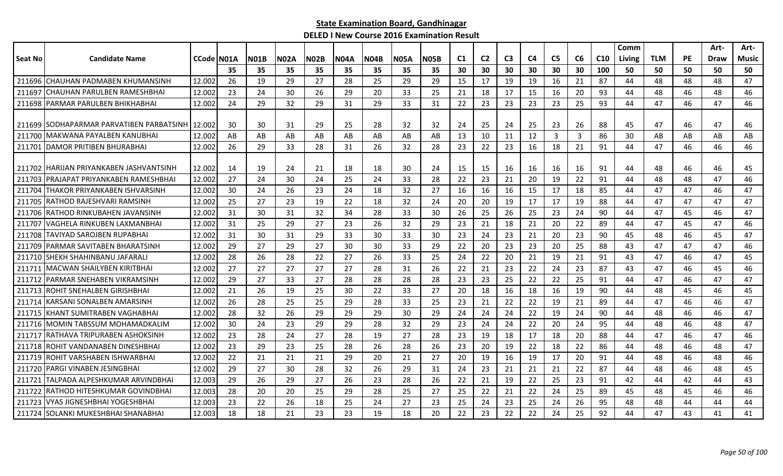|         |                                           |                    |     |             |      |              |      |             |             |             |                |                |                |                |                |                |     | Comm   |            |           | Art- | Art-  |
|---------|-------------------------------------------|--------------------|-----|-------------|------|--------------|------|-------------|-------------|-------------|----------------|----------------|----------------|----------------|----------------|----------------|-----|--------|------------|-----------|------|-------|
| Seat No | <b>Candidate Name</b>                     | <b>CCode IN01A</b> |     | <b>\01B</b> | N02A | <b>IN02B</b> | N04A | <b>N04B</b> | <b>N05A</b> | <b>NO5B</b> | C <sub>1</sub> | C <sub>2</sub> | C <sub>3</sub> | C <sub>4</sub> | C <sub>5</sub> | C6             | C10 | Living | <b>TLM</b> | <b>PE</b> | Draw | Music |
|         |                                           |                    | 35  | 35          | 35   | 35           | 35   | 35          | 35          | 35          | 30             | 30             | 30             | 30             | 30             | 30             | 100 | 50     | 50         | 50        | 50   | 50    |
|         | 211696 CHAUHAN PADMABEN KHUMANSINH        | 12.002             | 26  | 19          | 29   | 27           | 28   | 25          | 29          | 29          | 15             | 17             | 19             | 19             | 16             | 21             | 87  | 44     | 48         | 48        | 48   | 47    |
| 211697  | <b>CHAUHAN PARULBEN RAMESHBHAI</b>        | 12.002             | 23  | 24          | 30   | 26           | 29   | 20          | 33          | 25          | 21             | 18             | 17             | 15             | 16             | 20             | 93  | 44     | 48         | 46        | 48   | 46    |
| 211698  | <b>PARMAR PARULBEN BHIKHABHAI</b>         | 12.002             | 24  | 29          | 32   | 29           | 31   | 29          | 33          | 31          | 22             | 23             | 23             | 23             | 23             | 25             | 93  | 44     | 47         | 46        | 47   | 46    |
|         |                                           |                    |     |             |      |              |      |             |             |             |                |                |                |                |                |                |     |        |            |           |      |       |
|         | 211699 ISODHAPARMAR PARVATIBEN PARBATSINH | 12.002             | 30  | 30          | 31   | 29           | 25   | 28          | 32          | 32          | 24             | 25             | 24             | 25             | 23             | 26             | 88  | 45     | 47         | 46        | 47   | 46    |
| 211700  | MAKWANA PAYALBEN KANUBHAI                 | 12.002             | AB  | AB          | AB   | AB           | AB   | AB          | AB          | AB          | 13             | 10             | 11             | 12             | 3              | $\overline{3}$ | 86  | 30     | AB         | AB        | AB   | AB    |
| 211701  | <b>IDAMOR PRITIBEN BHURABHAI</b>          | 12.002             | 26  | 29          | 33   | 28           | 31   | 26          | 32          | 28          | 23             | 22             | 23             | 16             | 18             | 21             | 91  | 44     | 47         | 46        | 46   | 46    |
|         | 211702   HARIJAN PRIYANKABEN JASHVANTSINH | 12.002             | -14 | 19          | 24   | 21           | 18   | 18          | 30          | 24          | -15            | 15             | 16             | 16             | 16             | 16             | 91  | 44     | 48         | 46        | 46   | 45    |
| 211703  | IPRAJAPAT PRIYANKABEN RAMESHBHAI          | 12.002             | 27  | 24          | 30   | 24           | 25   | 24          | 33          | 28          | 22             | 23             | 21             | 20             | 19             | 22             | 91  | 44     | 48         | 48        | 47   | 46    |
| 211704  | THAKOR PRIYANKABEN ISHVARSINH             | 12.002             | 30  | 24          | 26   | 23           | 24   | 18          | 32          | 27          | 16             | 16             | 16             | 15             | 17             | 18             | 85  | 44     | 47         | 47        | 46   | 47    |
| 211705  | <b>RATHOD RAJESHVARI RAMSINH</b>          | 12.002             | 25  | 27          | 23   | 19           | 22   | 18          | 32          | 24          | 20             | 20             | 19             | 17             | 17             | 19             | 88  | 44     | 47         | 47        | 47   | 47    |
|         | 211706 RATHOD RINKUBAHEN JAVANSINH        | 12.002             | 31  | 30          | 31   | 32           | 34   | 28          | 33          | 30          | 26             | 25             | 26             | 25             | 23             | 24             | 90  | 44     | 47         | 45        | 46   | 47    |
| 211707  | IVAGHELA RINKUBEN LAXMANBHAI              | 12.002             | 31  | 25          | 29   | 27           | 23   | 26          | 32          | 29          | 23             | 21             | 18             | 21             | 20             | 22             | 89  | 44     | 47         | 45        | 47   | 46    |
| 211708  | TAVIYAD SAROJBEN RUPABHAI                 | 12.002             | 31  | 30          | 31   | 29           | 33   | 30          | 33          | 30          | 23             | 24             | 23             | 21             | 20             | 23             | 90  | 45     | 48         | 46        | 45   | 47    |
| 211709  | PARMAR SAVITABEN BHARATSINH               | 12.002             | 29  | 27          | 29   | 27           | 30   | 30          | 33          | 29          | 22             | 20             | 23             | 23             | 20             | 25             | 88  | 43     | 47         | 47        | 47   | 46    |
| 211710  | SHEKH SHAHINBANU JAFARALI                 | 12.002             | 28  | 26          | 28   | 22           | 27   | 26          | 33          | 25          | 24             | 22             | 20             | 21             | 19             | 21             | 91  | 43     | 47         | 46        | 47   | 45    |
| 211711  | IMACWAN SHAILYBEN KIRITBHAI               | 12.002             | 27  | 27          | 27   | 27           | 27   | 28          | 31          | 26          | 22             | 21             | 23             | 22             | 24             | 23             | 87  | 43     | 47         | 46        | 45   | 46    |
| 211712  | <b>PARMAR SNEHABEN VIKRAMSINH</b>         | 12.002             | 29  | 27          | 33   | 27           | 28   | 28          | 28          | 28          | 23             | 23             | 25             | 22             | 22             | 25             | 91  | 44     | 47         | 46        | 47   | 47    |
| 211713  | ROHIT SNEHALBEN GIRISHBHAI                | 12.002             | 21  | 26          | 19   | 25           | 30   | 22          | 33          | 27          | 20             | 18             | 16             | 18             | 16             | 19             | 90  | 44     | 48         | 45        | 46   | 45    |
| 211714  | KARSANI SONALBEN AMARSINH                 | 12.002             | -26 | 28          | 25   | 25           | 29   | -28         | 33          | 25          | 23             | 21             | 22             | 22             | 19             | 21             | 89  | 44     | 47         | 46        | 46   | 47    |
| 211715  | IKHANT SUMITRABEN VAGHABHAI               | 12.002             | 28  | 32          | 26   | 29           | 29   | 29          | 30          | 29          | 24             | 24             | 24             | 22             | 19             | 24             | 90  | 44     | 48         | 46        | 46   | 47    |
|         | 211716 MOMIN TABSSUM MOHAMADKALIM         | 12.002             | 30  | 24          | 23   | 29           | 29   | 28          | 32          | 29          | 23             | 24             | 24             | 22             | 20             | 24             | 95  | 44     | 48         | 46        | 48   | 47    |
| 211717  | IRATHAVA TRIPURABEN ASHOKSINH             | 12.002             | 23  | 28          | 24   | 27           | 28   | 19          | 27          | 28          | -23            | 19             | 18             | 17             | 18             | 20             | 88  | 44     | 47         | 46        | 47   | 46    |
| 211718  | ROHIT VANDANABEN DINESHBHAI               | 12.002             | 23  | 29          | 23   | 25           | 28   | 26          | 28          | 26          | 23             | 20             | 19             | 22             | 18             | 22             | 86  | 44     | 48         | 46        | 48   | 47    |
| 211719  | ROHIT VARSHABEN ISHWARBHAI                | 12.002             | 22  | 21          | 21   | 21           | 29   | 20          | 21          | 27          | 20             | 19             | 16             | 19             | 17             | 20             | 91  | 44     | 48         | 46        | 48   | 46    |
| 211720  | PARGI VINABEN JESINGBHAI                  | 12.002             | 29  | 27          | 30   | 28           | 32   | 26          | 29          | 31          | 24             | 23             | 21             | 21             | 21             | 22             | 87  | 44     | 48         | 46        | 48   | 45    |
| 211721  | <b>ITALPADA ALPESHKUMAR ARVINDBHAI</b>    | 12.003             | 29  | 26          | 29   | 27           | 26   | 23          | 28          | 26          | 22             | 21             | 19             | 22             | 25             | 23             | 91  | 42     | 44         | 42        | 44   | 43    |
| 211722  | IRATHOD HITESHKUMAR GOVINDBHAI            | 12.003             | 28  | 20          | 20   | 25           | 29   | 28          | 25          | 27          | 25             | 22             | 21             | 22             | 24             | 25             | 89  | 45     | 48         | 45        | 46   | 46    |
| 211723  | <u>IVYAS JIGNESHBHAI YOGESHBHAI</u>       | 12.003             | 23  | 22          | 26   | 18           | 25   | 24          | 27          | 23          | 25             | 24             | 23             | 25             | 24             | 26             | 95  | 48     | 48         | 44        | 44   | 44    |
|         | 211724 SOLANKI MUKESHBHAI SHANABHAI       | 12.003             | 18  | 18          | 21   | 23           | 23   | 19          | 18          | 20          | 22             | 23             | 22             | 22             | 24             | 25             | 92  | 44     | 47         | 43        | 41   | 41    |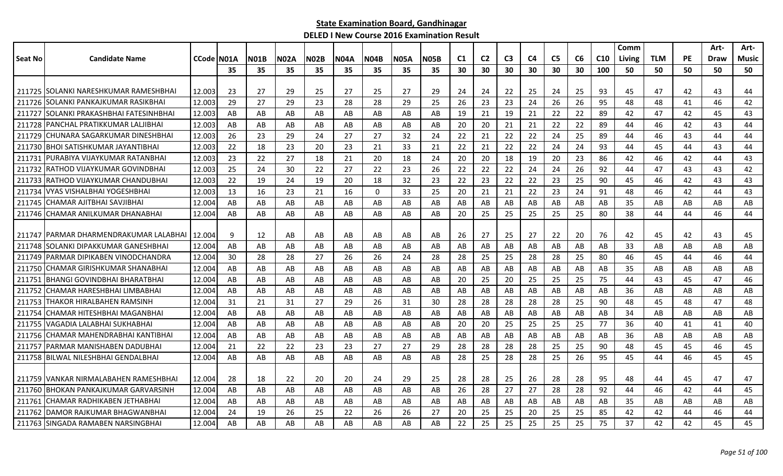|         |                                          |            |     |      |      |             |             |             |             |      |     |                |                |                |                |    |                 | Comm   |            |           | Art- | Art-  |
|---------|------------------------------------------|------------|-----|------|------|-------------|-------------|-------------|-------------|------|-----|----------------|----------------|----------------|----------------|----|-----------------|--------|------------|-----------|------|-------|
| Seat No | <b>Candidate Name</b>                    | CCode N01A |     | NO1B | N02A | <b>N02B</b> | <b>N04A</b> | <b>N04B</b> | <b>N05A</b> | N05B | C1  | C <sub>2</sub> | C <sub>3</sub> | C <sub>4</sub> | C <sub>5</sub> | C6 | C <sub>10</sub> | Living | <b>TLM</b> | <b>PE</b> | Draw | Music |
|         |                                          |            | 35  | 35   | 35   | 35          | 35          | 35          | 35          | 35   | 30  | 30             | 30             | 30             | 30             | 30 | 100             | 50     | 50         | 50        | 50   | 50    |
|         |                                          |            |     |      |      |             |             |             |             |      |     |                |                |                |                |    |                 |        |            |           |      |       |
|         | 211725 SOLANKI NARESHKUMAR RAMESHBHAI    | 12.003     | -23 | 27   | 29   | 25          | 27          | 25          | 27          | 29   | 24  | 24             | 22             | 25             | 24             | 25 | 93              | 45     | 47         | 42        | 43   | 44    |
| 211726  | <b>ISOLANKI PANKAJKUMAR RASIKBHAI</b>    | 12.003     | 29  | 27   | 29   | 23          | 28          | 28          | 29          | 25   | 26  | 23             | 23             | 24             | 26             | 26 | 95              | 48     | 48         | 41        | 46   | 42    |
| 211727  | SOLANKI PRAKASHBHAI FATESINHBHAI         | 12.003     | AB  | AB   | AB   | AB          | AB          | AB          | AB          | AB   | -19 | 21             | 19             | 21             | 22             | 22 | 89              | 42     | 47         | 42        | 45   | 43    |
|         | 211728 PANCHAL PRATIKKUMAR LALJIBHAI     | 12.003     | AB  | AB   | AB   | AB          | AB          | AB.         | AB          | AB   | -20 | 20             | 21             | 21             | 22             | 22 | 89              | 44     | 46         | 42        | 43   | 44    |
|         | 211729 CHUNARA SAGARKUMAR DINESHBHAI     | 12.003     | 26  | 23   | 29   | 24          | 27          | 27          | 32          | 24   | 22  | 21             | 22             | 22             | 24             | 25 | 89              | 44     | 46         | 43        | 44   | 44    |
|         | 211730 BHOI SATISHKUMAR JAYANTIBHAI      | 12.003     | 22  | 18   | 23   | 20          | 23          | 21          | 33          | 21   | 22  | 21             | 22             | 22             | 24             | 24 | 93              | 44     | 45         | 44        | 43   | 44    |
| 211731  | JPURABIYA VIJAYKUMAR RATANBHAI           | 12.003     | 23  | 22   | 27   | 18          | 21          | 20          | 18          | 24   | 20  | 20             | 18             | 19             | 20             | 23 | 86              | 42     | 46         | 42        | 44   | 43    |
| 211732  | IRATHOD VIJAYKUMAR GOVINDBHAI            | 12.003     | 25  | 24   | 30   | 22          | 27          | 22          | 23          | 26   | 22  | 22             | 22             | 24             | 24             | 26 | 92              | 44     | 47         | 43        | 43   | 42    |
| 211733  | <b>IRATHOD VIJAYKUMAR CHANDUBHAI</b>     | 12.003     | 22  | 19   | 24   | 19          | 20          | 18          | 32          | 23   | 22  | 23             | 22             | 22             | 23             | 25 | 90              | 45     | 46         | 42        | 43   | 43    |
| 211734  | <u>IVYAS VISHALBHAI YOGESHBHAI</u>       | 12.003     | 13  | 16   | 23   | 21          | 16          | $\Omega$    | 33          | 25   | 20  | 21             | 21             | 22             | 23             | 24 | 91              | 48     | 46         | 42        | 44   | 43    |
|         | 211745 CHAMAR AJITBHAI SAVJIBHAI         | 12.004     | AB  | AB   | AB   | AB          | AB          | AB          | AB          | AB   | AB  | AB             | AB             | AB             | AB             | AB | AB              | 35     | AB         | AB        | AB   | AB    |
|         | 211746 CHAMAR ANILKUMAR DHANABHAI        | 12.004     | AB  | AB   | AB   | AB          | AB          | AB          | AB          | AB   | 20  | 25             | 25             | 25             | 25             | 25 | 80              | 38     | 44         | 44        | 46   | 44    |
|         |                                          |            |     |      |      |             |             |             |             |      |     |                |                |                |                |    |                 |        |            |           |      |       |
|         | 211747   PARMAR DHARMENDRAKUMAR LALABHAI | 12.004     | 9   | 12   | AB   | AB          | AB          | AB          | AB          | AB   | 26  | 27             | 25             | 27             | 22             | 20 | 76              | 42     | 45         | 42        | 43   | 45    |
| 211748  | ISOLANKI DIPAKKUMAR GANESHBHAI           | 12.004     | AB  | AB   | AB   | AB          | AB          | AB          | AB          | AB   | AB  | AB             | AB             | AB             | AB             | AB | AB              | 33     | AB         | AB        | AB   | AB    |
| 211749  | PARMAR DIPIKABEN VINODCHANDRA            | 12.004     | 30  | 28   | 28   | 27          | 26          | 26          | 24          | 28   | 28  | 25             | 25             | 28             | 28             | 25 | 80              | 46     | 45         | 44        | 46   | 44    |
| 211750  | <b>CHAMAR GIRISHKUMAR SHANABHAI</b>      | 12.004     | AB  | AB   | AB   | AB          | AB          | AB          | AB          | AB   | AB  | AB             | AB             | AB             | AB             | AB | AB              | 35     | AB         | AB        | AB   | AB    |
| 211751  | IBHANGI GOVINDBHAI BHARATBHAI            | 12.004     | AB  | AB   | AB   | AB          | AB          | AB          | AB          | AB   | 20  | 25             | 20             | 25             | 25             | 25 | 75              | 44     | 43         | 45        | 47   | 46    |
| 211752  | ICHAMAR HARESHBHAI LIMBABHAI             | 12.004     | AB  | AB   | AB   | AB          | AB          | AB          | AB          | AB   | AB  | AB             | AB             | AB             | AB             | AB | AB              | 36     | AB         | AB        | AB   | AB    |
|         | 211753 THAKOR HIRALBAHEN RAMSINH         | 12.004     | 31  | 21   | 31   | 27          | 29          | 26          | 31          | 30   | 28  | 28             | 28             | 28             | 28             | 25 | 90              | 48     | 45         | 48        | 47   | 48    |
| 211754  | CHAMAR HITESHBHAI MAGANBHAI              | 12.004     | AB  | AB   | AB   | AB          | AB          | AB.         | AB          | AB   | AB  | AB             | AB             | AB             | AB             | AB | AB              | 34     | AB         | AB        | AB   | AB    |
| 211755  | IVAGADIA LALABHAI SUKHABHAI              | 12.004     | AB  | AB   | AB   | AB          | AB          | AB          | AB          | AB   | 20  | 20             | 25             | 25             | 25             | 25 | 77              | 36     | 40         | 41        | 41   | 40    |
| 211756  | ICHAMAR MAHENDRABHAI KANTIBHAI           | 12.004     | AB  | AB   | AB   | AB          | AB          | AB          | AB          | AB   | AB  | AB             | AB             | AB             | AB             | AB | AB              | 36     | AB         | AB        | AB   | AB    |
| 211757  | PARMAR MANISHABEN DADUBHAI               | 12.004     | 21  | 22   | 22   | 23          | 23          | 27          | 27          | 29   | 28  | 28             | 28             | 28             | 25             | 25 | 90              | 48     | 45         | 45        | 46   | 45    |
|         | 211758 BILWAL NILESHBHAI GENDALBHAI      | 12.004     | AB  | AB   | AB   | AB          | AB          | AB          | AB          | AB   | 28  | 25             | 28             | 28             | 25             | 26 | 95              | 45     | 44         | 46        | 45   | 45    |
|         |                                          |            |     |      |      |             |             |             |             |      |     |                |                |                |                |    |                 |        |            |           |      |       |
|         | 211759 VANKAR NIRMALABAHEN RAMESHBHAI    | 12.004     | 28  | 18   | 22   | 20          | 20          | 24          | 29          | 25   | -28 | 28             | 25             | 26             | 28             | 28 | 95              | 48     | 44         | 45        | 47   | 47    |
|         | 211760 BHOKAN PANKAJKUMAR GARVARSINH     | 12.004     | AB  | AB   | AB   | AB          | AB          | AB          | AB          | AB   | 26  | 28             | 27             | 27             | 28             | 28 | 92              | 44     | 46         | 42        | 44   | 45    |
| 211761  | CHAMAR RADHIKABEN JETHABHAI              | 12.004     | AB  | AB   | AB.  | AB          | AB          | AB.         | AB          | AB   | AB  | AB.            | AB             | AB             | AB             | AB | AB              | 35     | AB         | AB        | AB   | AB    |
|         | 211762 IDAMOR RAJKUMAR BHAGWANBHAI       | 12.004     | 24  | 19   | 26   | 25          | 22          | 26          | 26          | 27   | 20  | 25             | 25             | 20             | 25             | 25 | 85              | 42     | 42         | 44        | 46   | 44    |
|         | 211763 SINGADA RAMABEN NARSINGBHAI       | 12.004     | AB  | AB   | AB   | AB          | AB          | AB          | AB          | AB   | 22  | 25             | 25             | 25             | 25             | 25 | 75              | 37     | 42         | 42        | 45   | 45    |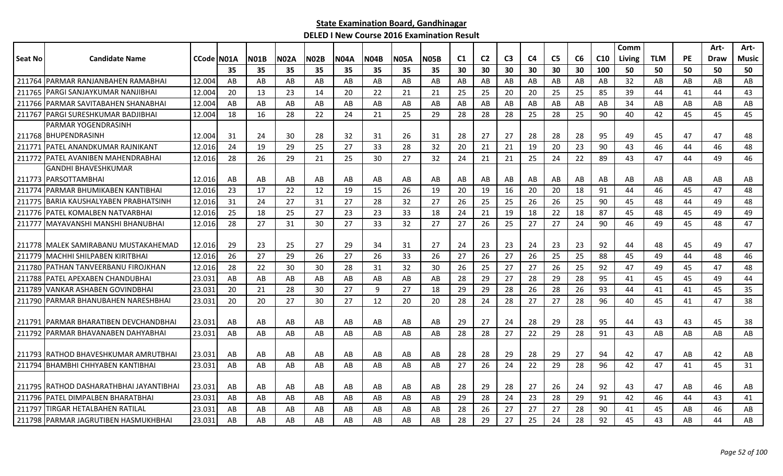|                |                                           |            |     |             |             |             |             |             |             |             |                |                |                |                |                |    |                 | Comm   |            |           | Art-        | Art-         |
|----------------|-------------------------------------------|------------|-----|-------------|-------------|-------------|-------------|-------------|-------------|-------------|----------------|----------------|----------------|----------------|----------------|----|-----------------|--------|------------|-----------|-------------|--------------|
| <b>Seat No</b> | <b>Candidate Name</b>                     | CCode N01A |     | <b>N01B</b> | <b>N02A</b> | <b>N02B</b> | <b>N04A</b> | <b>N04B</b> | <b>N05A</b> | <b>N05B</b> | C <sub>1</sub> | C <sub>2</sub> | C <sub>3</sub> | C <sub>4</sub> | C <sub>5</sub> | C6 | C <sub>10</sub> | Living | <b>TLM</b> | <b>PE</b> | <b>Draw</b> | <b>Music</b> |
|                |                                           |            | 35  | 35          | 35          | 35          | 35          | 35          | 35          | 35          | 30             | 30             | 30             | 30             | 30             | 30 | 100             | 50     | 50         | 50        | 50          | 50           |
| 211764         | <b>PARMAR RANJANBAHEN RAMABHAI</b>        | 12.004     | AB  | AB          | AB          | AB          | AB          | AB          | AB          | AB          | AB             | AB             | AB             | AB             | AB             | AB | AB              | 32     | AB         | AB        | AB          | AB           |
|                | 211765 PARGI SANJAYKUMAR NANJIBHAI        | 12.004     | 20  | 13          | 23          | 14          | 20          | 22          | 21          | 21          | 25             | 25             | 20             | 20             | 25             | 25 | 85              | 39     | 44         | 41        | 44          | 43           |
|                | 211766 PARMAR SAVITABAHEN SHANABHAI       | 12.004     | AB  | AB          | AB          | AB          | AB          | AB          | AB          | AB          | AB             | AB             | AB             | AB             | AB             | AB | AB              | 34     | AB         | AB        | AB          | AB           |
|                | 211767 PARGI SURESHKUMAR BADJIBHAI        | 12.004     | 18  | 16          | 28          | 22          | 24          | 21          | 25          | 29          | 28             | 28             | 28             | 25             | 28             | 25 | 90              | 40     | 42         | 45        | 45          | 45           |
|                | PARMAR YOGENDRASINH                       |            |     |             |             |             |             |             |             |             |                |                |                |                |                |    |                 |        |            |           |             |              |
|                | 211768 BHUPENDRASINH                      | 12.004     | -31 | 24          | 30          | 28          | 32          | 31          | 26          | 31          | 28             | 27             | 27             | 28             | 28             | 28 | 95              | 49     | 45         | 47        | 47          | 48           |
| 211771         | IPATEL ANANDKUMAR RAJNIKANT               | 12.016     | 24  | 19          | 29          | 25          | 27          | 33          | 28          | 32          | 20             | 21             | 21             | 19             | 20             | 23 | 90              | 43     | 46         | 44        | 46          | 48           |
|                | 211772   PATEL AVANIBEN MAHENDRABHAI      | 12.016     | 28  | 26          | 29          | 21          | 25          | 30          | 27          | 32          | 24             | 21             | 21             | 25             | 24             | 22 | 89              | 43     | 47         | 44        | 49          | 46           |
|                | <b>GANDHI BHAVESHKUMAR</b>                |            |     |             |             |             |             |             |             |             |                |                |                |                |                |    |                 |        |            |           |             |              |
|                | 211773 PARSOTTAMBHAI                      | 12.016     | AB  | AB          | AB          | AB          | AB          | AB          | AB          | AB          | AB             | AB             | AB             | AB             | AB             | AB | AB              | AB     | AB         | AB        | AB          | AB           |
| 211774         | <b>PARMAR BHUMIKABEN KANTIBHAI</b>        | 12.016     | 23  | 17          | 22          | 12          | 19          | 15          | 26          | 19          | 20             | 19             | 16             | 20             | 20             | 18 | 91              | 44     | 46         | 45        | 47          | 48           |
|                | 211775 BARIA KAUSHALYABEN PRABHATSINH     | 12.016     | 31  | 24          | 27          | 31          | 27          | 28          | 32          | 27          | 26             | 25             | 25             | 26             | 26             | 25 | 90              | 45     | 48         | 44        | 49          | 48           |
|                | 211776 PATEL KOMALBEN NATVARBHAI          | 12.016     | 25  | 18          | 25          | 27          | 23          | 23          | 33          | 18          | 24             | 21             | 19             | 18             | 22             | 18 | 87              | 45     | 48         | 45        | 49          | 49           |
|                | 211777   MAYAVANSHI MANSHI BHANUBHAI      | 12.016     | 28  | 27          | 31          | 30          | 27          | 33          | 32          | 27          | 27             | 26             | 25             | 27             | 27             | 24 | 90              | 46     | 49         | 45        | 48          | 47           |
|                |                                           |            |     |             |             |             |             |             |             |             |                |                |                |                |                |    |                 |        |            |           |             |              |
|                | 211778   MALEK SAMIRABANU MUSTAKAHEMAD    | 12.016     | -29 | 23          | 25          | 27          | 29          | 34          | 31          | 27          | 24             | 23             | 23             | 24             | 23             | 23 | 92              | 44     | 48         | 45        | 49          | 47           |
|                | 211779 MACHHI SHILPABEN KIRITBHAI         | 12.016     | 26  | 27          | 29          | 26          | 27          | 26          | 33          | 26          | 27             | 26             | 27             | 26             | 25             | 25 | 88              | 45     | 49         | 44        | 48          | 46           |
|                | 211780 PATHAN TANVEERBANU FIROJKHAN       | 12.016     | 28  | 22          | 30          | 30          | 28          | 31          | 32          | 30          | 26             | 25             | 27             | 27             | 26             | 25 | 92              | 47     | 49         | 45        | 47          | 48           |
|                | 211788 PATEL APEXABEN CHANDUBHAI          | 23.031     | AB  | AB          | AB          | AB          | AB          | AB          | AB          | AB          | 28             | 29             | 27             | 28             | 29             | 28 | 95              | 41     | 45         | 45        | 49          | 44           |
| 211789         | <b>IVANKAR ASHABEN GOVINDBHAI</b>         | 23.031     | 20  | 21          | 28          | 30          | 27          | 9           | 27          | 18          | 29             | 29             | 28             | 26             | 28             | 26 | 93              | 44     | 41         | 41        | 45          | 35           |
|                | 211790 IPARMAR BHANUBAHEN NARESHBHAI      | 23.031     | 20  | 20          | 27          | 30          | 27          | 12          | 20          | 20          | 28             | 24             | 28             | 27             | 27             | 28 | 96              | 40     | 45         | 41        | 47          | 38           |
|                |                                           |            |     |             |             |             |             |             |             |             |                |                |                |                |                |    |                 |        |            |           |             |              |
|                | 211791   PARMAR BHARATIBEN DEVCHANDBHAI   | 23.031     | AB  | AB          | AB          | AB          | AB          | AB          | AB          | AB          | 29             | 27             | 24             | 28             | 29             | 28 | 95              | 44     | 43         | 43        | 45          | 38           |
|                | 211792 PARMAR BHAVANABEN DAHYABHAI        | 23.031     | AB  | AB          | AB          | AB          | AB          | AB          | AB          | AB          | 28             | 28             | 27             | 22             | 29             | 28 | 91              | 43     | AB         | AB        | AB          | AB           |
|                |                                           |            |     |             |             |             |             |             |             |             |                |                |                |                |                |    |                 |        |            |           |             |              |
|                | 211793 RATHOD BHAVESHKUMAR AMRUTBHAI      | 23.031     | AB  | AB          | AB          | AB          | AB          | AB          | AB          | AB          | 28             | 28             | 29             | 28             | 29             | 27 | 94              | 42     | 47         | AB        | 42          | AB           |
|                | 211794 BHAMBHI CHHYABEN KANTIBHAI         | 23.031     | AB  | AB          | AB          | AB          | AB          | AB          | AB          | AB          | 27             | 26             | 24             | 22             | 29             | 28 | 96              | 42     | 47         | 41        | 45          | 31           |
|                |                                           |            |     |             |             |             |             |             |             |             |                |                |                |                |                |    |                 |        |            |           |             |              |
|                | 211795   RATHOD DASHARATHBHAI JAYANTIBHAI | 23.031     | AB  | AB          | AB          | AB          | AB          | AB          | AB          | AB          | 28             | 29             | 28             | 27             | 26             | 24 | 92              | 43     | 47         | AB        | 46          | AB           |
|                | 211796   PATEL DIMPALBEN BHARATBHAI       | 23.031     | AB  | AB          | AB          | AB          | AB          | AB          | AB          | AB          | 29             | 28             | 24             | 23             | 28             | 29 | 91              | 42     | 46         | 44        | 43          | 41           |
| 211797         | <b>TIRGAR HETALBAHEN RATILAL</b>          | 23.031     | AB  | AB          | AB          | AB          | AB          | AB          | AB          | AB          | 28             | 26             | 27             | 27             | 27             | 28 | 90              | 41     | 45         | AB        | 46          | AB           |
|                | 211798   PARMAR JAGRUTIBEN HASMUKHBHAI    | 23.031     | AB  | AB          | AB          | AB          | AB          | AB          | AB          | AB          | 28             | 29             | 27             | 25             | 24             | 28 | 92              | 45     | 43         | AB        | 44          | AB           |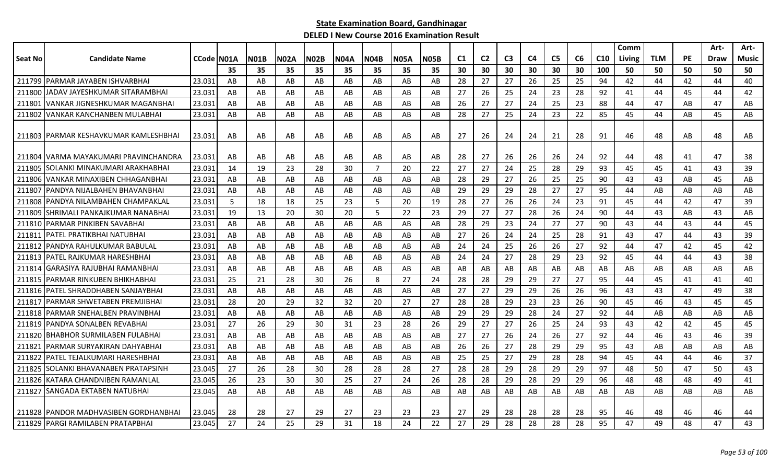|         |                                         |             |    |             |             |             |             |             |             |             |    |                |                |    |                |    |                 | Comm   |            |           | Art- | Art-  |
|---------|-----------------------------------------|-------------|----|-------------|-------------|-------------|-------------|-------------|-------------|-------------|----|----------------|----------------|----|----------------|----|-----------------|--------|------------|-----------|------|-------|
| Seat No | <b>Candidate Name</b>                   | CCode IN01A |    | <b>N01B</b> | <b>N02A</b> | <b>N02B</b> | <b>N04A</b> | <b>N04B</b> | <b>N05A</b> | <b>N05B</b> | C1 | C <sub>2</sub> | C <sub>3</sub> | C4 | C <sub>5</sub> | C6 | C <sub>10</sub> | Living | <b>TLM</b> | <b>PE</b> | Draw | Music |
|         |                                         |             | 35 | 35          | 35          | 35          | 35          | 35          | 35          | 35          | 30 | 30             | 30             | 30 | 30             | 30 | 100             | 50     | 50         | 50        | 50   | 50    |
| 211799  | <b>PARMAR JAYABEN ISHVARBHAI</b>        | 23.031      | AB | AB          | AB          | AB          | AB          | AB          | AB          | AB          | 28 | 27             | 27             | 26 | 25             | 25 | 94              | 42     | 44         | 42        | 44   | 40    |
| 211800  | JADAV JAYESHKUMAR SITARAMBHAI           | 23.031      | AB | AB          | AB          | AB          | AB          | AB          | AB          | AB          | 27 | 26             | 25             | 24 | 23             | 28 | 92              | 41     | 44         | 45        | 44   | 42    |
| 211801  | lVANKAR JIGNESHKUMAR MAGANBHAI          | 23.031      | AB | AB          | AB          | AB          | AB          | AB          | AB          | AB          | 26 | 27             | 27             | 24 | 25             | 23 | 88              | 44     | 47         | AB        | 47   | AB    |
| 211802  | <b>VANKAR KANCHANBEN MULABHAI</b>       | 23.031      | AB | AB          | AB          | AB          | AB          | AB          | AB          | AB          | 28 | 27             | 25             | 24 | 23             | 22 | 85              | 45     | 44         | AB        | 45   | AB    |
|         | 211803 PARMAR KESHAVKUMAR KAMLESHBHAI   | 23.031      | AB | AB          | AB          | AB          | AB          | AB          | AB          | AB          | 27 | 26             | 24             | 24 | 21             | 28 | 91              | 46     | 48         | AB        | 48   | AB    |
|         | 211804   VARMA MAYAKUMARI PRAVINCHANDRA | 23.031      | AB | AB          | AB          | AB          | AB          | AB          | AB          | AB          | 28 | 27             | 26             | 26 | 26             | 24 | 92              | 44     | 48         | 41        | 47   | 38    |
| 211805  | SOLANKI MINAKUMARI ARAKHABHAI           | 23.031      | 14 | 19          | 23          | 28          | 30          | 7           | 20          | 22          | 27 | 27             | 24             | 25 | 28             | 29 | 93              | 45     | 45         | 41        | 43   | 39    |
| 211806  | VANKAR MINAXIBEN CHHAGANBHAI            | 23.031      | AB | AB          | AB          | AB          | AB          | AB          | AB          | AB          | 28 | 29             | 27             | 26 | 25             | 25 | 90              | 43     | 43         | AB        | 45   | AB    |
| 211807  | PANDYA NIJALBAHEN BHAVANBHAI            | 23.031      | AB | AB          | AB          | AB          | AB          | AB          | AB          | AB          | 29 | 29             | 29             | 28 | 27             | 27 | 95              | 44     | AB         | AB        | AB   | AB    |
| 211808  | PANDYA NILAMBAHEN CHAMPAKLAL            | 23.03       | 5  | 18          | 18          | 25          | 23          | 5           | 20          | 19          | 28 | 27             | 26             | 26 | 24             | 23 | 91              | 45     | 44         | 42        | 47   | 39    |
| 211809  | SHRIMALI PANKAJKUMAR NANABHAI           | 23.031      | 19 | 13          | 20          | 30          | 20          | 5           | 22          | 23          | 29 | 27             | 27             | 28 | 26             | 24 | 90              | 44     | 43         | AB        | 43   | AB    |
|         | 211810 PARMAR PINKIBEN SAVABHAI         | 23.031      | AB | AB          | AB          | AB          | AB          | AB          | AB          | AB          | 28 | 29             | 23             | 24 | 27             | 27 | 90              | 43     | 44         | 43        | 44   | 45    |
| 211811  | IPATEL PRATIKBHAI NATUBHAI              | 23.031      | AB | AB          | AB          | AB          | AB          | AB          | AB          | AB          | 27 | 26             | 24             | 24 | 25             | 28 | 91              | 43     | 47         | 44        | 43   | 39    |
| 211812  | PANDYA RAHULKUMAR BABULAL               | 23.031      | AB | AB          | AB          | AB          | AB          | AB          | AB          | AB          | 24 | 24             | 25             | 26 | 26             | 27 | 92              | 44     | 47         | 42        | 45   | 42    |
| 211813  | PATEL RAJKUMAR HARESHBHAI               | 23.031      | AB | AB          | AB          | AB          | AB          | AB          | AB          | AB          | 24 | 24             | 27             | 28 | 29             | 23 | 92              | 45     | 44         | 44        | 43   | 38    |
| 211814  | GARASIYA RAJUBHAI RAMANBHAI             | 23.031      | AB | AB          | AB          | AB          | AB          | AB          | AB          | AB          | AB | AB             | AB             | AB | AB             | AB | AB              | AB     | AB         | AB        | AB   | AB    |
| 211815  | PARMAR RINKUBEN BHIKHABHAI              | 23.031      | 25 | 21          | 28          | 30          | 26          | 8           | 27          | 24          | 28 | 28             | 29             | 29 | 27             | 27 | 95              | 44     | 45         | 41        | 41   | 40    |
| 211816  | <b>IPATEL SHRADDHABEN SANJAYBHAI</b>    | 23.031      | AB | AB          | AB          | AB          | AB          | AB          | AB          | AB          | 27 | 27             | 29             | 29 | 26             | 26 | 96              | 43     | 43         | 47        | 49   | 38    |
| 211817  | IPARMAR SHWETABEN PREMJIBHAI            | 23.031      | 28 | 20          | 29          | 32          | 32          | 20          | 27          | 27          | 28 | 28             | 29             | 23 | 23             | 26 | 90              | 45     | 46         | 43        | 45   | 45    |
| 211818  | IPARMAR SNEHALBEN PRAVINBHAI            | 23.031      | AB | AB          | AB          | AB          | AB          | AB          | AB          | AB          | 29 | 29             | 29             | 28 | 24             | 27 | 92              | 44     | AB         | AB        | AB   | AB    |
| 211819  | IPANDYA SONALBEN REVABHAI               | 23.031      | 27 | 26          | 29          | 30          | 31          | 23          | 28          | 26          | 29 | 27             | 27             | 26 | 25             | 24 | 93              | 43     | 42         | 42        | 45   | 45    |
| 211820  | <b>BHABHOR SURMILABEN FULABHAI</b>      | 23.031      | AB | AB          | AB          | AB          | AB          | AB          | AB          | AB          | 27 | 27             | 26             | 24 | 26             | 27 | 92              | 44     | 46         | 43        | 46   | 39    |
| 211821  | PARMAR SURYAKIRAN DAHYABHAI             | 23.031      | AB | AB          | AB          | AB          | AB          | AB.         | AB          | AB          | 26 | 26             | 27             | 28 | 29             | 29 | 95              | 43     | AB         | AB        | AB   | AB    |
| 211822  | PATEL TEJALKUMARI HARESHBHAI            | 23.031      | AB | AB          | AB          | AB          | AB          | AB          | AB          | AB          | 25 | 25             | 27             | 29 | 28             | 28 | 94              | 45     | 44         | 44        | 46   | 37    |
| 211825  | ISOLANKI BHAVANABEN PRATAPSINH          | 23.045      | 27 | 26          | 28          | 30          | 28          | 28          | 28          | 27          | 28 | 28             | 29             | 28 | 29             | 29 | 97              | 48     | 50         | 47        | 50   | 43    |
|         | 211826 KATARA CHANDNIBEN RAMANLAL       | 23.045      | 26 | 23          | 30          | 30          | 25          | 27          | 24          | 26          | 28 | 28             | 29             | 28 | 29             | 29 | 96              | 48     | 48         | 48        | 49   | 41    |
|         | 211827 SANGADA EKTABEN NATUBHAI         | 23.045      | AB | AB          | AB          | AB          | AB          | AB          | AB          | AB          | AB | AB             | AB             | AB | AB             | AB | AB              | AB     | AB         | AB        | AB   | AB    |
|         | 211828 PANDOR MADHVASIBEN GORDHANBHAI   | 23.045      | 28 | 28          | 27          | 29          | 27          | 23          | 23          | 23          | 27 | 29             | 28             | 28 | 28             | 28 | 95              | 46     | 48         | 46        | 46   | 44    |
|         | 211829   PARGI RAMILABEN PRATAPBHAI     | 23.045      | 27 | 24          | 25          | 29          | 31          | 18          | 24          | 22          | 27 | 29             | 28             | 28 | 28             | 28 | 95              | 47     | 49         | 48        | 47   | 43    |
|         |                                         |             |    |             |             |             |             |             |             |             |    |                |                |    |                |    |                 |        |            |           |      |       |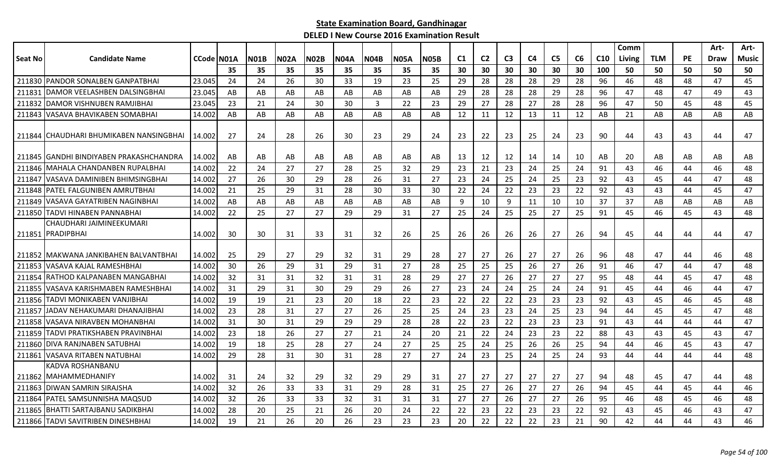|         |                                         |            |     |             |             |             |             |             |             |             |                |                |                |                |                |    |                 | Comm   |            |           | Art- | Art-  |
|---------|-----------------------------------------|------------|-----|-------------|-------------|-------------|-------------|-------------|-------------|-------------|----------------|----------------|----------------|----------------|----------------|----|-----------------|--------|------------|-----------|------|-------|
| Seat No | <b>Candidate Name</b>                   | CCode N01A |     | <b>N01B</b> | <b>N02A</b> | <b>N02B</b> | <b>N04A</b> | <b>N04B</b> | <b>N05A</b> | <b>N05B</b> | C <sub>1</sub> | C <sub>2</sub> | C <sub>3</sub> | C <sub>4</sub> | C <sub>5</sub> | C6 | C <sub>10</sub> | Living | <b>TLM</b> | <b>PE</b> | Draw | Music |
|         |                                         |            | 35  | 35          | 35          | 35          | 35          | 35          | 35          | 35          | 30             | 30             | 30             | 30             | 30             | 30 | 100             | 50     | 50         | 50        | 50   | 50    |
|         | 211830 PANDOR SONALBEN GANPATBHAI       | 23.045     | 24  | 24          | 26          | 30          | 33          | 19          | 23          | 25          | 29             | 28             | 28             | 28             | 29             | 28 | 96              | 46     | 48         | 48        | 47   | 45    |
| 211831  | <b>IDAMOR VEELASHBEN DALSINGBHAI</b>    | 23.045     | AB  | AB          | AB          | AB          | AB          | AB          | AB          | AB          | 29             | 28             | 28             | 28             | 29             | 28 | 96              | 47     | 48         | 47        | 49   | 43    |
| 211832  | IDAMOR VISHNUBEN RAMJIBHAI              | 23.045     | 23  | 21          | 24          | 30          | 30          | 3           | 22          | 23          | 29             | 27             | 28             | 27             | 28             | 28 | 96              | 47     | 50         | 45        | 48   | 45    |
|         | 211843 VASAVA BHAVIKABEN SOMABHAI       | 14.002     | AB  | AB          | AB          | AB          | AB          | AB          | AB          | AB          | 12             | 11             | 12             | 13             | 11             | 12 | AB              | 21     | AB         | AB        | AB   | AB    |
|         | 211844 CHAUDHARI BHUMIKABEN NANSINGBHAI | 14.002     | 27  | 24          | 28          | 26          | 30          | 23          | 29          | 24          | 23             | 22             | 23             | 25             | 24             | 23 | 90              | 44     | 43         | 43        | 44   | 47    |
|         | 211845 GANDHI BINDIYABEN PRAKASHCHANDRA | 14.002     | AB  | AB          | AB          | AB          | AB          | AB          | AB          | AB          | 13             | 12             | 12             | 14             | 14             | 10 | AB              | 20     | AB         | AB        | AB   | AB    |
| 211846  | IMAHALA CHANDANBEN RUPALBHAI            | 14.002     | 22  | 24          | 27          | 27          | 28          | 25          | 32          | 29          | 23             | 21             | 23             | 24             | 25             | 24 | 91              | 43     | 46         | 44        | 46   | 48    |
| 211847  | VASAVA DAMINIBEN BHIMSINGBHAI           | 14.002     | 27  | 26          | 30          | 29          | 28          | 26          | 31          | 27          | 23             | 24             | 25             | 24             | 25             | 23 | 92              | 43     | 45         | 44        | 47   | 48    |
| 211848  | IPATEL FALGUNIBEN AMRUTBHAI             | 14.002     | 21  | 25          | 29          | 31          | 28          | 30          | 33          | 30          | 22             | 24             | 22             | 23             | 23             | 22 | 92              | 43     | 43         | 44        | 45   | 47    |
| 211849  | VASAVA GAYATRIBEN NAGINBHAI             | 14.002     | AB  | AB          | AB          | AB          | AB          | AB          | AB          | AB          | 9              | 10             | 9              | 11             | 10             | 10 | 37              | 37     | AB         | AB        | AB   | AB    |
|         | 211850 TADVI HINABEN PANNABHAI          | 14.002     | 22  | 25          | 27          | 27          | 29          | 29          | 31          | 27          | 25             | 24             | 25             | 25             | 27             | 25 | 91              | 45     | 46         | 45        | 43   | 48    |
|         | CHAUDHARI JAIMINEEKUMARI                |            |     |             |             |             |             |             |             |             |                |                |                |                |                |    |                 |        |            |           |      |       |
|         | 211851 PRADIPBHAI                       | 14.002     | 30  | 30          | 31          | 33          | 31          | 32          | 26          | 25          | 26             | 26             | 26             | 26             | 27             | 26 | 94              | 45     | 44         | 44        | 44   | 47    |
|         | 211852 IMAKWANA JANKIBAHEN BALVANTBHAI  | 14.002     | -25 | 29          | 27          | 29          | 32          | 31          | 29          | 28          | 27             | 27             | 26             | 27             | 27             | 26 | 96              | 48     | 47         | 44        | 46   | 48    |
| 211853  | VASAVA KAJAL RAMESHBHAI                 | 14.002     | 30  | 26          | 29          | 31          | 29          | 31          | 27          | 28          | 25             | 25             | 25             | 26             | 27             | 26 | 91              | 46     | 47         | 44        | 47   | 48    |
| 211854  | RATHOD KALPANABEN MANGABHAI             | 14.002     | 32  | 31          | 31          | 32          | 31          | 31          | 28          | 29          | 27             | 27             | 26             | 27             | 27             | 27 | 95              | 48     | 44         | 45        | 47   | 48    |
| 211855  | IVASAVA KARISHMABEN RAMESHBHAI          | 14.002     | 31  | 29          | 31          | 30          | 29          | 29          | 26          | 27          | 23             | 24             | 24             | 25             | 24             | 24 | 91              | 45     | 44         | 46        | 44   | 47    |
| 211856  | TADVI MONIKABEN VANJIBHAI               | 14.002     | 19  | 19          | 21          | 23          | 20          | 18          | 22          | 23          | 22             | 22             | 22             | 23             | 23             | 23 | 92              | 43     | 45         | 46        | 45   | 48    |
| 211857  | JADAV NEHAKUMARI DHANAJIBHAI            | 14.002     | 23  | 28          | 31          | 27          | 27          | 26          | 25          | 25          | 24             | 23             | 23             | 24             | 25             | 23 | 94              | 44     | 45         | 45        | 47   | 48    |
| 211858  | VASAVA NIRAVBEN MOHANBHAI               | 14.002     | 31  | 30          | 31          | 29          | 29          | 29          | 28          | 28          | 22             | 23             | 22             | 23             | 23             | 23 | 91              | 43     | 44         | 44        | 44   | 47    |
| 211859  | TADVI PRATIKSHABEN PRAVINBHAI           | 14.002     | 23  | 18          | 26          | 27          | 27          | 21          | 24          | 20          | 21             | 22             | 24             | 23             | 23             | 22 | 88              | 43     | 43         | 45        | 43   | 47    |
| 211860  | <b>DIVA RANJNABEN SATUBHAI</b>          | 14.002     | 19  | 18          | 25          | 28          | 27          | 24          | 27          | 25          | 25             | 24             | 25             | 26             | 26             | 25 | 94              | 44     | 46         | 45        | 43   | 47    |
| 211861  | <b>IVASAVA RITABEN NATUBHAI</b>         | 14.002     | 29  | 28          | 31          | 30          | 31          | 28          | 27          | 27          | 24             | 23             | 25             | 24             | 25             | 24 | 93              | 44     | 44         | 44        | 44   | 48    |
|         | KADVA ROSHANBANU                        |            |     |             |             |             |             |             |             |             |                |                |                |                |                |    |                 |        |            |           |      |       |
|         | 211862 MAHAMMEDHANIFY                   | 14.002     | 31  | 24          | 32          | 29          | 32          | 29          | 29          | 31          | 27             | 27             | 27             | 27             | 27             | 27 | 94              | 48     | 45         | 47        | 44   | 48    |
|         | 211863 DIWAN SAMRIN SIRAJSHA            | 14.002     | 32  | 26          | 33          | 33          | 31          | 29          | 28          | 31          | 25             | 27             | 26             | 27             | 27             | 26 | 94              | 45     | 44         | 45        | 44   | 46    |
| 211864  | IPATEL SAMSUNNISHA MAQSUD               | 14.002     | 32  | 26          | 33          | 33          | 32          | 31          | 31          | 31          | 27             | 27             | 26             | 27             | 27             | 26 | 95              | 46     | 48         | 45        | 46   | 48    |
| 211865  | IBHATTI SARTAJBANU SADIKBHAI            | 14.002     | 28  | 20          | 25          | 21          | 26          | 20          | 24          | 22          | 22             | 23             | 22             | 23             | 23             | 22 | 92              | 43     | 45         | 46        | 43   | 47    |
|         | 211866 TADVI SAVITRIBEN DINESHBHAI      | 14.002     | 19  | 21          | 26          | 20          | 26          | 23          | 23          | 23          | 20             | 22             | 22             | 22             | 23             | 21 | 90              | 42     | 44         | 44        | 43   | 46    |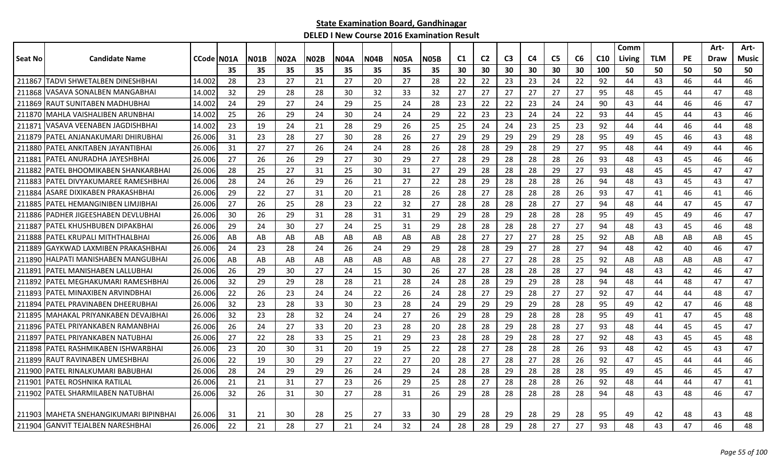|         |                                         |            |     |      |      |             |             |             |             |      |     |                |                |    |                |    |                 | Comm   |            |           | Art- | Art-  |
|---------|-----------------------------------------|------------|-----|------|------|-------------|-------------|-------------|-------------|------|-----|----------------|----------------|----|----------------|----|-----------------|--------|------------|-----------|------|-------|
| Seat No | <b>Candidate Name</b>                   | CCode N01A |     | NO1B | N02A | <b>N02B</b> | <b>N04A</b> | <b>N04B</b> | <b>N05A</b> | N05B | C1  | C <sub>2</sub> | C <sub>3</sub> | C4 | C <sub>5</sub> | C6 | C <sub>10</sub> | Living | <b>TLM</b> | <b>PE</b> | Draw | Music |
|         |                                         |            | 35  | 35   | 35   | 35          | 35          | 35          | 35          | 35   | 30  | 30             | 30             | 30 | 30             | 30 | 100             | 50     | 50         | 50        | 50   | 50    |
| 211867  | TADVI SHWETALBEN DINESHBHAI             | 14.002     | 28  | 23   | 27   | 21          | 27          | 20          | 27          | 28   | 22  | 22             | 23             | 23 | 24             | 22 | 92              | 44     | 43         | 46        | 44   | 46    |
| 211868  | VASAVA SONALBEN MANGABHAI               | 14.002     | 32  | 29   | 28   | 28          | 30          | 32          | 33          | 32   | 27  | 27             | 27             | 27 | 27             | 27 | 95              | 48     | 45         | 44        | 47   | 48    |
| 211869  | RAUT SUNITABEN MADHUBHAI                | 14.002     | 24  | 29   | 27   | 24          | 29          | 25          | 24          | 28   | 23  | 22             | 22             | 23 | 24             | 24 | 90              | 43     | 44         | 46        | 46   | 47    |
|         | 211870 MAHLA VAISHALIBEN ARUNBHAI       | 14.002     | -25 | 26   | 29   | 24          | 30          | 24          | 24          | 29   | -22 | 23             | 23             | 24 | 24             | 22 | 93              | 44     | 45         | 44        | 43   | 46    |
| 211871  | VASAVA VEENABEN JAGDISHBHAI             | 14.002     | 23  | 19   | 24   | 21          | 28          | 29          | 26          | 25   | 25  | 24             | 24             | 23 | 25             | 23 | 92              | 44     | 44         | 46        | 44   | 48    |
| 211879  | PATEL ANJANAKUMARI DHIRUBHAI            | 26.006     | 31  | 23   | 28   | 27          | 30          | 28          | 26          | 27   | 29  | 29             | 29             | 29 | 29             | 28 | 95              | 49     | 45         | 46        | 43   | 48    |
| 211880  | PATEL ANKITABEN JAYANTIBHAI             | 26.006     | 31  | 27   | 27   | 26          | 24          | 24          | 28          | 26   | 28  | 28             | 29             | 28 | 29             | 27 | 95              | 48     | 44         | 49        | 44   | 46    |
| 21188   | PATEL ANURADHA JAYESHBHAI               | 26.006     | 27  | 26   | 26   | 29          | 27          | 30          | 29          | 27   | 28  | 29             | 28             | 28 | 28             | 26 | 93              | 48     | 43         | 45        | 46   | 46    |
| 211882  | PATEL BHOOMIKABEN SHANKARBHAI           | 26.006     | 28  | 25   | 27   | 31          | 25          | 30          | 31          | 27   | 29  | 28             | 28             | 28 | 29             | 27 | 93              | 48     | 45         | 45        | 47   | 47    |
| 211883  | PATEL DIVYAKUMAREE RAMESHBHAI           | 26.006     | 28  | 24   | 26   | 29          | 26          | 21          | 27          | 22   | 28  | 29             | 28             | 28 | 28             | 26 | 94              | 48     | 43         | 45        | 43   | 47    |
| 211884  | ASARE DIXIKABEN PRAKASHBHAI             | 26.006     | 29  | 22   | 27   | 31          | 20          | 21          | 28          | 26   | 28  | 27             | 28             | 28 | 28             | 26 | 93              | 47     | 41         | 46        | 41   | 46    |
| 211885  | PATEL HEMANGINIBEN LIMJIBHAI            | 26.006     | 27  | 26   | 25   | 28          | 23          | 22          | 32          | 27   | 28  | 28             | 28             | 28 | 27             | 27 | 94              | 48     | 44         | 47        | 45   | 47    |
| 211886  | PADHER JIGEESHABEN DEVLUBHAI            | 26.006     | 30  | 26   | 29   | 31          | 28          | 31          | 31          | 29   | 29  | 28             | 29             | 28 | 28             | 28 | 95              | 49     | 45         | 49        | 46   | 47    |
| 211887  | PATEL KHUSHBUBEN DIPAKBHAI              | 26.006     | 29  | 24   | 30   | 27          | 24          | 25          | 31          | 29   | 28  | 28             | 28             | 28 | 27             | 27 | 94              | 48     | 43         | 45        | 46   | 48    |
| 211888  | PATEL KRUPALI MITHTHALBHAI              | 26.006     | AB  | AB   | AB   | AB          | AB          | AB          | AB          | AB   | 28  | 27             | 27             | 27 | 28             | 25 | 92              | AB     | AB         | AB        | AB   | 45    |
| 211889  | GAYKWAD LAXMIBEN PRAKASHBHAI            | 26.006     | 24  | 23   | 28   | 24          | 26          | 24          | 29          | 29   | 28  | 28             | 29             | 27 | 28             | 27 | 94              | 48     | 42         | 40        | 46   | 47    |
| 211890  | <b>HALPATI MANISHABEN MANGUBHAI</b>     | 26.006     | AB  | AB   | AB   | AB          | AB          | AB          | AB          | AB   | 28  | 27             | 27             | 28 | 28             | 25 | 92              | AB     | AB         | AB        | AB   | 47    |
| 211891  | PATEL MANISHABEN LALLUBHAI              | 26.006     | 26  | 29   | 30   | 27          | 24          | 15          | 30          | 26   | 27  | 28             | 28             | 28 | 28             | 27 | 94              | 48     | 43         | 42        | 46   | 47    |
| 211892  | IPATEL MEGHAKUMARI RAMESHBHAI           | 26.006     | 32  | 29   | 29   | 28          | 28          | 21          | 28          | 24   | 28  | 28             | 29             | 29 | 28             | 28 | 94              | 48     | 44         | 48        | 47   | 47    |
| 211893  | PATEL MINAXIBEN ARVINDBHAI              | 26.006     | 22  | 26   | 23   | 24          | 24          | 22          | 26          | 24   | 28  | 27             | 29             | 28 | 27             | 27 | 92              | 47     | 44         | 44        | 48   | 47    |
| 211894  | PATEL PRAVINABEN DHEERUBHAI             | 26.006     | 32  | 23   | 28   | 33          | 30          | 23          | 28          | 24   | 29  | 29             | 29             | 29 | 28             | 28 | 95              | 49     | 42         | 47        | 46   | 48    |
| 211895  | MAHAKAL PRIYANKABEN DEVAJBHAI           | 26.006     | 32  | 23   | 28   | 32          | 24          | 24          | 27          | 26   | 29  | 28             | 29             | 28 | 28             | 28 | 95              | 49     | 41         | 47        | 45   | 48    |
| 211896  | PATEL PRIYANKABEN RAMANBHAI             | 26.006     | 26  | 24   | 27   | 33          | 20          | 23          | 28          | 20   | 28  | 28             | 29             | 28 | 28             | 27 | 93              | 48     | 44         | 45        | 45   | 47    |
| 21189   | PATEL PRIYANKABEN NATUBHAI              | 26.006     | 27  | 22   | 28   | 33          | 25          | 21          | 29          | 23   | 28  | 28             | 29             | 28 | 28             | 27 | 92              | 48     | 43         | 45        | 45   | 48    |
| 211898  | PATEL RASHMIKABEN ISHWARBHAI            | 26.006     | -23 | 20   | 30   | 31          | 20          | 19          | 25          | 22   | 28  | 27             | 28             | 28 | 28             | 26 | 93              | 48     | 42         | 45        | 43   | 47    |
| 211899  | RAUT RAVINABEN UMESHBHAI                | 26.006     | 22  | 19   | 30   | 29          | 27          | 22          | 27          | 20   | -28 | 27             | 28             | 27 | 28             | 26 | 92              | 47     | 45         | 44        | 44   | 46    |
| 211900  | PATEL RINALKUMARI BABUBHAI              | 26.006     | 28  | 24   | 29   | 29          | 26          | 24          | 29          | 24   | 28  | 28             | 29             | 28 | 28             | 28 | 95              | 49     | 45         | 46        | 45   | 47    |
| 211901  | PATEL ROSHNIKA RATILAL                  | 26.006     | 21  | 21   | 31   | 27          | 23          | 26          | 29          | 25   | 28  | 27             | 28             | 28 | 28             | 26 | 92              | 48     | 44         | 44        | 47   | 41    |
| 211902  | PATEL SHARMILABEN NATUBHAI              | 26.006     | 32  | 26   | 31   | 30          | 27          | 28          | 31          | 26   | 29  | 28             | 28             | 28 | 28             | 28 | 94              | 48     | 43         | 48        | 46   | 47    |
|         |                                         |            |     |      |      |             |             |             |             |      |     |                |                |    |                |    |                 |        |            |           |      |       |
|         | 211903 IMAHETA SNEHANGIKUMARI BIPINBHAI | 26.006     | 31  | 21   | 30   | 28          | 25          | 27          | 33          | 30   | 29  | 28             | 29             | 28 | 29             | 28 | 95              | 49     | 42         | 48        | 43   | 48    |
|         | 211904 GANVIT TEJALBEN NARESHBHAI       | 26.006     | 22  | 21   | 28   | 27          | 21          | 24          | 32          | 24   | 28  | 28             | 29             | 28 | 27             | 27 | 93              | 48     | 43         | 47        | 46   | 48    |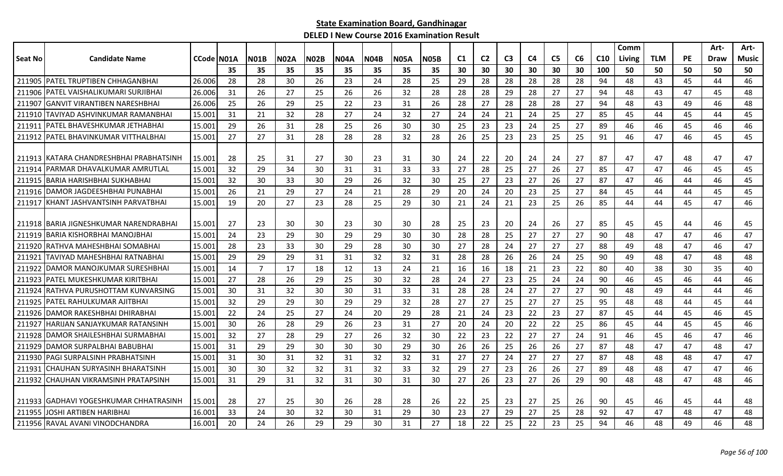|                |                                          |            |    |                |             |             |             |             |             |             |    |                |                |                |                |    |                 | Comm   |            |           | Art-        | Art-  |
|----------------|------------------------------------------|------------|----|----------------|-------------|-------------|-------------|-------------|-------------|-------------|----|----------------|----------------|----------------|----------------|----|-----------------|--------|------------|-----------|-------------|-------|
| <b>Seat No</b> | <b>Candidate Name</b>                    | CCode N01A |    | <b>N01B</b>    | <b>N02A</b> | <b>N02B</b> | <b>N04A</b> | <b>N04B</b> | <b>N05A</b> | <b>N05B</b> | C1 | C <sub>2</sub> | C <sub>3</sub> | C <sub>4</sub> | C <sub>5</sub> | C6 | C <sub>10</sub> | Living | <b>TLM</b> | <b>PE</b> | <b>Draw</b> | Music |
|                |                                          |            | 35 | 35             | 35          | 35          | 35          | 35          | 35          | 35          | 30 | 30             | 30             | 30             | 30             | 30 | 100             | 50     | 50         | 50        | 50          | 50    |
|                | 211905 PATEL TRUPTIBEN CHHAGANBHAI       | 26.006     | 28 | 28             | 30          | 26          | 23          | 24          | 28          | 25          | 29 | 28             | 28             | 28             | 28             | 28 | 94              | 48     | 43         | 45        | 44          | 46    |
| 211906         | <b> PATEL VAISHALIKUMARI SURJIBHAI</b>   | 26.006     | 31 | 26             | 27          | 25          | 26          | 26          | 32          | 28          | 28 | 28             | 29             | 28             | 27             | 27 | 94              | 48     | 43         | 47        | 45          | 48    |
| 211907         | IGANVIT VIRANTIBEN NARESHBHAI            | 26.006     | 25 | 26             | 29          | 25          | 22          | 23          | 31          | 26          | 28 | 27             | 28             | 28             | 28             | 27 | 94              | 48     | 43         | 49        | 46          | 48    |
| 211910         | TAVIYAD ASHVINKUMAR RAMANBHAI            | 15.001     | 31 | 21             | 32          | 28          | 27          | 24          | 32          | 27          | 24 | 24             | 21             | 24             | 25             | 27 | 85              | 45     | 44         | 45        | 44          | 45    |
| 211911         | IPATEL BHAVESHKUMAR JETHABHAI            | 15.001     | 29 | 26             | 31          | 28          | 25          | 26          | 30          | 30          | 25 | 23             | 23             | 24             | 25             | 27 | 89              | 46     | 46         | 45        | 46          | 46    |
| 211912         | PATEL BHAVINKUMAR VITTHALBHAI            | 15.001     | 27 | 27             | 31          | 28          | 28          | 28          | 32          | 28          | 26 | 25             | 23             | 23             | 25             | 25 | 91              | 46     | 47         | 46        | 45          | 45    |
|                |                                          |            |    |                |             |             |             |             |             |             |    |                |                |                |                |    |                 |        |            |           |             |       |
|                | 211913 IKATARA CHANDRESHBHAI PRABHATSINH | 15.001     | 28 | 25             | 31          | 27          | 30          | 23          | 31          | 30          | 24 | 22             | 20             | 24             | 24             | 27 | 87              | 47     | 47         | 48        | 47          | 47    |
| 211914         | IPARMAR DHAVALKUMAR AMRUTLAL             | 15.001     | 32 | 29             | 34          | 30          | 31          | 31          | 33          | 33          | 27 | 28             | 25             | 27             | 26             | 27 | 85              | 47     | 47         | 46        | 45          | 45    |
| 211915         | <b>BARIA HARISHBHAI SUKHABHAI</b>        | 15.001     | 32 | 30             | 33          | 30          | 29          | 26          | 32          | 30          | 25 | 27             | 23             | 27             | 26             | 27 | 87              | 47     | 46         | 44        | 46          | 45    |
|                | 211916   DAMOR JAGDEESHBHAI PUNABHAI     | 15.001     | 26 | 21             | 29          | 27          | 24          | 21          | 28          | 29          | 20 | 24             | 20             | 23             | 25             | 27 | 84              | 45     | 44         | 44        | 45          | 45    |
|                | 211917 KHANT JASHVANTSINH PARVATBHAI     | 15.001     | 19 | 20             | 27          | 23          | 28          | 25          | 29          | 30          | 21 | 24             | 21             | 23             | 25             | 26 | 85              | 44     | 44         | 45        | 47          | 46    |
|                |                                          |            |    |                |             |             |             |             |             |             |    |                |                |                |                |    |                 |        |            |           |             |       |
|                | 211918 IBARIA JIGNESHKUMAR NARENDRABHAI  | 15.001     | 27 | 23             | 30          | 30          | 23          | 30          | 30          | 28          | 25 | 23             | 20             | 24             | 26             | 27 | 85              | 45     | 45         | 44        | 46          | 45    |
| 211919         | IBARIA KISHORBHAI MANOJBHAI              | 15.001     | 24 | 23             | 29          | 30          | 29          | 29          | 30          | 30          | 28 | 28             | 25             | 27             | 27             | 27 | 90              | 48     | 47         | 47        | 46          | 47    |
| 211920         | IRATHVA MAHESHBHAI SOMABHAI              | 15.001     | 28 | 23             | 33          | 30          | 29          | 28          | 30          | 30          | 27 | 28             | 24             | 27             | 27             | 27 | 88              | 49     | 48         | 47        | 46          | 47    |
| 21192          | TAVIYAD MAHESHBHAI RATNABHAI             | 15.00:     | 29 | 29             | 29          | 31          | 31          | 32          | 32          | 31          | 28 | 28             | 26             | 26             | 24             | 25 | 90              | 49     | 48         | 47        | 48          | 48    |
| 211922         | DAMOR MANOJKUMAR SURESHBHAI              | 15.001     | 14 | $\overline{7}$ | 17          | 18          | 12          | 13          | 24          | 21          | 16 | 16             | 18             | 21             | 23             | 22 | 80              | 40     | 38         | 30        | 35          | 40    |
| 211923         | IPATEL MUKESHKUMAR KIRITBHAI             | 15.001     | 27 | 28             | 26          | 29          | 25          | 30          | 32          | 28          | 24 | 27             | 23             | 25             | 24             | 24 | 90              | 46     | 45         | 46        | 44          | 46    |
| 211924         | IRATHVA PURUSHOTTAM KUNVARSING           | 15.001     | 30 | 31             | 32          | 30          | 30          | 31          | 33          | 31          | 28 | 28             | 24             | 27             | 27             | 27 | 90              | 48     | 49         | 44        | 44          | 46    |
| 211925         | <b>IPATEL RAHULKUMAR AJITBHAI</b>        | 15.001     | 32 | 29             | 29          | 30          | 29          | 29          | 32          | 28          | 27 | 27             | 25             | 27             | 27             | 25 | 95              | 48     | 48         | 44        | 45          | 44    |
|                | 211926 DAMOR RAKESHBHAI DHIRABHAI        | 15.001     | 22 | 24             | 25          | 27          | 24          | 20          | 29          | 28          | 21 | 24             | 23             | 22             | 23             | 27 | 87              | 45     | 44         | 45        | 46          | 45    |
| 211927         | IHARIJAN SANJAYKUMAR RATANSINH           | 15.001     | 30 | 26             | 28          | 29          | 26          | 23          | 31          | 27          | 20 | 24             | 20             | 22             | 22             | 25 | 86              | 45     | 44         | 45        | 45          | 46    |
| 211928         | IDAMOR SHAILESHBHAI SURMABHAI            | 15.001     | 32 | 27             | 28          | 29          | 27          | 26          | 32          | 30          | 22 | 23             | 22             | 27             | 27             | 24 | 91              | 46     | 45         | 46        | 47          | 46    |
| 211929         | <b>DAMOR SURPALBHAI BABUBHAI</b>         | 15.001     | 31 | 29             | 29          | 30          | 30          | 30          | 29          | 30          | 26 | 26             | 25             | 26             | 26             | 27 | 87              | 48     | 47         | 47        | 48          | 47    |
|                | 211930   PAGI SURPALSINH PRABHATSINH     | 15.001     | 31 | 30             | 31          | 32          | 31          | 32          | 32          | 31          | 27 | 27             | 24             | 27             | 27             | 27 | 87              | 48     | 48         | 48        | 47          | 47    |
| 211931         | ICHAUHAN SURYASINH BHARATSINH            | 15.001     | 30 | 30             | 32          | 32          | 31          | 32          | 33          | 32          | 29 | 27             | 23             | 26             | 26             | 27 | 89              | 48     | 48         | 47        | 47          | 46    |
| 211932         | ICHAUHAN VIKRAMSINH PRATAPSINH           | 15.001     | 31 | 29             | 31          | 32          | 31          | 30          | 31          | 30          | 27 | 26             | 23             | 27             | 26             | 29 | 90              | 48     | 48         | 47        | 48          | 46    |
|                |                                          |            |    |                |             |             |             |             |             |             |    |                |                |                |                |    |                 |        |            |           |             |       |
|                | 211933 IGADHAVI YOGESHKUMAR CHHATRASINH  | 15.001     | 28 | 27             | 25          | 30          | 26          | 28          | 28          | 26          | 22 | 25             | 23             | 27             | 25             | 26 | 90              | 45     | 46         | 45        | 44          | 48    |
| 211955         | JOSHI ARTIBEN HARIBHAI                   | 16.001     | 33 | 24             | 30          | 32          | 30          | 31          | 29          | 30          | 23 | 27             | 29             | 27             | 25             | 28 | 92              | 47     | 47         | 48        | 47          | 48    |
|                | 211956 RAVAL AVANI VINODCHANDRA          | 16.001     | 20 | 24             | 26          | 29          | 29          | 30          | 31          | 27          | 18 | 22             | 25             | 22             | 23             | 25 | 94              | 46     | 48         | 49        | 46          | 48    |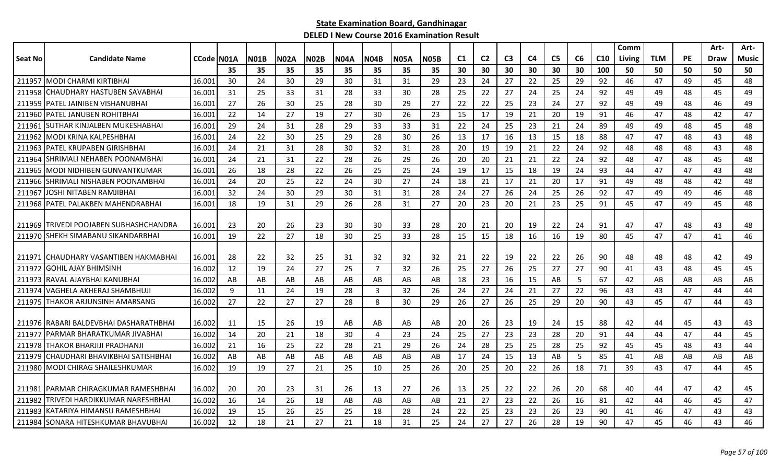|                |                                          |            |     |             |             |             |             |                |             |             |                |                |                |                |                |    |                 | Comm   |            |           | Art-        | Art-         |
|----------------|------------------------------------------|------------|-----|-------------|-------------|-------------|-------------|----------------|-------------|-------------|----------------|----------------|----------------|----------------|----------------|----|-----------------|--------|------------|-----------|-------------|--------------|
| <b>Seat No</b> | <b>Candidate Name</b>                    | CCode N01A |     | <b>N01B</b> | <b>N02A</b> | <b>N02B</b> | <b>N04A</b> | <b>N04B</b>    | <b>N05A</b> | <b>N05B</b> | C <sub>1</sub> | C <sub>2</sub> | C <sub>3</sub> | C <sub>4</sub> | C <sub>5</sub> | C6 | C <sub>10</sub> | Living | <b>TLM</b> | <b>PE</b> | <b>Draw</b> | <b>Music</b> |
|                |                                          |            | 35  | 35          | 35          | 35          | 35          | 35             | 35          | 35          | 30             | 30             | 30             | 30             | 30             | 30 | 100             | 50     | 50         | 50        | 50          | 50           |
|                | 211957 MODI CHARMI KIRTIBHAI             | 16.001     | 30  | 24          | 30          | 29          | 30          | 31             | 31          | 29          | 23             | 24             | 27             | 22             | 25             | 29 | 92              | 46     | 47         | 49        | 45          | 48           |
| 211958         | CHAUDHARY HASTUBEN SAVABHAI              | 16.001     | 31  | 25          | 33          | 31          | 28          | 33             | 30          | 28          | 25             | 22             | 27             | 24             | 25             | 24 | 92              | 49     | 49         | 48        | 45          | 49           |
| 211959         | <b>IPATEL JAINIBEN VISHANUBHAI</b>       | 16.001     | 27  | 26          | 30          | 25          | 28          | 30             | 29          | 27          | 22             | 22             | 25             | 23             | 24             | 27 | 92              | 49     | 49         | 48        | 46          | 49           |
|                | 211960   PATEL JANUBEN ROHITBHAI         | 16.001     | 22  | 14          | 27          | 19          | 27          | 30             | 26          | 23          | 15             | 17             | 19             | 21             | 20             | 19 | 91              | 46     | 47         | 48        | 42          | 47           |
| 211961         | ISUTHAR KINJALBEN MUKESHABHAI            | 16.001     | 29  | 24          | 31          | 28          | 29          | 33             | 33          | 31          | 22             | 24             | 25             | 23             | 21             | 24 | 89              | 49     | 49         | 48        | 45          | 48           |
| 211962         | IMODI KRINA KALPESHBHAI                  | 16.001     | 24  | 22          | 30          | 25          | 29          | 28             | 30          | 26          | 13             | 17             | 16             | 13             | 15             | 18 | 88              | 47     | 47         | 48        | 43          | 48           |
| 211963         | PATEL KRUPABEN GIRISHBHAI                | 16.001     | 24  | 21          | 31          | 28          | 30          | 32             | 31          | 28          | 20             | 19             | 19             | 21             | 22             | 24 | 92              | 48     | 48         | 48        | 43          | 48           |
| 211964         | SHRIMALI NEHABEN POONAMBHAI              | 16.001     | 24  | 21          | 31          | 22          | 28          | 26             | 29          | 26          | 20             | 20             | 21             | 21             | 22             | 24 | 92              | 48     | 47         | 48        | 45          | 48           |
| 211965         | IMODI NIDHIBEN GUNVANTKUMAR              | 16.001     | 26  | 18          | 28          | 22          | 26          | 25             | 25          | 24          | 19             | 17             | 15             | 18             | 19             | 24 | 93              | 44     | 47         | 47        | 43          | 48           |
| 211966         | SHRIMALI NISHABEN POONAMBHAI             | 16.001     | 24  | 20          | 25          | 22          | 24          | 30             | 27          | 24          | 18             | 21             | 17             | 21             | 20             | 17 | 91              | 49     | 48         | 48        | 42          | 48           |
| 211967         | JOSHI NITABEN RAMJIBHAI                  | 16.001     | 32  | 24          | 30          | 29          | 30          | 31             | 31          | 28          | 24             | 27             | 26             | 24             | 25             | 26 | 92              | 47     | 49         | 49        | 46          | 48           |
| 211968         | IPATEL PALAKBEN MAHENDRABHAI             | 16.001     | 18  | 19          | 31          | 29          | 26          | 28             | 31          | 27          | 20             | 23             | 20             | 21             | 23             | 25 | 91              | 45     | 47         | 49        | 45          | 48           |
|                |                                          |            |     |             |             |             |             |                |             |             |                |                |                |                |                |    |                 |        |            |           |             |              |
|                | 211969 TRIVEDI POOJABEN SUBHASHCHANDRA   | 16.001     | 23  | 20          | 26          | 23          | 30          | 30             | 33          | 28          | 20             | 21             | 20             | 19             | 22             | 24 | 91              | 47     | 47         | 48        | 43          | 48           |
|                | 211970 SHEKH SIMABANU SIKANDARBHAI       | 16.001     | 19  | 22          | 27          | 18          | 30          | 25             | 33          | 28          | 15             | 15             | 18             | 16             | 16             | 19 | 80              | 45     | 47         | 47        | 41          | 46           |
|                |                                          |            |     |             |             |             |             |                |             |             |                |                |                |                |                |    |                 |        |            |           |             |              |
|                | 211971 CHAUDHARY VASANTIBEN HAKMABHAI    | 16.001     | -28 | 22          | 32          | 25          | 31          | 32             | 32          | 32          | 21             | 22             | 19             | 22             | 22             | 26 | 90              | 48     | 48         | 48        | 42          | 49           |
| 211972         | <b>GOHIL AJAY BHIMSINH</b>               | 16.002     | 12  | 19          | 24          | 27          | 25          | $\overline{7}$ | 32          | 26          | 25             | 27             | 26             | 25             | 27             | 27 | 90              | 41     | 43         | 48        | 45          | 45           |
| 211973         | IRAVAL AJAYBHAI KANUBHAI                 | 16.002     | AB  | AB          | AB          | AB          | AB          | AB.            | AB          | AB          | 18             | 23             | 16             | 15             | AB             | 5  | 67              | 42     | AB         | AB        | AB          | AB           |
| 211974         | IVAGHELA AKHERAJ SHAMBHUJI               | 16.002     | 9   | 11          | 24          | 19          | 28          | 3              | 32          | 26          | 24             | 27             | 24             | 21             | 27             | 22 | 96              | 43     | 43         | 47        | 44          | 44           |
| 211975         | THAKOR ARJUNSINH AMARSANG                | 16.002     | 27  | 22          | 27          | 27          | 28          | 8              | 30          | 29          | 26             | 27             | 26             | 25             | 29             | 20 | 90              | 43     | 45         | 47        | 44          | 43           |
|                |                                          |            |     |             |             |             |             |                |             |             |                |                |                |                |                |    |                 |        |            |           |             |              |
|                | 211976   RABARI BALDEVBHAI DASHARATHBHAI | 16.002     | 11  | 15          | 26          | 19          | AB          | AB             | AB          | AB          | 20             | 26             | 23             | 19             | 24             | 15 | 88              | 42     | 44         | 45        | 43          | 43           |
| 211977         | IPARMAR BHARATKUMAR JIVABHAI             | 16.002     | 14  | 20          | 21          | 18          | 30          | $\overline{4}$ | 23          | 24          | 25             | 27             | 23             | 23             | 28             | 20 | 91              | 44     | 44         | 47        | 44          | 45           |
| 211978         | <b>THAKOR BHARJIJI PRADHANJI</b>         | 16.002     | 21  | 16          | 25          | 22          | 28          | 21             | 29          | 26          | 24             | 28             | 25             | 25             | 28             | 25 | 92              | 45     | 45         | 48        | 43          | 44           |
| 211979         | <b>I</b> CHAUDHARI BHAVIKBHAI SATISHBHAI | 16.002     | AB  | AB          | AB          | AB          | AB          | AB             | AB          | AB          | 17             | 24             | 15             | 13             | AB             | 5  | 85              | 41     | AB         | AB        | AB          | AB           |
|                | 211980 MODI CHIRAG SHAILESHKUMAR         | 16.002     | 19  | 19          | 27          | 21          | 25          | 10             | 25          | 26          | 20             | 25             | 20             | 22             | 26             | 18 | 71              | 39     | 43         | 47        | 44          | 45           |
|                |                                          |            |     |             |             |             |             |                |             |             |                |                |                |                |                |    |                 |        |            |           |             |              |
| 211981         | IPARMAR CHIRAGKUMAR RAMESHBHAI           | 16.002     | 20  | 20          | 23          | 31          | -26         | 13             | 27          | 26          | 13             | 25             | 22             | 22             | 26             | 20 | 68              | 40     | 44         | 47        | 42          | 45           |
| 211982         | TRIVEDI HARDIKKUMAR NARESHBHAI           | 16.002     | 16  | 14          | 26          | 18          | AB          | AB             | AB          | AB          | 21             | 27             | 23             | 22             | 26             | 16 | 81              | 42     | 44         | 46        | 45          | 47           |
| 211983         | IKATARIYA HIMANSU RAMESHBHAI             | 16.002     | 19  | 15          | 26          | 25          | 25          | 18             | 28          | 24          | 22             | 25             | 23             | 23             | 26             | 23 | 90              | 41     | 46         | 47        | 43          | 43           |
|                | 211984 SONARA HITESHKUMAR BHAVUBHAI      | 16.002     | 12  | 18          | 21          | 27          | 21          | 18             | 31          | 25          | 24             | 27             | 27             | 26             | 28             | 19 | 90              | 47     | 45         | 46        | 43          | 46           |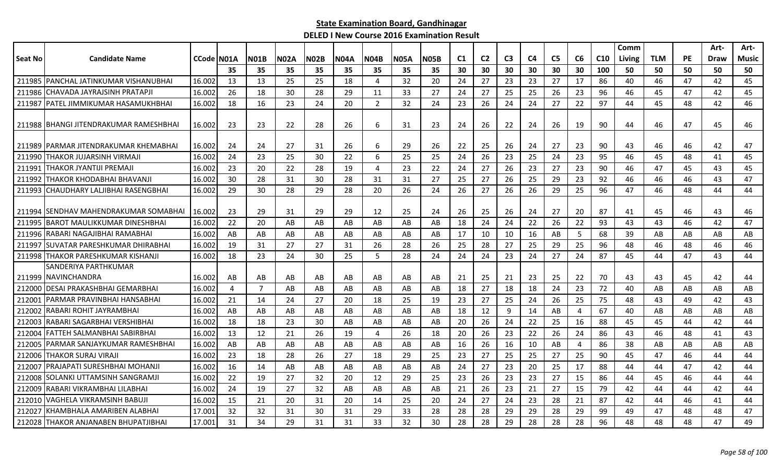|                |                                        |            |                |             |             |             |             |             |             |             |    |                |                |                |                |                |                 | Comm   |            |           | Art- | Art-  |
|----------------|----------------------------------------|------------|----------------|-------------|-------------|-------------|-------------|-------------|-------------|-------------|----|----------------|----------------|----------------|----------------|----------------|-----------------|--------|------------|-----------|------|-------|
| <b>Seat No</b> | <b>Candidate Name</b>                  | CCode N01A |                | <b>N01B</b> | <b>N02A</b> | <b>N02B</b> | <b>N04A</b> | <b>N04B</b> | <b>N05A</b> | <b>N05B</b> | C1 | C <sub>2</sub> | C <sub>3</sub> | C <sub>4</sub> | C <sub>5</sub> | C6             | C <sub>10</sub> | Living | <b>TLM</b> | <b>PE</b> | Draw | Music |
|                |                                        |            | 35             | 35          | 35          | 35          | 35          | 35          | 35          | 35          | 30 | 30             | 30             | 30             | 30             | 30             | 100             | 50     | 50         | 50        | 50   | 50    |
|                | 211985 PANCHAL JATINKUMAR VISHANUBHAI  | 16.002     | 13             | 13          | 25          | 25          | 18          | 4           | 32          | 20          | 24 | 27             | 23             | 23             | 27             | 17             | 86              | 40     | 46         | 47        | 42   | 45    |
|                | 211986 CHAVADA JAYRAJSINH PRATAPJI     | 16.002     | 26             | 18          | 30          | 28          | 29          | 11          | 33          | 27          | 24 | 27             | 25             | 25             | 26             | 23             | 96              | 46     | 45         | 47        | 42   | 45    |
| 211987         | PATEL JIMMIKUMAR HASAMUKHBHAI          | 16.002     | 18             | 16          | 23          | 24          | 20          | 2           | 32          | 24          | 23 | 26             | 24             | 24             | 27             | 22             | 97              | 44     | 45         | 48        | 42   | 46    |
|                | 211988 BHANGI JITENDRAKUMAR RAMESHBHAI | 16.002     | -23            | 23          | 22          | 28          | 26          | 6           | 31          | 23          | 24 | 26             | 22             | 24             | 26             | 19             | 90              | 44     | 46         | 47        | 45   | 46    |
|                |                                        |            |                |             |             |             |             |             |             |             |    |                |                |                |                |                |                 |        |            |           |      |       |
|                | 211989 IPARMAR JITENDRAKUMAR KHEMABHAI | 16.002     | -24            | 24          | 27          | 31          | 26          | 6           | 29          | 26          | 22 | 25             | 26             | 24             | 27             | 23             | 90              | 43     | 46         | 46        | 42   | 47    |
| 211990         | THAKOR JUJARSINH VIRMAJI               | 16.002     | 24             | 23          | 25          | 30          | 22          | 6           | 25          | 25          | 24 | 26             | 23             | 25             | 24             | 23             | 95              | 46     | 45         | 48        | 41   | 45    |
| 211991         | ITHAKOR JYANTIJI PREMAJI               | 16.002     | 23             | 20          | 22          | 28          | 19          | 4           | 23          | 22          | 24 | 27             | 26             | 23             | 27             | 23             | 90              | 46     | 47         | 45        | 43   | 45    |
| 211992         | THAKOR KHODABHAI BHAVANJI              | 16.002     | 30             | 28          | 31          | 30          | 28          | 31          | 31          | 27          | 25 | 27             | 26             | 25             | 29             | 23             | 92              | 46     | 46         | 46        | 43   | 47    |
| 211993         | CHAUDHARY LALJIBHAI RASENGBHAI         | 16.002     | 29             | 30          | 28          | 29          | 28          | 20          | 26          | 24          | 26 | 27             | 26             | 26             | 29             | 25             | 96              | 47     | 46         | 48        | 44   | 44    |
|                |                                        |            |                |             |             |             |             |             |             |             |    |                |                |                |                |                |                 |        |            |           |      |       |
|                | 211994 ISENDHAV MAHENDRAKUMAR SOMABHAI | 16.002     | 23             | 29          | 31          | 29          | 29          | 12          | 25          | 24          | 26 | 25             | 26             | 24             | 27             | 20             | 87              | 41     | 45         | 46        | 43   | 46    |
| 211995         | <b>BAROT MAULIKKUMAR DINESHBHAI</b>    | 16.002     | 22             | 20          | AB          | AB          | AB          | AB          | AB          | AB          | 18 | 24             | 24             | 22             | 26             | 22             | 93              | 43     | 43         | 46        | 42   | 47    |
| 211996         | RABARI NAGAJIBHAI RAMABHAI             | 16.002     | AB             | AB          | AB          | AB          | AB          | AB          | AB          | AB          | 17 | 10             | 10             | 16             | AB             | 5              | 68              | 39     | AB         | AB        | AB   | AB    |
| 211997         | SUVATAR PARESHKUMAR DHIRABHAI          | 16.002     | 19             | 31          | 27          | 27          | 31          | 26          | 28          | 26          | 25 | 28             | 27             | 25             | 29             | 25             | 96              | 48     | 46         | 48        | 46   | 46    |
| 211998         | THAKOR PARESHKUMAR KISHANJI            | 16.002     | 18             | 23          | 24          | 30          | 25          | 5           | 28          | 24          | 24 | 24             | 23             | 24             | 27             | 24             | 87              | 45     | 44         | 47        | 43   | 44    |
|                | SANDERIYA PARTHKUMAR                   |            |                |             |             |             |             |             |             |             |    |                |                |                |                |                |                 |        |            |           |      |       |
|                | 211999 INAVINCHANDRA                   | 16.002     | AB             | AB          | AB          | AB          | AB          | AB          | AB          | AB          | 21 | 25             | 21             | 23             | 25             | 22             | 70              | 43     | 43         | 45        | 42   | 44    |
| 212000         | DESAI PRAKASHBHAI GEMARBHAI            | 16.002     | $\overline{4}$ | 7           | AB          | AB          | AB          | AB          | AB          | AB          | 18 | 27             | 18             | 18             | 24             | 23             | 72              | 40     | AB         | AB        | AB   | AB    |
| 212001         | IPARMAR PRAVINBHAI HANSABHAI           | 16.002     | 21             | 14          | 24          | 27          | 20          | 18          | 25          | 19          | 23 | 27             | 25             | 24             | 26             | 25             | 75              | 48     | 43         | 49        | 42   | 43    |
| 212002         | RABARI ROHIT JAYRAMBHAI                | 16.002     | AB             | AB          | AB          | AB          | AB          | AB          | AB          | AB          | 18 | 12             | 9              | 14             | AB             | $\overline{4}$ | 67              | 40     | AB         | AB        | AB   | AB    |
| 212003         | RABARI SAGARBHAI VERSHIBHAI            | 16.002     | 18             | 18          | 23          | 30          | AB          | AB          | AB          | AB          | 20 | 26             | 24             | 22             | 25             | 16             | 88              | 45     | 45         | 44        | 42   | 44    |
| 212004         | IFATTEH SALMANBHAI SABIRBHAI           | 16.002     | -13            | 12          | 21          | 26          | 19          | 4           | 26          | 18          | 20 | 26             | 23             | 22             | 26             | 24             | 86              | 43     | 46         | 48        | 41   | 43    |
| 21200          | PARMAR SANJAYKUMAR RAMESHBHAI          | 16.002     | AB             | AB          | AB          | AB          | AB          | AB          | AB          | AB          | 16 | 26             | 16             | 10             | AB             | $\overline{4}$ | 86              | 38     | AB         | AB        | AB   | AB    |
| 212006         | <b>THAKOR SURAJ VIRAJI</b>             | 16.002     | 23             | 18          | 28          | 26          | 27          | 18          | 29          | 25          | 23 | 27             | 25             | 25             | 27             | 25             | 90              | 45     | 47         | 46        | 44   | 44    |
| 212007         | PRAJAPATI SURESHBHAI MOHANJI           | 16.002     | 16             | 14          | AB          | AB          | AB          | AB          | AB          | AB          | 24 | 27             | 23             | 20             | 25             | 17             | 88              | 44     | 44         | 47        | 42   | 44    |
| 212008         | SOLANKI UTTAMSINH SANGRAMJI            | 16.002     | 22             | 19          | 27          | 32          | 20          | 12          | 29          | 25          | 23 | 26             | 23             | 23             | 27             | 15             | 86              | 44     | 45         | 46        | 44   | 44    |
| 212009         | RABARI VIKRAMBHAI LILABHAI             | 16.002     | 24             | 19          | 27          | 32          | AB          | AB          | AB          | AB          | 21 | 26             | 23             | 21             | 27             | 15             | 79              | 42     | 44         | 44        | 42   | 44    |
| 212010         | VAGHELA VIKRAMSINH BABUJI              | 16.002     | -15            | 21          | 20          | 31          | 20          | 14          | 25          | 20          | 24 | 27             | 24             | 23             | 28             | 21             | 87              | 42     | 44         | 46        | 41   | 44    |
| 212027         | KHAMBHALA AMARIBEN ALABHAI             | 17.001     | 32             | 32          | 31          | 30          | 31          | 29          | 33          | 28          | 28 | 28             | 29             | 29             | 28             | 29             | 99              | 49     | 47         | 48        | 48   | 47    |
|                | 212028 THAKOR ANJANABEN BHUPATJIBHAI   | 17.001     | 31             | 34          | 29          | 31          | 31          | 33          | 32          | 30          | 28 | 28             | 29             | 28             | 28             | 28             | 96              | 48     | 48         | 48        | 47   | 49    |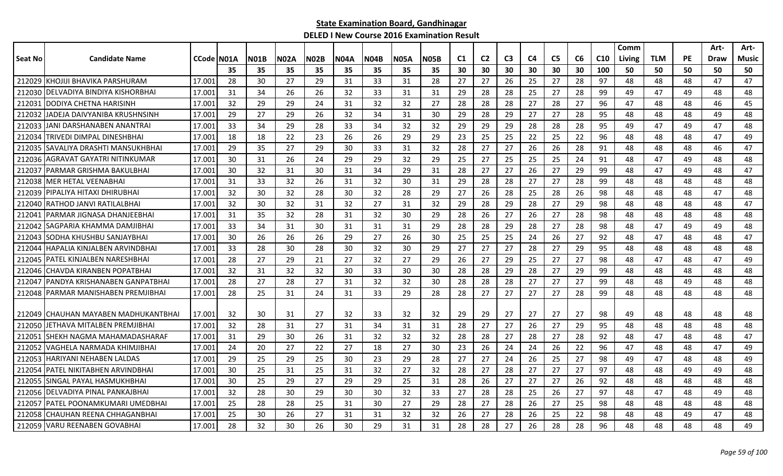|         |                                        |                    |     |             |       |             |             |       |             |             |    |                |                |                |                |    |                 | Comm   |            |           | Art- | Art-  |
|---------|----------------------------------------|--------------------|-----|-------------|-------|-------------|-------------|-------|-------------|-------------|----|----------------|----------------|----------------|----------------|----|-----------------|--------|------------|-----------|------|-------|
| Seat No | <b>Candidate Name</b>                  | <b>CCode IN01A</b> |     | <b>N01B</b> | INO2A | <b>N02B</b> | <b>N04A</b> | IN04B | <b>N05A</b> | <b>N05B</b> | C1 | C <sub>2</sub> | C <sub>3</sub> | C <sub>4</sub> | C <sub>5</sub> | C6 | C <sub>10</sub> | Living | <b>TLM</b> | <b>PE</b> | Draw | Music |
|         |                                        |                    | 35  | -35         | 35    | 35          | 35          | 35    | 35          | 35          | 30 | 30             | 30             | 30             | 30             | 30 | 100             | 50     | 50         | 50        | 50   | 50    |
|         | 212029 KHOJIJI BHAVIKA PARSHURAM       | 17.001             | -28 | 30          | 27    | 29          | 31          | 33    | 31          | 28          | 27 | 27             | 26             | 25             | 27             | 28 | 97              | 48     | 48         | 48        | 47   | 47    |
|         | 212030 DELVADIYA BINDIYA KISHORBHAI    | 17.001             | 31  | 34          | 26    | 26          | 32          | 33    | 31          | 31          | 29 | 28             | 28             | 25             | 27             | 28 | 99              | 49     | 47         | 49        | 48   | 48    |
|         | 212031 DODIYA CHETNA HARISINH          | 17.00:             | 32  | 29          | 29    | 24          | 31          | 32    | 32          | 27          | 28 | 28             | 28             | 27             | 28             | 27 | 96              | 47     | 48         | 48        | 46   | 45    |
|         | 212032 JJADEJA DAIVYANIBA KRUSHNSINH   | 17.001             | -29 | 27          | 29    | 26          | 32          | 34    | 31          | 30          | 29 | 28             | 29             | 27             | 27             | 28 | 95              | 48     | 48         | 48        | 49   | 48    |
|         | 212033 JJANI DARSHANABEN ANANTRAI      | 17.00              | 33  | 34          | 29    | 28          | 33          | 34    | 32          | 32          | 29 | 29             | 29             | 28             | 28             | 28 | 95              | 49     | 47         | 49        | 47   | 48    |
| 212034  | TRIVEDI DIMPAL DINESHBHAI              | 17.00              | 18  | 18          | 22    | 23          | 26          | 26    | 29          | 29          | 23 | 25             | 25             | 22             | 25             | 22 | 96              | 48     | 48         | 48        | 47   | 49    |
| 212035  | SAVALIYA DRASHTI MANSUKHBHAI           | 17.00              | 29  | 35          | 27    | 29          | 30          | 33    | 31          | 32          | 28 | 27             | 27             | 26             | 26             | 28 | 91              | 48     | 48         | 48        | 46   | 47    |
| 212036  | AGRAVAT GAYATRI NITINKUMAR             | 17.00              | 30  | 31          | 26    | 24          | 29          | 29    | 32          | 29          | 25 | 27             | 25             | 25             | 25             | 24 | 91              | 48     | 47         | 49        | 48   | 48    |
| 212037  | <b> PARMAR GRISHMA BAKULBHAI</b>       | 17.00              | 30  | 32          | 31    | 30          | 31          | 34    | 29          | 31          | 28 | 27             | 27             | 26             | 27             | 29 | 99              | 48     | 47         | 49        | 48   | 47    |
|         | 212038 MER HETAL VEENABHAI             | 17.00              | 31  | 33          | 32    | 26          | 31          | 32    | 30          | 31          | 29 | 28             | 28             | 27             | 27             | 28 | 99              | 48     | 48         | 48        | 48   | 48    |
|         | 212039   PIPALIYA HITAXI DHIRUBHAI     | 17.001             | 32  | 30          | 32    | 28          | 30          | 32    | 28          | 29          | 27 | 26             | 28             | 25             | 28             | 26 | 98              | 48     | 48         | 48        | 47   | 48    |
|         | 212040 RATHOD JANVI RATILALBHAI        | 17.00              | 32  | 30          | 32    | 31          | 32          | 27    | 31          | 32          | 29 | 28             | 29             | 28             | 27             | 29 | 98              | 48     | 48         | 48        | 48   | 47    |
|         | 212041   PARMAR JIGNASA DHANJEEBHAI    | 17.00              | 31  | 35          | 32    | 28          | 31          | 32    | 30          | 29          | 28 | 26             | 27             | 26             | 27             | 28 | 98              | 48     | 48         | 48        | 48   | 48    |
| 212042  | SAGPARIA KHAMMA DAMJIBHAI              | 17.00              | 33  | 34          | 31    | 30          | 31          | 31    | 31          | 29          | 28 | 28             | 29             | 28             | 27             | 28 | 98              | 48     | 47         | 49        | 49   | 48    |
| 212043  | SODHA KHUSHBU SANJAYBHAI               | 17.001             | 30  | 26          | 26    | 26          | 29          | 27    | 26          | 30          | 25 | 25             | 25             | 24             | 26             | 27 | 92              | 48     | 47         | 48        | 48   | 47    |
| 212044  | HAPALIA KINJALBEN ARVINDBHAI           | 17.00              | 33  | 28          | 30    | 28          | 30          | 32    | 30          | 29          | 27 | 27             | 27             | 28             | 27             | 29 | 95              | 48     | 48         | 48        | 48   | 48    |
| 212045  | lPATEL KINJALBEN NARESHBHAI            | 17.00              | 28  | 27          | 29    | 21          | 27          | 32    | 27          | 29          | 26 | 27             | 29             | 25             | 27             | 27 | 98              | 48     | 47         | 48        | 47   | 49    |
|         | 212046 CHAVDA KIRANBEN POPATBHAI       | 17.00:             | 32  | 31          | 32    | 32          | 30          | 33    | 30          | 30          | 28 | 28             | 29             | 28             | 27             | 29 | 99              | 48     | 48         | 48        | 48   | 48    |
|         | 212047   PANDYA KRISHANABEN GANPATBHAI | 17.00              | 28  | 27          | 28    | 27          | 31          | 32    | 32          | 30          | 28 | 28             | 28             | 27             | 27             | 27 | 99              | 48     | 48         | 49        | 48   | 48    |
|         | 212048 PARMAR MANISHABEN PREMJIBHAI    | 17.00              | 28  | 25          | 31    | 24          | 31          | 33    | 29          | 28          | 28 | 27             | 27             | 27             | 27             | 28 | 99              | 48     | 48         | 48        | 48   | 48    |
|         |                                        |                    |     |             |       |             |             |       |             |             |    |                |                |                |                |    |                 |        |            |           |      |       |
|         | 212049 ICHAUHAN MAYABEN MADHUKANTBHAI  | 17.001             | 32  | 30          | 31    | 27          | 32          | 33    | 32          | 32          | 29 | 29             | 27             | 27             | 27             | 27 | 98              | 49     | 48         | 48        | 48   | 48    |
|         | 212050 JETHAVA MITALBEN PREMJIBHAI     | 17.00              | 32  | 28          | 31    | 27          | 31          | 34    | 31          | 31          | 28 | 27             | 27             | 26             | 27             | 29 | 95              | 48     | 48         | 48        | 48   | 48    |
|         | 212051 SHEKH NAGMA MAHAMADASHARAF      | 17.00:             | 31  | 29          | 30    | 26          | 31          | 32    | 32          | 32          | 28 | 28             | 27             | 28             | 27             | 28 | 92              | 48     | 47         | 48        | 48   | 47    |
| 212052  | VAGHELA NARMADA KHIMJIBHAI             | 17.00              | 24  | 20          | 27    | 22          | 27          | 18    | 27          | 30          | 23 | 26             | 24             | 24             | 26             | 22 | 96              | 47     | 48         | 48        | 47   | 49    |
| 212053  | HARIYANI NEHABEN LALDAS                | 17.00              | 29  | 25          | 29    | 25          | 30          | 23    | 29          | 28          | 27 | 27             | 24             | 26             | 25             | 27 | 98              | 49     | 47         | 48        | 48   | 49    |
| 212054  | PATEL NIKITABHEN ARVINDBHAI            | 17.001             | 30  | 25          | 31    | 25          | 31          | 32    | 27          | 32          | 28 | 27             | 28             | 27             | 27             | 27 | 97              | 48     | 48         | 49        | 49   | 48    |
|         | 212055 SINGAL PAYAL HASMUKHBHAI        | 17.00              | 30  | 25          | 29    | 27          | 29          | 29    | 25          | 31          | 28 | 26             | 27             | 27             | 27             | 26 | 92              | 48     | 48         | 48        | 48   | 48    |
|         | 212056 DELVADIYA PINAL PANKAJBHAI      | 17.00              | 32  | 28          | 30    | 29          | 30          | 30    | 32          | 33          | 27 | 28             | 28             | 25             | 26             | 27 | 97              | 48     | 47         | 48        | 49   | 48    |
|         | 212057   PATEL POONAMKUMARI UMEDBHAI   | 17.00              | 25  | 28          | 28    | 25          | 31          | 30    | 27          | 29          | 28 | 27             | 28             | 26             | 27             | 25 | 98              | 48     | 48         | 48        | 48   | 48    |
| 212058  | ICHAUHAN REENA CHHAGANBHAI             | 17.00:             | 25  | 30          | 26    | 27          | 31          | 31    | 32          | 32          | 26 | 27             | 28             | 26             | 25             | 22 | 98              | 48     | 48         | 49        | 47   | 48    |
|         | 212059 VARU REENABEN GOVABHAI          | 17.001             | 28  | 32          | 30    | 26          | 30          | 29    | 31          | 31          | 28 | 28             | 27             | 26             | 28             | 28 | 96              | 48     | 48         | 48        | 48   | 49    |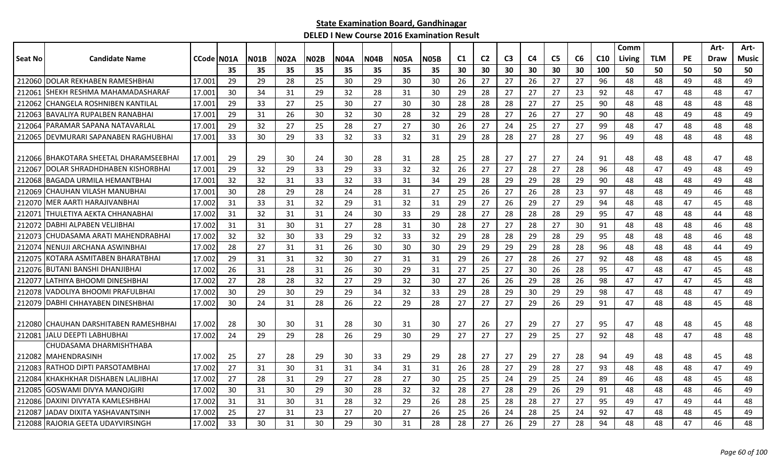|                |                                        |            |     |             |             |             |             |             |             |             |    |                |                |    |                |    |                 | Comm   |            |           | Art- | Art-         |
|----------------|----------------------------------------|------------|-----|-------------|-------------|-------------|-------------|-------------|-------------|-------------|----|----------------|----------------|----|----------------|----|-----------------|--------|------------|-----------|------|--------------|
| <b>Seat No</b> | <b>Candidate Name</b>                  | CCode N01A |     | <b>N01B</b> | <b>N02A</b> | <b>N02B</b> | <b>N04A</b> | <b>N04B</b> | <b>N05A</b> | <b>N05B</b> | C1 | C <sub>2</sub> | C <sub>3</sub> | C4 | C <sub>5</sub> | C6 | C <sub>10</sub> | Living | <b>TLM</b> | <b>PE</b> | Draw | <b>Music</b> |
|                |                                        |            | 35  | 35          | 35          | 35          | 35          | 35          | 35          | 35          | 30 | 30             | 30             | 30 | 30             | 30 | 100             | 50     | 50         | 50        | 50   | 50           |
| 212060         | <b>DOLAR REKHABEN RAMESHBHAI</b>       | 17.001     | 29  | 29          | 28          | 25          | 30          | 29          | 30          | 30          | 26 | 27             | 27             | 26 | 27             | 27 | 96              | 48     | 48         | 49        | 48   | 49           |
| 212061         | SHEKH RESHMA MAHAMADASHARAF            | 17.001     | 30  | 34          | 31          | 29          | 32          | 28          | 31          | 30          | 29 | 28             | 27             | 27 | 27             | 23 | 92              | 48     | 47         | 48        | 48   | 47           |
| 212062         | CHANGELA ROSHNIBEN KANTILAL            | 17.001     | 29  | 33          | 27          | 25          | 30          | 27          | 30          | 30          | 28 | 28             | 28             | 27 | 27             | 25 | 90              | 48     | 48         | 48        | 48   | 48           |
| 212063         | <b>BAVALIYA RUPALBEN RANABHAI</b>      | 17.001     | 29  | 31          | 26          | 30          | 32          | 30          | 28          | 32          | 29 | 28             | 27             | 26 | 27             | 27 | 90              | 48     | 48         | 49        | 48   | 49           |
| 212064         | PARAMAR SAPANA NATAVARLAL              | 17.001     | 29  | 32          | 27          | 25          | 28          | 27          | 27          | 30          | 26 | 27             | 24             | 25 | 27             | 27 | 99              | 48     | 47         | 48        | 48   | 48           |
| 212065         | DEVMURARI SAPANABEN RAGHUBHAI          | 17.001     | 33  | 30          | 29          | 33          | 32          | 33          | 32          | 31          | 29 | 28             | 28             | 27 | 28             | 27 | 96              | 49     | 48         | 48        | 48   | 48           |
|                |                                        |            |     |             |             |             |             |             |             |             |    |                |                |    |                |    |                 |        |            |           |      |              |
|                | 212066 BHAKOTARA SHEETAL DHARAMSEEBHAI | 17.001     | 29  | 29          | 30          | 24          | 30          | 28          | 31          | 28          | 25 | 28             | 27             | 27 | 27             | 24 | 91              | 48     | 48         | 48        | 47   | 48           |
| 21206          | DOLAR SHRADHDHABEN KISHORBHAI          | 17.001     | 29  | 32          | 29          | 33          | 29          | 33          | 32          | 32          | 26 | 27             | 27             | 28 | 27             | 28 | 96              | 48     | 47         | 49        | 48   | 49           |
| 212068         | <b>BAGADA URMILA HEMANTBHAI</b>        | 17.001     | 32  | 32          | 31          | 33          | 32          | 33          | 31          | 34          | 29 | 28             | 29             | 29 | 28             | 29 | 90              | 48     | 48         | 48        | 49   | 48           |
| 212069         | CHAUHAN VILASH MANUBHAI                | 17.001     | 30  | 28          | 29          | 28          | 24          | 28          | 31          | 27          | 25 | 26             | 27             | 26 | 28             | 23 | 97              | 48     | 48         | 49        | 46   | 48           |
| 212070         | MER AARTI HARAJIVANBHAI                | 17.002     | 31  | 33          | 31          | 32          | 29          | 31          | 32          | 31          | 29 | 27             | 26             | 29 | 27             | 29 | 94              | 48     | 48         | 47        | 45   | 48           |
| 212071         | THULETIYA AEKTA CHHANABHAI             | 17.002     | 31  | 32          | 31          | 31          | 24          | 30          | 33          | 29          | 28 | 27             | 28             | 28 | 28             | 29 | 95              | 47     | 48         | 48        | 44   | 48           |
| 212072         | DABHI ALPABEN VELJIBHAI                | 17.002     | 31  | 31          | 30          | 31          | 27          | 28          | 31          | 30          | 28 | 27             | 27             | 28 | 27             | 30 | 91              | 48     | 48         | 48        | 46   | 48           |
| 21207          | CHUDASAMA ARATI MAHENDRABHAI           | 17.002     | 32  | 32          | 30          | 33          | 29          | 32          | 33          | 32          | 29 | 28             | 28             | 29 | 28             | 29 | 95              | 48     | 48         | 48        | 46   | 48           |
| 212074         | NENUJI ARCHANA ASWINBHAI               | 17.002     | 28  | 27          | 31          | 31          | 26          | 30          | 30          | 30          | 29 | 29             | 29             | 29 | 28             | 28 | 96              | 48     | 48         | 48        | 44   | 49           |
| 212075         | KOTARA ASMITABEN BHARATBHAI            | 17.002     | 29  | 31          | 31          | 32          | 30          | 27          | 31          | 31          | 29 | 26             | 27             | 28 | 26             | 27 | 92              | 48     | 48         | 48        | 45   | 48           |
| 212076         | BUTANI BANSHI DHANJIBHAI               | 17.002     | 26  | 31          | 28          | 31          | 26          | 30          | 29          | 31          | 27 | 25             | 27             | 30 | 26             | 28 | 95              | 47     | 48         | 47        | 45   | 48           |
| 212077         | LATHIYA BHOOMI DINESHBHAI              | 17.002     | 27  | 28          | 28          | 32          | 27          | 29          | 32          | 30          | 27 | 26             | 26             | 29 | 28             | 26 | 98              | 47     | 47         | 47        | 45   | 48           |
| 212078         | <b>VADOLIYA BHOOMI PRAFULBHAI</b>      | 17.002     | 30  | 29          | 30          | 29          | 29          | 34          | 32          | 33          | 29 | 28             | 29             | 30 | 29             | 29 | 98              | 47     | 48         | 48        | 47   | 49           |
| 212079         | DABHI CHHAYABEN DINESHBHAI             | 17.002     | 30  | 24          | 31          | 28          | 26          | 22          | 29          | 28          | 27 | 27             | 27             | 29 | 26             | 29 | 91              | 47     | 48         | 48        | 45   | 48           |
|                |                                        |            |     |             |             |             |             |             |             |             |    |                |                |    |                |    |                 |        |            |           |      |              |
|                | 212080 CHAUHAN DARSHITABEN RAMESHBHAI  | 17.002     | -28 | 30          | 30          | 31          | 28          | 30          | 31          | 30          | 27 | 26             | 27             | 29 | 27             | 27 | 95              | 47     | 48         | 48        | 45   | 48           |
| 212081         | <b>JALU DEEPTI LABHUBHAI</b>           | 17.002     | 24  | 29          | 29          | 28          | 26          | 29          | 30          | 29          | 27 | 27             | 27             | 29 | 25             | 27 | 92              | 48     | 48         | 47        | 48   | 48           |
|                | CHUDASAMA DHARMISHTHABA                |            |     |             |             |             |             |             |             |             |    |                |                |    |                |    |                 |        |            |           |      |              |
|                | 212082 MAHENDRASINH                    | 17.002     | 25  | 27          | 28          | 29          | 30          | 33          | 29          | 29          | 28 | 27             | 27             | 29 | 27             | 28 | 94              | 49     | 48         | 48        | 45   | 48           |
| 212083         | <b>RATHOD DIPTI PARSOTAMBHAI</b>       | 17.002     | 27  | 31          | 30          | 31          | 31          | 34          | 31          | 31          | 26 | 28             | 27             | 29 | 28             | 27 | 93              | 48     | 48         | 48        | 47   | 49           |
| 212084         | KHAKHKHAR DISHABEN LALJIBHAI           | 17.002     | 27  | 28          | 31          | 29          | 27          | 28          | 27          | 30          | 25 | 25             | 24             | 29 | 25             | 24 | 89              | 46     | 48         | 48        | 45   | 48           |
| 212085         | GOSWAMI DIVYA MANOJGIRI                | 17.002     | 30  | 31          | 30          | 29          | 30          | 28          | 32          | 32          | 28 | 27             | 28             | 29 | 26             | 29 | 91              | 48     | 48         | 48        | 46   | 49           |
| 212086         | DAXINI DIVYATA KAMLESHBHAI             | 17.002     | 31  | 31          | 30          | 31          | 28          | 32          | 29          | 26          | 28 | 25             | 28             | 28 | 27             | 27 | 95              | 49     | 47         | 49        | 44   | 48           |
| 212087         | JADAV DIXITA YASHAVANTSINH             | 17.002     | 25  | 27          | 31          | 23          | 27          | 20          | 27          | 26          | 25 | 26             | 24             | 28 | 25             | 24 | 92              | 47     | 48         | 48        | 45   | 49           |
|                | 212088 RAJORIA GEETA UDAYVIRSINGH      | 17.002     | 33  | 30          | 31          | 30          | 29          | 30          | 31          | 28          | 28 | 27             | 26             | 29 | 27             | 28 | 94              | 48     | 48         | 47        | 46   | 48           |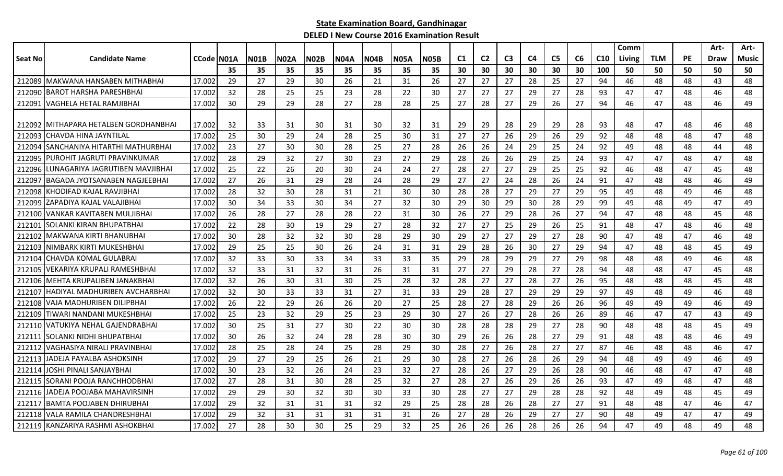|         |                                        |                     |    |      |      |             |             |             |             |      |     |                |                |    |                |    |                 | Comm   |            |           | Art- | Art-  |
|---------|----------------------------------------|---------------------|----|------|------|-------------|-------------|-------------|-------------|------|-----|----------------|----------------|----|----------------|----|-----------------|--------|------------|-----------|------|-------|
| Seat No | <b>Candidate Name</b>                  | <b>CCode   NO1A</b> |    | NO1B | N02A | <b>NO2B</b> | <b>N04A</b> | <b>N04B</b> | <b>N05A</b> | N05B | C1  | C <sub>2</sub> | C <sub>3</sub> | C4 | C <sub>5</sub> | C6 | C <sub>10</sub> | Living | <b>TLM</b> | <b>PE</b> | Draw | Music |
|         |                                        |                     | 35 | 35   | 35   | 35          | 35          | 35          | 35          | 35   | 30  | 30             | 30             | 30 | 30             | 30 | 100             | 50     | 50         | 50        | 50   | 50    |
| 212089  | MAKWANA HANSABEN MITHABHAI             | 17.002              | 29 | 27   | 29   | 30          | 26          | 21          | 31          | 26   | 27  | 27             | 27             | 28 | 25             | 27 | 94              | 46     | 48         | 48        | 43   | 48    |
| 212090  | <b>BAROT HARSHA PARESHBHAI</b>         | 17.002              | 32 | 28   | 25   | 25          | 23          | 28          | 22          | 30   | 27  | 27             | 27             | 29 | 27             | 28 | 93              | 47     | 47         | 48        | 46   | 48    |
| 212091  | <b>VAGHELA HETAL RAMJIBHAI</b>         | 17.002              | 30 | 29   | 29   | 28          | 27          | 28          | 28          | 25   | 27  | 28             | 27             | 29 | 26             | 27 | 94              | 46     | 47         | 48        | 46   | 49    |
|         | 212092 IMITHAPARA HETALBEN GORDHANBHAI | 17.002              | 32 | 33   | 31   | 30          | 31          | 30          | 32          | 31   | 29  | 29             | 28             | 29 | 29             | 28 | 93              | 48     | 47         | 48        | 46   | 48    |
| 212093  | CHAVDA HINA JAYNTILAL                  | 17.002              | 25 | 30   | 29   | 24          | 28          | 25          | 30          | 31   | 27  | 27             | 26             | 29 | 26             | 29 | 92              | 48     | 48         | 48        | 47   | 48    |
| 212094  | SANCHANIYA HITARTHI MATHURBHAI         | 17.002              | 23 | 27   | 30   | 30          | 28          | 25          | 27          | 28   | 26  | 26             | 24             | 29 | 25             | 24 | 92              | 49     | 48         | 48        | 44   | 48    |
| 212095  | PUROHIT JAGRUTI PRAVINKUMAR            | 17.002              | 28 | 29   | 32   | 27          | 30          | 23          | 27          | 29   | 28  | 26             | 26             | 29 | 25             | 24 | 93              | 47     | 47         | 48        | 47   | 48    |
| 212096  | LUNAGARIYA JAGRUTIBEN MAVJIBHAI        | 17.002              | 25 | 22   | 26   | 20          | 30          | 24          | 24          | 27   | 28  | 27             | 27             | 29 | 25             | 25 | 92              | 46     | 48         | 47        | 45   | 48    |
| 21209   | BAGADA JYOTSANABEN NAGJEEBHAI          | 17.002              | 27 | 26   | 31   | 29          | 28          | 24          | 28          | 29   | 27  | 27             | 24             | 28 | 26             | 24 | 91              | 47     | 48         | 48        | 46   | 49    |
| 212098  | KHODIFAD KAJAL RAVJIBHAI               | 17.002              | 28 | 32   | 30   | 28          | 31          | 21          | 30          | 30   | 28  | 28             | 27             | 29 | 27             | 29 | 95              | 49     | 48         | 49        | 46   | 48    |
| 212099  | IZAPADIYA KAJAL VALAJIBHAI             | 17.002              | 30 | 34   | 33   | 30          | 34          | 27          | 32          | 30   | 29  | 30             | 29             | 30 | 28             | 29 | 99              | 49     | 48         | 49        | 47   | 49    |
| 212100  | IVANKAR KAVITABEN MULJIBHAI            | 17.002              | 26 | 28   | 27   | 28          | 28          | 22          | 31          | 30   | -26 | 27             | 29             | 28 | 26             | 27 | 94              | 47     | 48         | 48        | 45   | 48    |
| 212101  | SOLANKI KIRAN BHUPATBHAI               | 17.002              | 22 | 28   | 30   | 19          | 29          | 27          | 28          | 32   | 27  | 27             | 25             | 29 | 26             | 25 | 91              | 48     | 47         | 48        | 46   | 48    |
| 212102  | lMAKWANA KIRTI BHANUBHAI               | 17.002              | 30 | 28   | 32   | 32          | 30          | 28          | 29          | 30   | 29  | 27             | 27             | 29 | 27             | 28 | 90              | 47     | 48         | 47        | 46   | 48    |
| 212103  | NIMBARK KIRTI MUKESHBHAI               | 17.002              | 29 | 25   | 25   | 30          | 26          | 24          | 31          | 31   | 29  | 28             | 26             | 30 | 27             | 29 | 94              | 47     | 48         | 48        | 45   | 49    |
| 212104  | CHAVDA KOMAL GULABRAI                  | 17.002              | 32 | 33   | 30   | 33          | 34          | 33          | 33          | 35   | 29  | 28             | 29             | 29 | 27             | 29 | 98              | 48     | 48         | 49        | 46   | 48    |
| 212105  | VEKARIYA KRUPALI RAMESHBHAI            | 17.002              | 32 | 33   | 31   | 32          | 31          | 26          | 31          | 31   | 27  | 27             | 29             | 28 | 27             | 28 | 94              | 48     | 48         | 47        | 45   | 48    |
| 212106  | MEHTA KRUPALIBEN JANAKBHAI             | 17.002              | 32 | 26   | 30   | 31          | 30          | 25          | 28          | 32   | 28  | 27             | 27             | 28 | 27             | 26 | 95              | 48     | 48         | 48        | 45   | 48    |
| 212107  | IHADIYAL MADHURIBEN AVCHARBHAI         | 17.002              | 32 | 30   | 33   | 33          | 31          | 27          | 31          | 33   | 29  | 28             | 27             | 29 | 29             | 29 | 97              | 49     | 48         | 49        | 46   | 48    |
| 212108  | VAJA MADHURIBEN DILIPBHAI              | 17.002              | 26 | 22   | 29   | 26          | 26          | 20          | 27          | 25   | 28  | 27             | 28             | 29 | 26             | 26 | 96              | 49     | 49         | 49        | 46   | 49    |
| 212109  | <b>ITIWARI NANDANI MUKESHBHAI</b>      | 17.002              | 25 | 23   | 32   | 29          | 25          | 23          | 29          | 30   | 27  | 26             | 27             | 28 | 26             | 26 | 89              | 46     | 47         | 47        | 43   | 49    |
| 212110  | VATUKIYA NEHAL GAJENDRABHAI            | 17.002              | 30 | 25   | 31   | 27          | 30          | 22          | 30          | 30   | 28  | 28             | 28             | 29 | 27             | 28 | 90              | 48     | 48         | 48        | 45   | 49    |
| 212111  | SOLANKI NIDHI BHUPATBHAI               | 17.002              | 30 | 26   | 32   | 24          | 28          | 28          | 30          | 30   | 29  | 26             | 26             | 28 | 27             | 29 | 91              | 48     | 48         | 48        | 46   | 49    |
| 212112  | VAGHASIYA NIRALI PRAVINBHAI            | 17.002              | 28 | 25   | 28   | 24          | 25          | 28          | 29          | 30   | 28  | 27             | 26             | 28 | 27             | 27 | 87              | 46     | 48         | 48        | 46   | 47    |
| 212113  | JADEJA PAYALBA ASHOKSINH               | 17.002              | 29 | 27   | 29   | 25          | 26          | 21          | 29          | 30   | 28  | 27             | 26             | 28 | 26             | 29 | 94              | 48     | 49         | 49        | 46   | 49    |
| 212114  | JOSHI PINALI SANJAYBHAI                | 17.002              | 30 | 23   | 32   | 26          | 24          | 23          | 32          | 27   | 28  | 26             | 27             | 29 | 26             | 28 | 90              | 46     | 48         | 47        | 47   | 48    |
| 212115  | <b>ISORANI POOJA RANCHHODBHAI</b>      | 17.002              | 27 | 28   | 31   | 30          | 28          | 25          | 32          | 27   | 28  | 27             | 26             | 29 | 26             | 26 | 93              | 47     | 49         | 48        | 47   | 48    |
| 212116  | <b>IJADEJA POOJABA MAHAVIRSINH</b>     | 17.002              | 29 | 29   | 30   | 32          | 30          | 30          | 33          | 30   | 28  | 27             | 27             | 29 | 28             | 28 | 92              | 48     | 49         | 48        | 45   | 49    |
| 212117  | <b>BAMTA POOJABEN DHIRUBHAI</b>        | 17.002              | 29 | 32   | 31   | 31          | 31          | 32          | 29          | 25   | 28  | 28             | 26             | 28 | 27             | 27 | 91              | 48     | 48         | 47        | 46   | 47    |
| 212118  | IVALA RAMILA CHANDRESHBHAI             | 17.002              | 29 | 32   | 31   | 31          | 31          | 31          | 31          | 26   | 27  | 28             | 26             | 29 | 27             | 27 | 90              | 48     | 49         | 47        | 47   | 49    |
|         | 212119 KANZARIYA RASHMI ASHOKBHAI      | 17.002              | 27 | 28   | 30   | 30          | 25          | 29          | 32          | 25   | 26  | 26             | 26             | 28 | 26             | 26 | 94              | 47     | 49         | 48        | 49   | 48    |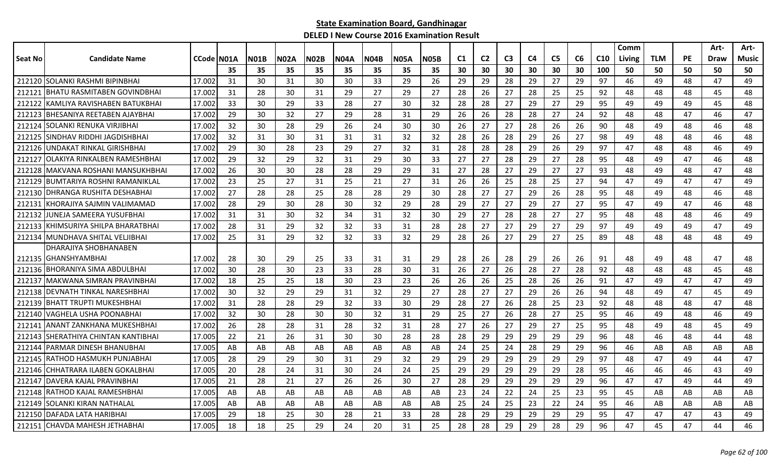|         |                                      |              |     |             |             |             |             |             |             |      |                |                |                |    |                |    |                 | Comm   |            |           | Art- | Art-  |
|---------|--------------------------------------|--------------|-----|-------------|-------------|-------------|-------------|-------------|-------------|------|----------------|----------------|----------------|----|----------------|----|-----------------|--------|------------|-----------|------|-------|
| Seat No | <b>Candidate Name</b>                | CCode   NO1A |     | <b>N01B</b> | <b>N02A</b> | <b>N02B</b> | <b>N04A</b> | <b>N04B</b> | <b>N05A</b> | N05B | C <sub>1</sub> | C <sub>2</sub> | C <sub>3</sub> | C4 | C <sub>5</sub> | C6 | C <sub>10</sub> | Living | <b>TLM</b> | <b>PE</b> | Draw | Music |
|         |                                      |              | 35  | 35          | 35          | 35          | 35          | 35          | 35          | 35   | 30             | 30             | 30             | 30 | 30             | 30 | 100             | 50     | 50         | 50        | 50   | 50    |
|         | 212120 SOLANKI RASHMI BIPINBHAI      | 17.002       | 31  | 30          | 31          | 30          | 30          | 33          | 29          | 26   | 29             | 29             | 28             | 29 | 27             | 29 | 97              | 46     | 49         | 48        | 47   | 49    |
| 212121  | IBHATU RASMITABEN GOVINDBHAI         | 17.002       | 31  | 28          | 30          | 31          | 29          | 27          | 29          | 27   | 28             | 26             | 27             | 28 | 25             | 25 | 92              | 48     | 48         | 48        | 45   | 48    |
| 212122  | IKAMLIYA RAVISHABEN BATUKBHAI        | 17.002       | 33  | 30          | 29          | 33          | 28          | 27          | 30          | 32   | 28             | 28             | 27             | 29 | 27             | 29 | 95              | 49     | 49         | 49        | 45   | 48    |
| 212123  | IBHESANIYA REETABEN AJAYBHAI         | 17.002       | 29  | 30          | 32          | 27          | 29          | 28          | 31          | 29   | 26             | 26             | 28             | 28 | 27             | 24 | 92              | 48     | 48         | 47        | 46   | 47    |
| 212124  | ISOLANKI RENUKA VIRJIBHAI            | 17.002       | 32  | 30          | 28          | 29          | 26          | 24          | 30          | 30   | 26             | 27             | 27             | 28 | 26             | 26 | 90              | 48     | 49         | 48        | 46   | 48    |
| 212125  | <b>SINDHAV RIDDHI JAGDISHBHAI</b>    | 17.002       | 32  | 31          | 30          | 31          | 31          | 31          | 32          | 32   | 28             | 26             | 28             | 29 | 26             | 27 | 98              | 49     | 48         | 48        | 46   | 48    |
| 212126  | UNDAKAT RINKAL GIRISHBHAI            | 17.002       | 29  | 30          | 28          | 23          | 29          | 27          | 32          | 31   | 28             | 28             | 28             | 29 | 26             | 29 | 97              | 47     | 48         | 48        | 46   | 49    |
| 212127  | lOLAKIYA RINKALBEN RAMESHBHAI        | 17.002       | 29  | 32          | 29          | 32          | 31          | 29          | 30          | 33   | 27             | 27             | 28             | 29 | 27             | 28 | 95              | 48     | 49         | 47        | 46   | 48    |
| 212128  | MAKVANA ROSHANI MANSUKHBHAI          | 17.002       | 26  | 30          | 30          | 28          | 28          | 29          | 29          | 31   | 27             | 28             | 27             | 29 | 27             | 27 | 93              | 48     | 49         | 48        | 47   | 48    |
| 212129  | <b>BUMTARIYA ROSHNI RAMANIKLAL</b>   | 17.002       | 23  | 25          | 27          | 31          | 25          | 21          | 27          | 31   | 26             | 26             | 25             | 28 | 25             | 27 | 94              | 47     | 49         | 47        | 47   | 49    |
|         | 212130   DHRANGA RUSHITA DESHABHAI   | 17.002       | 27  | 28          | 28          | 25          | 28          | 28          | 29          | 30   | 28             | 27             | 27             | 29 | 26             | 28 | 95              | 48     | 49         | 48        | 46   | 48    |
| 212131  | IKHORAJIYA SAJMIN VALIMAMAD          | 17.002       | 28  | 29          | 30          | 28          | 30          | 32          | 29          | 28   | 29             | 27             | 27             | 29 | 27             | 27 | 95              | 47     | 49         | 47        | 46   | 48    |
| 212132  | lJUNEJA SAMEERA YUSUFBHAI            | 17.002       | 31  | 31          | 30          | 32          | 34          | 31          | 32          | 30   | 29             | 27             | 28             | 28 | 27             | 27 | 95              | 48     | 48         | 48        | 46   | 49    |
| 212133  | <b>IKHIMSURIYA SHILPA BHARATBHAI</b> | 17.002       | 28  | 31          | 29          | 32          | 32          | 33          | 31          | 28   | 28             | 27             | 27             | 29 | 27             | 29 | 97              | 49     | 49         | 49        | 47   | 49    |
|         | 212134 MUNDHAVA SHITAL VELJIBHAI     | 17.002       | 25  | 31          | 29          | 32          | 32          | 33          | 32          | 29   | 28             | 26             | 27             | 29 | 27             | 25 | 89              | 48     | 48         | 48        | 48   | 49    |
|         | DHARAJIYA SHOBHANABEN                |              |     |             |             |             |             |             |             |      |                |                |                |    |                |    |                 |        |            |           |      |       |
|         | 212135 GHANSHYAMBHAI                 | 17.002       | -28 | 30          | 29          | 25          | 33          | 31          | 31          | 29   | 28             | 26             | 28             | 29 | 26             | 26 | 91              | 48     | 49         | 48        | 47   | 48    |
|         | 212136 BHORANIYA SIMA ABDULBHAI      | 17.002       | 30  | 28          | 30          | 23          | 33          | 28          | 30          | 31   | 26             | 27             | 26             | 28 | 27             | 28 | 92              | 48     | 48         | 48        | 45   | 48    |
| 212137  | MAKWANA SIMRAN PRAVINBHAI            | 17.002       | 18  | 25          | 25          | 18          | 30          | 23          | 23          | 26   | 26             | 26             | 25             | 28 | 26             | 26 | 91              | 47     | 49         | 47        | 47   | 49    |
|         | 212138 DEVNATH TINKAL NARESHBHAI     | 17.002       | 30  | 32          | 29          | 29          | 31          | 32          | 29          | 27   | 28             | 27             | 27             | 29 | 26             | 26 | 94              | 48     | 49         | 47        | 45   | 49    |
| 212139  | <b>IBHATT TRUPTI MUKESHBHAI</b>      | 17.002       | 31  | 28          | 28          | 29          | 32          | 33          | 30          | 29   | 28             | 27             | 26             | 28 | 25             | 23 | 92              | 48     | 48         | 48        | 47   | 48    |
|         | 212140 VAGHELA USHA POONABHAI        | 17.002       | 32  | 30          | 28          | 30          | 30          | 32          | 31          | 29   | 25             | 27             | 26             | 28 | 27             | 25 | 95              | 46     | 49         | 48        | 46   | 49    |
| 212141  | IANANT ZANKHANA MUKESHBHAI           | 17.002       | 26  | 28          | 28          | 31          | 28          | 32          | 31          | 28   | 27             | 26             | 27             | 29 | 27             | 25 | 95              | 48     | 49         | 48        | 45   | 49    |
| 212143  | SHERATHIYA CHINTAN KANTIBHAI         | 17.005       | 22  | 21          | 26          | 31          | 30          | 30          | 28          | 28   | 28             | 29             | 29             | 29 | 29             | 29 | 96              | 48     | 46         | 48        | 44   | 48    |
| 212144  | PARMAR DINESH BHANUBHAI              | 17.005       | AB  | AB          | AB          | AB          | AB          | AB.         | AB          | AB   | 24             | 25             | 24             | 28 | 29             | 29 | 96              | 46     | AB         | AB        | AB   | AB    |
| 212145  | IRATHOD HASMUKH PUNJABHAI            | 17.005       | 28  | 29          | 29          | 30          | 31          | 29          | 32          | 29   | 29             | 29             | 29             | 29 | 29             | 29 | 97              | 48     | 47         | 49        | 44   | 47    |
| 212146  | CHHATRARA ILABEN GOKALBHAI           | 17.005       | 20  | 28          | 24          | 31          | 30          | 24          | 24          | 25   | 29             | 29             | 29             | 29 | 29             | 28 | 95              | 46     | 46         | 46        | 43   | 49    |
| 212147  | <b>IDAVERA KAJAL PRAVINBHAI</b>      | 17.005       | 21  | 28          | 21          | 27          | 26          | 26          | 30          | 27   | 28             | 29             | 29             | 29 | 29             | 29 | 96              | 47     | 47         | 49        | 44   | 49    |
|         | 212148 RATHOD KAJAL RAMESHBHAI       | 17.005       | AB  | AB          | AB          | AB          | AB          | AB          | AB          | AB   | 23             | 24             | 22             | 24 | 25             | 23 | 95              | 45     | AB         | AB        | AB   | AB    |
| 212149  | SOLANKI KIRAN NATHALAL               | 17.005       | AB  | AB          | AB          | AB          | AB          | AB          | AB          | AB   | 25             | 24             | 25             | 23 | 22             | 24 | 95              | 46     | AB         | AB        | AB   | AB    |
|         | 212150 DAFADA LATA HARIBHAI          | 17.005       | 29  | 18          | 25          | 30          | 28          | 21          | 33          | 28   | 28             | 29             | 29             | 29 | 29             | 29 | 95              | 47     | 47         | 47        | 43   | 49    |
|         | 212151 CHAVDA MAHESH JETHABHAI       | 17.005       | 18  | 18          | 25          | 29          | 24          | 20          | 31          | 25   | 28             | 28             | 29             | 29 | 28             | 29 | 96              | 47     | 45         | 47        | 44   | 46    |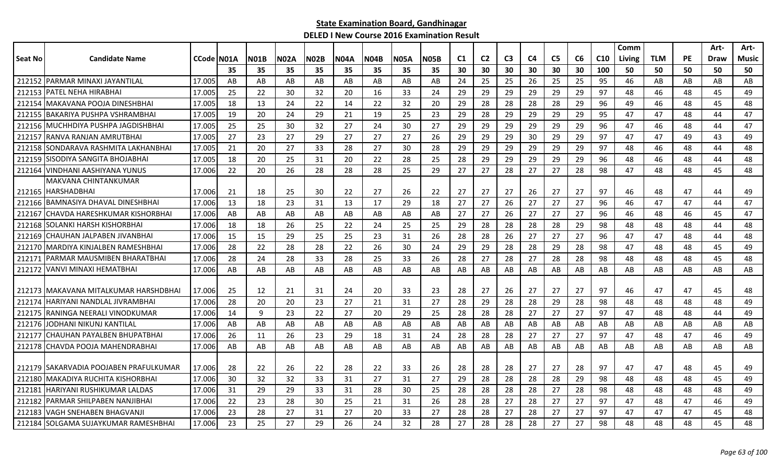|         |                                         |            |     |      |             |             |             |             |             |      |                |                |                |                |                |    |                 | Comm   |            |           | Art-        | Art-  |
|---------|-----------------------------------------|------------|-----|------|-------------|-------------|-------------|-------------|-------------|------|----------------|----------------|----------------|----------------|----------------|----|-----------------|--------|------------|-----------|-------------|-------|
| Seat No | <b>Candidate Name</b>                   | CCode N01A |     | NO1B | <b>N02A</b> | <b>N02B</b> | <b>N04A</b> | <b>N04B</b> | <b>N05A</b> | N05B | C <sub>1</sub> | C <sub>2</sub> | C <sub>3</sub> | C <sub>4</sub> | C <sub>5</sub> | C6 | C <sub>10</sub> | Living | <b>TLM</b> | <b>PE</b> | <b>Draw</b> | Music |
|         |                                         |            | 35  | 35   | 35          | 35          | 35          | 35          | 35          | 35   | 30             | 30             | 30             | 30             | 30             | 30 | 100             | 50     | 50         | 50        | 50          | 50    |
|         | 212152 PARMAR MINAXI JAYANTILAL         | 17.005     | AB  | AB   | AB          | AB          | AB          | AB.         | AB          | AB   | 24             | 25             | 25             | 26             | 25             | 25 | 95              | 46     | AB         | AB        | AB          | AB    |
|         | 212153 PATEL NEHA HIRABHA               | 17.005     | 25  | 22   | 30          | 32          | 20          | 16          | 33          | 24   | 29             | 29             | 29             | 29             | 29             | 29 | 97              | 48     | 46         | 48        | 45          | 49    |
| 212154  | IMAKAVANA POOJA DINESHBHAI              | 17.005     | 18  | 13   | 24          | 22          | 14          | 22          | 32          | 20   | 29             | 28             | 28             | 28             | 28             | 29 | 96              | 49     | 46         | 48        | 45          | 48    |
|         | 212155 BAKARIYA PUSHPA VSHRAMBHAI       | 17.005     | 19  | 20   | 24          | 29          | 21          | 19          | 25          | 23   | 29             | 28             | 29             | 29             | 29             | 29 | 95              | 47     | 47         | 48        | 44          | 47    |
|         | 212156 MUCHHDIYA PUSHPA JAGDISHBHAI     | 17.005     | 25  | 25   | 30          | 32          | 27          | 24          | 30          | 27   | 29             | 29             | 29             | 29             | 29             | 29 | 96              | 47     | 46         | 48        | 44          | 47    |
| 212157  | IRANVA RANJAN AMRUTBHAI                 | 17.005     | 27  | 23   | 27          | 29          | 27          | 27          | 27          | 26   | 29             | 29             | 29             | 30             | 29             | 29 | 97              | 47     | 47         | 49        | 43          | 49    |
| 212158  | <b>ISONDARAVA RASHMITA LAKHANBHAI</b>   | 17.005     | 21  | 20   | 27          | 33          | 28          | 27          | 30          | 28   | 29             | 29             | 29             | 29             | 29             | 29 | 97              | 48     | 46         | 48        | 44          | 48    |
| 212159  | SISODIYA SANGITA BHOJABHAI              | 17.005     | 18  | 20   | 25          | 31          | 20          | 22          | 28          | 25   | 28             | 29             | 29             | 29             | 29             | 29 | 96              | 48     | 46         | 48        | 44          | 48    |
|         | 212164 VINDHANI AASHIYANA YUNUS         | 17.006     | 22  | 20   | 26          | 28          | 28          | 28          | 25          | 29   | 27             | 27             | 28             | 27             | 27             | 28 | 98              | 47     | 48         | 48        | 45          | 48    |
|         | MAKVANA CHINTANKUMAR                    |            |     |      |             |             |             |             |             |      |                |                |                |                |                |    |                 |        |            |           |             |       |
|         | 212165 HARSHADBHAI                      | 17.006     | 21  | 18   | 25          | 30          | 22          | 27          | 26          | 22   | 27             | 27             | 27             | 26             | 27             | 27 | 97              | 46     | 48         | 47        | 44          | 49    |
|         | 212166 BAMNASIYA DHAVAL DINESHBHAI      | 17.006     | 13  | 18   | 23          | 31          | 13          | 17          | 29          | 18   | 27             | 27             | 26             | 27             | 27             | 27 | 96              | 46     | 47         | 47        | 44          | 47    |
|         | 212167 CHAVDA HARESHKUMAR KISHORBHAI    | 17.006     | AB  | AB   | AB          | AB          | AB          | AB          | AB          | AB   | 27             | 27             | 26             | 27             | 27             | 27 | 96              | 46     | 48         | 46        | 45          | 47    |
| 212168  | ISOLANKI HARSH KISHORBHAI               | 17.006     | 18  | 18   | 26          | 25          | 22          | 24          | 25          | 25   | 29             | 28             | 28             | 28             | 28             | 29 | 98              | 48     | 48         | 48        | 44          | 48    |
| 212169  | CHAUHAN JALPABEN JIVANBHAI              | 17.006     | 15  | 15   | 29          | 25          | 25          | 23          | 31          | 26   | 28             | 28             | 26             | 27             | 27             | 27 | 96              | 47     | 47         | 48        | 44          | 48    |
|         | 212170 MARDIYA KINJALBEN RAMESHBHAI     | 17.006     | 28  | 22   | 28          | 28          | 22          | 26          | 30          | 24   | 29             | 29             | 28             | 28             | 29             | 28 | 98              | 47     | 48         | 48        | 45          | 49    |
| 212171  | IPARMAR MAUSMIBEN BHARATBHAI            | 17.006     | 28  | 24   | 28          | 33          | 28          | 25          | 33          | 26   | 28             | 27             | 28             | 27             | 28             | 28 | 98              | 48     | 48         | 48        | 45          | 48    |
| 212172  | <b>IVANVI MINAXI HEMATBHAI</b>          | 17.006     | AB  | AB   | AB          | AB          | AB          | AB          | AB          | AB   | AB             | AB             | AB             | AB             | AB             | AB | AB              | AB     | AB         | AB        | AB          | AB    |
|         |                                         |            |     |      |             |             |             |             |             |      |                |                |                |                |                |    |                 |        |            |           |             |       |
|         | 212173 IMAKAVANA MITALKUMAR HARSHDBHAI  | 17.006     | -25 | 12   | 21          | 31          | 24          | 20          | 33          | 23   | 28             | 27             | 26             | 27             | 27             | 27 | 97              | 46     | 47         | 47        | 45          | 48    |
|         | 212174 HARIYANI NANDLAL JIVRAMBHAI      | 17.006     | 28  | 20   | 20          | 23          | 27          | 21          | 31          | 27   | 28             | 29             | 28             | 28             | 29             | 28 | 98              | 48     | 48         | 48        | 48          | 49    |
| 212175  | IRANINGA NEERALI VINODKUMAR             | 17.006     | 14  | 9    | 23          | 22          | 27          | 20          | 29          | 25   | 28             | 28             | 28             | 27             | 27             | 27 | 97              | 47     | 48         | 48        | 44          | 49    |
| 212176  | JODHANI NIKUNJ KANTILAL                 | 17.006     | AB  | AB   | AB          | AB          | AB          | AB          | AB          | AB   | AB             | AB             | AB             | AB             | AB             | AB | AB              | AB     | AB         | AB        | AB          | AB    |
| 212177  | CHAUHAN PAYALBEN BHUPATBHAI             | 17.006     | 26  | 11   | 26          | 23          | 29          | 18          | 31          | 24   | 28             | 28             | 28             | 27             | 27             | 27 | 97              | 47     | 48         | 47        | 46          | 49    |
|         | 212178 CHAVDA POOJA MAHENDRABHAI        | 17.006     | AB  | AB   | AB          | AB          | AB          | AB          | AB          | AB   | AB             | AB             | AB             | AB             | AB             | AB | AB              | AB     | AB         | AB        | AB          | AB    |
|         |                                         |            |     |      |             |             |             |             |             |      |                |                |                |                |                |    |                 |        |            |           |             |       |
|         | 212179 ISAKARVADIA POOJABEN PRAFULKUMAR | 17.006     | 28  | 22   | 26          | 22          | 28          | 22          | 33          | 26   | 28             | 28             | 28             | 27             | 27             | 28 | 97              | 47     | 47         | 48        | 45          | 49    |
|         | 212180 MAKADIYA RUCHITA KISHORBHAI      | 17.006     | 30  | 32   | 32          | 33          | 31          | 27          | 31          | 27   | 29             | 28             | 28             | 28             | 28             | 29 | 98              | 48     | 48         | 48        | 45          | 49    |
| 212181  | <b>IHARIYANI RUSHIKUMAR LALDAS</b>      | 17.006     | 31  | 29   | 29          | 33          | 31          | 28          | 30          | 25   | 28             | 28             | 28             | 28             | 27             | 28 | 98              | 48     | 48         | 48        | 48          | 49    |
| 212182  | PARMAR SHILPABEN NANJIBHAI              | 17.006     | 22  | 23   | 28          | 30          | 25          | 21          | 31          | 26   | 28             | 28             | 27             | 28             | 27             | 27 | 97              | 47     | 48         | 47        | 46          | 49    |
| 212183  | VAGH SNEHABEN BHAGVANJI                 | 17.006     | 23  | 28   | 27          | 31          | 27          | 20          | 33          | 27   | 28             | 28             | 27             | 28             | 27             | 27 | 97              | 47     | 47         | 47        | 45          | 48    |
|         | 212184 SOLGAMA SUJAYKUMAR RAMESHBHAI    | 17.006     | 23  | 25   | 27          | 29          | 26          | 24          | 32          | 28   | 27             | 28             | 28             | 28             | 27             | 27 | 98              | 48     | 48         | 48        | 45          | 48    |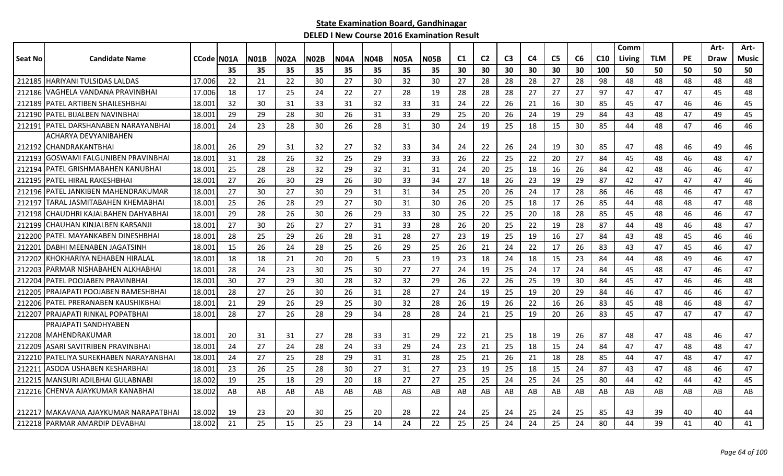|                |                                        |                    |     |             |             |             |             |             |             |             |                |                |                |                |                |    |                 | Comm   |            |           | Art-        | Art-         |
|----------------|----------------------------------------|--------------------|-----|-------------|-------------|-------------|-------------|-------------|-------------|-------------|----------------|----------------|----------------|----------------|----------------|----|-----------------|--------|------------|-----------|-------------|--------------|
| <b>Seat No</b> | <b>Candidate Name</b>                  | <b>CCode IN01A</b> |     | <b>N01B</b> | <b>N02A</b> | <b>N02B</b> | <b>N04A</b> | <b>N04B</b> | <b>N05A</b> | <b>N05B</b> | C <sub>1</sub> | C <sub>2</sub> | C <sub>3</sub> | C <sub>4</sub> | C <sub>5</sub> | C6 | C <sub>10</sub> | Living | <b>TLM</b> | <b>PE</b> | <b>Draw</b> | <b>Music</b> |
|                |                                        |                    | 35  | 35          | 35          | 35          | 35          | 35          | 35          | 35          | 30             | 30             | 30             | 30             | 30             | 30 | 100             | 50     | 50         | 50        | 50          | 50           |
| 212185         | <b>HARIYANI TULSIDAS LALDAS</b>        | 17.006             | 22  | 21          | 22          | 30          | 27          | 30          | 32          | 30          | 27             | 28             | 28             | 28             | 27             | 28 | 98              | 48     | 48         | 48        | 48          | 48           |
| 212186         | VAGHELA VANDANA PRAVINBHAI             | 17.006             | 18  | 17          | 25          | 24          | 22          | 27          | 28          | 19          | 28             | 28             | 28             | 27             | 27             | 27 | 97              | 47     | 47         | 47        | 45          | 48           |
| 212189         | PATEL ARTIBEN SHAILESHBHAI             | 18.001             | 32  | 30          | 31          | 33          | 31          | 32          | 33          | 31          | 24             | 22             | 26             | 21             | 16             | 30 | 85              | 45     | 47         | 46        | 46          | 45           |
|                | 212190 PATEL BIJALBEN NAVINBHAI        | 18.001             | 29  | 29          | 28          | 30          | 26          | 31          | 33          | 29          | 25             | 20             | 26             | 24             | 19             | 29 | 84              | 43     | 48         | 47        | 49          | 45           |
| 212191         | IPATEL DARSHANABEN NARAYANBHAI         | 18.001             | 24  | 23          | 28          | 30          | 26          | 28          | 31          | 30          | 24             | 19             | 25             | 18             | 15             | 30 | 85              | 44     | 48         | 47        | 46          | 46           |
|                | ACHARYA DEVYANIBAHEN                   |                    |     |             |             |             |             |             |             |             |                |                |                |                |                |    |                 |        |            |           |             |              |
|                | 212192 CHANDRAKANTBHAI                 | 18.001             | -26 | 29          | 31          | 32          | 27          | 32          | 33          | 34          | 24             | 22             | 26             | 24             | 19             | 30 | 85              | 47     | 48         | 46        | 49          | 46           |
| 212193         | GOSWAMI FALGUNIBEN PRAVINBHAI          | 18.001             | 31  | 28          | 26          | 32          | 25          | 29          | 33          | 33          | 26             | 22             | 25             | 22             | 20             | 27 | 84              | 45     | 48         | 46        | 48          | 47           |
| 212194         | PATEL GRISHMABAHEN KANUBHAI            | 18.001             | 25  | 28          | 28          | 32          | 29          | 32          | 31          | 31          | 24             | 20             | 25             | 18             | 16             | 26 | 84              | 42     | 48         | 46        | 46          | 47           |
| 212195         | IPATEL HIRAL RAKESHBHAI                | 18.001             | 27  | 26          | 30          | 29          | 26          | 30          | 33          | 34          | 27             | 18             | 26             | 23             | 19             | 29 | 87              | 42     | 47         | 47        | 47          | 46           |
|                | 212196   PATEL JANKIBEN MAHENDRAKUMAR  | 18.001             | 27  | 30          | 27          | 30          | 29          | 31          | 31          | 34          | 25             | 20             | 26             | 24             | 17             | 28 | 86              | 46     | 48         | 46        | 47          | 47           |
| 212197         | ITARAL JASMITABAHEN KHEMABHAI          | 18.001             | 25  | 26          | 28          | 29          | 27          | 30          | 31          | 30          | 26             | 20             | 25             | 18             | 17             | 26 | 85              | 44     | 48         | 48        | 47          | 48           |
|                | 212198 CHAUDHRI KAJALBAHEN DAHYABHAI   | 18.001             | 29  | 28          | 26          | 30          | 26          | 29          | 33          | 30          | 25             | 22             | 25             | 20             | 18             | 28 | 85              | 45     | 48         | 46        | 46          | 47           |
| 212199         | CHAUHAN KINJALBEN KARSANJI             | 18.001             | 27  | 30          | 26          | 27          | 27          | 31          | 33          | 28          | 26             | 20             | 25             | 22             | 19             | 28 | 87              | 44     | 48         | 46        | 48          | 47           |
| 212200         | PATEL MAYANKABEN DINESHBHAI            | 18.001             | 28  | 25          | 29          | 26          | 28          | 31          | 28          | 27          | 23             | 19             | 25             | 19             | 16             | 27 | 84              | 43     | 48         | 45        | 46          | 46           |
| 21220          | DABHI MEENABEN JAGATSINH               | 18.001             | 15  | 26          | 24          | 28          | 25          | 26          | 29          | 25          | 26             | 21             | 24             | 22             | 17             | 26 | 83              | 43     | 47         | 45        | 46          | 47           |
| 21220          | KHOKHARIYA NEHABEN HIRALAL             | 18.001             | 18  | 18          | 21          | 20          | 20          | 5           | 23          | 19          | 23             | 18             | 24             | 18             | 15             | 23 | 84              | 44     | 48         | 49        | 46          | 47           |
| 212203         | IPARMAR NISHABAHEN ALKHABHAI           | 18.001             | 28  | 24          | 23          | 30          | 25          | 30          | 27          | 27          | 24             | 19             | 25             | 24             | 17             | 24 | 84              | 45     | 48         | 47        | 46          | 47           |
| 212204         | IPATEL POOJABEN PRAVINBHAI             | 18.001             | 30  | 27          | 29          | 30          | 28          | 32          | 32          | 29          | 26             | 22             | 26             | 25             | 19             | 30 | 84              | 45     | 47         | 46        | 46          | 48           |
| 212205         | IPRAJAPATI POOJABEN RAMESHBHAI         | 18.001             | 28  | 27          | 26          | 30          | 26          | 31          | 28          | 27          | 24             | 19             | 25             | 19             | 20             | 29 | 84              | 46     | 47         | 46        | 46          | 47           |
| 212206         | PATEL PRERANABEN KAUSHIKBHAI           | 18.001             | 21  | 29          | 26          | 29          | 25          | 30          | 32          | 28          | 26             | 19             | 26             | 22             | 16             | 26 | 83              | 45     | 48         | 46        | 48          | 47           |
| 212207         | PRAJAPATI RINKAL POPATBHAI             | 18.001             | 28  | 27          | 26          | 28          | 29          | 34          | 28          | 28          | 24             | 21             | 25             | 19             | 20             | 26 | 83              | 45     | 47         | 47        | 47          | 47           |
|                | PRAJAPATI SANDHYABEN                   |                    |     |             |             |             |             |             |             |             |                |                |                |                |                |    |                 |        |            |           |             |              |
|                | 212208 MAHENDRAKUMAR                   | 18.001             | -20 | 31          | 31          | 27          | 28          | 33          | 31          | 29          | 22             | 21             | 25             | 18             | 19             | 26 | 87              | 48     | 47         | 48        | 46          | 47           |
| 212209         | ASARI SAVITRIBEN PRAVINBHAI            | 18.001             | 24  | 27          | 24          | 28          | 24          | 33          | 29          | 24          | 23             | 21             | 25             | 18             | 15             | 24 | 84              | 47     | 47         | 48        | 48          | 47           |
| 212210         | PATELIYA SUREKHABEN NARAYANBHAI        | 18.001             | 24  | 27          | 25          | 28          | 29          | 31          | 31          | 28          | 25             | 21             | 26             | 21             | 18             | 28 | 85              | 44     | 47         | 48        | 47          | 47           |
| 21221          | ASODA USHABEN KESHARBHAI               | 18.001             | 23  | 26          | 25          | 28          | 30          | 27          | 31          | 27          | 23             | 19             | 25             | 18             | 15             | 24 | 87              | 43     | 47         | 48        | 46          | 47           |
| 212215         | IMANSURI ADILBHAI GULABNABI            | 18.002             | 19  | 25          | 18          | 29          | 20          | 18          | 27          | 27          | 25             | 25             | 24             | 25             | 24             | 25 | 80              | 44     | 42         | 44        | 42          | 45           |
| 212216         | CHENVA AJAYKUMAR KANABHAI              | 18.002             | AB  | AB          | AB          | AB          | AB          | AB          | AB          | AB          | AB             | AB             | AB             | AB             | AB             | AB | AB              | AB     | AB         | AB        | AB          | AB           |
|                |                                        |                    |     |             |             |             |             |             |             |             |                |                |                |                |                |    |                 |        |            |           |             |              |
|                | 212217 IMAKAVANA AJAYKUMAR NARAPATBHAI | 18.002             | -19 | 23          | 20          | 30          | 25          | 20          | 28          | 22          | 24             | 25             | 24             | 25             | 24             | 25 | 85              | 43     | 39         | 40        | 40          | 44           |
|                | 212218 PARMAR AMARDIP DEVABHAI         | 18.002             | 21  | 25          | 15          | 25          | 23          | 14          | 24          | 22          | 25             | 25             | 24             | 24             | 25             | 24 | 80              | 44     | 39         | 41        | 40          | 41           |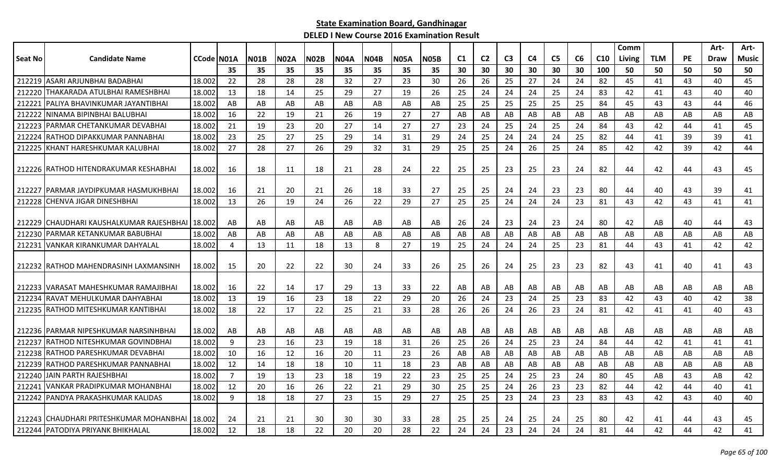|                |                                                   |            |                |             |             |             |             |             |             |             |                |                |                |                |                |    |                 | Comm   |            |    | Art- | Art-  |
|----------------|---------------------------------------------------|------------|----------------|-------------|-------------|-------------|-------------|-------------|-------------|-------------|----------------|----------------|----------------|----------------|----------------|----|-----------------|--------|------------|----|------|-------|
| <b>Seat No</b> | <b>Candidate Name</b>                             | CCode N01A |                | <b>N01B</b> | <b>N02A</b> | <b>N02B</b> | <b>N04A</b> | <b>N04B</b> | <b>N05A</b> | <b>N05B</b> | C <sub>1</sub> | C <sub>2</sub> | C <sub>3</sub> | C <sub>4</sub> | C <sub>5</sub> | C6 | C <sub>10</sub> | Living | <b>TLM</b> | PE | Draw | Music |
|                |                                                   |            | 35             | 35          | 35          | 35          | 35          | 35          | 35          | 35          | 30             | 30             | 30             | 30             | 30             | 30 | 100             | 50     | 50         | 50 | 50   | 50    |
|                | 212219 ASARI ARJUNBHAI BADABHAI                   | 18.002     | 22             | 28          | 28          | 28          | 32          | 27          | 23          | 30          | 26             | 26             | 25             | 27             | 24             | 24 | 82              | 45     | 41         | 43 | 40   | 45    |
| 212220         | THAKARADA ATULBHAI RAMESHBHAI                     | 18.002     | 13             | 18          | 14          | 25          | 29          | 27          | 19          | 26          | 25             | 24             | 24             | 24             | 25             | 24 | 83              | 42     | 41         | 43 | 40   | 40    |
| 212221         | IPALIYA BHAVINKUMAR JAYANTIBHAI                   | 18.002     | AB             | AB          | AB          | AB          | AB          | AB          | AB          | AB          | 25             | 25             | 25             | 25             | 25             | 25 | 84              | 45     | 43         | 43 | 44   | 46    |
| 212222         | ININAMA BIPINBHAI BALUBHAI                        | 18.002     | 16             | 22          | 19          | 21          | 26          | 19          | 27          | 27          | AB             | AB             | AB             | AB             | AB             | AB | AB              | AB     | AB         | AB | AB   | AB    |
|                | 212223 PARMAR CHETANKUMAR DEVABHAI                | 18.002     | 21             | 19          | 23          | 20          | 27          | 14          | 27          | 27          | 23             | 24             | 25             | 24             | 25             | 24 | 84              | 43     | 42         | 44 | 41   | 45    |
| 212224         | IRATHOD DIPAKKUMAR PANNABHAI                      | 18.002     | 23             | 25          | 27          | 25          | 29          | 14          | 31          | 29          | 24             | 25             | 24             | 24             | 24             | 25 | 82              | 44     | 41         | 39 | 39   | 41    |
| 212225         | KHANT HARESHKUMAR KALUBHAI                        | 18.002     | 27             | 28          | 27          | 26          | 29          | 32          | 31          | 29          | 25             | 25             | 24             | 26             | 25             | 24 | 85              | 42     | 42         | 39 | 42   | 44    |
|                | 212226 RATHOD HITENDRAKUMAR KESHABHAI             | 18.002     | -16            | 18          | 11          | 18          | 21          | 28          | 24          | 22          | 25             | 25             | 23             | 25             | 23             | 24 | 82              | 44     | 42         | 44 | 43   | 45    |
|                | 212227 IPARMAR JAYDIPKUMAR HASMUKHBHAI            | 18.002     | -16            | 21          | 20          | 21          | 26          | 18          | 33          | 27          | 25             | 25             | 24             | 24             | 23             | 23 | 80              | 44     | 40         | 43 | 39   | 41    |
|                | 212228 CHENVA JIGAR DINESHBHAI                    | 18.002     | 13             | 26          | 19          | 24          | 26          | 22          | 29          | 27          | 25             | 25             | 24             | 24             | 24             | 23 | 81              | 43     | 42         | 43 | 41   | 41    |
|                | 212229 CHAUDHARI KAUSHALKUMAR RAJESHBHAI   18.002 |            | AB             | AB          | AB          | AB          | AB          | AB          | AB          | AB          | 26             | 24             | 23             | 24             | 23             | 24 | 80              | 42     | AB         | 40 | 44   | 43    |
| 212230         | PARMAR KETANKUMAR BABUBHAI                        | 18.002     | AB             | AB          | AB          | AB          | AB          | AB          | AB          | AB          | AB             | AB             | AB             | AB             | AB             | AB | AB              | AB     | AB         | AB | AB   | AB    |
| 212231         | VANKAR KIRANKUMAR DAHYALAL                        | 18.002     | 4              | 13          | 11          | 18          | 13          | 8           | 27          | 19          | 25             | 24             | 24             | 24             | 25             | 23 | 81              | 44     | 43         | 41 | 42   | 42    |
|                | 212232 RATHOD MAHENDRASINH LAXMANSINH             | 18.002     | 15             | 20          | 22          | 22          | 30          | 24          | 33          | 26          | 25             | 26             | 24             | 25             | 23             | 23 | 82              | 43     | 41         | 40 | 41   | 43    |
|                | 212233   VARASAT MAHESHKUMAR RAMAJIBHAI           | 18.002     | -16            | 22          | 14          | 17          | 29          | -13         | 33          | 22          | AB             | AB             | AB             | AB             | AB             | AB | AB              | AB     | AB         | AB | AB   | AB    |
| 212234         | IRAVAT MEHULKUMAR DAHYABHAI                       | 18.002     | 13             | 19          | 16          | 23          | 18          | 22          | 29          | 20          | 26             | 24             | 23             | 24             | 25             | 23 | 83              | 42     | 43         | 40 | 42   | 38    |
|                | 212235 RATHOD MITESHKUMAR KANTIBHAI               | 18.002     | 18             | 22          | 17          | 22          | 25          | 21          | 33          | 28          | 26             | 26             | 24             | 26             | 23             | 24 | 81              | 42     | 41         | 41 | 40   | 43    |
|                | 212236 PARMAR NIPESHKUMAR NARSINHBHAI             | 18.002     | AB             | AB          | AB          | AB          | AB          | AB          | AB          | AB          | AB             | AB             | AB             | AB             | AB             | AB | AB              | AB     | AB         | AB | AB   | AB    |
| 212237         | IRATHOD NITESHKUMAR GOVINDBHAI                    | 18.002     | 9              | 23          | 16          | 23          | 19          | 18          | 31          | 26          | 25             | 26             | 24             | 25             | 23             | 24 | 84              | 44     | 42         | 41 | 41   | 41    |
|                | 212238 RATHOD PARESHKUMAR DEVABHAI                | 18.002     | 10             | 16          | 12          | 16          | 20          | 11          | 23          | 26          | AB             | AB             | AB             | AB             | AB             | AB | AB              | AB     | AB         | AB | AB   | AB    |
|                | 212239 IRATHOD PARESHKUMAR PANNABHAI              | 18.002     | 12             | 14          | 18          | 18          | 10          | 11          | 18          | 23          | AB             | AB             | AB             | AB             | AB             | AB | AB              | AB     | AB         | AB | AB   | AB    |
| 212240         | JAIN PARTH RAJESHBHAI                             | 18.002     | $\overline{7}$ | 19          | 13          | 23          | 18          | 19          | 22          | 23          | 25             | 25             | 24             | 25             | 23             | 24 | 80              | 45     | AB         | 43 | AB   | 42    |
| 212241         | VANKAR PRADIPKUMAR MOHANBHAI                      | 18.002     | 12             | 20          | 16          | 26          | 22          | 21          | 29          | 30          | 25             | 25             | 24             | 26             | 23             | 23 | 82              | 44     | 42         | 44 | 40   | 41    |
| 212242         | <b>IPANDYA PRAKASHKUMAR KALIDAS</b>               | 18.002     | 9              | 18          | 18          | 27          | 23          | 15          | 29          | 27          | 25             | 25             | 23             | 24             | 23             | 23 | 83              | 43     | 42         | 43 | 40   | 40    |
|                | 212243 CHAUDHARI PRITESHKUMAR MOHANBHAI   18.002  |            | 24             | 21          | 21          | 30          | 30          | 30          | 33          | 28          | 25             | 25             | 24             | 25             | 24             | 25 | 80              | 42     | 41         | 44 | 43   | 45    |
|                | 212244 PATODIYA PRIYANK BHIKHALAL                 | 18.002     | 12             | 18          | 18          | 22          | 20          | 20          | 28          | 22          | 24             | 24             | 23             | 24             | 24             | 24 | 81              | 44     | 42         | 44 | 42   | 41    |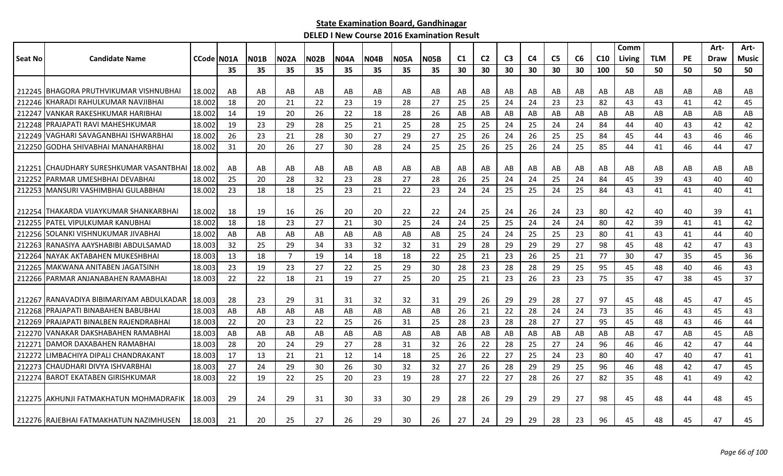|         |                                         |            |     |             |                |             |             |             |             |             |                |                |                |    |                |                |                 | Comm          |            |           | Art- | Art-  |
|---------|-----------------------------------------|------------|-----|-------------|----------------|-------------|-------------|-------------|-------------|-------------|----------------|----------------|----------------|----|----------------|----------------|-----------------|---------------|------------|-----------|------|-------|
| Seat No | <b>Candidate Name</b>                   | CCode N01A |     | <b>N01B</b> | N02A           | <b>N02B</b> | <b>N04A</b> | <b>N04B</b> | <b>N05A</b> | <b>N05B</b> | C <sub>1</sub> | C <sub>2</sub> | C <sub>3</sub> | C4 | C <sub>5</sub> | C <sub>6</sub> | C <sub>10</sub> | <b>Living</b> | <b>TLM</b> | <b>PE</b> | Draw | Music |
|         |                                         |            | 35  | 35          | 35             | 35          | 35          | 35          | 35          | 35          | 30             | 30             | 30             | 30 | 30             | 30             | 100             | 50            | 50         | 50        | 50   | 50    |
|         |                                         |            |     |             |                |             |             |             |             |             |                |                |                |    |                |                |                 |               |            |           |      |       |
|         | 212245 IBHAGORA PRUTHVIKUMAR VISHNUBHAI | 18.002     | AB  | AB          | AB             | AB          | AB          | AB          | AB          | AB          | AB             | AB             | AB             | AB | AB             | AB             | AB              | AB            | AB         | AB        | AB   | AB    |
| 212246  | KHARADI RAHULKUMAR NAVJIBHAI            | 18.002     | 18  | 20          | 21             | 22          | 23          | 19          | 28          | 27          | 25             | 25             | 24             | 24 | 23             | 23             | 82              | 43            | 43         | 41        | 42   | 45    |
| 212247  | IVANKAR RAKESHKUMAR HARIBHAI            | 18.002     | 14  | 19          | 20             | 26          | 22          | 18          | 28          | 26          | AB             | AB             | AB             | AB | AB             | AB             | AB              | AB            | AB         | AB        | AB   | AB    |
|         | 212248 PRAJAPATI RAVI MAHESHKUMAR       | 18.002     | 19  | 23          | 29             | 28          | 25          | 21          | 25          | 28          | 25             | 25             | 24             | 25 | 24             | 24             | 84              | 44            | 40         | 43        | 42   | 42    |
| 212249  | VAGHARI SAVAGANBHAI ISHWARBHAI          | 18.002     | 26  | 23          | 21             | 28          | 30          | 27          | 29          | 27          | 25             | 26             | 24             | 26 | 25             | 25             | 84              | 45            | 44         | 43        | 46   | 46    |
| 212250  | IGODHA SHIVABHAI MANAHARBHAI            | 18.002     | 31  | 20          | 26             | 27          | 30          | 28          | 24          | 25          | 25             | 26             | 25             | 26 | 24             | 25             | 85              | 44            | 41         | 46        | 44   | 47    |
|         |                                         |            |     |             |                |             |             |             |             |             |                |                |                |    |                |                |                 |               |            |           |      |       |
| 212251  | ICHAUDHARY SURESHKUMAR VASANTBHAI       | 18.002     | AB  | AB          | AB             | AB          | AB          | AB.         | AB          | AB          | AB             | AB             | AB             | AB | AB             | AB             | AB              | AB            | AB         | AB        | AB   | AB    |
| 212252  | IPARMAR UMESHBHAI DEVABHAI              | 18.002     | 25  | 20          | 28             | 32          | 23          | 28          | 27          | 28          | 26             | 25             | 24             | 24 | 25             | 24             | 84              | 45            | 39         | 43        | 40   | 40    |
|         | 212253 MANSURI VASHIMBHAI GULABBHAI     | 18.002     | 23  | 18          | 18             | 25          | 23          | 21          | 22          | 23          | 24             | 24             | 25             | 25 | 24             | 25             | 84              | 43            | 41         | 41        | 40   | 41    |
|         |                                         |            |     |             |                |             |             |             |             |             |                |                |                |    |                |                |                 |               |            |           |      |       |
|         | 212254 ITHAKARDA VIJAYKUMAR SHANKARBHAI | 18.002     | -18 | 19          | 16             | 26          | 20          | 20          | 22          | 22          | 24             | 25             | 24             | 26 | 24             | 23             | 80              | 42            | 40         | 40        | 39   | 41    |
| 212255  | <b>JPATEL VIPULKUMAR KANUBHAI</b>       | 18.002     | 18  | 18          | 23             | 27          | 21          | 30          | 25          | 24          | 24             | 25             | 25             | 24 | 24             | 24             | 80              | 42            | 39         | 41        | 41   | 42    |
|         | 212256 SOLANKI VISHNUKUMAR JIVABHAI     | 18.002     | AB  | AB          | AB             | AB          | AB          | AB          | AB          | AB          | -25            | 24             | 24             | 25 | 25             | 23             | 80              | 41            | 43         | 41        | 44   | 40    |
| 212263  | RANASIYA AAYSHABIBI ABDULSAMAD          | 18.003     | 32  | 25          | 29             | 34          | 33          | 32          | 32          | 31          | 29             | 28             | 29             | 29 | 29             | 27             | 98              | 45            | 48         | 42        | 47   | 43    |
| 212264  | INAYAK AKTABAHEN MUKESHBHAI             | 18.003     | 13  | 18          | $\overline{7}$ | 19          | 14          | 18          | 18          | 22          | 25             | 21             | 23             | 26 | 25             | 21             | 77              | 30            | 47         | 35        | 45   | 36    |
| 212265  | IMAKWANA ANITABEN JAGATSINH             | 18.003     | 23  | 19          | 23             | 27          | 22          | 25          | 29          | 30          | 28             | 23             | 28             | 28 | 29             | 25             | 95              | 45            | 48         | 40        | 46   | 43    |
|         | 212266 PARMAR ANJANABAHEN RAMABHAI      | 18.003     | 22  | 22          | 18             | 21          | 19          | 27          | 25          | 20          | 25             | 21             | 23             | 26 | 23             | 23             | 75              | 35            | 47         | 38        | 45   | 37    |
|         |                                         |            |     |             |                |             |             |             |             |             |                |                |                |    |                |                |                 |               |            |           |      |       |
| 212267  | IRANAVADIYA BIBIMARIYAM ABDULKADAR      | 18.003     | 28  | 23          | 29             | 31          | 31          | 32          | 32          | 31          | 29             | 26             | 29             | 29 | 28             | 27             | 97              | 45            | 48         | 45        | 47   | 45    |
| 212268  | <b>IPRAJAPATI BINABAHEN BABUBHAI</b>    | 18.003     | AB  | AB          | AB             | AB          | AB          | AB          | AB          | AB          | 26             | 21             | 22             | 28 | 24             | 24             | 73              | 35            | 46         | 43        | 45   | 43    |
| 212269  | PRAJAPATI BINALBEN RAJENDRABHAI         | 18.003     | 22  | 20          | 23             | 22          | 25          | 26          | 31          | 25          | 28             | 23             | 28             | 28 | 27             | 27             | 95              | 45            | 48         | 43        | 46   | 44    |
| 212270  | VANAKAR DAKSHABAHEN RAMABHAI            | 18.003     | AB  | AB          | AB             | AB          | AB          | AB          | AB          | AB          | AB             | AB             | AB             | AB | AB             | AB             | AB              | AB            | 47         | AB        | 45   | AB    |
| 212271  | <b>DAMOR DAXABAHEN RAMABHAI</b>         | 18.003     | 28  | 20          | 24             | 29          | 27          | 28          | 31          | 32          | 26             | 22             | 28             | 25 | 27             | 24             | 96              | 46            | 46         | 42        | 47   | 44    |
| 212272  | LIMBACHIYA DIPALI CHANDRAKANT           | 18.003     | 17  | 13          | 21             | 21          | 12          | 14          | 18          | 25          | 26             | 22             | 27             | 25 | 24             | 23             | 80              | 40            | 47         | 40        | 47   | 41    |
| 212273  | CHAUDHARI DIVYA ISHVARBHAI              | 18.003     | 27  | 24          | 29             | 30          | 26          | 30          | 32          | 32          | 27             | 26             | 28             | 29 | 29             | 25             | 96              | 46            | 48         | 42        | 47   | 45    |
| 212274  | <b>IBAROT EKATABEN GIRISHKUMAR</b>      | 18.003     | 22  | 19          | 22             | 25          | 20          | 23          | 19          | 28          | 27             | 22             | 27             | 28 | 26             | 27             | 82              | 35            | 48         | 41        | 49   | 42    |
|         |                                         |            |     |             |                |             |             |             |             |             |                |                |                |    |                |                |                 |               |            |           |      |       |
|         | 212275 LAKHUNJI FATMAKHATUN MOHMADRAFIK | 18.003     | 29  | 24          | 29             | 31          | 30          | 33          | 30          | 29          | 28             | 26             | 29             | 29 | 29             | 27             | 98              | 45            | 48         | 44        | 48   | 45    |
|         |                                         |            |     |             |                |             |             |             |             |             |                |                |                |    |                |                |                 |               |            |           |      |       |
|         | 212276 RAJEBHAI FATMAKHATUN NAZIMHUSEN  | 18.003     | 21  | 20          | 25             | 27          | 26          | 29          | 30          | 26          | 27             | 24             | 29             | 29 | 28             | 23             | 96              | 45            | 48         | 45        | 47   | 45    |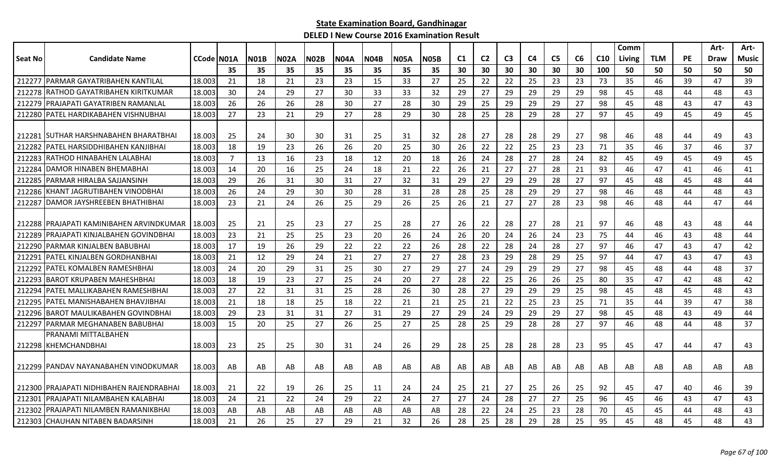|                |                                           |            |                |             |             |             |             |             |             |             |                |                |                |    |                |    |                 | Comm   |            |           | Art- | Art-     |
|----------------|-------------------------------------------|------------|----------------|-------------|-------------|-------------|-------------|-------------|-------------|-------------|----------------|----------------|----------------|----|----------------|----|-----------------|--------|------------|-----------|------|----------|
| <b>Seat No</b> | <b>Candidate Name</b>                     | CCode N01A |                | <b>N01B</b> | <b>N02A</b> | <b>N02B</b> | <b>N04A</b> | <b>N04B</b> | <b>N05A</b> | <b>N05B</b> | C <sub>1</sub> | C <sub>2</sub> | C <sub>3</sub> | C4 | C <sub>5</sub> | C6 | C <sub>10</sub> | Living | <b>TLM</b> | <b>PE</b> | Draw | Music    |
|                |                                           |            | 35             | 35          | 35          | 35          | 35          | 35          | 35          | 35          | 30             | 30             | 30             | 30 | 30             | 30 | 100             | 50     | 50         | 50        | 50   | 50       |
| 212277         | <b>PARMAR GAYATRIBAHEN KANTILAL</b>       | 18.003     | 21             | 18          | 21          | 23          | 23          | 15          | 33          | 27          | 25             | 22             | 22             | 25 | 23             | 23 | 73              | 35     | 46         | 39        | 47   | 39       |
| 212278         | IRATHOD GAYATRIBAHEN KIRITKUMAR           | 18.003     | 30             | 24          | 29          | 27          | 30          | 33          | 33          | 32          | 29             | 27             | 29             | 29 | 29             | 29 | 98              | 45     | 48         | 44        | 48   | 43       |
| 212279         | PRAJAPATI GAYATRIBEN RAMANLAL             | 18.003     | 26             | 26          | 26          | 28          | 30          | 27          | 28          | 30          | 29             | 25             | 29             | 29 | 29             | 27 | 98              | 45     | 48         | 43        | 47   | 43       |
|                | 212280 PATEL HARDIKABAHEN VISHNUBHAI      | 18.003     | 27             | 23          | 21          | 29          | 27          | 28          | 29          | 30          | 28             | 25             | 28             | 29 | 28             | 27 | 97              | 45     | 49         | 45        | 49   | 45       |
| 212281         | <b>ISUTHAR HARSHNABAHEN BHARATBHAI</b>    | 18.003     | -25            | 24          | 30          | 30          | 31          | 25          | 31          | 32          | 28             | 27             | 28             | 28 | 29             | 27 | 98              | 46     | 48         | 44        | 49   | 43       |
| 212282         | IPATEL HARSIDDHIBAHEN KANJIBHAI           | 18.003     | 18             | 19          | 23          | 26          | 26          | 20          | 25          | 30          | 26             | 22             | 22             | 25 | 23             | 23 | 71              | 35     | 46         | 37        | 46   | 37       |
| 212283         | RATHOD HINABAHEN LALABHAI                 | 18.003     | $\overline{7}$ | 13          | 16          | 23          | 18          | 12          | 20          | 18          | 26             | 24             | 28             | 27 | 28             | 24 | 82              | 45     | 49         | 45        | 49   | 45       |
| 212284         | DAMOR HINABEN BHEMABHAI                   | 18.003     | 14             | 20          | 16          | 25          | 24          | 18          | 21          | 22          | 26             | 21             | 27             | 27 | 28             | 21 | 93              | 46     | 47         | 41        | 46   | 41       |
| 212285         | <b>IPARMAR HIRALBA SAJJANSINH</b>         | 18.003     | 29             | 26          | 31          | 30          | 31          | 27          | 32          | 31          | 29             | 27             | 29             | 29 | 28             | 27 | 97              | 45     | 48         | 45        | 48   | 44       |
|                | 212286 KHANT JAGRUTIBAHEN VINODBHAI       | 18.003     | 26             | 24          | 29          | 30          | 30          | 28          | 31          | 28          | 28             | 25             | 28             | 29 | 29             | 27 | 98              | 46     | 48         | 44        | 48   | 43       |
| 212287         | <b>IDAMOR JAYSHREEBEN BHATHIBHAI</b>      | 18.003     | 23             | 21          | 24          | 26          | 25          | 29          | 26          | 25          | 26             | 21             | 27             | 27 | 28             | 23 | 98              | 46     | 48         | 44        | 47   | 44       |
|                | 212288 IPRAJAPATI KAMINIBAHEN ARVINDKUMAR | 18.003     | -25            | 21          | 25          | 23          | 27          | 25          | 28          | 27          |                | 22             | 28             | 27 | -28            | 21 | 97              | 46     | 48         | 43        | 48   |          |
| 212289         | PRAJAPATI KINJALBAHEN GOVINDBHAI          | 18.003     | 23             | 21          | 25          | 25          | 23          | 20          | 26          | 24          | 26<br>26       | 20             | 24             | 26 | 24             | 23 | 75              | 44     | 46         | 43        | 48   | 44<br>44 |
| 212290         | PARMAR KINJALBEN BABUBHAI                 | 18.003     | 17             | 19          | 26          | 29          | 22          | 22          | 22          | 26          | 28             | 22             | 28             | 24 | 28             | 27 | 97              | 46     | 47         | 43        | 47   | 42       |
| 21229          | IPATEL KINJALBEN GORDHANBHAI              | 18.003     | 21             | 12          | 29          | 24          | 21          | 27          | 27          | 27          | 28             | 23             | 29             | 28 | 29             | 25 | 97              | 44     | 47         | 43        | 47   | 43       |
| 212292         | IPATEL KOMALBEN RAMESHBHAI                | 18.003     | 24             | 20          | 29          | 31          | 25          | 30          | 27          | 29          | 27             | 24             | 29             | 29 | 29             | 27 | 98              | 45     | 48         | 44        | 48   | 37       |
| 212293         | <b>IBAROT KRUPABEN MAHESHBHA</b> I        | 18.003     | 18             | 19          | 23          | 27          | 25          | 24          | 20          | 27          | 28             | 22             | 25             | 26 | 26             | 25 | 80              | 35     | 47         | 42        | 48   | 42       |
| 212294         | PATEL MALLIKABAHEN RAMESHBHAI             | 18.003     | 27             | 22          | 31          | 31          | 25          | 28          | 26          | 30          | 28             | 27             | 29             | 29 | 29             | 25 | 98              | 45     | 48         | 45        | 48   | 43       |
| 212295         | PATEL MANISHABAHEN BHAVJIBHAI             | 18.003     | 21             | 18          | 18          | 25          | 18          | 22          | 21          | 21          | 25             | 21             | 22             | 25 | 23             | 25 | 71              | 35     | 44         | 39        | 47   | 38       |
| 212296         | <b>BAROT MAULIKABAHEN GOVINDBHAI</b>      | 18.003     | 29             | 23          | 31          | 31          | 27          | 31          | 29          | 27          | 29             | 24             | 29             | 29 | 29             | 27 | 98              | 45     | 48         | 43        | 49   | 44       |
| 212297         | <b>PARMAR MEGHANABEN BABUBHAI</b>         | 18.003     | -15            | 20          | 25          | 27          | 26          | 25          | 27          | 25          | 28             | 25             | 29             | 28 | 28             | 27 | 97              | 46     | 48         | 44        | 48   | 37       |
|                | PRANAMI MITTALBAHEN                       |            |                |             |             |             |             |             |             |             |                |                |                |    |                |    |                 |        |            |           |      |          |
|                | 212298 KHEMCHANDBHAI                      | 18.003     | 23             | 25          | 25          | 30          | 31          | 24          | 26          | 29          | 28             | 25             | 28             | 28 | 28             | 23 | 95              | 45     | 47         | 44        | 47   | 43       |
|                |                                           |            |                |             |             |             |             |             |             |             |                |                |                |    |                |    |                 |        |            |           |      |          |
|                | 212299   PANDAV NAYANABAHEN VINODKUMAR    | 18.003     | AB             | AB          | AB          | AB          | AB          | AB          | AB          | AB          | AB             | AB             | AB             | AB | AB             | AB | AB              | AB     | AB         | AB        | AB   | AB       |
|                | 212300 IPRAJAPATI NIDHIBAHEN RAJENDRABHAI | 18.003     | -21            | 22          | 19          | 26          | 25          | 11          | 24          | 24          | 25             | 21             | 27             | 25 | 26             | 25 | 92              | 45     | 47         | 40        | 46   | 39       |
| 212301         | PRAJAPATI NILAMBAHEN KALABHAI             | 18.003     | 24             | 21          | 22          | 24          | 29          | 22          | 24          | 27          | 27             | 24             | 28             | 27 | 27             | 25 | 96              | 45     | 46         | 43        | 47   | 43       |
| 212302         | PRAJAPATI NILAMBEN RAMANIKBHAI            | 18.003     | AB             | AB          | AB          | AB          | AB          | AB          | AB          | AB          | 28             | 22             | 24             | 25 | 23             | 28 | 70              | 45     | 45         | 44        | 48   | 43       |
|                | 212303 CHAUHAN NITABEN BADARSINH          | 18.003     | 21             | 26          | 25          | 27          | 29          | 21          | 32          | 26          | 28             | 25             | 28             | 29 | 28             | 25 | 95              | 45     | 48         | 45        | 48   | 43       |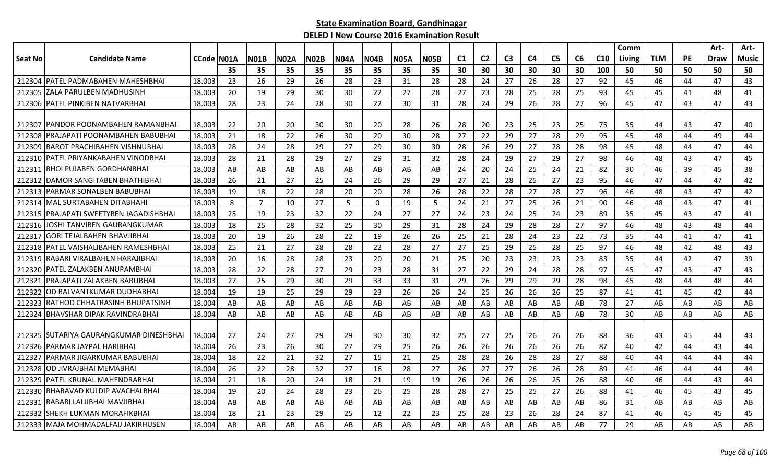|                 |                                                                  |                    |          |             |             |             |             |          |             |          |          |                |                |          |                |          |                 | Comm     |            |           | Art-        | Art-         |
|-----------------|------------------------------------------------------------------|--------------------|----------|-------------|-------------|-------------|-------------|----------|-------------|----------|----------|----------------|----------------|----------|----------------|----------|-----------------|----------|------------|-----------|-------------|--------------|
| <b>Seat No</b>  | <b>Candidate Name</b>                                            | <b>CCode IN01A</b> |          | <b>N01B</b> | <b>N02A</b> | <b>N02B</b> | <b>N04A</b> | N04B     | <b>N05A</b> | N05B     | C1       | C <sub>2</sub> | C <sub>3</sub> | C4       | C <sub>5</sub> | C6       | C <sub>10</sub> | Living   | <b>TLM</b> | <b>PE</b> | <b>Draw</b> | <b>Music</b> |
|                 |                                                                  |                    | 35       | 35          | 35          | 35          | 35          | 35       | 35          | 35       | 30       | 30             | 30             | 30       | 30             | 30       | 100             | 50       | 50         | 50        | 50          | 50           |
| 212304          | IPATEL PADMABAHEN MAHESHBHAI                                     | 18.003             | 23       | 26          | 29          | 26          | 28          | 23       | 31          | 28       | 28       | 24             | 27             | 26       | 28             | 27       | 92              | 45       | 46         | 44        | 47          | 43           |
| 212305          | IZALA PARULBEN MADHUSINH                                         | 18.003             | 20       | 19          | 29          | 30          | 30          | 22       | 27          | 28       | 27       | 23             | 28             | 25       | 28             | 25       | 93              | 45       | 45         | 41        | 48          | 41           |
| 212306          | PATEL PINKIBEN NATVARBHAI                                        | 18.003             | 28       | 23          | 24          | 28          | 30          | 22       | 30          | 31       | 28       | 24             | 29             | 26       | 28             | 27       | 96              | 45       | 47         | 43        | 47          | 43           |
|                 |                                                                  |                    |          |             |             |             |             |          |             |          |          |                |                |          |                |          |                 |          |            |           |             |              |
| 212307          | PANDOR POONAMBAHEN RAMANBHAI                                     | 18.003             | 22       | 20          | 20          | 30          | 30          | 20       | 28          | 26       | 28       | 20             | 23             | 25       | 23             | 25       | 75              | 35       | 44         | 43        | 47          | 40           |
| 212308          | PRAJAPATI POONAMBAHEN BABUBHAI                                   | 18.003             | 21       | 18          | 22          | 26          | 30          | 20       | 30          | 28       | 27       | 22             | 29             | 27       | 28             | 29       | 95              | 45       | 48         | 44        | 49          | 44           |
| 212309          | <b>BAROT PRACHIBAHEN VISHNUBHAI</b>                              | 18.003             | 28       | 24          | 28          | 29          | 27          | 29       | 30          | 30       | 28       | 26             | 29             | 27       | 28             | 28       | 98              | 45       | 48         | 44        | 47          | 44           |
| 212310          | PATEL PRIYANKABAHEN VINODBHAI<br><b>BHOI PUJABEN GORDHANBHAI</b> | 18.003<br>18.003   | 28<br>AB | 21<br>AB    | 28          | 29          | 27          | 29       | 31<br>AB    | 32<br>AB | 28       | 24<br>20       | 29             | 27       | 29<br>24       | 27       | 98              | 46       | 48         | 43<br>39  | 47<br>45    | 45<br>38     |
| 212311          | DAMOR SANGITABEN BHATHIBHAI                                      | 18.003             |          |             | AB          | AB          | AB<br>24    | AB       |             | 29       | 24       | 21             | 24             | 25<br>25 | 27             | 21       | 82              | 30       | 46<br>47   | 44        | 47          | 42           |
| 21231<br>212313 | PARMAR SONALBEN BABUBHAI                                         | 18.003             | 26<br>19 | 21<br>18    | 27          | 25          |             | 26<br>20 | 29          | 26       | 27       | 22             | 28<br>28       |          | 28             | 23<br>27 | 95<br>96        | 46       |            |           | 47          | 42           |
| 212314          | MAL SURTABAHEN DITABHAHI                                         | 18.003             | 8        | 7           | 22<br>10    | 28<br>27    | 20<br>5     | $\Omega$ | 28<br>19    | 5        | 28<br>24 | 21             | 27             | 27       | 26             |          | 90              | 46<br>46 | 48<br>48   | 43<br>43  | 47          | 41           |
| 212315          | PRAJAPATI SWEETYBEN JAGADISHBHAI                                 | 18.003             | 25       | 19          | 23          | 32          | 22          | 24       | 27          | 27       | 24       | 23             | 24             | 25<br>25 | 24             | 21<br>23 | 89              | 35       | 45         | 43        | 47          | 41           |
| 212316          | JOSHI TANVIBEN GAURANGKUMAR                                      | 18.003             | 18       | 25          | 28          | 32          | 25          | 30       | 29          | 31       | 28       | 24             | 29             | 28       | 28             | 27       | 97              | 46       | 48         | 43        | 48          | 44           |
| 212317          | GORI TEJALBAHEN BHAVJIBHAI                                       | 18.003             | 20       | 19          | 26          | 28          | 22          | 19       | 26          | 26       | 25       | 21             | 28             | 24       | 23             | 22       | 73              | 35       | 44         | 41        | 47          | 41           |
| 212318          | PATEL VAISHALIBAHEN RAMESHBHAI                                   | 18.003             | 25       | 21          | 27          | 28          | 28          | 22       | 28          | 27       | 27       | 25             | 29             | 25       | 28             | 25       | 97              | 46       | 48         | 42        | 48          | 43           |
| 212319          | RABARI VIRALBAHEN HARAJIBHAI                                     | 18.003             | 20       | 16          | 28          | 28          | 23          | 20       | 20          | 21       | 25       | 20             | 23             | 23       | 23             | 23       | 83              | 35       | 44         | 42        | 47          | 39           |
| 212320          | PATEL ZALAKBEN ANUPAMBHAI                                        | 18.003             | 28       | 22          | 28          | 27          | 29          | 23       | 28          | 31       | 27       | 22             | 29             | 24       | 28             | 28       | 97              | 45       | 47         | 43        | 47          | 43           |
| 212321          | IPRAJAPATI ZALAKBEN BABUBHAI                                     | 18.003             | 27       | 25          | 29          | 30          | 29          | 33       | 33          | 31       | 29       | 26             | 29             | 29       | 29             | 28       | 98              | 45       | 48         | 44        | 48          | 44           |
| 212322          | OD BALVANTKUMAR DUDHABHAI                                        | 18.004             | 19       | 19          | 25          | -29         | 29          | 23       | 26          | 26       | 24       | 25             | 26             | 26       | 26             | 25       | 87              | 41       | 41         | 45        | 42          | 44           |
| 212323          | RATHOD CHHATRASINH BHUPATSINH                                    | 18.004             | AB       | AB          | AB          | AB          | AB          | AB       | AB          | AB       | AB       | AB             | AB             | AB       | AB             | AB       | 78              | 27       | AB         | AB        | AB          | AB           |
| 212324          | <b>BHAVSHAR DIPAK RAVINDRABHAI</b>                               | 18.004             | AB       | AB          | AB          | AB          | AB          | AB       | AB          | AB       | AB       | AB             | AB             | AB       | AB             | AB       | 78              | 30       | AB         | AB        | AB          | AB           |
|                 |                                                                  |                    |          |             |             |             |             |          |             |          |          |                |                |          |                |          |                 |          |            |           |             |              |
|                 | 212325 ISUTARIYA GAURANGKUMAR DINESHBHAI                         | 18.004             | 27       | 24          | 27          | 29          | 29          | 30       | 30          | 32       | 25       | 27             | 25             | 26       | 26             | 26       | 88              | 36       | 43         | 45        | 44          | 43           |
| 212326          | IPARMAR JAYPAL HARIBHAI                                          | 18.004             | 26       | 23          | 26          | 30          | 27          | 29       | 25          | 26       | 26       | 26             | 26             | 26       | 26             | 26       | 87              | 40       | 42         | 44        | 43          | 44           |
| 21232           | PARMAR JIGARKUMAR BABUBHAI                                       | 18.004             | 18       | 22          | 21          | 32          | 27          | 15       | 21          | 25       | 28       | 28             | 26             | 28       | 28             | 27       | 88              | 40       | 44         | 44        | 44          | 44           |
| 212328          | OD JIVRAJBHAI MEMABHAI                                           | 18.004             | 26       | 22          | 28          | 32          | 27          | 16       | 28          | 27       | 26       | 27             | 27             | 26       | 26             | 28       | 89              | 41       | 46         | 44        | 44          | 44           |
| 212329          | PATEL KRUNAL MAHENDRABHAI                                        | 18.004             | 21       | 18          | 20          | 24          | 18          | 21       | 19          | 19       | 26       | 26             | 26             | 26       | 25             | 26       | 88              | 40       | 46         | 44        | 43          | 44           |
| 212330          | BHARAVAD KULDIP AVACHALBHAI                                      | 18.004             | 19       | 20          | 24          | 28          | 23          | 26       | 25          | 28       | 28       | 27             | 25             | 25       | 27             | 26       | 88              | 41       | 46         | 45        | 43          | 45           |
| 212331          | RABARI LALJIBHAI MAVJIBHAI                                       | 18.004             | AB       | AB          | AB          | AB          | AB          | AB       | AB          | AB       | AB       | AB             | AB             | AB       | AB             | AB       | 86              | 31       | AB         | AB        | AB          | AB           |
| 212332          | SHEKH LUKMAN MORAFIKBHAI                                         | 18.004             | -18      | 21          | 23          | 29          | 25          | 12       | 22          | 23       | 25       | 28             | 23             | 26       | 28             | 24       | 87              | 41       | 46         | 45        | 45          | 45           |
|                 | 212333   MAJA MOHMADALFAIJ JAKIRHUSEN                            | 18.004             | AB       | AB          | AB          | AB          | AB          | AB       | AB          | AB       | AB       | AB             | AB             | AB       | AB             | AB       | 77              | 29       | AB         | AB        | AB          | AB           |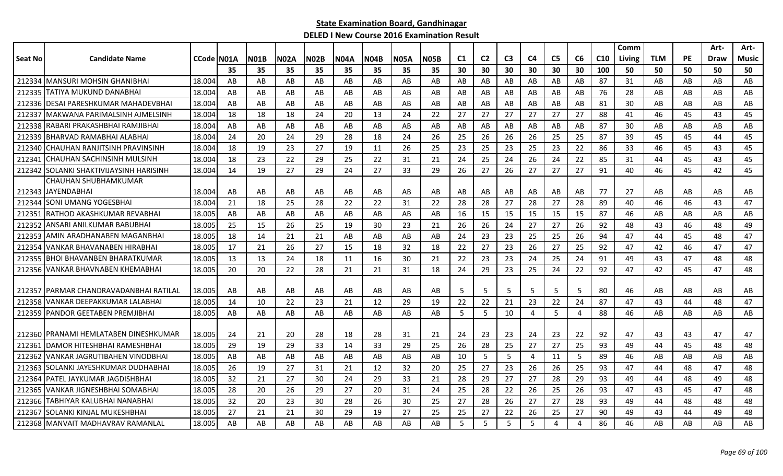|         |                                         |            |    |             |             |             |             |             |             |             |                |                |                |    |                |    |                 | Comm   |            |           | Art- | Art-  |
|---------|-----------------------------------------|------------|----|-------------|-------------|-------------|-------------|-------------|-------------|-------------|----------------|----------------|----------------|----|----------------|----|-----------------|--------|------------|-----------|------|-------|
| Seat No | <b>Candidate Name</b>                   | CCode N01A |    | <b>N01B</b> | <b>N02A</b> | <b>N02B</b> | <b>N04A</b> | <b>N04B</b> | <b>N05A</b> | <b>N05B</b> | C <sub>1</sub> | C <sub>2</sub> | C <sub>3</sub> | C4 | C <sub>5</sub> | C6 | C <sub>10</sub> | Living | <b>TLM</b> | <b>PE</b> | Draw | Music |
|         |                                         |            | 35 | 35          | 35          | 35          | 35          | 35          | 35          | 35          | 30             | 30             | 30             | 30 | 30             | 30 | 100             | 50     | 50         | 50        | 50   | 50    |
| 212334  | <b>IMANSURI MOHSIN GHANIBHAI</b>        | 18.004     | AB | AB          | AB          | AB          | AB          | AB          | AB          | AB          | AB             | AB             | AB             | AB | AB             | AB | 87              | 31     | AB         | AB        | AB   | AB    |
| 212335  | <b>ITATIYA MUKUND DANABHAI</b>          | 18.004     | AB | AB          | AB          | AB          | AB          | AB          | AB          | AB          | AB             | AB             | AB             | AB | AB             | AB | 76              | 28     | AB         | AB        | AB   | AB    |
|         | 212336 IDESAI PARESHKUMAR MAHADEVBHAI   | 18.004     | AB | AB          | AB          | AB          | AB          | AB          | AB          | AB          | AB             | AB             | AB             | AB | AB             | AB | 81              | 30     | AB         | AB        | AB   | AB    |
| 212337  | MAKWANA PARIMALSINH AJMELSINH           | 18.004     | 18 | 18          | 18          | 24          | 20          | 13          | 24          | 22          | 27             | 27             | 27             | 27 | 27             | 27 | 88              | 41     | 46         | 45        | 43   | 45    |
| 212338  | RABARI PRAKASHBHAI RAMJIBHAI            | 18.004     | AB | AB          | AB          | AB          | AB          | AB          | AB          | AB          | AB             | AB             | AB             | AB | AB             | AB | 87              | 30     | AB         | AB        | AB   | AB    |
| 212339  | BHARVAD RAMABHAI ALABHAI                | 18.004     | 24 | 20          | 24          | 29          | 28          | 18          | 24          | 26          | 25             | 26             | 26             | 26 | 25             | 25 | 87              | 39     | 45         | 45        | 44   | 45    |
| 212340  | CHAUHAN RANJITSINH PRAVINSINH           | 18.004     | 18 | 19          | 23          | 27          | 19          | 11          | 26          | 25          | 23             | 25             | 23             | 25 | 23             | 22 | 86              | 33     | 46         | 45        | 43   | 45    |
| 21234   | <b>CHAUHAN SACHINSINH MULSINH</b>       | 18.004     | 18 | 23          | 22          | 29          | 25          | 22          | 31          | 21          | 24             | 25             | 24             | 26 | 24             | 22 | 85              | 31     | 44         | 45        | 43   | 45    |
| 212342  | <b>SOLANKI SHAKTIVIJAYSINH HARISINH</b> | 18.004     | 14 | 19          | 27          | 29          | 24          | 27          | 33          | 29          | 26             | 27             | 26             | 27 | 27             | 27 | 91              | 40     | 46         | 45        | 42   | 45    |
|         | CHAUHAN SHUBHAMKUMAR                    |            |    |             |             |             |             |             |             |             |                |                |                |    |                |    |                 |        |            |           |      |       |
|         | 212343 JAYENDABHAI                      | 18.004     | AB | AB          | AB          | AB          | AB          | AB          | AB          | AB          | AB             | AB             | AB             | AB | AB             | AB | 77              | 27     | AB         | AB        | AB   | AB    |
| 212344  | <b>SONI UMANG YOGESBHAI</b>             | 18.004     | 21 | 18          | 25          | 28          | 22          | 22          | 31          | 22          | 28             | 28             | 27             | 28 | 27             | 28 | 89              | 40     | 46         | 46        | 43   | 47    |
| 212351  | RATHOD AKASHKUMAR REVABHAI              | 18.005     | AB | AB          | AB          | AB          | AB          | AB          | AB          | AB          | 16             | 15             | 15             | 15 | 15             | 15 | 87              | 46     | AB         | AB        | AB   | AB    |
| 212352  | ANSARI ANILKUMAR BABUBHAI               | 18.005     | 25 | 15          | 26          | 25          | 19          | 30          | 23          | 21          | 26             | 26             | 24             | 27 | 27             | 26 | 92              | 48     | 43         | 46        | 48   | 49    |
| 212353  | AMIN ARADHANABEN MAGANBHAI              | 18.005     | 18 | 14          | 21          | 21          | AB          | AB.         | AB          | AB          | 24             | 23             | 23             | 25 | 25             | 26 | 94              | 47     | 44         | 45        | 48   | 47    |
| 212354  | VANKAR BHAVANABEN HIRABHAI              | 18.005     | 17 | 21          | 26          | 27          | 15          | 18          | 32          | 18          | 22             | 27             | 23             | 26 | 27             | 25 | 92              | 47     | 42         | 46        | 47   | 47    |
| 212355  | <b>BHOI BHAVANBEN BHARATKUMAR</b>       | 18.005     | 13 | 13          | 24          | 18          | 11          | 16          | 30          | 21          | 22             | 23             | 23             | 24 | 25             | 24 | 91              | 49     | 43         | 47        | 48   | 48    |
|         | 212356 VANKAR BHAVNABEN KHEMABHAI       | 18.005     | 20 | 20          | 22          | 28          | 21          | 21          | 31          | 18          | 24             | 29             | 23             | 25 | 24             | 22 | 92              | 47     | 42         | 45        | 47   | 48    |
|         |                                         |            |    |             |             |             |             |             |             |             |                |                |                |    |                |    |                 |        |            |           |      |       |
| 212357  | IPARMAR CHANDRAVADANBHAI RATILAL        | 18.005     | AB | AB          | AB          | AB          | AB          | AB          | AB          | AB          | 5              | 5              | 5              | 5  | 5              | 5  | 80              | 46     | AB         | AB        | AB   | AB    |
| 212358  | VANKAR DEEPAKKUMAR LALABHAI             | 18.005     | 14 | 10          | 22          | 23          | 21          | 12          | 29          | 19          | 22             | 22             | 21             | 23 | 22             | 24 | 87              | 47     | 43         | 44        | 48   | 47    |
| 212359  | PANDOR GEETABEN PREMJIBHAI              | 18.005     | AB | AB          | AB          | AB          | AB          | AB          | AB          | AB          | 5              | 5              | 10             | 4  | 5              | 4  | 88              | 46     | AB         | AB        | AB   | AB    |
|         |                                         |            |    |             |             |             |             |             |             |             |                |                |                |    |                |    |                 |        |            |           |      |       |
|         | 212360   PRANAMI HEMLATABEN DINESHKUMAR | 18.005     | 24 | 21          | 20          | 28          | 18          | 28          | 31          | 21          | 24             | 23             | 23             | 24 | 23             | 22 | 92              | 47     | 43         | 43        | 47   | 47    |
| 212361  | DAMOR HITESHBHAI RAMESHBHAI             | 18.005     | 29 | 19          | 29          | 33          | 14          | 33          | 29          | 25          | 26             | 28             | 25             | 27 | 27             | 25 | 93              | 49     | 44         | 45        | 48   | 48    |
| 212362  | <b>VANKAR JAGRUTIBAHEN VINODBHAI</b>    | 18.005     | AB | AB          | AB          | AB          | AB          | AB          | AB          | AB          | 10             | 5              | 5              | 4  | 11             | 5  | 89              | 46     | AB         | AB        | AB   | AB    |
| 212363  | SOLANKI JAYESHKUMAR DUDHABHAI           | 18.005     | 26 | 19          | 27          | 31          | 21          | 12          | 32          | 20          | 25             | 27             | 23             | 26 | 26             | 25 | 93              | 47     | 44         | 48        | 47   | 48    |
| 212364  | PATEL JAYKUMAR JAGDISHBHAI              | 18.005     | 32 | 21          | 27          | 30          | 24          | 29          | 33          | 21          | 28             | 29             | 27             | 27 | 28             | 29 | 93              | 49     | 44         | 48        | 49   | 48    |
| 212365  | VANKAR JIGNESHBHAI SOMABHAI             | 18.005     | 28 | 20          | 26          | 29          | 27          | 20          | 31          | 24          | 25             | 28             | 22             | 26 | 25             | 26 | 93              | 47     | 43         | 45        | 47   | 48    |
| 212366  | TABHIYAR KALUBHAI NANABHAI              | 18.005     | 32 | 20          | 23          | 30          | 28          | 26          | 30          | 25          | 27             | 28             | 26             | 27 | 27             | 28 | 93              | 49     | 44         | 48        | 48   | 48    |
| 212367  | SOLANKI KINJAL MUKESHBHAI               | 18.005     | 27 | 21          | 21          | 30          | 29          | 19          | 27          | 25          | 25             | 27             | 22             | 26 | 25             | 27 | 90              | 49     | 43         | 44        | 49   | 48    |
|         | 212368 MANVAIT MADHAVRAV RAMANLAL       | 18.005     | AB | AB          | AB          | AB          | AB          | AB          | AB          | AB          | 5              | 5              | 5              | 5  | $\overline{4}$ | 4  | 86              | 46     | AB         | AB        | AB   | AB    |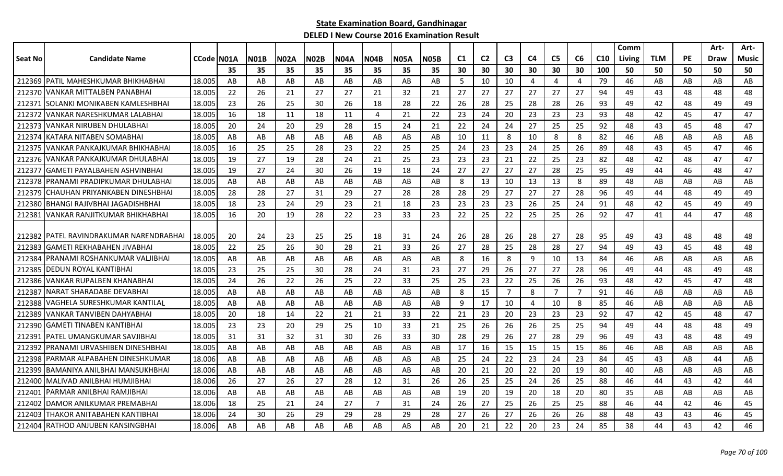| C <sub>3</sub><br><b>N02B</b><br><b>N04A</b><br>C1<br>C <sub>2</sub><br>C <sub>5</sub><br>C6<br>C <sub>10</sub><br><b>TLM</b><br><b>PE</b><br><b>Candidate Name</b><br><b>CCode IN01A</b><br><b>N01B</b><br><b>N02A</b><br><b>N04B</b><br><b>N05A</b><br>N05B<br>C4<br>Seat No<br>Living<br>35<br>35<br>35<br>35<br>35<br>35<br>30<br>30<br>30<br>30<br>30<br>30<br>100<br>50<br>50<br>50<br>35<br>35<br>212369 PATIL MAHESHKUMAR BHIKHABHAI<br>18.005<br>AB<br>AB<br>AB<br>AB<br>AB<br>AB<br>AB<br>AB<br>5<br>10<br>10<br>4<br>79<br>46<br>AB<br>AB<br>4<br>4<br>22<br>26<br>27<br>27<br>27<br>27<br>27<br>27<br>94<br>43<br>212370 VANKAR MITTALBEN PANABHAI<br>18.005<br>21<br>27<br>21<br>32<br>21<br>27<br>49<br>48<br>212371 SOLANKI MONIKABEN KAMLESHBHAI<br>-23<br>26<br>25<br>28<br>22<br>28<br>25<br>28<br>28<br>26<br>93<br>48<br>18.005<br>30<br>-26<br>18<br>26<br>49<br>42 | Draw<br>50<br>AB<br>48<br>49<br>47<br>48<br>AB<br>47 | Music<br>50<br>AB<br>48<br>49<br>47<br>47<br>AB |
|------------------------------------------------------------------------------------------------------------------------------------------------------------------------------------------------------------------------------------------------------------------------------------------------------------------------------------------------------------------------------------------------------------------------------------------------------------------------------------------------------------------------------------------------------------------------------------------------------------------------------------------------------------------------------------------------------------------------------------------------------------------------------------------------------------------------------------------------------------------------------------------|------------------------------------------------------|-------------------------------------------------|
|                                                                                                                                                                                                                                                                                                                                                                                                                                                                                                                                                                                                                                                                                                                                                                                                                                                                                          |                                                      |                                                 |
|                                                                                                                                                                                                                                                                                                                                                                                                                                                                                                                                                                                                                                                                                                                                                                                                                                                                                          |                                                      |                                                 |
|                                                                                                                                                                                                                                                                                                                                                                                                                                                                                                                                                                                                                                                                                                                                                                                                                                                                                          |                                                      |                                                 |
|                                                                                                                                                                                                                                                                                                                                                                                                                                                                                                                                                                                                                                                                                                                                                                                                                                                                                          |                                                      |                                                 |
|                                                                                                                                                                                                                                                                                                                                                                                                                                                                                                                                                                                                                                                                                                                                                                                                                                                                                          |                                                      |                                                 |
| 23<br>212372 VANKAR NARESHKUMAR LALABHAI<br>18.005<br>16<br>21<br>22<br>23<br>24<br>20<br>23<br>23<br>93<br>48<br>18<br>11<br>18<br>11<br>$\overline{4}$<br>42<br>45                                                                                                                                                                                                                                                                                                                                                                                                                                                                                                                                                                                                                                                                                                                     |                                                      |                                                 |
| 20<br>24<br>24<br>25<br>25<br>92<br>45<br>212373<br>VANKAR NIRUBEN DHULABHAI<br>18.005<br>20<br>29<br>28<br>15<br>24<br>21<br>22<br>24<br>27<br>48<br>43                                                                                                                                                                                                                                                                                                                                                                                                                                                                                                                                                                                                                                                                                                                                 |                                                      |                                                 |
| 8<br>8<br>8<br>82<br>46<br>212374<br><b>KATARA NITABEN SOMABHAI</b><br>18.005<br>AB<br>AB<br>AB<br>AB<br>AB<br>AB<br>AB<br>AB<br>10<br>11<br>10<br>AB<br>AB                                                                                                                                                                                                                                                                                                                                                                                                                                                                                                                                                                                                                                                                                                                              |                                                      |                                                 |
| 25<br>24<br>23<br>23<br>25<br>26<br>89<br>212375<br>VANKAR PANKAJKUMAR BHIKHABHAI<br>18.005<br>-16<br>25<br>28<br>23<br>22<br>25<br>25<br>24<br>48<br>43<br>45                                                                                                                                                                                                                                                                                                                                                                                                                                                                                                                                                                                                                                                                                                                           |                                                      | 46                                              |
| 212376<br>VANKAR PANKAJKUMAR DHULABHAI<br>18.005<br>19<br>27<br>19<br>28<br>24<br>25<br>23<br>23<br>23<br>21<br>22<br>25<br>23<br>82<br>48<br>42<br>48<br>21                                                                                                                                                                                                                                                                                                                                                                                                                                                                                                                                                                                                                                                                                                                             | 47                                                   | 47                                              |
| <b>GAMETI PAYALBAHEN ASHVINBHAI</b><br>27<br>212377<br>18.005<br>19<br>27<br>18<br>24<br>27<br>27<br>27<br>28<br>25<br>95<br>24<br>30<br>26<br>19<br>49<br>44<br>46                                                                                                                                                                                                                                                                                                                                                                                                                                                                                                                                                                                                                                                                                                                      | 48                                                   | 47                                              |
| 13<br>13<br>212378<br>PRANAMI PRADIPKUMAR DHULABHAI<br>18.005<br>AB<br>AB<br>AB<br>AB<br>AB<br>AB<br>AB<br>AB<br>8<br>10<br>13<br>8<br>89<br>48<br>AB<br>AB                                                                                                                                                                                                                                                                                                                                                                                                                                                                                                                                                                                                                                                                                                                              | AB                                                   | AB                                              |
| 29<br>27<br>96<br>ICHAUHAN PRIYANKABEN DINESHBHAI<br>18.005<br>28<br>28<br>27<br>31<br>29<br>27<br>28<br>28<br>28<br>27<br>27<br>28<br>49<br>48<br>212379<br>44                                                                                                                                                                                                                                                                                                                                                                                                                                                                                                                                                                                                                                                                                                                          | 49                                                   | 49                                              |
| 18.005<br>18<br>23<br>24<br>23<br>18<br>23<br>23<br>23<br>23<br>25<br>24<br>91<br>48<br>42<br>45<br>212380 BHANGI RAJIVBHAI JAGADISHBHAI<br>29<br>21<br>26                                                                                                                                                                                                                                                                                                                                                                                                                                                                                                                                                                                                                                                                                                                               | 49                                                   | 49                                              |
| 16<br>20<br>23<br>23<br>22<br>25<br>26<br>92<br>47<br>212381 VANKAR RANJITKUMAR BHIKHABHAI<br>18.005<br>19<br>28<br>22<br>33<br>22<br>25<br>25<br>41<br>44                                                                                                                                                                                                                                                                                                                                                                                                                                                                                                                                                                                                                                                                                                                               | 47                                                   | 48                                              |
|                                                                                                                                                                                                                                                                                                                                                                                                                                                                                                                                                                                                                                                                                                                                                                                                                                                                                          |                                                      |                                                 |
| 212382 PATEL RAVINDRAKUMAR NARENDRABHAI<br>18.005<br>25<br>24<br>26<br>28<br>26<br>27<br>28<br>48<br>-20<br>24<br>23<br>25<br>18<br>31<br>28<br>95<br>49<br>43                                                                                                                                                                                                                                                                                                                                                                                                                                                                                                                                                                                                                                                                                                                           | 48                                                   | 48                                              |
| <b>GAMETI REKHABAHEN JIVABHAI</b><br>22<br>25<br>26<br>30<br>33<br>26<br>27<br>28<br>25<br>28<br>28<br>27<br>94<br>212383<br>18.005<br>28<br>21<br>49<br>43<br>45                                                                                                                                                                                                                                                                                                                                                                                                                                                                                                                                                                                                                                                                                                                        | 48                                                   | 48                                              |
| 8<br>8<br>13<br>212384<br>PRANAMI ROSHANKUMAR VALJIBHAI<br>18.00!<br>AB<br>AB<br>AB<br>AB<br>AB<br>AB<br>AB<br>AB<br>16<br>9<br>10<br>84<br>46<br>AB<br>AB                                                                                                                                                                                                                                                                                                                                                                                                                                                                                                                                                                                                                                                                                                                               | AB                                                   | AB                                              |
| 23<br>27<br>29<br>26<br>27<br>212385<br><b>DEDUN ROYAL KANTIBHAI</b><br>18.00<br>23<br>25<br>25<br>30<br>28<br>24<br>31<br>27<br>28<br>96<br>49<br>44<br>48                                                                                                                                                                                                                                                                                                                                                                                                                                                                                                                                                                                                                                                                                                                              | 49                                                   | 48                                              |
| 22<br><b>VANKAR RUPALBEN KHANABHAI</b><br>26<br>22<br>26<br>25<br>33<br>25<br>23<br>25<br>26<br>26<br>93<br>48<br>42<br>45<br>212386<br>18.005<br>24<br>22<br>25                                                                                                                                                                                                                                                                                                                                                                                                                                                                                                                                                                                                                                                                                                                         | 47                                                   | 48                                              |
| $\overline{7}$<br>212387 NARAT SHARADABE DEVABHAI<br>AB<br>AB<br>15<br>8<br>$\overline{7}$<br>$\overline{7}$<br>91<br>46<br>18.005<br>AB<br>AB<br>AB<br>AB<br>AB<br>AB<br>8<br>AB<br>AB                                                                                                                                                                                                                                                                                                                                                                                                                                                                                                                                                                                                                                                                                                  | AB                                                   | AB                                              |
| VAGHELA SURESHKUMAR KANTILAL<br>18.005<br>AB<br>17<br>10<br>10<br>8<br>85<br>46<br>212388<br>AB<br>AB<br>AB<br>AB<br>AB<br>AB<br>AB<br>9<br>AB<br>AB<br>4                                                                                                                                                                                                                                                                                                                                                                                                                                                                                                                                                                                                                                                                                                                                | AB                                                   | AB                                              |
| 18.005<br>20<br>23<br>20<br>23<br>23<br>92<br>47<br>212389<br>VANKAR TANVIBEN DAHYABHAI<br>18<br>14<br>22<br>21<br>21<br>33<br>22<br>21<br>23<br>42<br>45                                                                                                                                                                                                                                                                                                                                                                                                                                                                                                                                                                                                                                                                                                                                | 48                                                   | 47                                              |
| <b>GAMETI TINABEN KANTIBHAI</b><br>23<br>23<br>20<br>29<br>33<br>26<br>26<br>25<br>25<br>94<br>49<br>48<br>212390<br>18.005<br>25<br>10<br>21<br>25<br>26<br>44                                                                                                                                                                                                                                                                                                                                                                                                                                                                                                                                                                                                                                                                                                                          | 48                                                   | 49                                              |
| 32<br>33<br>29<br>29<br>212391 PATEL UMANGKUMAR SAVJIBHAI<br>18.00<br>31<br>31<br>31<br>30<br>26<br>30<br>28<br>26<br>27<br>28<br>96<br>49<br>43<br>48                                                                                                                                                                                                                                                                                                                                                                                                                                                                                                                                                                                                                                                                                                                                   | 48                                                   | 49                                              |
| 15<br>212392<br><b>IPRANAMI URVASHIBEN DINESHBHAI</b><br>18.00<br>AB<br>AB<br>AB<br>AB<br>AB<br>AB<br>17<br>16<br>15<br>15<br>15<br>86<br>46<br>AB<br>AB<br>AB<br>AB                                                                                                                                                                                                                                                                                                                                                                                                                                                                                                                                                                                                                                                                                                                     | AB                                                   | AB                                              |
| AB<br>24<br>22<br>24<br>23<br>84<br>45<br>212398<br>PARMAR ALPABAHEN DINESHKUMAR<br>18.006<br>AB<br>AB<br>AB<br>AB<br>AB<br>AB<br>AB<br>25<br>23<br>43<br>AB                                                                                                                                                                                                                                                                                                                                                                                                                                                                                                                                                                                                                                                                                                                             | 44                                                   | AB                                              |
| 20<br>20<br>IBAMANIYA ANILBHAI MANSUKHBHAI<br>18.006<br>AB<br>AB<br>AB<br>AB<br>AB<br>AB<br>20<br>21<br>22<br>19<br>80<br>40<br>AB<br>AB<br>212399<br>AB<br>AB                                                                                                                                                                                                                                                                                                                                                                                                                                                                                                                                                                                                                                                                                                                           | AB                                                   | AB                                              |
| 27<br>27<br>28<br>25<br>25<br>88<br>212400 MALIVAD ANILBHAI HUMJIBHAI<br>18.006<br>-26<br>26<br>12<br>31<br>26<br>26<br>25<br>24<br>26<br>46<br>44<br>43                                                                                                                                                                                                                                                                                                                                                                                                                                                                                                                                                                                                                                                                                                                                 | 42                                                   | 44                                              |
| AB<br>20<br>19<br>20<br>80<br>35<br>212401   PARMAR ANILBHAI RAMJIBHAI<br>18.006<br>AB<br>AB<br>AB<br>AB<br>AB<br>AB<br>19<br>20<br>18<br>AB<br>AB<br>AB                                                                                                                                                                                                                                                                                                                                                                                                                                                                                                                                                                                                                                                                                                                                 | AB                                                   | AB                                              |
| 25<br>24<br>24<br>25<br>212402<br>DAMOR ANILKUMAR PREMABHAI<br>18<br>21<br>27<br>$\overline{7}$<br>31<br>26<br>27<br>26<br>25<br>25<br>88<br>46<br>44<br>42<br>18.006                                                                                                                                                                                                                                                                                                                                                                                                                                                                                                                                                                                                                                                                                                                    | 46                                                   | 45                                              |
| 26<br>30<br>26<br>29<br>28<br>29<br>28<br>27<br>26<br>27<br>26<br>88<br>212403<br>THAKOR ANITABAHEN KANTIBHAI<br>18.006<br>24<br>29<br>26<br>48<br>43<br>43                                                                                                                                                                                                                                                                                                                                                                                                                                                                                                                                                                                                                                                                                                                              | 46                                                   | 45                                              |
| AB<br>21<br>22<br>23<br>24<br>43<br>212404 RATHOD ANJUBEN KANSINGBHAI<br>18.006<br>AB<br>AB<br>AB<br>AB<br>AB<br>AB<br>AB<br>20<br>20<br>85<br>38<br>44                                                                                                                                                                                                                                                                                                                                                                                                                                                                                                                                                                                                                                                                                                                                  | 42                                                   | 46                                              |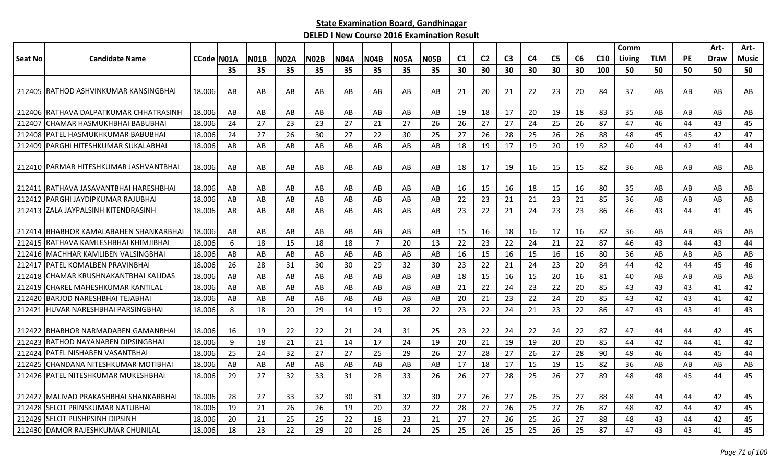| C <sub>5</sub><br>CCode N01A<br><b>N02A</b><br><b>N02B</b><br>C <sub>2</sub><br>C <sub>3</sub><br>C <sub>4</sub><br>C6<br>C <sub>10</sub><br><b>TLM</b><br><b>PE</b><br><b>Candidate Name</b><br><b>NO1B</b><br><b>NO4A</b><br><b>N04B</b><br><b>N05A</b><br><b>N05B</b><br>C <sub>1</sub><br><b>Living</b><br>Music<br>Draw<br>35<br>30<br>30<br>30<br>35<br>35<br>35<br>35<br>35<br>35<br>35<br>30<br>30<br>30<br>100<br>50<br>50<br>50<br>50<br>50<br>21<br>23<br>20<br>37<br>212405   RATHOD ASHVINKUMAR KANSINGBHAI<br>18.006<br>AB<br>AB<br>AB<br>AB<br>AB<br>AB<br>AB<br>21<br>20<br>22<br>84<br>AB<br>AB<br>AB<br>AB<br>AB<br>212406   RATHAVA DALPATKUMAR CHHATRASINH<br>18.006<br>AB<br>AB<br>AB<br>AB<br>AB<br>-19<br>17<br>19<br>18<br>83<br>35<br>AB<br>AB<br>AB<br>AB<br>AB<br>AB<br>AB<br>18<br>20<br>24<br>27<br>23<br>27<br>27<br>26<br>26<br>27<br>27<br>25<br>87<br>47<br>43<br>45<br>ICHAMAR HASMUKHBHAI BABUBHAI<br>18.006<br>23<br>21<br>24<br>26<br>46<br>44<br>212407<br><b>PATEL HASMUKHKUMAR BABUBHAI</b><br>18.006<br>24<br>27<br>26<br>30<br>27<br>22<br>30<br>25<br>27<br>26<br>28<br>25<br>26<br>26<br>88<br>48<br>45<br>45<br>42<br>47<br>212408<br>212409 PARGHI HITESHKUMAR SUKALABHAI<br>AB<br>AB<br>17<br>20<br>40<br>42<br>18.006<br>AB<br>AB<br>AB<br>AB<br>AB<br>AB<br>18<br>19<br>19<br>19<br>82<br>44<br>41<br>44<br>212410 PARMAR HITESHKUMAR JASHVANTBHAI<br>18.006<br>AB<br>AB<br>AB<br>AB<br>AB<br>AB<br>17<br>19<br>15<br>15<br>82<br>36<br>AB<br>AB<br>AB<br>AB<br>AB<br>18<br>16<br>AB<br>18.006<br>16<br>16<br>212411 IRATHAVA JASAVANTBHAI HARESHBHAI<br>AB<br>AB<br>AB<br>AB<br>AB<br>AB<br>AB<br>15<br>18<br>15<br>80<br>35<br>AB<br>AB<br>AB<br>AB<br>-16<br>AB<br>23<br>21<br>23<br>PARGHI JAYDIPKUMAR RAJUBHAI<br>18.006<br>AB<br>AB<br>AB<br>AB<br>85<br>36<br>AB<br>AB<br>AB<br>AB<br>AB<br>22<br>21<br>21<br>AB<br>AB<br>AB<br>212413 ZALA JAYPALSINH KITENDRASINH<br>18.006<br>AB<br>23<br>22<br>21<br>23<br>23<br>86<br>43<br>45<br>AB<br>AB<br>AB<br>AB<br>AB<br>AB<br>AB<br>24<br>46<br>44<br>41<br>18.006<br>18<br>17<br>16<br>212414 BHABHOR KAMALABAHEN SHANKARBHAI<br>AB<br>AB<br>AB<br>AB<br>AB<br>AB<br>AB<br>AB<br>15<br>16<br>16<br>82<br>36<br>AB<br>AB<br>AB<br>AB<br>22<br>212415 RATHAVA KAMLESHBHAI KHIMJIBHAI<br>18.006<br>6<br>$\overline{7}$<br>20<br>22<br>23<br>24<br>21<br>22<br>87<br>46<br>43<br>44<br>43<br>44<br>18<br>15<br>18<br>18<br>13<br>16<br>212416 MACHHAR KAMLIBEN VALSINGBHAI<br>18.006<br>AB<br>15<br>16<br>16<br>80<br>36<br>AB<br>AB<br>AB<br>AB<br>AB<br>AB<br>16<br>15<br>AB<br>AB<br>AB<br>AB<br>AB<br>212417 PATEL KOMALBEN PRAVINBHAI<br>26<br>28<br>30<br>30<br>32<br>30<br>23<br>22<br>21<br>23<br>20<br>84<br>44<br>42<br>45<br>46<br>18.006<br>31<br>29<br>24<br>44<br>16<br>ICHAMAR KRUSHNAKANTBHAI KALIDAS<br>20<br>81<br>40<br>18.006<br>AB<br>AB<br>AB<br>AB<br>AB<br>AB<br>AB<br>AB<br>18<br>15<br>15<br>16<br>AB<br>AB<br>AB<br>AB<br>212418<br>22<br>24<br>22<br>85<br><b>ICHAREL MAHESHKUMAR KANTILAL</b><br>18.006<br>AB<br>AB<br>AB<br>AB<br>AB<br>21<br>23<br>20<br>43<br>43<br>43<br>42<br>212419<br>AB<br>AB<br>AB<br>41<br>21<br>23<br>24<br>42<br>42<br>212420 BARJOD NARESHBHAI TEJABHAI<br>18.006<br>AB<br>AB<br>AB<br>AB<br>AB<br>20<br>22<br>20<br>85<br>43<br>43<br>AB<br>AB<br>AB<br>41<br>23<br>212421 HUVAR NARESHBHAI PARSINGBHAI<br>28<br>22<br>22<br>24<br>22<br>18.006<br>8<br>18<br>20<br>29<br>14<br>19<br>23<br>21<br>86<br>47<br>43<br>43<br>41<br>43<br>18.006<br>22<br>21<br>31<br>25<br>22<br>24<br>22<br>87<br>42<br>45<br>212422   BHABHOR NARMADABEN GAMANBHAI<br>16<br>19<br>22<br>24<br>23<br>22<br>24<br>47<br>44<br>44<br>9<br>21<br>19<br>19<br>42<br>212423 RATHOD NAYANABEN DIPSINGBHAI<br>18.006<br>18<br>21<br>21<br>14<br>17<br>24<br>19<br>20<br>20<br>20<br>85<br>44<br>42<br>44<br>41<br>212424 PATEL NISHABEN VASANTBHAI<br>18.006<br>25<br>32<br>27<br>27<br>25<br>29<br>26<br>28<br>27<br>27<br>28<br>90<br>45<br>24<br>27<br>26<br>49<br>46<br>44<br>44<br>17<br>19<br>15<br>82<br>212425 CHANDANA NITESHKUMAR MOTIBHAI<br>18.006<br>AB<br>AB<br>AB<br>AB<br>AB<br>AB<br>AB<br>AB<br>17<br>18<br>15<br>36<br>AB<br>AB<br>AB<br>AB<br>212426   PATEL NITESHKUMAR MUKESHBHAI<br>29<br>33<br>28<br>26<br>89<br>18.006<br>27<br>32<br>33<br>31<br>28<br>26<br>26<br>27<br>25<br>27<br>48<br>48<br>45<br>44<br>45<br>32<br>27<br>27<br>212427   MALIVAD PRAKASHBHAI SHANKARBHAI<br>18.006<br>28<br>27<br>33<br>30<br>32<br>30<br>27<br>26<br>26<br>25<br>88<br>48<br>42<br>45<br>31<br>44<br>44<br>32<br>22<br>28<br>27<br>26<br>27<br>87<br><b>ISELOT PRINSKUMAR NATUBHAI</b><br>18.006<br>19<br>21<br>26<br>26<br>19<br>20<br>25<br>26<br>48<br>42<br>44<br>42<br>45<br>212428<br>212429 SELOT PUSHPSINH DIPSINH<br>20<br>25<br>22<br>23<br>27<br>27<br>26<br>25<br>26<br>27<br>88<br>42<br>45<br>18.006<br>21<br>25<br>18<br>21<br>48<br>43<br>44<br>212430 DAMOR RAJESHKUMAR CHUNILAL |         |        |    |    |    |    |    |    |    |    |    |    |    |    |    |    |    | Comm |    |    | Art- | Art- |
|-------------------------------------------------------------------------------------------------------------------------------------------------------------------------------------------------------------------------------------------------------------------------------------------------------------------------------------------------------------------------------------------------------------------------------------------------------------------------------------------------------------------------------------------------------------------------------------------------------------------------------------------------------------------------------------------------------------------------------------------------------------------------------------------------------------------------------------------------------------------------------------------------------------------------------------------------------------------------------------------------------------------------------------------------------------------------------------------------------------------------------------------------------------------------------------------------------------------------------------------------------------------------------------------------------------------------------------------------------------------------------------------------------------------------------------------------------------------------------------------------------------------------------------------------------------------------------------------------------------------------------------------------------------------------------------------------------------------------------------------------------------------------------------------------------------------------------------------------------------------------------------------------------------------------------------------------------------------------------------------------------------------------------------------------------------------------------------------------------------------------------------------------------------------------------------------------------------------------------------------------------------------------------------------------------------------------------------------------------------------------------------------------------------------------------------------------------------------------------------------------------------------------------------------------------------------------------------------------------------------------------------------------------------------------------------------------------------------------------------------------------------------------------------------------------------------------------------------------------------------------------------------------------------------------------------------------------------------------------------------------------------------------------------------------------------------------------------------------------------------------------------------------------------------------------------------------------------------------------------------------------------------------------------------------------------------------------------------------------------------------------------------------------------------------------------------------------------------------------------------------------------------------------------------------------------------------------------------------------------------------------------------------------------------------------------------------------------------------------------------------------------------------------------------------------------------------------------------------------------------------------------------------------------------------------------------------------------------------------------------------------------------------------------------------------------------------------------------------------------------------------------------------------------------------------------------------------------------------------------------------------------------------------------------------------------------------------------------------------------------------------------------------------------------------------------------------------------------------------------------------------------------------------------------------------------------------------------------------------------------------------------------------------------------------------------------------------------------------------------------------------------------------------------------------------------------------------------------------------------------------------------------------------------------------------------------------------|---------|--------|----|----|----|----|----|----|----|----|----|----|----|----|----|----|----|------|----|----|------|------|
|                                                                                                                                                                                                                                                                                                                                                                                                                                                                                                                                                                                                                                                                                                                                                                                                                                                                                                                                                                                                                                                                                                                                                                                                                                                                                                                                                                                                                                                                                                                                                                                                                                                                                                                                                                                                                                                                                                                                                                                                                                                                                                                                                                                                                                                                                                                                                                                                                                                                                                                                                                                                                                                                                                                                                                                                                                                                                                                                                                                                                                                                                                                                                                                                                                                                                                                                                                                                                                                                                                                                                                                                                                                                                                                                                                                                                                                                                                                                                                                                                                                                                                                                                                                                                                                                                                                                                                                                                                                                                                                                                                                                                                                                                                                                                                                                                                                                                                                                                       | Seat No |        |    |    |    |    |    |    |    |    |    |    |    |    |    |    |    |      |    |    |      |      |
|                                                                                                                                                                                                                                                                                                                                                                                                                                                                                                                                                                                                                                                                                                                                                                                                                                                                                                                                                                                                                                                                                                                                                                                                                                                                                                                                                                                                                                                                                                                                                                                                                                                                                                                                                                                                                                                                                                                                                                                                                                                                                                                                                                                                                                                                                                                                                                                                                                                                                                                                                                                                                                                                                                                                                                                                                                                                                                                                                                                                                                                                                                                                                                                                                                                                                                                                                                                                                                                                                                                                                                                                                                                                                                                                                                                                                                                                                                                                                                                                                                                                                                                                                                                                                                                                                                                                                                                                                                                                                                                                                                                                                                                                                                                                                                                                                                                                                                                                                       |         |        |    |    |    |    |    |    |    |    |    |    |    |    |    |    |    |      |    |    |      |      |
|                                                                                                                                                                                                                                                                                                                                                                                                                                                                                                                                                                                                                                                                                                                                                                                                                                                                                                                                                                                                                                                                                                                                                                                                                                                                                                                                                                                                                                                                                                                                                                                                                                                                                                                                                                                                                                                                                                                                                                                                                                                                                                                                                                                                                                                                                                                                                                                                                                                                                                                                                                                                                                                                                                                                                                                                                                                                                                                                                                                                                                                                                                                                                                                                                                                                                                                                                                                                                                                                                                                                                                                                                                                                                                                                                                                                                                                                                                                                                                                                                                                                                                                                                                                                                                                                                                                                                                                                                                                                                                                                                                                                                                                                                                                                                                                                                                                                                                                                                       |         |        |    |    |    |    |    |    |    |    |    |    |    |    |    |    |    |      |    |    |      |      |
|                                                                                                                                                                                                                                                                                                                                                                                                                                                                                                                                                                                                                                                                                                                                                                                                                                                                                                                                                                                                                                                                                                                                                                                                                                                                                                                                                                                                                                                                                                                                                                                                                                                                                                                                                                                                                                                                                                                                                                                                                                                                                                                                                                                                                                                                                                                                                                                                                                                                                                                                                                                                                                                                                                                                                                                                                                                                                                                                                                                                                                                                                                                                                                                                                                                                                                                                                                                                                                                                                                                                                                                                                                                                                                                                                                                                                                                                                                                                                                                                                                                                                                                                                                                                                                                                                                                                                                                                                                                                                                                                                                                                                                                                                                                                                                                                                                                                                                                                                       |         |        |    |    |    |    |    |    |    |    |    |    |    |    |    |    |    |      |    |    |      |      |
|                                                                                                                                                                                                                                                                                                                                                                                                                                                                                                                                                                                                                                                                                                                                                                                                                                                                                                                                                                                                                                                                                                                                                                                                                                                                                                                                                                                                                                                                                                                                                                                                                                                                                                                                                                                                                                                                                                                                                                                                                                                                                                                                                                                                                                                                                                                                                                                                                                                                                                                                                                                                                                                                                                                                                                                                                                                                                                                                                                                                                                                                                                                                                                                                                                                                                                                                                                                                                                                                                                                                                                                                                                                                                                                                                                                                                                                                                                                                                                                                                                                                                                                                                                                                                                                                                                                                                                                                                                                                                                                                                                                                                                                                                                                                                                                                                                                                                                                                                       |         |        |    |    |    |    |    |    |    |    |    |    |    |    |    |    |    |      |    |    |      |      |
|                                                                                                                                                                                                                                                                                                                                                                                                                                                                                                                                                                                                                                                                                                                                                                                                                                                                                                                                                                                                                                                                                                                                                                                                                                                                                                                                                                                                                                                                                                                                                                                                                                                                                                                                                                                                                                                                                                                                                                                                                                                                                                                                                                                                                                                                                                                                                                                                                                                                                                                                                                                                                                                                                                                                                                                                                                                                                                                                                                                                                                                                                                                                                                                                                                                                                                                                                                                                                                                                                                                                                                                                                                                                                                                                                                                                                                                                                                                                                                                                                                                                                                                                                                                                                                                                                                                                                                                                                                                                                                                                                                                                                                                                                                                                                                                                                                                                                                                                                       |         |        |    |    |    |    |    |    |    |    |    |    |    |    |    |    |    |      |    |    |      |      |
|                                                                                                                                                                                                                                                                                                                                                                                                                                                                                                                                                                                                                                                                                                                                                                                                                                                                                                                                                                                                                                                                                                                                                                                                                                                                                                                                                                                                                                                                                                                                                                                                                                                                                                                                                                                                                                                                                                                                                                                                                                                                                                                                                                                                                                                                                                                                                                                                                                                                                                                                                                                                                                                                                                                                                                                                                                                                                                                                                                                                                                                                                                                                                                                                                                                                                                                                                                                                                                                                                                                                                                                                                                                                                                                                                                                                                                                                                                                                                                                                                                                                                                                                                                                                                                                                                                                                                                                                                                                                                                                                                                                                                                                                                                                                                                                                                                                                                                                                                       |         |        |    |    |    |    |    |    |    |    |    |    |    |    |    |    |    |      |    |    |      |      |
|                                                                                                                                                                                                                                                                                                                                                                                                                                                                                                                                                                                                                                                                                                                                                                                                                                                                                                                                                                                                                                                                                                                                                                                                                                                                                                                                                                                                                                                                                                                                                                                                                                                                                                                                                                                                                                                                                                                                                                                                                                                                                                                                                                                                                                                                                                                                                                                                                                                                                                                                                                                                                                                                                                                                                                                                                                                                                                                                                                                                                                                                                                                                                                                                                                                                                                                                                                                                                                                                                                                                                                                                                                                                                                                                                                                                                                                                                                                                                                                                                                                                                                                                                                                                                                                                                                                                                                                                                                                                                                                                                                                                                                                                                                                                                                                                                                                                                                                                                       |         |        |    |    |    |    |    |    |    |    |    |    |    |    |    |    |    |      |    |    |      |      |
|                                                                                                                                                                                                                                                                                                                                                                                                                                                                                                                                                                                                                                                                                                                                                                                                                                                                                                                                                                                                                                                                                                                                                                                                                                                                                                                                                                                                                                                                                                                                                                                                                                                                                                                                                                                                                                                                                                                                                                                                                                                                                                                                                                                                                                                                                                                                                                                                                                                                                                                                                                                                                                                                                                                                                                                                                                                                                                                                                                                                                                                                                                                                                                                                                                                                                                                                                                                                                                                                                                                                                                                                                                                                                                                                                                                                                                                                                                                                                                                                                                                                                                                                                                                                                                                                                                                                                                                                                                                                                                                                                                                                                                                                                                                                                                                                                                                                                                                                                       |         |        |    |    |    |    |    |    |    |    |    |    |    |    |    |    |    |      |    |    |      |      |
|                                                                                                                                                                                                                                                                                                                                                                                                                                                                                                                                                                                                                                                                                                                                                                                                                                                                                                                                                                                                                                                                                                                                                                                                                                                                                                                                                                                                                                                                                                                                                                                                                                                                                                                                                                                                                                                                                                                                                                                                                                                                                                                                                                                                                                                                                                                                                                                                                                                                                                                                                                                                                                                                                                                                                                                                                                                                                                                                                                                                                                                                                                                                                                                                                                                                                                                                                                                                                                                                                                                                                                                                                                                                                                                                                                                                                                                                                                                                                                                                                                                                                                                                                                                                                                                                                                                                                                                                                                                                                                                                                                                                                                                                                                                                                                                                                                                                                                                                                       |         |        |    |    |    |    |    |    |    |    |    |    |    |    |    |    |    |      |    |    |      |      |
|                                                                                                                                                                                                                                                                                                                                                                                                                                                                                                                                                                                                                                                                                                                                                                                                                                                                                                                                                                                                                                                                                                                                                                                                                                                                                                                                                                                                                                                                                                                                                                                                                                                                                                                                                                                                                                                                                                                                                                                                                                                                                                                                                                                                                                                                                                                                                                                                                                                                                                                                                                                                                                                                                                                                                                                                                                                                                                                                                                                                                                                                                                                                                                                                                                                                                                                                                                                                                                                                                                                                                                                                                                                                                                                                                                                                                                                                                                                                                                                                                                                                                                                                                                                                                                                                                                                                                                                                                                                                                                                                                                                                                                                                                                                                                                                                                                                                                                                                                       |         |        |    |    |    |    |    |    |    |    |    |    |    |    |    |    |    |      |    |    |      |      |
|                                                                                                                                                                                                                                                                                                                                                                                                                                                                                                                                                                                                                                                                                                                                                                                                                                                                                                                                                                                                                                                                                                                                                                                                                                                                                                                                                                                                                                                                                                                                                                                                                                                                                                                                                                                                                                                                                                                                                                                                                                                                                                                                                                                                                                                                                                                                                                                                                                                                                                                                                                                                                                                                                                                                                                                                                                                                                                                                                                                                                                                                                                                                                                                                                                                                                                                                                                                                                                                                                                                                                                                                                                                                                                                                                                                                                                                                                                                                                                                                                                                                                                                                                                                                                                                                                                                                                                                                                                                                                                                                                                                                                                                                                                                                                                                                                                                                                                                                                       | 212412  |        |    |    |    |    |    |    |    |    |    |    |    |    |    |    |    |      |    |    |      |      |
|                                                                                                                                                                                                                                                                                                                                                                                                                                                                                                                                                                                                                                                                                                                                                                                                                                                                                                                                                                                                                                                                                                                                                                                                                                                                                                                                                                                                                                                                                                                                                                                                                                                                                                                                                                                                                                                                                                                                                                                                                                                                                                                                                                                                                                                                                                                                                                                                                                                                                                                                                                                                                                                                                                                                                                                                                                                                                                                                                                                                                                                                                                                                                                                                                                                                                                                                                                                                                                                                                                                                                                                                                                                                                                                                                                                                                                                                                                                                                                                                                                                                                                                                                                                                                                                                                                                                                                                                                                                                                                                                                                                                                                                                                                                                                                                                                                                                                                                                                       |         |        |    |    |    |    |    |    |    |    |    |    |    |    |    |    |    |      |    |    |      |      |
|                                                                                                                                                                                                                                                                                                                                                                                                                                                                                                                                                                                                                                                                                                                                                                                                                                                                                                                                                                                                                                                                                                                                                                                                                                                                                                                                                                                                                                                                                                                                                                                                                                                                                                                                                                                                                                                                                                                                                                                                                                                                                                                                                                                                                                                                                                                                                                                                                                                                                                                                                                                                                                                                                                                                                                                                                                                                                                                                                                                                                                                                                                                                                                                                                                                                                                                                                                                                                                                                                                                                                                                                                                                                                                                                                                                                                                                                                                                                                                                                                                                                                                                                                                                                                                                                                                                                                                                                                                                                                                                                                                                                                                                                                                                                                                                                                                                                                                                                                       |         |        |    |    |    |    |    |    |    |    |    |    |    |    |    |    |    |      |    |    |      |      |
|                                                                                                                                                                                                                                                                                                                                                                                                                                                                                                                                                                                                                                                                                                                                                                                                                                                                                                                                                                                                                                                                                                                                                                                                                                                                                                                                                                                                                                                                                                                                                                                                                                                                                                                                                                                                                                                                                                                                                                                                                                                                                                                                                                                                                                                                                                                                                                                                                                                                                                                                                                                                                                                                                                                                                                                                                                                                                                                                                                                                                                                                                                                                                                                                                                                                                                                                                                                                                                                                                                                                                                                                                                                                                                                                                                                                                                                                                                                                                                                                                                                                                                                                                                                                                                                                                                                                                                                                                                                                                                                                                                                                                                                                                                                                                                                                                                                                                                                                                       |         |        |    |    |    |    |    |    |    |    |    |    |    |    |    |    |    |      |    |    |      |      |
|                                                                                                                                                                                                                                                                                                                                                                                                                                                                                                                                                                                                                                                                                                                                                                                                                                                                                                                                                                                                                                                                                                                                                                                                                                                                                                                                                                                                                                                                                                                                                                                                                                                                                                                                                                                                                                                                                                                                                                                                                                                                                                                                                                                                                                                                                                                                                                                                                                                                                                                                                                                                                                                                                                                                                                                                                                                                                                                                                                                                                                                                                                                                                                                                                                                                                                                                                                                                                                                                                                                                                                                                                                                                                                                                                                                                                                                                                                                                                                                                                                                                                                                                                                                                                                                                                                                                                                                                                                                                                                                                                                                                                                                                                                                                                                                                                                                                                                                                                       |         |        |    |    |    |    |    |    |    |    |    |    |    |    |    |    |    |      |    |    |      |      |
|                                                                                                                                                                                                                                                                                                                                                                                                                                                                                                                                                                                                                                                                                                                                                                                                                                                                                                                                                                                                                                                                                                                                                                                                                                                                                                                                                                                                                                                                                                                                                                                                                                                                                                                                                                                                                                                                                                                                                                                                                                                                                                                                                                                                                                                                                                                                                                                                                                                                                                                                                                                                                                                                                                                                                                                                                                                                                                                                                                                                                                                                                                                                                                                                                                                                                                                                                                                                                                                                                                                                                                                                                                                                                                                                                                                                                                                                                                                                                                                                                                                                                                                                                                                                                                                                                                                                                                                                                                                                                                                                                                                                                                                                                                                                                                                                                                                                                                                                                       |         |        |    |    |    |    |    |    |    |    |    |    |    |    |    |    |    |      |    |    |      |      |
|                                                                                                                                                                                                                                                                                                                                                                                                                                                                                                                                                                                                                                                                                                                                                                                                                                                                                                                                                                                                                                                                                                                                                                                                                                                                                                                                                                                                                                                                                                                                                                                                                                                                                                                                                                                                                                                                                                                                                                                                                                                                                                                                                                                                                                                                                                                                                                                                                                                                                                                                                                                                                                                                                                                                                                                                                                                                                                                                                                                                                                                                                                                                                                                                                                                                                                                                                                                                                                                                                                                                                                                                                                                                                                                                                                                                                                                                                                                                                                                                                                                                                                                                                                                                                                                                                                                                                                                                                                                                                                                                                                                                                                                                                                                                                                                                                                                                                                                                                       |         |        |    |    |    |    |    |    |    |    |    |    |    |    |    |    |    |      |    |    |      |      |
|                                                                                                                                                                                                                                                                                                                                                                                                                                                                                                                                                                                                                                                                                                                                                                                                                                                                                                                                                                                                                                                                                                                                                                                                                                                                                                                                                                                                                                                                                                                                                                                                                                                                                                                                                                                                                                                                                                                                                                                                                                                                                                                                                                                                                                                                                                                                                                                                                                                                                                                                                                                                                                                                                                                                                                                                                                                                                                                                                                                                                                                                                                                                                                                                                                                                                                                                                                                                                                                                                                                                                                                                                                                                                                                                                                                                                                                                                                                                                                                                                                                                                                                                                                                                                                                                                                                                                                                                                                                                                                                                                                                                                                                                                                                                                                                                                                                                                                                                                       |         |        |    |    |    |    |    |    |    |    |    |    |    |    |    |    |    |      |    |    |      |      |
|                                                                                                                                                                                                                                                                                                                                                                                                                                                                                                                                                                                                                                                                                                                                                                                                                                                                                                                                                                                                                                                                                                                                                                                                                                                                                                                                                                                                                                                                                                                                                                                                                                                                                                                                                                                                                                                                                                                                                                                                                                                                                                                                                                                                                                                                                                                                                                                                                                                                                                                                                                                                                                                                                                                                                                                                                                                                                                                                                                                                                                                                                                                                                                                                                                                                                                                                                                                                                                                                                                                                                                                                                                                                                                                                                                                                                                                                                                                                                                                                                                                                                                                                                                                                                                                                                                                                                                                                                                                                                                                                                                                                                                                                                                                                                                                                                                                                                                                                                       |         |        |    |    |    |    |    |    |    |    |    |    |    |    |    |    |    |      |    |    |      |      |
|                                                                                                                                                                                                                                                                                                                                                                                                                                                                                                                                                                                                                                                                                                                                                                                                                                                                                                                                                                                                                                                                                                                                                                                                                                                                                                                                                                                                                                                                                                                                                                                                                                                                                                                                                                                                                                                                                                                                                                                                                                                                                                                                                                                                                                                                                                                                                                                                                                                                                                                                                                                                                                                                                                                                                                                                                                                                                                                                                                                                                                                                                                                                                                                                                                                                                                                                                                                                                                                                                                                                                                                                                                                                                                                                                                                                                                                                                                                                                                                                                                                                                                                                                                                                                                                                                                                                                                                                                                                                                                                                                                                                                                                                                                                                                                                                                                                                                                                                                       |         |        |    |    |    |    |    |    |    |    |    |    |    |    |    |    |    |      |    |    |      |      |
|                                                                                                                                                                                                                                                                                                                                                                                                                                                                                                                                                                                                                                                                                                                                                                                                                                                                                                                                                                                                                                                                                                                                                                                                                                                                                                                                                                                                                                                                                                                                                                                                                                                                                                                                                                                                                                                                                                                                                                                                                                                                                                                                                                                                                                                                                                                                                                                                                                                                                                                                                                                                                                                                                                                                                                                                                                                                                                                                                                                                                                                                                                                                                                                                                                                                                                                                                                                                                                                                                                                                                                                                                                                                                                                                                                                                                                                                                                                                                                                                                                                                                                                                                                                                                                                                                                                                                                                                                                                                                                                                                                                                                                                                                                                                                                                                                                                                                                                                                       |         |        |    |    |    |    |    |    |    |    |    |    |    |    |    |    |    |      |    |    |      |      |
|                                                                                                                                                                                                                                                                                                                                                                                                                                                                                                                                                                                                                                                                                                                                                                                                                                                                                                                                                                                                                                                                                                                                                                                                                                                                                                                                                                                                                                                                                                                                                                                                                                                                                                                                                                                                                                                                                                                                                                                                                                                                                                                                                                                                                                                                                                                                                                                                                                                                                                                                                                                                                                                                                                                                                                                                                                                                                                                                                                                                                                                                                                                                                                                                                                                                                                                                                                                                                                                                                                                                                                                                                                                                                                                                                                                                                                                                                                                                                                                                                                                                                                                                                                                                                                                                                                                                                                                                                                                                                                                                                                                                                                                                                                                                                                                                                                                                                                                                                       |         |        |    |    |    |    |    |    |    |    |    |    |    |    |    |    |    |      |    |    |      |      |
|                                                                                                                                                                                                                                                                                                                                                                                                                                                                                                                                                                                                                                                                                                                                                                                                                                                                                                                                                                                                                                                                                                                                                                                                                                                                                                                                                                                                                                                                                                                                                                                                                                                                                                                                                                                                                                                                                                                                                                                                                                                                                                                                                                                                                                                                                                                                                                                                                                                                                                                                                                                                                                                                                                                                                                                                                                                                                                                                                                                                                                                                                                                                                                                                                                                                                                                                                                                                                                                                                                                                                                                                                                                                                                                                                                                                                                                                                                                                                                                                                                                                                                                                                                                                                                                                                                                                                                                                                                                                                                                                                                                                                                                                                                                                                                                                                                                                                                                                                       |         |        |    |    |    |    |    |    |    |    |    |    |    |    |    |    |    |      |    |    |      |      |
|                                                                                                                                                                                                                                                                                                                                                                                                                                                                                                                                                                                                                                                                                                                                                                                                                                                                                                                                                                                                                                                                                                                                                                                                                                                                                                                                                                                                                                                                                                                                                                                                                                                                                                                                                                                                                                                                                                                                                                                                                                                                                                                                                                                                                                                                                                                                                                                                                                                                                                                                                                                                                                                                                                                                                                                                                                                                                                                                                                                                                                                                                                                                                                                                                                                                                                                                                                                                                                                                                                                                                                                                                                                                                                                                                                                                                                                                                                                                                                                                                                                                                                                                                                                                                                                                                                                                                                                                                                                                                                                                                                                                                                                                                                                                                                                                                                                                                                                                                       |         |        |    |    |    |    |    |    |    |    |    |    |    |    |    |    |    |      |    |    |      |      |
|                                                                                                                                                                                                                                                                                                                                                                                                                                                                                                                                                                                                                                                                                                                                                                                                                                                                                                                                                                                                                                                                                                                                                                                                                                                                                                                                                                                                                                                                                                                                                                                                                                                                                                                                                                                                                                                                                                                                                                                                                                                                                                                                                                                                                                                                                                                                                                                                                                                                                                                                                                                                                                                                                                                                                                                                                                                                                                                                                                                                                                                                                                                                                                                                                                                                                                                                                                                                                                                                                                                                                                                                                                                                                                                                                                                                                                                                                                                                                                                                                                                                                                                                                                                                                                                                                                                                                                                                                                                                                                                                                                                                                                                                                                                                                                                                                                                                                                                                                       |         |        |    |    |    |    |    |    |    |    |    |    |    |    |    |    |    |      |    |    |      |      |
|                                                                                                                                                                                                                                                                                                                                                                                                                                                                                                                                                                                                                                                                                                                                                                                                                                                                                                                                                                                                                                                                                                                                                                                                                                                                                                                                                                                                                                                                                                                                                                                                                                                                                                                                                                                                                                                                                                                                                                                                                                                                                                                                                                                                                                                                                                                                                                                                                                                                                                                                                                                                                                                                                                                                                                                                                                                                                                                                                                                                                                                                                                                                                                                                                                                                                                                                                                                                                                                                                                                                                                                                                                                                                                                                                                                                                                                                                                                                                                                                                                                                                                                                                                                                                                                                                                                                                                                                                                                                                                                                                                                                                                                                                                                                                                                                                                                                                                                                                       |         |        |    |    |    |    |    |    |    |    |    |    |    |    |    |    |    |      |    |    |      |      |
|                                                                                                                                                                                                                                                                                                                                                                                                                                                                                                                                                                                                                                                                                                                                                                                                                                                                                                                                                                                                                                                                                                                                                                                                                                                                                                                                                                                                                                                                                                                                                                                                                                                                                                                                                                                                                                                                                                                                                                                                                                                                                                                                                                                                                                                                                                                                                                                                                                                                                                                                                                                                                                                                                                                                                                                                                                                                                                                                                                                                                                                                                                                                                                                                                                                                                                                                                                                                                                                                                                                                                                                                                                                                                                                                                                                                                                                                                                                                                                                                                                                                                                                                                                                                                                                                                                                                                                                                                                                                                                                                                                                                                                                                                                                                                                                                                                                                                                                                                       |         |        |    |    |    |    |    |    |    |    |    |    |    |    |    |    |    |      |    |    |      |      |
|                                                                                                                                                                                                                                                                                                                                                                                                                                                                                                                                                                                                                                                                                                                                                                                                                                                                                                                                                                                                                                                                                                                                                                                                                                                                                                                                                                                                                                                                                                                                                                                                                                                                                                                                                                                                                                                                                                                                                                                                                                                                                                                                                                                                                                                                                                                                                                                                                                                                                                                                                                                                                                                                                                                                                                                                                                                                                                                                                                                                                                                                                                                                                                                                                                                                                                                                                                                                                                                                                                                                                                                                                                                                                                                                                                                                                                                                                                                                                                                                                                                                                                                                                                                                                                                                                                                                                                                                                                                                                                                                                                                                                                                                                                                                                                                                                                                                                                                                                       |         |        |    |    |    |    |    |    |    |    |    |    |    |    |    |    |    |      |    |    |      |      |
|                                                                                                                                                                                                                                                                                                                                                                                                                                                                                                                                                                                                                                                                                                                                                                                                                                                                                                                                                                                                                                                                                                                                                                                                                                                                                                                                                                                                                                                                                                                                                                                                                                                                                                                                                                                                                                                                                                                                                                                                                                                                                                                                                                                                                                                                                                                                                                                                                                                                                                                                                                                                                                                                                                                                                                                                                                                                                                                                                                                                                                                                                                                                                                                                                                                                                                                                                                                                                                                                                                                                                                                                                                                                                                                                                                                                                                                                                                                                                                                                                                                                                                                                                                                                                                                                                                                                                                                                                                                                                                                                                                                                                                                                                                                                                                                                                                                                                                                                                       |         |        |    |    |    |    |    |    |    |    |    |    |    |    |    |    |    |      |    |    |      |      |
|                                                                                                                                                                                                                                                                                                                                                                                                                                                                                                                                                                                                                                                                                                                                                                                                                                                                                                                                                                                                                                                                                                                                                                                                                                                                                                                                                                                                                                                                                                                                                                                                                                                                                                                                                                                                                                                                                                                                                                                                                                                                                                                                                                                                                                                                                                                                                                                                                                                                                                                                                                                                                                                                                                                                                                                                                                                                                                                                                                                                                                                                                                                                                                                                                                                                                                                                                                                                                                                                                                                                                                                                                                                                                                                                                                                                                                                                                                                                                                                                                                                                                                                                                                                                                                                                                                                                                                                                                                                                                                                                                                                                                                                                                                                                                                                                                                                                                                                                                       |         | 18.006 | 18 | 23 | 22 | 29 | 20 | 26 | 24 | 25 | 25 | 26 | 25 | 25 | 26 | 25 | 87 | 47   | 43 | 43 | 41   | 45   |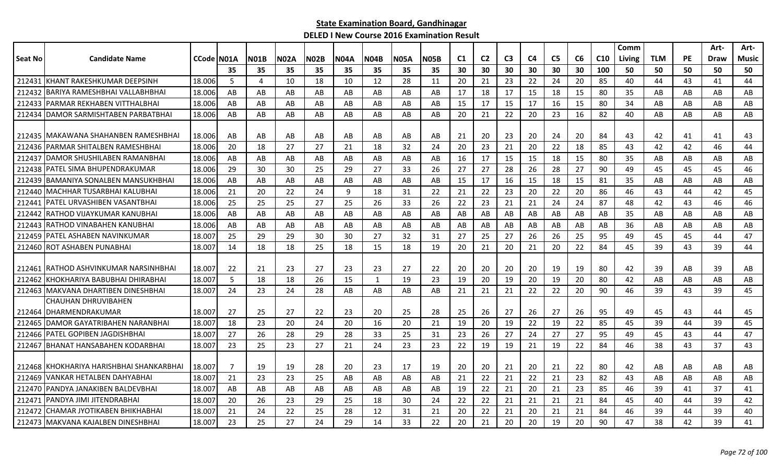|         |                                          |            |     |             |             |             |             |             |             |             |                |                |                |                |                |    |                 | Comm   |            |           | Art-        | Art-         |
|---------|------------------------------------------|------------|-----|-------------|-------------|-------------|-------------|-------------|-------------|-------------|----------------|----------------|----------------|----------------|----------------|----|-----------------|--------|------------|-----------|-------------|--------------|
| Seat No | <b>Candidate Name</b>                    | CCode N01A |     | <b>N01B</b> | <b>N02A</b> | <b>N02B</b> | <b>N04A</b> | <b>N04B</b> | <b>N05A</b> | <b>N05B</b> | C <sub>1</sub> | C <sub>2</sub> | C <sub>3</sub> | C <sub>4</sub> | C <sub>5</sub> | C6 | C <sub>10</sub> | Living | <b>TLM</b> | <b>PE</b> | <b>Draw</b> | <b>Music</b> |
|         |                                          |            | 35  | 35          | 35          | 35          | 35          | 35          | 35          | 35          | 30             | 30             | 30             | 30             | 30             | 30 | 100             | 50     | 50         | 50        | 50          | 50           |
|         | 212431 KHANT RAKESHKUMAR DEEPSINH        | 18.006     | 5   | 4           | 10          | 18          | 10          | 12          | 28          | 11          | 20             | 21             | 23             | 22             | 24             | 20 | 85              | 40     | 44         | 43        | 41          | 44           |
|         | 212432 BARIYA RAMESHBHAI VALLABHBHAI     | 18.006     | AB  | AB          | AB          | AB          | AB          | AB          | AB          | AB          | 17             | 18             | 17             | 15             | 18             | 15 | 80              | 35     | AB         | AB        | AB          | AB           |
|         | 212433   PARMAR REKHABEN VITTHALBHAI     | 18.006     | AB  | AB          | AB          | AB          | AB          | AB          | AB          | AB          | 15             | 17             | 15             | 17             | 16             | 15 | 80              | 34     | AB         | AB        | AB          | AB           |
|         | 212434 DAMOR SARMISHTABEN PARBATBHAI     | 18.006     | AB  | AB          | AB          | AB          | AB          | AB          | AB          | AB          | 20             | 21             | 22             | 20             | 23             | 16 | 82              | 40     | AB         | AB        | AB          | AB           |
|         |                                          |            |     |             |             |             |             |             |             |             |                |                |                |                |                |    |                 |        |            |           |             |              |
|         | 212435 IMAKAWANA SHAHANBEN RAMESHBHAI    | 18.006     | AB  | AB          | AB          | AB          | AB          | AB          | AB          | AB          | 21             | 20             | 23             | 20             | 24             | 20 | 84              | 43     | 42         | 41        | 41          | 43           |
|         | 212436   PARMAR SHITALBEN RAMESHBHAI     | 18.006     | 20  | 18          | 27          | 27          | 21          | 18          | 32          | 24          | 20             | 23             | 21             | 20             | 22             | 18 | 85              | 43     | 42         | 42        | 46          | 44           |
|         | 212437 DAMOR SHUSHILABEN RAMANBHAI       | 18.006     | AB  | AB          | AB          | AB          | AB          | AB          | AB          | AB          | 16             | 17             | 15             | 15             | 18             | 15 | 80              | 35     | AB         | AB        | AB          | AB           |
|         | 212438 PATEL SIMA BHUPENDRAKUMAR         | 18.006     | 29  | 30          | 30          | 25          | 29          | 27          | 33          | 26          | 27             | 27             | 28             | 26             | 28             | 27 | 90              | 49     | 45         | 45        | 45          | 46           |
|         | 212439 BAMANIYA SONALBEN MANSUKHBHAI     | 18.006     | AB  | AB          | AB          | AB          | AB          | AB          | AB          | AB          | 15             | 17             | 16             | 15             | 18             | 15 | 81              | 35     | AB         | AB        | AB          | AB           |
|         | 212440 MACHHAR TUSARBHAI KALUBHAI        | 18.006     | 21  | 20          | 22          | 24          | 9           | 18          | 31          | 22          | 21             | 22             | 23             | 20             | 22             | 20 | 86              | 46     | 43         | 44        | 42          | 45           |
|         | 212441   PATEL URVASHIBEN VASANTBHAI     | 18.006     | 25  | 25          | 25          | 27          | 25          | 26          | 33          | 26          | 22             | 23             | 21             | 21             | 24             | 24 | 87              | 48     | 42         | 43        | 46          | 46           |
|         | 212442 RATHOD VIJAYKUMAR KANUBHAI        | 18.006     | AB  | AB          | AB          | AB          | AB          | AB          | AB          | AB          | AB             | AB             | AB             | AB             | AB             | AB | AB              | 35     | AB         | AB        | AB          | AB           |
|         | 212443 RATHOD VINABAHEN KANUBHAI         | 18.006     | AB  | AB          | AB          | AB          | AB          | AB          | AB          | AB          | AB             | AB             | AB             | AB             | AB             | AB | AB              | 36     | AB         | AB        | AB          | AB           |
|         | 212459 PATEL ASHABEN NAVINKUMAR          | 18.007     | 25  | 29          | 29          | 30          | 30          | 27          | 32          | 31          | 27             | 25             | 27             | 26             | 26             | 25 | 95              | 49     | 45         | 45        | 44          | 47           |
|         | 212460 ROT ASHABEN PUNABHAI              | 18.007     | 14  | 18          | 18          | 25          | 18          | 15          | 18          | 19          | 20             | 21             | 20             | 21             | 20             | 22 | 84              | 45     | 39         | 43        | 39          | 44           |
|         |                                          |            |     |             |             |             |             |             |             |             |                |                |                |                |                |    |                 |        |            |           |             |              |
|         | 212461 RATHOD ASHVINKUMAR NARSINHBHAI    | 18.007     | -22 | 21          | 23          | 27          | 23          | 23          | 27          | 22          | 20             | 20             | 20             | 20             | 19             | 19 | 80              | 42     | 39         | AB        | -39         | AB           |
|         | 212462 KHOKHARIYA BABUBHAI DHIRABHAI     | 18.007     | 5   | 18          | 18          | 26          | 15          | 1           | 19          | 23          | 19             | 20             | 19             | 20             | 19             | 20 | 80              | 42     | AB         | AB        | AB          | AB           |
|         | 212463 MAKVANA DHARTIBEN DINESHBHAI      | 18.007     | 24  | 23          | 24          | 28          | AB          | AB          | AB          | AB          | 21             | 21             | 21             | 22             | 22             | 20 | 90              | 46     | 39         | 43        | 39          | 45           |
|         | CHAUHAN DHRUVIBAHEN                      |            |     |             |             |             |             |             |             |             |                |                |                |                |                |    |                 |        |            |           |             |              |
|         | 212464 DHARMENDRAKUMAR                   | 18.007     | -27 | 25          | 27          | 22          | 23          | 20          | 25          | 28          | 25             | 26             | 27             | 26             | 27             | 26 | 95              | 49     | 45         | 43        | 44          | 45           |
|         | 212465   DAMOR GAYATRIBAHEN NARANBHAI    | 18.007     | 18  | 23          | 20          | 24          | 20          | 16          | 20          | 21          | 19             | 20             | 19             | 22             | 19             | 22 | 85              | 45     | 39         | 44        | 39          | 45           |
|         | 212466 PATEL GOPIBEN JAGDISHBHAI         | 18.007     | 27  | 26          | 28          | 29          | 28          | 33          | 25          | 31          | 23             | 26             | 27             | 24             | 27             | 27 | 95              | 49     | 45         | 43        | 44          | 47           |
|         | 212467 BHANAT HANSABAHEN KODARBHAI       | 18.007     | 23  | 25          | 23          | 27          | 21          | 24          | 23          | 23          | 22             | 19             | 19             | 21             | 19             | 22 | 84              | 46     | 38         | 43        | 37          | 43           |
|         |                                          |            |     |             |             |             |             |             |             |             |                |                |                |                |                |    |                 |        |            |           |             |              |
|         | 212468 KHOKHARIYA HARISHBHAI SHANKARBHAI | 18.007     | -7  | 19          | 19          | 28          | 20          | 23          | 17          | 19          | 20             | 20             | 21             | 20             | 21             | 22 | 80              | 42     | AB         | AB        | AB          | AB           |
|         | 212469 VANKAR HETALBEN DAHYABHAI         | 18.007     | 21  | 23          | 23          | 25          | AB          | AB          | AB          | AB          | 21             | 22             | 21             | 22             | 21             | 23 | 82              | 43     | AB         | AB        | AB          | AB           |
|         | 212470   PANDYA JANAKIBEN BALDEVBHAI     | 18.007     | AB  | AB          | AB          | AB          | AB          | AB          | AB          | AB          | 19             | 22             | 21             | 20             | 21             | 23 | 85              | 46     | 39         | 41        | 37          | 41           |
|         | 212471   PANDYA JIMI JITENDRABHAI        | 18.007     | 20  | 26          | 23          | 29          | 25          | 18          | 30          | 24          | 22             | 22             | 21             | 21             | 21             | 21 | 84              | 45     | 40         | 44        | 39          | 42           |
|         | 212472 CHAMAR JYOTIKABEN BHIKHABHAI      | 18.007     | 21  | 24          | 22          | 25          | 28          | 12          | 31          | 21          | 20             | 22             | 21             | 20             | 21             | 21 | 84              | 46     | 39         | 44        | 39          | 40           |
|         | 212473 MAKVANA KAJALBEN DINESHBHAI       | 18.007     | 23  | 25          | 27          | 24          | 29          | 14          | 33          | 22          | 20             | 21             | 20             | 20             | 19             | 20 | 90              | 47     | 38         | 42        | 39          | 41           |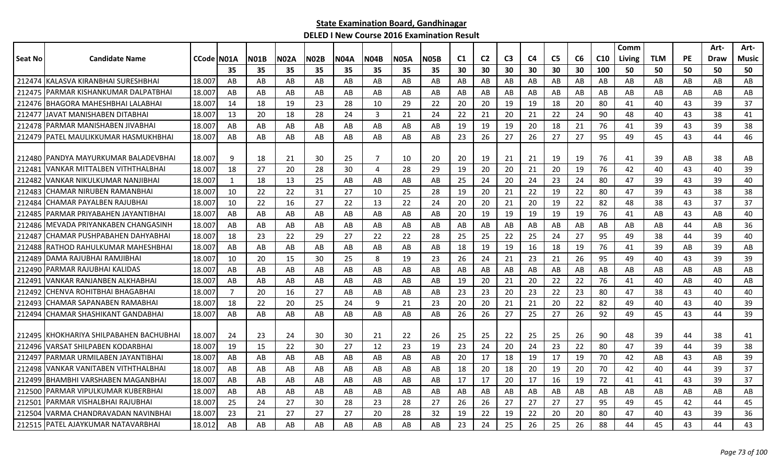|         |                                         |                    |     |             |      |             |             |                |             |             |    |                |                |    |                |    |                 | Comm   |            |    | Art- | Art-  |
|---------|-----------------------------------------|--------------------|-----|-------------|------|-------------|-------------|----------------|-------------|-------------|----|----------------|----------------|----|----------------|----|-----------------|--------|------------|----|------|-------|
| Seat No | <b>Candidate Name</b>                   | <b>CCode IN01A</b> |     | <b>N01B</b> | N02A | <b>N02B</b> | <b>N04A</b> | NO4B           | <b>N05A</b> | <b>N05B</b> | C1 | C <sub>2</sub> | C <sub>3</sub> | C4 | C <sub>5</sub> | C6 | C <sub>10</sub> | Living | <b>TLM</b> | PE | Draw | Music |
|         |                                         |                    | 35  | 35          | 35   | 35          | 35          | 35             | 35          | 35          | 30 | 30             | 30             | 30 | 30             | 30 | 100             | 50     | 50         | 50 | 50   | 50    |
| 212474  | KALASVA KIRANBHAI SURESHBHAI            | 18.007             | AB  | AB          | AB   | AB          | AB          | AB             | AB          | AB          | AB | AB             | AB             | AB | AB             | AB | AB              | AB     | AB         | AB | AB   | AB    |
| 212475  | IPARMAR KISHANKUMAR DALPATBHAI          | 18.007             | AB  | AB          | AB   | AB          | AB          | AB             | AB          | AB          | AB | AB             | AB             | AB | AB             | AB | AB              | AB     | AB         | AB | AB   | AB    |
|         | 212476 BHAGORA MAHESHBHAI LALABHAI      | 18.007             | -14 | 18          | 19   | 23          | 28          | 10             | 29          | 22          | 20 | 20             | 19             | 19 | 18             | 20 | 80              | 41     | 40         | 43 | 39   | 37    |
| 212477  | IJAVAT MANISHABEN DITABHAI              | 18.007             | 13  | 20          | 18   | 28          | 24          | $\overline{3}$ | 21          | 24          | 22 | 21             | 20             | 21 | 22             | 24 | 90              | 48     | 40         | 43 | 38   | 41    |
|         | 212478   PARMAR MANISHABEN JIVABHAI     | 18.007             | AB  | AB          | AB   | AB          | AB          | AB             | AB          | AB          | 19 | 19             | 19             | 20 | 18             | 21 | 76              | 41     | 39         | 43 | 39   | 38    |
| 212479  | PATEL MAULIKKUMAR HASMUKHBHAI           | 18.007             | AB  | AB          | AB   | AB          | AB          | AB             | AB          | AB          | 23 | 26             | 27             | 26 | 27             | 27 | 95              | 49     | 45         | 43 | 44   | 46    |
|         |                                         |                    |     |             |      |             |             |                |             |             |    |                |                |    |                |    |                 |        |            |    |      |       |
|         | 212480 PANDYA MAYURKUMAR BALADEVBHAI    | 18.007             | 9   | 18          | 21   | 30          | 25          | $\overline{7}$ | 10          | 20          | 20 | 19             | 21             | 21 | 19             | 19 | 76              | 41     | 39         | AB | 38   | AB    |
| 212481  | VANKAR MITTALBEN VITHTHALBHAI           | 18.007             | 18  | 27          | 20   | 28          | 30          | 4              | 28          | 29          | 19 | 20             | 20             | 21 | 20             | 19 | 76              | 42     | 40         | 43 | 40   | 39    |
| 212482  | VANKAR NIKULKUMAR NANJIBHAI             | 18.007             | 1   | 18          | 13   | 25          | AB          | AB             | AB          | AB          | 25 | 24             | 20             | 24 | 23             | 24 | 80              | 47     | 39         | 43 | 39   | 40    |
| 212483  | CHAMAR NIRUBEN RAMANBHAI                | 18.007             | 10  | 22          | 22   | 31          | 27          | 10             | 25          | 28          | 19 | 20             | 21             | 22 | 19             | 22 | 80              | 47     | 39         | 43 | 38   | 38    |
| 212484  | CHAMAR PAYALBEN RAJUBHAI                | 18.007             | 10  | 22          | 16   | 27          | 22          | 13             | 22          | 24          | 20 | 20             | 21             | 20 | 19             | 22 | 82              | 48     | 38         | 43 | 37   | 37    |
| 212485  | PARMAR PRIYABAHEN JAYANTIBHAI           | 18.007             | AB  | AB          | AB   | AB          | AB          | AB             | AB          | AB          | 20 | 19             | 19             | 19 | 19             | 19 | 76              | 41     | AB         | 43 | AB   | 40    |
|         | 212486 IMEVADA PRIYANKABEN CHANGASINH   | 18.007             | AB  | AB          | AB   | AB          | AB          | AB             | AB          | AB          | AB | AB             | AB             | AB | AB             | AB | AB              | AB     | AB         | 44 | AB   | 36    |
| 212487  | CHAMAR PUSHPABAHEN DAHYABHAI            | 18.007             | 18  | 23          | 22   | 29          | 27          | 22             | 22          | 28          | 25 | 25             | 22             | 25 | 24             | 27 | 95              | 49     | 38         | 44 | 39   | 40    |
| 212488  | RATHOD RAHULKUMAR MAHESHBHAI            | 18.007             | AB  | AB          | AB   | AB          | AB          | AB             | AB          | AB          | 18 | 19             | 19             | 16 | 18             | 19 | 76              | 41     | 39         | AB | 39   | AB    |
| 212489  | DAMA RAJUBHAI RAMJIBHAI                 | 18.007             | 10  | 20          | 15   | 30          | 25          | 8              | 19          | 23          | 26 | 24             | 21             | 23 | 21             | 26 | 95              | 49     | 40         | 43 | 39   | 39    |
| 212490  | PARMAR RAJUBHAI KALIDAS                 | 18.007             | AB  | AB          | AB   | AB          | AB          | AB             | AB          | AB          | AB | AB             | AB             | AB | AB             | AB | AB              | AB     | AB         | AB | AB   | AB    |
| 212491  | VANKAR RANJANBEN ALKHABHAI              | 18.007             | AB  | AB          | AB   | AB          | AB          | AB             | AB          | AB          | 19 | 20             | 21             | 20 | 22             | 22 | 76              | 41     | 40         | AB | 40   | AB    |
| 212492  | ICHENVA ROHITBHAI BHAGABHAI             | 18.007             | 7   | 20          | 16   | 27          | AB          | AB             | AB          | AB          | 23 | 23             | 20             | 23 | 22             | 23 | 80              | 47     | 38         | 43 | 40   | 40    |
| 212493  | ICHAMAR SAPANABEN RAMABHAI              | 18.007             | 18  | 22          | 20   | 25          | 24          | 9              | 21          | 23          | 20 | 20             | 21             | 21 | 20             | 22 | 82              | 49     | 40         | 43 | 40   | 39    |
| 212494  | CHAMAR SHASHIKANT GANDABHAI             | 18.007             | AB  | AB          | AB   | AB          | AB          | AB             | AB          | AB          | 26 | 26             | 27             | 25 | 27             | 26 | 92              | 49     | 45         | 43 | 44   | 39    |
|         |                                         |                    |     |             |      |             |             |                |             |             |    |                |                |    |                |    |                 |        |            |    |      |       |
|         | 212495 KHOKHARIYA SHILPABAHEN BACHUBHAI | 18.007             | 24  | 23          | 24   | 30          | 30          | 21             | 22          | 26          | 25 | 25             | 22             | 25 | 25             | 26 | 90              | 48     | 39         | 44 | 38   | 41    |
| 212496  | VARSAT SHILPABEN KODARBHAI              | 18.007             | 19  | 15          | 22   | 30          | 27          | 12             | 23          | 19          | 23 | 24             | 20             | 24 | 23             | 22 | 80              | 47     | 39         | 44 | 39   | 38    |
| 21249   | PARMAR URMILABEN JAYANTIBHAI            | 18.007             | AB  | AB          | AB   | AB          | AB          | AB             | AB          | AB          | 20 | 17             | 18             | 19 | 17             | 19 | 70              | 42     | AB         | 43 | AB   | 39    |
| 212498  | VANKAR VANITABEN VITHTHALBHAI           | 18.007             | AB  | AB          | AB   | AB          | AB          | AB             | AB          | AB          | 18 | 20             | 18             | 20 | 19             | 20 | 70              | 42     | 40         | 44 | 39   | 37    |
| 212499  | BHAMBHI VARSHABEN MAGANBHAI             | 18.007             | AB  | AB          | AB   | AB          | AB          | AB             | AB          | AB          | 17 | 17             | 20             | 17 | 16             | 19 | 72              | 41     | 41         | 43 | 39   | 37    |
| 212500  | PARMAR VIPULKUMAR KUBERBHAI             | 18.007             | AB  | AB          | AB   | AB          | AB          | AB             | AB          | AB          | AB | AB             | AB             | AB | AB             | AB | AB              | AB     | AB         | AB | AB   | AB    |
| 212501  | PARMAR VISHALBHAI RAJUBHAI              | 18.007             | 25  | 24          | 27   | 30          | 28          | 23             | 28          | 27          | 26 | 26             | 27             | 27 | 27             | 27 | 95              | 49     | 45         | 42 | 44   | 45    |
| 212504  | VARMA CHANDRAVADAN NAVINBHAI            | 18.007             | 23  | 21          | 27   | 27          | 27          | 20             | -28         | 32          | 19 | 22             | 19             | 22 | 20             | 20 | 80              | 47     | 40         | 43 | 39   | 36    |
|         | 212515   PATEL AJAYKUMAR NATAVARBHAI    | 18.012             | AB  | AB          | AB   | AB          | AB          | AB             | AB          | AB          | 23 | 24             | 25             | 26 | 25             | 26 | 88              | 44     | 45         | 43 | 44   | 43    |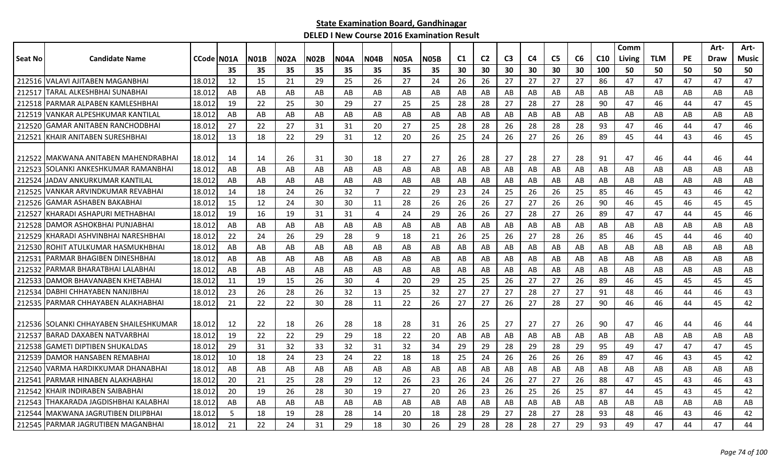|         |                                        |                    |     |             |             |             |             |                |             |             |                |                |                |                |                |    |                 | Comm   |            |           | Art- | Art-  |
|---------|----------------------------------------|--------------------|-----|-------------|-------------|-------------|-------------|----------------|-------------|-------------|----------------|----------------|----------------|----------------|----------------|----|-----------------|--------|------------|-----------|------|-------|
| Seat No | <b>Candidate Name</b>                  | <b>CCode IN01A</b> |     | <b>N01B</b> | <b>N02A</b> | <b>N02B</b> | <b>N04A</b> | N04B           | <b>N05A</b> | <b>N05B</b> | C <sub>1</sub> | C <sub>2</sub> | C <sub>3</sub> | C <sub>4</sub> | C <sub>5</sub> | C6 | C <sub>10</sub> | Living | <b>TLM</b> | <b>PE</b> | Draw | Music |
|         |                                        |                    | 35  | 35          | 35          | 35          | 35          | 35             | 35          | 35          | 30             | 30             | 30             | 30             | 30             | 30 | 100             | 50     | 50         | 50        | 50   | 50    |
|         | 212516 VALAVI AJITABEN MAGANBHAI       | 18.012             | 12  | 15          | 21          | 29          | 25          | 26             | 27          | 24          | 26             | 26             | 27             | 27             | 27             | 27 | 86              | 47     | 47         | 47        | 47   | 47    |
| 212517  | TARAL ALKESHBHAI SUNABHAI              | 18.012             | AB  | AB          | AB          | AB          | AB          | AB             | AB          | AB          | AB             | AB             | AB             | AB             | AB             | AB | AB              | AB     | AB         | AB        | AB   | AB    |
| 212518  | IPARMAR ALPABEN KAMLESHBHAI            | 18.012             | 19  | 22          | 25          | 30          | 29          | 27             | 25          | 25          | 28             | 28             | 27             | 28             | 27             | 28 | 90              | 47     | 46         | 44        | 47   | 45    |
| 212519  | IVANKAR ALPESHKUMAR KANTILAL           | 18.012             | AB  | AB          | AB          | AB          | AB          | AB             | AB          | AB          | AB             | AB             | AB             | AB             | AB             | AB | AB              | AB     | AB         | AB        | AB   | AB    |
| 212520  | IGAMAR ANITABEN RANCHODBHAI            | 18.012             | 27  | 22          | 27          | 31          | 31          | 20             | 27          | 25          | 28             | 28             | 26             | 28             | 28             | 28 | 93              | 47     | 46         | 44        | 47   | 46    |
| 212521  | KHAIR ANITABEN SURESHBHAI              | 18.012             | 13  | 18          | 22          | 29          | 31          | 12             | 20          | 26          | 25             | 24             | 26             | 27             | 26             | 26 | 89              | 45     | 44         | 43        | 46   | 45    |
|         |                                        |                    |     |             |             |             |             |                |             |             |                |                |                |                |                |    |                 |        |            |           |      |       |
| 212522  | IMAKWANA ANITABEN MAHENDRABHAI         | 18.012             | -14 | 14          | 26          | 31          | 30          | 18             | 27          | 27          | 26             | 28             | 27             | 28             | 27             | 28 | 91              | 47     | 46         | 44        | 46   | 44    |
| 212523  | ISOLANKI ANKESHKUMAR RAMANBHAI         | 18.012             | AB  | AB          | AB          | AB          | AB          | AB             | AB          | AB          | AB             | AB             | AB             | AB             | AB             | AB | AB              | AB     | AB         | AB        | AB   | AB    |
| 212524  | JADAV ANKURKUMAR KANTILAL              | 18.012             | AB  | AB          | AB          | AB          | AB          | AB             | AB          | AB          | AB             | AB             | AB             | AB             | AB             | AB | AB              | AB     | AB         | AB        | AB   | AB    |
| 212525  | VANKAR ARVINDKUMAR REVABHAI            | 18.012             | 14  | 18          | 24          | 26          | 32          | $\overline{7}$ | 22          | 29          | 23             | 24             | 25             | 26             | 26             | 25 | 85              | 46     | 45         | 43        | 46   | 42    |
| 212526  | IGAMAR ASHABEN BAKABHAI                | 18.012             | 15  | 12          | 24          | 30          | 30          | 11             | 28          | 26          | 26             | 26             | 27             | 27             | 26             | 26 | 90              | 46     | 45         | 46        | 45   | 45    |
| 212527  | IKHARADI ASHAPURI METHABHAI            | 18.012             | 19  | 16          | 19          | 31          | 31          | 4              | 24          | 29          | 26             | 26             | 27             | 28             | 27             | 26 | 89              | 47     | 47         | 44        | 45   | 46    |
| 212528  | IDAMOR ASHOKBHAI PUNJABHAI             | 18.012             | AB  | AB          | AB          | AB          | AB          | AB             | AB          | AB          | AB             | AB             | AB             | AB             | AB             | AB | AB              | AB     | AB         | AB        | AB   | AB    |
| 212529  | KHARADI ASHVINBHAI NARESHBHAI          | 18.012             | 22  | 24          | 26          | 29          | 28          | 9              | 18          | 21          | 26             | 25             | 26             | 27             | 28             | 26 | 85              | 46     | 45         | 44        | 46   | 40    |
| 212530  | ROHIT ATULKUMAR HASMUKHBHAI            | 18.012             | AB  | AB          | AB          | AB          | AB          | AB             | AB          | AB          | AB             | AB             | AB             | AB             | AB             | AB | AB              | AB     | AB         | AB        | AB   | AB    |
| 21253   | PARMAR BHAGIBEN DINESHBHAI             | 18.012             | AB  | AB          | AB          | AB          | AB          | AB             | AB          | AB          | AB             | AB             | AB             | AB             | AB             | AB | AB              | AB     | AB         | AB        | AB   | AB    |
| 212532  | PARMAR BHARATBHAI LALABHAI             | 18.012             | AB  | AB          | AB          | AB          | AB          | AB             | AB          | AB          | AB             | AB             | AB             | AB             | AB             | AB | AB              | AB     | AB         | AB        | AB   | AB    |
| 212533  | <b>IDAMOR BHAVANABEN KHETABHAI</b>     | 18.012             | 11  | 19          | 15          | 26          | 30          | 4              | 20          | 29          | 25             | 25             | 26             | 27             | 27             | 26 | 89              | 46     | 45         | 45        | 45   | 45    |
| 212534  | IDABHI CHHAYABEN NANJIBHAI             | 18.012             | 23  | 26          | 28          | 26          | 32          | 13             | 25          | 32          | 27             | 27             | 27             | 28             | 27             | 27 | 91              | 48     | 46         | 44        | 46   | 43    |
| 212535  | IPARMAR CHHAYABEN ALAKHABHAI           | 18.012             | 21  | 22          | 22          | 30          | 28          | 11             | 22          | 26          | 27             | 27             | 26             | 27             | 28             | 27 | 90              | 46     | 46         | 44        | 45   | 42    |
|         |                                        |                    |     |             |             |             |             |                |             |             |                |                |                |                |                |    |                 |        |            |           |      |       |
|         | 212536 SOLANKI CHHAYABEN SHAILESHKUMAR | 18.012             | -12 | 22          | 18          | 26          | 28          | 18             | 28          | 31          | 26             | 25             | 27             | 27             | 27             | 26 | 90              | 47     | 46         | 44        | 46   | 44    |
| 212537  | IBARAD DAXABEN NATVARBHAI              | 18.012             | 19  | 22          | 22          | 29          | 29          | 18             | 22          | 20          | AB             | AB             | AB             | AB             | AB             | AB | AB              | AB     | AB         | AB        | AB   | AB    |
| 212538  | <b>GAMETI DIPTIBEN SHUKALDAS</b>       | 18.012             | 29  | 31          | 32          | 33          | 32          | 31             | 32          | 34          | 29             | 29             | 28             | 29             | 28             | 29 | 95              | 49     | 47         | 47        | 47   | 45    |
| 212539  | DAMOR HANSABEN REMABHAI                | 18.012             | 10  | 18          | 24          | 23          | 24          | 22             | 18          | 18          | 25             | 24             | 26             | 26             | 26             | 26 | 89              | 47     | 46         | 43        | 45   | 42    |
| 212540  | VARMA HARDIKKUMAR DHANABHAI            | 18.012             | AB  | AB          | AB          | AB          | AB          | AB             | AB          | AB          | AB             | AB             | AB             | AB             | AB             | AB | AB              | AB     | AB         | AB        | AB   | AB    |
| 212541  | PARMAR HINABEN ALAKHABHAI              | 18.012             | 20  | 21          | 25          | 28          | 29          | 12             | 26          | 23          | -26            | 24             | 26             | 27             | 27             | 26 | 88              | 47     | 45         | 43        | 46   | 43    |
| 212542  | KHAIR INDIRABEN SAIBABHAI              | 18.012             | 20  | 19          | 26          | 28          | 30          | 19             | 27          | 20          | 26             | 23             | 26             | 25             | 26             | 25 | 87              | 44     | 45         | 43        | 45   | 42    |
| 212543  | [HAKARADA JAGDISHBHAI KALABHAI         | 18.012             | AB  | AB          | AB          | AB          | AB          | AB             | AB          | AB          | AB             | AB             | AB             | AB             | AB             | AB | AB              | AB     | AB         | AB        | AB   | AB    |
| 212544  | lMAKWANA JAGRUTIBEN DILIPBHAI          | 18.012             | 5   | 18          | 19          | 28          | 28          | 14             | 20          | 18          | 28             | 29             | 27             | 28             | 27             | 28 | 93              | 48     | 46         | 43        | 46   | 42    |
|         | 212545 PARMAR JAGRUTIBEN MAGANBHAI     | 18.012             | 21  | 22          | 24          | 31          | 29          | 18             | 30          | 26          | 29             | 28             | 28             | 28             | 27             | 29 | 93              | 49     | 47         | 44        | 47   | 44    |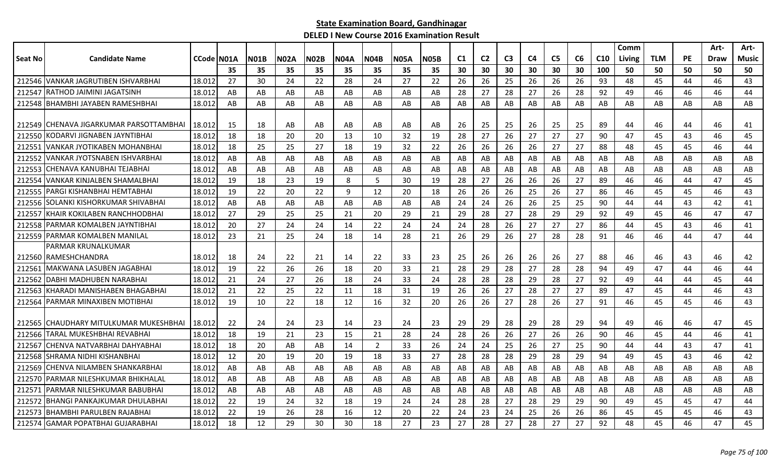|                |                                          |            |     |      |      |             |             |             |             |             |                |                |                |                |                |    |                 | Comm   |            |           | Art-        | Art-         |
|----------------|------------------------------------------|------------|-----|------|------|-------------|-------------|-------------|-------------|-------------|----------------|----------------|----------------|----------------|----------------|----|-----------------|--------|------------|-----------|-------------|--------------|
| <b>Seat No</b> | <b>Candidate Name</b>                    | CCode N01A |     | NO1B | N02A | <b>N02B</b> | <b>N04A</b> | <b>N04B</b> | <b>N05A</b> | <b>N05B</b> | C <sub>1</sub> | C <sub>2</sub> | C <sub>3</sub> | C <sub>4</sub> | C <sub>5</sub> | C6 | C <sub>10</sub> | Living | <b>TLM</b> | <b>PE</b> | <b>Draw</b> | <b>Music</b> |
|                |                                          |            | 35  | 35   | 35   | 35          | 35          | 35          | 35          | 35          | 30             | 30             | 30             | 30             | 30             | 30 | 100             | 50     | 50         | 50        | 50          | 50           |
| 212546         | VANKAR JAGRUTIBEN ISHVARBHAI             | 18.012     | 27  | 30   | 24   | 22          | 28          | 24          | 27          | 22          | 26             | 26             | 25             | 26             | 26             | 26 | 93              | 48     | 45         | 44        | 46          | 43           |
| 21254          | RATHOD JAIMINI JAGATSINH                 | 18.012     | AB  | AB   | AB   | AB          | AB          | AB          | AB          | AB          | 28             | 27             | 28             | 27             | 26             | 28 | 92              | 49     | 46         | 46        | 46          | 44           |
| 212548         | BHAMBHI JAYABEN RAMESHBHAI               | 18.012     | AB  | AB   | AB   | AB          | AB          | AB          | AB          | AB          | AB             | AB             | AB             | AB             | AB             | AB | AB              | AB     | AB         | AB        | AB          | AB           |
|                |                                          |            |     |      |      |             |             |             |             |             |                |                |                |                |                |    |                 |        |            |           |             |              |
|                | 212549 CHENAVA JIGARKUMAR PARSOTTAMBHAI  | 18.012     | -15 | 18   | AB   | AB          | AB          | AB          | AB          | AB          | 26             | 25             | 25             | 26             | 25             | 25 | 89              | 44     | 46         | 44        | 46          | 41           |
| 212550         | KODARVI JIGNABEN JAYNTIBHAI              | 18.012     | 18  | 18   | 20   | 20          | 13          | 10          | 32          | 19          | 28             | 27             | 26             | 27             | 27             | 27 | 90              | 47     | 45         | 43        | 46          | 45           |
| 212551         | <b>VANKAR JYOTIKABEN MOHANBHAI</b>       | 18.012     | 18  | 25   | 25   | 27          | 18          | 19          | 32          | 22          | 26             | 26             | 26             | 26             | 27             | 27 | 88              | 48     | 45         | 45        | 46          | 44           |
| 212552         | VANKAR JYOTSNABEN ISHVARBHAI             | 18.012     | AB  | AB   | AB   | AB          | AB          | AB          | AB          | AB          | AB             | AB             | AB             | AB             | AB             | AB | AB              | AB     | AB         | AB        | AB          | AB           |
| 212553         | CHENAVA KANUBHAI TEJABHAI                | 18.012     | AB  | AB   | AB   | AB          | AB          | AB          | AB          | AB          | AB             | AB             | AB             | AB             | AB             | AB | AB              | AB     | AB         | AB        | AB          | AB           |
| 212554         | VANKAR KINJALBEN SHAMALBHAI              | 18.012     | 19  | 18   | 23   | 19          | 8           | 5           | 30          | 19          | 28             | 27             | 26             | 26             | 26             | 27 | 89              | 46     | 46         | 44        | 47          | 45           |
| 212555         | PARGI KISHANBHAI HEMTABHAI               | 18.012     | 19  | 22   | 20   | 22          | 9           | 12          | 20          | 18          | 26             | 26             | 26             | 25             | 26             | 27 | 86              | 46     | 45         | 45        | 46          | 43           |
| 212556         | ISOLANKI KISHORKUMAR SHIVABHAI           | 18.012     | AB  | AB   | AB   | AB          | AB          | AB          | AB          | AB          | 24             | 24             | 26             | 26             | 25             | 25 | 90              | 44     | 44         | 43        | 42          | 41           |
| 212557         | KHAIR KOKILABEN RANCHHODBHAI             | 18.012     | 27  | 29   | 25   | 25          | 21          | 20          | 29          | 21          | 29             | 28             | 27             | 28             | 29             | 29 | 92              | 49     | 45         | 46        | 47          | 47           |
| 212558         | PARMAR KOMALBEN JAYNTIBHAI               | 18.012     | 20  | 27   | 24   | 24          | 14          | 22          | 24          | 24          | 24             | 28             | 26             | 27             | 27             | 27 | 86              | 44     | 45         | 43        | 46          | 41           |
| 212559         | PARMAR KOMALBEN MANILAL                  | 18.012     | -23 | 21   | 25   | 24          | 18          | 14          | 28          | 21          | 26             | 29             | 26             | 27             | 28             | 28 | 91              | 46     | 46         | 44        | 47          | 44           |
|                | PARMAR KRUNALKUMAR                       |            |     |      |      |             |             |             |             |             |                |                |                |                |                |    |                 |        |            |           |             |              |
|                | 212560 RAMESHCHANDRA                     | 18.012     | -18 | 24   | 22   | 21          | 14          | 22          | 33          | 23          | 25             | 26             | 26             | 26             | 26             | 27 | 88              | 46     | 46         | 43        | 46          | 42           |
| 212561         | MAKWANA LASUBEN JAGABHAI                 | 18.012     | 19  | 22   | 26   | 26          | 18          | 20          | 33          | 21          | 28             | 29             | 28             | 27             | 28             | 28 | 94              | 49     | 47         | 44        | 46          | 44           |
| 212562         | DABHI MADHUBEN NARABHAI                  | 18.012     | 21  | 24   | 27   | 26          | 18          | 24          | 33          | 24          | 28             | 28             | 28             | 29             | 28             | 27 | 92              | 49     | 44         | 44        | 45          | 44           |
| 212563         | KHARADI MANISHABEN BHAGABHAI             | 18.012     | 21  | 22   | 25   | 22          | 11          | 18          | 31          | 19          | 26             | 26             | 27             | 28             | 27             | 27 | 89              | 47     | 45         | 44        | 46          | 43           |
| 212564         | PARMAR MINAXIBEN MOTIBHAI                | 18.012     | 19  | 10   | 22   | 18          | 12          | 16          | 32          | 20          | 26             | 26             | 27             | 28             | 26             | 27 | 91              | 46     | 45         | 45        | 46          | 43           |
|                | 212565   CHAUDHARY MITULKUMAR MUKESHBHAI | 18.012     | 22  | 24   | 24   | 23          | 14          | 23          | 24          | 23          | 29             | 29             | 28             | 29             | 28             | 29 | 94              | 49     | 46         | 46        | 47          | 45           |
| 212566         | ITARAL MUKESHBHAI REVABHAI               | 18.012     | 18  | 19   | 21   | 23          | 15          | 21          | 28          | 24          | 28             | 26             | 26             | 27             | 26             | 26 | 90              | 46     | 45         | 44        | 46          | 41           |
| 21256          | CHENVA NATVARBHAI DAHYABHAI              | 18.012     | 18  | 20   | AB   | AB          | 14          | 2           | 33          | 26          | 24             | 24             | 25             | 26             | 27             | 25 | 90              | 44     | 44         | 43        | 47          | 41           |
| 212568         | SHRAMA NIDHI KISHANBHAI                  | 18.012     | 12  | 20   | 19   | 20          | 19          | 18          | 33          | 27          | 28             | 28             | 28             | 29             | 28             | 29 | 94              | 49     | 45         | 43        | 46          | 42           |
| 212569         | ICHENVA NILAMBEN SHANKARBHAI             | 18.012     | AB  | AB   | AB   | AB          | AB          | AB          | AB          | AB          | AB             | AB             | AB             | AB             | AB             | AB | AB              | AB     | AB         | AB        | AB          | AB           |
| 212570         | PARMAR NILESHKUMAR BHIKHALAL             | 18.012     | AB  | AB   | AB   | AB          | AB          | AB          | AB          | AB          | AB             | AB             | AB             | AB             | AB             | AB | AB              | AB     | AB         | AB        | AB          | AB           |
| 212571         | PARMAR NILESHKUMAR BABUBHAI              | 18.012     | AB  | AB   | AB   | AB          | AB          | AB          | AB          | AB          | AB             | AB             | AB             | AB             | AB             | AB | AB              | AB     | AB         | AB        | AB          | AB           |
| 212572         | BHANGI PANKAJKUMAR DHULABHAI             | 18.012     | 22  | 19   | 24   | 32          | 18          | 19          | 24          | 24          | 28             | 28             | 27             | 28             | 29             | 29 | 90              | 49     | 45         | 45        | 47          | 44           |
| 212573         | <b>BHAMBHI PARULBEN RAJABHAI</b>         | 18.012     | 22  | 19   | 26   | 28          | 16          | 12          | 20          | 22          | 24             | 23             | 24             | 25             | 26             | 26 | 86              | 45     | 45         | 45        | 46          | 43           |
|                | 212574 GAMAR POPATBHAI GUJARABHAI        | 18.012     | 18  | 12   | 29   | 30          | 30          | 18          | 27          | 23          | 27             | 28             | 27             | 28             | 27             | 27 | 92              | 48     | 45         | 46        | 47          | 45           |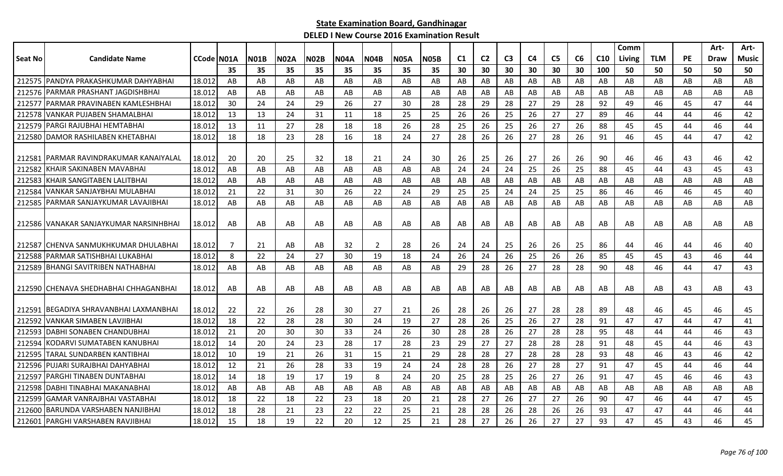|                |                                         |            |     |             |             |             |             |                |             |             |     |                |                |    |                |    |                 | Comm          |            |           | Art- | Art-  |
|----------------|-----------------------------------------|------------|-----|-------------|-------------|-------------|-------------|----------------|-------------|-------------|-----|----------------|----------------|----|----------------|----|-----------------|---------------|------------|-----------|------|-------|
| <b>Seat No</b> | <b>Candidate Name</b>                   | CCode N01A |     | <b>N01B</b> | <b>N02A</b> | <b>N02B</b> | <b>N04A</b> | <b>N04B</b>    | <b>N05A</b> | <b>N05B</b> | C1  | C <sub>2</sub> | C <sub>3</sub> | C4 | C <sub>5</sub> | C6 | C <sub>10</sub> | <b>Living</b> | <b>TLM</b> | <b>PE</b> | Draw | Music |
|                |                                         |            | 35  | 35          | 35          | 35          | 35          | 35             | 35          | 35          | 30  | 30             | 30             | 30 | 30             | 30 | 100             | 50            | 50         | 50        | 50   | 50    |
|                | 212575 PANDYA PRAKASHKUMAR DAHYABHAI    | 18.012     | AB  | AB          | AB          | AB          | AB          | AB             | AB          | AB          | AB  | AB             | AB             | AB | AB             | AB | AB              | AB            | AB         | AB        | AB   | AB    |
|                | 212576   PARMAR PRASHANT JAGDISHBHAI    | 18.012     | AB  | AB          | AB          | AB          | AB          | AB             | AB          | AB          | AB  | AB             | AB             | AB | AB             | AB | AB              | AB            | AB         | AB        | AB   | AB    |
| 212577         | IPARMAR PRAVINABEN KAMLESHBHAI          | 18.012     | 30  | 24          | 24          | 29          | 26          | 27             | 30          | 28          | -28 | 29             | 28             | 27 | 29             | 28 | 92              | 49            | 46         | 45        | 47   | 44    |
|                | 212578 VANKAR PUJABEN SHAMALBHAI        | 18.012     | 13  | 13          | 24          | 31          | 11          | 18             | 25          | 25          | 26  | 26             | 25             | 26 | 27             | 27 | 89              | 46            | 44         | 44        | 46   | 42    |
| 212579         | PARGI RAJUBHAI HEMTABHAI                | 18.012     | 13  | 11          | 27          | 28          | 18          | 18             | 26          | 28          | 25  | 26             | 25             | 26 | 27             | 26 | 88              | 45            | 45         | 44        | 46   | 44    |
|                | 212580 DAMOR RASHILABEN KHETABHAI       | 18.012     | 18  | 18          | 23          | 28          | 16          | 18             | 24          | 27          | 28  | 26             | 26             | 27 | 28             | 26 | 91              | 46            | 45         | 44        | 47   | 42    |
|                |                                         |            |     |             |             |             |             |                |             |             |     |                |                |    |                |    |                 |               |            |           |      |       |
| 212581         | <b>PARMAR RAVINDRAKUMAR KANAIYALAL</b>  | 18.012     | -20 | 20          | 25          | 32          | 18          | 21             | 24          | 30          | 26  | 25             | 26             | 27 | 26             | 26 | 90              | 46            | 46         | 43        | 46   | 42    |
| 212582         | KHAIR SAKINABEN MAVABHAI                | 18.012     | AB  | AB          | AB          | AB          | AB          | AB             | AB          | AB          | 24  | 24             | 24             | 25 | 26             | 25 | 88              | 45            | 44         | 43        | 45   | 43    |
|                | 212583 KHAIR SANGITABEN LALITBHAI       | 18.012     | AB  | AB          | AB          | AB          | AB          | AB             | AB          | AB          | AB  | AB             | AB             | AB | AB             | AB | AB              | AB            | AB         | AB        | AB   | AB    |
| 212584         | lVANKAR SANJAYBHAI MULABHAI             | 18.012     | 21  | 22          | 31          | 30          | 26          | 22             | 24          | 29          | 25  | 25             | 24             | 24 | 25             | 25 | 86              | 46            | 46         | 46        | 45   | 40    |
| 212585         | IPARMAR SANJAYKUMAR LAVAJIBHAI          | 18.012     | AB  | AB          | AB          | AB          | AB          | AB             | AB          | AB          | AB  | AB             | AB             | AB | AB             | AB | AB              | AB            | AB         | AB        | AB   | AB    |
|                |                                         |            |     |             |             |             |             |                |             |             |     |                |                |    |                |    |                 |               |            |           |      |       |
|                | 212586 IVANAKAR SANJAYKUMAR NARSINHBHAI | 18.012     | AB  | AB          | AB          | AB          | AB          | AB             | AB          | AB          | AB  | AB             | AB             | AB | AB             | AB | AB              | AB            | AB         | AB        | AB   | AB.   |
|                |                                         |            |     |             |             |             |             |                |             |             |     |                |                |    |                |    |                 |               |            |           |      |       |
|                | 212587   CHENVA SANMUKHKUMAR DHULABHAI  | 18.012     | -7  | 21          | AB          | AB          | 32          | $\overline{2}$ | 28          | 26          | 24  | 24             | 25             | 26 | 26             | 25 | 86              | 44            | 46         | 44        | 46   | 40    |
| 212588         | IPARMAR SATISHBHAI LUKABHAI             | 18.012     | 8   | 22          | 24          | 27          | 30          | 19             | 18          | 24          | 26  | 24             | 26             | 25 | 26             | 26 | 85              | 45            | 45         | 43        | 46   | 44    |
| 212589         | <b>BHANGI SAVITRIBEN NATHABHAI</b>      | 18.012     | AB  | AB          | AB          | AB          | AB          | AB             | AB          | AB          | 29  | 28             | 26             | 27 | 28             | 28 | 90              | 48            | 46         | 44        | 47   | 43    |
|                |                                         |            |     |             |             |             |             |                |             |             |     |                |                |    |                |    |                 |               |            |           |      |       |
|                | 212590 CHENAVA SHEDHABHAI CHHAGANBHAI   | 18.012     | AB  | AB          | AB          | AB          | AB          | AB             | AB          | AB          | AB  | AB             | AB             | AB | AB             | AB | AB              | AB            | AB         | 43        | AB   | 43    |
| 212591         | IBEGADIYA SHRAVANBHAI LAXMANBHAI        | 18.012     | 22  | 22          | 26          | 28          | 30          | 27             | 21          | 26          | 28  | 26             | 26             | 27 | 28             | 28 | 89              | 48            | 46         | 45        | 46   | 45    |
| 212592         | IVANKAR SIMABEN LAVJIBHAI               | 18.012     | 18  | 22          | 28          | 28          | 30          | 24             | 19          | 27          | 28  | 26             | 25             | 26 | 27             | 28 | 91              | 47            | 47         | 44        | 47   | 41    |
| 212593         | <b>IDABHI SONABEN CHANDUBHAI</b>        | 18.012     | 21  | 20          | 30          | 30          | 33          | 24             | 26          | 30          | 28  | 28             | 26             | 27 | 28             | 28 | 95              | 48            | 44         | 44        | 46   | 43    |
| 212594         | KODARVI SUMATABEN KANUBHAI              | 18.012     | 14  | 20          | 24          | 23          | 28          | 17             | 28          | 23          | 29  | 27             | 27             | 28 | 28             | 28 | 91              | 48            | 45         | 44        | 46   | 43    |
| 212595         | TARAL SUNDARBEN KANTIBHAI               | 18.012     | 10  | 19          | 21          | 26          | 31          | 15             | 21          | 29          | 28  | 28             | 27             | 28 | 28             | 28 | 93              | 48            | 46         | 43        | 46   | 42    |
| 212596         | PUJARI SURAJBHAI DAHYABHAI              | 18.012     | 12  | 21          | 26          | 28          | 33          | 19             | 24          | 24          | 28  | 28             | 26             | 27 | 28             | 27 | 91              | 47            | 45         | 44        | 46   | 44    |
| 212597         | PARGHI TINABEN DUNTABHAI                | 18.012     | 14  | 18          | 19          | 17          | 19          | 8              | 24          | 20          | 25  | 28             | 25             | 26 | 27             | 26 | 91              | 47            | 45         | 46        | 46   | 43    |
| 212598         | IDABHI TINABHAI MAKANABHAI              | 18.012     | AB  | AB          | AB          | AB          | AB          | AB             | AB          | AB          | AB  | AB             | AB             | AB | AB             | AB | AB              | AB            | AB         | AB        | AB   | AB    |
| 212599         | GAMAR VANRAJBHAI VASTABHAI              | 18.012     | 18  | 22          | 18          | 22          | 23          | 18             | 20          | 21          | 28  | 27             | 26             | 27 | 27             | 26 | 90              | 47            | 46         | 44        | 47   | 45    |
| 212600         | IBARUNDA VARSHABEN NANJIBHAI            | 18.012     | 18  | 28          | 21          | 23          | 22          | 22             | 25          | 21          | 28  | 28             | 26             | 28 | 26             | 26 | 93              | 47            | 47         | 44        | 46   | 44    |
|                | 212601 PARGHI VARSHABEN RAVJIBHAI       | 18.012     | 15  | 18          | 19          | 22          | 20          | 12             | 25          | 21          | 28  | 27             | 26             | 26 | 27             | 27 | 93              | 47            | 45         | 43        | 46   | 45    |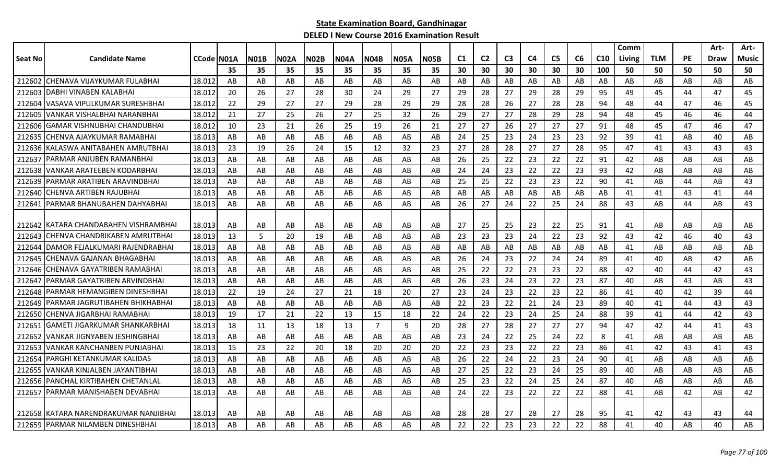|                |                                         |                    |    |             |             |             |      |                |             |      |    |                |                |    |                |    |                 | Comm   |            |           | Art-        | Art-         |
|----------------|-----------------------------------------|--------------------|----|-------------|-------------|-------------|------|----------------|-------------|------|----|----------------|----------------|----|----------------|----|-----------------|--------|------------|-----------|-------------|--------------|
| <b>Seat No</b> | <b>Candidate Name</b>                   | <b>CCode IN01A</b> |    | <b>NO1B</b> | <b>N02A</b> | <b>N02B</b> | N04A | N04B           | <b>N05A</b> | N05B | C1 | C <sub>2</sub> | C <sub>3</sub> | C4 | C <sub>5</sub> | C6 | C <sub>10</sub> | Living | <b>TLM</b> | <b>PE</b> | <b>Draw</b> | <b>Music</b> |
|                |                                         |                    | 35 | 35          | 35          | 35          | 35   | 35             | 35          | 35   | 30 | 30             | 30             | 30 | 30             | 30 | 100             | 50     | 50         | 50        | 50          | 50           |
| 212602         | İCHENAVA VIJAYKUMAR FULABHAI            | 18.012             | AB | AB          | AB          | AB          | AB   | AB             | AB          | AB   | AB | AB             | AB             | AB | AB             | AB | AB              | AB     | AB         | AB        | AB          | AB           |
| 212603         | DABHI VINABEN KALABHAI                  | 18.012             | 20 | 26          | 27          | 28          | 30   | 24             | 29          | 27   | 29 | 28             | 27             | 29 | 28             | 29 | 95              | 49     | 45         | 44        | 47          | 45           |
| 212604         | VASAVA VIPULKUMAR SURESHBHAI            | 18.012             | 22 | 29          | 27          | 27          | 29   | 28             | 29          | 29   | 28 | 28             | 26             | 27 | 28             | 28 | 94              | 48     | 44         | 47        | 46          | 45           |
| 212605         | VANKAR VISHALBHAI NARANBHAI             | 18.012             | 21 | 27          | 25          | 26          | 27   | 25             | 32          | 26   | 29 | 27             | 27             | 28 | 29             | 28 | 94              | 48     | 45         | 46        | 46          | 44           |
| 212606         | <b>GAMAR VISHNUBHAI CHANDUBHAI</b>      | 18.012             | 10 | 23          | 21          | 26          | 25   | 19             | 26          | 21   | 27 | 27             | 26             | 27 | 27             | 27 | 91              | 48     | 45         | 47        | 46          | 47           |
| 212635         | CHENVA AJAYKUMAR RAMABHAI               | 18.013             | AB | AB          | AB          | AB          | AB   | AB             | AB          | AB   | 24 | 25             | 23             | 24 | 23             | 23 | 92              | 39     | 41         | AB        | 40          | AB           |
| 212636         | KALASWA ANITABAHEN AMRUTBHAI            | 18.013             | 23 | 19          | 26          | 24          | 15   | 12             | 32          | 23   | 27 | 28             | 28             | 27 | 27             | 28 | 95              | 47     | 41         | 43        | 43          | 43           |
| 212637         | PARMAR ANJUBEN RAMANBHAI                | 18.013             | AB | AB          | AB          | AB          | AB   | AB             | AB          | AB   | 26 | 25             | 22             | 23 | 22             | 22 | 91              | 42     | AB         | AB        | AB          | AB           |
| 212638         | VANKAR ARATEEBEN KODARBHAI              | 18.013             | AB | AB          | AB          | AB          | AB   | AB             | AB          | AB   | 24 | 24             | 23             | 22 | 22             | 23 | 93              | 42     | AB         | AB        | AB          | AB           |
| 212639         | PARMAR ARATIBEN ARAVINDBHAI             | 18.013             | AB | AB          | AB          | AB          | AB   | AB             | AB          | AB   | 25 | 25             | 22             | 23 | 23             | 22 | 90              | 41     | AB         | 44        | AB          | 43           |
| 212640         | CHENVA ARTIBEN RAJUBHAI                 | 18.013             | AB | AB          | AB          | AB          | AB   | AB             | AB          | AB   | AB | AB             | AB             | AB | AB             | AB | AB              | 41     | 41         | 43        | 41          | 44           |
| 212641         | PARMAR BHANUBAHEN DAHYABHAI             | 18.013             | AB | AB          | AB          | AB          | AB   | AB             | AB          | AB   | 26 | 27             | 24             | 22 | 25             | 24 | 88              | 43     | AB         | 44        | AB          | 43           |
|                |                                         |                    |    |             |             |             |      |                |             |      |    |                |                |    |                |    |                 |        |            |           |             |              |
|                | 212642 IKATARA CHANDABAHEN VISHRAMBHAI  | 18.013             | AB | AB          | AB          | AB          | AB   | AB             | AB          | AB   | 27 | 25             | 25             | 23 | 22             | 25 | 91              | 41     | AB         | AB        | AB          | AB           |
| 212643         | CHENVA CHANDRIKABEN AMRUTBHAI           | 18.013             | 13 | 5           | 20          | 19          | AB   | AB             | AB          | AB   | 23 | 23             | 23             | 24 | 22             | 23 | 92              | 43     | 42         | 46        | 40          | 43           |
| 212644         | DAMOR FEJALKUMARI RAJENDRABHAI          | 18.013             | AB | AB          | AB          | AB          | AB   | AB             | AB          | AB   | AB | AB             | AB             | AB | AB             | AB | AB              | 41     | AB         | AB        | AB          | AB           |
| 212645         | CHENAVA GAJANAN BHAGABHAI               | 18.013             | AB | AB          | AB          | AB          | AB   | AB             | AB          | AB   | 26 | 24             | 23             | 22 | 24             | 24 | 89              | 41     | 40         | AB        | 42          | AB           |
| 212646         | CHENAVA GAYATRIBEN RAMABHAI             | 18.013             | AB | AB          | AB          | AB          | AB   | AB             | AB          | AB   | 25 | 22             | 22             | 23 | 23             | 22 | 88              | 42     | 40         | 44        | 42          | 43           |
| 212647         | PARMAR GAYATRIBEN ARVINDBHAI            | 18.013             | AB | AB          | AB          | AB          | AB   | AB             | AB          | AB   | 26 | 23             | 24             | 23 | 22             | 23 | 87              | 40     | AB         | 43        | AB          | 43           |
| 212648         | PARMAR HEMANGIBEN DINESHBHAI            | 18.013             | 22 | 19          | 24          | 27          | 21   | 18             | 20          | 27   | 23 | 24             | 23             | 22 | 23             | 22 | 86              | 41     | 40         | 42        | 39          | 44           |
| 212649         | PARMAR JAGRUTIBAHEN BHIKHABHAI          | 18.013             | AB | AB          | AB          | AB          | AB   | AB             | AB          | AB   | 22 | 23             | 22             | 21 | 24             | 23 | 89              | 40     | 41         | 44        | 43          | 43           |
| 212650         | CHENVA JIGARBHAI RAMABHAI               | 18.013             | 19 | 17          | 21          | 22          | 13   | 15             | 18          | 22   | 24 | 22             | 23             | 24 | 25             | 24 | 88              | 39     | 41         | 44        | 42          | 43           |
| 21265          | <b>GAMETI JIGARKUMAR SHANKARBHAI</b>    | 18.013             | 18 | 11          | 13          | 18          | 13   | $\overline{7}$ | 9           | 20   | 28 | 27             | 28             | 27 | 27             | 27 | 94              | 47     | 42         | 44        | 41          | 43           |
| 21265          | VANKAR JIGNYABEN JESHINGBHAI            | 18.013             | AB | AB          | AB          | AB          | AB   | AB.            | AB          | AB   | 23 | 24             | 22             | 25 | 24             | 22 | 8               | 41     | AB         | AB        | AB          | AB           |
| 212653         | VANKAR KANCHANBEN PUNJABHAI             | 18.013             | 15 | 23          | 22          | 20          | 18   | 20             | 20          | 20   | 22 | 23             | 23             | 22 | 22             | 23 | 86              | 41     | 42         | 43        | 41          | 43           |
| 212654         | PARGHI KETANKUMAR KALIDAS               | 18.013             | AB | AB          | AB          | AB          | AB   | AB             | AB          | AB   | 26 | 22             | 24             | 22 | 23             | 24 | 90              | 41     | AB         | AB        | AB          | AB           |
| 212655         | <b>VANKAR KINJALBEN JAYANTIBHAI</b>     | 18.013             | AB | AB          | AB          | AB          | AB   | AB             | AB          | AB   | 27 | 25             | 22             | 23 | 24             | 25 | 89              | 40     | AB         | AB        | AB          | AB           |
| 212656         | PANCHAL KIRTIBAHEN CHETANLAL            | 18.013             | AB | AB          | AB          | AB          | AB   | AB             | AB          | AB   | 25 | 23             | 22             | 24 | 25             | 24 | 87              | 40     | AB         | AB        | AB          | AB           |
| 212657         | PARMAR MANISHABEN DEVABHAI              | 18.013             | AB | AB          | AB          | AB          | AB   | AB             | AB          | AB   | 24 | 22             | 23             | 22 | 22             | 22 | 88              | 41     | AB         | 42        | AB          | 42           |
|                |                                         |                    |    |             |             |             |      |                |             |      |    |                |                |    |                |    |                 |        |            |           |             |              |
|                | 212658   KATARA NARENDRAKUMAR NANJIBHAI | 18.013             | AB | AB          | AB          | AB          | AB   | AB             | AB          | AB   | 28 | 28             | 27             | 28 | 27             | 28 | 95              | 41     | 42         | 43        | 43          | 44           |
|                | 212659 PARMAR NILAMBEN DINESHBHAI       | 18.013             | AB | AB          | AB          | AB          | AB   | AB             | AB          | AB   | 22 | 22             | 23             | 23 | 22             | 22 | 88              | 41     | 40         | AB        | 40          | AB           |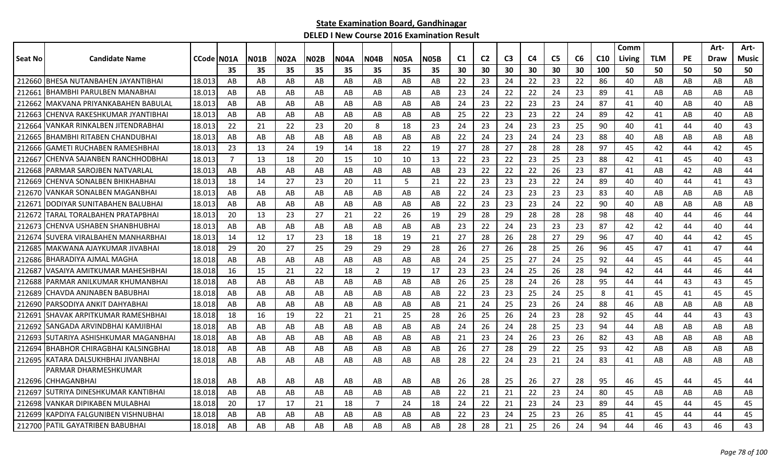|         |                                     |            |                |             |      |             |             |                |             |             |     |                |                |                |                |    |                 | Comm   |            |           | Art- | Art-  |
|---------|-------------------------------------|------------|----------------|-------------|------|-------------|-------------|----------------|-------------|-------------|-----|----------------|----------------|----------------|----------------|----|-----------------|--------|------------|-----------|------|-------|
| Seat No | <b>Candidate Name</b>               | CCode N01A |                | <b>N01B</b> | N02A | <b>N02B</b> | <b>N04A</b> | N04B           | <b>N05A</b> | <b>N05B</b> | C1  | C <sub>2</sub> | C <sub>3</sub> | C <sub>4</sub> | C <sub>5</sub> | C6 | C <sub>10</sub> | Living | <b>TLM</b> | <b>PE</b> | Draw | Music |
|         |                                     |            | 35             | 35          | 35   | 35          | 35          | 35             | 35          | 35          | 30  | 30             | 30             | 30             | 30             | 30 | 100             | 50     | 50         | 50        | 50   | 50    |
|         | 212660 BHESA NUTANBAHEN JAYANTIBHAI | 18.013     | AB             | AB          | AB   | AB          | AB          | AB             | AB          | AB          | 22  | 23             | 24             | 22             | 23             | 22 | 86              | 40     | AB         | AB        | AB   | AB    |
| 212661  | BHAMBHI PARULBEN MANABHAI           | 18.013     | AB             | AB          | AB   | AB          | AB          | AB             | AB          | AB          | 23  | 24             | 22             | 22             | 24             | 23 | 89              | 41     | AB         | AB        | AB   | AB    |
| 212662  | MAKVANA PRIYANKABAHEN BABULAL       | 18.013     | AB             | AB          | AB   | AB          | AB          | AB.            | AB          | AB          | 24  | 23             | 22             | 23             | 23             | 24 | 87              | 41     | 40         | AB        | 40   | AB    |
| 212663  | CHENVA RAKESHKUMAR JYANTIBHAI       | 18.013     | AB             | AB          | AB   | AB          | AB          | AB.            | AB          | AB          | 25  | 22             | 23             | 23             | 22             | 24 | 89              | 42     | 41         | AB        | 40   | AB    |
| 212664  | VANKAR RINKALBEN JITENDRABHAI       | 18.013     | 22             | 21          | 22   | 23          | 20          | 8              | 18          | 23          | 24  | 23             | 24             | 23             | 23             | 25 | 90              | 40     | 41         | 44        | 40   | 43    |
| 212665  | BHAMBHI RITABEN CHANDUBHAI          | 18.013     | AB             | AB          | AB   | AB          | AB          | AB             | AB          | AB          | 22  | 24             | 23             | 24             | 24             | 23 | 88              | 40     | AB         | AB        | AB   | AB    |
| 212666  | <b>GAMETI RUCHABEN RAMESHBHAI</b>   | 18.013     | 23             | 13          | 24   | 19          | 14          | 18             | 22          | 19          | 27  | 28             | 27             | 28             | 28             | 28 | 97              | 45     | 42         | 44        | 42   | 45    |
| 212667  | CHENVA SAJANBEN RANCHHODBHAI        | 18.013     | $\overline{7}$ | 13          | 18   | 20          | 15          | 10             | 10          | 13          | 22  | 23             | 22             | 23             | 25             | 23 | 88              | 42     | 41         | 45        | 40   | 43    |
| 212668  | PARMAR SAROJBEN NATVARLAL           | 18.013     | AB             | AB          | AB   | AB          | AB          | AB.            | AB          | AB          | 23  | 22             | 22             | 22             | 26             | 23 | 87              | 41     | AB         | 42        | AB   | 44    |
| 212669  | CHENVA SONALBEN BHIKHABHAI          | 18.013     | 18             | 14          | 27   | 23          | 20          | 11             | 5           | 21          | 22  | 23             | 23             | 23             | 22             | 24 | 89              | 40     | 40         | 44        | 41   | 43    |
| 212670  | VANKAR SONALBEN MAGANBHAI           | 18.013     | AB             | AB          | AB   | AB          | AB          | AB.            | AB          | AB          | -22 | 24             | 23             | 23             | 23             | 23 | 83              | 40     | AB         | AB        | AB   | AB    |
| 21267   | DODIYAR SUNITABAHEN BALUBHAI        | 18.013     | AB             | AB          | AB   | AB          | AB          | AB             | AB          | AB          | 22  | 23             | 23             | 23             | 24             | 22 | 90              | 40     | AB         | AB        | AB   | AB    |
| 212672  | TARAL TORALBAHEN PRATAPBHAI         | 18.013     | 20             | 13          | 23   | 27          | 21          | 22             | 26          | 19          | 29  | 28             | 29             | 28             | 28             | 28 | 98              | 48     | 40         | 44        | 46   | 44    |
| 212673  | CHENVA USHABEN SHANBHUBHAI          | 18.013     | AB             | AB          | AB   | AB          | AB          | AB             | AB          | AB          | 23  | 22             | 24             | 23             | 23             | 23 | 87              | 42     | 42         | 44        | 40   | 44    |
| 212674  | <b>SUVERA VIRALBAHEN MANHARBHAI</b> | 18.013     | 14             | 12          | 17   | 23          | 18          | 18             | 19          | 21          | 27  | 28             | 26             | 28             | 27             | 29 | 96              | 47     | 40         | 44        | 42   | 45    |
| 212685  | MAKWANA AJAYKUMAR JIVABHAI          | 18.018     | 29             | 20          | 27   | 25          | 29          | 29             | 29          | 28          | 26  | 27             | 26             | 28             | 25             | 26 | 96              | 45     | 47         | 41        | 47   | 44    |
| 212686  | BHARADIYA AJMAL MAGHA               | 18.018     | AB             | AB          | AB   | AB          | AB          | AB             | AB          | AB          | 24  | 25             | 25             | 27             | 24             | 25 | 92              | 44     | 45         | 44        | 45   | 44    |
| 212687  | VASAIYA AMITKUMAR MAHESHBHAI        | 18.018     | 16             | 15          | 21   | 22          | 18          | 2              | 19          | 17          | 23  | 23             | 24             | 25             | 26             | 28 | 94              | 42     | 44         | 44        | 46   | 44    |
| 212688  | PARMAR ANILKUMAR KHUMANBHAI         | 18.018     | AB             | AB          | AB   | AB          | AB          | AB             | AB          | AB          | -26 | 25             | 28             | 24             | 26             | 28 | 95              | 44     | 44         | 43        | 43   | 45    |
| 212689  | CHAVDA ANJNABEN BABUBHAI            | 18.018     | AB             | AB          | AB   | AB          | AB          | AB             | AB          | AB          | 22  | 23             | 23             | 25             | 24             | 25 | 8               | 41     | 45         | 41        | 45   | 45    |
| 212690  | PARSODIYA ANKIT DAHYABHAI           | 18.018     | AB             | AB          | AB   | AB          | AB          | AB             | AB          | AB          | 21  | 24             | 25             | 23             | 26             | 24 | 88              | 46     | AB         | AB        | AB   | AB    |
| 212691  | SHAVAK ARPITKUMAR RAMESHBHAI        | 18.018     | 18             | 16          | 19   | 22          | 21          | 21             | 25          | 28          | 26  | 25             | 26             | 24             | 23             | 28 | 92              | 45     | 44         | 44        | 43   | 43    |
| 212692  | SANGADA ARVINDBHAI KAMJIBHAI        | 18.018     | AB             | AB          | AB   | AB          | AB          | AB             | AB          | AB          | 24  | 26             | 24             | 28             | 25             | 23 | 94              | 44     | AB         | AB        | AB   | AB    |
| 212693  | SUTARIYA ASHISHKUMAR MAGANBHAI      | 18.018     | AB             | AB          | AB   | AB          | AB          | AB             | AB          | AB          | 21  | 23             | 24             | 26             | 23             | 26 | 82              | 43     | AB         | AB        | AB   | AB    |
| 212694  | IBHABHOR CHIRAGBHAI KALSINGBHAI     | 18.018     | AB             | AB          | AB   | AB          | AB          | AB             | AB          | AB          | 26  | 27             | 28             | 29             | 22             | 25 | 93              | 42     | AB         | AB        | AB   | AB    |
|         | 212695 KATARA DALSUKHBHAI JIVANBHAI | 18.018     | AB             | AB          | AB   | AB          | AB          | AB             | AB          | AB          | 28  | 22             | 24             | 23             | 21             | 24 | 83              | 41     | AB         | AB        | AB   | AB    |
|         | PARMAR DHARMESHKUMAR                |            |                |             |      |             |             |                |             |             |     |                |                |                |                |    |                 |        |            |           |      |       |
|         | 212696 CHHAGANBHAI                  | 18.018     | AB             | AB          | AB   | AB          | AB          | AB.            | AB          | AB          | 26  | 28             | 25             | 26             | 27             | 28 | 95              | 46     | 45         | 44        | 45   | 44    |
| 212697  | ISUTRIYA DINESHKUMAR KANTIBHAI      | 18.018     | AB             | AB          | AB   | AB          | AB          | AB             | AB          | AB          | 22  | 21             | 21             | 22             | 23             | 24 | 80              | 45     | AB         | AB        | AB   | AB    |
| 212698  | VANKAR DIPIKABEN MULABHAI           | 18.018     | 20             | 17          | 17   | 21          | 18          | $\overline{7}$ | 24          | 18          | 24  | 22             | 21             | 23             | 24             | 23 | 89              | 44     | 45         | 44        | 45   | 45    |
| 212699  | KAPDIYA FALGUNIBEN VISHNUBHAI       | 18.018     | AB             | AB          | AB   | AB          | AB          | AB             | AB          | AB          | 22  | 23             | 24             | 25             | 23             | 26 | 85              | 41     | 45         | 44        | 44   | 45    |
|         | 212700 PATIL GAYATRIBEN BABUBHAI    | 18.018     | AB             | AB          | AB   | AB          | AB          | AB             | AB          | AB          | 28  | 28             | 21             | 25             | 26             | 24 | 94              | 44     | 46         | 43        | 46   | 43    |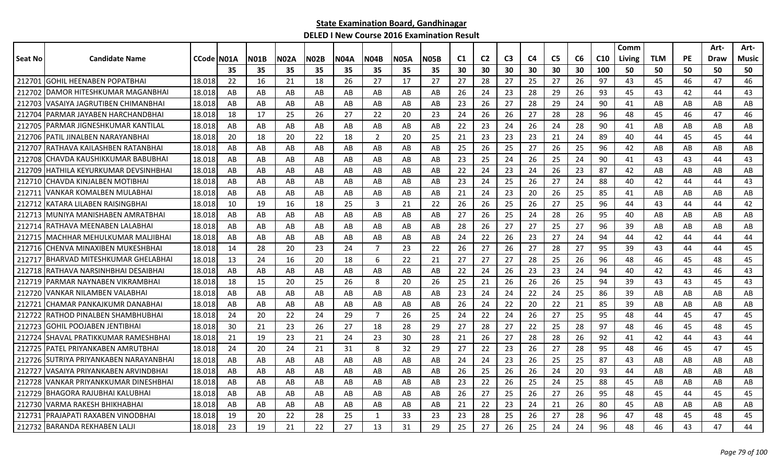|         |                                 |            |     |      |      |      |      |                |             |      |                |                |                |    |                |    |                 | Comm   |            |           | Art- | Art-  |
|---------|---------------------------------|------------|-----|------|------|------|------|----------------|-------------|------|----------------|----------------|----------------|----|----------------|----|-----------------|--------|------------|-----------|------|-------|
| Seat No | <b>Candidate Name</b>           | CCode N01A |     | NO1B | N02A | N02B | N04A | N04B           | <b>N05A</b> | N05B | C <sub>1</sub> | C <sub>2</sub> | C <sub>3</sub> | C4 | C <sub>5</sub> | C6 | C <sub>10</sub> | Living | <b>TLM</b> | <b>PE</b> | Draw | Music |
|         |                                 |            | 35  | 35   | 35   | 35   | 35   | 35             | 35          | 35   | 30             | 30             | 30             | 30 | 30             | 30 | 100             | 50     | 50         | 50        | 50   | 50    |
| 212701  | IGOHIL HEENABEN POPATBHAI       | 18.018     | 22  | 16   | 21   | 18   | 26   | 27             | 17          | 27   | 27             | 28             | 27             | 25 | 27             | 26 | 97              | 43     | 45         | 46        | 47   | 46    |
| 212702  | DAMOR HITESHKUMAR MAGANBHAI     | 18.018     | AB  | AB   | AB   | AB   | AB   | AB             | AB          | AB   | 26             | 24             | 23             | 28 | 29             | 26 | 93              | 45     | 43         | 42        | 44   | 43    |
| 212703  | VASAIYA JAGRUTIBEN CHIMANBHAI   | 18.018     | AB  | AB   | AB   | AB   | AB   | AB             | AB          | AB   | 23             | 26             | 27             | 28 | 29             | 24 | 90              | 41     | AB         | AB        | AB   | AB    |
| 212704  | PARMAR JAYABEN HARCHANDBHAI     | 18.018     | 18  | 17   | 25   | 26   | 27   | 22             | 20          | 23   | 24             | 26             | 26             | 27 | 28             | 28 | 96              | 48     | 45         | 46        | 47   | 46    |
| 212705  | IPARMAR JIGNESHKUMAR KANTILAL   | 18.018     | AB  | AB   | AB   | AB   | AB   | AB             | AB          | AB   | 22             | 23             | 24             | 26 | 24             | 28 | 90              | 41     | AB         | AB        | AB   | AB    |
| 212706  | IPATIL JINALBEN NARAYANBHAI     | 18.018     | 20  | 18   | 20   | 22   | 18   | 2              | 20          | 25   | 21             | 23             | 23             | 23 | 21             | 24 | 89              | 40     | 44         | 45        | 45   | 44    |
| 212707  | RATHAVA KAILASHBEN RATANBHAI    | 18.018     | AB  | AB   | AB   | AB   | AB   | AB             | AB          | AB   | 25             | 26             | 25             | 27 | 26             | 25 | 96              | 42     | AB         | AB        | AB   | AB    |
| 212708  | CHAVDA KAUSHIKKUMAR BABUBHAI    | 18.018     | AB  | AB   | AB   | AB   | AB   | AB.            | AB          | AB   | 23             | 25             | 24             | 26 | 25             | 24 | 90              | 41     | 43         | 43        | 44   | 43    |
| 212709  | HATHILA KEYURKUMAR DEVSINHBHAI  | 18.018     | AB  | AB   | AB   | AB   | AB   | AB             | AB          | AB   | 22             | 24             | 23             | 24 | 26             | 23 | 87              | 42     | AB         | AB        | AB   | AB    |
| 212710  | CHAVDA KINJALBEN MOTIBHAI       | 18.018     | AB  | AB   | AB   | AB   | AB   | AB             | AB          | AB   | 23             | 24             | 25             | 26 | 27             | 24 | 88              | 40     | 42         | 44        | 44   | 43    |
| 21271   | <b>VANKAR KOMALBEN MULABHAI</b> | 18.018     | AB  | AB   | AB   | AB   | AB   | AB             | AB          | AB   | 21             | 24             | 23             | 20 | 26             | 25 | 85              | 41     | AB         | AB        | AB   | AB    |
| 212712  | lKATARA LILABEN RAISINGBHAI     | 18.018     | 10  | 19   | 16   | 18   | 25   | 3              | 21          | 22   | 26             | 26             | 25             | 26 | 27             | 25 | 96              | 44     | 43         | 44        | 44   | 42    |
| 212713  | IMUNIYA MANISHABEN AMRATBHAI    | 18.018     | AB  | AB   | AB   | AB   | AB   | AB             | AB          | AB   | 27             | 26             | 25             | 24 | 28             | 26 | 95              | 40     | AB         | AB        | AB   | AB    |
| 212714  | IRATHAVA MEENABEN LALABHAI      | 18.018     | AB  | AB   | AB   | AB   | AB   | AB             | AB          | AB   | 28             | 26             | 27             | 27 | 25             | 27 | 96              | 39     | AB         | AB        | AB   | AB    |
| 212715  | MACHHAR MEHULKUMAR MALJIBHAI    | 18.018     | AB  | AB   | AB   | AB   | AB   | AB             | AB          | AB   | 24             | 22             | 26             | 23 | 27             | 24 | 94              | 44     | 42         | 44        | 44   | 44    |
| 212716  | CHENVA MINAXIBEN MUKESHBHAI     | 18.018     | 14  | 28   | 20   | 23   | 24   | $\overline{7}$ | 23          | 22   | 26             | 27             | 26             | 27 | 28             | 27 | 95              | 39     | 43         | 44        | 44   | 45    |
| 212717  | BHARVAD MITESHKUMAR GHELABHAI   | 18.018     | 13  | 24   | 16   | 20   | 18   | 6              | 22          | 21   | 27             | 27             | 27             | 28 | 25             | 26 | 96              | 48     | 46         | 45        | 48   | 45    |
| 212718  | RATHAVA NARSINHBHAI DESAIBHAI   | 18.018     | AB  | AB   | AB   | AB   | AB   | AB             | AB          | AB   | 22             | 24             | 26             | 23 | 23             | 24 | 94              | 40     | 42         | 43        | 46   | 43    |
| 212719  | PARMAR NAYNABEN VIKRAMBHAI      | 18.018     | 18  | 15   | 20   | 25   | 26   | 8              | 20          | 26   | 25             | 21             | 26             | 26 | 26             | 25 | 94              | 39     | 43         | 43        | 45   | 43    |
| 212720  | VANKAR NILAMBEN VALABHAI        | 18.018     | AB  | AB   | AB   | AB   | AB   | AB             | AB          | AB   | 23             | 24             | 24             | 22 | 24             | 25 | 86              | 39     | AB         | AB        | AB   | AB    |
| 212721  | CHAMAR PANKAJKUMR DANABHAI      | 18.018     | AB  | AB   | AB   | AB   | AB   | AB             | AB          | AB   | -26            | 24             | 22             | 20 | 22             | 21 | 85              | 39     | AB         | AB        | AB   | AB    |
| 212722  | RATHOD PINALBEN SHAMBHUBHAI     | 18.018     | 24  | 20   | 22   | 24   | 29   | $\overline{7}$ | 26          | 25   | 24             | 22             | 24             | 26 | 27             | 25 | 95              | 48     | 44         | 45        | 47   | 45    |
| 212723  | GOHIL POOJABEN JENTIBHAI        | 18.018     | -30 | 21   | 23   | 26   | 27   | 18             | 28          | 29   | 27             | 28             | 27             | 22 | 25             | 28 | 97              | 48     | 46         | 45        | 48   | 45    |
| 212724  | SHAVAL PRATIKKUMAR RAMESHBHAI   | 18.018     | 21  | 19   | 23   | 21   | 24   | 23             | 30          | 28   | 21             | 26             | 27             | 28 | 28             | 26 | 92              | 41     | 42         | 44        | 43   | 44    |
| 212725  | PATEL PRIYANKABEN AMRUTBHAI     | 18.018     | 24  | 20   | 24   | 21   | 31   | 8              | 32          | 29   | 27             | 22             | 23             | 26 | 27             | 28 | 95              | 48     | 46         | 45        | 47   | 45    |
| 212726  | SUTRIYA PRIYANKABEN NARAYANBHAI | 18.018     | AB  | AB   | AB   | AB   | AB   | AB             | AB          | AB   | 24             | 24             | 23             | 26 | 25             | 25 | 87              | 43     | AB         | AB        | AB   | AB    |
| 212727  | VASAIYA PRIYANKABEN ARVINDBHAI  | 18.018     | AB  | AB   | AB   | AB   | AB   | AB             | AB          | AB   | 26             | 25             | 26             | 26 | 24             | 20 | 93              | 44     | AB         | AB        | AB   | AB    |
| 212728  | VANKAR PRIYANKKUMAR DINESHBHAI  | 18.018     | AB  | AB   | AB   | AB   | AB   | AB             | AB          | AB   | 23             | 22             | 26             | 25 | 24             | 25 | 88              | 45     | AB         | AB        | AB   | AB    |
| 212729  | BHAGORA RAJUBHAI KALUBHAI       | 18.018     | AB  | AB   | AB   | AB   | AB   | AB             | AB          | AB   | 26             | 27             | 25             | 26 | 27             | 26 | 95              | 48     | 45         | 44        | 45   | 45    |
| 212730  | VARMA RAKESH BHIKHABHAI         | 18.018     | AB  | AB   | AB   | AB   | AB   | AB             | AB          | AB   | 21             | 22             | 23             | 24 | 21             | 26 | 80              | 45     | AB         | AB        | AB   | AB    |
| 212731  | PRAJAPATI RAXABEN VINODBHAI     | 18.018     | 19  | 20   | 22   | 28   | 25   | 1              | 33          | 23   | 23             | 28             | 25             | 26 | 27             | 28 | 96              | 47     | 48         | 45        | 48   | 45    |
|         | 212732 BARANDA REKHABEN LALJI   | 18.018     | 23  | 19   | 21   | 22   | 27   | 13             | 31          | 29   | 25             | 27             | 26             | 25 | 24             | 24 | 96              | 48     | 46         | 43        | 47   | 44    |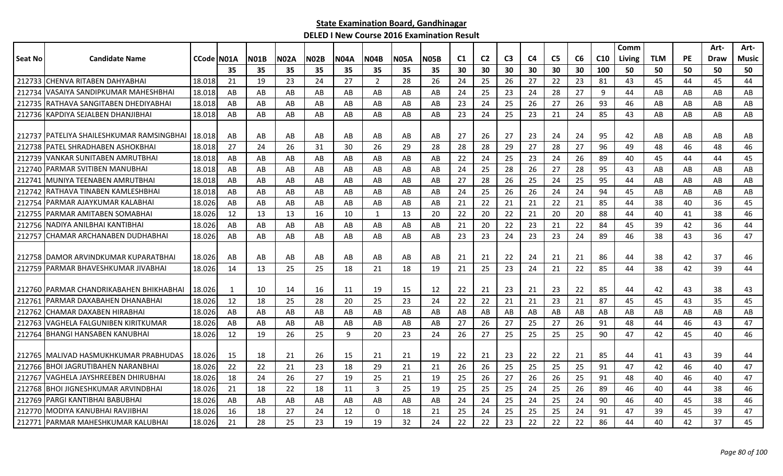|                |                                                      |            |     |             |             |             |             |             |             |             |                |                |                |    |                |    |                 | Comm   |            |           | Art-        | Art-  |
|----------------|------------------------------------------------------|------------|-----|-------------|-------------|-------------|-------------|-------------|-------------|-------------|----------------|----------------|----------------|----|----------------|----|-----------------|--------|------------|-----------|-------------|-------|
| <b>Seat No</b> | <b>Candidate Name</b>                                | CCode N01A |     | <b>N01B</b> | <b>N02A</b> | <b>N02B</b> | <b>N04A</b> | <b>N04B</b> | <b>N05A</b> | <b>N05B</b> | C <sub>1</sub> | C <sub>2</sub> | C <sub>3</sub> | C4 | C <sub>5</sub> | C6 | C <sub>10</sub> | Living | <b>TLM</b> | <b>PE</b> | <b>Draw</b> | Music |
|                |                                                      |            | 35  | 35          | 35          | 35          | 35          | 35          | 35          | 35          | 30             | 30             | 30             | 30 | 30             | 30 | 100             | 50     | 50         | 50        | 50          | 50    |
|                | 212733 CHENVA RITABEN DAHYABHAI                      | 18.018     | 21  | 19          | 23          | 24          | 27          | 2           | 28          | 26          | 24             | 25             | 26             | 27 | 22             | 23 | 81              | 43     | 45         | 44        | 45          | 44    |
| 212734         | IVASAIYA SANDIPKUMAR MAHESHBHAI                      | 18.018     | AB  | AB          | AB          | AB          | AB          | AB          | AB          | AB          | 24             | 25             | 23             | 24 | 28             | 27 | 9               | 44     | AB         | AB        | AB          | AB    |
|                | 212735 RATHAVA SANGITABEN DHEDIYABHAI                | 18.018     | AB  | AB          | AB          | AB          | AB          | AB          | AB          | AB          | 23             | 24             | 25             | 26 | 27             | 26 | 93              | 46     | AB         | AB        | AB          | AB    |
|                | 212736 KAPDIYA SEJALBEN DHANJIBHAI                   | 18.018     | AB  | AB          | AB          | AB          | AB          | AB          | AB          | AB          | 23             | 24             | 25             | 23 | 21             | 24 | 85              | 43     | AB         | AB        | AB          | AB    |
|                |                                                      |            |     |             |             |             |             |             |             |             |                |                |                |    |                |    |                 |        |            |           |             |       |
|                | 212737   PATELIYA SHAILESHKUMAR RAMSINGBHAI   18.018 |            | AB  | AB          | AB          | AB          | AB          | AB          | AB          | AB          | 27             | 26             | 27             | 23 | 24             | 24 | 95              | 42     | AB         | AB        | AB          | AB    |
|                | 212738 PATEL SHRADHABEN ASHOKBHAI                    | 18.018     | 27  | 24          | 26          | 31          | 30          | 26          | 29          | 28          | 28             | 28             | 29             | 27 | 28             | 27 | 96              | 49     | 48         | 46        | 48          | 46    |
| 212739         | VANKAR SUNITABEN AMRUTBHAI                           | 18.018     | AB  | AB          | AB          | AB          | AB          | AB          | AB          | AB          | 22             | 24             | 25             | 23 | 24             | 26 | 89              | 40     | 45         | 44        | 44          | 45    |
|                | 212740 PARMAR SVITIBEN MANUBHAI                      | 18.018     | AB  | AB          | AB          | AB          | AB          | AB          | AB          | AB          | 24             | 25             | 28             | 26 | 27             | 28 | 95              | 43     | AB         | AB        | AB          | AB    |
| 212741         | IMUNIYA TEENABEN AMRUTBHAI                           | 18.018     | AB  | AB          | AB          | AB          | AB          | AB.         | AB          | AB          | 27             | 28             | 26             | 25 | 24             | 25 | 95              | 44     | AB         | AB        | AB          | AB    |
| 212742         | IRATHAVA TINABEN KAMLESHBHAI                         | 18.018     | AB  | AB          | AB          | AB          | AB          | AB          | AB          | AB          | 24             | 25             | 26             | 26 | 24             | 24 | 94              | 45     | AB         | AB        | AB          | AB    |
| 212754         | IPARMAR AJAYKUMAR KALABHAI                           | 18.026     | AB  | AB          | AB          | AB          | AB          | AB          | AB          | AB          | 21             | 22             | 21             | 21 | 22             | 21 | 85              | 44     | 38         | 40        | 36          | 45    |
| 212755         | <b>JPARMAR AMITABEN SOMABHAI</b>                     | 18.026     | 12  | 13          | 13          | 16          | 10          | 1           | 13          | 20          | 22             | 20             | 22             | 21 | 20             | 20 | 88              | 44     | 40         | 41        | 38          | 46    |
|                | 212756 INADIYA ANILBHAI KANTIBHAI                    | 18.026     | AB  | AB          | AB          | AB          | AB          | AB          | AB          | AB          | 21             | 20             | 22             | 23 | 21             | 22 | 84              | 45     | 39         | 42        | 36          | 44    |
| 212757         | CHAMAR ARCHANABEN DUDHABHAI                          | 18.026     | AB  | AB          | AB          | AB          | AB          | AB          | AB          | AB          | 23             | 23             | 24             | 23 | 23             | 24 | 89              | 46     | 38         | 43        | 36          | 47    |
|                |                                                      |            |     |             |             |             |             |             |             |             |                |                |                |    |                |    |                 |        |            |           |             |       |
|                | 212758 IDAMOR ARVINDKUMAR KUPARATBHAI                | 18.026     | AB  | AB          | AB          | AB          | AB          | AB          | AB          | AB          | 21             | 21             | 22             | 24 | 21             | 21 | 86              | 44     | 38         | 42        | 37          | 46    |
| 212759         | <b>PARMAR BHAVESHKUMAR JIVABHAI</b>                  | 18.026     | 14  | 13          | 25          | 25          | 18          | 21          | 18          | 19          | 21             | 25             | 23             | 24 | 21             | 22 | 85              | 44     | 38         | 42        | 39          | 44    |
|                |                                                      |            |     |             |             |             |             |             |             |             |                |                |                |    |                |    |                 |        |            |           |             |       |
|                | 212760 IPARMAR CHANDRIKABAHEN BHIKHABHAI             | 18.026     | 1   | 10          | 14          | 16          | 11          | 19          | 15          | 12          | 22             | 21             | 23             | 21 | 23             | 22 | 85              | 44     | 42         | 43        | 38          | 43    |
| 212761         | IPARMAR DAXABAHEN DHANABHAI                          | 18.026     | 12  | 18          | 25          | 28          | -20         | 25          | 23          | 24          | 22             | 22             | 21             | 21 | 23             | 21 | 87              | 45     | 45         | 43        | 35          | 45    |
| 212762         | ICHAMAR DAXABEN HIRABHAI                             | 18.026     | AB  | AB          | AB          | AB          | AB          | AB          | AB          | AB          | AB             | AB             | AB             | AB | AB             | AB | AB              | AB     | AB         | AB        | AB          | AB    |
| 212763         | VAGHELA FALGUNIBEN KIRITKUMAR                        | 18.026     | AB  | AB          | AB          | AB          | AB          | AB          | AB          | AB          | 27             | 26             | 27             | 25 | 27             | 26 | 91              | 48     | 44         | 46        | 43          | 47    |
| 212764         | <b>BHANGI HANSABEN KANUBHAI</b>                      | 18.026     | 12  | 19          | 26          | 25          | 9           | 20          | 23          | 24          | 26             | 27             | 25             | 25 | 25             | 25 | 90              | 47     | 42         | 45        | 40          | 46    |
|                | 212765   MALIVAD HASMUKHKUMAR PRABHUDAS              | 18.026     | 15  | 18          | 21          | 26          | 15          | 21          | 21          | 19          | 22             | 21             | 23             | 22 | 22             | 21 | 85              | 44     | 41         | 43        | 39          | 44    |
|                | 212766 BHOI JAGRUTIBAHEN NARANBHAI                   | 18.026     | 22  | 22          | 21          | 23          | 18          | 29          | 21          | 21          | 26             | 26             | 25             | 25 | 25             | 25 | 91              | 47     | 42         | 46        | 40          | 47    |
| 212767         | <b>IVAGHELA JAYSHREEBEN DHIRUBHAI</b>                | 18.026     | 18  | 24          | 26          | 27          | 19          | 25          | 21          | 19          | 25             | 26             | 27             | 26 | 26             | 25 | 91              | 48     | 40         | 46        | 40          | 47    |
|                | 212768 BHOI JIGNESHKUMAR ARVINDBHAI                  | 18.026     | 21  | 18          | 22          | 18          | 11          | 3           | 25          | 19          | 25             | 25             | 25             | 24 | 25             | 26 | 89              | 46     | 40         | 44        | 38          | 46    |
| 212769         | PARGI KANTIBHAI BABUBHAI                             | 18.026     | AB  | AB          | AB          | AB          | AB          | AB          | AB          | AB          | 24             | 24             | 25             | 24 | 25             | 24 | 90              | 46     | 40         | 45        | 38          | 46    |
|                | 212770   MODIYA KANUBHAI RAVJIBHAI                   | 18.026     | -16 | 18          | 27          | 24          | 12          | $\Omega$    | 18          | 21          | 25             | 24             | 25             | 25 | 25             | 24 | 91              | 47     | 39         | 45        | 39          | 47    |
|                | 212771 PARMAR MAHESHKUMAR KALUBHAI                   | 18.026     | 21  | 28          | 25          | 23          | 19          | 19          | 32          | 24          | 22             | 22             | 23             | 22 | 22             | 22 | 86              | 44     | 40         | 42        | 37          | 45    |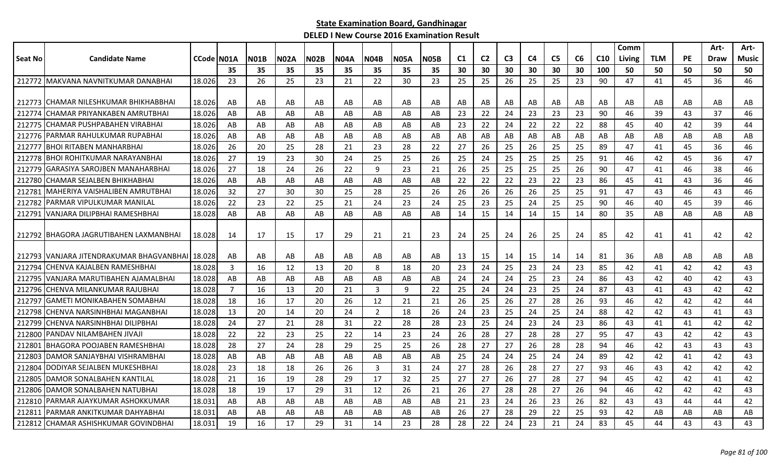|                |                                                 |                     |     |             |             |             |             |                |             |             |                |                |                |                |                |    |                 | Comm   |     |           | Art- | Art-         |
|----------------|-------------------------------------------------|---------------------|-----|-------------|-------------|-------------|-------------|----------------|-------------|-------------|----------------|----------------|----------------|----------------|----------------|----|-----------------|--------|-----|-----------|------|--------------|
| <b>Seat No</b> | <b>Candidate Name</b>                           | <b>CCode   NO1A</b> |     | <b>N01B</b> | <b>N02A</b> | <b>N02B</b> | <b>N04A</b> | <b>N04B</b>    | <b>N05A</b> | <b>N05B</b> | C <sub>1</sub> | C <sub>2</sub> | C <sub>3</sub> | C <sub>4</sub> | C <sub>5</sub> | C6 | C <sub>10</sub> | Living | TLM | <b>PE</b> | Draw | <b>Music</b> |
|                |                                                 |                     | 35  | 35          | 35          | 35          | 35          | 35             | 35          | 35          | 30             | 30             | 30             | 30             | 30             | 30 | 100             | 50     | 50  | 50        | 50   | 50           |
|                | 212772 MAKVANA NAVNITKUMAR DANABHAI             | 18.026              | 23  | 26          | 25          | 23          | 21          | 22             | 30          | 23          | 25             | 25             | 26             | 25             | 25             | 23 | 90              | 47     | 41  | 45        | 36   | 46           |
|                |                                                 |                     |     |             |             |             |             |                |             |             |                |                |                |                |                |    |                 |        |     |           |      |              |
|                | 212773 CHAMAR NILESHKUMAR BHIKHABBHAI           | 18.026              | AB  | AB          | AB          | AB          | AB          | AB             | AB          | AB          | AB             | AB             | AB             | AB             | AB             | AB | AB              | AB     | AB  | AB        | AB   | AB           |
| 212774         | CHAMAR PRIYANKABEN AMRUTBHAI                    | 18.026              | AB  | AB          | AB          | AB          | AB          | AB             | AB          | AB          | -23            | 22             | 24             | 23             | 23             | 23 | 90              | 46     | 39  | 43        | 37   | 46           |
| 212775         | ICHAMAR PUSHPABAHEN VIRABHAI                    | 18.026              | AB  | AB          | AB          | AB          | AB          | AB             | AB          | AB          | 23             | 22             | 24             | 22             | 22             | 22 | 88              | 45     | 40  | 42        | 39   | 44           |
| 212776         | PARMAR RAHULKUMAR RUPABHAI                      | 18.026              | AB  | AB          | AB          | AB          | AB          | AB             | AB          | AB          | AB             | AB             | AB             | AB             | AB             | AB | AB              | AB     | AB  | AB        | AB   | AB           |
| 212777         | <b>BHOI RITABEN MANHARBHAI</b>                  | 18.026              | 26  | 20          | 25          | 28          | 21          | 23             | 28          | 22          | 27             | 26             | 25             | 26             | 25             | 25 | 89              | 47     | 41  | 45        | 36   | 46           |
| 212778         | BHOI ROHITKUMAR NARAYANBHAI                     | 18.026              | 27  | 19          | 23          | 30          | 24          | 25             | 25          | 26          | 25             | 24             | 25             | 25             | 25             | 25 | 91              | 46     | 42  | 45        | 36   | 47           |
| 212779         | <b>GARASIYA SAROJBEN MANAHARBHAI</b>            | 18.026              | 27  | 18          | 24          | 26          | 22          | 9              | 23          | 21          | 26             | 25             | 25             | 25             | 25             | 26 | 90              | 47     | 41  | 46        | 38   | 46           |
| 212780         | CHAMAR SEJALBEN BHIKHABHAI                      | 18.026              | AB  | AB          | AB          | AB          | AB          | AB             | AB          | AB          | 22             | 22             | 22             | 23             | 22             | 23 | 86              | 45     | 41  | 43        | 36   | 46           |
| 21278          | MAHERIYA VAISHALIBEN AMRUTBHAI                  | 18.026              | 32  | 27          | 30          | 30          | 25          | 28             | 25          | 26          | 26             | 26             | 26             | 26             | 25             | 25 | 91              | 47     | 43  | 46        | 43   | 46           |
| 212782         | PARMAR VIPULKUMAR MANILAL                       | 18.026              | 22  | 23          | 22          | 25          | 21          | 24             | 23          | 24          | 25             | 23             | 25             | 24             | 25             | 25 | 90              | 46     | 40  | 45        | 39   | 46           |
| 212791         | VANJARA DILIPBHAI RAMESHBHAI                    | 18.028              | AB  | AB          | AB          | AB          | AB          | AB             | AB          | AB          | 14             | 15             | 14             | 14             | 15             | 14 | 80              | 35     | AB  | AB        | AB   | AB           |
|                |                                                 |                     |     |             |             |             |             |                |             |             |                |                |                |                |                |    |                 |        |     |           |      |              |
|                | 212792   BHAGORA JAGRUTIBAHEN LAXMANBHAI        | 18.028              | -14 | 17          | 15          | 17          | 29          | 21             | 21          | 23          | 24             | 25             | 24             | 26             | 25             | 24 | 85              | 42     | 41  | 41        | 42   | 42           |
|                |                                                 |                     |     |             |             |             |             |                |             |             |                |                |                |                |                |    |                 |        |     |           |      |              |
|                | 212793 VANJARA JITENDRAKUMAR BHAGVANBHAI 18.028 |                     | AB  | AB          | AB          | AB          | AB          | AB             | AB          | AB          | 13             | 15             | 14             | 15             | 14             | 14 | 81              | 36     | AB  | AB        | AB   | AB           |
| 212794         | CHENVA KAJALBEN RAMESHBHAI                      | 18.028              | 3   | 16          | 12          | 13          | 20          | 8              | 18          | 20          | 23             | 24             | 25             | 23             | 24             | 23 | 85              | 42     | 41  | 42        | 42   | 43           |
| 21279          | VANJARA MARUTIBAHEN AJAMALBHAI                  | 18.028              | AB  | AB          | AB          | AB          | AB          | AB             | AB          | AB          | 24             | 24             | 24             | 25             | 23             | 24 | 86              | 43     | 42  | 40        | 42   | 43           |
| 212796         | CHENVA MILANKUMAR RAJUBHAI                      | 18.028              | 7   | 16          | 13          | 20          | 21          | 3              | 9           | 22          | 25             | 24             | 24             | 23             | 25             | 24 | 87              | 43     | 41  | 43        | 42   | 42           |
| 212797         | GAMETI MONIKABAHEN SOMABHAI                     | 18.028              | 18  | 16          | 17          | 20          | 26          | 12             | 21          | 21          | 26             | 25             | 26             | 27             | 28             | 26 | 93              | 46     | 42  | 42        | 42   | 44           |
| 212798         | CHENVA NARSINHBHAI MAGANBHAI                    | 18.028              | 13  | 20          | 14          | 20          | 24          | $\overline{2}$ | 18          | 26          | 24             | 23             | 25             | 24             | 25             | 24 | 88              | 42     | 42  | 43        | 41   | 43           |
| 212799         | CHENVA NARSINHBHAI DILIPBHAI                    | 18.028              | 24  | 27          | 21          | 28          | 31          | 22             | 28          | 28          | 23             | 25             | 24             | 23             | 24             | 23 | 86              | 43     | 41  | 41        | 42   | 42           |
| 212800         | PANDAV NILAMBAHEN JIVAJI                        | 18.028              | 22  | 22          | 23          | 25          | 22          | 14             | 23          | 24          | 26             | 28             | 27             | 28             | 28             | 27 | 95              | 47     | 43  | 42        | 42   | 43           |
| 21280          | <b>BHAGORA POOJABEN RAMESHBHAI</b>              | 18.028              | 28  | 27          | 24          | 28          | 29          | 25             | 25          | 26          | 28             | 27             | 27             | 26             | 28             | 28 | 94              | 46     | 42  | 43        | 43   | 43           |
| 21280          | DAMOR SANJAYBHAI VISHRAMBHAI                    | 18.028              | AB  | AB          | AB          | AB          | AB          | AB             | AB          | AB          | 25             | 24             | 24             | 25             | 24             | 24 | 89              | 42     | 42  | 41        | 42   | 43           |
| 212804         | DODIYAR SEJALBEN MUKESHBHAI                     | 18.028              | 23  | 18          | 18          | 26          | 26          | $\overline{3}$ | 31          | 24          | 27             | 28             | 26             | 28             | 27             | 27 | 93              | 46     | 43  | 42        | 42   | 42           |
| 212805         | DAMOR SONALBAHEN KANTILAL                       | 18.028              | 21  | 16          | 19          | 28          | 29          | 17             | 32          | 25          | 27             | 27             | 26             | 27             | 28             | 27 | 94              | 45     | 42  | 42        | 41   | 42           |
| 212806         | DAMOR SONALBAHEN NATUBHAI                       | 18.028              | 18  | 19          | 17          | 29          | 31          | 12             | 26          | 21          | 26             | 27             | 28             | 28             | 27             | 26 | 94              | 46     | 42  | 42        | 42   | 43           |
| 212810         | PARMAR AJAYKUMAR ASHOKKUMAR                     | 18.031              | AB  | AB          | AB          | AB          | AB          | AB             | AB          | AB          | 21             | 23             | 24             | 26             | 23             | 26 | 82              | 43     | 43  | 44        | 44   | 42           |
| 212811         | PARMAR ANKITKUMAR DAHYABHAI                     | 18.031              | AB  | AB          | AB          | AB          | AB          | AB             | AB          | AB          | 26             | 27             | 28             | 29             | 22             | 25 | 93              | 42     | AB  | AB        | AB   | AB           |
| 212812         | CHAMAR ASHISHKUMAR GOVINDBHAI                   | 18.031              | 19  | 16          | 17          | 29          | 31          | 14             | 23          | 28          | 28             | 22             | 24             | 23             | 21             | 24 | 83              | 45     | 44  | 43        | 43   | 43           |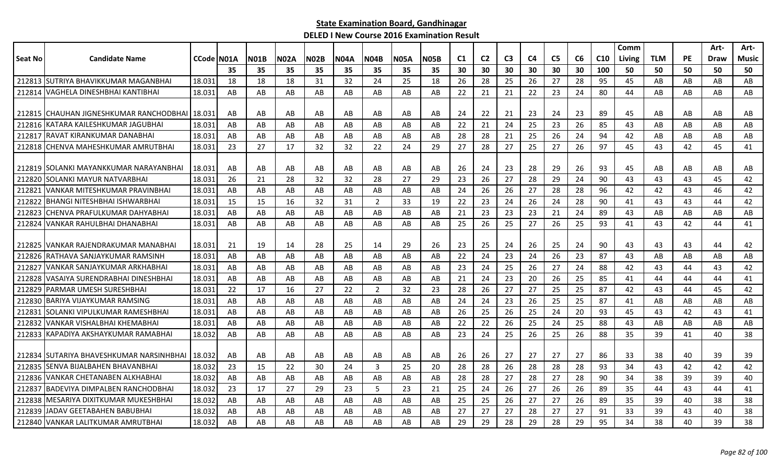|         |                                          |            |    |             |             |             |             |                |             |             |     |                |                |                |                |    |                 | Comm   |            |           | Art-        | Art-  |
|---------|------------------------------------------|------------|----|-------------|-------------|-------------|-------------|----------------|-------------|-------------|-----|----------------|----------------|----------------|----------------|----|-----------------|--------|------------|-----------|-------------|-------|
| Seat No | <b>Candidate Name</b>                    | CCode N01A |    | <b>N01B</b> | <b>N02A</b> | <b>N02B</b> | <b>N04A</b> | <b>N04B</b>    | <b>N05A</b> | <b>N05B</b> | C1  | C <sub>2</sub> | C <sub>3</sub> | C <sub>4</sub> | C <sub>5</sub> | C6 | C <sub>10</sub> | Living | <b>TLM</b> | <b>PE</b> | <b>Draw</b> | Music |
|         |                                          |            | 35 | 35          | 35          | 35          | 35          | 35             | 35          | 35          | 30  | 30             | 30             | 30             | 30             | 30 | 100             | 50     | 50         | 50        | 50          | 50    |
|         | 212813 SUTRIYA BHAVIKKUMAR MAGANBHAI     | 18.031     | 18 | 18          | 18          | 31          | 32          | 24             | 25          | 18          | 26  | 28             | 25             | 26             | 27             | 28 | 95              | 45     | AB         | AB        | AB          | AB    |
| 212814  | VAGHELA DINESHBHAI KANTIBHAI             | 18.031     | AB | AB          | AB          | AB          | AB          | AB             | AB          | AB          | 22  | 21             | 21             | 22             | 23             | 24 | 80              | 44     | AB         | AB        | AB          | AB    |
|         |                                          |            |    |             |             |             |             |                |             |             |     |                |                |                |                |    |                 |        |            |           |             |       |
|         | 212815 CHAUHAN JIGNESHKUMAR RANCHODBHAI  | 18.031     | AB | AB          | AB          | AB          | AB          | AB             | AB          | AB          | 24  | 22             | 21             | 23             | 24             | 23 | 89              | 45     | AB         | AB        | AB          | AB    |
|         | 212816 KATARA KAILESHKUMAR JAGUBHAI      | 18.031     | AB | AB          | AB          | AB          | AB          | AB             | AB          | AB          | 22  | 21             | 24             | 25             | 23             | 26 | 85              | 43     | AB         | AB        | AB          | AB    |
| 212817  | IRAVAT KIRANKUMAR DANABHAI               | 18.031     | AB | AB          | AB          | AB          | AB          | AB             | AB          | AB          | 28  | 28             | 21             | 25             | 26             | 24 | 94              | 42     | AB         | AB        | AB          | AB    |
| 212818  | CHENVA MAHESHKUMAR AMRUTBHAI             | 18.031     | 23 | 27          | 17          | 32          | 32          | 22             | 24          | 29          | 27  | 28             | 27             | 25             | 27             | 26 | 97              | 45     | 43         | 42        | 45          | 41    |
|         |                                          |            |    |             |             |             |             |                |             |             |     |                |                |                |                |    |                 |        |            |           |             |       |
|         | 212819 ISOLANKI MAYANKKUMAR NARAYANBHAI  | 18.031     | AB | AB          | AB          | AB          | AB          | AB             | AB          | AB          | 26  | 24             | 23             | 28             | 29             | 26 | 93              | 45     | AB         | AB        | AB          | AB    |
| 212820  | SOLANKI MAYUR NATVARBHAI                 | 18.031     | 26 | 21          | 28          | 32          | 32          | 28             | 27          | 29          | 23  | 26             | 27             | 28             | 29             | 24 | 90              | 43     | 43         | 43        | 45          | 42    |
| 21282   | VANKAR MITESHKUMAR PRAVINBHAI            | 18.031     | AB | AB          | AB          | AB          | AB          | AB             | AB          | AB          | 24  | 26             | 26             | 27             | 28             | 28 | 96              | 42     | 42         | 43        | 46          | 42    |
| 212822  | BHANGI NITESHBHAI ISHWARBHAI             | 18.031     | 15 | 15          | 16          | 32          | 31          | $\overline{2}$ | 33          | 19          | 22  | 23             | 24             | 26             | 24             | 28 | 90              | 41     | 43         | 43        | 44          | 42    |
| 212823  | CHENVA PRAFULKUMAR DAHYABHAI             | 18.031     | AB | AB          | AB          | AB          | AB          | AB             | AB          | AB          | 21  | 23             | 23             | 23             | 21             | 24 | 89              | 43     | AB         | AB        | AB          | AB    |
| 212824  | IVANKAR RAHULBHAI DHANABHAI              | 18.031     | AB | AB          | AB          | AB          | AB          | AB             | AB          | AB          | 25  | 26             | 25             | 27             | 26             | 25 | 93              | 41     | 43         | 42        | 44          | 41    |
|         |                                          |            |    |             |             |             |             |                |             |             |     |                |                |                |                |    |                 |        |            |           |             |       |
| 212825  | IVANKAR RAJENDRAKUMAR MANABHAI           | 18.031     | 21 | 19          | 14          | 28          | 25          | 14             | 29          | 26          | -23 | 25             | 24             | 26             | 25             | 24 | 90              | 43     | 43         | 43        | 44          | 42    |
| 212826  | RATHAVA SANJAYKUMAR RAMSINH              | 18.031     | AB | AB          | AB          | AB          | AB          | AB             | AB          | AB          | 22  | 24             | 23             | 24             | 26             | 23 | 87              | 43     | AB         | AB        | AB          | AB    |
| 21282   | VANKAR SANJAYKUMAR ARKHABHAI             | 18.031     | AB | AB          | AB          | AB          | AB          | AB             | AB          | AB          | 23  | 24             | 25             | 26             | 27             | 24 | 88              | 42     | 43         | 44        | 43          | 42    |
| 212828  | VASAIYA SURENDRABHAI DINESHBHAI          | 18.031     | AB | AB          | AB          | AB          | AB          | AB             | AB          | AB          | 21  | 24             | 23             | 20             | 26             | 25 | 85              | 41     | 44         | 44        | 44          | 41    |
| 212829  | IPARMAR UMESH SURESHBHAI                 | 18.031     | 22 | 17          | 16          | 27          | 22          | 2              | 32          | 23          | 28  | 26             | 27             | 27             | 25             | 25 | 87              | 42     | 43         | 44        | 45          | 42    |
|         | 212830 BARIYA VIJAYKUMAR RAMSING         | 18.031     | AB | AB          | AB          | AB          | AB          | AB             | AB          | AB          | 24  | 24             | 23             | 26             | 25             | 25 | 87              | 41     | AB         | AB        | AB          | AB    |
| 212831  | ISOLANKI VIPULKUMAR RAMESHBHAI           | 18.031     | AB | AB          | AB          | AB          | AB          | AB             | AB          | AB          | 26  | 25             | 26             | 25             | 24             | 20 | 93              | 45     | 43         | 42        | 43          | 41    |
| 212832  | VANKAR VISHALBHAI KHEMABHAI              | 18.031     | AB | AB          | AB          | AB          | AB          | AB             | AB          | AB          | 22  | 22             | 26             | 25             | 24             | 25 | 88              | 43     | AB         | AB        | AB          | AB    |
| 212833  | KAPADIYA AKSHAYKUMAR RAMABHAI            | 18.032     | AB | AB          | AB          | AB          | AB          | AB             | AB          | AB          | 23  | 24             | 25             | 26             | 25             | 26 | 88              | 35     | 39         | 41        | 40          | 38    |
|         |                                          |            |    |             |             |             |             |                |             |             |     |                |                |                |                |    |                 |        |            |           |             |       |
|         | 212834 SUTARIYA BHAVESHKUMAR NARSINHBHAI | 18.032     | AB | AB          | AB          | AB          | AB          | AB             | AB          | AB          | 26  | 26             | 27             | 27             | 27             | 27 | 86              | 33     | 38         | 40        | 39          | 39    |
| 212835  | SENVA BIJALBAHEN BHAVANBHAI              | 18.032     | 23 | 15          | 22          | 30          | 24          | 3              | 25          | 20          | 28  | 28             | 26             | 28             | 28             | 28 | 93              | 34     | 43         | 42        | 42          | 42    |
| 212836  | <b>VANKAR CHETANABEN ALKHABHAI</b>       | 18.032     | AB | AB          | AB          | AB          | AB          | AB             | AB          | AB          | 28  | 28             | 27             | 28             | 27             | 28 | 90              | 34     | 38         | 39        | 39          | 40    |
| 212837  | IBADEVIYA DIMPALBEN RANCHODBHAI          | 18.032     | 23 | 17          | 27          | 29          | 23          | 5              | 23          | 21          | 25  | 24             | 26             | 27             | 26             | 26 | 89              | 35     | 44         | 43        | 44          | 41    |
| 212838  | MESARIYA DIXITKUMAR MUKESHBHAI           | 18.032     | AB | AB          | AB          | AB          | AB          | AB             | AB          | AB          | 25  | 25             | 26             | 27             | 27             | 26 | 89              | 35     | 39         | 40        | 38          | 38    |
| 212839  | JADAV GEETABAHEN BABUBHAI                | 18.032     | AB | AB          | AB          | AB          | AB          | AB             | AB          | AB          | 27  | 27             | 27             | 28             | 27             | 27 | 91              | 33     | 39         | 43        | 40          | 38    |
|         | 212840 VANKAR LALITKUMAR AMRUTBHAI       | 18.032     | AB | AB          | AB          | AB          | AB          | AB             | AB          | AB          | 29  | 29             | 28             | 29             | 28             | 29 | 95              | 34     | 38         | 40        | 39          | 38    |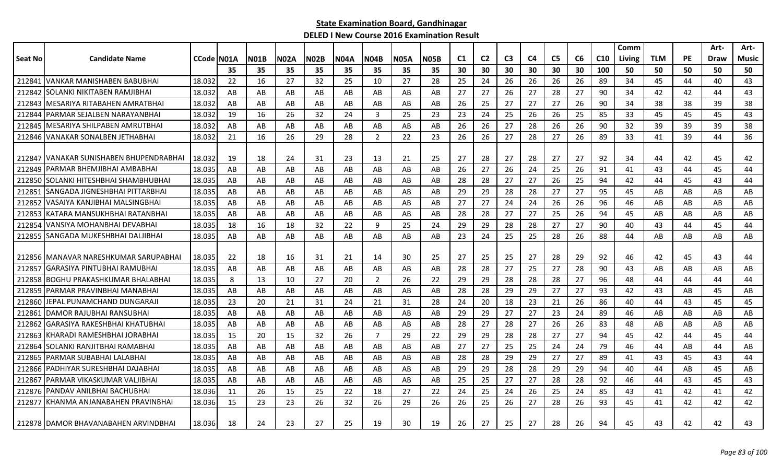|         |                                        |            |    |             |             |             |             |                |             |             |                |                |                |    |                |    |                 | Comm   |            |           | Art- | Art-  |
|---------|----------------------------------------|------------|----|-------------|-------------|-------------|-------------|----------------|-------------|-------------|----------------|----------------|----------------|----|----------------|----|-----------------|--------|------------|-----------|------|-------|
| Seat No | <b>Candidate Name</b>                  | CCode N01A |    | <b>N01B</b> | <b>N02A</b> | <b>N02B</b> | <b>N04A</b> | <b>N04B</b>    | <b>N05A</b> | <b>N05B</b> | C <sub>1</sub> | C <sub>2</sub> | C <sub>3</sub> | C4 | C <sub>5</sub> | C6 | C <sub>10</sub> | Living | <b>TLM</b> | <b>PE</b> | Draw | Music |
|         |                                        |            | 35 | 35          | 35          | 35          | 35          | 35             | 35          | 35          | 30             | 30             | 30             | 30 | 30             | 30 | 100             | 50     | 50         | 50        | 50   | 50    |
| 212843  | VANKAR MANISHABEN BABUBHAI             | 18.032     | 22 | 16          | 27          | 32          | 25          | 10             | 27          | 28          | 25             | 24             | 26             | 26 | 26             | 26 | 89              | 34     | 45         | 44        | 40   | 43    |
| 212842  | SOLANKI NIKITABEN RAMJIBHAI            | 18.032     | AB | AB          | AB          | AB          | AB          | AB             | AB          | AB          | 27             | 27             | 26             | 27 | 28             | 27 | 90              | 34     | 42         | 42        | 44   | 43    |
| 212843  | MESARIYA RITABAHEN AMRATBHAI           | 18.032     | AB | AB          | AB          | AB          | AB          | AB             | AB          | AB          | 26             | 25             | 27             | 27 | 27             | 26 | 90              | 34     | 38         | 38        | 39   | 38    |
| 212844  | PARMAR SEJALBEN NARAYANBHAI            | 18.032     | 19 | 16          | 26          | 32          | 24          | 3              | 25          | 23          | 23             | 24             | 25             | 26 | 26             | 25 | 85              | 33     | 45         | 45        | 45   | 43    |
| 212845  | MESARIYA SHILPABEN AMRUTBHAI           | 18.032     | AB | AB          | AB          | AB          | AB          | AB             | AB          | AB          | 26             | 26             | 27             | 28 | 26             | 26 | 90              | 32     | 39         | 39        | 39   | 38    |
| 212846  | VANAKAR SONALBEN JETHABHAI             | 18.032     | 21 | 16          | 26          | 29          | 28          | 2              | 22          | 23          | 26             | 26             | 27             | 28 | 27             | 26 | 89              | 33     | 41         | 39        | 44   | 36    |
|         |                                        |            |    |             |             |             |             |                |             |             |                |                |                |    |                |    |                 |        |            |           |      |       |
| 212847  | VANAKAR SUNISHABEN BHUPENDRABHAI       | 18.032     | 19 | 18          | 24          | 31          | 23          | 13             | 21          | 25          | 27             | 28             | 27             | 28 | 27             | 27 | 92              | 34     | 44         | 42        | 45   | 42    |
| 212849  | PARMAR BHEMJIBHAI AMBABHAI             | 18.035     | AB | AB          | AB          | AB          | AB          | AB             | AB          | AB          | 26             | 27             | 26             | 24 | 25             | 26 | 91              | 41     | 43         | 44        | 45   | 44    |
| 212850  | SOLANKI HITESHBHAI SHAMBHUBHAI         | 18.035     | AB | AB          | AB          | AB          | AB          | AB             | AB          | AB          | 28             | 28             | 27             | 27 | 26             | 25 | 94              | 42     | 44         | 45        | 43   | 44    |
| 212851  | SANGADA JIGNESHBHAI PITTARBHAI         | 18.035     | AB | AB          | AB          | AB          | AB          | AB             | AB          | AB          | 29             | 29             | 28             | 28 | 27             | 27 | 95              | 45     | AB         | AB        | AB   | AB    |
| 212852  | VASAIYA KANJIBHAI MALSINGBHAI          | 18.035     | AB | AB          | AB          | AB          | AB          | AB             | AB          | AB          | 27             | 27             | 24             | 24 | 26             | 26 | 96              | 46     | AB         | AB        | AB   | AB    |
| 212853  | KATARA MANSUKHBHAI RATANBHAI           | 18.035     | AB | AB          | AB          | AB          | AB          | AB             | AB          | AB          | 28             | 28             | 27             | 27 | 25             | 26 | 94              | 45     | AB         | AB        | AB   | AB    |
| 212854  | VANSIYA MOHANBHAI DEVABHAI             | 18.035     | 18 | 16          | 18          | 32          | 22          | 9              | 25          | 24          | 29             | 29             | 28             | 28 | 27             | 27 | 90              | 40     | 43         | 44        | 45   | 44    |
| 212855  | ISANGADA MUKESHBHAI DALJIBHAI          | 18.035     | AB | AB          | AB          | AB          | AB          | AB             | AB          | AB          | 23             | 24             | 25             | 25 | 28             | 26 | 88              | 44     | AB         | AB        | AB   | AB    |
|         |                                        |            |    |             |             |             |             |                |             |             |                |                |                |    |                |    |                 |        |            |           |      |       |
|         | 212856 IMANAVAR NARESHKUMAR SARUPABHAI | 18.035     | 22 | 18          | 16          | 31          | 21          | 14             | 30          | 25          | 27             | 25             | 25             | 27 | 28             | 29 | 92              | 46     | 42         | 45        | 43   | 44    |
| 21285   | GARASIYA PINTUBHAI RAMUBHAI            | 18.035     | AB | AB          | AB          | AB          | AB          | AB             | AB          | AB          | 28             | 28             | 27             | 25 | 27             | 28 | 90              | 43     | AB         | AB.       | AB   | AB    |
| 212858  | BOGHU PRAKASHKUMAR BHALABHAI           | 18.035     | 8  | 13          | 10          | 27          | 20          | 2              | 26          | 22          | 29             | 29             | 28             | 28 | 28             | 27 | 96              | 48     | 44         | 44        | 44   | 44    |
| 212859  | PARMAR PRAVINBHAI MANABHAI             | 18.035     | AB | AB          | AB          | AB          | AB          | AB             | AB          | AB          | 28             | 28             | 29             | 29 | 27             | 27 | 93              | 42     | 43         | AB        | 45   | AB    |
| 212860  | JEPAL PUNAMCHAND DUNGARAJI             | 18.035     | 23 | 20          | 21          | 31          | 24          | 21             | 31          | 28          | 24             | 20             | 18             | 23 | 21             | 26 | 86              | 40     | 44         | 43        | 45   | 45    |
| 212861  | DAMOR RAJUBHAI RANSUBHAI               | 18.035     | AB | AB          | AB          | AB          | AB          | AB             | AB          | AB          | 29             | 29             | 27             | 27 | 23             | 24 | 89              | 46     | AB         | AB        | AB   | AB    |
| 212862  | GARASIYA RAKESHBHAI KHATUBHAI          | 18.035     | AB | AB          | AB          | AB          | AB          | AB             | AB          | AB          | 28             | 27             | 28             | 27 | 26             | 26 | 83              | 48     | AB         | AB        | AB   | AB    |
| 212863  | KHARADI RAMESHBHAI JORABHAI            | 18.035     | 15 | 20          | 15          | 32          | 26          | $\overline{7}$ | 29          | 22          | 29             | 29             | 28             | 28 | 27             | 27 | 94              | 45     | 42         | 44        | 45   | 44    |
| 212864  | SOLANKI RANJITBHAI RAMABHAI            | 18.035     | AB | AB          | AB          | AB          | AB          | AB             | AB          | AB          | 27             | 27             | 25             | 25 | 24             | 24 | 79              | 46     | 44         | AB        | 44   | AB    |
| 212865  | PARMAR SUBABHAI LALABHAI               | 18.035     | AB | AB          | AB          | AB          | AB          | AB             | AB          | AB          | 28             | 28             | 29             | 29 | 27             | 27 | 89              | 41     | 43         | 45        | 43   | 44    |
| 212866  | PADHIYAR SURESHBHAI DAJABHAI           | 18.035     | AB | AB          | AB          | AB          | AB          | AB             | AB          | AB          | 29             | 29             | 28             | 28 | 29             | 29 | 94              | 40     | 44         | AB.       | 45   | AB    |
| 212867  | PARMAR VIKASKUMAR VALJIBHAI            | 18.035     | AB | AB          | AB          | AB          | AB          | AB             | AB          | AB          | 25             | 25             | 27             | 27 | 28             | 28 | 92              | 46     | 44         | 43        | 45   | 43    |
| 212876  | PANDAV ANILBHAI BACHUBHAI              | 18.036     | 11 | 26          | 15          | 25          | 22          | 18             | 27          | 22          | 24             | 25             | 24             | 26 | 25             | 24 | 85              | 43     | 41         | 42        | 41   | 42    |
| 212877  | KHANMA ANJANABAHEN PRAVINBHAI          | 18.036     | 15 | 23          | 23          | 26          | 32          | 26             | 29          | 26          | 26             | 25             | 26             | 27 | 28             | 26 | 93              | 45     | 41         | 42        | 42   | 42    |
|         | 212878 DAMOR BHAVANABAHEN ARVINDBHAI   | 18.036     | 18 | 24          | 23          | 27          | 25          | 19             | 30          | 19          | 26             | 27             | 25             | 27 | 28             | 26 | 94              | 45     | 43         | 42        | 42   | 43    |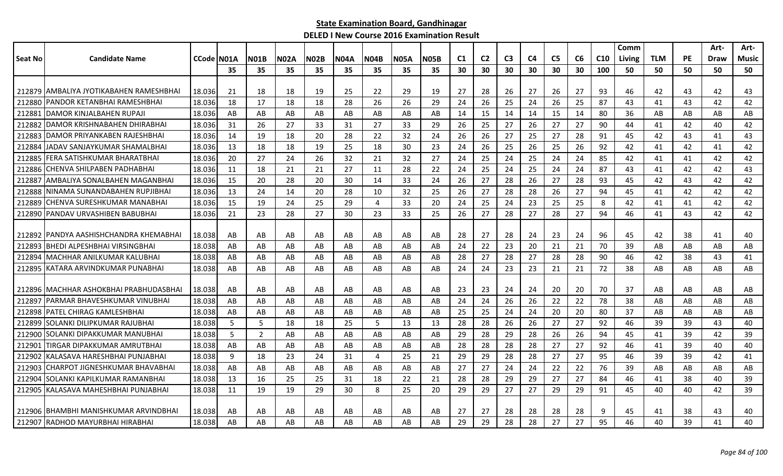|         |                                          |            |     |             |             |             |             |                |             |             |                |                |                |                |                |    |                 | Comm   |            |           | Art-        | Art-         |
|---------|------------------------------------------|------------|-----|-------------|-------------|-------------|-------------|----------------|-------------|-------------|----------------|----------------|----------------|----------------|----------------|----|-----------------|--------|------------|-----------|-------------|--------------|
| Seat No | <b>Candidate Name</b>                    | CCode N01A |     | <b>N01B</b> | <b>N02A</b> | <b>N02B</b> | <b>N04A</b> | <b>N04B</b>    | <b>N05A</b> | <b>N05B</b> | C <sub>1</sub> | C <sub>2</sub> | C <sub>3</sub> | C <sub>4</sub> | C <sub>5</sub> | C6 | C <sub>10</sub> | Living | <b>TLM</b> | <b>PE</b> | <b>Draw</b> | <b>Music</b> |
|         |                                          |            | 35  | 35          | 35          | 35          | 35          | 35             | 35          | 35          | 30             | 30             | 30             | 30             | 30             | 30 | 100             | 50     | 50         | 50        | 50          | 50           |
|         |                                          |            |     |             |             |             |             |                |             |             |                |                |                |                |                |    |                 |        |            |           |             |              |
|         | 212879 JAMBALIYA JYOTIKABAHEN RAMESHBHAI | 18.036     | -21 | 18          | 18          | 19          | 25          | 22             | 29          | 19          | 27             | 28             | 26             | 27             | 26             | 27 | 93              | 46     | 42         | 43        | 42          | 43           |
| 212880  | PANDOR KETANBHAI RAMESHBHAI              | 18.036     | 18  | 17          | 18          | 18          | 28          | 26             | 26          | 29          | 24             | 26             | 25             | 24             | 26             | 25 | 87              | 43     | 41         | 43        | 42          | 42           |
| 212881  | <b>DAMOR KINJALBAHEN RUPAJI</b>          | 18.036     | AB  | AB          | AB          | AB          | AB          | AB             | AB          | AB          | 14             | 15             | 14             | 14             | 15             | 14 | 80              | 36     | AB         | AB        | AB          | AB           |
| 212882  | DAMOR KRISHNABAHEN DHIRABHAI             | 18.036     | 31  | 26          | 27          | 33          | 31          | 27             | 33          | 29          | 26             | 25             | 27             | 26             | 27             | 27 | 90              | 44     | 41         | 42        | 40          | 42           |
| 212883  | DAMOR PRIYANKABEN RAJESHBHAI             | 18.036     | 14  | 19          | 18          | 20          | 28          | 22             | 32          | 24          | 26             | 26             | 27             | 25             | 27             | 28 | 91              | 45     | 42         | 43        | 41          | 43           |
| 212884  | JADAV SANJAYKUMAR SHAMALBHAI             | 18.036     | 13  | 18          | 18          | 19          | 25          | 18             | 30          | 23          | 24             | 26             | 25             | 26             | 25             | 26 | 92              | 42     | 41         | 42        | 41          | 42           |
| 212885  | IFERA SATISHKUMAR BHARATBHAI             | 18.036     | 20  | 27          | 24          | 26          | 32          | 21             | 32          | 27          | -24            | 25             | 24             | 25             | 24             | 24 | 85              | 42     | 41         | 41        | 42          | 42           |
| 212886  | CHENVA SHILPABEN PADHABHAI               | 18.036     | 11  | 18          | 21          | 21          | 27          | 11             | 28          | 22          | 24             | 25             | 24             | 25             | 24             | 24 | 87              | 43     | 41         | 42        | 42          | 43           |
| 212887  | AMBALIYA SONALBAHEN MAGANBHAI            | 18.036     | 15  | 20          | 28          | 20          | 30          | 14             | 33          | 24          | 26             | 27             | 28             | 26             | 27             | 28 | 93              | 45     | 42         | 43        | 42          | 42           |
|         | 212888 NINAMA SUNANDABAHEN RUPJIBHAI     | 18.036     | 13  | 24          | 14          | 20          | 28          | 10             | 32          | 25          | 26             | 27             | 28             | 28             | 26             | 27 | 94              | 45     | 41         | 42        | 42          | 42           |
| 212889  | CHENVA SURESHKUMAR MANABHAI              | 18.036     | 15  | 19          | 24          | 25          | 29          | 4              | 33          | 20          | 24             | 25             | 24             | 23             | 25             | 25 | 8               | 42     | 41         | 41        | 42          | 42           |
|         | 212890 PANDAV URVASHIBEN BABUBHAI        | 18.036     | 21  | 23          | 28          | 27          | 30          | 23             | 33          | 25          | 26             | 27             | 28             | 27             | 28             | 27 | 94              | 46     | 41         | 43        | 42          | 42           |
|         |                                          |            |     |             |             |             |             |                |             |             |                |                |                |                |                |    |                 |        |            |           |             |              |
|         | 212892 PANDYA AASHISHCHANDRA KHEMABHAI   | 18.038     | AB  | AB          | AB          | AB          | AB          | AB             | AB          | AB          | 28             | 27             | 28             | 24             | 23             | 24 | 96              | 45     | 42         | 38        | 41          | 40           |
| 212893  | BHEDI ALPESHBHAI VIRSINGBHAI             | 18.038     | AB  | AB          | AB          | AB          | AB          | AB             | AB          | AB          | 24             | 22             | 23             | 20             | 21             | 21 | 70              | 39     | AB         | AB        | AB          | AB           |
| 212894  | MACHHAR ANILKUMAR KALUBHAI               | 18.038     | AB  | AB          | AB          | AB          | AB          | AB             | AB          | AB          | 28             | 27             | 28             | 27             | 28             | 28 | 90              | 46     | 42         | 38        | 43          | 41           |
| 212895  | KATARA ARVINDKUMAR PUNABHAI              | 18.038     | AB  | AB          | AB          | AB          | AB          | AB             | AB          | AB          | 24             | 24             | 23             | 23             | 21             | 21 | 72              | 38     | AB         | AB        | AB          | AB           |
|         |                                          |            |     |             |             |             |             |                |             |             |                |                |                |                |                |    |                 |        |            |           |             |              |
|         | 212896 IMACHHAR ASHOKBHAI PRABHUDASBHAI  | 18.038     | AB  | AB          | AB          | AB          | AB          | AB             | AB          | AB          | 23             | 23             | 24             | 24             | 20             | 20 | 70              | 37     | AB         | AB        | AB          | AB           |
| 212897  | PARMAR BHAVESHKUMAR VINUBHAI             | 18.038     | AB  | AB          | AB          | AB          | AB          | AB             | AB          | AB          | 24             | 24             | 26             | 26             | 22             | 22 | 78              | 38     | AB         | AB        | AB          | AB           |
|         | 212898 PATEL CHIRAG KAMLESHBHAI          | 18.038     | AB  | AB          | AB          | AB          | AB          | AB             | AB          | AB          | 25             | 25             | 24             | 24             | 20             | 20 | 80              | 37     | AB         | AB        | AB          | AB           |
| 212899  | SOLANKI DILIPKUMAR RAJUBHAI              | 18.038     | -5  | 5           | 18          | 18          | 25          | 5              | 13          | 13          | 28             | 28             | 26             | 26             | 27             | 27 | 92              | 46     | 39         | 39        | 43          | 40           |
| 212900  | SOLANKI DIPAKKUMAR MANUBHAI              | 18.038     | 5   | 2           | AB          | AB          | AB          | AB             | AB          | AB          | 29             | 28             | 29             | 28             | 26             | 26 | 94              | 45     | 41         | 39        | 42          | 39           |
| 21290   | TIRGAR DIPAKKUMAR AMRUTBHAI              | 18.038     | AB  | AB          | AB          | AB          | AB          | AB             | AB          | AB          | 28             | 28             | 28             | 28             | 27             | 27 | 92              | 46     | 41         | 39        | 40          | 40           |
| 212902  | KALASAVA HARESHBHAI PUNJABHAI            | 18.038     | 9   | 18          | 23          | 24          | 31          | $\overline{4}$ | 25          | 21          | 29             | 29             | 28             | 28             | 27             | 27 | 95              | 46     | 39         | 39        | 42          | 41           |
| 212903  | CHARPOT JIGNESHKUMAR BHAVABHAI           | 18.038     | AB  | AB          | AB          | AB          | AB          | AB             | AB          | AB          | 27             | 27             | 24             | 24             | 22             | 22 | 76              | 39     | AB         | AB        | AB          | AB           |
| 212904  | SOLANKI KAPILKUMAR RAMANBHAI             | 18.038     | 13  | 16          | 25          | 25          | 31          | 18             | 22          | 21          | 28             | 28             | 29             | 29             | 27             | 27 | 84              | 46     | 41         | 38        | 40          | 39           |
|         | 212905 KALASAVA MAHESHBHAI PUNJABHAI     | 18.038     | 11  | 19          | 19          | 29          | 30          | 8              | 25          | 20          | 29             | 29             | 27             | 27             | 29             | 29 | 91              | 45     | 40         | 40        | 42          | 39           |
|         |                                          |            |     |             |             |             |             |                |             |             |                |                |                |                |                |    |                 |        |            |           |             |              |
|         | 212906 BHAMBHI MANISHKUMAR ARVINDBHAI    | 18.038     | AB  | AB          | AB          | AB          | AB          | AB             | AB          | AB          | 27             | 27             | 28             | 28             | 28             | 28 | q               | 45     | 41         | 38        | 43          | 40           |
|         | 212907 RADHOD MAYURBHAI HIRABHAI         | 18.038     | AB  | AB          | AB          | AB          | AB          | AB             | AB          | AB          | 29             | 29             | 28             | 28             | 27             | 27 | 95              | 46     | 40         | 39        | 41          | 40           |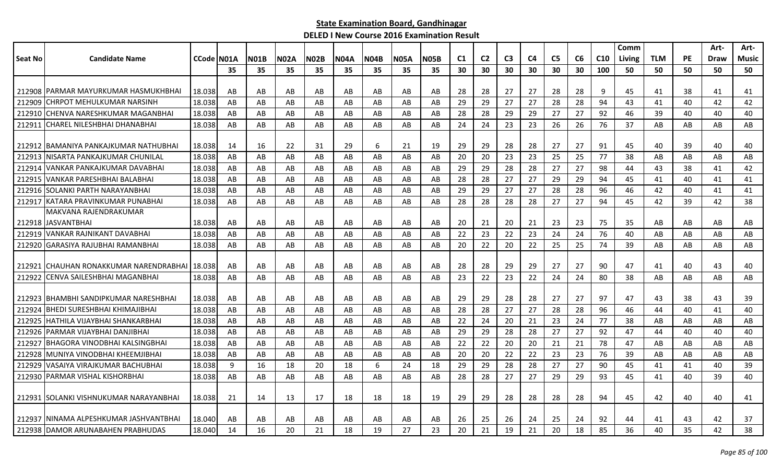|                |                                          |            |    |             |             |             |             |      |             |             |    |                |                |                |                |    |                 | Comm   |            |           | Art-        | Art-         |
|----------------|------------------------------------------|------------|----|-------------|-------------|-------------|-------------|------|-------------|-------------|----|----------------|----------------|----------------|----------------|----|-----------------|--------|------------|-----------|-------------|--------------|
| <b>Seat No</b> | <b>Candidate Name</b>                    | CCode N01A |    | <b>N01B</b> | <b>N02A</b> | <b>N02B</b> | <b>N04A</b> | N04B | <b>N05A</b> | <b>N05B</b> | C1 | C <sub>2</sub> | C <sub>3</sub> | C <sub>4</sub> | C <sub>5</sub> | C6 | C <sub>10</sub> | Living | <b>TLM</b> | <b>PE</b> | <b>Draw</b> | <b>Music</b> |
|                |                                          |            | 35 | 35          | 35          | 35          | 35          | 35   | 35          | 35          | 30 | 30             | 30             | 30             | 30             | 30 | 100             | 50     | 50         | 50        | 50          | 50           |
|                |                                          |            |    |             |             |             |             |      |             |             |    |                |                |                |                |    |                 |        |            |           |             |              |
|                | 212908   PARMAR MAYURKUMAR HASMUKHBHAI   | 18.038     | AB | AB          | AB          | AB          | AB          | AB   | AB          | AB          | 28 | 28             | 27             | 27             | 28             | 28 | 9               | 45     | 41         | 38        | 41          | 41           |
| 212909         | CHRPOT MEHULKUMAR NARSINH                | 18.038     | AB | AB          | AB          | AB          | AB          | AB   | AB          | AB          | 29 | 29             | 27             | 27             | 28             | 28 | 94              | 43     | 41         | 40        | 42          | 42           |
| 212910         | CHENVA NARESHKUMAR MAGANBHAI             | 18.038     | AB | AB          | AB          | AB          | AB          | AB   | AB          | AB          | 28 | 28             | 29             | 29             | 27             | 27 | 92              | 46     | 39         | 40        | 40          | 40           |
| 212911         | <b>CHAREL NILESHBHAI DHANABHAI</b>       | 18.038     | AB | AB          | AB          | AB          | AB          | AB   | AB          | AB          | 24 | 24             | 23             | 23             | 26             | 26 | 76              | 37     | AB         | AB        | AB          | AB           |
|                |                                          |            |    |             |             |             |             |      |             |             |    |                |                |                |                |    |                 |        |            |           |             |              |
|                | 212912 BAMANIYA PANKAJKUMAR NATHUBHAI    | 18.038     | 14 | 16          | 22          | 31          | 29          | 6    | 21          | 19          | 29 | 29             | 28             | 28             | 27             | 27 | 91              | 45     | 40         | 39        | 40          | 40           |
| 212913         | NISARTA PANKAJKUMAR CHUNILAL             | 18.038     | AB | AB          | AB          | AB          | AB          | AB   | AB          | AB          | 20 | 20             | 23             | 23             | 25             | 25 | 77              | 38     | AB         | AB        | AB          | AB           |
| 212914         | VANKAR PANKAJKUMAR DAVABHAI              | 18.038     | AB | AB          | AB          | AB          | AB          | AB   | AB          | AB          | 29 | 29             | 28             | 28             | 27             | 27 | 98              | 44     | 43         | 38        | 41          | 42           |
| 212915         | VANKAR PARESHBHAI BALABHAI               | 18.038     | AB | AB          | AB          | AB          | AB          | AB   | AB          | AB          | 28 | 28             | 27             | 27             | 29             | 29 | 94              | 45     | 41         | 40        | 41          | 41           |
| 212916         | ISOLANKI PARTH NARAYANBHAI               | 18.038     | AB | AB          | AB          | AB          | AB          | AB   | AB          | AB          | 29 | 29             | 27             | 27             | 28             | 28 | 96              | 46     | 42         | 40        | 41          | 41           |
|                | 212917 KATARA PRAVINKUMAR PUNABHAI       | 18.038     | AB | AB          | AB          | AB          | AB          | AB   | AB          | AB          | 28 | 28             | 28             | 28             | 27             | 27 | 94              | 45     | 42         | 39        | 42          | 38           |
|                | MAKVANA RAJENDRAKUMAR                    |            |    |             |             |             |             |      |             |             |    |                |                |                |                |    |                 |        |            |           |             |              |
|                | 212918 IJASVANTBHAI                      | 18.038     | AB | AB          | AB          | AB          | AB          | AB.  | AB          | AB          | 20 | 21             | 20             | 21             | 23             | 23 | 75              | 35     | AB         | AB        | AB          | AB           |
| 212919         | VANKAR RAJNIKANT DAVABHAI                | 18.038     | AB | AB          | AB          | AB          | AB          | AB   | AB          | AB          | 22 | 23             | 22             | 23             | 24             | 24 | 76              | 40     | AB         | AB        | AB          | AB           |
| 212920         | GARASIYA RAJUBHAI RAMANBHAI              | 18.038     | AB | AB          | AB          | AB          | AB          | AB   | AB          | AB          | 20 | 22             | 20             | 22             | 25             | 25 | 74              | 39     | AB         | AB        | AB          | AB           |
|                |                                          |            |    |             |             |             |             |      |             |             |    |                |                |                |                |    |                 |        |            |           |             |              |
| 212921         | ICHAUHAN RONAKKUMAR NARENDRABHAI         | 18.038     | AB | AB          | AB          | AB          | AB          | AB   | AB          | AB          | 28 | 28             | 29             | 29             | 27             | 27 | 90              | 47     | 41         | 40        | 43          | 40           |
| 212922         | CENVA SAILESHBHAI MAGANBHAI              | 18.038     | AB | AB          | AB          | AB          | AB          | AB   | AB          | AB          | 23 | 22             | 23             | 22             | 24             | 24 | 80              | 38     | AB         | AB        | AB          | AB           |
|                |                                          |            |    |             |             |             |             |      |             |             |    |                |                |                |                |    |                 |        |            |           |             |              |
| 212923         | IBHAMBHI SANDIPKUMAR NARESHBHAI          | 18.038     | AB | AB          | AB          | AB          | AB          | AB   | AB          | AB          | 29 | 29             | 28             | 28             | 27             | 27 | 97              | 47     | 43         | 38        | 43          | 39           |
| 212924         | <b>BHEDI SURESHBHAI KHIMAJIBHAI</b>      | 18.038     | AB | AB          | AB          | AB          | AB          | AB   | AB          | AB          | 28 | 28             | 27             | 27             | 28             | 28 | 96              | 46     | 44         | 40        | 41          | 40           |
| 212925         | <b>HATHILA VIJAYBHAI SHANKARBHAI</b>     | 18.038     | AB | AB          | AB          | AB          | AB          | AB   | AB          | AB          | 22 | 24             | 20             | 21             | 23             | 24 | 77              | 38     | AB         | AB        | AB          | AB           |
| 212926         | PARMAR VIJAYBHAI DANJIBHAI               | 18.038     | AB | AB          | AB          | AB          | AB          | AB   | AB          | AB          | 29 | 29             | 28             | 28             | 27             | 27 | 92              | 47     | 44         | 40        | 40          | 40           |
| 212927         | BHAGORA VINODBHAI KALSINGBHAI            | 18.038     | AB | AB          | AB          | AB          | AB          | AB   | AB          | AB          | 22 | 22             | 20             | 20             | 21             | 21 | 78              | 47     | AB         | AB        | AB          | AB           |
| 212928         | MUNIYA VINODBHAI KHEEMJIBHAI             | 18.038     | AB | AB          | AB          | AB          | AB          | AB   | AB          | AB          | 20 | 20             | 22             | 22             | 23             | 23 | 76              | 39     | AB         | AB        | AB          | AB           |
| 212929         | VASAIYA VIRAJKUMAR BACHUBHAI             | 18.038     | 9  | 16          | 18          | 20          | 18          | 6    | 24          | 18          | 29 | 29             | 28             | 28             | 27             | 27 | 90              | 45     | 41         | 41        | 40          | 39           |
| 212930         | PARMAR VISHAL KISHORBHAI                 | 18.038     | AB | AB          | AB          | AB          | AB          | AB   | AB          | AB          | 28 | 28             | 27             | 27             | 29             | 29 | 93              | 45     | 41         | 40        | 39          | 40           |
|                |                                          |            |    |             |             |             |             |      |             |             |    |                |                |                |                |    |                 |        |            |           |             |              |
|                | 212931   SOLANKI VISHNUKUMAR NARAYANBHAI | 18.038     | 21 | 14          | 13          | 17          | 18          | 18   | 18          | 19          | 29 | 29             | 28             | 28             | 28             | 28 | 94              | 45     | 42         | 40        | 40          | 41           |
|                |                                          |            |    |             |             |             |             |      |             |             |    |                |                |                |                |    |                 |        |            |           |             |              |
|                | 212937   NINAMA ALPESHKUMAR JASHVANTBHAI | 18.040     | AB | AB          | AB          | AB          | AB          | AB   | AB          | AB          | 26 | 25             | 26             | 24             | 25             | 24 | 92              | 44     | 41         | 43        | 42          | 37           |
|                | 212938 DAMOR ARUNABAHEN PRABHUDAS        | 18.040     | 14 | 16          | 20          | 21          | 18          | 19   | 27          | 23          | 20 | 21             | 19             | 21             | 20             | 18 | 85              | 36     | 40         | 35        | 42          | 38           |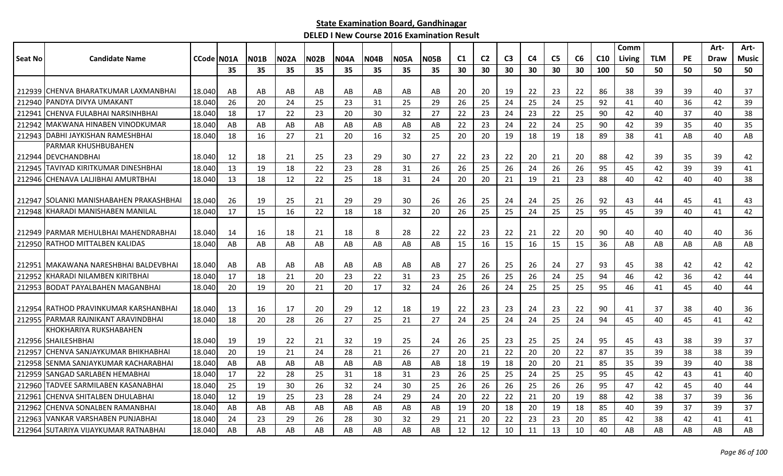|                |                                           |            |    |             |             |             |             |             |             |             |    |                |                |                |                |    |     | Comm   |            |           | Art- | Art-         |
|----------------|-------------------------------------------|------------|----|-------------|-------------|-------------|-------------|-------------|-------------|-------------|----|----------------|----------------|----------------|----------------|----|-----|--------|------------|-----------|------|--------------|
| <b>Seat No</b> | <b>Candidate Name</b>                     | CCode N01A |    | <b>N01B</b> | <b>N02A</b> | <b>N02B</b> | <b>N04A</b> | <b>N04B</b> | <b>N05A</b> | <b>N05B</b> | C1 | C <sub>2</sub> | C <sub>3</sub> | C <sub>4</sub> | C <sub>5</sub> | C6 | C10 | Living | <b>TLM</b> | <b>PE</b> | Draw | <b>Music</b> |
|                |                                           |            | 35 | 35          | 35          | 35          | 35          | 35          | 35          | 35          | 30 | 30             | 30             | 30             | 30             | 30 | 100 | 50     | 50         | 50        | 50   | 50           |
|                |                                           |            |    |             |             |             |             |             |             |             |    |                |                |                |                |    |     |        |            |           |      |              |
|                | 212939 CHENVA BHARATKUMAR LAXMANBHAI      | 18.040     | AB | AB          | AB          | AB          | AB          | AB          | AB          | AB          | 20 | 20             | 19             | 22             | 23             | 22 | 86  | 38     | 39         | 39        | 40   | 37           |
| 212940         | PANDYA DIVYA UMAKANT                      | 18.040     | 26 | 20          | 24          | 25          | 23          | 31          | 25          | 29          | 26 | 25             | 24             | 25             | 24             | 25 | 92  | 41     | 40         | 36        | 42   | 39           |
| 212941         | CHENVA FULABHAI NARSINHBHAI               | 18.040     | 18 | 17          | 22          | 23          | 20          | 30          | 32          | 27          | 22 | 23             | 24             | 23             | 22             | 25 | 90  | 42     | 40         | 37        | 40   | 38           |
| 212942         | lMAKWANA HINABEN VINODKUMAR               | 18.040     | AB | AB          | AB          | AB          | AB          | AB          | AB          | AB          | 22 | 23             | 24             | 22             | 24             | 25 | 90  | 42     | 39         | 35        | 40   | 35           |
| 212943         | IDABHI JAYKISHAN RAMESHBHAI               | 18.040     | 18 | 16          | 27          | 21          | 20          | 16          | 32          | 25          | 20 | 20             | 19             | 18             | 19             | 18 | 89  | 38     | 41         | AB        | 40   | AB           |
|                | PARMAR KHUSHBUBAHEN                       |            |    |             |             |             |             |             |             |             |    |                |                |                |                |    |     |        |            |           |      |              |
|                | 212944   DEVCHANDBHAI                     | 18.040     | 12 | 18          | 21          | 25          | 23          | 29          | 30          | 27          | 22 | 23             | 22             | 20             | 21             | 20 | 88  | 42     | 39         | 35        | 39   | 42           |
| 212945         | <b>TAVIYAD KIRITKUMAR DINESHBHAI</b>      | 18.040     | 13 | 19          | 18          | 22          | 23          | 28          | 31          | 26          | 26 | 25             | 26             | 24             | 26             | 26 | 95  | 45     | 42         | 39        | 39   | 41           |
|                | 212946 CHENAVA LALJIBHAI AMURTBHAI        | 18.040     | 13 | 18          | 12          | 22          | 25          | 18          | 31          | 24          | 20 | 20             | 21             | 19             | 21             | 23 | 88  | 40     | 42         | 40        | 40   | 38           |
|                |                                           |            |    |             |             |             |             |             |             |             |    |                |                |                |                |    |     |        |            |           |      |              |
|                | 212947   SOLANKI MANISHABAHEN PRAKASHBHAI | 18.040     | 26 | 19          | 25          | 21          | 29          | 29          | 30          | 26          | 26 | 25             | 24             | 24             | 25             | 26 | 92  | 43     | 44         | 45        | 41   | 43           |
| 212948         | KHARADI MANISHABEN MANILAL                | 18.040     | 17 | 15          | 16          | 22          | 18          | 18          | 32          | 20          | 26 | 25             | 25             | 24             | 25             | 25 | 95  | 45     | 39         | 40        | 41   | 42           |
|                |                                           |            |    |             |             |             |             |             |             |             |    |                |                |                |                |    |     |        |            |           |      |              |
| 212949         | <b>PARMAR MEHULBHAI MAHENDRABHAI</b>      | 18.040     | 14 | 16          | 18          | 21          | 18          | 8           | 28          | 22          | 22 | 23             | 22             | 21             | 22             | 20 | 90  | 40     | 40         | 40        | 40   | 36           |
|                | 212950 RATHOD MITTALBEN KALIDAS           | 18.040     | AB | AB          | AB          | AB          | AB          | AB          | AB          | AB          | 15 | 16             | 15             | 16             | 15             | 15 | 36  | AB     | AB         | AB        | AB   | AB           |
|                |                                           |            |    |             |             |             |             |             |             |             |    |                |                |                |                |    |     |        |            |           |      |              |
|                | 212951   MAKAWANA NARESHBHAI BALDEVBHAI   | 18.040     | AB | AB          | AB          | AB          | AB          | AB          | AB          | AB          | 27 | 26             | 25             | 26             | 24             | 27 | 93  | 45     | 38         | 42        | 42   | 42           |
| 212952         | <b>KHARADI NILAMBEN KIRITBHAI</b>         | 18.040     | 17 | 18          | 21          | 20          | 23          | 22          | 31          | 23          | 25 | 26             | 25             | 26             | 24             | 25 | 94  | 46     | 42         | 36        | 42   | 44           |
| 212953         | <b>BODAT PAYALBAHEN MAGANBHAI</b>         | 18.040     | 20 | 19          | 20          | 21          | 20          | 17          | 32          | 24          | 26 | 26             | 24             | 25             | 25             | 25 | 95  | 46     | 41         | 45        | 40   | 44           |
| 212954         | <b>IRATHOD PRAVINKUMAR KARSHANBHAI</b>    | 18.040     | 13 | 16          | 17          | 20          | 29          | 12          | 18          | 19          | 22 | 23             | 23             | 24             | 23             | 22 | 90  | 41     | 37         | 38        | 40   | 36           |
|                | 212955 IPARMAR RAJNIKANT ARAVINDBHAI      | 18.040     | 18 | 20          | 28          | 26          | 27          | 25          | 21          | 27          | 24 | 25             | 24             | 24             | 25             | 24 | 94  | 45     | 40         | 45        | 41   | 42           |
|                | KHOKHARIYA RUKSHABAHEN                    |            |    |             |             |             |             |             |             |             |    |                |                |                |                |    |     |        |            |           |      |              |
|                | 212956 SHAILESHBHAI                       | 18.040     | 19 | 19          | 22          | 21          | 32          | -19         | 25          | 24          | 26 | 25             | 23             | 25             | 25             | 24 | 95  | 45     | 43         | 38        | 39   | 37           |
| 212957         | CHENVA SANJAYKUMAR BHIKHABHAI             | 18.040     | 20 | 19          | 21          | 24          | 28          | 21          | 26          | 27          | 20 | 21             | 22             | 20             | 20             | 22 | 87  | 35     | 39         | 38        | 38   | 39           |
|                | 212958 SENMA SANJAYKUMAR KACHARABHAI      | 18.040     | AB | AB          | AB          | AB          | AB          | AB          | AB          | AB          | 18 | 19             | 18             | 20             | 20             | 21 | 85  | 35     | 39         | 39        | 40   | 38           |
| 212959         | <b>SANGAD SARLABEN HEMABHAI</b>           | 18.040     | 17 | 22          | 28          | 25          | 31          | 18          | 31          | 23          | 26 | 25             | 25             | 24             | 25             | 25 | 95  | 45     | 42         | 43        | 41   | 40           |
|                | 212960 TADVEE SARMILABEN KASANABHAI       | 18.040     | 25 | 19          | 30          | 26          | 32          | 24          | 30          | 25          | 26 | 26             | 26             | 25             | 26             | 26 | 95  | 47     | 42         | 45        | 40   | 44           |
| 212961         | CHENVA SHITALBEN DHULABHAI                | 18.040     | 12 | 19          | 25          | 23          | 28          | 24          | 29          | 24          | 20 | 22             | 22             | 21             | 20             | 19 | 88  | 42     | 38         | 37        | 39   | 36           |
| 212962         | <b>CHENVA SONALBEN RAMANBHAI</b>          | 18.040     | AB | AB          | AB          | AB          | AB          | AB          | AB          | AB          | 19 | 20             | 18             | 20             | 19             | 18 | 85  | 40     | 39         | 37        | 39   | 37           |
| 212963         | VANKAR VARSHABEN PUNJABHAI                | 18.040     | 24 | 23          | 29          | 26          | 28          | 30          | 32          | 29          | 21 | 20             | 22             | 23             | 23             | 20 | 85  | 42     | 38         | 42        | 41   | 41           |
|                | 212964 SUTARIYA VIJAYKUMAR RATNABHAI      | 18.040     | AB | AB          | AB          | AB          | AB          | AB          | AB          | AB          | 12 | 12             | 10             | 11             | 13             | 10 | 40  | AB     | AB         | AB        | AB   | AB           |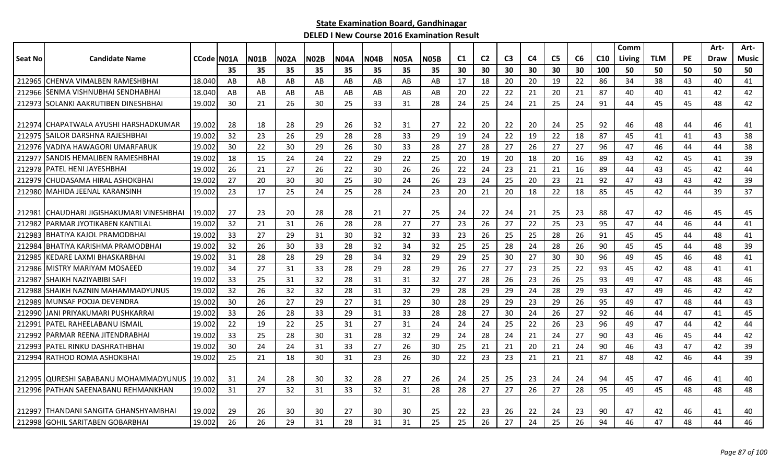|         |                                           |            |    |             |             |             |             |             |             |             |    |                |                |                |                |    |                 | Comm          |            |           | Art-        | Art-  |
|---------|-------------------------------------------|------------|----|-------------|-------------|-------------|-------------|-------------|-------------|-------------|----|----------------|----------------|----------------|----------------|----|-----------------|---------------|------------|-----------|-------------|-------|
| Seat No | <b>Candidate Name</b>                     | CCode N01A |    | <b>N01B</b> | <b>N02A</b> | <b>N02B</b> | <b>N04A</b> | <b>N04B</b> | <b>N05A</b> | <b>N05B</b> | C1 | C <sub>2</sub> | C <sub>3</sub> | C <sub>4</sub> | C <sub>5</sub> | C6 | C <sub>10</sub> | <b>Living</b> | <b>TLM</b> | <b>PE</b> | <b>Draw</b> | Music |
|         |                                           |            | 35 | 35          | 35          | 35          | 35          | 35          | 35          | 35          | 30 | 30             | 30             | 30             | 30             | 30 | 100             | 50            | 50         | 50        | 50          | 50    |
|         | 212965 CHENVA VIMALBEN RAMESHBHAI         | 18.040     | AB | AB          | AB          | AB          | AB          | AB          | AB          | AB          | 17 | 18             | 20             | 20             | 19             | 22 | 86              | 34            | 38         | 43        | 40          | 41    |
|         | 212966 SENMA VISHNUBHAI SENDHABHAI        | 18.040     | AB | AB          | AB          | AB          | AB          | AB          | AB          | AB          | 20 | 22             | 22             | 21             | 20             | 21 | 87              | 40            | 40         | 41        | 42          | 42    |
|         | 212973 SOLANKI AAKRUTIBEN DINESHBHAI      | 19.002     | 30 | 21          | 26          | 30          | 25          | 33          | 31          | 28          | 24 | 25             | 24             | 21             | 25             | 24 | 91              | 44            | 45         | 45        | 48          | 42    |
|         | 212974   CHAPATWALA AYUSHI HARSHADKUMAR   | 19.002     | 28 | 18          | 28          | 29          | 26          | 32          | 31          | 27          | 22 | 20             | 22             | 20             | 24             | 25 | 92              | 46            | 48         | 44        | 46          | 41    |
| 212975  | <b>ISAILOR DARSHNA RAJESHBHAI</b>         | 19.002     | 32 | 23          | 26          | 29          | 28          | 28          | 33          | 29          | 19 | 24             | 22             | 19             | 22             | 18 | 87              | 45            | 41         | 41        | 43          | 38    |
|         | 212976 VADIYA HAWAGORI UMARFARUK          | 19.002     | 30 | 22          | 30          | 29          | 26          | 30          | 33          | 28          | 27 | 28             | 27             | 26             | 27             | 27 | 96              | 47            | 46         | 44        | 44          | 38    |
| 212977  | ISANDIS HEMALIBEN RAMESHBHAI              | 19.002     | 18 | 15          | 24          | 24          | 22          | 29          | 22          | 25          | 20 | 19             | 20             | 18             | 20             | 16 | 89              | 43            | 42         | 45        | 41          | 39    |
| 212978  | <b>PATEL HENI JAYESHBHAI</b>              | 19.002     | 26 | 21          | 27          | 26          | 22          | 30          | 26          | 26          | 22 | 24             | 23             | 21             | 21             | 16 | 89              | 44            | 43         | 45        | 42          | 44    |
| 212979  | ICHUDASAMA HIRAL ASHOKBHAI                | 19.002     | 27 | 20          | 30          | 30          | 25          | 30          | 24          | 26          | 23 | 24             | 25             | 20             | 23             | 21 | 92              | 47            | 43         | 43        | 42          | 39    |
|         | 212980 MAHIDA JEENAL KARANSINH            | 19.002     | 23 | 17          | 25          | 24          | 25          | 28          | 24          | 23          | 20 | 21             | 20             | 18             | 22             | 18 | 85              | 45            | 42         | 44        | 39          | 37    |
| 212981  | <b>CHAUDHARI JIGISHAKUMARI VINESHBHAI</b> | 19.002     | 27 | 23          | 20          | 28          | 28          | 21          | 27          | 25          | 24 | 22             | 24             | 21             | 25             | 23 | 88              | 47            | 42         | 46        | 45          | 45    |
| 212982  | IPARMAR JYOTIKABEN KANTILAL               | 19.002     | 32 | 21          | 31          | 26          | 28          | 28          | 27          | 27          | 23 | 26             | 27             | 22             | 25             | 23 | 95              | 47            | 44         | 46        | 44          | 41    |
| 212983  | IBHATIYA KAJOL PRAMODBHAI                 | 19.002     | 33 | 27          | 29          | 31          | 30          | 32          | 32          | 33          | 23 | 26             | 25             | 25             | 28             | 26 | 91              | 45            | 45         | 44        | 48          | 41    |
| 212984  | BHATIYA KARISHMA PRAMODBHAI               | 19.002     | 32 | 26          | 30          | 33          | 28          | 32          | 34          | 32          | 25 | 25             | 28             | 24             | 28             | 26 | 90              | 45            | 45         | 44        | 48          | 39    |
| 212985  | KEDARE LAXMI BHASKARBHAI                  | 19.002     | 31 | 28          | 28          | 29          | 28          | 34          | 32          | 29          | 29 | 25             | 30             | 27             | 30             | 30 | 96              | 49            | 45         | 46        | 48          | 41    |
|         | 212986   MISTRY MARIYAM MOSAEED           | 19.002     | 34 | 27          | 31          | 33          | 28          | 29          | 28          | 29          | 26 | 27             | 27             | 23             | 25             | 22 | 93              | 45            | 42         | 48        | 41          | 41    |
| 212987  | ISHAIKH NAZIYABIBI SAFI                   | 19.002     | 33 | 25          | 31          | 32          | 28          | 31          | 31          | 32          | 27 | 28             | 26             | 23             | 26             | 25 | 93              | 49            | 47         | 48        | 48          | 46    |
| 212988  | ISHAIKH NAZNIN MAHAMMADYUNUS              | 19.002     | 32 | 26          | 32          | 32          | 28          | 31          | 32          | 29          | 28 | 29             | 29             | 24             | 28             | 29 | 93              | 47            | 49         | 46        | 42          | 42    |
| 212989  | <b>IMUNSAF POOJA DEVENDRA</b>             | 19.002     | 30 | 26          | 27          | 29          | 27          | 31          | 29          | 30          | 28 | 29             | 29             | 23             | 29             | 26 | 95              | 49            | 47         | 48        | 44          | 43    |
| 212990  | JANI PRIYAKUMARI PUSHKARRAI               | 19.002     | 33 | 26          | 28          | 33          | 29          | 31          | 33          | 28          | 28 | 27             | 30             | 24             | 26             | 27 | 92              | 46            | 44         | 47        | 41          | 45    |
| 212991  | PATEL RAHEELABANU ISMAIL                  | 19.002     | 22 | 19          | 22          | 25          | 31          | 27          | 31          | 24          | 24 | 24             | 25             | 22             | 26             | 23 | 96              | 49            | 47         | 44        | 42          | 44    |
| 212992  | IPARMAR REENA JITENDRABHAI                | 19.002     | 33 | 25          | 28          | 30          | 31          | 28          | 32          | 29          | 24 | 28             | 24             | 21             | 24             | 27 | 90              | 43            | 46         | 45        | 44          | 42    |
| 212993  | IPATEL RINKU DASHRATHBHAI                 | 19.002     | 30 | 24          | 24          | 31          | 33          | 27          | 26          | 30          | 25 | 21             | 21             | 20             | 21             | 24 | 90              | 46            | 43         | 47        | 42          | 39    |
| 212994  | <b>IRATHOD ROMA ASHOKBHAI</b>             | 19.002     | 25 | 21          | 18          | 30          | 31          | 23          | 26          | 30          | 22 | 23             | 23             | 21             | 21             | 21 | 87              | 48            | 42         | 46        | 44          | 39    |
|         | 212995   QURESHI SABABANU MOHAMMADYUNUS   | 19.002     | 31 | 24          | 28          | 30          | 32          | 28          | 27          | 26          | 24 | 25             | 25             | 23             | 24             | 24 | 94              | 45            | 47         | 46        | 41          | 40    |
|         | 212996 PATHAN SAEENABANU REHMANKHAN       | 19.002     | 31 | 27          | 32          | 31          | 33          | 32          | 31          | 28          | 28 | 27             | 27             | 26             | 27             | 28 | 95              | 49            | 45         | 48        | 48          | 48    |
|         |                                           |            |    |             |             |             |             |             |             |             |    |                |                |                |                |    |                 |               |            |           |             |       |
|         | 212997  THANDANI SANGITA GHANSHYAMBHAI    | 19.002     | 29 | 26          | 30          | 30          | 27          | 30          | 30          | 25          | 22 | 23             | 26             | 22             | 24             | 23 | 90              | 47            | 42         | 46        | 41          | 40    |
|         | 212998 GOHIL SARITABEN GOBARBHAI          | 19.002     | 26 | 26          | 29          | 31          | 28          | 31          | 31          | 25          | 25 | 26             | 27             | 24             | 25             | 26 | 94              | 46            | 47         | 48        | 44          | 46    |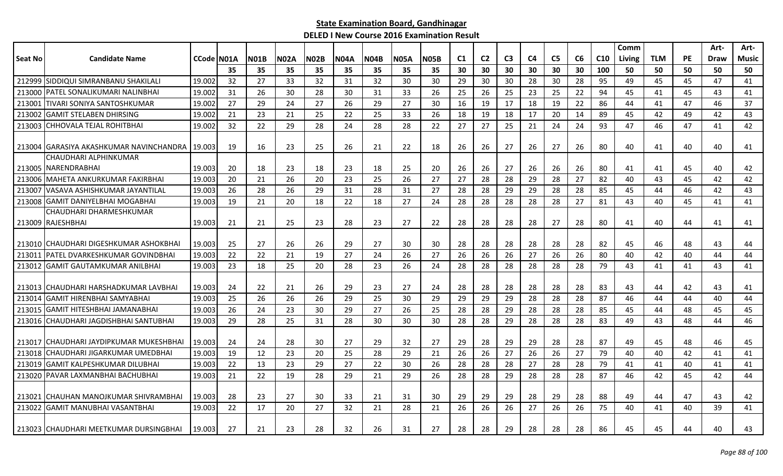|                |                                                |            |    |             |             |             |             |             |             |             |    |                |                |                |                |    |     | Comm   |            |           | Art- | Art-         |
|----------------|------------------------------------------------|------------|----|-------------|-------------|-------------|-------------|-------------|-------------|-------------|----|----------------|----------------|----------------|----------------|----|-----|--------|------------|-----------|------|--------------|
| <b>Seat No</b> | <b>Candidate Name</b>                          | CCode N01A |    | <b>N01B</b> | <b>N02A</b> | <b>N02B</b> | <b>N04A</b> | <b>N04B</b> | <b>N05A</b> | <b>N05B</b> | C1 | C <sub>2</sub> | C <sub>3</sub> | C <sub>4</sub> | C <sub>5</sub> | C6 | C10 | Living | <b>TLM</b> | <b>PE</b> | Draw | <b>Music</b> |
|                |                                                |            | 35 | 35          | 35          | 35          | 35          | 35          | 35          | 35          | 30 | 30             | 30             | 30             | 30             | 30 | 100 | 50     | 50         | 50        | 50   | 50           |
|                | 212999 SIDDIQUI SIMRANBANU SHAKILALI           | 19.002     | 32 | 27          | 33          | 32          | 31          | 32          | 30          | 30          | 29 | 30             | 30             | 28             | 30             | 28 | 95  | 49     | 45         | 45        | 47   | 41           |
| 213000         | <b>IPATEL SONALIKUMARI NALINBHAI</b>           | 19.002     | 31 | 26          | 30          | 28          | 30          | 31          | 33          | 26          | 25 | 26             | 25             | 23             | 25             | 22 | 94  | 45     | 41         | 45        | 43   | 41           |
| 213001         | <b>TIVARI SONIYA SANTOSHKUMAR</b>              | 19.002     | 27 | 29          | 24          | 27          | 26          | 29          | 27          | 30          | 16 | 19             | 17             | 18             | 19             | 22 | 86  | 44     | 41         | 47        | 46   | 37           |
| 213002         | <b>I</b> GAMIT STELABEN DHIRSING               | 19.002     | 21 | 23          | 21          | 25          | 22          | 25          | 33          | 26          | 18 | 19             | 18             | 17             | 20             | 14 | 89  | 45     | 42         | 49        | 42   | 43           |
| 213003         | <b>I</b> CHHOVALA TEJAL ROHITBHAI              | 19.002     | 32 | 22          | 29          | 28          | 24          | 28          | 28          | 22          | 27 | 27             | 25             | 21             | 24             | 24 | 93  | 47     | 46         | 47        | 41   | 42           |
|                |                                                |            |    |             |             |             |             |             |             |             |    |                |                |                |                |    |     |        |            |           |      |              |
|                | 213004 GARASIYA AKASHKUMAR NAVINCHANDRA 19.003 |            | 19 | 16          | 23          | 25          | 26          | 21          | 22          | 18          | 26 | 26             | 27             | 26             | 27             | 26 | 80  | 40     | 41         | 40        | 40   | 41           |
|                | CHAUDHARI ALPHINKUMAR                          |            |    |             |             |             |             |             |             |             |    |                |                |                |                |    |     |        |            |           |      |              |
|                | 213005 NARENDRABHAI                            | 19.003     | 20 | 18          | 23          | 18          | 23          | 18          | 25          | 20          | 26 | 26             | 27             | 26             | 26             | 26 | 80  | 41     | 41         | 45        | 40   | 42           |
| 213006         | <b>IMAHETA ANKURKUMAR FAKIRBHAI</b>            | 19.003     | 20 | 21          | 26          | 20          | 23          | 25          | 26          | 27          | 27 | 28             | 28             | 29             | 28             | 27 | 82  | 40     | 43         | 45        | 42   | 42           |
| 213007         | VASAVA ASHISHKUMAR JAYANTILAL                  | 19.003     | 26 | 28          | 26          | 29          | 31          | 28          | 31          | 27          | 28 | 28             | 29             | 29             | 28             | 28 | 85  | 45     | 44         | 46        | 42   | 43           |
|                | 213008 GAMIT DANIYELBHAI MOGABHAI              | 19.003     | 19 | 21          | 20          | 18          | 22          | 18          | 27          | 24          | 28 | 28             | 28             | 28             | 28             | 27 | 81  | 43     | 40         | 45        | 41   | 41           |
|                | CHAUDHARI DHARMESHKUMAR                        |            |    |             |             |             |             |             |             |             |    |                |                |                |                |    |     |        |            |           |      |              |
|                | 213009 RAJESHBHAI                              | 19.003     | 21 | 21          | 25          | 23          | 28          | 23          | 27          | 22          | 28 | 28             | 28             | 28             | 27             | 28 | 80  | 41     | 40         | 44        | 41   | 41           |
|                |                                                |            |    |             |             |             |             |             |             |             |    |                |                |                |                |    |     |        |            |           |      |              |
|                | 213010 CHAUDHARI DIGESHKUMAR ASHOKBHAI         | 19.003     | 25 | 27          | 26          | 26          | 29          | 27          | 30          | 30          | 28 | 28             | 28             | -28            | 28             | 28 | 82  | 45     | 46         | 48        | 43   | 44           |
| 213011         | PATEL DVARKESHKUMAR GOVINDBHAI                 | 19.003     | 22 | 22          | 21          | 19          | 27          | 24          | 26          | 27          | 26 | 26             | 26             | 27             | 26             | 26 | 80  | 40     | 42         | 40        | 44   | 44           |
| 213012         | <b>GAMIT GAUTAMKUMAR ANILBHAI</b>              | 19.003     | 23 | 18          | 25          | 20          | 28          | 23          | 26          | 24          | 28 | 28             | 28             | 28             | 28             | 28 | 79  | 43     | 41         | 41        | 43   | 41           |
|                |                                                |            |    |             |             |             |             |             |             |             |    |                |                |                |                |    |     |        |            |           |      |              |
|                | 213013 CHAUDHARI HARSHADKUMAR LAVBHAI          | 19.003     | 24 | 22          | 21          | 26          | 29          | 23          | 27          | 24          | 28 | 28             | 28             | -28            | 28             | 28 | 83  | 43     | 44         | 42        | 43   | 41           |
| 213014         | IGAMIT HIRENBHAI SAMYABHAI                     | 19.003     | 25 | 26          | 26          | 26          | 29          | 25          | 30          | 29          | 29 | 29             | 29             | 28             | 28             | 28 | 87  | 46     | 44         | 44        | 40   | 44           |
| 213015         | İGAMIT HITESHBHAI JAMANABHAI                   | 19.003     | 26 | 24          | 23          | 30          | 29          | 27          | 26          | 25          | 28 | 28             | 29             | 28             | 28             | 28 | 85  | 45     | 44         | 48        | 45   | 45           |
|                | 213016 CHAUDHARI JAGDISHBHAI SANTUBHAI         | 19.003     | 29 | 28          | 25          | 31          | 28          | 30          | 30          | 30          | 28 | 28             | 29             | 28             | 28             | 28 | 83  | 49     | 43         | 48        | 44   | 46           |
|                |                                                |            |    |             |             |             |             |             |             |             |    |                |                |                |                |    |     |        |            |           |      |              |
|                | 213017 CHAUDHARI JAYDIPKUMAR MUKESHBHAI        | 19.003     | 24 | 24          | 28          | 30          | 27          | 29          | 32          | 27          | 29 | 28             | 29             | 29             | 28             | 28 | 87  | 49     | 45         | 48        | 46   | 45           |
| 213018         | <b>ICHAUDHARI JIGARKUMAR UMEDBHAI</b>          | 19.003     | 19 | 12          | 23          | 20          | 25          | 28          | 29          | 21          | 26 | 26             | 27             | 26             | 26             | 27 | 79  | 40     | 40         | 42        | 41   | 41           |
| 213019         | <b>GAMIT KALPESHKUMAR DILUBHAI</b>             | 19.003     | 22 | 13          | 23          | 29          | 27          | 22          | 30          | 26          | 28 | 28             | 28             | 27             | 28             | 28 | 79  | 41     | 41         | 40        | 41   | 41           |
|                | 213020 PAVAR LAXMANBHAI BACHUBHAI              | 19.003     | 21 | 22          | 19          | 28          | 29          | 21          | 29          | 26          | 28 | 28             | 29             | 28             | 28             | 28 | 87  | 46     | 42         | 45        | 42   | 44           |
|                |                                                |            |    |             |             |             |             |             |             |             |    |                |                |                |                |    |     |        |            |           |      |              |
|                | 213021 CHAUHAN MANOJKUMAR SHIVRAMBHAI          | 19.003     | 28 | 23          | 27          | 30          | 33          | 21          | 31          | 30          | 29 | 29             | 29             | 28             | 29             | 28 | 88  | 49     | 44         | 47        | 43   | 42           |
| 213022         | <b>GAMIT MANUBHAI VASANTBHAI</b>               | 19.003     | 22 | 17          | 20          | 27          | 32          | 21          | 28          | 21          | 26 | 26             | 26             | 27             | 26             | 26 | 75  | 40     | 41         | 40        | 39   | 41           |
|                |                                                |            |    |             |             |             |             |             |             |             |    |                |                |                |                |    |     |        |            |           |      |              |
|                | 213023 CHAUDHARI MEETKUMAR DURSINGBHAI         | 19.003     | 27 | 21          | 23          | 28          | 32          | 26          | 31          | 27          | 28 | 28             | 29             | 28             | 28             | 28 | 86  | 45     | 45         | 44        | 40   | 43           |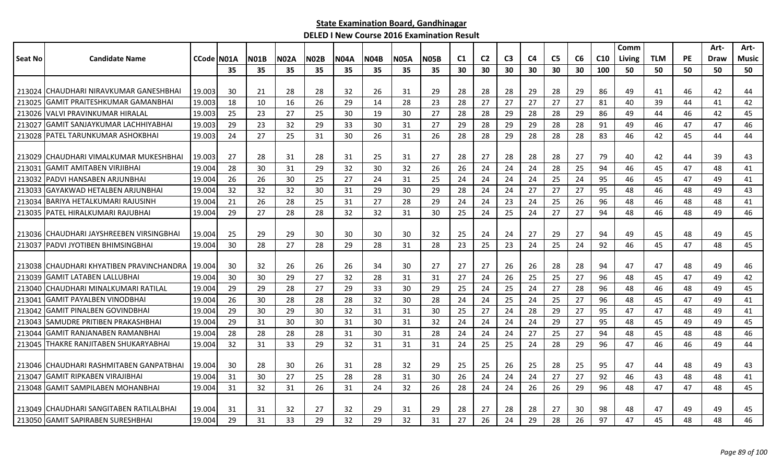|         |                                          |            |     |             |             |             |             |             |             |             |                |                |                |                |                |                |                 | Comm   |            |           | Art-        | Art-         |
|---------|------------------------------------------|------------|-----|-------------|-------------|-------------|-------------|-------------|-------------|-------------|----------------|----------------|----------------|----------------|----------------|----------------|-----------------|--------|------------|-----------|-------------|--------------|
| Seat No | <b>Candidate Name</b>                    | CCode N01A |     | <b>N01B</b> | <b>N02A</b> | <b>N02B</b> | <b>N04A</b> | <b>N04B</b> | <b>N05A</b> | <b>N05B</b> | C <sub>1</sub> | C <sub>2</sub> | C <sub>3</sub> | C <sub>4</sub> | C <sub>5</sub> | C <sub>6</sub> | C <sub>10</sub> | Living | <b>TLM</b> | <b>PE</b> | <b>Draw</b> | <b>Music</b> |
|         |                                          |            | 35  | 35          | 35          | 35          | 35          | 35          | 35          | 35          | 30             | 30             | 30             | 30             | 30             | 30             | 100             | 50     | 50         | 50        | 50          | 50           |
|         |                                          |            |     |             |             |             |             |             |             |             |                |                |                |                |                |                |                 |        |            |           |             |              |
|         | 213024 CHAUDHARI NIRAVKUMAR GANESHBHAI   | 19.003     | 30  | 21          | 28          | 28          | 32          | 26          | 31          | 29          | 28             | 28             | 28             | 29             | 28             | 29             | 86              | 49     | 41         | 46        | 42          | 44           |
| 213025  | <b>GAMIT PRAITESHKUMAR GAMANBHAI</b>     | 19.003     | 18  | 10          | 16          | 26          | 29          | 14          | 28          | 23          | 28             | 27             | 27             | 27             | 27             | 27             | 81              | 40     | 39         | 44        | 41          | 42           |
|         | 213026 VALVI PRAVINKUMAR HIRALAL         | 19.003     | 25  | 23          | 27          | 25          | 30          | 19          | 30          | 27          | 28             | 28             | 29             | 28             | 28             | 29             | 86              | 49     | 44         | 46        | 42          | 45           |
| 213027  | <b>GAMIT SANJAYKUMAR LACHHIYABHAI</b>    | 19.003     | 29  | 23          | 32          | 29          | 33          | 30          | 31          | 27          | 29             | 28             | 29             | 29             | 28             | 28             | 91              | 49     | 46         | 47        | 47          | 46           |
|         | 213028 PATEL TARUNKUMAR ASHOKBHAI        | 19.003     | 24  | 27          | 25          | 31          | 30          | 26          | 31          | 26          | 28             | 28             | 29             | 28             | 28             | 28             | 83              | 46     | 42         | 45        | 44          | 44           |
|         |                                          |            |     |             |             |             |             |             |             |             |                |                |                |                |                |                |                 |        |            |           |             |              |
|         | 213029 CHAUDHARI VIMALKUMAR MUKESHBHAI   | 19.003     | 27  | 28          | 31          | 28          | 31          | 25          | 31          | 27          | 28             | 27             | 28             | 28             | 28             | 27             | 79              | 40     | 42         | 44        | 39          | 43           |
| 213031  | <b>GAMIT AMITABEN VIRJIBHAI</b>          | 19.004     | 28  | 30          | 31          | 29          | 32          | 30          | 32          | 26          | 26             | 24             | 24             | 24             | 28             | 25             | 94              | 46     | 45         | 47        | 48          | 41           |
| 213032  | <b>PADVI HANSABEN ARJUNBHAI</b>          | 19.004     | 26  | 26          | 30          | 25          | 27          | 24          | 31          | 25          | 24             | 24             | 24             | 24             | 25             | 24             | 95              | 46     | 45         | 47        | 49          | 41           |
| 213033  | <b>IGAYAKWAD HETALBEN ARJUNBHAI</b>      | 19.004     | 32  | 32          | 32          | 30          | 31          | 29          | 30          | 29          | 28             | 24             | 24             | 27             | 27             | 27             | 95              | 48     | 46         | 48        | 49          | 43           |
| 213034  | IBARIYA HETALKUMARI RAJUSINH             | 19.004     | 21  | 26          | 28          | 25          | 31          | 27          | 28          | 29          | 24             | 24             | 23             | 24             | 25             | 26             | 96              | 48     | 46         | 48        | 48          | 41           |
|         | 213035   PATEL HIRALKUMARI RAJUBHAI      | 19.004     | 29  | 27          | 28          | 28          | 32          | 32          | 31          | 30          | 25             | 24             | 25             | 24             | 27             | 27             | 94              | 48     | 46         | 48        | 49          | 46           |
|         |                                          |            |     |             |             |             |             |             |             |             |                |                |                |                |                |                |                 |        |            |           |             |              |
|         | 213036 CHAUDHARI JAYSHREEBEN VIRSINGBHAI | 19.004     | -25 | 29          | 29          | 30          | 30          | 30          | 30          | 32          | 25             | 24             | 24             | 27             | 29             | 27             | 94              | 49     | 45         | 48        | 49          | 45           |
| 213037  | <b>PADVI JYOTIBEN BHIMSINGBHAI</b>       | 19.004     | 30  | 28          | 27          | 28          | 29          | 28          | 31          | 28          | 23             | 25             | 23             | 24             | 25             | 24             | 92              | 46     | 45         | 47        | 48          | 45           |
|         |                                          |            |     |             |             |             |             |             |             |             |                |                |                |                |                |                |                 |        |            |           |             |              |
|         | 213038 CHAUDHARI KHYATIBEN PRAVINCHANDRA | 19.004     | -30 | 32          | 26          | 26          | 26          | 34          | 30          | 27          | 27             | 27             | 26             | 26             | 28             | 28             | 94              | 47     | 47         | 48        | 49          | 46           |
| 213039  | <b>IGAMIT LATABEN LALLUBHAI</b>          | 19.004     | 30  | 30          | 29          | 27          | 32          | 28          | 31          | 31          | 27             | 24             | 26             | 25             | 25             | 27             | 96              | 48     | 45         | 47        | 49          | 42           |
|         | 213040 CHAUDHARI MINALKUMARI RATILAL     | 19.004     | 29  | 29          | 28          | 27          | 29          | 33          | 30          | 29          | 25             | 24             | 25             | 24             | 27             | 28             | 96              | 48     | 46         | 48        | 49          | 45           |
| 213041  | <b>GAMIT PAYALBEN VINODBHAI</b>          | 19.004     | 26  | 30          | 28          | 28          | 28          | 32          | 30          | 28          | 24             | 24             | 25             | 24             | 25             | 27             | 96              | 48     | 45         | 47        | 49          | 41           |
| 213042  | <b>IGAMIT PINALBEN GOVINDBHAI</b>        | 19.004     | 29  | 30          | 29          | 30          | 32          | 31          | 31          | 30          | 25             | 27             | 24             | 28             | 29             | 27             | 95              | 47     | 47         | 48        | 49          | 41           |
| 213043  | <b>SAMUDRE PRITIBEN PRAKASHBHAI</b>      | 19.004     | 29  | 31          | 30          | 30          | 31          | 30          | 31          | 32          | 24             | 24             | 24             | 24             | 29             | 27             | 95              | 48     | 45         | 49        | 49          | 45           |
| 213044  | <b>GAMIT RANJANABEN RAMANBHAI</b>        | 19.004     | 28  | 28          | 28          | 28          | 31          | 30          | 31          | 28          | 24             | 24             | 24             | 27             | 25             | 27             | 94              | 48     | 45         | 48        | 48          | 46           |
|         | 213045 THAKRE RANJITABEN SHUKARYABHAI    | 19.004     | 32  | 31          | 33          | 29          | 32          | 31          | 31          | 31          | 24             | 25             | 25             | 24             | 28             | 29             | 96              | 47     | 46         | 46        | 49          | 44           |
|         |                                          |            |     |             |             |             |             |             |             |             |                |                |                |                |                |                |                 |        |            |           |             |              |
|         | 213046 CHAUDHARI RASHMITABEN GANPATBHAI  | 19.004     | 30  | 28          | 30          | 26          | 31          | 28          | 32          | 29          | 25             | 25             | 26             | 25             | 28             | 25             | 95              | 47     | 44         | 48        | 49          | 43           |
| 213047  | lGAMIT RIPKABEN VIRAJIBHAI               | 19.004     | 31  | 30          | 27          | 25          | 28          | 28          | 31          | 30          | 26             | 24             | 24             | 24             | 27             | 27             | 92              | 46     | 43         | 48        | 48          | 41           |
|         | 213048 GAMIT SAMPILABEN MOHANBHAI        | 19.004     | 31  | 32          | 31          | 26          | 31          | 24          | 32          | 26          | 28             | 24             | 24             | 26             | 26             | 29             | 96              | 48     | 47         | 47        | 48          | 45           |
|         |                                          |            |     |             |             |             |             |             |             |             |                |                |                |                |                |                |                 |        |            |           |             |              |
|         | 213049 CHAUDHARI SANGITABEN RATILALBHAI  | 19.004     | -31 | 31          | 32          | 27          | 32          | 29          | 31          | 29          | 28             | 27             | 28             | 28             | 27             | 30             | 98              | 48     | 47         | 49        | 49          | 45           |
|         | 213050 GAMIT SAPIRABEN SURESHBHAI        | 19.004     | 29  | 31          | 33          | 29          | 32          | 29          | 32          | 31          | 27             | 26             | 24             | 29             | 28             | 26             | 97              | 47     | 45         | 48        | 48          | 46           |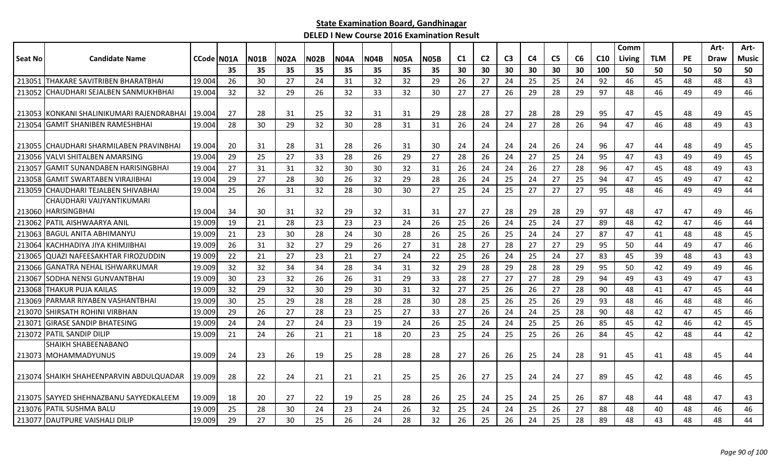|                |                                         |                   |    |      |             |             |             |             |             |             |    |                |                |                |                |    |     | Comm   |            |           | Art- | Art-  |
|----------------|-----------------------------------------|-------------------|----|------|-------------|-------------|-------------|-------------|-------------|-------------|----|----------------|----------------|----------------|----------------|----|-----|--------|------------|-----------|------|-------|
| <b>Seat No</b> | <b>Candidate Name</b>                   | <b>CCode N01A</b> |    | N01B | <b>N02A</b> | <b>N02B</b> | <b>N04A</b> | <b>N04B</b> | <b>N05A</b> | <b>N05B</b> | C1 | C <sub>2</sub> | C <sub>3</sub> | C <sub>4</sub> | C <sub>5</sub> | C6 | C10 | Living | <b>TLM</b> | <b>PE</b> | Draw | Music |
|                |                                         |                   | 35 | 35   | 35          | 35          | 35          | 35          | 35          | 35          | 30 | 30             | 30             | 30             | 30             | 30 | 100 | 50     | 50         | 50        | 50   | 50    |
| 213051         | <b>THAKARE SAVITRIBEN BHARATBHAI</b>    | 19.004            | 26 | 30   | 27          | 24          | 31          | 32          | 32          | 29          | 26 | 27             | 24             | 25             | 25             | 24 | 92  | 46     | 45         | 48        | 48   | 43    |
| 213052         | CHAUDHARI SEJALBEN SANMUKHBHAI          | 19.004            | 32 | 32   | 29          | 26          | 32          | 33          | 32          | 30          | 27 | 27             | 26             | 29             | 28             | 29 | 97  | 48     | 46         | 49        | 49   | 46    |
|                |                                         |                   |    |      |             |             |             |             |             |             |    |                |                |                |                |    |     |        |            |           |      |       |
| 213053         | IKONKANI SHALINIKUMARI RAJENDRABHAI     | 19.004            | 27 | 28   | 31          | 25          | 32          | 31          | 31          | 29          | 28 | 28             | 27             | 28             | 28             | 29 | 95  | 47     | 45         | 48        | 49   | 45    |
| 213054         | <b>GAMIT SHANIBEN RAMESHBHAI</b>        | 19.004            | 28 | 30   | 29          | 32          | 30          | 28          | 31          | 31          | 26 | 24             | 24             | 27             | 28             | 26 | 94  | 47     | 46         | 48        | 49   | 43    |
| 213055         | <b>CHAUDHARI SHARMILABEN PRAVINBHAI</b> | 19.004            | 20 | 31   | 28          | 31          | 28          | 26          | 31          | 30          | 24 | 24             | 24             | 24             | 26             | 24 | 96  | 47     | 44         | 48        | 49   | 45    |
| 213056         | VALVI SHITALBEN AMARSING                | 19.004            | 29 | 25   | 27          | 33          | 28          | 26          | 29          | 27          | 28 | 26             | 24             | 27             | 25             | 24 | 95  | 47     | 43         | 49        | 49   | 45    |
| 21305          | <b>GAMIT SUNANDABEN HARISINGBHAI</b>    | 19.004            | 27 | 31   | 31          | 32          | 30          | 30          | 32          | 31          | 26 | 24             | 24             | 26             | 27             | 28 | 96  | 47     | 45         | 48        | 49   | 43    |
| 213058         | <b>GAMIT SWARTABEN VIRAJIBHAI</b>       | 19.004            | 29 | 27   | 28          | 30          | 26          | 32          | 29          | 28          | 26 | 24             | 25             | 24             | 27             | 25 | 94  | 47     | 45         | 49        | 47   | 42    |
| 213059         | CHAUDHARI TEJALBEN SHIVABHAI            | 19.004            | 25 | 26   | 31          | 32          | 28          | 30          | 30          | 27          | 25 | 24             | 25             | 27             | 27             | 27 | 95  | 48     | 46         | 49        | 49   | 44    |
|                | CHAUDHARI VAIJYANTIKUMARI               |                   |    |      |             |             |             |             |             |             |    |                |                |                |                |    |     |        |            |           |      |       |
|                | 213060 HARISINGBHAI                     | 19.004            | 34 | 30   | 31          | 32          | 29          | 32          | 31          | 31          | 27 | 27             | 28             | 29             | 28             | 29 | 97  | 48     | 47         | 47        | 49   | 46    |
| 213062         | PATIL AISHWAARYA ANIL                   | 19.009            | 19 | 21   | 28          | 23          | 23          | 23          | 24          | 26          | 25 | 26             | 24             | 25             | 24             | 27 | 89  | 48     | 42         | 47        | 46   | 44    |
| 213063         | <b>BAGUL ANITA ABHIMANYU</b>            | 19.009            | 21 | 23   | 30          | 28          | 24          | 30          | 28          | 26          | 25 | 26             | 25             | 24             | 24             | 27 | 87  | 47     | 41         | 48        | 48   | 45    |
| 213064         | KACHHADIYA JIYA KHIMJIBHAI              | 19.009            | 26 | 31   | 32          | 27          | 29          | 26          | 27          | 31          | 28 | 27             | 28             | 27             | 27             | 29 | 95  | 50     | 44         | 49        | 47   | 46    |
| 213065         | <b>QUAZI NAFEESAKHTAR FIROZUDDIN</b>    | 19.009            | 22 | 21   | 27          | 23          | 21          | 27          | 24          | 22          | 25 | 26             | 24             | 25             | 24             | 27 | 83  | 45     | 39         | 48        | 43   | 43    |
| 213066         | <b>GANATRA NEHAL ISHWARKUMAR</b>        | 19.009            | 32 | 32   | 34          | 34          | 28          | 34          | 31          | 32          | 29 | 28             | 29             | 28             | 28             | 29 | 95  | 50     | 42         | 49        | 49   | 46    |
| 213067         | SODHA NENSI GUNVANTBHAI                 | 19.009            | 30 | 23   | 32          | 26          | 26          | 31          | 29          | 33          | 28 | 27             | 27             | 27             | 28             | 29 | 94  | 49     | 43         | 49        | 47   | 43    |
| 213068         | <b>THAKUR PUJA KAILAS</b>               | 19.009            | 32 | 29   | 32          | 30          | 29          | 30          | 31          | 32          | 27 | 25             | 26             | 26             | 27             | 28 | 90  | 48     | 41         | 47        | 45   | 44    |
| 213069         | PARMAR RIYABEN VASHANTBHAI              | 19.009            | 30 | 25   | 29          | 28          | 28          | 28          | 28          | 30          | 28 | 25             | 26             | 25             | 26             | 29 | 93  | 48     | 46         | 48        | 48   | 46    |
| 213070         | SHIRSATH ROHINI VIRBHAN                 | 19.009            | 29 | 26   | 27          | 28          | 23          | 25          | 27          | 33          | 27 | 26             | 24             | 24             | 25             | 28 | 90  | 48     | 42         | 47        | 45   | 46    |
| 213071         | <b>GIRASE SANDIP BHATESING</b>          | 19.009            | 24 | 24   | 27          | 24          | 23          | 19          | 24          | 26          | 25 | 24             | 24             | 25             | 25             | 26 | 85  | 45     | 42         | 46        | 42   | 45    |
| 213072         | <b>PATIL SANDIP DILIP</b>               | 19.009            | 21 | 24   | 26          | 21          | 21          | 18          | 20          | 23          | 25 | 24             | 25             | 25             | 26             | 26 | 84  | 45     | 42         | 48        | 44   | 42    |
|                | SHAIKH SHABEENABANO                     |                   |    |      |             |             |             |             |             |             |    |                |                |                |                |    |     |        |            |           |      |       |
|                | 213073 MOHAMMADYUNUS                    | 19.009            | 24 | 23   | 26          | 19          | 25          | 28          | 28          | 28          | 27 | 26             | 26             | 25             | 24             | 28 | 91  | 45     | 41         | 48        | 45   | 44    |
|                | 213074 SHAIKH SHAHEENPARVIN ABDULQUADAR | 19.009            | 28 | 22   | 24          | 21          | 21          | 21          | 25          | 25          | 26 | 27             | 25             | 24             | 24             | 27 | 89  | 45     | 42         | 48        | 46   | 45    |
|                |                                         |                   |    |      |             |             |             |             |             |             |    |                |                |                |                |    |     |        |            |           |      |       |
|                | 213075 SAYYED SHEHNAZBANU SAYYEDKALEEM  | 19.009            | 18 | 20   | 27          | 22          | 19          | 25          | 28          | 26          | 25 | 24             | 25             | 24             | 25             | 26 | 87  | 48     | 44         | 48        | 47   | 43    |
| 213076         | <b>PATIL SUSHMA BALU</b>                | 19.009            | 25 | 28   | 30          | 24          | 23          | 24          | 26          | 32          | 25 | 24             | 24             | 25             | 26             | 27 | 88  | 48     | 40         | 48        | 46   | 46    |
|                | 213077 DAUTPURE VAISHALI DILIP          | 19.009            | 29 | 27   | 30          | 25          | 26          | 24          | 28          | 32          | 26 | 25             | 26             | 24             | 25             | 28 | 89  | 48     | 43         | 48        | 48   | 44    |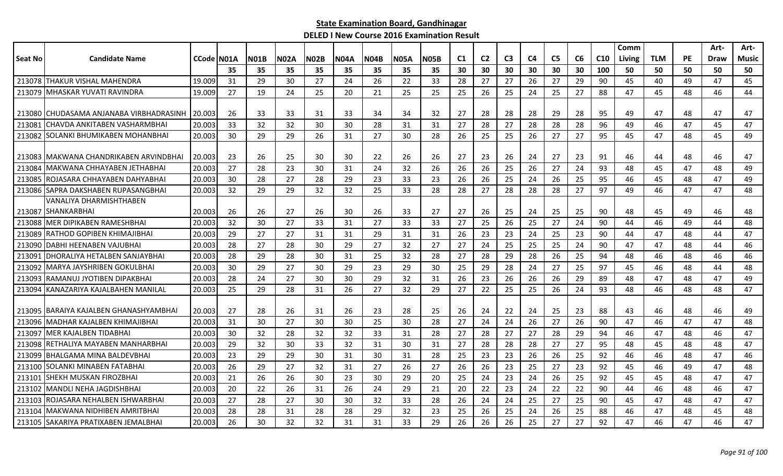|         |                                          |                    |     |      |      |      |             |             |             |      |          |                |                |                |                |    |                 | Comm   |            |           | Art- | Art-  |
|---------|------------------------------------------|--------------------|-----|------|------|------|-------------|-------------|-------------|------|----------|----------------|----------------|----------------|----------------|----|-----------------|--------|------------|-----------|------|-------|
| Seat No | <b>Candidate Name</b>                    | <b>CCode IN01A</b> |     | NO1B | N02A | NO2B | <b>N04A</b> | <b>N04B</b> | <b>N05A</b> | N05B | C1       | C <sub>2</sub> | C <sub>3</sub> | C <sub>4</sub> | C <sub>5</sub> | C6 | C <sub>10</sub> | Living | <b>TLM</b> | <b>PE</b> | Draw | Music |
|         |                                          |                    | 35  | 35   | 35   | 35   | 35          | 35          | 35          | 35   | 30       | 30             | 30             | 30             | 30             | 30 | 100             | 50     | 50         | 50        | 50   | 50    |
|         | 213078 THAKUR VISHAL MAHENDRA            | 19.009             | 31  | 29   | 30   | 27   | 24          | 26          | 22          | 33   | 28       | 27             | 27             | 26             | 27             | 29 | 90              | 45     | 40         | 49        | 47   | 45    |
| 213079  | IMHASKAR YUVATI RAVINDRA                 | 19.009             | 27  | 19   | 24   | 25   | 20          | 21          | 25          | 25   | 25       | 26             | 25             | 24             | 25             | 27 | 88              | 47     | 45         | 48        | 46   | 44    |
|         |                                          |                    |     |      |      |      |             |             |             |      |          |                |                |                |                |    |                 |        |            |           |      |       |
|         | 213080 CHUDASAMA ANJANABA VIRBHADRASINH  | 20.003             | 26  | 33   | 33   | 31   | 33          | 34          | 34          | 32   | -27      | 28             | 28             | 28             | 29             | 28 | 95              | 49     | 47         | 48        | 47   | 47    |
| 213081  | <b>I</b> CHAVDA ANKITABEN VASHARMBHAI    | 20.003             | 33  | 32   | 32   | 30   | 30          | 28          | 31          | 31   | 27       | 28             | 27             | 28             | 28             | 28 | 96              | 49     | 46         | 47        | 45   | 47    |
| 213082  | <b>SOLANKI BHUMIKABEN MOHANBHAI</b>      | 20,003             | 30  | 29   | 29   | 26   | 31          | 27          | 30          | 28   | 26       | 25             | 25             | 26             | 27             | 27 | 95              | 45     | 47         | 48        | 45   | 49    |
|         |                                          |                    |     |      |      |      |             |             |             |      |          |                |                |                |                |    |                 |        |            |           |      |       |
|         | 213083 MAKWANA CHANDRIKABEN ARVINDBHAI   | 20.003             | -23 | 26   | 25   | 30   | 30          | 22          | 26          | 26   | 27       | 23             | 26             | 24             | 27             | 23 | 91              | 46     | 44         | 48        | 46   | 47    |
| 213084  | IMAKWANA CHHAYABEN JETHABHAI             | 20.003             | 27  | 28   | 23   | 30   | 31          | 24          | 32          | 26   | 26       | 26             | 25             | 26             | 27             | 24 | 93              | 48     | 45         | 47        | 48   | 49    |
| 213085  | ROJASARA CHHAYABEN DAHYABHAI             | 20,003             | 30  | 28   | 27   | 28   | 29          | 23          | 33          | 23   | 26       | 26             | 25             | 24             | 26             | 25 | 95              | 46     | 45         | 48        | 47   | 49    |
|         | 213086 SAPRA DAKSHABEN RUPASANGBHAI      | 20.003             | 32  | 29   | 29   | 32   | 32          | 25          | 33          | 28   | 28       | 27             | 28             | 28             | 28             | 27 | 97              | 49     | 46         | 47        | 47   | 48    |
|         | VANALIYA DHARMISHTHABEN                  |                    |     |      |      |      |             |             |             |      |          |                |                |                |                |    |                 |        |            |           |      |       |
| 213087  | <b>SHANKARBHAI</b>                       | 20.003             | 26  | 26   | 27   | 26   | 30          | 26          | 33          | 27   | 27       | 26             | 25             | 24             | 25             | 25 | 90              | 48     | 45         | 49        | 46   | 48    |
| 213088  | <b>IMER DIPIKABEN RAMESHBHAI</b>         | 20.003             | 32  | 30   | 27   | 33   | 31          | 27          | 33          | 33   | 27       | 25             | 26             | 25             | 27             | 24 | 90              | 44     | 46         | 49        | 44   | 48    |
| 213089  | IRATHOD GOPIBEN KHIMAJIBHAI              | 20.003             | 29  | 27   | 27   | 31   | 31          | 29          | 31          | 31   | 26       | 23             | 23             | 24             | 25             | 23 | 90              | 44     | 47         | 48        | 44   | 47    |
|         | 213090 DABHI HEENABEN VAJUBHAI           | 20.003             | 28  | 27   | 28   | 30   | 29          | 27          | 32          | 27   | -27      | 24             | 25             | 25             | 25             | 24 | 90              | 47     | 47         | 48        | 44   | 46    |
| 213091  | <b>IDHORALIYA HETALBEN SANJAYBHAI</b>    | 20.003             | 28  | 29   | 28   | 30   | 31          | 25          | 32          | 28   | 27       | 28             | 29             | 28             | 26             | 25 | 94              | 48     | 46         | 48        | 46   | 46    |
| 213092  | IMARYA JAYSHRIBEN GOKULBHAI              | 20.003             | 30  | 29   | 27   | 30   | 29          | 23          | 29          | 30   | 25       | 29             | 28             | 24             | 27             | 25 | 97              | 45     | 46         | 48        | 44   | 48    |
| 213093  | RAMANUJ JYOTIBEN DIPAKBHAI               | 20.003             | 28  | 24   | 27   | 30   | 30          | 29          | 32          | 31   | 26       | 23             | 26             | 26             | 26             | 29 | 89              | 48     | 47         | 48        | 47   | 49    |
| 213094  | KANAZARIYA KAJALBAHEN MANILAL            | 20.003             | 25  | 29   | 28   | 31   | 26          | 27          | 32          | 29   | 27       | 22             | 25             | 25             | 26             | 24 | 93              | 48     | 46         | 48        | 48   | 47    |
|         | 213095   BARAIYA KAJALBEN GHANASHYAMBHAI | 20.003             | 27  | 28   | 26   | 31   | 26          | 23          | 28          | 25   | 26       | 24             | 22             | 24             | 25             | 23 | 88              | 43     | 46         | 48        | 46   | 49    |
|         | 213096 MADHAR KAJALBEN KHIMAJIBHAI       | 20.003             | 31  | 30   | 27   | 30   | 30          | 25          | 30          | 28   | 27       | 24             | 24             | 26             | 27             | 26 | 90              | 47     | 46         | 47        | 47   | 48    |
| 213097  | <b>IMER KAJALBEN TIDABHAI</b>            | 20.003             | 30  | 32   | 28   | 32   | 32          | 33          | 31          | 28   | 27       | 28             | 27             | 27             | 28             | 29 | 94              | 46     | 47         | 48        | 46   | 47    |
| 213098  | RETHALIYA MAYABEN MANHARBHAI             | 20,003             | 29  | 32   | 30   | 33   | 32          | 31          | 30          | 31   | 27       | 28             | 28             | 28             | 27             | 27 | 95              | 48     | 45         | 48        | 48   | 47    |
| 213099  | IBHALGAMA MINA BALDEVBHAI                | 20.003             | 23  | 29   | 29   | 30   | 31          | 30          | 31          | 28   |          | 23             | 23             | 26             | 26             | 25 | 92              | 46     | 46         | 48        | 47   | 46    |
| 213100  | SOLANKI MINABEN FATABHAI                 | 20.003             | 26  | 29   | 27   | 32   | 31          | 27          | 26          | 27   | 25<br>26 | 26             | 23             | 25             | 27             | 23 | 92              | 45     | 46         | 49        | 47   | 48    |
| 213101  | ISHEKH MUSKAN FIROZBHAI                  | 20.003             |     | 26   |      | 30   | 23          | 30          | 29          | 20   | 25       | 24             | 23             |                | 26             |    | 92              |        |            | 48        | 47   | 47    |
|         |                                          |                    | 21  |      | 26   |      |             |             |             |      |          |                |                | 24             |                | 25 |                 | 45     | 45         |           |      |       |
| 213102  | <b>MANDLI NEHA JAGDISHBHAI</b>           | 20.003             | 20  | 22   | 26   | 31   | 26          | 24          | 29          | 21   | 20       | 22             | 23             | 24             | 22             | 22 | 90              | 44     | 46         | 48        | 46   | 47    |
| 213103  | ROJASARA NEHALBEN ISHWARBHAI             | 20,003             | 27  | 28   | 27   | 30   | 30          | 32          | 33          | 28   | 26       | 24             | 24             | 25             | 27             | 25 | 90              | 45     | 47         | 48        | 47   | 47    |
| 213104  | IMAKWANA NIDHIBEN AMRITBHAI              | 20.003             | 28  | 28   | 31   | 28   | 28          | 29          | 32          | 23   | 25       | 26             | 25             | 24             | 26             | 25 | 88              | 46     | 47         | 48        | 45   | 48    |
|         | 213105 SAKARIYA PRATIXABEN JEMALBHAI     | 20.003             | 26  | 30   | 32   | 32   | 31          | 31          | 33          | 29   | 26       | 26             | 26             | 25             | 27             | 27 | 92              | 47     | 46         | 47        | 46   | 47    |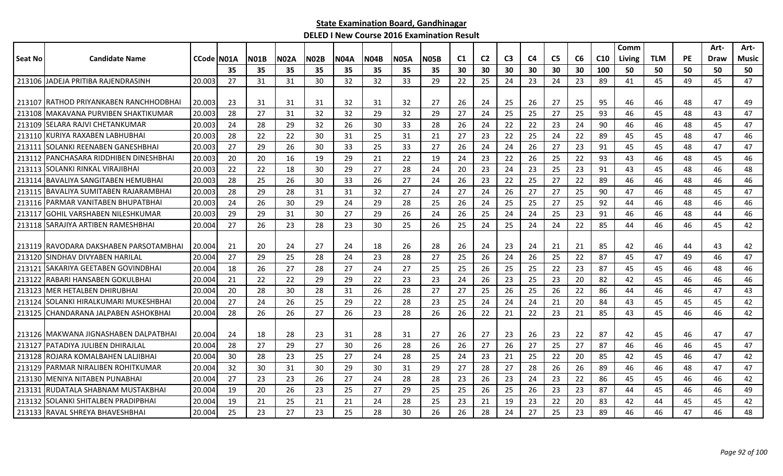|         |                                          |                   |    |             |             |             |             |             |             |             |    |                |                |     |                |                |                 | Comm   |            |           | Art- | Art-  |
|---------|------------------------------------------|-------------------|----|-------------|-------------|-------------|-------------|-------------|-------------|-------------|----|----------------|----------------|-----|----------------|----------------|-----------------|--------|------------|-----------|------|-------|
| Seat No | <b>Candidate Name</b>                    | <b>CCode NO1A</b> |    | <b>NO1B</b> | <b>N02A</b> | <b>N02B</b> | <b>NO4A</b> | <b>N04B</b> | <b>N05A</b> | <b>N05B</b> | C1 | C <sub>2</sub> | C <sub>3</sub> | C4  | C <sub>5</sub> | C <sub>6</sub> | C <sub>10</sub> | Living | <b>TLM</b> | <b>PE</b> | Draw | Music |
|         |                                          |                   | 35 | 35          | 35          | 35          | 35          | 35          | 35          | 35          | 30 | 30             | 30             | 30  | 30             | 30             | 100             | 50     | 50         | 50        | 50   | 50    |
|         | 213106 JADEJA PRITIBA RAJENDRASINH       | 20.003            | 27 | 31          | 31          | 30          | 32          | 32          | 33          | 29          | 22 | 25             | 24             | 23  | 24             | 23             | 89              | 41     | 45         | 49        | 45   | 47    |
|         |                                          |                   |    |             |             |             |             |             |             |             |    |                |                |     |                |                |                 |        |            |           |      |       |
|         | 213107   RATHOD PRIYANKABEN RANCHHODBHAI | 20.003            | 23 | 31          | 31          | 31          | 32          | 31          | 32          | 27          | 26 | 24             | 25             | 26  | 27             | 25             | 95              | 46     | 46         | 48        | 47   | 49    |
|         | 213108 MAKAVANA PURVIBEN SHAKTIKUMAR     | 20.003            | 28 | 27          | 31          | 32          | 32          | 29          | 32          | 29          | 27 | 24             | 25             | 25  | 27             | 25             | 93              | 46     | 45         | 48        | 43   | 47    |
|         | 213109 SELARA RAJVI CHETANKUMAR          | 20.003            | 24 | 28          | 29          | 32          | 26          | 30          | 33          | 28          | 26 | 24             | 22             | 22  | 23             | 24             | 90              | 46     | 46         | 48        | 45   | 47    |
| 213110  | KURIYA RAXABEN LABHUBHAI                 | 20.003            | 28 | 22          | 22          | 30          | 31          | 25          | 31          | 21          | 27 | 23             | 22             | 25  | 24             | 22             | 89              | 45     | 45         | 48        | 47   | 46    |
| 213111  | ISOLANKI REENABEN GANESHBHAI             | 20.003            | 27 | 29          | 26          | 30          | 33          | 25          | 33          | 27          | 26 | 24             | 24             | 26  | 27             | 23             | 91              | 45     | 45         | 48        | 47   | 47    |
|         | 213112 PANCHASARA RIDDHIBEN DINESHBHAI   | 20.003            | 20 | 20          | 16          | 19          | 29          | 21          | 22          | 19          | 24 | 23             | 22             | 26  | 25             | 22             | 93              | 43     | 46         | 48        | 45   | 46    |
| 213113  | ISOLANKI RINKAL VIRAJIBHAI               | 20.003            | 22 | 22          | 18          | 30          | 29          | 27          | 28          | 24          | 20 | 23             | 24             | 23  | 25             | 23             | 91              | 43     | 45         | 48        | 46   | 48    |
| 213114  | <b>BAVALIYA SANGITABEN HEMUBHAI</b>      | 20.003            | 28 | 25          | 26          | 30          | 33          | 26          | 27          | 24          | 26 | 23             | 22             | 25  | 27             | 22             | 89              | 46     | 46         | 48        | 46   | 46    |
| 213115  | IBAVALIYA SUMITABEN RAJARAMBHAI          | 20.003            | 28 | 29          | 28          | 31          | 31          | 32          | 27          | 24          | 27 | 24             | 26             | 27  | 27             | 25             | 90              | 47     | 46         | 48        | 45   | 47    |
|         | 213116   PARMAR VANITABEN BHUPATBHAI     | 20.003            | 24 | 26          | 30          | 29          | 24          | 29          | 28          | 25          | 26 | 24             | 25             | 25  | 27             | 25             | 92              | 44     | 46         | 48        | 46   | 46    |
| 213117  | <b>GOHIL VARSHABEN NILESHKUMAR</b>       | 20.003            | 29 | 29          | 31          | 30          | 27          | 29          | 26          | 24          | 26 | 25             | 24             | 24  | 25             | 23             | 91              | 46     | 46         | 48        | 44   | 46    |
|         | 213118 SARAJIYA ARTIBEN RAMESHBHAI       | 20.004            | 27 | 26          | 23          | 28          | 23          | 30          | 25          | 26          | 25 | 24             | 25             | 24  | 24             | 22             | 85              | 44     | 46         | 46        | 45   | 42    |
|         |                                          |                   |    |             |             |             |             |             |             |             |    |                |                |     |                |                |                 |        |            |           |      |       |
|         | 213119 IRAVODARA DAKSHABEN PARSOTAMBHAI  | 20.004            | 21 | 20          | 24          | 27          | 24          | 18          | 26          | 28          | 26 | 24             | 23             | 24  | 21             | 21             | 85              | 42     | 46         | 44        | 43   | 42    |
| 213120  | ISINDHAV DIVYABEN HARILAL                | 20.004            | 27 | 29          | 25          | 28          | 24          | 23          | 28          | 27          | 25 | 26             | 24             | -26 | 25             | 22             | 87              | 45     | 47         | 49        | 46   | 47    |
| 213121  | ISAKARIYA GEETABEN GOVINDBHAI            | 20.004            | 18 | 26          | 27          | 28          | 27          | 24          | 27          | 25          | 25 | 26             | 25             | 25  | 22             | 23             | 87              | 45     | 45         | 46        | 48   | 46    |
| 213122  | RABARI HANSABEN GOKULBHAI                | 20.004            | 21 | 22          | 22          | 29          | 29          | 22          | 23          | 23          | 24 | 26             | 23             | 25  | 23             | 20             | 82              | 42     | 45         | 46        | 46   | 46    |
|         | 213123   MER HETALBEN DHIRUBHAI          | 20.004            | 20 | 28          | 30          | 28          | 31          | 26          | 28          | 27          | 27 | 25             | 26             | 25  | 26             | 22             | 86              | 44     | 46         | 46        | 47   | 43    |
| 213124  | ISOLANKI HIRALKUMARI MUKESHBHAI          | 20.004            | 27 | 24          | 26          | 25          | 29          | 22          | 28          | 23          | 25 | 24             | 24             | 24  | 21             | 20             | 84              | 43     | 45         | 45        | 45   | 42    |
| 213125  | CHANDARANA JALPABEN ASHOKBHAI            | 20.004            | 28 | 26          | 26          | 27          | 26          | 23          | 28          | 26          | 26 | 22             | 21             | 22  | 23             | 21             | 85              | 43     | 45         | 46        | 46   | 42    |
|         |                                          |                   |    |             |             |             |             |             |             |             |    |                |                |     |                |                |                 |        |            |           |      |       |
|         | 213126 IMAKWANA JIGNASHABEN DALPATBHAI   | 20.004            | 24 | 18          | 28          | 23          | 31          | 28          | 31          | 27          | 26 | 27             | 23             | 26  | 23             | 22             | 87              | 42     | 45         | 46        | 47   | 47    |
| 213127  | IPATADIYA JULIBEN DHIRAJLAL              | 20.004            | 28 | 27          | 29          | 27          | 30          | 26          | 28          | 26          | 26 | 27             | 26             | 27  | 25             | 27             | 87              | 46     | 46         | 46        | 45   | 47    |
| 213128  | ROJARA KOMALBAHEN LALJIBHAI              | 20.004            | 30 | 28          | 23          | 25          | 27          | 24          | 28          | 25          | 24 | 23             | 21             | 25  | 22             | 20             | 85              | 42     | 45         | 46        | 47   | 42    |
|         | 213129 PARMAR NIRALIBEN ROHITKUMAR       | 20.004            | 32 | 30          | 31          | 30          | 29          | 30          | 31          | 29          | 27 | 28             | 27             | -28 | 26             | 26             | 89              | 46     | 46         | 48        | 47   | 47    |
|         | 213130 MENIYA NITABEN PUNABHAI           | 20.004            | 27 | 23          | 23          | 26          | 27          | 24          | 28          | 28          | 23 | 26             | 23             | 24  | 23             | 22             | 86              | 45     | 45         | 46        | 46   | 42    |
| 213131  | IRUDATALA SHABNAM MUSTAKBHAI             | 20.004            | 19 | 20          | 26          | 23          | 25          | 27          | 29          | 25          | 25 | 26             | 25             | 26  | 23             | 23             | 87              | 44     | 45         | 46        | 46   | 49    |
|         | 213132 SOLANKI SHITALBEN PRADIPBHAI      | 20.004            | 19 | 21          | 25          | 21          | 21          | 24          | 28          | 25          | 23 | 21             | 19             | 23  | 22             | 20             | 83              | 42     | 44         | 45        | 45   | 42    |
|         | 213133 RAVAL SHREYA BHAVESHBHAI          | 20.004            | 25 | 23          | 27          | 23          | 25          | 28          | 30          | 26          | 26 | 28             | 24             | 27  | 25             | 23             | 89              | 46     | 46         | 47        | 46   | 48    |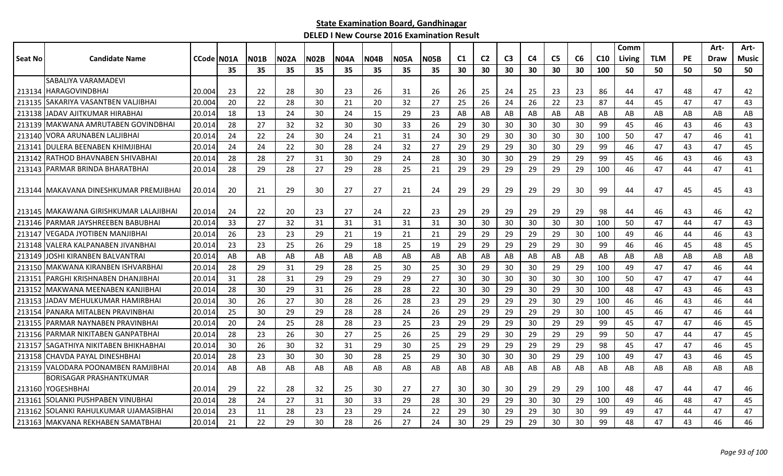|         |                                          |            |     |             |             |             |             |             |             |             |    |                |                |                |                |    |                 | Comm          |            |           | Art- | Art-         |
|---------|------------------------------------------|------------|-----|-------------|-------------|-------------|-------------|-------------|-------------|-------------|----|----------------|----------------|----------------|----------------|----|-----------------|---------------|------------|-----------|------|--------------|
| Seat No | <b>Candidate Name</b>                    | CCode N01A |     | <b>N01B</b> | <b>NO2A</b> | <b>N02B</b> | <b>N04A</b> | <b>N04B</b> | <b>N05A</b> | <b>N05B</b> | C1 | C <sub>2</sub> | C <sub>3</sub> | C <sub>4</sub> | C <sub>5</sub> | C6 | C <sub>10</sub> | <b>Living</b> | <b>TLM</b> | <b>PE</b> | Draw | <b>Music</b> |
|         |                                          |            | 35  | 35          | 35          | 35          | 35          | 35          | 35          | 35          | 30 | 30             | 30             | 30             | 30             | 30 | 100             | 50            | 50         | 50        | 50   | 50           |
|         | SABALIYA VARAMADEVI                      |            |     |             |             |             |             |             |             |             |    |                |                |                |                |    |                 |               |            |           |      |              |
|         | 213134 HARAGOVINDBHAI                    | 20.004     | -23 | 22          | 28          | 30          | 23          | 26          | 31          | 26          | 26 | 25             | 24             | 25             | 23             | 23 | 86              | 44            | 47         | 48        | 47   | 42           |
|         | 213135 SAKARIYA VASANTBEN VALJIBHAI      | 20.004     | 20  | 22          | 28          | 30          | 21          | 20          | 32          | 27          | 25 | 26             | 24             | 26             | 22             | 23 | 87              | 44            | 45         | 47        | 47   | 43           |
|         | 213138 JADAV AJITKUMAR HIRABHAI          | 20.014     | 18  | 13          | 24          | 30          | 24          | 15          | 29          | 23          | AB | AB             | AB             | AB             | AB             | AB | AB              | AB            | AB         | AB        | AB   | AB           |
|         | 213139   MAKWANA AMRUTABEN GOVINDBHAI    | 20.014     | 28  | 27          | 32          | 32          | 30          | 30          | 33          | 26          | 29 | 30             | 30             | 30             | 30             | 30 | 99              | 45            | 46         | 43        | 46   | 43           |
| 213140  | IVORA ARUNABEN LALJIBHAI                 | 20.014     | 24  | 22          | 24          | 30          | 24          | 21          | 31          | 24          | 30 | 29             | 30             | 30             | 30             | 30 | 100             | 50            | 47         | 47        | 46   | 41           |
|         | 213141   DULERA BEENABEN KHIMJIBHAI      | 20.014     | 24  | 24          | 22          | 30          | 28          | 24          | 32          | 27          | 29 | 29             | 29             | 30             | 30             | 29 | 99              | 46            | 47         | 43        | 47   | 45           |
|         | 213142 RATHOD BHAVNABEN SHIVABHAI        | 20.014     | 28  | 28          | 27          | 31          | 30          | 29          | 24          | 28          | 30 | 30             | 30             | 29             | 29             | 29 | 99              | 45            | 46         | 43        | 46   | 43           |
|         | 213143 PARMAR BRINDA BHARATBHAI          | 20.014     | 28  | 29          | 28          | 27          | 29          | 28          | 25          | 21          | 29 | 29             | 29             | 29             | 29             | 29 | 100             | 46            | 47         | 44        | 47   | 41           |
|         |                                          |            |     |             |             |             |             |             |             |             |    |                |                |                |                |    |                 |               |            |           |      |              |
|         | 213144 IMAKAVANA DINESHKUMAR PREMJIBHAI  | 20.014     | -20 | 21          | 29          | 30          | 27          | 27          | 21          | 24          | 29 | 29             | 29             | 29             | 29             | 30 | 99              | 44            | 47         | 45        | 45   | 43           |
|         |                                          |            |     |             |             |             |             |             |             |             |    |                |                |                |                |    |                 |               |            |           |      |              |
|         | 213145   MAKAWANA GIRISHKUMAR LALAJIBHAI | 20.014     | -24 | 22          | 20          | 23          | 27          | 24          | 22          | 23          | 29 | 29             | 29             | 29             | 29             | 29 | 98              | 44            | 46         | 43        | 46   | 42           |
|         | 213146   PARMAR JAYSHREEBEN BABUBHAI     | 20.014     | 33  | 27          | 32          | 31          | 31          | 31          | 31          | 31          | 30 | 30             | 30             | 30             | 30             | 30 | 100             | 50            | 47         | 44        | 47   | 43           |
|         | 213147 VEGADA JYOTIBEN MANJIBHAI         | 20.014     | 26  | 23          | 23          | 29          | 21          | 19          | 21          | 21          | 29 | 29             | 29             | 29             | 29             | 30 | 100             | 49            | 46         | 44        | 46   | 43           |
| 213148  | IVALERA KALPANABEN JIVANBHAI             | 20.014     | 23  | 23          | 25          | 26          | 29          | 18          | 25          | 19          | 29 | 29             | 29             | 29             | 29             | 30 | 99              | 46            | 46         | 45        | 48   | 45           |
| 213149  | JOSHI KIRANBEN BALVANTRAI                | 20.014     | AB  | AB          | AB          | AB          | AB          | AB          | AB          | AB          | AB | AB             | AB             | AB             | AB             | AB | AB              | AB            | AB         | AB        | AB   | AB           |
|         | 213150 MAKWANA KIRANBEN ISHVARBHAI       | 20.014     | 28  | 29          | 31          | 29          | 28          | 25          | 30          | 25          | 30 | 29             | 30             | 30             | 29             | 29 | 100             | 49            | 47         | 47        | 46   | 44           |
|         | 213151 PARGHI KRISHNABEN DHANJIBHAI      | 20.014     | 31  | 28          | 31          | 29          | 29          | 29          | 29          | 27          | 30 | 30             | 30             | 30             | 30             | 30 | 100             | 50            | 47         | 47        | 47   | 44           |
|         | 213152 MAKWANA MEENABEN KANJIBHAI        | 20.014     | 28  | 30          | 29          | 31          | 26          | 28          | 28          | 22          | 30 | 30             | 29             | 30             | 29             | 30 | 100             | 48            | 47         | 43        | 46   | 43           |
|         | 213153 JJADAV MEHULKUMAR HAMIRBHAI       | 20.014     | 30  | 26          | 27          | 30          | 28          | 26          | 28          | 23          | 29 | 29             | 29             | 29             | 30             | 29 | 100             | 46            | 46         | 43        | 46   | 44           |
|         | 213154 PANARA MITALBEN PRAVINBHAI        | 20.014     | 25  | 30          | 29          | 29          | 28          | 28          | 24          | 26          | 29 | 29             | 29             | 29             | 29             | 30 | 100             | 45            | 46         | 47        | 46   | 44           |
|         | 213155 PARMAR NAYNABEN PRAVINBHAI        | 20.014     | -20 | 24          | 25          | 28          | 28          | 23          | 25          | 23          | 29 | 29             | 29             | 30             | 29             | 29 | 99              | 45            | 47         | 47        | 46   | 45           |
|         | 213156   PARMAR NIKITABEN GANPATBHAI     | 20.014     | 28  | 23          | 26          | 30          | 27          | 25          | 26          | 25          | 29 | 29             | 30             | 29             | 29             | 29 | 99              | 50            | 47         | 44        | 47   | 45           |
| 213157  | <b>SAGATHIYA NIKITABEN BHIKHABHAI</b>    | 20.014     | 30  | 26          | 30          | 32          | 31          | 29          | 30          | 25          | 29 | 29             | 29             | 29             | 29             | 29 | 98              | 45            | 47         | 47        | 46   | 45           |
|         | 213158 CHAVDA PAYAL DINESHBHAI           | 20.014     | -28 | 23          | 30          | 30          | 30          | 28          | 25          | 29          | 30 | 30             | 30             | 30             | 29             | 29 | 100             | 49            | 47         | 43        | 46   | 45           |
|         | 213159 VALODARA POONAMBEN RAMJIBHAI      | 20.014     | AB  | AB          | AB          | AB          | AB          | AB          | AB          | AB          | AB | AB             | AB             | AB             | AB             | AB | AB              | AB            | AB         | AB        | AB   | AB           |
|         | <b>BORISAGAR PRASHANTKUMAR</b>           |            |     |             |             |             |             |             |             |             |    |                |                |                |                |    |                 |               |            |           |      |              |
|         | 213160 YOGESHBHAI                        | 20.014     | 29  | 22          | 28          | 32          | 25          | 30          | 27          | 27          | 30 | 30             | 30             | 29             | 29             | 29 | 100             | 48            | 47         | 44        | 47   | 46           |
|         | 213161 SOLANKI PUSHPABEN VINUBHAI        | 20.014     | -28 | 24          | 27          | 31          | 30          | 33          | 29          | 28          | 30 | 29             | 29             | 30             | 30             | 29 | 100             | 49            | 46         | 48        | 47   | 45           |
|         | 213162 ISOLANKI RAHULKUMAR UJAMASIBHAI   | 20.014     | 23  | 11          | 28          | 23          | 23          | 29          | 24          | 22          | 29 | 30             | 29             | 29             | 30             | 30 | 99              | 49            | 47         | 44        | 47   | 47           |
|         | 213163 MAKVANA REKHABEN SAMATBHAI        | 20.014     | 21  | 22          | 29          | 30          | 28          | 26          | 27          | 24          | 30 | 29             | 29             | 29             | 30             | 30 | 99              | 48            | 47         | 43        | 46   | 46           |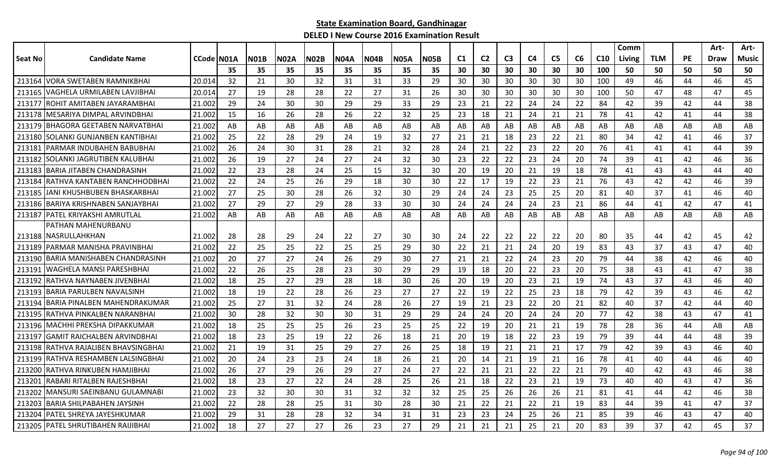|                |                                     |                    |     |      |             |             |      |      |             |             |                |                |                |    |                |    |                 | Comm   |            |    | Art- | Art-  |
|----------------|-------------------------------------|--------------------|-----|------|-------------|-------------|------|------|-------------|-------------|----------------|----------------|----------------|----|----------------|----|-----------------|--------|------------|----|------|-------|
| <b>Seat No</b> | <b>Candidate Name</b>               | <b>CCode IN01A</b> |     | NO1B | <b>N02A</b> | <b>N02B</b> | N04A | NO4B | <b>N05A</b> | <b>NO5B</b> | C <sub>1</sub> | C <sub>2</sub> | C <sub>3</sub> | C4 | C <sub>5</sub> | C6 | C <sub>10</sub> | Living | <b>TLM</b> | PE | Draw | Music |
|                |                                     |                    | 35  | 35   | 35          | 35          | 35   | 35   | 35          | 35          | 30             | 30             | 30             | 30 | 30             | 30 | 100             | 50     | 50         | 50 | 50   | 50    |
| 213164         | IVORA SWETABEN RAMNIKBHAI           | 20.014             | 32  | 21   | 30          | 32          | 31   | 31   | 33          | 29          | 30             | 30             | 30             | 30 | 30             | 30 | 100             | 49     | 46         | 44 | 46   | 45    |
| 213165         | VAGHELA URMILABEN LAVJIBHAI         | 20.014             | 27  | 19   | 28          | 28          | 22   | 27   | 31          | 26          | 30             | 30             | 30             | 30 | 30             | 30 | 100             | 50     | 47         | 48 | 47   | 45    |
| 213177         | ROHIT AMITABEN JAYARAMBHAI          | 21.002             | 29  | 24   | 30          | 30          | 29   | 29   | 33          | 29          | -23            | 21             | 22             | 24 | 24             | 22 | 84              | 42     | 39         | 42 | 44   | 38    |
| 213178         | IMESARIYA DIMPAL ARVINDBHAI         | 21.002             | 15  | 16   | 26          | 28          | 26   | 22   | 32          | 25          | 23             | 18             | 21             | 24 | 21             | 21 | 78              | 41     | 42         | 41 | 44   | 38    |
| 213179         | BHAGORA GEETABEN NARVATBHAI         | 21.002             | AB  | AB   | AB          | AB          | AB   | AB   | AB          | AB          | AB             | AB             | AB             | AB | AB             | AB | AB              | AB     | AB         | AB | AB   | AB    |
| 213180         | SOLANKI GUNJANBEN KANTIBHAI         | 21.002             | 25  | 22   | 28          | 29          | 24   | 19   | 32          | 27          | 21             | 21             | 18             | 23 | 22             | 21 | 80              | 34     | 42         | 41 | 46   | 37    |
| 213181         | PARMAR INDUBAHEN BABUBHAI           | 21.002             | -26 | 24   | 30          | 31          | 28   | 21   | 32          | 28          | 24             | 21             | 22             | 23 | 22             | 20 | 76              | 41     | 41         | 41 | 44   | 39    |
| 213182         | SOLANKI JAGRUTIBEN KALUBHAI         | 21.002             | 26  | 19   | 27          | 24          | 27   | 24   | 32          | 30          | 23             | 22             | 22             | 23 | 24             | 20 | 74              | 39     | 41         | 42 | 46   | 36    |
| 213183         | <b>BARIA JITABEN CHANDRASINH</b>    | 21.002             | 22  | 23   | 28          | 24          | 25   | 15   | 32          | 30          | 20             | 19             | 20             | 21 | 19             | 18 | 78              | 41     | 43         | 43 | 44   | 40    |
| 213184         | RATHVA KANTABEN RANCHHODBHAI        | 21.002             | 22  | 24   | 25          | 26          | 29   | 18   | 30          | 30          | 22             | 17             | 19             | 22 | 23             | 21 | 76              | 43     | 42         | 42 | 46   | 39    |
| 213185         | IJANI KHUSHBUBEN BHASKARBHAI        | 21.002             | 27  | 25   | 30          | 28          | 26   | 32   | 30          | 29          | 24             | 24             | 23             | 25 | 25             | 20 | 81              | 40     | 37         | 41 | 46   | 40    |
|                | 213186 BARIYA KRISHNABEN SANJAYBHAI | 21.002             | 27  | 29   | 27          | 29          | 28   | 33   | 30          | 30          | 24             | 24             | 24             | 24 | 23             | 21 | 86              | 44     | 41         | 42 | 47   | 41    |
| 213187         | <b>IPATEL KRIYAKSHI AMRUTLAL</b>    | 21.002             | AB  | AB   | AB          | AB          | AB   | AB   | AB          | AB          | AB             | AB             | AB             | AB | AB             | AB | AB              | AB     | AB         | AB | AB   | AB    |
|                | PATHAN MAHENURBANU                  |                    |     |      |             |             |      |      |             |             |                |                |                |    |                |    |                 |        |            |    |      |       |
|                | 213188 INASRULLAHKHAN               | 21.002             | -28 | 28   | 29          | 24          | 22   | 27   | 30          | 30          | 24             | 22             | 22             | 22 | 22             | 20 | 80              | 35     | 44         | 42 | 45   | 42    |
| 213189         | PARMAR MANISHA PRAVINBHAI           | 21.002             | 22  | 25   | 25          | 22          | 25   | 25   | 29          | 30          | 22             | 21             | 21             | 24 | 20             | 19 | 83              | 43     | 37         | 43 | 47   | 40    |
| 213190         | BARIA MANISHABEN CHANDRASINH        | 21.002             | 20  | 27   | 27          | 24          | 26   | 29   | 30          | 27          | 21             | 21             | 22             | 24 | 23             | 20 | 79              | 44     | 38         | 42 | 46   | 40    |
| 21319          | WAGHELA MANSI PARESHBHAI            | 21.002             | 22  | 26   | 25          | 28          | 23   | 30   | 29          | 29          | 19             | 18             | 20             | 22 | 23             | 20 | 75              | 38     | 43         | 41 | 47   | 38    |
| 213192         | RATHVA NAYNABEN JIVENBHAI           | 21.002             | 18  | 25   | 27          | 29          | 28   | 18   | 30          | 26          | 20             | 19             | 20             | 23 | 21             | 19 | 74              | 43     | 37         | 43 | 46   | 40    |
| 213193         | IBARIA PARULBEN NAVALSINH           | 21.002             | 18  | 19   | 22          | 28          | 26   | -23  | 27          | 27          | 22             | 19             | 22             | 25 | 23             | 18 | 79              | 42     | 39         | 43 | 46   | 42    |
| 213194         | IBARIA PINALBEN MAHENDRAKUMAR       | 21.002             | 25  | 27   | 31          | 32          | 24   | 28   | 26          | 27          | 19             | 21             | 23             | 22 | 20             | 21 | 82              | 40     | 37         | 42 | 44   | 40    |
| 213195         | IRATHVA PINKALBEN NARANBHA          | 21.002             | 30  | 28   | 32          | 30          | 30   | 31   | 29          | 29          | 24             | 24             | 20             | 24 | 24             | 20 | 77              | 42     | 38         | 43 | 47   | 41    |
| 213196         | IMACHHI PREKSHA DIPAKKUMAR          | 21.002             | 18  | 25   | 25          | 25          | 26   | 23   | 25          | 25          | 22             | 19             | 20             | 21 | 21             | 19 | 78              | 28     | 36         | 44 | AB   | AB    |
| 213197         | <b>GAMIT RAICHALBEN ARVINDBHAI</b>  | 21.002             | 18  | 23   | 25          | 19          | 22   | 26   | 18          | 21          | 20             | 19             | 18             | 22 | 23             | 19 | 79              | 39     | 44         | 44 | 48   | 39    |
| 213198         | RATHVA RAJALIBEN BHAVSINGBHAI       | 21.002             | 21  | 19   | 31          | 25          | 29   | 27   | 26          | 25          | 18             | 19             | 21             | 21 | 21             | 17 | 79              | 42     | 39         | 43 | 46   | 40    |
| 213199         | RATHVA RESHAMBEN LALSINGBHAI        | 21.002             | 20  | 24   | 23          | 23          | 24   | 18   | 26          | 21          | 20             | 14             | 21             | 19 | 21             | 16 | 78              | 41     | 40         | 44 | 46   | 40    |
| 213200         | RATHVA RINKUBEN HAMJIBHAI           | 21.002             | 26  | 27   | 29          | 26          | 29   | 27   | 24          | 27          | 22             | 21             | 21             | 22 | 22             | 21 | 79              | 40     | 42         | 43 | 46   | 38    |
| 213201         | RABARI RITALBEN RAJESHBHAI          | 21.002             | 18  | 23   | 27          | 22          | 24   | 28   | 25          | 26          | 21             | 18             | 22             | 23 | 21             | 19 | 73              | 40     | 40         | 43 | 47   | 36    |
| 213202         | MANSURI SAEINBANU GULAMNABI         | 21.002             | 23  | 32   | 30          | 30          | 31   | 32   | 32          | 32          | 25             | 25             | 26             | 26 | 26             | 21 | 81              | 41     | 44         | 42 | 46   | 38    |
| 213203         | BARIA SHILPABAHEN JAYSINH           | 21.002             | 22  | 28   | 28          | 25          | 31   | 30   | 28          | 30          | 21             | 22             | 21             | 22 | 21             | 19 | 83              | 44     | 39         | 41 | 47   | 37    |
| 213204         | IPATEL SHREYA JAYESHKUMAR           | 21.002             | 29  | 31   | 28          | 28          | 32   | 34   | 31          | 31          | 23             | 23             | 24             | 25 | 26             | 21 | 85              | 39     | 46         | 43 | 47   | 40    |
|                | 213205 PATEL SHRUTIBAHEN RAIJIBHAI  | 21.002             | 18  | 27   | 27          | 27          | 26   | 23   | 27          | 29          | 21             | 21             | 21             | 25 | 21             | 20 | 83              | 39     | 37         | 42 | 45   | 37    |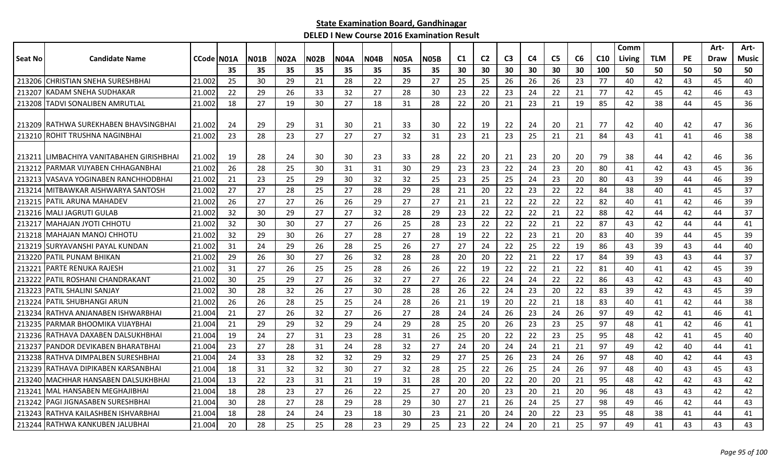|                |                                           |                    |     |             |             |             |             |      |             |             |    |                |                |                |                |    |                 | Comm   |            |           | Art- | Art-  |
|----------------|-------------------------------------------|--------------------|-----|-------------|-------------|-------------|-------------|------|-------------|-------------|----|----------------|----------------|----------------|----------------|----|-----------------|--------|------------|-----------|------|-------|
| <b>Seat No</b> | <b>Candidate Name</b>                     | <b>CCode IN01A</b> |     | <b>N01B</b> | <b>N02A</b> | <b>N02B</b> | <b>N04A</b> | N04B | <b>N05A</b> | <b>N05B</b> | C1 | C <sub>2</sub> | C <sub>3</sub> | C <sub>4</sub> | C <sub>5</sub> | C6 | C <sub>10</sub> | Living | <b>TLM</b> | <b>PE</b> | Draw | Music |
|                |                                           |                    | 35  | 35          | 35          | 35          | 35          | 35   | 35          | 35          | 30 | 30             | 30             | 30             | 30             | 30 | 100             | 50     | 50         | 50        | 50   | 50    |
|                | 213206 CHRISTIAN SNEHA SURESHBHAI         | 21.002             | 25  | 30          | 29          | 21          | 28          | 22   | 29          | 27          | 25 | 25             | 26             | 26             | 26             | 23 | 77              | 40     | 42         | 43        | 45   | 40    |
| 213207         | IKADAM SNEHA SUDHAKAR                     | 21.002             | 22  | 29          | 26          | 33          | 32          | 27   | 28          | 30          | 23 | 22             | 23             | 24             | 22             | 21 | 77              | 42     | 45         | 42        | 46   | 43    |
| 213208         | <b>TADVI SONALIBEN AMRUTLAL</b>           | 21.002             | 18  | 27          | 19          | 30          | 27          | 18   | 31          | 28          | 22 | 20             | 21             | 23             | 21             | 19 | 85              | 42     | 38         | 44        | 45   | 36    |
| 213209         | <b>IRATHWA SUREKHABEN BHAVSINGBHAI</b>    | 21.002             | -24 | 29          | 29          | 31          | 30          | 21   | 33          | 30          | 22 | 19             | 22             | 24             | 20             | 21 | 77              | 42     | 40         | 42        | 47   | 36    |
| 213210         | ROHIT TRUSHNA NAGINBHAI                   | 21.002             | 23  | 28          | 23          | 27          | 27          | 27   | 32          | 31          | 23 | 21             | 23             | 25             | 21             | 21 | 84              | 43     | 41         | 41        | 46   | 38    |
|                | 213211 ILIMBACHIYA VANITABAHEN GIRISHBHAI | 21.002             | -19 | 28          | 24          | 30          | 30          | 23   | 33          | 28          | 22 | 20             | 21             | 23             | 20             | 20 | 79              | 38     | 44         | 42        | 46   | 36    |
| 213212         | IPARMAR VIJYABEN CHHAGANBHAI              | 21.002             | 26  | 28          | 25          | 30          | 31          | 31   | 30          | 29          | 23 | 23             | 22             | 24             | 23             | 20 | 80              | 41     | 42         | 43        | 45   | 36    |
| 213213         | IVASAVA YOGINABEN RANCHHODBHAI            | 21.002             | 21  | 23          | 25          | 29          | 30          | 32   | 32          | 25          | 23 | 25             | 25             | 24             | 23             | 20 | 80              | 43     | 39         | 44        | 46   | 39    |
| 213214         | IMITBAWKAR AISHWARYA SANTOSH              | 21.002             | 27  | 27          | 28          | 25          | 27          | 28   | 29          | 28          | 21 | 20             | 22             | 23             | 22             | 22 | 84              | 38     | 40         | 41        | 45   | 37    |
| 213215         | IPATIL ARUNA MAHADEV                      | 21.002             | 26  | 27          | 27          | 26          | 26          | 29   | 27          | 27          | 21 | 21             | 22             | 22             | 22             | 22 | 82              | 40     | 41         | 42        | 46   | 39    |
|                | 213216 MALI JAGRUTI GULAB                 | 21.002             | 32  | 30          | 29          | 27          | 27          | 32   | 28          | 29          | 23 | 22             | 22             | 22             | 21             | 22 | 88              | 42     | 44         | 42        | 44   | 37    |
| 213217         | IMAHAJAN JYOTI CHHOTU                     | 21.002             | 32  | 30          | 30          | 27          | 27          | 26   | 25          | 28          | 23 | 22             | 22             | 22             | 21             | 22 | 87              | 43     | 42         | 44        | 44   | 41    |
|                | 213218 MAHAJAN MANOJ CHHOTU               | 21.002             | 32  | 29          | 30          | 26          | 27          | 28   | 27          | 28          | 19 | 22             | 22             | 23             | 21             | 20 | 83              | 40     | 39         | 44        | 45   | 39    |
| 213219         | <b>SURYAVANSHI PAYAL KUNDAN</b>           | 21.002             | 31  | 24          | 29          | 26          | 28          | 25   | 26          | 27          | 27 | 24             | 22             | 25             | 22             | 19 | 86              | 43     | 39         | 43        | 44   | 40    |
| 213220         | IPATIL PUNAM BHIKAN                       | 21.002             | 29  | 26          | 30          | 27          | 26          | 32   | 28          | 28          | 20 | 20             | 22             | 21             | 22             | 17 | 84              | 39     | 43         | 43        | 44   | 37    |
| 21322          | IPARTE RENUKA RAJESH                      | 21.002             | 31  | 27          | 26          | 25          | 25          | 28   | 26          | 26          | 22 | 19             | 22             | 22             | 21             | 22 | 81              | 40     | 41         | 42        | 45   | 39    |
| 213222         | PATIL ROSHANI CHANDRAKANT                 | 21.002             | 30  | 25          | 29          | 27          | 26          | 32   | 27          | 27          | 26 | 22             | 24             | 24             | 22             | 22 | 86              | 43     | 42         | 43        | 43   | 40    |
| 213223         | <b>IPATIL SHALINI SANJAY</b>              | 21.002             | 30  | 28          | 32          | 26          | 27          | 30   | 28          | 28          | 26 | 22             | 24             | 23             | 20             | 22 | 83              | 39     | 42         | 43        | 45   | 39    |
| 213224         | <b>IPATIL SHUBHANGI ARUN</b>              | 21.002             | 26  | 26          | 28          | 25          | 25          | 24   | 28          | 26          | 21 | 19             | 20             | 22             | 21             | 18 | 83              | 40     | 41         | 42        | 44   | 38    |
| 213234         | IRATHVA ANJANABEN ISHWARBHAI              | 21.004             | 21  | 27          | 26          | 32          | 27          | 26   | 27          | 28          | 24 | 24             | 26             | 23             | 24             | 26 | 97              | 49     | 42         | 41        | 46   | 41    |
| 213235         | IPARMAR BHOOMIKA VIJAYBHAI                | 21.004             | 21  | 29          | 29          | 32          | 29          | 24   | 29          | 28          | 25 | 20             | 26             | 23             | 23             | 25 | 97              | 48     | 41         | 42        | 46   | 41    |
| 213236         | RATHAVA DAXABEN DALSUKHBHAI               | 21.004             | 19  | 24          | 27          | 31          | 23          | 28   | 31          | 26          | 25 | 20             | 22             | 22             | 23             | 25 | 95              | 48     | 42         | 41        | 45   | 40    |
| 213237         | IPANDOR DEVIKABEN BHARATBHAI              | 21.004             | 23  | 27          | 28          | 31          | 24          | 28   | 32          | 27          | 24 | 20             | 24             | 24             | 21             | 21 | 97              | 49     | 42         | 40        | 44   | 41    |
| 213238         | RATHVA DIMPALBEN SURESHBHAI               | 21.004             | 24  | 33          | 28          | 32          | 32          | 29   | 32          | 29          | 27 | 25             | 26             | 23             | 24             | 26 | 97              | 48     | 40         | 42        | 44   | 43    |
| 213239         | RATHAVA DIPIKABEN KARSANBHAI              | 21.004             | 18  | 31          | 32          | 32          | 30          | 27   | 32          | 28          | 25 | 22             | 26             | 25             | 24             | 26 | 97              | 48     | 40         | 43        | 45   | 43    |
| 213240         | IMACHHAR HANSABEN DALSUKHBHAI             | 21.004             | 13  | 22          | 23          | 31          | 21          | 19   | 31          | 28          | 20 | 20             | 22             | 20             | 20             | 21 | 95              | 48     | 42         | 42        | 43   | 42    |
| 213241         | <b>MAL HANSABEN MEGHAJIBHAI</b>           | 21.004             | 18  | 28          | 23          | 27          | 26          | 22   | 25          | 27          | 20 | 20             | 23             | 20             | 21             | 20 | 96              | 48     | 43         | 43        | 42   | 42    |
| 213242         | IPAGI JIGNASABEN SURESHBHAI               | 21.004             | 30  | 28          | 27          | 28          | 29          | 28   | 29          | 30          | 27 | 21             | 26             | 24             | 25             | 27 | 98              | 49     | 46         | 42        | 44   | 43    |
| 213243         | RATHVA KAILASHBEN ISHVARBHAI              | 21.004             | 18  | 28          | 24          | 24          | 23          | 18   | 30          | 23          | 21 | 20             | 24             | 20             | 22             | 23 | 95              | 48     | 38         | 41        | 44   | 41    |
|                | 213244 RATHWA KANKUBEN JALUBHAI           | 21.004             | 20  | 28          | 25          | 25          | 28          | 23   | 29          | 25          | 23 | 22             | 24             | 20             | 21             | 25 | 97              | 49     | 41         | 43        | 43   | 43    |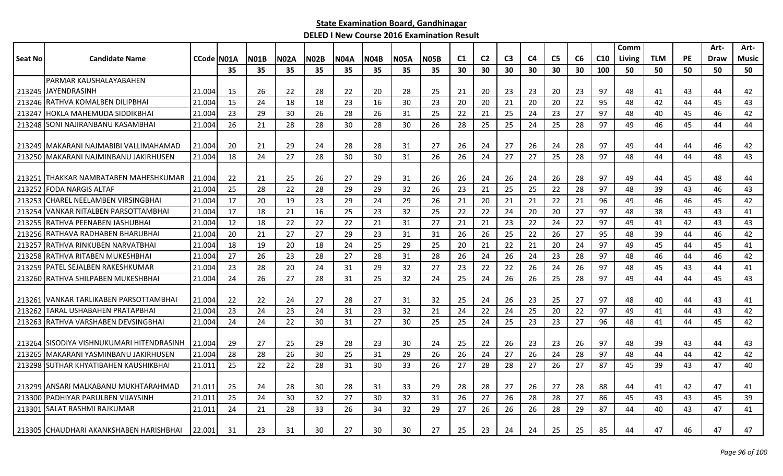|         |                                           |                   |    |             |      |             |             |             |             |             |                |                |                |                |                |    |                 | Comm   |            |           | Art- | Art-         |
|---------|-------------------------------------------|-------------------|----|-------------|------|-------------|-------------|-------------|-------------|-------------|----------------|----------------|----------------|----------------|----------------|----|-----------------|--------|------------|-----------|------|--------------|
| Seat No | <b>Candidate Name</b>                     | <b>CCode N01A</b> |    | <b>N01B</b> | N02A | <b>N02B</b> | <b>N04A</b> | <b>N04B</b> | <b>N05A</b> | <b>N05B</b> | C <sub>1</sub> | C <sub>2</sub> | C <sub>3</sub> | C <sub>4</sub> | C <sub>5</sub> | C6 | C <sub>10</sub> | Living | <b>TLM</b> | <b>PE</b> | Draw | <b>Music</b> |
|         |                                           |                   | 35 | 35          | 35   | 35          | 35          | 35          | 35          | 35          | 30             | 30             | 30             | 30             | 30             | 30 | 100             | 50     | 50         | 50        | 50   | 50           |
|         | PARMAR KAUSHALAYABAHEN                    |                   |    |             |      |             |             |             |             |             |                |                |                |                |                |    |                 |        |            |           |      |              |
|         | 213245 JJAYENDRASINH                      | 21.004            | 15 | 26          | 22   | 28          | 22          | 20          | 28          | 25          | 21             | 20             | 23             | 23             | 20             | 23 | 97              | 48     | 41         | 43        | 44   | 42           |
| 213246  | RATHVA KOMALBEN DILIPBHAI                 | 21.004            | 15 | 24          | 18   | 18          | 23          | 16          | 30          | 23          | 20             | 20             | 21             | 20             | 20             | 22 | 95              | 48     | 42         | 44        | 45   | 43           |
| 213247  | HOKLA MAHEMUDA SIDDIKBHAI                 | 21.004            | 23 | 29          | 30   | 26          | 28          | 26          | 31          | 25          | 22             | 21             | 25             | 24             | 23             | 27 | 97              | 48     | 40         | 45        | 46   | 42           |
| 213248  | <b>SONI NAJIRANBANU KASAMBHAI</b>         | 21.004            | 26 | 21          | 28   | 28          | 30          | 28          | 30          | 26          | 28             | 25             | 25             | 24             | 25             | 28 | 97              | 49     | 46         | 45        | 44   | 44           |
|         |                                           |                   |    |             |      |             |             |             |             |             |                |                |                |                |                |    |                 |        |            |           |      |              |
|         | 213249   MAKARANI NAJMABIBI VALLIMAHAMAD  | 21.004            | 20 | 21          | 29   | 24          | 28          | 28          | 31          | 27          | 26             | 24             | 27             | 26             | 24             | 28 | 97              | 49     | 44         | 44        | 46   | 42           |
|         | 213250 MAKARANI NAJMINBANU JAKIRHUSEN     | 21.004            | 18 | 24          | 27   | 28          | 30          | 30          | 31          | 26          | 26             | 24             | 27             | 27             | 25             | 28 | 97              | 48     | 44         | 44        | 48   | 43           |
|         |                                           |                   |    |             |      |             |             |             |             |             |                |                |                |                |                |    |                 |        |            |           |      |              |
|         | 213251 THAKKAR NAMRATABEN MAHESHKUMAR     | 21.004            | 22 | 21          | 25   | 26          | 27          | 29          | 31          | 26          | 26             | 24             | 26             | 24             | 26             | 28 | 97              | 49     | 44         | 45        | 48   | 44           |
| 213252  | FODA NARGIS ALTAF                         | 21.004            | 25 | 28          | 22   | 28          | 29          | 29          | 32          | 26          | 23             | 21             | 25             | 25             | 22             | 28 | 97              | 48     | 39         | 43        | 46   | 43           |
| 213253  | <b>CHAREL NEELAMBEN VIRSINGBHAI</b>       | 21.004            | 17 | 20          | 19   | 23          | 29          | 24          | 29          | 26          | 21             | 20             | 21             | 21             | 22             | 21 | 96              | 49     | 46         | 46        | 45   | 42           |
| 213254  | <b>VANKAR NITALBEN PARSOTTAMBHAI</b>      | 21.004            | 17 | 18          | 21   | 16          | 25          | 23          | 32          | 25          | 22             | 22             | 24             | 20             | 20             | 27 | 97              | 48     | 38         | 43        | 43   | 41           |
| 213255  | RATHVA PEENABEN JASHUBHAI                 | 21.004            | 12 | 18          | 22   | 22          | 22          | 21          | 31          | 27          | 21             | 21             | 23             | 22             | 24             | 22 | 97              | 49     | 41         | 42        | 43   | 43           |
| 213256  | RATHAVA RADHABEN BHARUBHAI                | 21.004            | 20 | 21          | 27   | 27          | 29          | 23          | 31          | 31          | 26             | 26             | 25             | 22             | 26             | 27 | 95              | 48     | 39         | 44        | 46   | 42           |
| 213257  | RATHVA RINKUBEN NARVATBHAI                | 21.004            | 18 | 19          | 20   | 18          | 24          | 25          | 29          | 25          | 20             | 21             | 22             | 21             | 20             | 24 | 97              | 49     | 45         | 44        | 45   | 41           |
| 213258  | <b>RATHVA RITABEN MUKESHBHAI</b>          | 21.004            | 27 | 26          | 23   | 28          | 27          | 28          | 31          | 28          | 26             | 24             | 26             | 24             | 23             | 28 | 97              | 48     | 46         | 44        | 46   | 42           |
| 213259  | PATEL SEJALBEN RAKESHKUMAR                | 21.004            | 23 | 28          | 20   | 24          | 31          | 29          | 32          | 27          | 23             | 22             | 22             | 26             | 24             | 26 | 97              | 48     | 45         | 43        | 44   | 41           |
|         | 213260 RATHVA SHILPABEN MUKESHBHAI        | 21.004            | 24 | 26          | 27   | 28          | 31          | 25          | 32          | 24          | 25             | 24             | 26             | 26             | 25             | 28 | 97              | 49     | 44         | 44        | 45   | 43           |
|         |                                           |                   |    |             |      |             |             |             |             |             |                |                |                |                |                |    |                 |        |            |           |      |              |
| 213261  | <b>IVANKAR TARLIKABEN PARSOTTAMBHAI</b>   | 21.004            | 22 | 22          | 24   | 27          | 28          | 27          | 31          | 32          | 25             | 24             | 26             | 23             | 25             | 27 | 97              | 48     | 40         | 44        | 43   | 41           |
| 213262  | ITARAL USHABAHEN PRATAPBHAI               | 21.004            | 23 | 24          | 23   | 24          | 31          | -23         | 32          | 21          | -24            | 22             | 24             | 25             | 20             | 22 | 97              | 49     | 41         | 44        | 43   | 42           |
|         | 213263 RATHVA VARSHABEN DEVSINGBHAI       | 21.004            | 24 | 24          | 22   | 30          | 31          | 27          | 30          | 25          | 25             | 24             | 25             | 23             | 23             | 27 | 96              | 48     | 41         | 44        | 45   | 42           |
|         |                                           |                   |    |             |      |             |             |             |             |             |                |                |                |                |                |    |                 |        |            |           |      |              |
|         | 213264 SISODIYA VISHNUKUMARI HITENDRASINH | 21.004            | 29 | 27          | 25   | 29          | 28          | 23          | 30          | 24          | 25             | 22             | 26             | 23             | 23             | 26 | 97              | 48     | -39        | 43        | 44   | 43           |
| 213265  | MAKARANI YASMINBANU JAKIRHUSEN            | 21.004            | 28 | 28          | 26   | 30          | 25          | 31          | 29          | 26          | 26             | 24             | 27             | 26             | 24             | 28 | 97              | 48     | 44         | 44        | 42   | 42           |
|         | 213298 SUTHAR KHYATIBAHEN KAUSHIKBHAI     | 21.011            | 25 | 22          | 22   | 28          | 31          | 30          | 33          | 26          | 27             | 28             | 28             | 27             | 26             | 27 | 87              | 45     | 39         | 43        | 47   | 40           |
|         |                                           |                   |    |             |      |             |             |             |             |             |                |                |                |                |                |    |                 |        |            |           |      |              |
|         | 213299 ANSARI MALKABANU MUKHTARAHMAD      | 21.011            | 25 | 24          | 28   | 30          | 28          | 31          | 33          | 29          | 28             | 28             | 27             | 26             | 27             | 28 | 88              | 44     | 41         | 42        | 47   | 41           |
| 213300  | PADHIYAR PARULBEN VIJAYSINH               | 21.011            | 25 | 24          | 30   | 32          | 27          | 30          | 32          | 31          | 26             | 27             | 26             | 28             | 28             | 27 | 86              | 45     | 43         | 43        | 45   | 39           |
|         | 213301 SALAT RASHMI RAJKUMAR              | 21.011            | 24 | 21          | 28   | 33          | 26          | 34          | 32          | 29          | 27             | 26             | 26             | 26             | 28             | 29 | 87              | 44     | 40         | 43        | 47   | 41           |
|         | 213305 CHAUDHARI AKANKSHABEN HARISHBHAI   | 22.001            | 31 | 23          | 31   | 30          | 27          | 30          | 30          | 27          | 25             | 23             | 24             | 24             | 25             | 25 | 85              | 44     | 47         | 46        | 47   | 47           |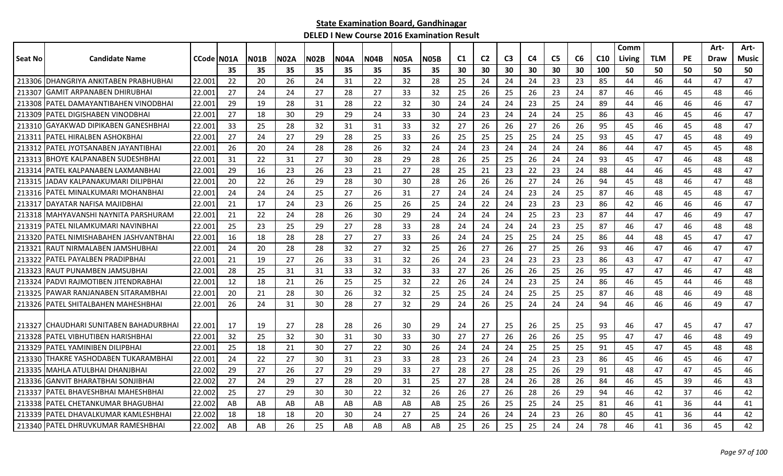|         |                                       |                    |     |             |      |             |             |             |             |      |                |                |                |    |                |    |                 | Comm   |            |           | Art-        | Art-  |
|---------|---------------------------------------|--------------------|-----|-------------|------|-------------|-------------|-------------|-------------|------|----------------|----------------|----------------|----|----------------|----|-----------------|--------|------------|-----------|-------------|-------|
| Seat No | <b>Candidate Name</b>                 | <b>CCode IN01A</b> |     | <b>N01B</b> | N02A | <b>N02B</b> | <b>N04A</b> | <b>N04B</b> | <b>N05A</b> | N05B | C <sub>1</sub> | C <sub>2</sub> | C <sub>3</sub> | C4 | C <sub>5</sub> | C6 | C <sub>10</sub> | Living | <b>TLM</b> | <b>PE</b> | <b>Draw</b> | Music |
|         |                                       |                    | 35  | 35          | 35   | 35          | 35          | 35          | 35          | 35   | 30             | 30             | 30             | 30 | 30             | 30 | 100             | 50     | 50         | 50        | 50          | 50    |
|         | 213306 DHANGRIYA ANKITABEN PRABHUBHAI | 22.001             | 22  | 20          | 26   | 24          | 31          | 22          | 32          | 28   | 25             | 24             | 24             | 24 | 23             | 23 | 85              | 44     | 46         | 44        | 47          | 47    |
| 213307  | <b>GAMIT ARPANABEN DHIRUBHAI</b>      | 22.001             | 27  | 24          | 24   | 27          | 28          | 27          | 33          | 32   | 25             | 26             | 25             | 26 | 23             | 24 | 87              | 46     | 46         | 45        | 48          | 46    |
| 213308  | IPATEL DAMAYANTIBAHEN VINODBHAI       | 22.001             | 29  | 19          | 28   | 31          | 28          | 22          | 32          | 30   | 24             | 24             | 24             | 23 | 25             | 24 | 89              | 44     | 46         | 46        | 46          | 47    |
| 213309  | IPATEL DIGISHABEN VINODBHAI           | 22.001             | 27  | 18          | 30   | -29         | 29          | 24          | 33          | 30   | 24             | 23             | 24             | 24 | 24             | 25 | 86              | 43     | 46         | 45        | 46          | 47    |
|         | 213310 GAYAKWAD DIPIKABEN GANESHBHAI  | 22.001             | 33  | 25          | 28   | 32          | 31          | 31          | 33          | 32   | 27             | 26             | 26             | 27 | 26             | 26 | 95              | 45     | 46         | 45        | 48          | 47    |
| 213311  | IPATEL HIRALBEN ASHOKBHAI             | 22.001             | 27  | 24          | 27   | 29          | 28          | 25          | 33          | 26   | 25             | 25             | 25             | 25 | 24             | 25 | 93              | 45     | 47         | 45        | 48          | 49    |
| 213312  | IPATEL JYOTSANABEN JAYANTIBHAI        | 22.001             | 26  | 20          | 24   | 28          | 28          | 26          | 32          | 24   | 24             | 23             | 24             | 24 | 24             | 24 | 86              | 44     | 47         | 45        | 45          | 48    |
| 213313  | <b>BHOYE KALPANABEN SUDESHBHAI</b>    | 22.001             | 31  | 22          | 31   | 27          | 30          | 28          | 29          | 28   | 26             | 25             | 25             | 26 | 24             | 24 | 93              | 45     | 47         | 46        | 48          | 48    |
| 213314  | PATEL KALPANABEN LAXMANBHAI           | 22.001             | 29  | 16          | 23   | 26          | 23          | 21          | 27          | 28   | 25             | 21             | 23             | 22 | 23             | 24 | 88              | 44     | 46         | 45        | 48          | 47    |
| 213315  | JADAV KALPANAKUMARI DILIPBHAI         | 22.00              | 20  | 22          | 26   | 29          | 28          | 30          | 30          | 28   | 26             | 26             | 26             | 27 | 24             | 26 | 94              | 45     | 48         | 46        | 47          | 48    |
| 213316  | IPATEL MINALKUMARI MOHANBHAI          | 22.001             | 24  | 24          | 24   | 25          | 27          | 26          | 31          | 27   | 24             | 24             | 24             | 23 | 24             | 25 | 87              | 46     | 48         | 45        | 48          | 47    |
| 213317  | IDAYATAR NAFISA MAJIDBHAI             | 22.00              | 21  | 17          | 24   | 23          | 26          | 25          | 26          | 25   | 24             | 22             | 24             | 23 | 23             | 23 | 86              | 42     | 46         | 46        | 46          | 47    |
|         | 213318 MAHYAVANSHI NAYNITA PARSHURAM  | 22.00              | 21  | 22          | 24   | 28          | 26          | 30          | 29          | 24   | 24             | 24             | 24             | 25 | 23             | 23 | 87              | 44     | 47         | 46        | 49          | 47    |
| 213319  | PATEL NILAMKUMARI NAVINBHAI           | 22.001             | 25  | 23          | 25   | 29          | 27          | 28          | 33          | 28   | 24             | 24             | 24             | 24 | 23             | 25 | 87              | 46     | 47         | 46        | 48          | 48    |
| 213320  | IPATEL NIMISHABAHEN JASHVANTBHAI      | 22.001             | 16  | 18          | 28   | 28          | 27          | 27          | 33          | 26   | 24             | 24             | 25             | 25 | 24             | 25 | 86              | 44     | 48         | 45        | 47          | 47    |
| 21332   | RAUT NIRMALABEN JAMSHUBHAI            | 22.00:             | 24  | 20          | 28   | 28          | 32          | 27          | 32          | 25   | 26             | 27             | 26             | 27 | 25             | 26 | 93              | 46     | 47         | 46        | 47          | 47    |
| 213322  | PATEL PAYALBEN PRADIPBHAI             | 22.001             | 21  | 19          | 27   | 26          | 33          | 31          | 32          | 26   | 24             | 23             | 24             | 23 | 23             | 23 | 86              | 43     | 47         | 47        | 47          | 47    |
| 213323  | IRAUT PUNAMBEN JAMSUBHAI              | 22.001             | 28  | 25          | 31   | 31          | 33          | 32          | 33          | 33   | 27             | 26             | 26             | 26 | 25             | 26 | 95              | 47     | 47         | 46        | 47          | 48    |
| 213324  | IPADVI RAJMOTIBEN JITENDRABHAI        | 22.001             | 12  | 18          | 21   | 26          | 25          | 25          | 32          | 22   | 26             | 24             | 24             | 23 | 25             | 24 | 86              | 46     | 45         | 44        | 46          | 48    |
|         | 213325 PAWAR RANJANABEN SITARAMBHAI   | 22.00              | 20  | 21          | 28   | 30          | 26          | 32          | 32          | 25   | 25             | 24             | 24             | 25 | 25             | 25 | 87              | 46     | 48         | 46        | 49          | 48    |
|         | 213326   PATEL SHITALBAHEN MAHESHBHAI | 22.001             | 26  | 24          | 31   | 30          | 28          | 27          | 32          | 29   | 24             | 26             | 25             | 24 | 24             | 24 | 94              | 46     | 46         | 46        | 49          | 47    |
|         |                                       |                    |     |             |      |             |             |             |             |      |                |                |                |    |                |    |                 |        |            |           |             |       |
| 213327  | ICHAUDHARI SUNITABEN BAHADURBHAI      | 22.001             | -17 | 19          | 27   | 28          | 28          | 26          | 30          | 29   | 24             | 27             | 25             | 26 | 25             | 25 | 93              | 46     | 47         | 45        | 47          | 47    |
| 213328  | IPATEL VIBHUTIBEN HARISHBHAI          | 22.001             | 32  | 25          | 32   | 30          | 31          | 30          | 33          | 30   | 27             | 27             | 26             | 26 | 26             | 25 | 95              | 47     | 47         | 46        | 48          | 49    |
| 213329  | PATEL YAMINIBEN DILIPBHAI             | 22.00              | 25  | 18          | 21   | 30          | 27          | 22          | 30          | 26   | 24             | 24             | 24             | 25 | 25             | 25 | 91              | 45     | 47         | 45        | 48          | 48    |
| 213330  | THAKRE YASHODABEN TUKARAMBHAI         | 22.00              | 24  | 22          | 27   | 30          | 31          | 23          | 33          | 28   | 23             | 26             | 24             | 24 | 23             | 23 | 86              | 45     | 46         | 45        | 46          | 47    |
| 213335  | IMAHLA ATULBHAI DHANJBHAI             | 22.002             | 29  | 27          | 26   | 27          | 29          | 29          | 33          | 27   | 28             | 27             | 28             | 25 | 26             | 29 | 91              | 48     | 47         | 47        | 45          | 46    |
| 213336  | <b>GANVIT BHARATBHAI SONJIBHAI</b>    | 22.002             | 27  | 24          | 29   | 27          | 28          | 20          | 31          | 25   | 27             | 28             | 24             | 26 | 28             | 26 | 84              | 46     | 45         | 39        | 46          | 43    |
| 213337  | IPATEL BHAVESHBHAI MAHESHBHAI         | 22.002             | 25  | 27          | 29   | 30          | 30          | 22          | 32          | 26   | 26             | 27             | 26             | 28 | 26             | 29 | 94              | 46     | 42         | 37        | 46          | 42    |
| 213338  | IPATEL CHETANKUMAR BHAGUBHAI          | 22.002             | AB  | AB          | AB   | AB          | AB          | AB          | AB          | AB   | 25             | 26             | 25             | 25 | 24             | 25 | 81              | 46     | 41         | 36        | 44          | 41    |
| 213339  | IPATEL DHAVALKUMAR KAMLESHBHAI        | 22.002             | 18  | 18          | 18   | 20          | 30          | 24          | 27          | 25   | 24             | 26             | 24             | 24 | 23             | 26 | 80              | 45     | 41         | 36        | 44          | 42    |
|         | 213340   PATEL DHRUVKUMAR RAMESHBHAI  | 22.002             | AB  | AB          | 26   | 25          | AB          | AB          | AB          | AB   | 25             | 26             | 25             | 25 | 24             | 24 | 78              | 46     | 41         | 36        | 45          | 42    |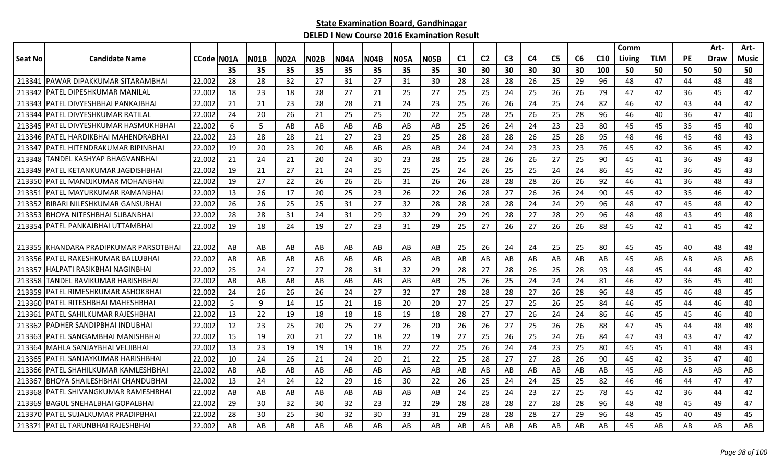| <b>N04A</b><br>C1<br>C <sub>2</sub><br>C <sub>3</sub><br>C <sub>5</sub><br>C6<br>C <sub>10</sub><br><b>TLM</b><br><b>PE</b><br>Seat No<br><b>Candidate Name</b><br><b>CCode IN01A</b><br><b>N01B</b><br>N02A<br><b>N02B</b><br><b>N04B</b><br><b>N05A</b><br>N05B<br>C4<br><b>Draw</b><br>Music<br>Living<br>35<br>35<br>35<br>35<br>35<br>35<br>30<br>30<br>30<br>30<br>30<br>30<br>100<br>50<br>50<br>50<br>50<br>50<br>35<br>35<br><b>IPAWAR DIPAKKUMAR SITARAMBHAI</b><br>22.002<br>213341<br>28<br>28<br>32<br>27<br>31<br>27<br>31<br>30<br>28<br>28<br>28<br>25<br>29<br>96<br>48<br>47<br>44<br>48<br>48<br>26<br>23<br>25<br>24<br>26<br>47<br>42<br>213342<br><b>IPATEL DIPESHKUMAR MANILAL</b><br>22.002<br>18<br>18<br>28<br>27<br>21<br>25<br>27<br>25<br>25<br>26<br>79<br>42<br>36<br>45<br>IPATEL DIVYESHBHAI PANKAJBHAI<br>22.002<br>21<br>23<br>24<br>23<br>26<br>26<br>25<br>24<br>82<br>42<br>213343<br>21<br>28<br>28<br>21<br>25<br>24<br>46<br>42<br>43<br>44<br>22.002<br>24<br>20<br>26<br>20<br>22<br>25<br>28<br>25<br>25<br>28<br>96<br>36<br>213344<br>IPATEL DIVYESHKUMAR RATILAL<br>21<br>25<br>25<br>26<br>46<br>40<br>47<br>40<br>22.002<br>6<br>24<br>23<br>45<br>213345   PATEL DIVYESHKUMAR HASMUKHBHAI<br>.5<br>AB<br>AB<br>AB<br>25<br>26<br>23<br>80<br>45<br>45<br>35<br>40<br>AB<br>AB<br>AB<br>24<br>23<br>28<br>28<br>23<br>29<br>25<br>28<br>28<br>25<br>28<br>48<br>43<br>213346   PATEL HARDIKBHAI MAHENDRABHAI<br>22.002<br>21<br>27<br>28<br>26<br>95<br>46<br>45<br>48<br>19<br>24<br>23<br>23<br>76<br>213347<br> PATEL HITENDRAKUMAR BIPINBHAI<br>22.002<br>20<br>23<br>20<br>AB<br>AB<br>AB<br>24<br>24<br>23<br>45<br>42<br>36<br>45<br>42<br>AB<br>213348<br>TANDEL KASHYAP BHAGVANBHAI<br>22.002<br>21<br>24<br>21<br>20<br>24<br>23<br>28<br>28<br>26<br>26<br>27<br>25<br>90<br>36<br>49<br>43<br>30<br>-25<br>45<br>41<br>PATEL KETANKUMAR JAGDISHBHAI<br>19<br>27<br>26<br>25<br>24<br>24<br>86<br>43<br>213349<br>22.002<br>21<br>21<br>24<br>25<br>25<br>25<br>24<br>25<br>45<br>42<br>36<br>45<br>28<br>28<br>213350<br>22.002<br>19<br>27<br>22<br>26<br>31<br>26<br>26<br>28<br>26<br>26<br>92<br>46<br>36<br>48<br>43<br>PATEL MANOJKUMAR MOHANBHAI<br>26<br>26<br>41<br>213351<br>IPATEL MAYURKUMAR RAMANBHAI<br>22.002<br>13<br>26<br>17<br>20<br>25<br>23<br>26<br>22<br>26<br>28<br>27<br>26<br>26<br>24<br>90<br>45<br>42<br>35<br>46<br>42<br>22.002<br>26<br>26<br>32<br>96<br>45<br>42<br>213352<br>IBIRARI NILESHKUMAR GANSUBHAI<br>25<br>25<br>31<br>27<br>28<br>28<br>28<br>28<br>24<br>29<br>48<br>47<br>48<br>24<br><b>IBHOYA NITESHBHAI SUBANBHAI</b><br>28<br>28<br>24<br>32<br>29<br>96<br>48<br>213353<br>22.002<br>31<br>31<br>29<br>29<br>29<br>29<br>28<br>27<br>28<br>48<br>48<br>43<br>49<br><b>IPATEL PANKAJBHAI UTTAMBHAI</b><br>29<br>26<br>213354<br>22.002<br>19<br>18<br>24<br>19<br>27<br>23<br>31<br>27<br>26<br>27<br>88<br>45<br>42<br>45<br>42<br>25<br>26<br>41<br>213355   KHANDARA PRADIPKUMAR PARSOTBHAI<br>24<br>25<br>22.002<br>AB<br>AB<br>AB<br>AB<br>AB<br>AB<br>25<br>26<br>24<br>25<br>80<br>45<br>45<br>40<br>48<br>48<br>AB<br>AB<br>22.002<br>213356<br>PATEL RAKESHKUMAR BALLUBHAI<br>AB<br>AB<br>AB<br>AB<br>AB<br>AB<br>AB<br>AB<br>AB<br>AB<br>45<br>AB<br>AB<br>AB<br>AB<br>AB<br>AB<br>AB<br>AB<br>AB<br>24<br>213357<br>İHALPATI RASIKBHAI NAGINBHAI<br>22.002<br>25<br>27<br>27<br>32<br>29<br>28<br>27<br>28<br>26<br>25<br>28<br>93<br>48<br>45<br>44<br>48<br>42<br>28<br>31<br>TANDEL RAVIKUMAR HARISHBHAI<br>22.002<br>AB<br>26<br>25<br>81<br>40<br>213358<br>AB<br>AB<br>AB<br>AB<br>AB<br>AB<br>AB<br>25<br>24<br>24<br>24<br>46<br>42<br>36<br>45<br>26<br>28<br>28<br>26<br>96<br>45<br>213359<br>IPATEL RIMESHKUMAR ASHOKBHAI<br>22.002<br>24<br>26<br>26<br>24<br>27<br>32<br>27<br>28<br>27<br>28<br>48<br>45<br>46<br>48<br>IPATEL RITESHBHAI MAHESHBHAI<br>22.002<br>5<br>9<br>20<br>20<br>25<br>27<br>84<br>40<br>213360<br>14<br>15<br>21<br>18<br>-27<br>25<br>26<br>25<br>46<br>45<br>44<br>46<br>27<br>24<br>86<br>213361<br>IPATEL SAHILKUMAR RAJESHBHAI<br>22.002<br>-13<br>22<br>19<br>18<br>18<br>18<br>19<br>18<br>28<br>27<br>26<br>24<br>46<br>45<br>45<br>46<br>40<br>PADHER SANDIPBHAI INDUBHAI<br>12<br>23<br>25<br>20<br>26<br>27<br>26<br>88<br>48<br>48<br>213362<br>22.002<br>25<br>27<br>20<br>26<br>26<br>25<br>26<br>47<br>45<br>44<br>PATEL SANGAMBHAI MANISHBHAI<br>22.002<br>15<br>19<br>20<br>21<br>22<br>22<br>19<br>27<br>25<br>26<br>25<br>24<br>26<br>84<br>47<br>43<br>47<br>42<br>213363<br>18<br>43<br>213364<br>lMAHLA SANJAYBHAI VELJIBHAI<br>22.002<br>13<br>23<br>22<br>22<br>25<br>26<br>24<br>23<br>25<br>80<br>45<br>45<br>48<br>43<br>19<br>19<br>19<br>24<br>41<br>18<br>24<br>27<br>26<br>45<br>213365<br>IPATEL SANJAYKUMAR HARISHBHAI<br>22.002<br>10<br>26<br>21<br>24<br>20<br>21<br>22<br>25<br>28<br>27<br>28<br>90<br>42<br>35<br>47<br>40<br>IPATEL SHAHILKUMAR KAMLESHBHAI<br>22.002<br>AB<br>AB<br>AB<br>AB<br>AB<br>AB<br>AB<br>AB<br>45<br>AB<br>AB<br>AB<br>213366<br>AB<br>AB<br>AB<br>AB<br>AB<br>AB<br>AB<br>AB<br>IBHOYA SHAILESHBHAI CHANDUBHAI<br>22.002<br>213367<br>13<br>24<br>24<br>22<br>29<br>16<br>30<br>22<br>26<br>25<br>24<br>24<br>25<br>25<br>82<br>46<br>46<br>44<br>47<br>47<br>24<br>27<br>78<br>213368 PATEL SHIVANGKUMAR RAMESHBHAI<br>22.002<br>AB<br>AB<br>AB<br>AB<br>AB<br>AB<br>24<br>25<br>23<br>25<br>45<br>42<br>36<br>44<br>42<br>AB<br>AB<br>29<br>30<br>47<br><b>IBAGUL SNEHALBHAI GOPALBHAI</b><br>22.002<br>32<br>30<br>32<br>23<br>32<br>29<br>28<br>28<br>28<br>27<br>28<br>28<br>96<br>48<br>48<br>49<br>213369<br>45<br>30<br>25<br>30<br>28<br>27<br>213370 IPATEL SUJALKUMAR PRADIPBHAI<br>22.002<br>28<br>32<br>30<br>33<br>31<br>29<br>28<br>28<br>29<br>96<br>48<br>45<br>40<br>49<br>45<br>213371   PATEL TARUNBHAI RAJESHBHAI<br>22.002<br>AB<br>AB<br>AB<br>AB<br>AB<br>AB<br>AB<br>AB<br>AB<br>AB<br>AB<br>AB<br>AB<br>AB<br>AB<br>45<br>AB<br>AB<br>AB<br>AB |  |  |  |  |  |  |  |  |  | Comm |  | Art- | Art- |
|---------------------------------------------------------------------------------------------------------------------------------------------------------------------------------------------------------------------------------------------------------------------------------------------------------------------------------------------------------------------------------------------------------------------------------------------------------------------------------------------------------------------------------------------------------------------------------------------------------------------------------------------------------------------------------------------------------------------------------------------------------------------------------------------------------------------------------------------------------------------------------------------------------------------------------------------------------------------------------------------------------------------------------------------------------------------------------------------------------------------------------------------------------------------------------------------------------------------------------------------------------------------------------------------------------------------------------------------------------------------------------------------------------------------------------------------------------------------------------------------------------------------------------------------------------------------------------------------------------------------------------------------------------------------------------------------------------------------------------------------------------------------------------------------------------------------------------------------------------------------------------------------------------------------------------------------------------------------------------------------------------------------------------------------------------------------------------------------------------------------------------------------------------------------------------------------------------------------------------------------------------------------------------------------------------------------------------------------------------------------------------------------------------------------------------------------------------------------------------------------------------------------------------------------------------------------------------------------------------------------------------------------------------------------------------------------------------------------------------------------------------------------------------------------------------------------------------------------------------------------------------------------------------------------------------------------------------------------------------------------------------------------------------------------------------------------------------------------------------------------------------------------------------------------------------------------------------------------------------------------------------------------------------------------------------------------------------------------------------------------------------------------------------------------------------------------------------------------------------------------------------------------------------------------------------------------------------------------------------------------------------------------------------------------------------------------------------------------------------------------------------------------------------------------------------------------------------------------------------------------------------------------------------------------------------------------------------------------------------------------------------------------------------------------------------------------------------------------------------------------------------------------------------------------------------------------------------------------------------------------------------------------------------------------------------------------------------------------------------------------------------------------------------------------------------------------------------------------------------------------------------------------------------------------------------------------------------------------------------------------------------------------------------------------------------------------------------------------------------------------------------------------------------------------------------------------------------------------------------------------------------------------------------------------------------------------------------------------------------------------------------------------------------------------------------------------------------------------------------------------------------------------------------------------------------------------------------------------------------------------------------------------------------------------------------------------------------------------------------------------------------------------------------------------------------------------------------------------------------------------------------------------------------------------------------------------------------------------------------------------------------------------------------------------------------------------------------------------------------------------------------------------------------------------------------------------------------------------------------------------------------------------------------------------------------------------------------------------------------------------------------------|--|--|--|--|--|--|--|--|--|------|--|------|------|
|                                                                                                                                                                                                                                                                                                                                                                                                                                                                                                                                                                                                                                                                                                                                                                                                                                                                                                                                                                                                                                                                                                                                                                                                                                                                                                                                                                                                                                                                                                                                                                                                                                                                                                                                                                                                                                                                                                                                                                                                                                                                                                                                                                                                                                                                                                                                                                                                                                                                                                                                                                                                                                                                                                                                                                                                                                                                                                                                                                                                                                                                                                                                                                                                                                                                                                                                                                                                                                                                                                                                                                                                                                                                                                                                                                                                                                                                                                                                                                                                                                                                                                                                                                                                                                                                                                                                                                                                                                                                                                                                                                                                                                                                                                                                                                                                                                                                                                                                                                                                                                                                                                                                                                                                                                                                                                                                                                                                                                                                                                                                                                                                                                                                                                                                                                                                                                                                                                                                                                                                               |  |  |  |  |  |  |  |  |  |      |  |      |      |
|                                                                                                                                                                                                                                                                                                                                                                                                                                                                                                                                                                                                                                                                                                                                                                                                                                                                                                                                                                                                                                                                                                                                                                                                                                                                                                                                                                                                                                                                                                                                                                                                                                                                                                                                                                                                                                                                                                                                                                                                                                                                                                                                                                                                                                                                                                                                                                                                                                                                                                                                                                                                                                                                                                                                                                                                                                                                                                                                                                                                                                                                                                                                                                                                                                                                                                                                                                                                                                                                                                                                                                                                                                                                                                                                                                                                                                                                                                                                                                                                                                                                                                                                                                                                                                                                                                                                                                                                                                                                                                                                                                                                                                                                                                                                                                                                                                                                                                                                                                                                                                                                                                                                                                                                                                                                                                                                                                                                                                                                                                                                                                                                                                                                                                                                                                                                                                                                                                                                                                                                               |  |  |  |  |  |  |  |  |  |      |  |      |      |
|                                                                                                                                                                                                                                                                                                                                                                                                                                                                                                                                                                                                                                                                                                                                                                                                                                                                                                                                                                                                                                                                                                                                                                                                                                                                                                                                                                                                                                                                                                                                                                                                                                                                                                                                                                                                                                                                                                                                                                                                                                                                                                                                                                                                                                                                                                                                                                                                                                                                                                                                                                                                                                                                                                                                                                                                                                                                                                                                                                                                                                                                                                                                                                                                                                                                                                                                                                                                                                                                                                                                                                                                                                                                                                                                                                                                                                                                                                                                                                                                                                                                                                                                                                                                                                                                                                                                                                                                                                                                                                                                                                                                                                                                                                                                                                                                                                                                                                                                                                                                                                                                                                                                                                                                                                                                                                                                                                                                                                                                                                                                                                                                                                                                                                                                                                                                                                                                                                                                                                                                               |  |  |  |  |  |  |  |  |  |      |  |      |      |
|                                                                                                                                                                                                                                                                                                                                                                                                                                                                                                                                                                                                                                                                                                                                                                                                                                                                                                                                                                                                                                                                                                                                                                                                                                                                                                                                                                                                                                                                                                                                                                                                                                                                                                                                                                                                                                                                                                                                                                                                                                                                                                                                                                                                                                                                                                                                                                                                                                                                                                                                                                                                                                                                                                                                                                                                                                                                                                                                                                                                                                                                                                                                                                                                                                                                                                                                                                                                                                                                                                                                                                                                                                                                                                                                                                                                                                                                                                                                                                                                                                                                                                                                                                                                                                                                                                                                                                                                                                                                                                                                                                                                                                                                                                                                                                                                                                                                                                                                                                                                                                                                                                                                                                                                                                                                                                                                                                                                                                                                                                                                                                                                                                                                                                                                                                                                                                                                                                                                                                                                               |  |  |  |  |  |  |  |  |  |      |  |      |      |
|                                                                                                                                                                                                                                                                                                                                                                                                                                                                                                                                                                                                                                                                                                                                                                                                                                                                                                                                                                                                                                                                                                                                                                                                                                                                                                                                                                                                                                                                                                                                                                                                                                                                                                                                                                                                                                                                                                                                                                                                                                                                                                                                                                                                                                                                                                                                                                                                                                                                                                                                                                                                                                                                                                                                                                                                                                                                                                                                                                                                                                                                                                                                                                                                                                                                                                                                                                                                                                                                                                                                                                                                                                                                                                                                                                                                                                                                                                                                                                                                                                                                                                                                                                                                                                                                                                                                                                                                                                                                                                                                                                                                                                                                                                                                                                                                                                                                                                                                                                                                                                                                                                                                                                                                                                                                                                                                                                                                                                                                                                                                                                                                                                                                                                                                                                                                                                                                                                                                                                                                               |  |  |  |  |  |  |  |  |  |      |  |      |      |
|                                                                                                                                                                                                                                                                                                                                                                                                                                                                                                                                                                                                                                                                                                                                                                                                                                                                                                                                                                                                                                                                                                                                                                                                                                                                                                                                                                                                                                                                                                                                                                                                                                                                                                                                                                                                                                                                                                                                                                                                                                                                                                                                                                                                                                                                                                                                                                                                                                                                                                                                                                                                                                                                                                                                                                                                                                                                                                                                                                                                                                                                                                                                                                                                                                                                                                                                                                                                                                                                                                                                                                                                                                                                                                                                                                                                                                                                                                                                                                                                                                                                                                                                                                                                                                                                                                                                                                                                                                                                                                                                                                                                                                                                                                                                                                                                                                                                                                                                                                                                                                                                                                                                                                                                                                                                                                                                                                                                                                                                                                                                                                                                                                                                                                                                                                                                                                                                                                                                                                                                               |  |  |  |  |  |  |  |  |  |      |  |      |      |
|                                                                                                                                                                                                                                                                                                                                                                                                                                                                                                                                                                                                                                                                                                                                                                                                                                                                                                                                                                                                                                                                                                                                                                                                                                                                                                                                                                                                                                                                                                                                                                                                                                                                                                                                                                                                                                                                                                                                                                                                                                                                                                                                                                                                                                                                                                                                                                                                                                                                                                                                                                                                                                                                                                                                                                                                                                                                                                                                                                                                                                                                                                                                                                                                                                                                                                                                                                                                                                                                                                                                                                                                                                                                                                                                                                                                                                                                                                                                                                                                                                                                                                                                                                                                                                                                                                                                                                                                                                                                                                                                                                                                                                                                                                                                                                                                                                                                                                                                                                                                                                                                                                                                                                                                                                                                                                                                                                                                                                                                                                                                                                                                                                                                                                                                                                                                                                                                                                                                                                                                               |  |  |  |  |  |  |  |  |  |      |  |      |      |
|                                                                                                                                                                                                                                                                                                                                                                                                                                                                                                                                                                                                                                                                                                                                                                                                                                                                                                                                                                                                                                                                                                                                                                                                                                                                                                                                                                                                                                                                                                                                                                                                                                                                                                                                                                                                                                                                                                                                                                                                                                                                                                                                                                                                                                                                                                                                                                                                                                                                                                                                                                                                                                                                                                                                                                                                                                                                                                                                                                                                                                                                                                                                                                                                                                                                                                                                                                                                                                                                                                                                                                                                                                                                                                                                                                                                                                                                                                                                                                                                                                                                                                                                                                                                                                                                                                                                                                                                                                                                                                                                                                                                                                                                                                                                                                                                                                                                                                                                                                                                                                                                                                                                                                                                                                                                                                                                                                                                                                                                                                                                                                                                                                                                                                                                                                                                                                                                                                                                                                                                               |  |  |  |  |  |  |  |  |  |      |  |      |      |
|                                                                                                                                                                                                                                                                                                                                                                                                                                                                                                                                                                                                                                                                                                                                                                                                                                                                                                                                                                                                                                                                                                                                                                                                                                                                                                                                                                                                                                                                                                                                                                                                                                                                                                                                                                                                                                                                                                                                                                                                                                                                                                                                                                                                                                                                                                                                                                                                                                                                                                                                                                                                                                                                                                                                                                                                                                                                                                                                                                                                                                                                                                                                                                                                                                                                                                                                                                                                                                                                                                                                                                                                                                                                                                                                                                                                                                                                                                                                                                                                                                                                                                                                                                                                                                                                                                                                                                                                                                                                                                                                                                                                                                                                                                                                                                                                                                                                                                                                                                                                                                                                                                                                                                                                                                                                                                                                                                                                                                                                                                                                                                                                                                                                                                                                                                                                                                                                                                                                                                                                               |  |  |  |  |  |  |  |  |  |      |  |      |      |
|                                                                                                                                                                                                                                                                                                                                                                                                                                                                                                                                                                                                                                                                                                                                                                                                                                                                                                                                                                                                                                                                                                                                                                                                                                                                                                                                                                                                                                                                                                                                                                                                                                                                                                                                                                                                                                                                                                                                                                                                                                                                                                                                                                                                                                                                                                                                                                                                                                                                                                                                                                                                                                                                                                                                                                                                                                                                                                                                                                                                                                                                                                                                                                                                                                                                                                                                                                                                                                                                                                                                                                                                                                                                                                                                                                                                                                                                                                                                                                                                                                                                                                                                                                                                                                                                                                                                                                                                                                                                                                                                                                                                                                                                                                                                                                                                                                                                                                                                                                                                                                                                                                                                                                                                                                                                                                                                                                                                                                                                                                                                                                                                                                                                                                                                                                                                                                                                                                                                                                                                               |  |  |  |  |  |  |  |  |  |      |  |      |      |
|                                                                                                                                                                                                                                                                                                                                                                                                                                                                                                                                                                                                                                                                                                                                                                                                                                                                                                                                                                                                                                                                                                                                                                                                                                                                                                                                                                                                                                                                                                                                                                                                                                                                                                                                                                                                                                                                                                                                                                                                                                                                                                                                                                                                                                                                                                                                                                                                                                                                                                                                                                                                                                                                                                                                                                                                                                                                                                                                                                                                                                                                                                                                                                                                                                                                                                                                                                                                                                                                                                                                                                                                                                                                                                                                                                                                                                                                                                                                                                                                                                                                                                                                                                                                                                                                                                                                                                                                                                                                                                                                                                                                                                                                                                                                                                                                                                                                                                                                                                                                                                                                                                                                                                                                                                                                                                                                                                                                                                                                                                                                                                                                                                                                                                                                                                                                                                                                                                                                                                                                               |  |  |  |  |  |  |  |  |  |      |  |      |      |
|                                                                                                                                                                                                                                                                                                                                                                                                                                                                                                                                                                                                                                                                                                                                                                                                                                                                                                                                                                                                                                                                                                                                                                                                                                                                                                                                                                                                                                                                                                                                                                                                                                                                                                                                                                                                                                                                                                                                                                                                                                                                                                                                                                                                                                                                                                                                                                                                                                                                                                                                                                                                                                                                                                                                                                                                                                                                                                                                                                                                                                                                                                                                                                                                                                                                                                                                                                                                                                                                                                                                                                                                                                                                                                                                                                                                                                                                                                                                                                                                                                                                                                                                                                                                                                                                                                                                                                                                                                                                                                                                                                                                                                                                                                                                                                                                                                                                                                                                                                                                                                                                                                                                                                                                                                                                                                                                                                                                                                                                                                                                                                                                                                                                                                                                                                                                                                                                                                                                                                                                               |  |  |  |  |  |  |  |  |  |      |  |      |      |
|                                                                                                                                                                                                                                                                                                                                                                                                                                                                                                                                                                                                                                                                                                                                                                                                                                                                                                                                                                                                                                                                                                                                                                                                                                                                                                                                                                                                                                                                                                                                                                                                                                                                                                                                                                                                                                                                                                                                                                                                                                                                                                                                                                                                                                                                                                                                                                                                                                                                                                                                                                                                                                                                                                                                                                                                                                                                                                                                                                                                                                                                                                                                                                                                                                                                                                                                                                                                                                                                                                                                                                                                                                                                                                                                                                                                                                                                                                                                                                                                                                                                                                                                                                                                                                                                                                                                                                                                                                                                                                                                                                                                                                                                                                                                                                                                                                                                                                                                                                                                                                                                                                                                                                                                                                                                                                                                                                                                                                                                                                                                                                                                                                                                                                                                                                                                                                                                                                                                                                                                               |  |  |  |  |  |  |  |  |  |      |  |      |      |
|                                                                                                                                                                                                                                                                                                                                                                                                                                                                                                                                                                                                                                                                                                                                                                                                                                                                                                                                                                                                                                                                                                                                                                                                                                                                                                                                                                                                                                                                                                                                                                                                                                                                                                                                                                                                                                                                                                                                                                                                                                                                                                                                                                                                                                                                                                                                                                                                                                                                                                                                                                                                                                                                                                                                                                                                                                                                                                                                                                                                                                                                                                                                                                                                                                                                                                                                                                                                                                                                                                                                                                                                                                                                                                                                                                                                                                                                                                                                                                                                                                                                                                                                                                                                                                                                                                                                                                                                                                                                                                                                                                                                                                                                                                                                                                                                                                                                                                                                                                                                                                                                                                                                                                                                                                                                                                                                                                                                                                                                                                                                                                                                                                                                                                                                                                                                                                                                                                                                                                                                               |  |  |  |  |  |  |  |  |  |      |  |      |      |
|                                                                                                                                                                                                                                                                                                                                                                                                                                                                                                                                                                                                                                                                                                                                                                                                                                                                                                                                                                                                                                                                                                                                                                                                                                                                                                                                                                                                                                                                                                                                                                                                                                                                                                                                                                                                                                                                                                                                                                                                                                                                                                                                                                                                                                                                                                                                                                                                                                                                                                                                                                                                                                                                                                                                                                                                                                                                                                                                                                                                                                                                                                                                                                                                                                                                                                                                                                                                                                                                                                                                                                                                                                                                                                                                                                                                                                                                                                                                                                                                                                                                                                                                                                                                                                                                                                                                                                                                                                                                                                                                                                                                                                                                                                                                                                                                                                                                                                                                                                                                                                                                                                                                                                                                                                                                                                                                                                                                                                                                                                                                                                                                                                                                                                                                                                                                                                                                                                                                                                                                               |  |  |  |  |  |  |  |  |  |      |  |      |      |
|                                                                                                                                                                                                                                                                                                                                                                                                                                                                                                                                                                                                                                                                                                                                                                                                                                                                                                                                                                                                                                                                                                                                                                                                                                                                                                                                                                                                                                                                                                                                                                                                                                                                                                                                                                                                                                                                                                                                                                                                                                                                                                                                                                                                                                                                                                                                                                                                                                                                                                                                                                                                                                                                                                                                                                                                                                                                                                                                                                                                                                                                                                                                                                                                                                                                                                                                                                                                                                                                                                                                                                                                                                                                                                                                                                                                                                                                                                                                                                                                                                                                                                                                                                                                                                                                                                                                                                                                                                                                                                                                                                                                                                                                                                                                                                                                                                                                                                                                                                                                                                                                                                                                                                                                                                                                                                                                                                                                                                                                                                                                                                                                                                                                                                                                                                                                                                                                                                                                                                                                               |  |  |  |  |  |  |  |  |  |      |  |      |      |
|                                                                                                                                                                                                                                                                                                                                                                                                                                                                                                                                                                                                                                                                                                                                                                                                                                                                                                                                                                                                                                                                                                                                                                                                                                                                                                                                                                                                                                                                                                                                                                                                                                                                                                                                                                                                                                                                                                                                                                                                                                                                                                                                                                                                                                                                                                                                                                                                                                                                                                                                                                                                                                                                                                                                                                                                                                                                                                                                                                                                                                                                                                                                                                                                                                                                                                                                                                                                                                                                                                                                                                                                                                                                                                                                                                                                                                                                                                                                                                                                                                                                                                                                                                                                                                                                                                                                                                                                                                                                                                                                                                                                                                                                                                                                                                                                                                                                                                                                                                                                                                                                                                                                                                                                                                                                                                                                                                                                                                                                                                                                                                                                                                                                                                                                                                                                                                                                                                                                                                                                               |  |  |  |  |  |  |  |  |  |      |  |      |      |
|                                                                                                                                                                                                                                                                                                                                                                                                                                                                                                                                                                                                                                                                                                                                                                                                                                                                                                                                                                                                                                                                                                                                                                                                                                                                                                                                                                                                                                                                                                                                                                                                                                                                                                                                                                                                                                                                                                                                                                                                                                                                                                                                                                                                                                                                                                                                                                                                                                                                                                                                                                                                                                                                                                                                                                                                                                                                                                                                                                                                                                                                                                                                                                                                                                                                                                                                                                                                                                                                                                                                                                                                                                                                                                                                                                                                                                                                                                                                                                                                                                                                                                                                                                                                                                                                                                                                                                                                                                                                                                                                                                                                                                                                                                                                                                                                                                                                                                                                                                                                                                                                                                                                                                                                                                                                                                                                                                                                                                                                                                                                                                                                                                                                                                                                                                                                                                                                                                                                                                                                               |  |  |  |  |  |  |  |  |  |      |  |      |      |
|                                                                                                                                                                                                                                                                                                                                                                                                                                                                                                                                                                                                                                                                                                                                                                                                                                                                                                                                                                                                                                                                                                                                                                                                                                                                                                                                                                                                                                                                                                                                                                                                                                                                                                                                                                                                                                                                                                                                                                                                                                                                                                                                                                                                                                                                                                                                                                                                                                                                                                                                                                                                                                                                                                                                                                                                                                                                                                                                                                                                                                                                                                                                                                                                                                                                                                                                                                                                                                                                                                                                                                                                                                                                                                                                                                                                                                                                                                                                                                                                                                                                                                                                                                                                                                                                                                                                                                                                                                                                                                                                                                                                                                                                                                                                                                                                                                                                                                                                                                                                                                                                                                                                                                                                                                                                                                                                                                                                                                                                                                                                                                                                                                                                                                                                                                                                                                                                                                                                                                                                               |  |  |  |  |  |  |  |  |  |      |  |      |      |
|                                                                                                                                                                                                                                                                                                                                                                                                                                                                                                                                                                                                                                                                                                                                                                                                                                                                                                                                                                                                                                                                                                                                                                                                                                                                                                                                                                                                                                                                                                                                                                                                                                                                                                                                                                                                                                                                                                                                                                                                                                                                                                                                                                                                                                                                                                                                                                                                                                                                                                                                                                                                                                                                                                                                                                                                                                                                                                                                                                                                                                                                                                                                                                                                                                                                                                                                                                                                                                                                                                                                                                                                                                                                                                                                                                                                                                                                                                                                                                                                                                                                                                                                                                                                                                                                                                                                                                                                                                                                                                                                                                                                                                                                                                                                                                                                                                                                                                                                                                                                                                                                                                                                                                                                                                                                                                                                                                                                                                                                                                                                                                                                                                                                                                                                                                                                                                                                                                                                                                                                               |  |  |  |  |  |  |  |  |  |      |  |      |      |
|                                                                                                                                                                                                                                                                                                                                                                                                                                                                                                                                                                                                                                                                                                                                                                                                                                                                                                                                                                                                                                                                                                                                                                                                                                                                                                                                                                                                                                                                                                                                                                                                                                                                                                                                                                                                                                                                                                                                                                                                                                                                                                                                                                                                                                                                                                                                                                                                                                                                                                                                                                                                                                                                                                                                                                                                                                                                                                                                                                                                                                                                                                                                                                                                                                                                                                                                                                                                                                                                                                                                                                                                                                                                                                                                                                                                                                                                                                                                                                                                                                                                                                                                                                                                                                                                                                                                                                                                                                                                                                                                                                                                                                                                                                                                                                                                                                                                                                                                                                                                                                                                                                                                                                                                                                                                                                                                                                                                                                                                                                                                                                                                                                                                                                                                                                                                                                                                                                                                                                                                               |  |  |  |  |  |  |  |  |  |      |  |      |      |
|                                                                                                                                                                                                                                                                                                                                                                                                                                                                                                                                                                                                                                                                                                                                                                                                                                                                                                                                                                                                                                                                                                                                                                                                                                                                                                                                                                                                                                                                                                                                                                                                                                                                                                                                                                                                                                                                                                                                                                                                                                                                                                                                                                                                                                                                                                                                                                                                                                                                                                                                                                                                                                                                                                                                                                                                                                                                                                                                                                                                                                                                                                                                                                                                                                                                                                                                                                                                                                                                                                                                                                                                                                                                                                                                                                                                                                                                                                                                                                                                                                                                                                                                                                                                                                                                                                                                                                                                                                                                                                                                                                                                                                                                                                                                                                                                                                                                                                                                                                                                                                                                                                                                                                                                                                                                                                                                                                                                                                                                                                                                                                                                                                                                                                                                                                                                                                                                                                                                                                                                               |  |  |  |  |  |  |  |  |  |      |  |      |      |
|                                                                                                                                                                                                                                                                                                                                                                                                                                                                                                                                                                                                                                                                                                                                                                                                                                                                                                                                                                                                                                                                                                                                                                                                                                                                                                                                                                                                                                                                                                                                                                                                                                                                                                                                                                                                                                                                                                                                                                                                                                                                                                                                                                                                                                                                                                                                                                                                                                                                                                                                                                                                                                                                                                                                                                                                                                                                                                                                                                                                                                                                                                                                                                                                                                                                                                                                                                                                                                                                                                                                                                                                                                                                                                                                                                                                                                                                                                                                                                                                                                                                                                                                                                                                                                                                                                                                                                                                                                                                                                                                                                                                                                                                                                                                                                                                                                                                                                                                                                                                                                                                                                                                                                                                                                                                                                                                                                                                                                                                                                                                                                                                                                                                                                                                                                                                                                                                                                                                                                                                               |  |  |  |  |  |  |  |  |  |      |  |      |      |
|                                                                                                                                                                                                                                                                                                                                                                                                                                                                                                                                                                                                                                                                                                                                                                                                                                                                                                                                                                                                                                                                                                                                                                                                                                                                                                                                                                                                                                                                                                                                                                                                                                                                                                                                                                                                                                                                                                                                                                                                                                                                                                                                                                                                                                                                                                                                                                                                                                                                                                                                                                                                                                                                                                                                                                                                                                                                                                                                                                                                                                                                                                                                                                                                                                                                                                                                                                                                                                                                                                                                                                                                                                                                                                                                                                                                                                                                                                                                                                                                                                                                                                                                                                                                                                                                                                                                                                                                                                                                                                                                                                                                                                                                                                                                                                                                                                                                                                                                                                                                                                                                                                                                                                                                                                                                                                                                                                                                                                                                                                                                                                                                                                                                                                                                                                                                                                                                                                                                                                                                               |  |  |  |  |  |  |  |  |  |      |  |      |      |
|                                                                                                                                                                                                                                                                                                                                                                                                                                                                                                                                                                                                                                                                                                                                                                                                                                                                                                                                                                                                                                                                                                                                                                                                                                                                                                                                                                                                                                                                                                                                                                                                                                                                                                                                                                                                                                                                                                                                                                                                                                                                                                                                                                                                                                                                                                                                                                                                                                                                                                                                                                                                                                                                                                                                                                                                                                                                                                                                                                                                                                                                                                                                                                                                                                                                                                                                                                                                                                                                                                                                                                                                                                                                                                                                                                                                                                                                                                                                                                                                                                                                                                                                                                                                                                                                                                                                                                                                                                                                                                                                                                                                                                                                                                                                                                                                                                                                                                                                                                                                                                                                                                                                                                                                                                                                                                                                                                                                                                                                                                                                                                                                                                                                                                                                                                                                                                                                                                                                                                                                               |  |  |  |  |  |  |  |  |  |      |  |      |      |
|                                                                                                                                                                                                                                                                                                                                                                                                                                                                                                                                                                                                                                                                                                                                                                                                                                                                                                                                                                                                                                                                                                                                                                                                                                                                                                                                                                                                                                                                                                                                                                                                                                                                                                                                                                                                                                                                                                                                                                                                                                                                                                                                                                                                                                                                                                                                                                                                                                                                                                                                                                                                                                                                                                                                                                                                                                                                                                                                                                                                                                                                                                                                                                                                                                                                                                                                                                                                                                                                                                                                                                                                                                                                                                                                                                                                                                                                                                                                                                                                                                                                                                                                                                                                                                                                                                                                                                                                                                                                                                                                                                                                                                                                                                                                                                                                                                                                                                                                                                                                                                                                                                                                                                                                                                                                                                                                                                                                                                                                                                                                                                                                                                                                                                                                                                                                                                                                                                                                                                                                               |  |  |  |  |  |  |  |  |  |      |  |      |      |
|                                                                                                                                                                                                                                                                                                                                                                                                                                                                                                                                                                                                                                                                                                                                                                                                                                                                                                                                                                                                                                                                                                                                                                                                                                                                                                                                                                                                                                                                                                                                                                                                                                                                                                                                                                                                                                                                                                                                                                                                                                                                                                                                                                                                                                                                                                                                                                                                                                                                                                                                                                                                                                                                                                                                                                                                                                                                                                                                                                                                                                                                                                                                                                                                                                                                                                                                                                                                                                                                                                                                                                                                                                                                                                                                                                                                                                                                                                                                                                                                                                                                                                                                                                                                                                                                                                                                                                                                                                                                                                                                                                                                                                                                                                                                                                                                                                                                                                                                                                                                                                                                                                                                                                                                                                                                                                                                                                                                                                                                                                                                                                                                                                                                                                                                                                                                                                                                                                                                                                                                               |  |  |  |  |  |  |  |  |  |      |  |      |      |
|                                                                                                                                                                                                                                                                                                                                                                                                                                                                                                                                                                                                                                                                                                                                                                                                                                                                                                                                                                                                                                                                                                                                                                                                                                                                                                                                                                                                                                                                                                                                                                                                                                                                                                                                                                                                                                                                                                                                                                                                                                                                                                                                                                                                                                                                                                                                                                                                                                                                                                                                                                                                                                                                                                                                                                                                                                                                                                                                                                                                                                                                                                                                                                                                                                                                                                                                                                                                                                                                                                                                                                                                                                                                                                                                                                                                                                                                                                                                                                                                                                                                                                                                                                                                                                                                                                                                                                                                                                                                                                                                                                                                                                                                                                                                                                                                                                                                                                                                                                                                                                                                                                                                                                                                                                                                                                                                                                                                                                                                                                                                                                                                                                                                                                                                                                                                                                                                                                                                                                                                               |  |  |  |  |  |  |  |  |  |      |  |      |      |
|                                                                                                                                                                                                                                                                                                                                                                                                                                                                                                                                                                                                                                                                                                                                                                                                                                                                                                                                                                                                                                                                                                                                                                                                                                                                                                                                                                                                                                                                                                                                                                                                                                                                                                                                                                                                                                                                                                                                                                                                                                                                                                                                                                                                                                                                                                                                                                                                                                                                                                                                                                                                                                                                                                                                                                                                                                                                                                                                                                                                                                                                                                                                                                                                                                                                                                                                                                                                                                                                                                                                                                                                                                                                                                                                                                                                                                                                                                                                                                                                                                                                                                                                                                                                                                                                                                                                                                                                                                                                                                                                                                                                                                                                                                                                                                                                                                                                                                                                                                                                                                                                                                                                                                                                                                                                                                                                                                                                                                                                                                                                                                                                                                                                                                                                                                                                                                                                                                                                                                                                               |  |  |  |  |  |  |  |  |  |      |  |      |      |
|                                                                                                                                                                                                                                                                                                                                                                                                                                                                                                                                                                                                                                                                                                                                                                                                                                                                                                                                                                                                                                                                                                                                                                                                                                                                                                                                                                                                                                                                                                                                                                                                                                                                                                                                                                                                                                                                                                                                                                                                                                                                                                                                                                                                                                                                                                                                                                                                                                                                                                                                                                                                                                                                                                                                                                                                                                                                                                                                                                                                                                                                                                                                                                                                                                                                                                                                                                                                                                                                                                                                                                                                                                                                                                                                                                                                                                                                                                                                                                                                                                                                                                                                                                                                                                                                                                                                                                                                                                                                                                                                                                                                                                                                                                                                                                                                                                                                                                                                                                                                                                                                                                                                                                                                                                                                                                                                                                                                                                                                                                                                                                                                                                                                                                                                                                                                                                                                                                                                                                                                               |  |  |  |  |  |  |  |  |  |      |  |      |      |
|                                                                                                                                                                                                                                                                                                                                                                                                                                                                                                                                                                                                                                                                                                                                                                                                                                                                                                                                                                                                                                                                                                                                                                                                                                                                                                                                                                                                                                                                                                                                                                                                                                                                                                                                                                                                                                                                                                                                                                                                                                                                                                                                                                                                                                                                                                                                                                                                                                                                                                                                                                                                                                                                                                                                                                                                                                                                                                                                                                                                                                                                                                                                                                                                                                                                                                                                                                                                                                                                                                                                                                                                                                                                                                                                                                                                                                                                                                                                                                                                                                                                                                                                                                                                                                                                                                                                                                                                                                                                                                                                                                                                                                                                                                                                                                                                                                                                                                                                                                                                                                                                                                                                                                                                                                                                                                                                                                                                                                                                                                                                                                                                                                                                                                                                                                                                                                                                                                                                                                                                               |  |  |  |  |  |  |  |  |  |      |  |      |      |
|                                                                                                                                                                                                                                                                                                                                                                                                                                                                                                                                                                                                                                                                                                                                                                                                                                                                                                                                                                                                                                                                                                                                                                                                                                                                                                                                                                                                                                                                                                                                                                                                                                                                                                                                                                                                                                                                                                                                                                                                                                                                                                                                                                                                                                                                                                                                                                                                                                                                                                                                                                                                                                                                                                                                                                                                                                                                                                                                                                                                                                                                                                                                                                                                                                                                                                                                                                                                                                                                                                                                                                                                                                                                                                                                                                                                                                                                                                                                                                                                                                                                                                                                                                                                                                                                                                                                                                                                                                                                                                                                                                                                                                                                                                                                                                                                                                                                                                                                                                                                                                                                                                                                                                                                                                                                                                                                                                                                                                                                                                                                                                                                                                                                                                                                                                                                                                                                                                                                                                                                               |  |  |  |  |  |  |  |  |  |      |  |      |      |
|                                                                                                                                                                                                                                                                                                                                                                                                                                                                                                                                                                                                                                                                                                                                                                                                                                                                                                                                                                                                                                                                                                                                                                                                                                                                                                                                                                                                                                                                                                                                                                                                                                                                                                                                                                                                                                                                                                                                                                                                                                                                                                                                                                                                                                                                                                                                                                                                                                                                                                                                                                                                                                                                                                                                                                                                                                                                                                                                                                                                                                                                                                                                                                                                                                                                                                                                                                                                                                                                                                                                                                                                                                                                                                                                                                                                                                                                                                                                                                                                                                                                                                                                                                                                                                                                                                                                                                                                                                                                                                                                                                                                                                                                                                                                                                                                                                                                                                                                                                                                                                                                                                                                                                                                                                                                                                                                                                                                                                                                                                                                                                                                                                                                                                                                                                                                                                                                                                                                                                                                               |  |  |  |  |  |  |  |  |  |      |  |      |      |
|                                                                                                                                                                                                                                                                                                                                                                                                                                                                                                                                                                                                                                                                                                                                                                                                                                                                                                                                                                                                                                                                                                                                                                                                                                                                                                                                                                                                                                                                                                                                                                                                                                                                                                                                                                                                                                                                                                                                                                                                                                                                                                                                                                                                                                                                                                                                                                                                                                                                                                                                                                                                                                                                                                                                                                                                                                                                                                                                                                                                                                                                                                                                                                                                                                                                                                                                                                                                                                                                                                                                                                                                                                                                                                                                                                                                                                                                                                                                                                                                                                                                                                                                                                                                                                                                                                                                                                                                                                                                                                                                                                                                                                                                                                                                                                                                                                                                                                                                                                                                                                                                                                                                                                                                                                                                                                                                                                                                                                                                                                                                                                                                                                                                                                                                                                                                                                                                                                                                                                                                               |  |  |  |  |  |  |  |  |  |      |  |      |      |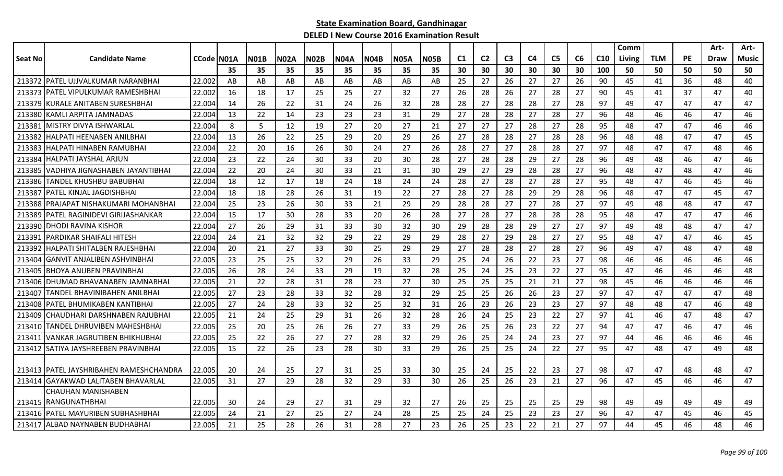|         |                                           |              |    |             |             |             |             |             |             |             |                |                |                |    |                |    |                 | Comm   |            |    | Art- | Art-  |
|---------|-------------------------------------------|--------------|----|-------------|-------------|-------------|-------------|-------------|-------------|-------------|----------------|----------------|----------------|----|----------------|----|-----------------|--------|------------|----|------|-------|
| Seat No | <b>Candidate Name</b>                     | CCode   NO1A |    | <b>N01B</b> | <b>N02A</b> | <b>N02B</b> | <b>N04A</b> | <b>N04B</b> | <b>N05A</b> | <b>N05B</b> | C <sub>1</sub> | C <sub>2</sub> | C <sub>3</sub> | C4 | C <sub>5</sub> | C6 | C <sub>10</sub> | Living | <b>TLM</b> | PE | Draw | Music |
|         |                                           |              | 35 | 35          | 35          | 35          | 35          | 35          | 35          | 35          | 30             | 30             | 30             | 30 | 30             | 30 | 100             | 50     | 50         | 50 | 50   | 50    |
|         | 213372 PATEL UJJVALKUMAR NARANBHAI        | 22.002       | AB | AB          | AB          | AB          | AB          | AB          | AB          | AB          | 25             | 27             | 26             | 27 | 27             | 26 | 90              | 45     | 41         | 36 | 48   | 40    |
| 213373  | <b>IPATEL VIPULKUMAR RAMESHBHAI</b>       | 22.002       | 16 | 18          | 17          | 25          | 25          | 27          | 32          | 27          | 26             | 28             | 26             | 27 | 28             | 27 | 90              | 45     | 41         | 37 | 47   | 40    |
| 213379  | <b>IKURALE ANITABEN SURESHBHAI</b>        | 22.004       | 14 | 26          | 22          | 31          | 24          | 26          | 32          | 28          | 28             | 27             | 28             | 28 | 27             | 28 | 97              | 49     | 47         | 47 | 47   | 47    |
| 213380  | <b>IKAMLI ARPITA JAMNADAS</b>             | 22.004       | 13 | 22          | 14          | 23          | 23          | 23          | 31          | 29          | 27             | 28             | 28             | 27 | 28             | 27 | 96              | 48     | 46         | 46 | 47   | 46    |
| 213381  | <b>IMISTRY DIVYA ISHWARLAL</b>            | 22.004       | 8  | 5           | 12          | 19          | 27          | 20          | 27          | 21          | 27             | 27             | 27             | 28 | 27             | 28 | 95              | 48     | 47         | 47 | 46   | 46    |
| 213382  | IHALPATI HEENABEN ANILBHAI                | 22.004       | 13 | 26          | 22          | 25          | 29          | 20          | 29          | 26          | 27             | 28             | 28             | 27 | 28             | 28 | 96              | 48     | 48         | 47 | 47   | 45    |
| 213383  | HALPATI HINABEN RAMUBHAI                  | 22.004       | 22 | 20          | 16          | 26          | 30          | 24          | 27          | 26          | 28             | 27             | 27             | 28 | 28             | 27 | 97              | 48     | 47         | 47 | 48   | 46    |
| 213384  | HALPATI JAYSHAL ARJUN                     | 22.004       | 23 | 22          | 24          | 30          | 33          | 20          | 30          | 28          | 27             | 28             | 28             | 29 | 27             | 28 | 96              | 49     | 48         | 46 | 47   | 46    |
| 213385  | VADHIYA JIGNASHABEN JAYANTIBHAI           | 22.004       | 22 | 20          | 24          | 30          | 33          | 21          | 31          | 30          | 29             | 27             | 29             | 28 | 28             | 27 | 96              | 48     | 47         | 48 | 47   | 46    |
| 213386  | TANDEL KHUSHBU BABUBHAI                   | 22.004       | 18 | 12          | 17          | 18          | 24          | 18          | 24          | 24          | 28             | 27             | 28             | 27 | 28             | 27 | 95              | 48     | 47         | 46 | 45   | 46    |
| 213387  | IPATEL KINJAL JAGDISHBHAI                 | 22.004       | 18 | 18          | 28          | 26          | 31          | 19          | 22          | 27          | 28             | 27             | 28             | 29 | 29             | 28 | 96              | 48     | 47         | 47 | 45   | 47    |
| 213388  | IPRAJAPAT NISHAKUMARI MOHANBHAI           | 22.004       | 25 | 23          | 26          | 30          | 33          | 21          | 29          | 29          | 28             | 28             | 27             | 27 | 28             | 27 | 97              | 49     | 48         | 48 | 47   | 47    |
| 213389  | PATEL RAGINIDEVI GIRIJASHANKAR            | 22.004       | 15 | 17          | 30          | 28          | 33          | 20          | 26          | 28          | 27             | 28             | 27             | 28 | 28             | 28 | 95              | 48     | 47         | 47 | 47   | 46    |
| 213390  | IDHODI RAVINA KISHOR                      | 22.004       | 27 | 26          | 29          | 31          | 33          | 30          | 32          | 30          | 29             | 28             | 28             | 29 | 27             | 27 | 97              | 49     | 48         | 48 | 47   | 47    |
| 21339   | PARDIKAR SHAIFALI HITESH                  | 22.004       | 24 | 21          | 32          | 32          | 29          | 22          | 29          | 29          | 28             | 27             | 29             | 28 | 27             | 27 | 95              | 48     | 47         | 47 | 46   | 45    |
| 213392  | HALPATI SHITALBEN RAJESHBHAI              | 22.004       | 20 | 21          | 27          | 33          | 30          | 25          | 29          | 29          | 27             | 28             | 28             | 27 | 28             | 27 | 96              | 49     | 47         | 48 | 47   | 48    |
| 213404  | IGANVIT ANJALIBEN ASHVINBHAI              | 22.005       | 23 | 25          | 25          | 32          | 29          | 26          | 33          | 29          | 25             | 24             | 26             | 22 | 23             | 27 | 98              | 46     | 46         | 46 | 46   | 46    |
| 213405  | <b>BHOYA ANUBEN PRAVINBHAI</b>            | 22.005       | 26 | 28          | 24          | 33          | 29          | 19          | 32          | 28          | 25             | 24             | 25             | 23 | 22             | 27 | 95              | 47     | 46         | 46 | 46   | 48    |
|         | 213406 IDHUMAD BHAVANABEN JAMNABHAI       | 22.005       | 21 | 22          | 28          | 31          | 28          | 23          | 27          | 30          | 25             | 25             | 25             | 21 | 21             | 27 | 98              | 45     | 46         | 46 | 46   | 46    |
| 213407  | TANDEL BHAVINIBAHEN ANILBHAI              | 22,005       | 27 | 23          | 28          | 33          | 32          | 28          | 32          | 29          | 25             | 25             | 26             | 26 | 23             | 27 | 97              | 47     | 47         | 47 | 47   | 48    |
| 213408  | PATEL BHUMIKABEN KANTIBHAI                | 22.005       | 27 | 24          | 28          | 33          | 32          | 25          | 32          | 31          | 26             | 23             | 26             | 23 | 23             | 27 | 97              | 48     | 48         | 47 | 46   | 48    |
| 213409  | CHAUDHARI DARSHNABEN RAJUBHAI             | 22.005       | 21 | 24          | 25          | 29          | 31          | 26          | 32          | 28          | 26             | 24             | 25             | 23 | 22             | 27 | 97              | 41     | 46         | 47 | 48   | 47    |
| 213410  | TANDEL DHRUVIBEN MAHESHBHAI               | 22.005       | 25 | 20          | 25          | 26          | 26          | 27          | 33          | 29          | 26             | 25             | 26             | 23 | 22             | 27 | 94              | 47     | 47         | 46 | 47   | 46    |
| 213411  | IVANKAR JAGRUTIBEN BHIKHUBHAI             | 22,005       | 25 | 22          | 26          | 27          | 27          | 28          | 32          | 29          | 26             | 25             | 24             | 24 | 23             | 27 | 97              | 44     | 46         | 46 | 46   | 46    |
|         | 213412 SATIYA JAYSHREEBEN PRAVINBHAI      | 22.005       | 15 | 22          | 26          | 23          | 28          | 30          | 33          | 29          | 26             | 25             | 25             | 24 | 22             | 27 | 95              | 47     | 48         | 47 | 49   | 48    |
|         |                                           |              |    |             |             |             |             |             |             |             |                |                |                |    |                |    |                 |        |            |    |      |       |
|         | 213413   PATEL JAYSHRIBAHEN RAMESHCHANDRA | 22.005       | 20 | 24          | 25          | 27          | 31          | 25          | 33          | 30          | 25             | 24             | 25             | 22 | 23             | 27 | 98              | 47     | 47         | 48 | 48   | 47    |
|         | 213414 GAYAKWAD LALITABEN BHAVARLAL       | 22.005       | 31 | 27          | 29          | 28          | 32          | 29          | 33          | 30          | 26             | 25             | 26             | 23 | 21             | 27 | 96              | 47     | 45         | 46 | 46   | 47    |
|         | CHAUHAN MANISHABEN                        |              |    |             |             |             |             |             |             |             |                |                |                |    |                |    |                 |        |            |    |      |       |
|         | 213415 RANGUNATHBHAI                      | 22.005       | 30 | 24          | 29          | 27          | 31          | 29          | 32          | 27          | 26             | 25             | 25             | 25 | 25             | 29 | 98              | 49     | 49         | 49 | 49   | 49    |
|         | 213416   PATEL MAYURIBEN SUBHASHBHAI      | 22.005       | 24 | 21          | 27          | 25          | 27          | 24          | 28          | 25          | 25             | 24             | 25             | 23 | 23             | 27 | 96              | 47     | 47         | 45 | 46   | 45    |
|         | 213417 ALBAD NAYNABEN BUDHABHAI           | 22.005       | 21 | 25          | 28          | 26          | 31          | 28          | 27          | 23          | 26             | 25             | 23             | 22 | 21             | 27 | 97              | 44     | 45         | 46 | 48   | 46    |